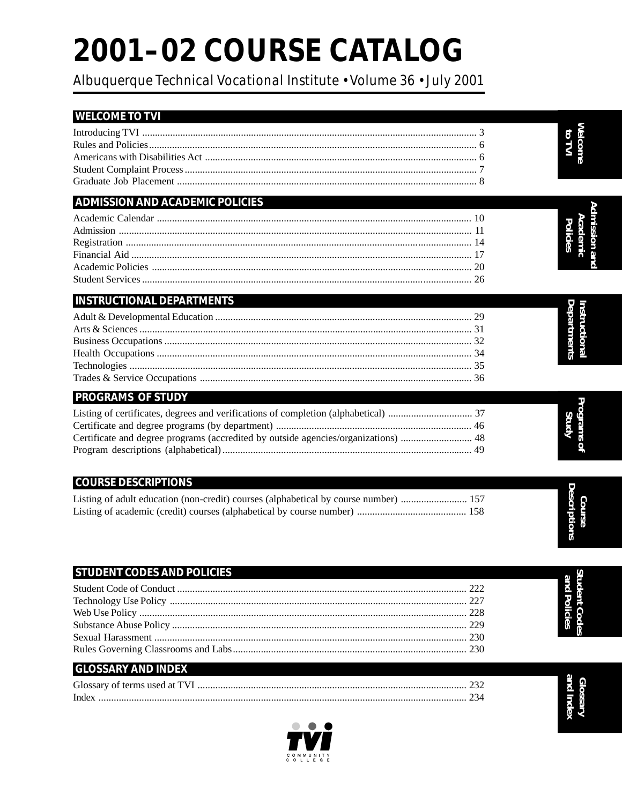# 2001-02 COURSE CATALOG

Albuquerque Technical Vocational Institute · Volume 36 · July 2001

| <b>WELCOME TO TVI</b>                                                                |                                      |
|--------------------------------------------------------------------------------------|--------------------------------------|
|                                                                                      | <b>Melcome</b>                       |
|                                                                                      | to TVI                               |
|                                                                                      |                                      |
|                                                                                      |                                      |
|                                                                                      |                                      |
| <b>ADMISSION AND ACADEMIC POLICIES</b>                                               |                                      |
|                                                                                      | Academic<br>mission a                |
|                                                                                      | <b>Policies</b>                      |
|                                                                                      |                                      |
|                                                                                      |                                      |
|                                                                                      |                                      |
| <b>INSTRUCTIONAL DEPARTMENTS</b>                                                     |                                      |
|                                                                                      | Departments<br>Instructiona          |
|                                                                                      |                                      |
|                                                                                      |                                      |
|                                                                                      |                                      |
|                                                                                      |                                      |
| <b>PROGRAMS OF STUDY</b>                                                             |                                      |
|                                                                                      | Programs                             |
|                                                                                      |                                      |
| Certificate and degree programs (accredited by outside agencies/organizations)  48   | ğ                                    |
|                                                                                      |                                      |
|                                                                                      |                                      |
| <b>COURSE DESCRIPTIONS</b>                                                           | <b>Descriptions</b>                  |
| Listing of adult education (non-credit) courses (alphabetical by course number)  157 |                                      |
|                                                                                      |                                      |
|                                                                                      |                                      |
|                                                                                      |                                      |
| <b>STUDENT CODES AND POLICIES</b>                                                    |                                      |
|                                                                                      | <b>Student Codes</b><br>and Policies |
|                                                                                      |                                      |
|                                                                                      |                                      |
|                                                                                      |                                      |
|                                                                                      |                                      |
| <b>GLOSSARY AND INDEX</b>                                                            |                                      |

| of terms used at "<br>، Jlossarv | $\sim$ |
|----------------------------------|--------|
| - inder                          |        |



G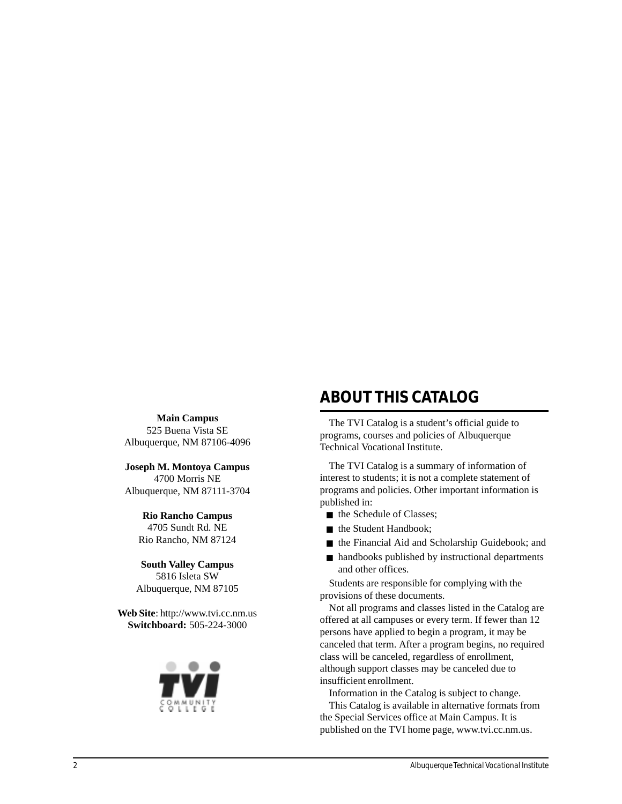**Main Campus** 525 Buena Vista SE Albuquerque, NM 87106-4096

**Joseph M. Montoya Campus** 4700 Morris NE Albuquerque, NM 87111-3704

> **Rio Rancho Campus** 4705 Sundt Rd. NE Rio Rancho, NM 87124

**South Valley Campus** 5816 Isleta SW Albuquerque, NM 87105

**Web Site**: http://www.tvi.cc.nm.us **Switchboard:** 505-224-3000



# **ABOUT THIS CATALOG**

The TVI Catalog is a student's official guide to programs, courses and policies of Albuquerque Technical Vocational Institute.

The TVI Catalog is a summary of information of interest to students; it is not a complete statement of programs and policies. Other important information is published in:

- the Schedule of Classes;
- the Student Handbook;
- the Financial Aid and Scholarship Guidebook; and
- handbooks published by instructional departments and other offices.

Students are responsible for complying with the provisions of these documents.

Not all programs and classes listed in the Catalog are offered at all campuses or every term. If fewer than 12 persons have applied to begin a program, it may be canceled that term. After a program begins, no required class will be canceled, regardless of enrollment, although support classes may be canceled due to insufficient enrollment.

Information in the Catalog is subject to change. This Catalog is available in alternative formats from the Special Services office at Main Campus. It is published on the TVI home page, www.tvi.cc.nm.us.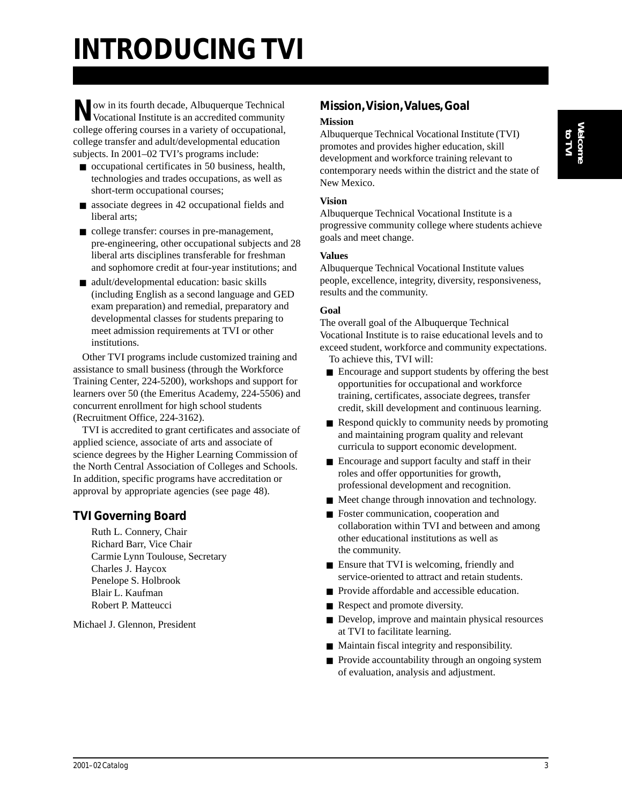# **INTRODUCING TVI**

**Now in its fourth decade, Albuquerque Technical** Vocational Institute is an accredited community college offering courses in a variety of occupational, college transfer and adult/developmental education subjects. In 2001–02 TVI's programs include:

- occupational certificates in 50 business, health, technologies and trades occupations, as well as short-term occupational courses;
- associate degrees in 42 occupational fields and liberal arts;
- college transfer: courses in pre-management, pre-engineering, other occupational subjects and 28 liberal arts disciplines transferable for freshman and sophomore credit at four-year institutions; and
- adult/developmental education: basic skills (including English as a second language and GED exam preparation) and remedial, preparatory and developmental classes for students preparing to meet admission requirements at TVI or other institutions.

Other TVI programs include customized training and assistance to small business (through the Workforce Training Center, 224-5200), workshops and support for learners over 50 (the Emeritus Academy, 224-5506) and concurrent enrollment for high school students (Recruitment Office, 224-3162).

TVI is accredited to grant certificates and associate of applied science, associate of arts and associate of science degrees by the Higher Learning Commission of the North Central Association of Colleges and Schools. In addition, specific programs have accreditation or approval by appropriate agencies (see page 48).

#### **TVI Governing Board**

Ruth L. Connery, Chair Richard Barr, Vice Chair Carmie Lynn Toulouse, Secretary Charles J. Haycox Penelope S. Holbrook Blair L. Kaufman Robert P. Matteucci

Michael J. Glennon, President

#### **Mission, Vision, Values, Goal Mission**

Albuquerque Technical Vocational Institute (TVI) promotes and provides higher education, skill development and workforce training relevant to contemporary needs within the district and the state of New Mexico.

#### **Vision**

Albuquerque Technical Vocational Institute is a progressive community college where students achieve goals and meet change.

#### **Values**

Albuquerque Technical Vocational Institute values people, excellence, integrity, diversity, responsiveness, results and the community.

#### **Goal**

The overall goal of the Albuquerque Technical Vocational Institute is to raise educational levels and to exceed student, workforce and community expectations. To achieve this, TVI will:

- Encourage and support students by offering the best opportunities for occupational and workforce training, certificates, associate degrees, transfer credit, skill development and continuous learning.
- Respond quickly to community needs by promoting and maintaining program quality and relevant curricula to support economic development.
- Encourage and support faculty and staff in their roles and offer opportunities for growth, professional development and recognition.
- Meet change through innovation and technology.
- Foster communication, cooperation and collaboration within TVI and between and among other educational institutions as well as the community.
- Ensure that TVI is welcoming, friendly and service-oriented to attract and retain students.
- Provide affordable and accessible education.
- Respect and promote diversity.
- Develop, improve and maintain physical resources at TVI to facilitate learning.
- Maintain fiscal integrity and responsibility.
- Provide accountability through an ongoing system of evaluation, analysis and adjustment.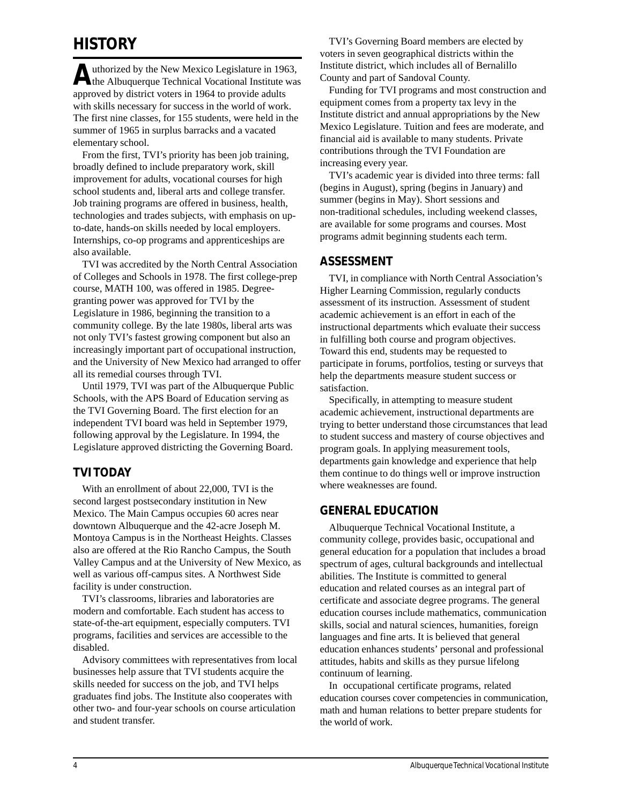## **HISTORY**

Authorized by the New Mexico Legislature in 1963,<br>the Albuquerque Technical Vocational Institute was approved by district voters in 1964 to provide adults with skills necessary for success in the world of work. The first nine classes, for 155 students, were held in the summer of 1965 in surplus barracks and a vacated elementary school.

From the first, TVI's priority has been job training, broadly defined to include preparatory work, skill improvement for adults, vocational courses for high school students and, liberal arts and college transfer. Job training programs are offered in business, health, technologies and trades subjects, with emphasis on upto-date, hands-on skills needed by local employers. Internships, co-op programs and apprenticeships are also available.

TVI was accredited by the North Central Association of Colleges and Schools in 1978. The first college-prep course, MATH 100, was offered in 1985. Degreegranting power was approved for TVI by the Legislature in 1986, beginning the transition to a community college. By the late 1980s, liberal arts was not only TVI's fastest growing component but also an increasingly important part of occupational instruction, and the University of New Mexico had arranged to offer all its remedial courses through TVI.

Until 1979, TVI was part of the Albuquerque Public Schools, with the APS Board of Education serving as the TVI Governing Board. The first election for an independent TVI board was held in September 1979, following approval by the Legislature. In 1994, the Legislature approved districting the Governing Board.

#### **TVI TODAY**

With an enrollment of about 22,000, TVI is the second largest postsecondary institution in New Mexico. The Main Campus occupies 60 acres near downtown Albuquerque and the 42-acre Joseph M. Montoya Campus is in the Northeast Heights. Classes also are offered at the Rio Rancho Campus, the South Valley Campus and at the University of New Mexico, as well as various off-campus sites. A Northwest Side facility is under construction.

TVI's classrooms, libraries and laboratories are modern and comfortable. Each student has access to state-of-the-art equipment, especially computers. TVI programs, facilities and services are accessible to the disabled.

Advisory committees with representatives from local businesses help assure that TVI students acquire the skills needed for success on the job, and TVI helps graduates find jobs. The Institute also cooperates with other two- and four-year schools on course articulation and student transfer.

TVI's Governing Board members are elected by voters in seven geographical districts within the Institute district, which includes all of Bernalillo County and part of Sandoval County.

Funding for TVI programs and most construction and equipment comes from a property tax levy in the Institute district and annual appropriations by the New Mexico Legislature. Tuition and fees are moderate, and financial aid is available to many students. Private contributions through the TVI Foundation are increasing every year.

TVI's academic year is divided into three terms: fall (begins in August), spring (begins in January) and summer (begins in May). Short sessions and non-traditional schedules, including weekend classes, are available for some programs and courses. Most programs admit beginning students each term.

#### **ASSESSMENT**

TVI, in compliance with North Central Association's Higher Learning Commission, regularly conducts assessment of its instruction. Assessment of student academic achievement is an effort in each of the instructional departments which evaluate their success in fulfilling both course and program objectives. Toward this end, students may be requested to participate in forums, portfolios, testing or surveys that help the departments measure student success or satisfaction.

Specifically, in attempting to measure student academic achievement, instructional departments are trying to better understand those circumstances that lead to student success and mastery of course objectives and program goals. In applying measurement tools, departments gain knowledge and experience that help them continue to do things well or improve instruction where weaknesses are found.

#### **GENERAL EDUCATION**

Albuquerque Technical Vocational Institute, a community college, provides basic, occupational and general education for a population that includes a broad spectrum of ages, cultural backgrounds and intellectual abilities. The Institute is committed to general education and related courses as an integral part of certificate and associate degree programs. The general education courses include mathematics, communication skills, social and natural sciences, humanities, foreign languages and fine arts. It is believed that general education enhances students' personal and professional attitudes, habits and skills as they pursue lifelong continuum of learning.

In occupational certificate programs, related education courses cover competencies in communication, math and human relations to better prepare students for the world of work.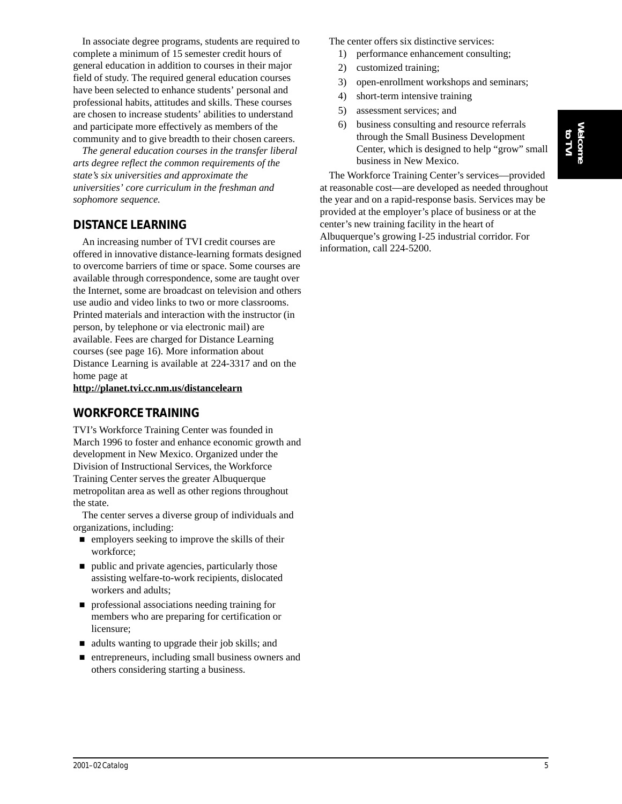**Welcome** Welcome<br>**to TVI** 

In associate degree programs, students are required to complete a minimum of 15 semester credit hours of general education in addition to courses in their major field of study. The required general education courses have been selected to enhance students' personal and professional habits, attitudes and skills. These courses are chosen to increase students' abilities to understand and participate more effectively as members of the community and to give breadth to their chosen careers.

*The general education courses in the transfer liberal arts degree reflect the common requirements of the state's six universities and approximate the universities' core curriculum in the freshman and sophomore sequence.*

#### **DISTANCE LEARNING**

An increasing number of TVI credit courses are offered in innovative distance-learning formats designed to overcome barriers of time or space. Some courses are available through correspondence, some are taught over the Internet, some are broadcast on television and others use audio and video links to two or more classrooms. Printed materials and interaction with the instructor (in person, by telephone or via electronic mail) are available. Fees are charged for Distance Learning courses (see page 16). More information about Distance Learning is available at 224-3317 and on the home page at

**http://planet.tvi.cc.nm.us/distancelearn**

#### **WORKFORCE TRAINING**

TVI's Workforce Training Center was founded in March 1996 to foster and enhance economic growth and development in New Mexico. Organized under the Division of Instructional Services, the Workforce Training Center serves the greater Albuquerque metropolitan area as well as other regions throughout the state.

The center serves a diverse group of individuals and organizations, including:

- $\blacksquare$  employers seeking to improve the skills of their workforce;
- $\blacksquare$  public and private agencies, particularly those assisting welfare-to-work recipients, dislocated workers and adults;
- $\Box$  professional associations needing training for members who are preparing for certification or licensure;
- $\blacksquare$  adults wanting to upgrade their job skills; and
- $\blacksquare$  entrepreneurs, including small business owners and others considering starting a business.

The center offers six distinctive services:

- 1) performance enhancement consulting;
- 2) customized training;
- 3) open-enrollment workshops and seminars;
- 4) short-term intensive training
- 5) assessment services; and
- 6) business consulting and resource referrals through the Small Business Development Center, which is designed to help "grow" small business in New Mexico.

The Workforce Training Center's services—provided at reasonable cost—are developed as needed throughout the year and on a rapid-response basis. Services may be provided at the employer's place of business or at the center's new training facility in the heart of Albuquerque's growing I-25 industrial corridor. For information, call 224-5200.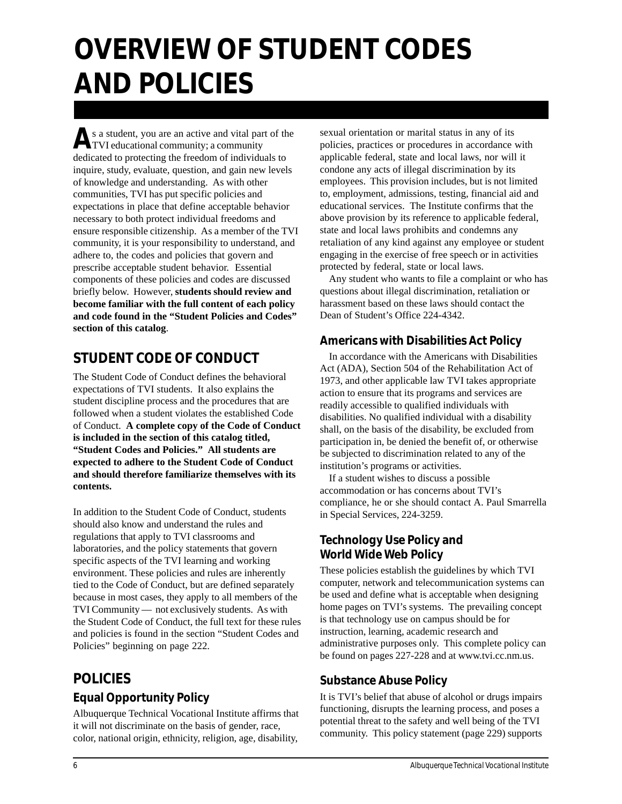# **OVERVIEW OF STUDENT CODES AND POLICIES**

As a student, you are an active and vital part of the TVI educational community; a community dedicated to protecting the freedom of individuals to inquire, study, evaluate, question, and gain new levels of knowledge and understanding. As with other communities, TVI has put specific policies and expectations in place that define acceptable behavior necessary to both protect individual freedoms and ensure responsible citizenship. As a member of the TVI community, it is your responsibility to understand, and adhere to, the codes and policies that govern and prescribe acceptable student behavior. Essential components of these policies and codes are discussed briefly below. However, **students should review and become familiar with the full content of each policy and code found in the "Student Policies and Codes" section of this catalog**.

# **STUDENT CODE OF CONDUCT**

The Student Code of Conduct defines the behavioral expectations of TVI students. It also explains the student discipline process and the procedures that are followed when a student violates the established Code of Conduct. **A complete copy of the Code of Conduct is included in the section of this catalog titled, "Student Codes and Policies." All students are expected to adhere to the Student Code of Conduct and should therefore familiarize themselves with its contents.**

In addition to the Student Code of Conduct, students should also know and understand the rules and regulations that apply to TVI classrooms and laboratories, and the policy statements that govern specific aspects of the TVI learning and working environment. These policies and rules are inherently tied to the Code of Conduct, but are defined separately because in most cases, they apply to all members of the TVI Community — not exclusively students. As with the Student Code of Conduct, the full text for these rules and policies is found in the section "Student Codes and Policies" beginning on page 222.

# **POLICIES Equal Opportunity Policy**

Albuquerque Technical Vocational Institute affirms that

it will not discriminate on the basis of gender, race, color, national origin, ethnicity, religion, age, disability, sexual orientation or marital status in any of its policies, practices or procedures in accordance with applicable federal, state and local laws, nor will it condone any acts of illegal discrimination by its employees. This provision includes, but is not limited to, employment, admissions, testing, financial aid and educational services. The Institute confirms that the above provision by its reference to applicable federal, state and local laws prohibits and condemns any retaliation of any kind against any employee or student engaging in the exercise of free speech or in activities protected by federal, state or local laws.

Any student who wants to file a complaint or who has questions about illegal discrimination, retaliation or harassment based on these laws should contact the Dean of Student's Office 224-4342.

#### **Americans with Disabilities Act Policy**

In accordance with the Americans with Disabilities Act (ADA), Section 504 of the Rehabilitation Act of 1973, and other applicable law TVI takes appropriate action to ensure that its programs and services are readily accessible to qualified individuals with disabilities. No qualified individual with a disability shall, on the basis of the disability, be excluded from participation in, be denied the benefit of, or otherwise be subjected to discrimination related to any of the institution's programs or activities.

If a student wishes to discuss a possible accommodation or has concerns about TVI's compliance, he or she should contact A. Paul Smarrella in Special Services, 224-3259.

### **Technology Use Policy and World Wide Web Policy**

These policies establish the guidelines by which TVI computer, network and telecommunication systems can be used and define what is acceptable when designing home pages on TVI's systems. The prevailing concept is that technology use on campus should be for instruction, learning, academic research and administrative purposes only. This complete policy can be found on pages 227-228 and at www.tvi.cc.nm.us.

### **Substance Abuse Policy**

It is TVI's belief that abuse of alcohol or drugs impairs functioning, disrupts the learning process, and poses a potential threat to the safety and well being of the TVI community. This policy statement (page 229) supports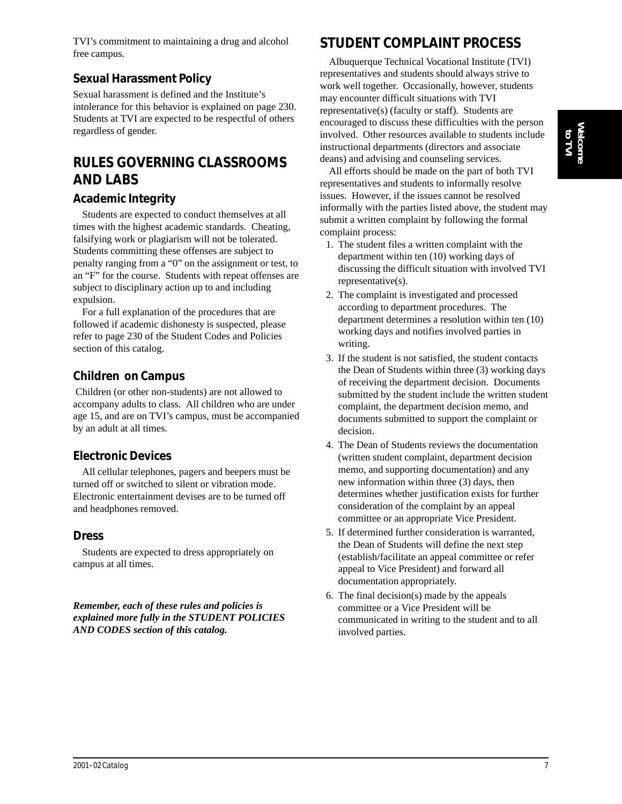TVI's commitment to maintaining a drug and alcohol free campus.

### **Sexual Harassment Policy**

Sexual harassment is defined and the Institute's intolerance for this behavior is explained on page 230. Students at TVI are expected to be respectful of others regardless of gender.

## **RULES GOVERNING CLASSROOMS AND LABS**

### **Academic Integrity**

Students are expected to conduct themselves at all times with the highest academic standards. Cheating, falsifying work or plagiarism will not be tolerated. Students committing these offenses are subject to penalty ranging from a "0" on the assignment or test, to an "F" for the course. Students with repeat offenses are subject to disciplinary action up to and including expulsion.

For a full explanation of the procedures that are followed if academic dishonesty is suspected, please refer to page 230 of the Student Codes and Policies section of this catalog.

### **Children on Campus**

 Children (or other non-students) are not allowed to accompany adults to class. All children who are under age 15, and are on TVI's campus, must be accompanied by an adult at all times.

### **Electronic Devices**

All cellular telephones, pagers and beepers must be turned off or switched to silent or vibration mode. Electronic entertainment devises are to be turned off and headphones removed.

#### **Dress**

Students are expected to dress appropriately on campus at all times.

*Remember, each of these rules and policies is explained more fully in the STUDENT POLICIES AND CODES section of this catalog.*

# **STUDENT COMPLAINT PROCESS**

Albuquerque Technical Vocational Institute (TVI) representatives and students should always strive to work well together. Occasionally, however, students may encounter difficult situations with TVI representative(s) (faculty or staff). Students are encouraged to discuss these difficulties with the person involved. Other resources available to students include instructional departments (directors and associate deans) and advising and counseling services.

All efforts should be made on the part of both TVI representatives and students to informally resolve issues. However, if the issues cannot be resolved informally with the parties listed above, the student may submit a written complaint by following the formal complaint process:

- 1. The student files a written complaint with the department within ten (10) working days of discussing the difficult situation with involved TVI representative(s).
- 2. The complaint is investigated and processed according to department procedures. The department determines a resolution within ten (10) working days and notifies involved parties in writing.
- 3. If the student is not satisfied, the student contacts the Dean of Students within three (3) working days of receiving the department decision. Documents submitted by the student include the written student complaint, the department decision memo, and documents submitted to support the complaint or decision.
- 4. The Dean of Students reviews the documentation (written student complaint, department decision memo, and supporting documentation) and any new information within three (3) days, then determines whether justification exists for further consideration of the complaint by an appeal committee or an appropriate Vice President.
- 5. If determined further consideration is warranted, the Dean of Students will define the next step (establish/facilitate an appeal committee or refer appeal to Vice President) and forward all documentation appropriately.
- 6. The final decision(s) made by the appeals committee or a Vice President will be communicated in writing to the student and to all involved parties.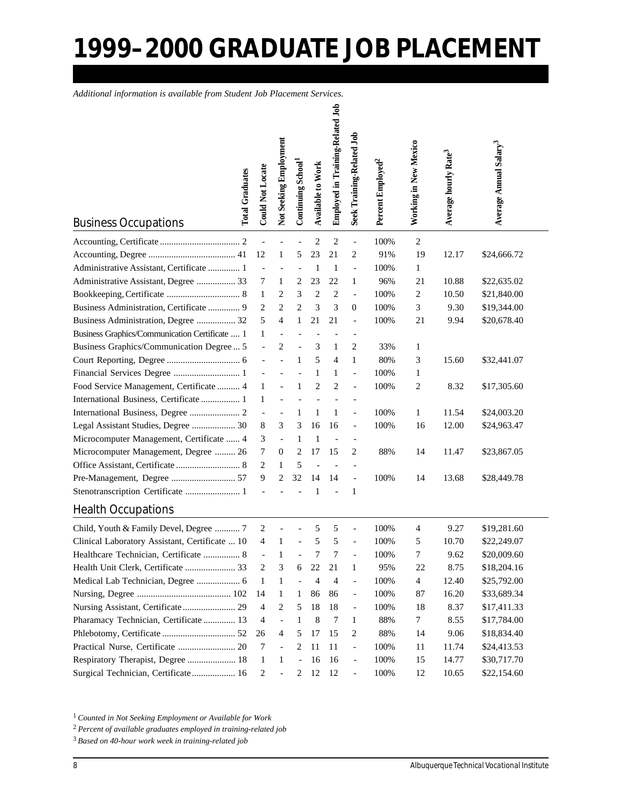# **1999–2000 GRADUATE JOB PLACEMENT**

*Additional information is available from Student Job Placement Services.*

| <b>Total Graduates</b><br><b>Business Occupations</b> | <b>Could Not Locate</b>  | Not Seeking Employment | Continuing School <sup>1</sup> | Available to Work | Employed in Training-Related Job | Seek Training-Related Job | Percent Employed <sup>2</sup> | Working in New Mexico | Average hourly Rate3 | Average Annual Salary <sup>3</sup> |  |
|-------------------------------------------------------|--------------------------|------------------------|--------------------------------|-------------------|----------------------------------|---------------------------|-------------------------------|-----------------------|----------------------|------------------------------------|--|
|                                                       |                          |                        |                                | $\overline{2}$    | 2                                | $\qquad \qquad -$         | 100%                          | 2                     |                      |                                    |  |
|                                                       | 12                       | 1                      | 5                              | 23                | 21                               | 2                         | 91%                           | 19                    | 12.17                | \$24,666.72                        |  |
| Administrative Assistant, Certificate  1              | $\overline{\phantom{a}}$ |                        |                                | 1                 | 1                                | $\overline{\phantom{0}}$  | 100%                          | $\mathbf{1}$          |                      |                                    |  |
| Administrative Assistant, Degree  33                  | 7                        | 1                      | 2                              | 23                | 22                               | 1                         | 96%                           | 21                    | 10.88                | \$22,635.02                        |  |
|                                                       | $\mathbf{1}$             | 2                      | 3                              | $\overline{2}$    | 2                                | $\overline{\phantom{0}}$  | 100%                          | 2                     | 10.50                | \$21,840.00                        |  |
| Business Administration, Certificate  9               | 2                        | $\overline{c}$         | $\overline{2}$                 | 3                 | 3                                | $\overline{0}$            | 100%                          | 3                     | 9.30                 | \$19,344.00                        |  |
| Business Administration, Degree  32                   | 5                        | 4                      | $\mathbf{1}$                   | 21                | 21                               | $\overline{\phantom{0}}$  | 100%                          | 21                    | 9.94                 | \$20,678.40                        |  |
| Business Graphics/Communication Certificate  1        | 1                        | ÷,                     |                                |                   |                                  | $\overline{a}$            |                               |                       |                      |                                    |  |
| Business Graphics/Communication Degree  5             |                          | $\overline{2}$         |                                | 3                 | 1                                | 2                         | 33%                           | 1                     |                      |                                    |  |
|                                                       |                          |                        | 1                              | 5                 | 4                                | 1                         | 80%                           | 3                     | 15.60                | \$32,441.07                        |  |
| Financial Services Degree  1                          |                          |                        |                                | 1                 | 1                                | $\overline{a}$            | 100%                          | 1                     |                      |                                    |  |
| Food Service Management, Certificate  4               | 1                        |                        | 1                              | $\overline{c}$    | $\overline{c}$                   | $\overline{a}$            | 100%                          | $\overline{c}$        | 8.32                 | \$17,305.60                        |  |
| International Business, Certificate  1                | 1                        |                        |                                |                   |                                  |                           |                               |                       |                      |                                    |  |
|                                                       | $\blacksquare$           | $\overline{a}$         | 1                              | 1                 | 1                                | $\overline{\phantom{0}}$  | 100%                          | 1                     | 11.54                | \$24,003.20                        |  |
| Legal Assistant Studies, Degree  30                   | 8                        | 3                      | 3                              | 16                | 16                               | $\overline{\phantom{0}}$  | 100%                          | 16                    | 12.00                | \$24,963.47                        |  |
| Microcomputer Management, Certificate  4              | 3                        | $\overline{a}$         | $\mathbf{1}$                   | 1                 |                                  |                           |                               |                       |                      |                                    |  |
| Microcomputer Management, Degree  26                  | 7                        | $\boldsymbol{0}$       | 2                              | 17                | 15                               | 2                         | 88%                           | 14                    | 11.47                | \$23,867.05                        |  |
|                                                       | 2                        | 1                      | 5                              |                   |                                  |                           |                               |                       |                      |                                    |  |
| Pre-Management, Degree  57                            | 9                        | $\overline{c}$         | 32                             | 14                | 14                               | $\overline{a}$            | 100%                          | 14                    | 13.68                | \$28,449.78                        |  |
| Stenotranscription Certificate  1                     |                          |                        |                                | $\mathbf{1}$      |                                  | 1                         |                               |                       |                      |                                    |  |
| <b>Health Occupations</b>                             |                          |                        |                                |                   |                                  |                           |                               |                       |                      |                                    |  |
| Child, Youth & Family Devel, Degree  7                | 2                        |                        |                                | 5                 | 5                                | $\overline{a}$            | 100%                          | 4                     | 9.27                 | \$19,281.60                        |  |
| Clinical Laboratory Assistant, Certificate  10        | 4                        | 1                      |                                | 5                 | 5                                |                           | 100%                          | 5                     | 10.70                | \$22,249.07                        |  |
| Healthcare Technician, Certificate  8                 |                          | 1                      |                                | 7                 | 7                                |                           | 100%                          | 7                     | 9.62                 | \$20,009.60                        |  |
| Health Unit Clerk, Certificate  33                    | 2                        | 3                      | 6                              | 22                | 21                               | $\mathbf{1}$              | 95%                           | 22                    | 8.75                 | \$18,204.16                        |  |
| Medical Lab Technician, Degree  6                     | 1                        | 1                      |                                | 4                 | 4                                | $\overline{a}$            | 100%                          | $\overline{4}$        | 12.40                | \$25,792.00                        |  |
|                                                       | 14                       | 1                      | 1                              | 86                | 86                               | $\overline{\phantom{0}}$  | 100%                          | 87                    | 16.20                | \$33,689.34                        |  |
| Nursing Assistant, Certificate 29                     | 4                        | 2                      | 5                              | 18                | 18                               | $\qquad \qquad -$         | 100%                          | 18                    | 8.37                 | \$17,411.33                        |  |
| Pharamacy Technician, Certificate  13                 | 4                        | $\overline{a}$         | 1                              | 8                 | 7                                | $\mathbf{1}$              | 88%                           | $\tau$                | 8.55                 | \$17,784.00                        |  |
|                                                       | 26                       | $\overline{4}$         | 5                              | 17                | 15                               | 2                         | 88%                           | 14                    | 9.06                 | \$18,834.40                        |  |
| Practical Nurse, Certificate  20                      | 7                        | $\qquad \qquad \Box$   | 2                              | 11                | 11                               | $\overline{\phantom{a}}$  | 100%                          | 11                    | 11.74                | \$24,413.53                        |  |
| Respiratory Therapist, Degree  18                     | $\mathbf{1}$             | 1                      | $\overline{a}$                 | 16                | 16                               | $\overline{\phantom{a}}$  | 100%                          | 15                    | 14.77                | \$30,717.70                        |  |
| Surgical Technician, Certificate 16                   | 2                        |                        | 2                              | 12                | 12                               | $\overline{\phantom{a}}$  | 100%                          | 12                    | 10.65                | \$22,154.60                        |  |

<sup>1</sup>*Counted in Not Seeking Employment or Available for Work*

<sup>2</sup>*Percent of available graduates employed in training-related job*

<sup>3</sup>*Based on 40-hour work week in training-related job*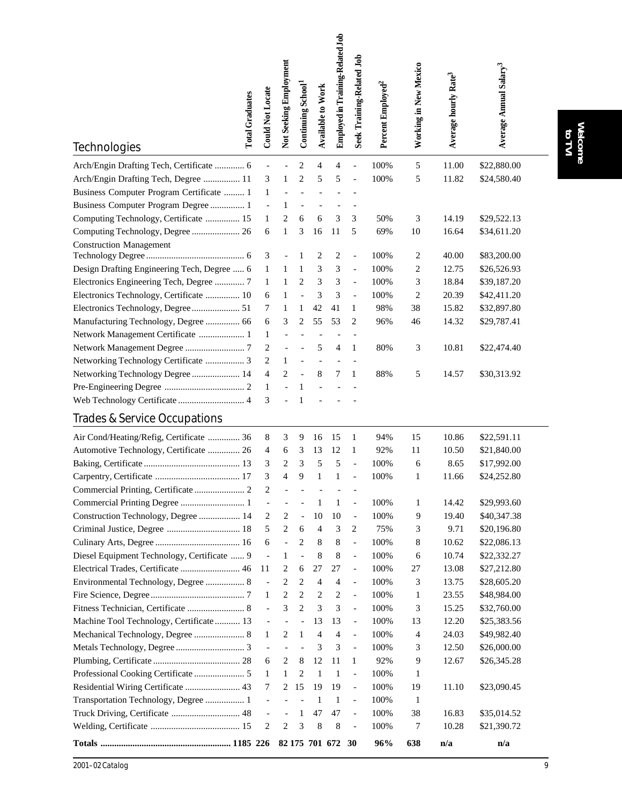| <b>Total Graduates</b>                      | <b>Could Not Locate</b>       | Not Seeking Employment | Continuing School <sup>1</sup> | <b>Available to Work</b> | Employed in Training-Related Job | <b>Seek Training-Related Job</b> | Percent Employed <sup>2</sup> | Working in New Mexico   | Average hourly Rate <sup>3</sup> | Average Annual Salary <sup>3</sup> |  |
|---------------------------------------------|-------------------------------|------------------------|--------------------------------|--------------------------|----------------------------------|----------------------------------|-------------------------------|-------------------------|----------------------------------|------------------------------------|--|
| Technologies                                |                               |                        |                                |                          |                                  |                                  |                               |                         |                                  |                                    |  |
| Arch/Engin Drafting Tech, Certificate  6    | $\overline{\phantom{a}}$      |                        | 2                              | 4                        | 4                                |                                  | 100%                          | 5                       | 11.00                            | \$22,880.00                        |  |
| Arch/Engin Drafting Tech, Degree  11        | 3                             | $\mathbf{1}$           | $\overline{2}$                 | 5                        | 5                                | $\overline{a}$                   | 100%                          | 5                       | 11.82                            | \$24,580.40                        |  |
| Business Computer Program Certificate  1    | $\mathbf{1}$                  |                        |                                |                          |                                  |                                  |                               |                         |                                  |                                    |  |
| Business Computer Program Degree  1         | $\overline{\phantom{a}}$      | 1                      |                                |                          |                                  |                                  |                               |                         |                                  |                                    |  |
| Computing Technology, Certificate  15       | 1                             | $\overline{2}$         | 6                              | 6                        | 3                                | 3                                | 50%                           | 3                       | 14.19                            | \$29,522.13                        |  |
| Computing Technology, Degree  26            | 6                             | $\mathbf{1}$           | 3                              | 16                       | 11                               | 5                                | 69%                           | 10                      | 16.64                            | \$34,611.20                        |  |
| <b>Construction Management</b>              |                               |                        |                                |                          |                                  |                                  |                               |                         |                                  |                                    |  |
|                                             | 3                             |                        | 1                              | 2                        | 2                                | $\qquad \qquad -$                | 100%                          | 2                       | 40.00                            | \$83,200.00                        |  |
| Design Drafting Engineering Tech, Degree  6 | 1                             | 1                      | 1                              | 3                        | 3                                | $\overline{\phantom{a}}$         | 100%                          | 2                       | 12.75                            | \$26,526.93                        |  |
| Electronics Engineering Tech, Degree  7     | 1                             | 1                      | 2                              | 3                        | 3                                | $\overline{\phantom{m}}$         | 100%                          | 3                       | 18.84                            | \$39,187.20                        |  |
| Electronics Technology, Certificate  10     | 6                             | 1                      |                                | 3                        | 3                                | $\overline{\phantom{a}}$         | 100%                          | $\overline{\mathbf{c}}$ | 20.39                            | \$42,411.20                        |  |
| Electronics Technology, Degree  51          | 7                             | 1                      | 1                              | 42                       | 41                               | 1                                | 98%                           | 38                      | 15.82                            | \$32,897.80                        |  |
| Manufacturing Technology, Degree  66        | 6                             | 3                      | 2                              | 55                       | 53                               | 2                                | 96%                           | 46                      | 14.32                            | \$29,787.41                        |  |
| Network Management Certificate  1           | 1                             |                        |                                |                          |                                  |                                  |                               |                         |                                  |                                    |  |
|                                             | 2                             |                        |                                | 5                        | 4                                | 1                                | 80%                           | 3                       | 10.81                            | \$22,474.40                        |  |
| Networking Technology Certificate  3        | 2                             | 1                      |                                |                          |                                  |                                  |                               |                         |                                  |                                    |  |
| Networking Technology Degree  14            | 4                             | $\overline{2}$         |                                | 8                        | 7                                | 1                                | 88%                           | 5                       | 14.57                            | \$30,313.92                        |  |
|                                             | $\mathbf{1}$                  |                        | $\mathbf{1}$                   |                          |                                  |                                  |                               |                         |                                  |                                    |  |
| Web Technology Certificate  4               | 3                             |                        | 1                              |                          |                                  |                                  |                               |                         |                                  |                                    |  |
| <b>Trades &amp; Service Occupations</b>     |                               |                        |                                |                          |                                  |                                  |                               |                         |                                  |                                    |  |
| Air Cond/Heating/Refig, Certificate  36     | 8                             | 3                      | 9                              | 16                       | 15                               | 1                                | 94%                           | 15                      | 10.86                            | \$22,591.11                        |  |
| Automotive Technology, Certificate  26      | 4                             | 6                      | 3                              | 13                       | 12                               | 1                                | 92%                           | 11                      | 10.50                            | \$21,840.00                        |  |
|                                             | 3                             | $\overline{c}$         | 3                              | 5                        | 5                                | $\qquad \qquad -$                | 100%                          | 6                       | 8.65                             | \$17,992.00                        |  |
|                                             | 3                             | $\overline{4}$         | 9                              | 1                        | 1                                | $\overline{a}$                   | 100%                          | 1                       | 11.66                            | \$24,252.80                        |  |
| Commercial Printing, Certificate  2         | 2                             |                        |                                |                          |                                  |                                  |                               |                         |                                  |                                    |  |
|                                             | $\overline{\phantom{a}}$      |                        |                                | 1                        | 1                                | $\blacksquare$                   | 100%                          | 1                       | 14.42                            | \$29,993.60                        |  |
| Construction Technology, Degree  14         | 2                             | $\sqrt{2}$             | $\overline{a}$                 | 10                       | 10                               | $\blacksquare$                   | 100%                          | 9                       | 19.40                            | \$40,347.38                        |  |
|                                             | $\sqrt{5}$                    | $\overline{c}$         | 6                              | $\overline{4}$           | 3                                | 2                                | 75%                           | 3                       | 9.71                             | \$20,196.80                        |  |
|                                             | 6                             | $\overline{a}$         | $\overline{c}$                 | 8                        | 8                                | $\overline{\phantom{0}}$         | 100%                          | 8                       | 10.62                            | \$22,086.13                        |  |
| Diesel Equipment Technology, Certificate  9 | $\overline{\phantom{a}}$      | $\mathbf{1}$           | $\overline{\phantom{0}}$       | 8                        | 8                                | $\blacksquare$                   | 100%                          | 6                       | 10.74                            | \$22,332.27                        |  |
| Electrical Trades, Certificate  46          | 11                            | 2                      | 6                              | 27                       | 27                               | $\blacksquare$                   | 100%                          | 27                      | 13.08                            | \$27,212.80                        |  |
| Environmental Technology, Degree  8         | $\overline{\phantom{a}}$      | 2                      | 2                              | $\overline{4}$           | 4                                | $\blacksquare$                   | 100%                          | 3                       | 13.75                            | \$28,605.20                        |  |
|                                             | 1                             | $\overline{c}$         | 2                              | 2                        | 2                                | $\blacksquare$                   | 100%                          | 1                       | 23.55                            | \$48,984.00                        |  |
| Fitness Technician, Certificate  8          | $\overline{\phantom{a}}$      | 3                      | $\overline{2}$                 | 3                        | 3                                | $\overline{\phantom{a}}$         | 100%                          | 3                       | 15.25                            | \$32,760.00                        |  |
| Machine Tool Technology, Certificate 13     | $\overline{\phantom{a}}$      |                        |                                | 13                       | 13                               | $\overline{\phantom{a}}$         | 100%                          | 13                      | 12.20                            | \$25,383.56                        |  |
| Mechanical Technology, Degree  8            | 1                             | 2                      | 1                              | $\overline{4}$           | 4                                | $\overline{\phantom{a}}$         | 100%                          | 4                       | 24.03                            | \$49,982.40                        |  |
|                                             |                               |                        |                                | 3                        | 3                                | $\blacksquare$                   | 100%                          | 3                       | 12.50                            | \$26,000.00                        |  |
|                                             | $\overline{\phantom{a}}$<br>6 | $\mathbf{2}$           | 8                              | 12                       | 11                               | $\mathbf{1}$                     | 92%                           | 9                       | 12.67                            | \$26,345.28                        |  |
|                                             | 1                             | 1                      | 2                              | $\mathbf{1}$             | 1                                | $\overline{\phantom{a}}$         | 100%                          | 1                       |                                  |                                    |  |
|                                             | $\tau$                        | $\overline{c}$         | 15                             | 19                       | 19                               |                                  | 100%                          | 19                      |                                  |                                    |  |
| Residential Wiring Certificate  43          |                               |                        |                                |                          |                                  | $\overline{\phantom{a}}$         |                               |                         | 11.10                            | \$23,090.45                        |  |
| Transportation Technology, Degree  1        | $\overline{\phantom{a}}$      |                        |                                | 1                        | 1                                | $\overline{\phantom{a}}$         | 100%                          | 1                       |                                  |                                    |  |
| Truck Driving, Certificate  48              | $\overline{\phantom{a}}$      | $\overline{a}$         | $\mathbf{1}$                   | 47                       | 47                               | $\overline{\phantom{a}}$         | 100%                          | 38                      | 16.83                            | \$35,014.52                        |  |
|                                             | $\overline{2}$                | $\overline{c}$         | 3                              | 8                        | 8                                | $\overline{\phantom{a}}$         | 100%                          | 7                       | 10.28                            | \$21,390.72                        |  |
|                                             |                               |                        |                                |                          | 82 175 701 672 30                |                                  | 96%                           | 638                     | n/a                              | n/a                                |  |

**Welcome** Welcome<br>to TVI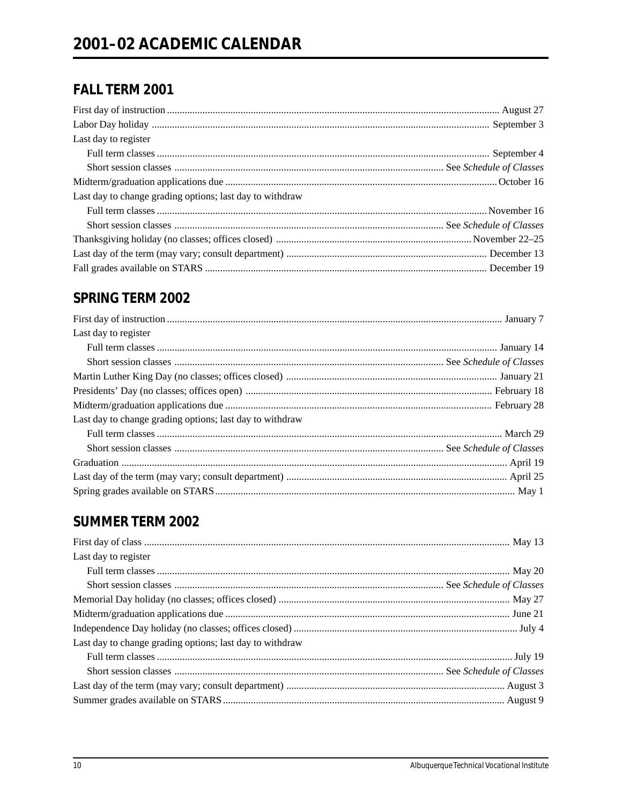# FALL TERM 2001

| Last day to register                                     |  |
|----------------------------------------------------------|--|
|                                                          |  |
|                                                          |  |
|                                                          |  |
| Last day to change grading options; last day to withdraw |  |
|                                                          |  |
|                                                          |  |
|                                                          |  |
|                                                          |  |
|                                                          |  |

# **SPRING TERM 2002**

| Last day to register                                     |  |
|----------------------------------------------------------|--|
|                                                          |  |
|                                                          |  |
|                                                          |  |
|                                                          |  |
|                                                          |  |
| Last day to change grading options; last day to withdraw |  |
|                                                          |  |
|                                                          |  |
|                                                          |  |
|                                                          |  |
|                                                          |  |

# **SUMMER TERM 2002**

| Last day to register                                     |  |
|----------------------------------------------------------|--|
|                                                          |  |
|                                                          |  |
|                                                          |  |
|                                                          |  |
|                                                          |  |
| Last day to change grading options; last day to withdraw |  |
|                                                          |  |
|                                                          |  |
|                                                          |  |
|                                                          |  |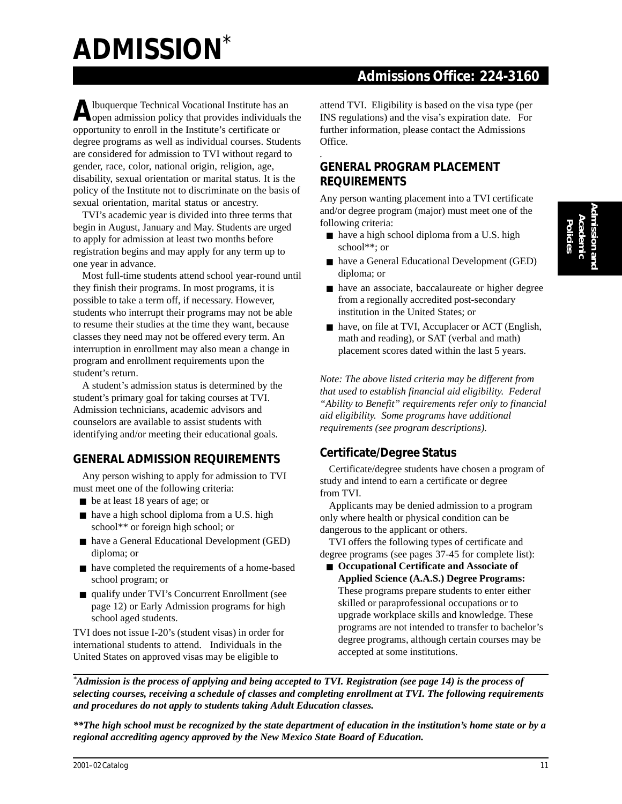# **ADMISSION**\*

 **Admissions Office: 224-3160**

Albuquerque Technical Vocational Institute has an open admission policy that provides individuals the opportunity to enroll in the Institute's certificate or degree programs as well as individual courses. Students are considered for admission to TVI without regard to gender, race, color, national origin, religion, age, disability, sexual orientation or marital status. It is the policy of the Institute not to discriminate on the basis of sexual orientation, marital status or ancestry.

TVI's academic year is divided into three terms that begin in August, January and May. Students are urged to apply for admission at least two months before registration begins and may apply for any term up to one year in advance.

Most full-time students attend school year-round until they finish their programs. In most programs, it is possible to take a term off, if necessary. However, students who interrupt their programs may not be able to resume their studies at the time they want, because classes they need may not be offered every term. An interruption in enrollment may also mean a change in program and enrollment requirements upon the student's return.

A student's admission status is determined by the student's primary goal for taking courses at TVI. Admission technicians, academic advisors and counselors are available to assist students with identifying and/or meeting their educational goals.

#### **GENERAL ADMISSION REQUIREMENTS**

Any person wishing to apply for admission to TVI must meet one of the following criteria:

- be at least 18 years of age; or
- have a high school diploma from a U.S. high school\*\* or foreign high school; or
- have a General Educational Development (GED) diploma; or
- have completed the requirements of a home-based school program; or
- qualify under TVI's Concurrent Enrollment (see page 12) or Early Admission programs for high school aged students.

TVI does not issue I-20's (student visas) in order for international students to attend.Individuals in the United States on approved visas may be eligible to

attend TVI. Eligibility is based on the visa type (per INS regulations) and the visa's expiration date. For further information, please contact the Admissions Office.

#### *.* **GENERAL PROGRAM PLACEMENT REQUIREMENTS**

Any person wanting placement into a TVI certificate and/or degree program (major) must meet one of the following criteria:

- have a high school diploma from a U.S. high school\*\*; or
- have a General Educational Development (GED) diploma; or
- have an associate, baccalaureate or higher degree from a regionally accredited post-secondary institution in the United States; or
- have, on file at TVI, Accuplacer or ACT (English, math and reading), or SAT (verbal and math) placement scores dated within the last 5 years.

*Note: The above listed criteria may be different from that used to establish financial aid eligibility. Federal "Ability to Benefit" requirements refer only to financial aid eligibility. Some programs have additional requirements (see program descriptions).*

#### **Certificate/Degree Status**

Certificate/degree students have chosen a program of study and intend to earn a certificate or degree from TVI.

Applicants may be denied admission to a program only where health or physical condition can be dangerous to the applicant or others.

TVI offers the following types of certificate and degree programs (see pages 37-45 for complete list):

■ **Occupational Certificate and Associate of Applied Science (A.A.S.) Degree Programs:** These programs prepare students to enter either skilled or paraprofessional occupations or to upgrade workplace skills and knowledge. These programs are not intended to transfer to bachelor's degree programs, although certain courses may be accepted at some institutions.

*\*Admission is the process of applying and being accepted to TVI. Registration (see page 14) is the process of selecting courses, receiving a schedule of classes and completing enrollment at TVI. The following requirements and procedures do not apply to students taking Adult Education classes.*

*\*\*The high school must be recognized by the state department of education in the institution's home state or by a regional accrediting agency approved by the New Mexico State Board of Education.*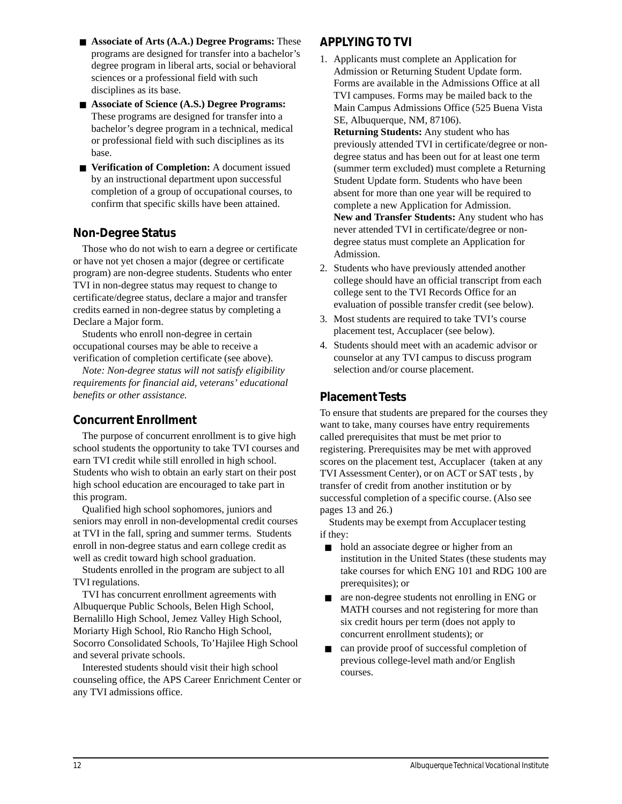- **Associate of Arts (A.A.) Degree Programs:** These programs are designed for transfer into a bachelor's degree program in liberal arts, social or behavioral sciences or a professional field with such disciplines as its base.
- **Associate of Science (A.S.) Degree Programs:** These programs are designed for transfer into a bachelor's degree program in a technical, medical or professional field with such disciplines as its base.
- **Verification of Completion:** A document issued by an instructional department upon successful completion of a group of occupational courses, to confirm that specific skills have been attained.

#### **Non-Degree Status**

Those who do not wish to earn a degree or certificate or have not yet chosen a major (degree or certificate program) are non-degree students. Students who enter TVI in non-degree status may request to change to certificate/degree status, declare a major and transfer credits earned in non-degree status by completing a Declare a Major form.

Students who enroll non-degree in certain occupational courses may be able to receive a verification of completion certificate (see above).

*Note: Non-degree status will not satisfy eligibility requirements for financial aid, veterans' educational benefits or other assistance.*

#### **Concurrent Enrollment**

The purpose of concurrent enrollment is to give high school students the opportunity to take TVI courses and earn TVI credit while still enrolled in high school. Students who wish to obtain an early start on their post high school education are encouraged to take part in this program.

Qualified high school sophomores, juniors and seniors may enroll in non-developmental credit courses at TVI in the fall, spring and summer terms. Students enroll in non-degree status and earn college credit as well as credit toward high school graduation.

Students enrolled in the program are subject to all TVI regulations.

TVI has concurrent enrollment agreements with Albuquerque Public Schools, Belen High School, Bernalillo High School, Jemez Valley High School, Moriarty High School, Rio Rancho High School, Socorro Consolidated Schools, To'Hajilee High School and several private schools.

Interested students should visit their high school counseling office, the APS Career Enrichment Center or any TVI admissions office.

#### **APPLYING TO TVI**

1. Applicants must complete an Application for Admission or Returning Student Update form. Forms are available in the Admissions Office at all TVI campuses. Forms may be mailed back to the Main Campus Admissions Office (525 Buena Vista SE, Albuquerque, NM, 87106).

**Returning Students:** Any student who has previously attended TVI in certificate/degree or nondegree status and has been out for at least one term (summer term excluded) must complete a Returning Student Update form. Students who have been absent for more than one year will be required to complete a new Application for Admission. **New and Transfer Students:** Any student who has never attended TVI in certificate/degree or nondegree status must complete an Application for Admission.

- 2. Students who have previously attended another college should have an official transcript from each college sent to the TVI Records Office for an evaluation of possible transfer credit (see below).
- 3. Most students are required to take TVI's course placement test, Accuplacer (see below).
- 4. Students should meet with an academic advisor or counselor at any TVI campus to discuss program selection and/or course placement.

#### **Placement Tests**

To ensure that students are prepared for the courses they want to take, many courses have entry requirements called prerequisites that must be met prior to registering. Prerequisites may be met with approved scores on the placement test, Accuplacer (taken at any TVI Assessment Center), or on ACT or SAT tests , by transfer of credit from another institution or by successful completion of a specific course. (Also see pages 13 and 26.)

Students may be exempt from Accuplacer testing if they:

- hold an associate degree or higher from an institution in the United States (these students may take courses for which ENG 101 and RDG 100 are prerequisites); or
- are non-degree students not enrolling in ENG or MATH courses and not registering for more than six credit hours per term (does not apply to concurrent enrollment students); or
- can provide proof of successful completion of previous college-level math and/or English courses.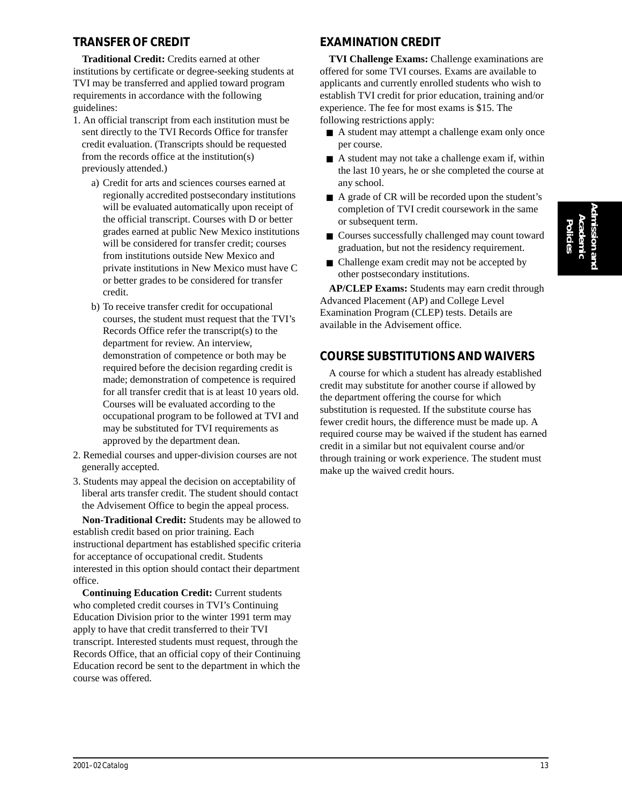#### **TRANSFER OF CREDIT**

**Traditional Credit:** Credits earned at other institutions by certificate or degree-seeking students at TVI may be transferred and applied toward program requirements in accordance with the following guidelines:

- 1. An official transcript from each institution must be sent directly to the TVI Records Office for transfer credit evaluation. (Transcripts should be requested from the records office at the institution(s) previously attended.)
	- a) Credit for arts and sciences courses earned at regionally accredited postsecondary institutions will be evaluated automatically upon receipt of the official transcript. Courses with D or better grades earned at public New Mexico institutions will be considered for transfer credit; courses from institutions outside New Mexico and private institutions in New Mexico must have C or better grades to be considered for transfer credit.
	- b) To receive transfer credit for occupational courses, the student must request that the TVI's Records Office refer the transcript(s) to the department for review. An interview, demonstration of competence or both may be required before the decision regarding credit is made; demonstration of competence is required for all transfer credit that is at least 10 years old. Courses will be evaluated according to the occupational program to be followed at TVI and may be substituted for TVI requirements as approved by the department dean.
- 2. Remedial courses and upper-division courses are not generally accepted.
- 3. Students may appeal the decision on acceptability of liberal arts transfer credit. The student should contact the Advisement Office to begin the appeal process.

**Non-Traditional Credit:** Students may be allowed to establish credit based on prior training. Each instructional department has established specific criteria for acceptance of occupational credit. Students interested in this option should contact their department office.

**Continuing Education Credit:** Current students who completed credit courses in TVI's Continuing Education Division prior to the winter 1991 term may apply to have that credit transferred to their TVI transcript. Interested students must request, through the Records Office, that an official copy of their Continuing Education record be sent to the department in which the course was offered.

#### **EXAMINATION CREDIT**

**TVI Challenge Exams:** Challenge examinations are offered for some TVI courses. Exams are available to applicants and currently enrolled students who wish to establish TVI credit for prior education, training and/or experience. The fee for most exams is \$15. The following restrictions apply:

- A student may attempt a challenge exam only once per course.
- $\blacksquare$  A student may not take a challenge exam if, within the last 10 years, he or she completed the course at any school.
- A grade of CR will be recorded upon the student's completion of TVI credit coursework in the same or subsequent term.
- Courses successfully challenged may count toward graduation, but not the residency requirement.
- Challenge exam credit may not be accepted by other postsecondary institutions.

**AP/CLEP Exams:** Students may earn credit through Advanced Placement (AP) and College Level Examination Program (CLEP) tests. Details are available in the Advisement office.

#### **COURSE SUBSTITUTIONS AND WAIVERS**

A course for which a student has already established credit may substitute for another course if allowed by the department offering the course for which substitution is requested. If the substitute course has fewer credit hours, the difference must be made up. A required course may be waived if the student has earned credit in a similar but not equivalent course and/or through training or work experience. The student must make up the waived credit hours.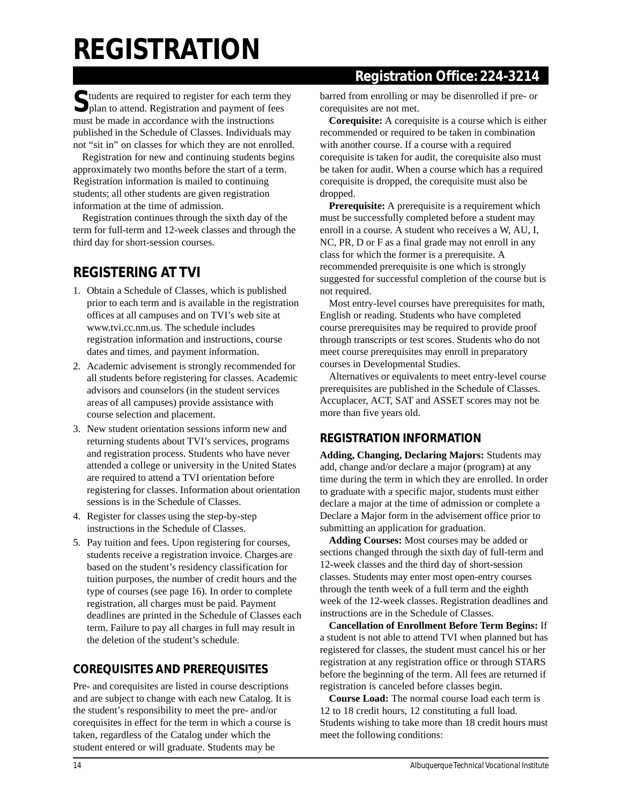# **REGISTRATION**

## **Registration Office: 224-3214**

Students are required to register for each term they plan to attend. Registration and payment of fees must be made in accordance with the instructions published in the Schedule of Classes. Individuals may not "sit in" on classes for which they are not enrolled.

Registration for new and continuing students begins approximately two months before the start of a term. Registration information is mailed to continuing students; all other students are given registration information at the time of admission.

Registration continues through the sixth day of the term for full-term and 12-week classes and through the third day for short-session courses.

# **REGISTERING AT TVI**

- 1. Obtain a Schedule of Classes, which is published prior to each term and is available in the registration offices at all campuses and on TVI's web site at www.tvi.cc.nm.us. The schedule includes registration information and instructions, course dates and times, and payment information.
- 2. Academic advisement is strongly recommended for all students before registering for classes. Academic advisors and counselors (in the student services areas of all campuses) provide assistance with course selection and placement.
- 3. New student orientation sessions inform new and returning students about TVI's services, programs and registration process. Students who have never attended a college or university in the United States are required to attend a TVI orientation before registering for classes. Information about orientation sessions is in the Schedule of Classes.
- 4. Register for classes using the step-by-step instructions in the Schedule of Classes.
- 5. Pay tuition and fees. Upon registering for courses, students receive a registration invoice. Charges are based on the student's residency classification for tuition purposes, the number of credit hours and the type of courses (see page 16). In order to complete registration, all charges must be paid. Payment deadlines are printed in the Schedule of Classes each term. Failure to pay all charges in full may result in the deletion of the student's schedule.

### **COREQUISITES AND PREREQUISITES**

Pre- and corequisites are listed in course descriptions and are subject to change with each new Catalog. It is the student's responsibility to meet the pre- and/or corequisites in effect for the term in which a course is taken, regardless of the Catalog under which the student entered or will graduate. Students may be

barred from enrolling or may be disenrolled if pre- or corequisites are not met.

**Corequisite:** A corequisite is a course which is either recommended or required to be taken in combination with another course. If a course with a required corequisite is taken for audit, the corequisite also must be taken for audit. When a course which has a required corequisite is dropped, the corequisite must also be dropped.

**Prerequisite:** A prerequisite is a requirement which must be successfully completed before a student may enroll in a course. A student who receives a W, AU, I, NC, PR, D or F as a final grade may not enroll in any class for which the former is a prerequisite. A recommended prerequisite is one which is strongly suggested for successful completion of the course but is not required.

Most entry-level courses have prerequisites for math, English or reading. Students who have completed course prerequisites may be required to provide proof through transcripts or test scores. Students who do not meet course prerequisites may enroll in preparatory courses in Developmental Studies.

Alternatives or equivalents to meet entry-level course prerequisites are published in the Schedule of Classes. Accuplacer, ACT, SAT and ASSET scores may not be more than five years old.

#### **REGISTRATION INFORMATION**

**Adding, Changing, Declaring Majors:** Students may add, change and/or declare a major (program) at any time during the term in which they are enrolled. In order to graduate with a specific major, students must either declare a major at the time of admission or complete a Declare a Major form in the advisement office prior to submitting an application for graduation.

**Adding Courses:** Most courses may be added or sections changed through the sixth day of full-term and 12-week classes and the third day of short-session classes. Students may enter most open-entry courses through the tenth week of a full term and the eighth week of the 12-week classes. Registration deadlines and instructions are in the Schedule of Classes.

**Cancellation of Enrollment Before Term Begins:** If a student is not able to attend TVI when planned but has registered for classes, the student must cancel his or her registration at any registration office or through STARS before the beginning of the term. All fees are returned if registration is canceled before classes begin.

**Course Load:** The normal course load each term is 12 to 18 credit hours, 12 constituting a full load. Students wishing to take more than 18 credit hours must meet the following conditions: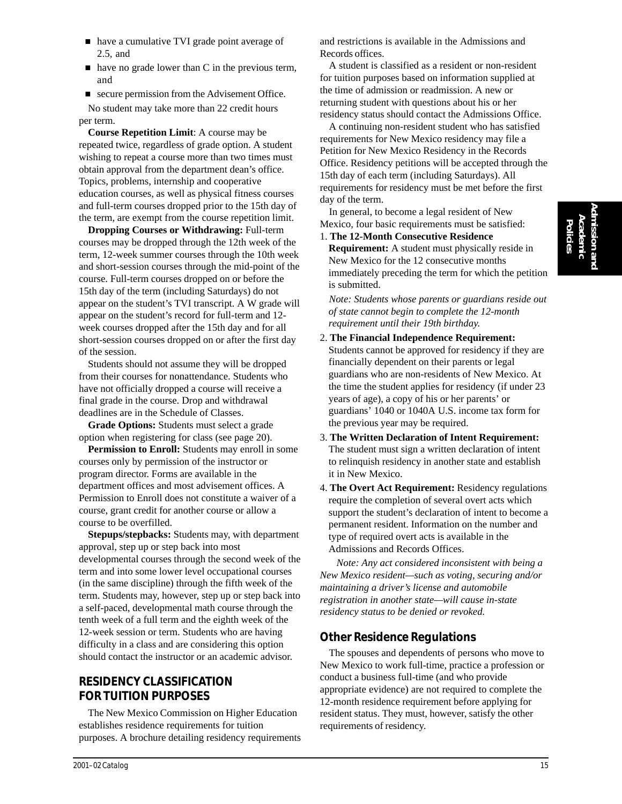- have a cumulative TVI grade point average of 2.5, and
- $\blacksquare$  have no grade lower than C in the previous term, and
- $\blacksquare$  secure permission from the Advisement Office.

No student may take more than 22 credit hours per term.

**Course Repetition Limit**: A course may be repeated twice, regardless of grade option. A student wishing to repeat a course more than two times must obtain approval from the department dean's office. Topics, problems, internship and cooperative education courses, as well as physical fitness courses and full-term courses dropped prior to the 15th day of the term, are exempt from the course repetition limit.

**Dropping Courses or Withdrawing:** Full-term courses may be dropped through the 12th week of the term, 12-week summer courses through the 10th week and short-session courses through the mid-point of the course. Full-term courses dropped on or before the 15th day of the term (including Saturdays) do not appear on the student's TVI transcript. A W grade will appear on the student's record for full-term and 12 week courses dropped after the 15th day and for all short-session courses dropped on or after the first day of the session.

Students should not assume they will be dropped from their courses for nonattendance. Students who have not officially dropped a course will receive a final grade in the course. Drop and withdrawal deadlines are in the Schedule of Classes.

**Grade Options:** Students must select a grade option when registering for class (see page 20).

**Permission to Enroll:** Students may enroll in some courses only by permission of the instructor or program director. Forms are available in the department offices and most advisement offices. A Permission to Enroll does not constitute a waiver of a course, grant credit for another course or allow a course to be overfilled.

**Stepups/stepbacks:** Students may, with department approval, step up or step back into most developmental courses through the second week of the term and into some lower level occupational courses (in the same discipline) through the fifth week of the term. Students may, however, step up or step back into a self-paced, developmental math course through the tenth week of a full term and the eighth week of the 12-week session or term. Students who are having difficulty in a class and are considering this option should contact the instructor or an academic advisor.

#### **RESIDENCY CLASSIFICATION FOR TUITION PURPOSES**

The New Mexico Commission on Higher Education establishes residence requirements for tuition purposes. A brochure detailing residency requirements and restrictions is available in the Admissions and Records offices.

A student is classified as a resident or non-resident for tuition purposes based on information supplied at the time of admission or readmission. A new or returning student with questions about his or her residency status should contact the Admissions Office.

A continuing non-resident student who has satisfied requirements for New Mexico residency may file a Petition for New Mexico Residency in the Records Office. Residency petitions will be accepted through the 15th day of each term (including Saturdays). All requirements for residency must be met before the first day of the term.

In general, to become a legal resident of New Mexico, four basic requirements must be satisfied:

#### 1. **The 12-Month Consecutive Residence**

**Requirement:** A student must physically reside in New Mexico for the 12 consecutive months immediately preceding the term for which the petition is submitted.

*Note: Students whose parents or guardians reside out of state cannot begin to complete the 12-month requirement until their 19th birthday.*

#### 2. **The Financial Independence Requirement:** Students cannot be approved for residency if they are financially dependent on their parents or legal guardians who are non-residents of New Mexico. At

the time the student applies for residency (if under 23 years of age), a copy of his or her parents' or guardians' 1040 or 1040A U.S. income tax form for the previous year may be required.

- 3. **The Written Declaration of Intent Requirement:** The student must sign a written declaration of intent to relinquish residency in another state and establish it in New Mexico.
- 4. **The Overt Act Requirement:** Residency regulations require the completion of several overt acts which support the student's declaration of intent to become a permanent resident. Information on the number and type of required overt acts is available in the Admissions and Records Offices.

 *Note: Any act considered inconsistent with being a New Mexico resident—such as voting, securing and/or maintaining a driver's license and automobile registration in another state—will cause in-state residency status to be denied or revoked.*

#### **Other Residence Regulations**

The spouses and dependents of persons who move to New Mexico to work full-time, practice a profession or conduct a business full-time (and who provide appropriate evidence) are not required to complete the 12-month residence requirement before applying for resident status. They must, however, satisfy the other requirements of residency.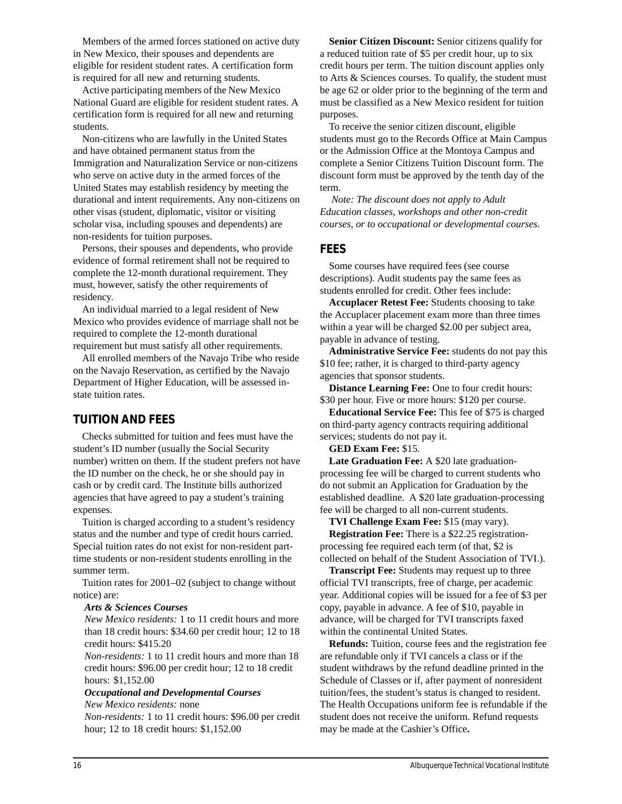Members of the armed forces stationed on active duty in New Mexico, their spouses and dependents are eligible for resident student rates. A certification form is required for all new and returning students.

Active participating members of the New Mexico National Guard are eligible for resident student rates. A certification form is required for all new and returning students.

Non-citizens who are lawfully in the United States and have obtained permanent status from the Immigration and Naturalization Service or non-citizens who serve on active duty in the armed forces of the United States may establish residency by meeting the durational and intent requirements. Any non-citizens on other visas (student, diplomatic, visitor or visiting scholar visa, including spouses and dependents) are non-residents for tuition purposes.

Persons, their spouses and dependents, who provide evidence of formal retirement shall not be required to complete the 12-month durational requirement. They must, however, satisfy the other requirements of residency.

An individual married to a legal resident of New Mexico who provides evidence of marriage shall not be required to complete the 12-month durational requirement but must satisfy all other requirements.

All enrolled members of the Navajo Tribe who reside on the Navajo Reservation, as certified by the Navajo Department of Higher Education, will be assessed instate tuition rates.

#### **TUITION AND FEES**

Checks submitted for tuition and fees must have the student's ID number (usually the Social Security number) written on them. If the student prefers not have the ID number on the check, he or she should pay in cash or by credit card. The Institute bills authorized agencies that have agreed to pay a student's training expenses.

Tuition is charged according to a student's residency status and the number and type of credit hours carried. Special tuition rates do not exist for non-resident parttime students or non-resident students enrolling in the summer term.

Tuition rates for 2001–02 (subject to change without notice) are:

#### *Arts & Sciences Courses*

*New Mexico residents:* 1 to 11 credit hours and more than 18 credit hours: \$34.60 per credit hour; 12 to 18 credit hours: \$415.20

*Non-residents:* 1 to 11 credit hours and more than 18 credit hours: \$96.00 per credit hour; 12 to 18 credit hours: \$1,152.00

#### *Occupational and Developmental Courses New Mexico residents:* none

*Non-residents:* 1 to 11 credit hours: \$96.00 per credit hour; 12 to 18 credit hours: \$1,152.00

**Senior Citizen Discount:** Senior citizens qualify for a reduced tuition rate of \$5 per credit hour, up to six credit hours per term. The tuition discount applies only to Arts & Sciences courses. To qualify, the student must be age 62 or older prior to the beginning of the term and must be classified as a New Mexico resident for tuition purposes.

To receive the senior citizen discount, eligible students must go to the Records Office at Main Campus or the Admission Office at the Montoya Campus and complete a Senior Citizens Tuition Discount form. The discount form must be approved by the tenth day of the term.

 *Note: The discount does not apply to Adult Education classes, workshops and other non-credit courses, or to occupational or developmental courses.*

#### **FEES**

Some courses have required fees (see course descriptions). Audit students pay the same fees as students enrolled for credit. Other fees include:

**Accuplacer Retest Fee:** Students choosing to take the Accuplacer placement exam more than three times within a year will be charged \$2.00 per subject area, payable in advance of testing.

**Administrative Service Fee:** students do not pay this \$10 fee; rather, it is charged to third-party agency agencies that sponsor students.

**Distance Learning Fee:** One to four credit hours: \$30 per hour. Five or more hours: \$120 per course.

**Educational Service Fee:** This fee of \$75 is charged on third-party agency contracts requiring additional services; students do not pay it.

**GED Exam Fee:** \$15.

**Late Graduation Fee:** A \$20 late graduationprocessing fee will be charged to current students who do not submit an Application for Graduation by the established deadline. A \$20 late graduation-processing fee will be charged to all non-current students.

**TVI Challenge Exam Fee:** \$15 (may vary).

**Registration Fee:** There is a \$22.25 registrationprocessing fee required each term (of that, \$2 is collected on behalf of the Student Association of TVI.).

**Transcript Fee:** Students may request up to three official TVI transcripts, free of charge, per academic year. Additional copies will be issued for a fee of \$3 per copy, payable in advance. A fee of \$10, payable in advance, will be charged for TVI transcripts faxed within the continental United States.

**Refunds:** Tuition, course fees and the registration fee are refundable only if TVI cancels a class or if the student withdraws by the refund deadline printed in the Schedule of Classes or if, after payment of nonresident tuition/fees, the student's status is changed to resident. The Health Occupations uniform fee is refundable if the student does not receive the uniform. Refund requests may be made at the Cashier's Office**.**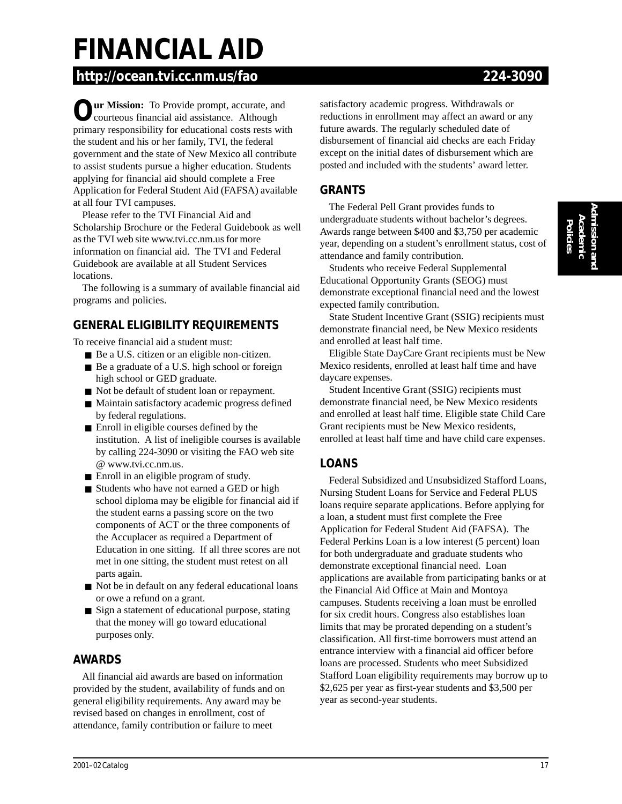# **FINANCIAL AID**

# **http://ocean.tvi.cc.nm.us/fao 224-3090**

**Our Mission:** To Provide prompt, accurate, and courteous financial aid assistance. Although primary responsibility for educational costs rests with the student and his or her family, TVI, the federal government and the state of New Mexico all contribute to assist students pursue a higher education. Students applying for financial aid should complete a Free Application for Federal Student Aid (FAFSA) available at all four TVI campuses.

Please refer to the TVI Financial Aid and Scholarship Brochure or the Federal Guidebook as well as the TVI web site www.tvi.cc.nm.us for more information on financial aid. The TVI and Federal Guidebook are available at all Student Services locations.

The following is a summary of available financial aid programs and policies.

### **GENERAL ELIGIBILITY REQUIREMENTS**

To receive financial aid a student must:

- Be a U.S. citizen or an eligible non-citizen.
- Be a graduate of a U.S. high school or foreign high school or GED graduate.
- Not be default of student loan or repayment.
- Maintain satisfactory academic progress defined by federal regulations.
- Enroll in eligible courses defined by the institution. A list of ineligible courses is available by calling 224-3090 or visiting the FAO web site @ www.tvi.cc.nm.us.
- Enroll in an eligible program of study.
- Students who have not earned a GED or high school diploma may be eligible for financial aid if the student earns a passing score on the two components of ACT or the three components of the Accuplacer as required a Department of Education in one sitting. If all three scores are not met in one sitting, the student must retest on all parts again.
- Not be in default on any federal educational loans or owe a refund on a grant.
- Sign a statement of educational purpose, stating that the money will go toward educational purposes only.

#### **AWARDS**

All financial aid awards are based on information provided by the student, availability of funds and on general eligibility requirements. Any award may be revised based on changes in enrollment, cost of attendance, family contribution or failure to meet

satisfactory academic progress. Withdrawals or reductions in enrollment may affect an award or any future awards. The regularly scheduled date of disbursement of financial aid checks are each Friday except on the initial dates of disbursement which are posted and included with the students' award letter.

#### **GRANTS**

The Federal Pell Grant provides funds to undergraduate students without bachelor's degrees. Awards range between \$400 and \$3,750 per academic year, depending on a student's enrollment status, cost of attendance and family contribution.

Students who receive Federal Supplemental Educational Opportunity Grants (SEOG) must demonstrate exceptional financial need and the lowest expected family contribution.

State Student Incentive Grant (SSIG) recipients must demonstrate financial need, be New Mexico residents and enrolled at least half time.

Eligible State DayCare Grant recipients must be New Mexico residents, enrolled at least half time and have daycare expenses.

Student Incentive Grant (SSIG) recipients must demonstrate financial need, be New Mexico residents and enrolled at least half time. Eligible state Child Care Grant recipients must be New Mexico residents, enrolled at least half time and have child care expenses.

### **LOANS**

Federal Subsidized and Unsubsidized Stafford Loans, Nursing Student Loans for Service and Federal PLUS loans require separate applications. Before applying for a loan, a student must first complete the Free Application for Federal Student Aid (FAFSA). The Federal Perkins Loan is a low interest (5 percent) loan for both undergraduate and graduate students who demonstrate exceptional financial need. Loan applications are available from participating banks or at the Financial Aid Office at Main and Montoya campuses. Students receiving a loan must be enrolled for six credit hours. Congress also establishes loan limits that may be prorated depending on a student's classification. All first-time borrowers must attend an entrance interview with a financial aid officer before loans are processed. Students who meet Subsidized Stafford Loan eligibility requirements may borrow up to \$2,625 per year as first-year students and \$3,500 per year as second-year students.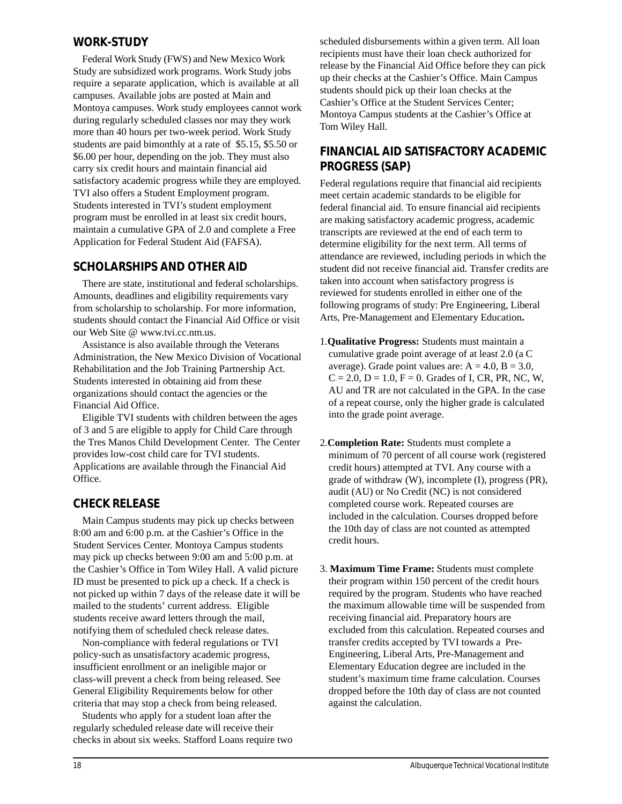#### **WORK-STUDY**

Federal Work Study (FWS) and New Mexico Work Study are subsidized work programs. Work Study jobs require a separate application, which is available at all campuses. Available jobs are posted at Main and Montoya campuses. Work study employees cannot work during regularly scheduled classes nor may they work more than 40 hours per two-week period. Work Study students are paid bimonthly at a rate of \$5.15, \$5.50 or \$6.00 per hour, depending on the job. They must also carry six credit hours and maintain financial aid satisfactory academic progress while they are employed. TVI also offers a Student Employment program. Students interested in TVI's student employment program must be enrolled in at least six credit hours, maintain a cumulative GPA of 2.0 and complete a Free Application for Federal Student Aid (FAFSA).

#### **SCHOLARSHIPS AND OTHER AID**

There are state, institutional and federal scholarships. Amounts, deadlines and eligibility requirements vary from scholarship to scholarship. For more information, students should contact the Financial Aid Office or visit our Web Site @ www.tvi.cc.nm.us.

Assistance is also available through the Veterans Administration, the New Mexico Division of Vocational Rehabilitation and the Job Training Partnership Act. Students interested in obtaining aid from these organizations should contact the agencies or the Financial Aid Office.

Eligible TVI students with children between the ages of 3 and 5 are eligible to apply for Child Care through the Tres Manos Child Development Center. The Center provides low-cost child care for TVI students. Applications are available through the Financial Aid Office.

#### **CHECK RELEASE**

Main Campus students may pick up checks between 8:00 am and 6:00 p.m. at the Cashier's Office in the Student Services Center. Montoya Campus students may pick up checks between 9:00 am and 5:00 p.m. at the Cashier's Office in Tom Wiley Hall. A valid picture ID must be presented to pick up a check. If a check is not picked up within 7 days of the release date it will be mailed to the students' current address. Eligible students receive award letters through the mail, notifying them of scheduled check release dates.

Non-compliance with federal regulations or TVI policy-such as unsatisfactory academic progress, insufficient enrollment or an ineligible major or class-will prevent a check from being released. See General Eligibility Requirements below for other criteria that may stop a check from being released.

Students who apply for a student loan after the regularly scheduled release date will receive their checks in about six weeks. Stafford Loans require two scheduled disbursements within a given term. All loan recipients must have their loan check authorized for release by the Financial Aid Office before they can pick up their checks at the Cashier's Office. Main Campus students should pick up their loan checks at the Cashier's Office at the Student Services Center; Montoya Campus students at the Cashier's Office at Tom Wiley Hall.

#### **FINANCIAL AID SATISFACTORY ACADEMIC PROGRESS (SAP)**

Federal regulations require that financial aid recipients meet certain academic standards to be eligible for federal financial aid. To ensure financial aid recipients are making satisfactory academic progress, academic transcripts are reviewed at the end of each term to determine eligibility for the next term. All terms of attendance are reviewed, including periods in which the student did not receive financial aid. Transfer credits are taken into account when satisfactory progress is reviewed for students enrolled in either one of the following programs of study: Pre Engineering, Liberal Arts, Pre-Management and Elementary Education**.**

- 1.**Qualitative Progress:** Students must maintain a cumulative grade point average of at least 2.0 (a C average). Grade point values are:  $A = 4.0$ ,  $B = 3.0$ ,  $C = 2.0, D = 1.0, F = 0$ . Grades of I, CR, PR, NC, W, AU and TR are not calculated in the GPA. In the case of a repeat course, only the higher grade is calculated into the grade point average.
- 2.**Completion Rate:** Students must complete a minimum of 70 percent of all course work (registered credit hours) attempted at TVI. Any course with a grade of withdraw (W), incomplete (I), progress (PR), audit (AU) or No Credit (NC) is not considered completed course work. Repeated courses are included in the calculation. Courses dropped before the 10th day of class are not counted as attempted credit hours.
- 3. **Maximum Time Frame:** Students must complete their program within 150 percent of the credit hours required by the program. Students who have reached the maximum allowable time will be suspended from receiving financial aid. Preparatory hours are excluded from this calculation. Repeated courses and transfer credits accepted by TVI towards a Pre-Engineering, Liberal Arts, Pre-Management and Elementary Education degree are included in the student's maximum time frame calculation. Courses dropped before the 10th day of class are not counted against the calculation.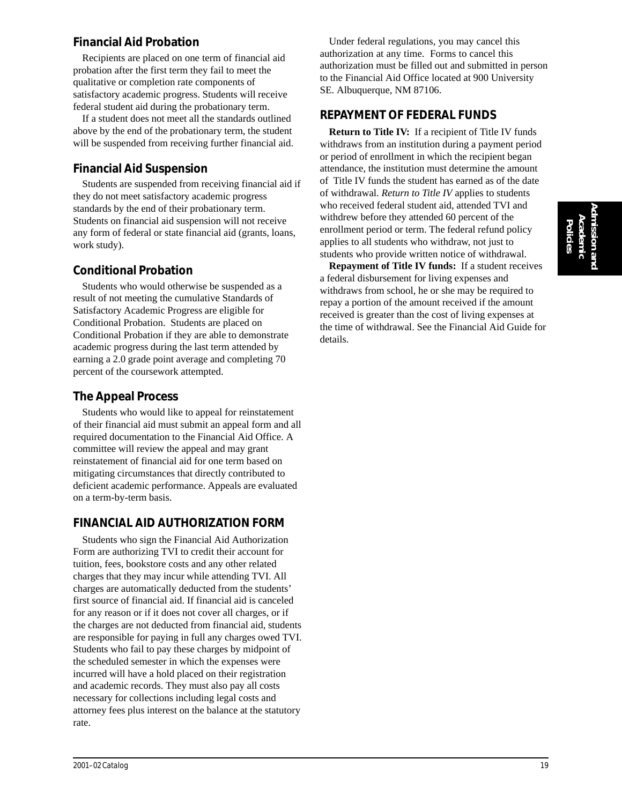# **Admission and Academic Policies**

#### **Financial Aid Probation**

Recipients are placed on one term of financial aid probation after the first term they fail to meet the qualitative or completion rate components of satisfactory academic progress. Students will receive federal student aid during the probationary term.

If a student does not meet all the standards outlined above by the end of the probationary term, the student will be suspended from receiving further financial aid.

#### **Financial Aid Suspension**

Students are suspended from receiving financial aid if they do not meet satisfactory academic progress standards by the end of their probationary term. Students on financial aid suspension will not receive any form of federal or state financial aid (grants, loans, work study).

#### **Conditional Probation**

Students who would otherwise be suspended as a result of not meeting the cumulative Standards of Satisfactory Academic Progress are eligible for Conditional Probation. Students are placed on Conditional Probation if they are able to demonstrate academic progress during the last term attended by earning a 2.0 grade point average and completing 70 percent of the coursework attempted.

### **The Appeal Process**

Students who would like to appeal for reinstatement of their financial aid must submit an appeal form and all required documentation to the Financial Aid Office. A committee will review the appeal and may grant reinstatement of financial aid for one term based on mitigating circumstances that directly contributed to deficient academic performance. Appeals are evaluated on a term-by-term basis.

#### **FINANCIAL AID AUTHORIZATION FORM**

Students who sign the Financial Aid Authorization Form are authorizing TVI to credit their account for tuition, fees, bookstore costs and any other related charges that they may incur while attending TVI. All charges are automatically deducted from the students' first source of financial aid. If financial aid is canceled for any reason or if it does not cover all charges, or if the charges are not deducted from financial aid, students are responsible for paying in full any charges owed TVI. Students who fail to pay these charges by midpoint of the scheduled semester in which the expenses were incurred will have a hold placed on their registration and academic records. They must also pay all costs necessary for collections including legal costs and attorney fees plus interest on the balance at the statutory rate.

Under federal regulations, you may cancel this authorization at any time. Forms to cancel this authorization must be filled out and submitted in person to the Financial Aid Office located at 900 University SE. Albuquerque, NM 87106.

#### **REPAYMENT OF FEDERAL FUNDS**

**Return to Title IV:** If a recipient of Title IV funds withdraws from an institution during a payment period or period of enrollment in which the recipient began attendance, the institution must determine the amount of Title IV funds the student has earned as of the date of withdrawal. *Return to Title IV* applies to students who received federal student aid, attended TVI and withdrew before they attended 60 percent of the enrollment period or term. The federal refund policy applies to all students who withdraw, not just to students who provide written notice of withdrawal.

**Repayment of Title IV funds:** If a student receives a federal disbursement for living expenses and withdraws from school, he or she may be required to repay a portion of the amount received if the amount received is greater than the cost of living expenses at the time of withdrawal. See the Financial Aid Guide for details.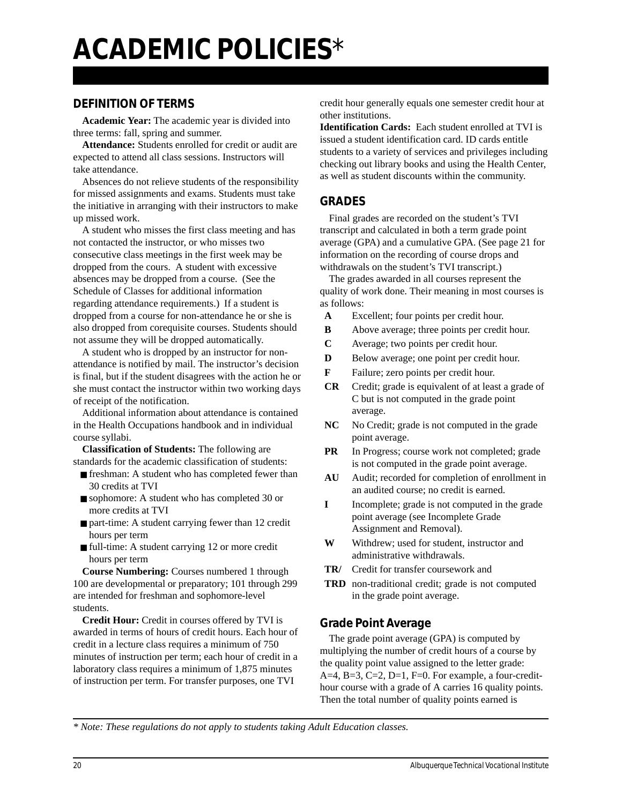#### **DEFINITION OF TERMS**

**Academic Year:** The academic year is divided into three terms: fall, spring and summer.

**Attendance:** Students enrolled for credit or audit are expected to attend all class sessions. Instructors will take attendance.

Absences do not relieve students of the responsibility for missed assignments and exams. Students must take the initiative in arranging with their instructors to make up missed work.

A student who misses the first class meeting and has not contacted the instructor, or who misses two consecutive class meetings in the first week may be dropped from the cours. A student with excessive absences may be dropped from a course. (See the Schedule of Classes for additional information regarding attendance requirements.) If a student is dropped from a course for non-attendance he or she is also dropped from corequisite courses. Students should not assume they will be dropped automatically.

A student who is dropped by an instructor for nonattendance is notified by mail. The instructor's decision is final, but if the student disagrees with the action he or she must contact the instructor within two working days of receipt of the notification.

Additional information about attendance is contained in the Health Occupations handbook and in individual course syllabi.

**Classification of Students:** The following are standards for the academic classification of students:

- freshman: A student who has completed fewer than 30 credits at TVI
- sophomore: A student who has completed 30 or more credits at TVI
- part-time: A student carrying fewer than 12 credit hours per term
- full-time: A student carrying 12 or more credit hours per term

**Course Numbering:** Courses numbered 1 through 100 are developmental or preparatory; 101 through 299 are intended for freshman and sophomore-level students.

**Credit Hour:** Credit in courses offered by TVI is awarded in terms of hours of credit hours. Each hour of credit in a lecture class requires a minimum of 750 minutes of instruction per term; each hour of credit in a laboratory class requires a minimum of 1,875 minutes of instruction per term. For transfer purposes, one TVI

credit hour generally equals one semester credit hour at other institutions.

**Identification Cards:** Each student enrolled at TVI is issued a student identification card. ID cards entitle students to a variety of services and privileges including checking out library books and using the Health Center, as well as student discounts within the community.

#### **GRADES**

Final grades are recorded on the student's TVI transcript and calculated in both a term grade point average (GPA) and a cumulative GPA. (See page 21 for information on the recording of course drops and withdrawals on the student's TVI transcript.)

The grades awarded in all courses represent the quality of work done. Their meaning in most courses is as follows:

- **A** Excellent; four points per credit hour.
- **B** Above average; three points per credit hour.
- **C** Average; two points per credit hour.
- **D** Below average; one point per credit hour.
- **F** Failure; zero points per credit hour.
- **CR** Credit; grade is equivalent of at least a grade of C but is not computed in the grade point average.
- NC No Credit; grade is not computed in the grade point average.
- **PR** In Progress; course work not completed; grade is not computed in the grade point average.
- **AU** Audit; recorded for completion of enrollment in an audited course; no credit is earned.
- **I** Incomplete; grade is not computed in the grade point average (see Incomplete Grade Assignment and Removal).
- **W** Withdrew; used for student, instructor and administrative withdrawals.
- **TR/** Credit for transfer coursework and
- **TRD** non-traditional credit; grade is not computed in the grade point average.

#### **Grade Point Average**

The grade point average (GPA) is computed by multiplying the number of credit hours of a course by the quality point value assigned to the letter grade: A=4, B=3, C=2, D=1, F=0. For example, a four-credithour course with a grade of A carries 16 quality points. Then the total number of quality points earned is

*\* Note: These regulations do not apply to students taking Adult Education classes.*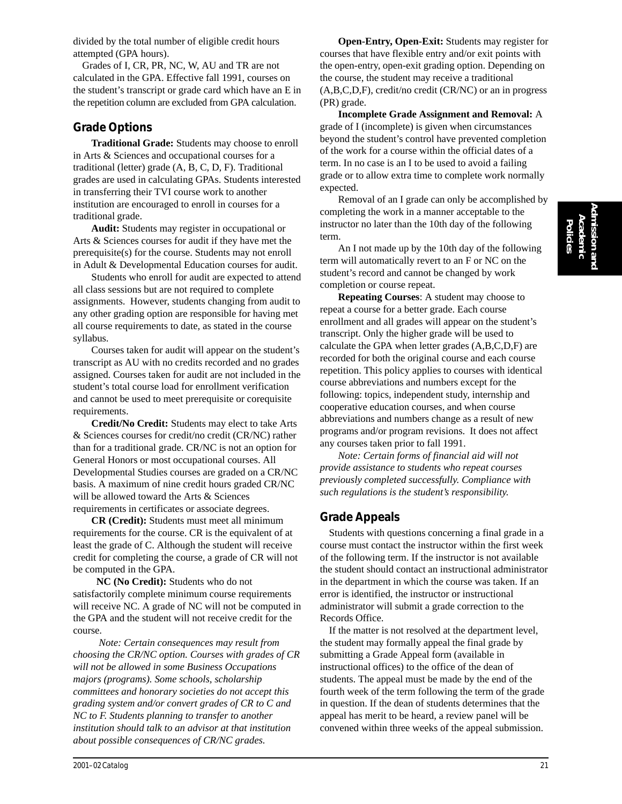divided by the total number of eligible credit hours attempted (GPA hours).

Grades of I, CR, PR, NC, W, AU and TR are not calculated in the GPA. Effective fall 1991, courses on the student's transcript or grade card which have an E in the repetition column are excluded from GPA calculation.

#### **Grade Options**

**Traditional Grade:** Students may choose to enroll in Arts & Sciences and occupational courses for a traditional (letter) grade (A, B, C, D, F). Traditional grades are used in calculating GPAs. Students interested in transferring their TVI course work to another institution are encouraged to enroll in courses for a traditional grade.

**Audit:** Students may register in occupational or Arts & Sciences courses for audit if they have met the prerequisite(s) for the course. Students may not enroll in Adult & Developmental Education courses for audit.

Students who enroll for audit are expected to attend all class sessions but are not required to complete assignments. However, students changing from audit to any other grading option are responsible for having met all course requirements to date, as stated in the course syllabus.

Courses taken for audit will appear on the student's transcript as AU with no credits recorded and no grades assigned. Courses taken for audit are not included in the student's total course load for enrollment verification and cannot be used to meet prerequisite or corequisite requirements.

**Credit/No Credit:** Students may elect to take Arts & Sciences courses for credit/no credit (CR/NC) rather than for a traditional grade. CR/NC is not an option for General Honors or most occupational courses. All Developmental Studies courses are graded on a CR/NC basis. A maximum of nine credit hours graded CR/NC will be allowed toward the Arts & Sciences requirements in certificates or associate degrees.

**CR (Credit):** Students must meet all minimum requirements for the course. CR is the equivalent of at least the grade of C. Although the student will receive credit for completing the course, a grade of CR will not be computed in the GPA.

 **NC (No Credit):** Students who do not satisfactorily complete minimum course requirements will receive NC. A grade of NC will not be computed in the GPA and the student will not receive credit for the course.

 *Note: Certain consequences may result from choosing the CR/NC option. Courses with grades of CR will not be allowed in some Business Occupations majors (programs). Some schools, scholarship committees and honorary societies do not accept this grading system and/or convert grades of CR to C and NC to F. Students planning to transfer to another institution should talk to an advisor at that institution about possible consequences of CR/NC grades.*

**Open-Entry, Open-Exit:** Students may register for courses that have flexible entry and/or exit points with the open-entry, open-exit grading option. Depending on the course, the student may receive a traditional (A,B,C,D,F), credit/no credit (CR/NC) or an in progress (PR) grade.

**Incomplete Grade Assignment and Removal:** A grade of I (incomplete) is given when circumstances beyond the student's control have prevented completion of the work for a course within the official dates of a term. In no case is an I to be used to avoid a failing grade or to allow extra time to complete work normally expected.

Removal of an I grade can only be accomplished by completing the work in a manner acceptable to the instructor no later than the 10th day of the following term.

An I not made up by the 10th day of the following term will automatically revert to an F or NC on the student's record and cannot be changed by work completion or course repeat.

**Repeating Courses**: A student may choose to repeat a course for a better grade. Each course enrollment and all grades will appear on the student's transcript. Only the higher grade will be used to calculate the GPA when letter grades (A,B,C,D,F) are recorded for both the original course and each course repetition. This policy applies to courses with identical course abbreviations and numbers except for the following: topics, independent study, internship and cooperative education courses, and when course abbreviations and numbers change as a result of new programs and/or program revisions. It does not affect any courses taken prior to fall 1991.

*Note: Certain forms of financial aid will not provide assistance to students who repeat courses previously completed successfully. Compliance with such regulations is the student's responsibility.*

#### **Grade Appeals**

Students with questions concerning a final grade in a course must contact the instructor within the first week of the following term. If the instructor is not available the student should contact an instructional administrator in the department in which the course was taken. If an error is identified, the instructor or instructional administrator will submit a grade correction to the Records Office.

If the matter is not resolved at the department level, the student may formally appeal the final grade by submitting a Grade Appeal form (available in instructional offices) to the office of the dean of students. The appeal must be made by the end of the fourth week of the term following the term of the grade in question. If the dean of students determines that the appeal has merit to be heard, a review panel will be convened within three weeks of the appeal submission.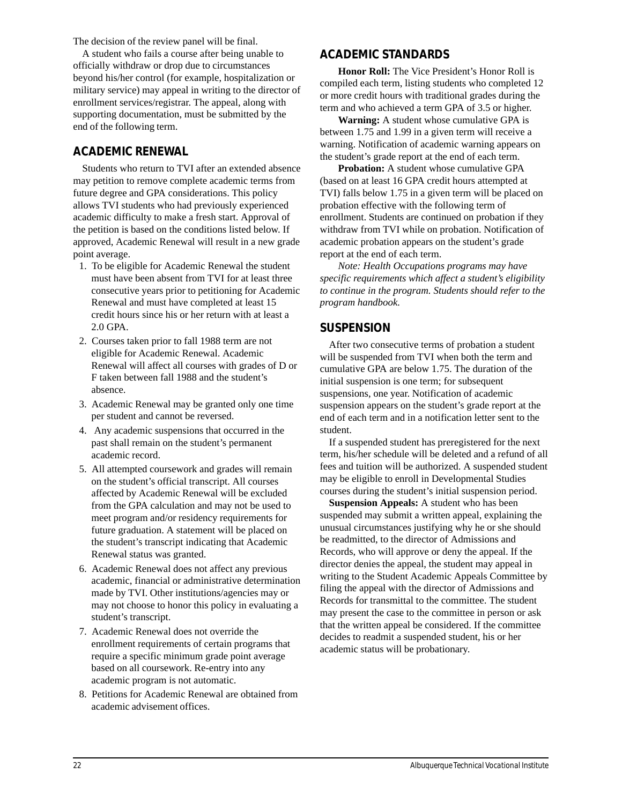The decision of the review panel will be final.

A student who fails a course after being unable to officially withdraw or drop due to circumstances beyond his/her control (for example, hospitalization or military service) may appeal in writing to the director of enrollment services/registrar. The appeal, along with supporting documentation, must be submitted by the end of the following term.

#### **ACADEMIC RENEWAL**

Students who return to TVI after an extended absence may petition to remove complete academic terms from future degree and GPA considerations. This policy allows TVI students who had previously experienced academic difficulty to make a fresh start. Approval of the petition is based on the conditions listed below. If approved, Academic Renewal will result in a new grade point average.

- 1. To be eligible for Academic Renewal the student must have been absent from TVI for at least three consecutive years prior to petitioning for Academic Renewal and must have completed at least 15 credit hours since his or her return with at least a 2.0 GPA.
- 2. Courses taken prior to fall 1988 term are not eligible for Academic Renewal. Academic Renewal will affect all courses with grades of D or F taken between fall 1988 and the student's absence.
- 3. Academic Renewal may be granted only one time per student and cannot be reversed.
- 4. Any academic suspensions that occurred in the past shall remain on the student's permanent academic record.
- 5. All attempted coursework and grades will remain on the student's official transcript. All courses affected by Academic Renewal will be excluded from the GPA calculation and may not be used to meet program and/or residency requirements for future graduation. A statement will be placed on the student's transcript indicating that Academic Renewal status was granted.
- 6. Academic Renewal does not affect any previous academic, financial or administrative determination made by TVI. Other institutions/agencies may or may not choose to honor this policy in evaluating a student's transcript.
- 7. Academic Renewal does not override the enrollment requirements of certain programs that require a specific minimum grade point average based on all coursework. Re-entry into any academic program is not automatic.
- 8. Petitions for Academic Renewal are obtained from academic advisement offices.

#### **ACADEMIC STANDARDS**

**Honor Roll:** The Vice President's Honor Roll is compiled each term, listing students who completed 12 or more credit hours with traditional grades during the term and who achieved a term GPA of 3.5 or higher.

**Warning:** A student whose cumulative GPA is between 1.75 and 1.99 in a given term will receive a warning. Notification of academic warning appears on the student's grade report at the end of each term.

**Probation:** A student whose cumulative GPA (based on at least 16 GPA credit hours attempted at TVI) falls below 1.75 in a given term will be placed on probation effective with the following term of enrollment. Students are continued on probation if they withdraw from TVI while on probation. Notification of academic probation appears on the student's grade report at the end of each term.

*Note: Health Occupations programs may have specific requirements which affect a student's eligibility to continue in the program. Students should refer to the program handbook.*

#### **SUSPENSION**

After two consecutive terms of probation a student will be suspended from TVI when both the term and cumulative GPA are below 1.75. The duration of the initial suspension is one term; for subsequent suspensions, one year. Notification of academic suspension appears on the student's grade report at the end of each term and in a notification letter sent to the student.

If a suspended student has preregistered for the next term, his/her schedule will be deleted and a refund of all fees and tuition will be authorized. A suspended student may be eligible to enroll in Developmental Studies courses during the student's initial suspension period.

**Suspension Appeals:** A student who has been suspended may submit a written appeal, explaining the unusual circumstances justifying why he or she should be readmitted, to the director of Admissions and Records, who will approve or deny the appeal. If the director denies the appeal, the student may appeal in writing to the Student Academic Appeals Committee by filing the appeal with the director of Admissions and Records for transmittal to the committee. The student may present the case to the committee in person or ask that the written appeal be considered. If the committee decides to readmit a suspended student, his or her academic status will be probationary.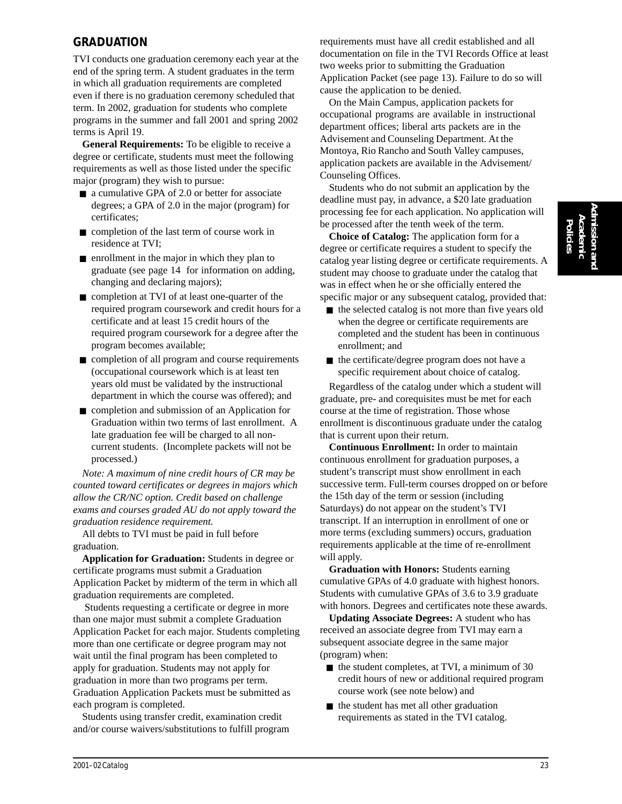#### **GRADUATION**

TVI conducts one graduation ceremony each year at the end of the spring term. A student graduates in the term in which all graduation requirements are completed even if there is no graduation ceremony scheduled that term. In 2002, graduation for students who complete programs in the summer and fall 2001 and spring 2002 terms is April 19.

**General Requirements:** To be eligible to receive a degree or certificate, students must meet the following requirements as well as those listed under the specific major (program) they wish to pursue:

- a cumulative GPA of 2.0 or better for associate degrees; a GPA of 2.0 in the major (program) for certificates;
- completion of the last term of course work in residence at TVI;
- enrollment in the major in which they plan to graduate (see page 14 for information on adding, changing and declaring majors);
- completion at TVI of at least one-quarter of the required program coursework and credit hours for a certificate and at least 15 credit hours of the required program coursework for a degree after the program becomes available;
- completion of all program and course requirements (occupational coursework which is at least ten years old must be validated by the instructional department in which the course was offered); and
- completion and submission of an Application for Graduation within two terms of last enrollment. A late graduation fee will be charged to all noncurrent students. (Incomplete packets will not be processed.)

*Note: A maximum of nine credit hours of CR may be counted toward certificates or degrees in majors which allow the CR/NC option. Credit based on challenge exams and courses graded AU do not apply toward the graduation residence requirement.*

All debts to TVI must be paid in full before graduation.

**Application for Graduation:** Students in degree or certificate programs must submit a Graduation Application Packet by midterm of the term in which all graduation requirements are completed.

 Students requesting a certificate or degree in more than one major must submit a complete Graduation Application Packet for each major. Students completing more than one certificate or degree program may not wait until the final program has been completed to apply for graduation. Students may not apply for graduation in more than two programs per term. Graduation Application Packets must be submitted as each program is completed.

Students using transfer credit, examination credit and/or course waivers/substitutions to fulfill program requirements must have all credit established and all documentation on file in the TVI Records Office at least two weeks prior to submitting the Graduation Application Packet (see page 13). Failure to do so will cause the application to be denied.

On the Main Campus, application packets for occupational programs are available in instructional department offices; liberal arts packets are in the Advisement and Counseling Department. At the Montoya, Rio Rancho and South Valley campuses, application packets are available in the Advisement/ Counseling Offices.

Students who do not submit an application by the deadline must pay, in advance, a \$20 late graduation processing fee for each application. No application will be processed after the tenth week of the term.

**Choice of Catalog:** The application form for a degree or certificate requires a student to specify the catalog year listing degree or certificate requirements. A student may choose to graduate under the catalog that was in effect when he or she officially entered the specific major or any subsequent catalog, provided that:

- the selected catalog is not more than five years old when the degree or certificate requirements are completed and the student has been in continuous enrollment; and
- the certificate/degree program does not have a specific requirement about choice of catalog.

Regardless of the catalog under which a student will graduate, pre- and corequisites must be met for each course at the time of registration. Those whose enrollment is discontinuous graduate under the catalog that is current upon their return.

**Continuous Enrollment:** In order to maintain continuous enrollment for graduation purposes, a student's transcript must show enrollment in each successive term. Full-term courses dropped on or before the 15th day of the term or session (including Saturdays) do not appear on the student's TVI transcript. If an interruption in enrollment of one or more terms (excluding summers) occurs, graduation requirements applicable at the time of re-enrollment will apply.

**Graduation with Honors:** Students earning cumulative GPAs of 4.0 graduate with highest honors. Students with cumulative GPAs of 3.6 to 3.9 graduate with honors. Degrees and certificates note these awards.

**Updating Associate Degrees:** A student who has received an associate degree from TVI may earn a subsequent associate degree in the same major (program) when:

- $\blacksquare$  the student completes, at TVI, a minimum of 30 credit hours of new or additional required program course work (see note below) and
- the student has met all other graduation requirements as stated in the TVI catalog.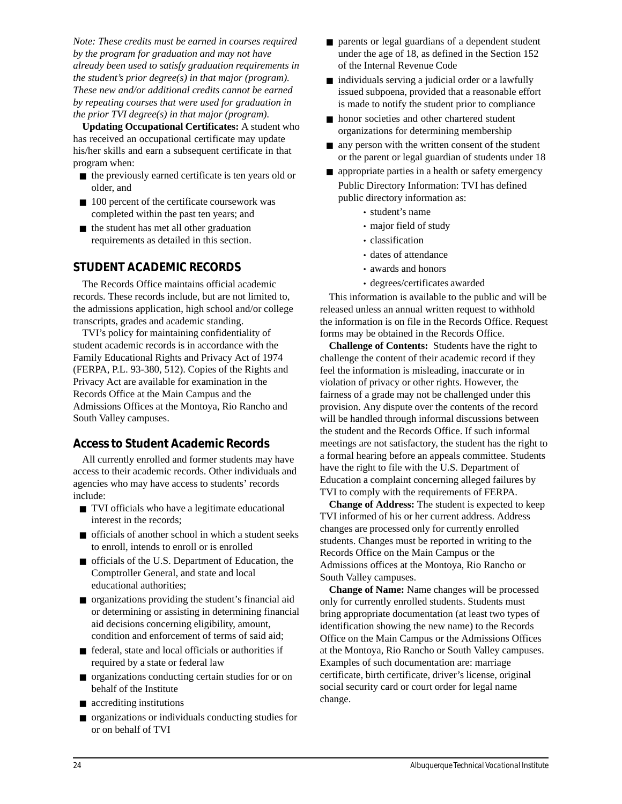*Note: These credits must be earned in courses required by the program for graduation and may not have already been used to satisfy graduation requirements in the student's prior degree(s) in that major (program). These new and/or additional credits cannot be earned by repeating courses that were used for graduation in the prior TVI degree(s) in that major (program).*

**Updating Occupational Certificates:** A student who has received an occupational certificate may update his/her skills and earn a subsequent certificate in that program when:

- the previously earned certificate is ten years old or older, and
- 100 percent of the certificate coursework was completed within the past ten years; and
- the student has met all other graduation requirements as detailed in this section.

#### **STUDENT ACADEMIC RECORDS**

The Records Office maintains official academic records. These records include, but are not limited to, the admissions application, high school and/or college transcripts, grades and academic standing.

TVI's policy for maintaining confidentiality of student academic records is in accordance with the Family Educational Rights and Privacy Act of 1974 (FERPA, P.L. 93-380, 512). Copies of the Rights and Privacy Act are available for examination in the Records Office at the Main Campus and the Admissions Offices at the Montoya, Rio Rancho and South Valley campuses.

#### **Access to Student Academic Records**

All currently enrolled and former students may have access to their academic records. Other individuals and agencies who may have access to students' records include:

- TVI officials who have a legitimate educational interest in the records;
- $\blacksquare$  officials of another school in which a student seeks to enroll, intends to enroll or is enrolled
- officials of the U.S. Department of Education, the Comptroller General, and state and local educational authorities;
- organizations providing the student's financial aid or determining or assisting in determining financial aid decisions concerning eligibility, amount, condition and enforcement of terms of said aid;
- federal, state and local officials or authorities if required by a state or federal law
- organizations conducting certain studies for or on behalf of the Institute
- accrediting institutions
- organizations or individuals conducting studies for or on behalf of TVI
- parents or legal guardians of a dependent student under the age of 18, as defined in the Section 152 of the Internal Revenue Code
- $\blacksquare$  individuals serving a judicial order or a lawfully issued subpoena, provided that a reasonable effort is made to notify the student prior to compliance
- honor societies and other chartered student organizations for determining membership
- any person with the written consent of the student or the parent or legal guardian of students under 18
- appropriate parties in a health or safety emergency Public Directory Information: TVI has defined public directory information as:
	- student's name
	- major field of study
	- classification
	- dates of attendance
	- awards and honors
	- degrees/certificates awarded

This information is available to the public and will be released unless an annual written request to withhold the information is on file in the Records Office. Request forms may be obtained in the Records Office.

**Challenge of Contents:** Students have the right to challenge the content of their academic record if they feel the information is misleading, inaccurate or in violation of privacy or other rights. However, the fairness of a grade may not be challenged under this provision. Any dispute over the contents of the record will be handled through informal discussions between the student and the Records Office. If such informal meetings are not satisfactory, the student has the right to a formal hearing before an appeals committee. Students have the right to file with the U.S. Department of Education a complaint concerning alleged failures by TVI to comply with the requirements of FERPA.

**Change of Address:** The student is expected to keep TVI informed of his or her current address. Address changes are processed only for currently enrolled students. Changes must be reported in writing to the Records Office on the Main Campus or the Admissions offices at the Montoya, Rio Rancho or South Valley campuses.

**Change of Name:** Name changes will be processed only for currently enrolled students. Students must bring appropriate documentation (at least two types of identification showing the new name) to the Records Office on the Main Campus or the Admissions Offices at the Montoya, Rio Rancho or South Valley campuses. Examples of such documentation are: marriage certificate, birth certificate, driver's license, original social security card or court order for legal name change.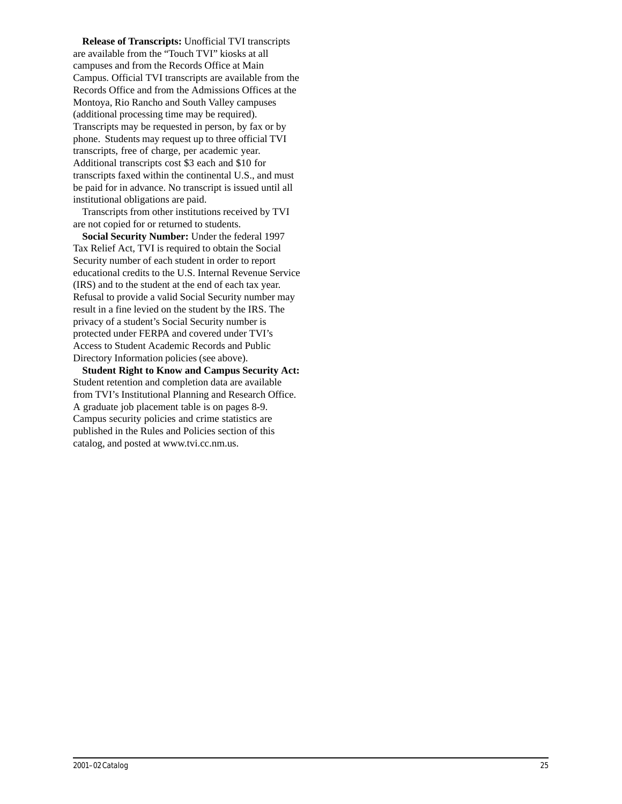**Release of Transcripts:** Unofficial TVI transcripts are available from the "Touch TVI" kiosks at all campuses and from the Records Office at Main Campus. Official TVI transcripts are available from the Records Office and from the Admissions Offices at the Montoya, Rio Rancho and South Valley campuses (additional processing time may be required). Transcripts may be requested in person, by fax or by phone. Students may request up to three official TVI transcripts, free of charge, per academic year. Additional transcripts cost \$3 each and \$10 for transcripts faxed within the continental U.S., and must be paid for in advance. No transcript is issued until all institutional obligations are paid.

Transcripts from other institutions received by TVI are not copied for or returned to students.

**Social Security Number:** Under the federal 1997 Tax Relief Act, TVI is required to obtain the Social Security number of each student in order to report educational credits to the U.S. Internal Revenue Service (IRS) and to the student at the end of each tax year. Refusal to provide a valid Social Security number may result in a fine levied on the student by the IRS. The privacy of a student's Social Security number is protected under FERPA and covered under TVI's Access to Student Academic Records and Public Directory Information policies (see above).

**Student Right to Know and Campus Security Act:** Student retention and completion data are available from TVI's Institutional Planning and Research Office. A graduate job placement table is on pages 8-9. Campus security policies and crime statistics are published in the Rules and Policies section of this catalog, and posted at www.tvi.cc.nm.us.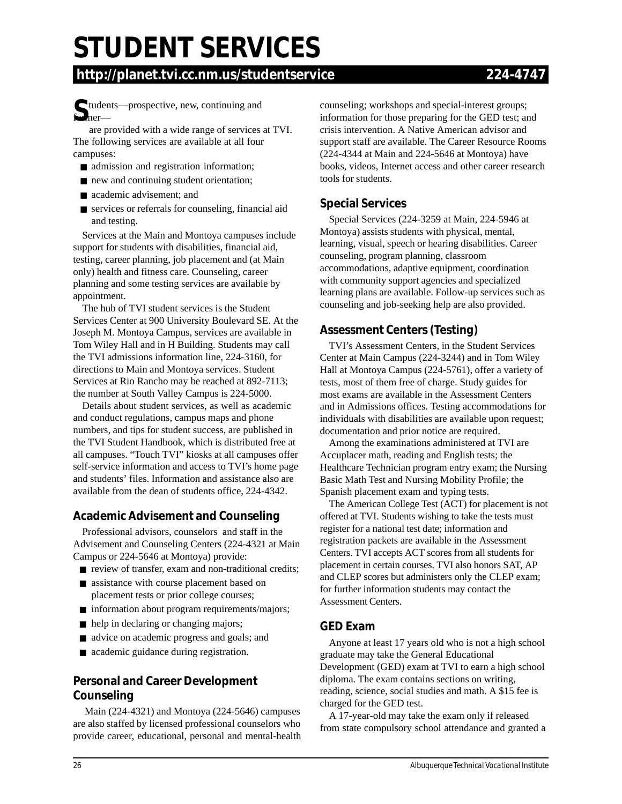# **STUDENT SERVICES**

### **http://planet.tvi.cc.nm.us/studentservice 224-4747**

Solution to the prospective, new, continuing and the method of the state of the state of the state of the state of the state of the state of the state of the state of the state of the state of the state of the state of the

are provided with a wide range of services at TVI. The following services are available at all four campuses:

- admission and registration information;
- new and continuing student orientation;
- academic advisement; and
- services or referrals for counseling, financial aid and testing.

Services at the Main and Montoya campuses include support for students with disabilities, financial aid, testing, career planning, job placement and (at Main only) health and fitness care. Counseling, career planning and some testing services are available by appointment.

The hub of TVI student services is the Student Services Center at 900 University Boulevard SE. At the Joseph M. Montoya Campus, services are available in Tom Wiley Hall and in H Building. Students may call the TVI admissions information line, 224-3160, for directions to Main and Montoya services. Student Services at Rio Rancho may be reached at 892-7113; the number at South Valley Campus is 224-5000.

Details about student services, as well as academic and conduct regulations, campus maps and phone numbers, and tips for student success, are published in the TVI Student Handbook, which is distributed free at all campuses. "Touch TVI" kiosks at all campuses offer self-service information and access to TVI's home page and students' files. Information and assistance also are available from the dean of students office, 224-4342.

#### **Academic Advisement and Counseling**

Professional advisors, counselors and staff in the Advisement and Counseling Centers (224-4321 at Main Campus or 224-5646 at Montoya) provide:

- review of transfer, exam and non-traditional credits;
- assistance with course placement based on placement tests or prior college courses;
- information about program requirements/majors;
- help in declaring or changing majors;
- advice on academic progress and goals; and
- academic guidance during registration.

#### **Personal and Career Development Counseling**

 Main (224-4321) and Montoya (224-5646) campuses are also staffed by licensed professional counselors who provide career, educational, personal and mental-health counseling; workshops and special-interest groups; information for those preparing for the GED test; and crisis intervention. A Native American advisor and support staff are available. The Career Resource Rooms (224-4344 at Main and 224-5646 at Montoya) have books, videos, Internet access and other career research tools for students.

#### **Special Services**

Special Services (224-3259 at Main, 224-5946 at Montoya) assists students with physical, mental, learning, visual, speech or hearing disabilities. Career counseling, program planning, classroom accommodations, adaptive equipment, coordination with community support agencies and specialized learning plans are available. Follow-up services such as counseling and job-seeking help are also provided.

#### **Assessment Centers (Testing)**

TVI's Assessment Centers, in the Student Services Center at Main Campus (224-3244) and in Tom Wiley Hall at Montoya Campus (224-5761), offer a variety of tests, most of them free of charge. Study guides for most exams are available in the Assessment Centers and in Admissions offices. Testing accommodations for individuals with disabilities are available upon request; documentation and prior notice are required.

Among the examinations administered at TVI are Accuplacer math, reading and English tests; the Healthcare Technician program entry exam; the Nursing Basic Math Test and Nursing Mobility Profile; the Spanish placement exam and typing tests.

The American College Test (ACT) for placement is not offered at TVI. Students wishing to take the tests must register for a national test date; information and registration packets are available in the Assessment Centers. TVI accepts ACT scores from all students for placement in certain courses. TVI also honors SAT, AP and CLEP scores but administers only the CLEP exam; for further information students may contact the Assessment Centers.

#### **GED Exam**

Anyone at least 17 years old who is not a high school graduate may take the General Educational Development (GED) exam at TVI to earn a high school diploma. The exam contains sections on writing, reading, science, social studies and math. A \$15 fee is charged for the GED test.

A 17-year-old may take the exam only if released from state compulsory school attendance and granted a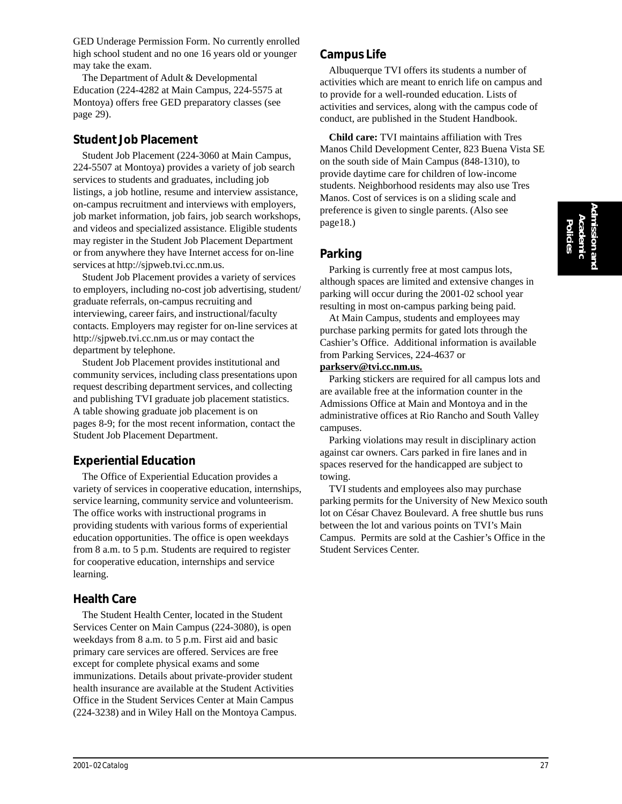GED Underage Permission Form. No currently enrolled high school student and no one 16 years old or younger may take the exam.

The Department of Adult & Developmental Education (224-4282 at Main Campus, 224-5575 at Montoya) offers free GED preparatory classes (see page 29).

#### **Student Job Placement**

Student Job Placement (224-3060 at Main Campus, 224-5507 at Montoya) provides a variety of job search services to students and graduates, including job listings, a job hotline, resume and interview assistance, on-campus recruitment and interviews with employers, job market information, job fairs, job search workshops, and videos and specialized assistance. Eligible students may register in the Student Job Placement Department or from anywhere they have Internet access for on-line services at http://sjpweb.tvi.cc.nm.us.

Student Job Placement provides a variety of services to employers, including no-cost job advertising, student/ graduate referrals, on-campus recruiting and interviewing, career fairs, and instructional/faculty contacts. Employers may register for on-line services at http://sjpweb.tvi.cc.nm.us or may contact the department by telephone.

Student Job Placement provides institutional and community services, including class presentations upon request describing department services, and collecting and publishing TVI graduate job placement statistics. A table showing graduate job placement is on pages 8-9; for the most recent information, contact the Student Job Placement Department.

#### **Experiential Education**

The Office of Experiential Education provides a variety of services in cooperative education, internships, service learning, community service and volunteerism. The office works with instructional programs in providing students with various forms of experiential education opportunities. The office is open weekdays from 8 a.m. to 5 p.m. Students are required to register for cooperative education, internships and service learning.

#### **Health Care**

The Student Health Center, located in the Student Services Center on Main Campus (224-3080), is open weekdays from 8 a.m. to 5 p.m. First aid and basic primary care services are offered. Services are free except for complete physical exams and some immunizations. Details about private-provider student health insurance are available at the Student Activities Office in the Student Services Center at Main Campus (224-3238) and in Wiley Hall on the Montoya Campus.

#### **Campus Life**

Albuquerque TVI offers its students a number of activities which are meant to enrich life on campus and to provide for a well-rounded education. Lists of activities and services, along with the campus code of conduct, are published in the Student Handbook.

**Child care:** TVI maintains affiliation with Tres Manos Child Development Center, 823 Buena Vista SE on the south side of Main Campus (848-1310), to provide daytime care for children of low-income students. Neighborhood residents may also use Tres Manos. Cost of services is on a sliding scale and preference is given to single parents. (Also see page18.)

#### **Parking**

Parking is currently free at most campus lots, although spaces are limited and extensive changes in parking will occur during the 2001-02 school year resulting in most on-campus parking being paid.

At Main Campus, students and employees may purchase parking permits for gated lots through the Cashier's Office. Additional information is available from Parking Services, 224-4637 or

#### **parkserv@tvi.cc.nm.us.**

Parking stickers are required for all campus lots and are available free at the information counter in the Admissions Office at Main and Montoya and in the administrative offices at Rio Rancho and South Valley campuses.

Parking violations may result in disciplinary action against car owners. Cars parked in fire lanes and in spaces reserved for the handicapped are subject to towing.

TVI students and employees also may purchase parking permits for the University of New Mexico south lot on César Chavez Boulevard. A free shuttle bus runs between the lot and various points on TVI's Main Campus. Permits are sold at the Cashier's Office in the Student Services Center.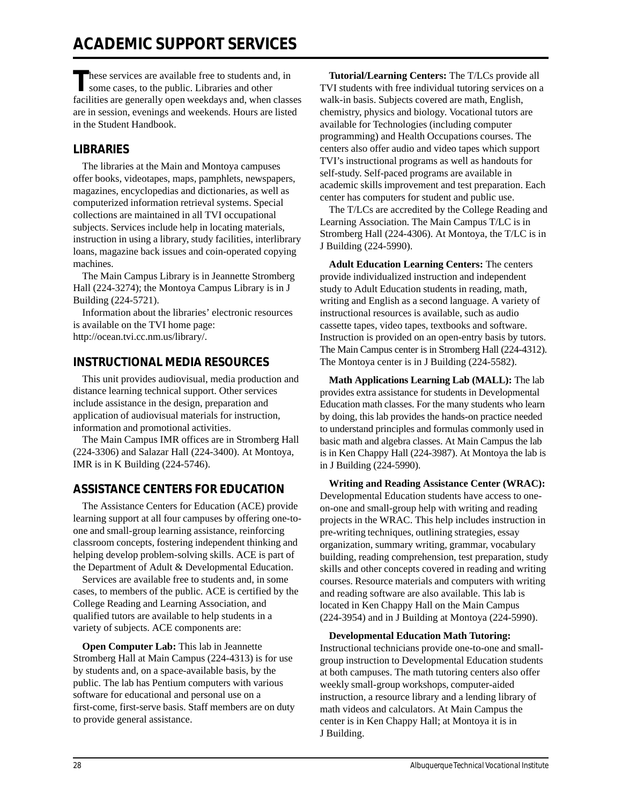These services are available free to students and, in<br>some cases, to the public. Libraries and other facilities are generally open weekdays and, when classes are in session, evenings and weekends. Hours are listed in the Student Handbook.

#### **LIBRARIES**

The libraries at the Main and Montoya campuses offer books, videotapes, maps, pamphlets, newspapers, magazines, encyclopedias and dictionaries, as well as computerized information retrieval systems. Special collections are maintained in all TVI occupational subjects. Services include help in locating materials, instruction in using a library, study facilities, interlibrary loans, magazine back issues and coin-operated copying machines.

The Main Campus Library is in Jeannette Stromberg Hall (224-3274); the Montoya Campus Library is in J Building (224-5721).

Information about the libraries' electronic resources is available on the TVI home page: http://ocean.tvi.cc.nm.us/library/.

#### **INSTRUCTIONAL MEDIA RESOURCES**

This unit provides audiovisual, media production and distance learning technical support. Other services include assistance in the design, preparation and application of audiovisual materials for instruction, information and promotional activities.

The Main Campus IMR offices are in Stromberg Hall (224-3306) and Salazar Hall (224-3400). At Montoya, IMR is in K Building (224-5746).

#### **ASSISTANCE CENTERS FOR EDUCATION**

The Assistance Centers for Education (ACE) provide learning support at all four campuses by offering one-toone and small-group learning assistance, reinforcing classroom concepts, fostering independent thinking and helping develop problem-solving skills. ACE is part of the Department of Adult & Developmental Education.

Services are available free to students and, in some cases, to members of the public. ACE is certified by the College Reading and Learning Association, and qualified tutors are available to help students in a variety of subjects. ACE components are:

**Open Computer Lab:** This lab in Jeannette Stromberg Hall at Main Campus (224-4313) is for use by students and, on a space-available basis, by the public. The lab has Pentium computers with various software for educational and personal use on a first-come, first-serve basis. Staff members are on duty to provide general assistance.

**Tutorial/Learning Centers:** The T/LCs provide all TVI students with free individual tutoring services on a walk-in basis. Subjects covered are math, English, chemistry, physics and biology. Vocational tutors are available for Technologies (including computer programming) and Health Occupations courses. The centers also offer audio and video tapes which support TVI's instructional programs as well as handouts for self-study. Self-paced programs are available in academic skills improvement and test preparation. Each center has computers for student and public use.

The T/LCs are accredited by the College Reading and Learning Association. The Main Campus T/LC is in Stromberg Hall (224-4306). At Montoya, the T/LC is in J Building (224-5990).

**Adult Education Learning Centers:** The centers provide individualized instruction and independent study to Adult Education students in reading, math, writing and English as a second language. A variety of instructional resources is available, such as audio cassette tapes, video tapes, textbooks and software. Instruction is provided on an open-entry basis by tutors. The Main Campus center is in Stromberg Hall (224-4312). The Montoya center is in J Building (224-5582).

**Math Applications Learning Lab (MALL):** The lab provides extra assistance for students in Developmental Education math classes. For the many students who learn by doing, this lab provides the hands-on practice needed to understand principles and formulas commonly used in basic math and algebra classes. At Main Campus the lab is in Ken Chappy Hall (224-3987). At Montoya the lab is in J Building (224-5990).

**Writing and Reading Assistance Center (WRAC):** Developmental Education students have access to oneon-one and small-group help with writing and reading projects in the WRAC. This help includes instruction in pre-writing techniques, outlining strategies, essay organization, summary writing, grammar, vocabulary building, reading comprehension, test preparation, study skills and other concepts covered in reading and writing courses. Resource materials and computers with writing and reading software are also available. This lab is located in Ken Chappy Hall on the Main Campus (224-3954) and in J Building at Montoya (224-5990).

**Developmental Education Math Tutoring:** Instructional technicians provide one-to-one and smallgroup instruction to Developmental Education students at both campuses. The math tutoring centers also offer weekly small-group workshops, computer-aided instruction, a resource library and a lending library of math videos and calculators. At Main Campus the center is in Ken Chappy Hall; at Montoya it is in J Building.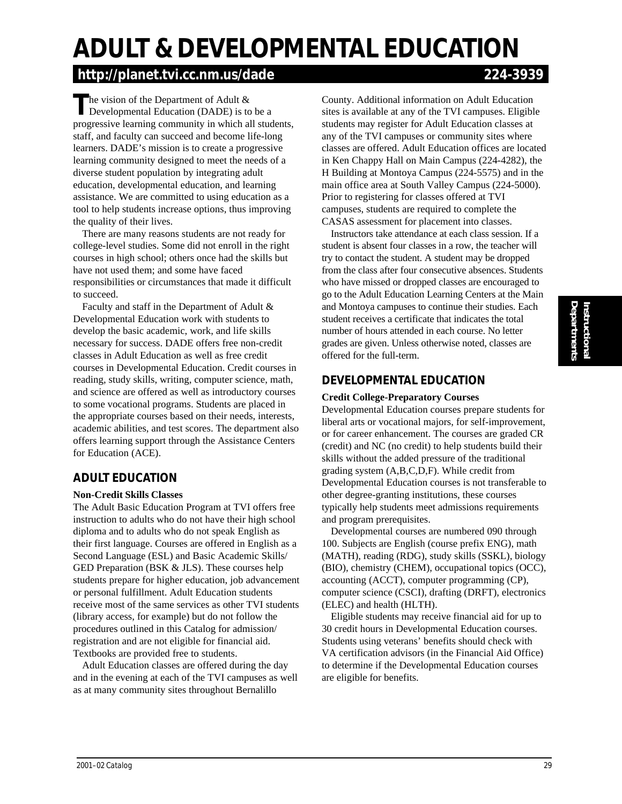# **Instructional**<br>Departments **Departments Instructional**

# **ADULT & DEVELOPMENTAL EDUCATION**

## **http://planet.tvi.cc.nm.us/dade 224-3939**

The vision of the Department of Adult &<br>
Developmental Education (DADE) is to be a progressive learning community in which all students, staff, and faculty can succeed and become life-long learners. DADE's mission is to create a progressive learning community designed to meet the needs of a diverse student population by integrating adult education, developmental education, and learning assistance. We are committed to using education as a tool to help students increase options, thus improving the quality of their lives.

There are many reasons students are not ready for college-level studies. Some did not enroll in the right courses in high school; others once had the skills but have not used them; and some have faced responsibilities or circumstances that made it difficult to succeed.

Faculty and staff in the Department of Adult & Developmental Education work with students to develop the basic academic, work, and life skills necessary for success. DADE offers free non-credit classes in Adult Education as well as free credit courses in Developmental Education. Credit courses in reading, study skills, writing, computer science, math, and science are offered as well as introductory courses to some vocational programs. Students are placed in the appropriate courses based on their needs, interests, academic abilities, and test scores. The department also offers learning support through the Assistance Centers for Education (ACE).

#### **ADULT EDUCATION**

#### **Non-Credit Skills Classes**

The Adult Basic Education Program at TVI offers free instruction to adults who do not have their high school diploma and to adults who do not speak English as their first language. Courses are offered in English as a Second Language (ESL) and Basic Academic Skills/ GED Preparation (BSK & JLS). These courses help students prepare for higher education, job advancement or personal fulfillment. Adult Education students receive most of the same services as other TVI students (library access, for example) but do not follow the procedures outlined in this Catalog for admission/ registration and are not eligible for financial aid. Textbooks are provided free to students.

Adult Education classes are offered during the day and in the evening at each of the TVI campuses as well as at many community sites throughout Bernalillo

County. Additional information on Adult Education sites is available at any of the TVI campuses. Eligible students may register for Adult Education classes at any of the TVI campuses or community sites where classes are offered. Adult Education offices are located in Ken Chappy Hall on Main Campus (224-4282), the H Building at Montoya Campus (224-5575) and in the main office area at South Valley Campus (224-5000). Prior to registering for classes offered at TVI campuses, students are required to complete the CASAS assessment for placement into classes.

Instructors take attendance at each class session. If a student is absent four classes in a row, the teacher will try to contact the student. A student may be dropped from the class after four consecutive absences. Students who have missed or dropped classes are encouraged to go to the Adult Education Learning Centers at the Main and Montoya campuses to continue their studies. Each student receives a certificate that indicates the total number of hours attended in each course. No letter grades are given. Unless otherwise noted, classes are offered for the full-term.

#### **DEVELOPMENTAL EDUCATION**

#### **Credit College-Preparatory Courses**

Developmental Education courses prepare students for liberal arts or vocational majors, for self-improvement, or for career enhancement. The courses are graded CR (credit) and NC (no credit) to help students build their skills without the added pressure of the traditional grading system (A,B,C,D,F). While credit from Developmental Education courses is not transferable to other degree-granting institutions, these courses typically help students meet admissions requirements and program prerequisites.

Developmental courses are numbered 090 through 100. Subjects are English (course prefix ENG), math (MATH), reading (RDG), study skills (SSKL), biology (BIO), chemistry (CHEM), occupational topics (OCC), accounting (ACCT), computer programming (CP), computer science (CSCI), drafting (DRFT), electronics (ELEC) and health (HLTH).

Eligible students may receive financial aid for up to 30 credit hours in Developmental Education courses. Students using veterans' benefits should check with VA certification advisors (in the Financial Aid Office) to determine if the Developmental Education courses are eligible for benefits.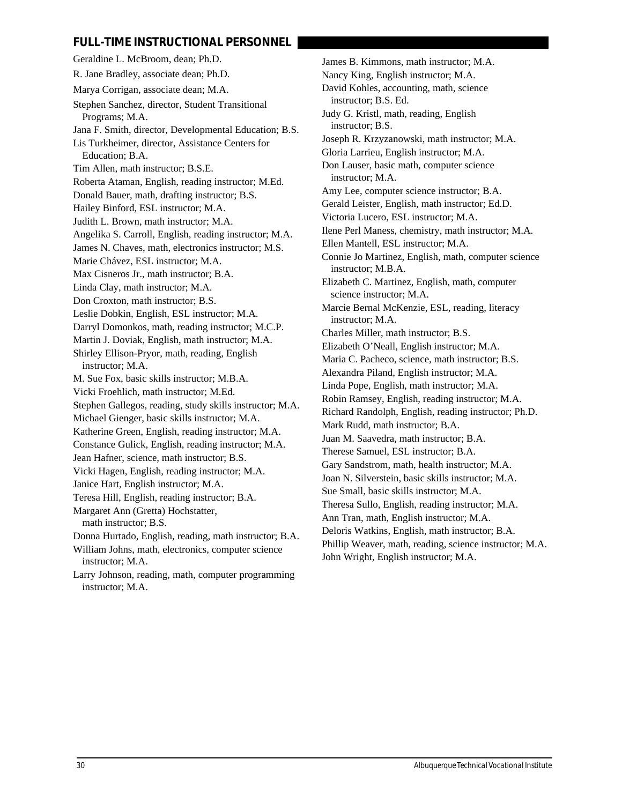#### **FULL-TIME INSTRUCTIONAL PERSONNEL**

Geraldine L. McBroom, dean; Ph.D. R. Jane Bradley, associate dean; Ph.D. Marya Corrigan, associate dean; M.A. Stephen Sanchez, director, Student Transitional Programs; M.A. Jana F. Smith, director, Developmental Education; B.S. Lis Turkheimer, director, Assistance Centers for Education; B.A. Tim Allen, math instructor; B.S.E. Roberta Ataman, English, reading instructor; M.Ed. Donald Bauer, math, drafting instructor; B.S. Hailey Binford, ESL instructor; M.A. Judith L. Brown, math instructor; M.A. Angelika S. Carroll, English, reading instructor; M.A. James N. Chaves, math, electronics instructor; M.S. Marie Chávez, ESL instructor; M.A. Max Cisneros Jr., math instructor; B.A. Linda Clay, math instructor; M.A. Don Croxton, math instructor; B.S. Leslie Dobkin, English, ESL instructor; M.A. Darryl Domonkos, math, reading instructor; M.C.P. Martin J. Doviak, English, math instructor; M.A. Shirley Ellison-Pryor, math, reading, English instructor; M.A. M. Sue Fox, basic skills instructor; M.B.A. Vicki Froehlich, math instructor; M.Ed. Stephen Gallegos, reading, study skills instructor; M.A. Michael Gienger, basic skills instructor; M.A. Katherine Green, English, reading instructor; M.A. Constance Gulick, English, reading instructor; M.A. Jean Hafner, science, math instructor; B.S. Vicki Hagen, English, reading instructor; M.A. Janice Hart, English instructor; M.A. Teresa Hill, English, reading instructor; B.A. Margaret Ann (Gretta) Hochstatter, math instructor; B.S. Donna Hurtado, English, reading, math instructor; B.A. William Johns, math, electronics, computer science instructor; M.A. Larry Johnson, reading, math, computer programming

James B. Kimmons, math instructor; M.A. Nancy King, English instructor; M.A. David Kohles, accounting, math, science instructor; B.S. Ed. Judy G. Kristl, math, reading, English instructor; B.S. Joseph R. Krzyzanowski, math instructor; M.A. Gloria Larrieu, English instructor; M.A. Don Lauser, basic math, computer science instructor; M.A. Amy Lee, computer science instructor; B.A. Gerald Leister, English, math instructor; Ed.D. Victoria Lucero, ESL instructor; M.A. Ilene Perl Maness, chemistry, math instructor; M.A. Ellen Mantell, ESL instructor; M.A. Connie Jo Martinez, English, math, computer science instructor; M.B.A. Elizabeth C. Martinez, English, math, computer science instructor; M.A. Marcie Bernal McKenzie, ESL, reading, literacy instructor; M.A. Charles Miller, math instructor; B.S. Elizabeth O'Neall, English instructor; M.A. Maria C. Pacheco, science, math instructor; B.S. Alexandra Piland, English instructor; M.A. Linda Pope, English, math instructor; M.A. Robin Ramsey, English, reading instructor; M.A. Richard Randolph, English, reading instructor; Ph.D. Mark Rudd, math instructor; B.A. Juan M. Saavedra, math instructor; B.A. Therese Samuel, ESL instructor; B.A. Gary Sandstrom, math, health instructor; M.A. Joan N. Silverstein, basic skills instructor; M.A. Sue Small, basic skills instructor; M.A. Theresa Sullo, English, reading instructor; M.A. Ann Tran, math, English instructor; M.A. Deloris Watkins, English, math instructor; B.A. Phillip Weaver, math, reading, science instructor; M.A. John Wright, English instructor; M.A.

instructor; M.A.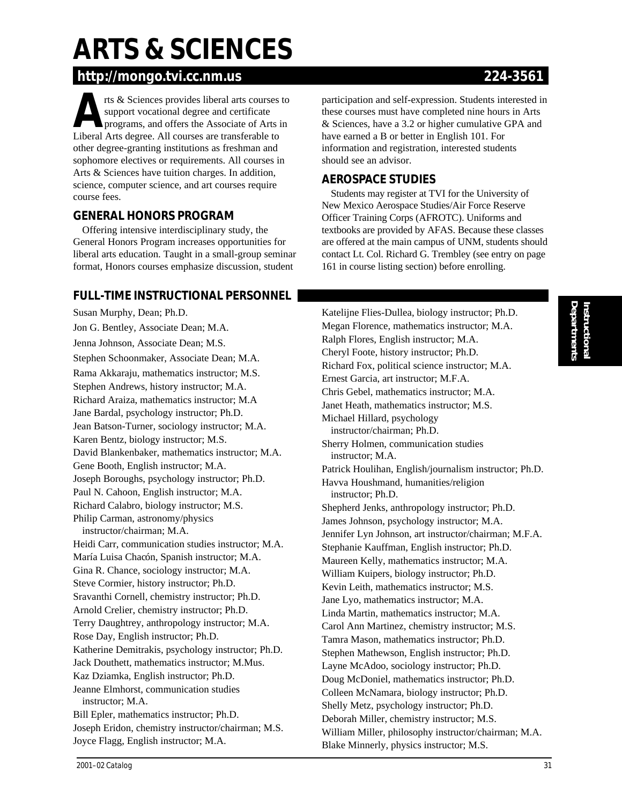# **ARTS & SCIENCES**

# **http://mongo.tvi.cc.nm.us 224-3561**

**ARRICES PROVIDES ARRICES AND SUPPORT ARRIVED SUPPORT ARRIVED AND SUPPORT AND SUPPORT AND SUPPORT AND SUPPORT AND SUPPORT AND SUPPORT AND SUPPORT AND SUPPORT AND SUPPORT AND SUPPORT AND SUPPORT AND SUPPORT AND SUPPORT AND** support vocational degree and certificate Liberal Arts degree. All courses are transferable to other degree-granting institutions as freshman and sophomore electives or requirements. All courses in Arts & Sciences have tuition charges. In addition, science, computer science, and art courses require course fees.

### **GENERAL HONORS PROGRAM**

Offering intensive interdisciplinary study, the General Honors Program increases opportunities for liberal arts education. Taught in a small-group seminar format, Honors courses emphasize discussion, student

participation and self-expression. Students interested in these courses must have completed nine hours in Arts & Sciences, have a 3.2 or higher cumulative GPA and have earned a B or better in English 101. For information and registration, interested students should see an advisor.

### **AEROSPACE STUDIES**

Students may register at TVI for the University of New Mexico Aerospace Studies/Air Force Reserve Officer Training Corps (AFROTC). Uniforms and textbooks are provided by AFAS. Because these classes are offered at the main campus of UNM, students should contact Lt. Col. Richard G. Trembley (see entry on page 161 in course listing section) before enrolling.

## **FULL-TIME INSTRUCTIONAL PERSONNEL**

Susan Murphy, Dean; Ph.D. Jon G. Bentley, Associate Dean; M.A. Jenna Johnson, Associate Dean; M.S. Stephen Schoonmaker, Associate Dean; M.A. Rama Akkaraju, mathematics instructor; M.S. Stephen Andrews, history instructor; M.A. Richard Araiza, mathematics instructor; M.A Jane Bardal, psychology instructor; Ph.D. Jean Batson-Turner, sociology instructor; M.A. Karen Bentz, biology instructor; M.S. David Blankenbaker, mathematics instructor; M.A. Gene Booth, English instructor; M.A. Joseph Boroughs, psychology instructor; Ph.D. Paul N. Cahoon, English instructor; M.A. Richard Calabro, biology instructor; M.S. Philip Carman, astronomy/physics instructor/chairman; M.A. Heidi Carr, communication studies instructor; M.A. María Luisa Chacón, Spanish instructor; M.A. Gina R. Chance, sociology instructor; M.A. Steve Cormier, history instructor; Ph.D. Sravanthi Cornell, chemistry instructor; Ph.D. Arnold Crelier, chemistry instructor; Ph.D. Terry Daughtrey, anthropology instructor; M.A. Rose Day, English instructor; Ph.D. Katherine Demitrakis, psychology instructor; Ph.D. Jack Douthett, mathematics instructor; M.Mus. Kaz Dziamka, English instructor; Ph.D. Jeanne Elmhorst, communication studies instructor; M.A. Bill Epler, mathematics instructor; Ph.D. Joseph Eridon, chemistry instructor/chairman; M.S. Joyce Flagg, English instructor; M.A.

Katelijne Flies-Dullea, biology instructor; Ph.D. Megan Florence, mathematics instructor; M.A. Ralph Flores, English instructor; M.A. Cheryl Foote, history instructor; Ph.D. Richard Fox, political science instructor; M.A. Ernest Garcia, art instructor; M.F.A. Chris Gebel, mathematics instructor; M.A. Janet Heath, mathematics instructor; M.S. Michael Hillard, psychology instructor/chairman; Ph.D. Sherry Holmen, communication studies instructor; M.A. Patrick Houlihan, English/journalism instructor; Ph.D. Havva Houshmand, humanities/religion instructor; Ph.D. Shepherd Jenks, anthropology instructor; Ph.D. James Johnson, psychology instructor; M.A. Jennifer Lyn Johnson, art instructor/chairman; M.F.A. Stephanie Kauffman, English instructor; Ph.D. Maureen Kelly, mathematics instructor; M.A. William Kuipers, biology instructor; Ph.D. Kevin Leith, mathematics instructor; M.S. Jane Lyo, mathematics instructor; M.A. Linda Martin, mathematics instructor; M.A. Carol Ann Martinez, chemistry instructor; M.S. Tamra Mason, mathematics instructor; Ph.D. Stephen Mathewson, English instructor; Ph.D. Layne McAdoo, sociology instructor; Ph.D. Doug McDoniel, mathematics instructor; Ph.D. Colleen McNamara, biology instructor; Ph.D. Shelly Metz, psychology instructor; Ph.D. Deborah Miller, chemistry instructor; M.S. William Miller, philosophy instructor/chairman; M.A. Blake Minnerly, physics instructor; M.S.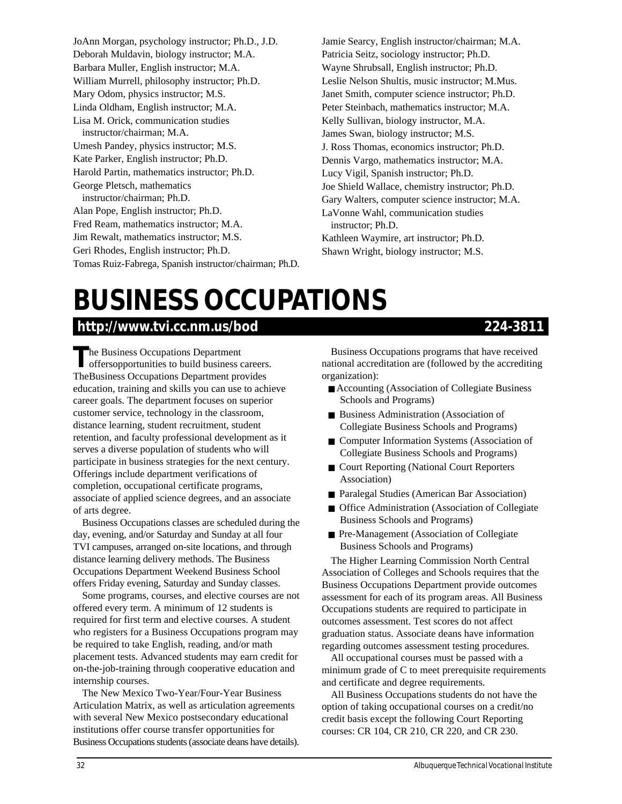JoAnn Morgan, psychology instructor; Ph.D., J.D. Deborah Muldavin, biology instructor; M.A. Barbara Muller, English instructor; M.A. William Murrell, philosophy instructor; Ph.D. Mary Odom, physics instructor; M.S. Linda Oldham, English instructor; M.A. Lisa M. Orick, communication studies instructor/chairman; M.A. Umesh Pandey, physics instructor; M.S. Kate Parker, English instructor; Ph.D. Harold Partin, mathematics instructor; Ph.D. George Pletsch, mathematics instructor/chairman; Ph.D. Alan Pope, English instructor; Ph.D. Fred Ream, mathematics instructor; M.A. Jim Rewalt, mathematics instructor; M.S. Geri Rhodes, English instructor; Ph.D. Tomas Ruiz-Fabrega, Spanish instructor/chairman; Ph.D. Jamie Searcy, English instructor/chairman; M.A. Patricia Seitz, sociology instructor; Ph.D. Wayne Shrubsall, English instructor; Ph.D. Leslie Nelson Shultis, music instructor; M.Mus. Janet Smith, computer science instructor; Ph.D. Peter Steinbach, mathematics instructor; M.A. Kelly Sullivan, biology instructor, M.A. James Swan, biology instructor; M.S. J. Ross Thomas, economics instructor; Ph.D. Dennis Vargo, mathematics instructor; M.A. Lucy Vigil, Spanish instructor; Ph.D. Joe Shield Wallace, chemistry instructor; Ph.D. Gary Walters, computer science instructor; M.A. LaVonne Wahl, communication studies instructor; Ph.D. Kathleen Waymire, art instructor; Ph.D. Shawn Wright, biology instructor; M.S.

# **BUSINESS OCCUPATIONS**

### **http://www.tvi.cc.nm.us/bod 224-3811**

#### **T**he Business Occupations Department offersopportunities to build business careers. TheBusiness Occupations Department provides education, training and skills you can use to achieve career goals. The department focuses on superior customer service, technology in the classroom, distance learning, student recruitment, student retention, and faculty professional development as it serves a diverse population of students who will participate in business strategies for the next century. Offerings include department verifications of completion, occupational certificate programs, associate of applied science degrees, and an associate of arts degree.

Business Occupations classes are scheduled during the day, evening, and/or Saturday and Sunday at all four TVI campuses, arranged on-site locations, and through distance learning delivery methods. The Business Occupations Department Weekend Business School offers Friday evening, Saturday and Sunday classes.

Some programs, courses, and elective courses are not offered every term. A minimum of 12 students is required for first term and elective courses. A student who registers for a Business Occupations program may be required to take English, reading, and/or math placement tests. Advanced students may earn credit for on-the-job-training through cooperative education and internship courses.

The New Mexico Two-Year/Four-Year Business Articulation Matrix, as well as articulation agreements with several New Mexico postsecondary educational institutions offer course transfer opportunities for Business Occupations students (associate deans have details).

Business Occupations programs that have received national accreditation are (followed by the accrediting organization):

- Accounting (Association of Collegiate Business Schools and Programs)
- Business Administration (Association of Collegiate Business Schools and Programs)
- Computer Information Systems (Association of Collegiate Business Schools and Programs)
- Court Reporting (National Court Reporters Association)
- Paralegal Studies (American Bar Association)
- Office Administration (Association of Collegiate Business Schools and Programs)
- Pre-Management (Association of Collegiate Business Schools and Programs)

The Higher Learning Commission North Central Association of Colleges and Schools requires that the Business Occupations Department provide outcomes assessment for each of its program areas. All Business Occupations students are required to participate in outcomes assessment. Test scores do not affect graduation status. Associate deans have information regarding outcomes assessment testing procedures.

All occupational courses must be passed with a minimum grade of C to meet prerequisite requirements and certificate and degree requirements.

All Business Occupations students do not have the option of taking occupational courses on a credit/no credit basis except the following Court Reporting courses: CR 104, CR 210, CR 220, and CR 230.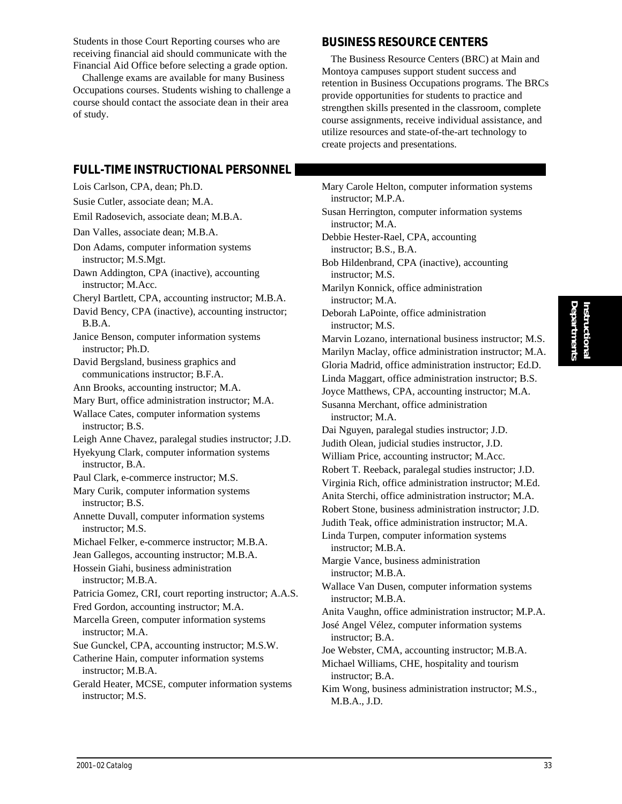Students in those Court Reporting courses who are receiving financial aid should communicate with the Financial Aid Office before selecting a grade option.

Challenge exams are available for many Business Occupations courses. Students wishing to challenge a course should contact the associate dean in their area of study.

#### **FULL-TIME INSTRUCTIONAL PERSONNEL**

Lois Carlson, CPA, dean; Ph.D.

Susie Cutler, associate dean; M.A. Emil Radosevich, associate dean; M.B.A. Dan Valles, associate dean; M.B.A. Don Adams, computer information systems instructor; M.S.Mgt. Dawn Addington, CPA (inactive), accounting instructor; M.Acc. Cheryl Bartlett, CPA, accounting instructor; M.B.A. David Bency, CPA (inactive), accounting instructor; B.B.A. Janice Benson, computer information systems instructor; Ph.D. David Bergsland, business graphics and communications instructor; B.F.A. Ann Brooks, accounting instructor; M.A. Mary Burt, office administration instructor; M.A. Wallace Cates, computer information systems instructor; B.S. Leigh Anne Chavez, paralegal studies instructor; J.D. Hyekyung Clark, computer information systems instructor, B.A. Paul Clark, e-commerce instructor; M.S. Mary Curik, computer information systems instructor; B.S. Annette Duvall, computer information systems instructor; M.S. Michael Felker, e-commerce instructor; M.B.A. Jean Gallegos, accounting instructor; M.B.A. Hossein Giahi, business administration instructor; M.B.A. Patricia Gomez, CRI, court reporting instructor; A.A.S. Fred Gordon, accounting instructor; M.A. Marcella Green, computer information systems instructor; M.A. Sue Gunckel, CPA, accounting instructor; M.S.W. Catherine Hain, computer information systems instructor; M.B.A. Gerald Heater, MCSE, computer information systems instructor; M.S.

#### **BUSINESS RESOURCE CENTERS**

The Business Resource Centers (BRC) at Main and Montoya campuses support student success and retention in Business Occupations programs. The BRCs provide opportunities for students to practice and strengthen skills presented in the classroom, complete course assignments, receive individual assistance, and utilize resources and state-of-the-art technology to create projects and presentations.

Mary Carole Helton, computer information systems instructor; M.P.A. Susan Herrington, computer information systems instructor; M.A. Debbie Hester-Rael, CPA, accounting instructor; B.S., B.A. Bob Hildenbrand, CPA (inactive), accounting instructor; M.S. Marilyn Konnick, office administration instructor; M.A. Deborah LaPointe, office administration instructor; M.S. Marvin Lozano, international business instructor; M.S. Marilyn Maclay, office administration instructor; M.A. Gloria Madrid, office administration instructor; Ed.D. Linda Maggart, office administration instructor; B.S. Joyce Matthews, CPA, accounting instructor; M.A. Susanna Merchant, office administration instructor; M.A. Dai Nguyen, paralegal studies instructor; J.D. Judith Olean, judicial studies instructor, J.D. William Price, accounting instructor; M.Acc. Robert T. Reeback, paralegal studies instructor; J.D. Virginia Rich, office administration instructor; M.Ed. Anita Sterchi, office administration instructor; M.A. Robert Stone, business administration instructor; J.D. Judith Teak, office administration instructor; M.A. Linda Turpen, computer information systems instructor; M.B.A. Margie Vance, business administration instructor; M.B.A. Wallace Van Dusen, computer information systems instructor; M.B.A. Anita Vaughn, office administration instructor; M.P.A. José Angel Vélez, computer information systems instructor; B.A. Joe Webster, CMA, accounting instructor; M.B.A. Michael Williams, CHE, hospitality and tourism instructor; B.A. Kim Wong, business administration instructor; M.S., M.B.A., J.D.

**Departments Instructional**

**Instructional**<br>Departments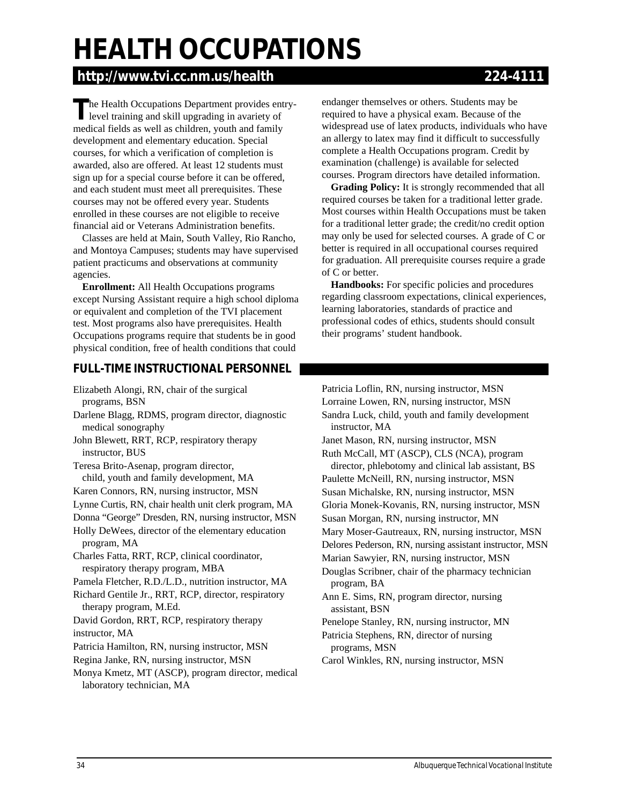# **HEALTH OCCUPATIONS**

# **http://www.tvi.cc.nm.us/health 224-4111**

**The Health Occupations Department provides entry**level training and skill upgrading in avariety of medical fields as well as children, youth and family development and elementary education. Special courses, for which a verification of completion is awarded, also are offered. At least 12 students must sign up for a special course before it can be offered, and each student must meet all prerequisites. These courses may not be offered every year. Students enrolled in these courses are not eligible to receive financial aid or Veterans Administration benefits.

Classes are held at Main, South Valley, Rio Rancho, and Montoya Campuses; students may have supervised patient practicums and observations at community agencies.

**Enrollment:** All Health Occupations programs except Nursing Assistant require a high school diploma or equivalent and completion of the TVI placement test. Most programs also have prerequisites. Health Occupations programs require that students be in good physical condition, free of health conditions that could

#### **FULL-TIME INSTRUCTIONAL PERSONNEL**

Elizabeth Alongi, RN, chair of the surgical programs, BSN

Darlene Blagg, RDMS, program director, diagnostic medical sonography

John Blewett, RRT, RCP, respiratory therapy instructor, BUS

- Teresa Brito-Asenap, program director, child, youth and family development, MA
- Karen Connors, RN, nursing instructor, MSN

Lynne Curtis, RN, chair health unit clerk program, MA

Donna "George" Dresden, RN, nursing instructor, MSN Holly DeWees, director of the elementary education

program, MA Charles Fatta, RRT, RCP, clinical coordinator, respiratory therapy program, MBA

Pamela Fletcher, R.D./L.D., nutrition instructor, MA

Richard Gentile Jr., RRT, RCP, director, respiratory therapy program, M.Ed.

David Gordon, RRT, RCP, respiratory therapy instructor, MA

Patricia Hamilton, RN, nursing instructor, MSN

Regina Janke, RN, nursing instructor, MSN

Monya Kmetz, MT (ASCP), program director, medical laboratory technician, MA

endanger themselves or others. Students may be required to have a physical exam. Because of the widespread use of latex products, individuals who have an allergy to latex may find it difficult to successfully complete a Health Occupations program. Credit by examination (challenge) is available for selected courses. Program directors have detailed information.

**Grading Policy:** It is strongly recommended that all required courses be taken for a traditional letter grade. Most courses within Health Occupations must be taken for a traditional letter grade; the credit/no credit option may only be used for selected courses. A grade of C or better is required in all occupational courses required for graduation. All prerequisite courses require a grade of C or better.

**Handbooks:** For specific policies and procedures regarding classroom expectations, clinical experiences, learning laboratories, standards of practice and professional codes of ethics, students should consult their programs' student handbook.

Patricia Loflin, RN, nursing instructor, MSN Lorraine Lowen, RN, nursing instructor, MSN Sandra Luck, child, youth and family development instructor, MA Janet Mason, RN, nursing instructor, MSN Ruth McCall, MT (ASCP), CLS (NCA), program director, phlebotomy and clinical lab assistant, BS Paulette McNeill, RN, nursing instructor, MSN Susan Michalske, RN, nursing instructor, MSN Gloria Monek-Kovanis, RN, nursing instructor, MSN Susan Morgan, RN, nursing instructor, MN Mary Moser-Gautreaux, RN, nursing instructor, MSN Delores Pederson, RN, nursing assistant instructor, MSN Marian Sawyier, RN, nursing instructor, MSN Douglas Scribner, chair of the pharmacy technician

- program, BA Ann E. Sims, RN, program director, nursing assistant, BSN
- Penelope Stanley, RN, nursing instructor, MN
- Patricia Stephens, RN, director of nursing programs, MSN
- Carol Winkles, RN, nursing instructor, MSN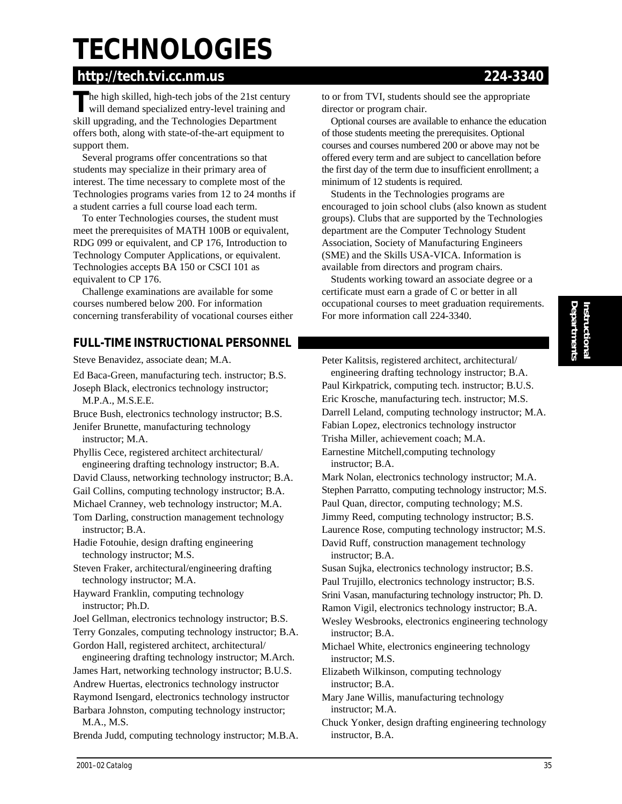# **TECHNOLOGIES**

# **http://tech.tvi.cc.nm.us 224-3340**

The high skilled, high-tech jobs of the 21st century<br>will demand specialized entry-level training and skill upgrading, and the Technologies Department offers both, along with state-of-the-art equipment to support them.

Several programs offer concentrations so that students may specialize in their primary area of interest. The time necessary to complete most of the Technologies programs varies from 12 to 24 months if a student carries a full course load each term.

To enter Technologies courses, the student must meet the prerequisites of MATH 100B or equivalent, RDG 099 or equivalent, and CP 176, Introduction to Technology Computer Applications, or equivalent. Technologies accepts BA 150 or CSCI 101 as equivalent to CP 176.

Challenge examinations are available for some courses numbered below 200. For information concerning transferability of vocational courses either

### **FULL-TIME INSTRUCTIONAL PERSONNEL**

Steve Benavidez, associate dean; M.A.

Ed Baca-Green, manufacturing tech. instructor; B.S. Joseph Black, electronics technology instructor;

M.P.A., M.S.E.E.

Bruce Bush, electronics technology instructor; B.S. Jenifer Brunette, manufacturing technology instructor; M.A.

Phyllis Cece, registered architect architectural/ engineering drafting technology instructor; B.A.

David Clauss, networking technology instructor; B.A.

Gail Collins, computing technology instructor; B.A.

Michael Cranney, web technology instructor; M.A. Tom Darling, construction management technology instructor; B.A.

Hadie Fotouhie, design drafting engineering technology instructor; M.S.

Steven Fraker, architectural/engineering drafting technology instructor; M.A.

Hayward Franklin, computing technology instructor; Ph.D.

Joel Gellman, electronics technology instructor; B.S.

Terry Gonzales, computing technology instructor; B.A. Gordon Hall, registered architect, architectural/

engineering drafting technology instructor; M.Arch. James Hart, networking technology instructor; B.U.S. Andrew Huertas, electronics technology instructor Raymond Isengard, electronics technology instructor Barbara Johnston, computing technology instructor; M.A., M.S.

Brenda Judd, computing technology instructor; M.B.A.

to or from TVI, students should see the appropriate director or program chair.

Optional courses are available to enhance the education of those students meeting the prerequisites. Optional courses and courses numbered 200 or above may not be offered every term and are subject to cancellation before the first day of the term due to insufficient enrollment; a minimum of 12 students is required.

Students in the Technologies programs are encouraged to join school clubs (also known as student groups). Clubs that are supported by the Technologies department are the Computer Technology Student Association, Society of Manufacturing Engineers (SME) and the Skills USA-VICA. Information is available from directors and program chairs.

Students working toward an associate degree or a certificate must earn a grade of C or better in all occupational courses to meet graduation requirements. For more information call 224-3340.

Peter Kalitsis, registered architect, architectural/ engineering drafting technology instructor; B.A. Paul Kirkpatrick, computing tech. instructor; B.U.S. Eric Krosche, manufacturing tech. instructor; M.S. Darrell Leland, computing technology instructor; M.A. Fabian Lopez, electronics technology instructor Trisha Miller, achievement coach; M.A. Earnestine Mitchell,computing technology

instructor; B.A. Mark Nolan, electronics technology instructor; M.A. Stephen Parratto, computing technology instructor; M.S. Paul Quan, director, computing technology; M.S.

Jimmy Reed, computing technology instructor; B.S. Laurence Rose, computing technology instructor; M.S. David Ruff, construction management technology

instructor; B.A.

Susan Sujka, electronics technology instructor; B.S. Paul Trujillo, electronics technology instructor; B.S.

Srini Vasan, manufacturing technology instructor; Ph. D.

Ramon Vigil, electronics technology instructor; B.A.

Wesley Wesbrooks, electronics engineering technology instructor; B.A.

Michael White, electronics engineering technology instructor; M.S.

Elizabeth Wilkinson, computing technology instructor; B.A.

Mary Jane Willis, manufacturing technology instructor; M.A.

Chuck Yonker, design drafting engineering technology instructor, B.A.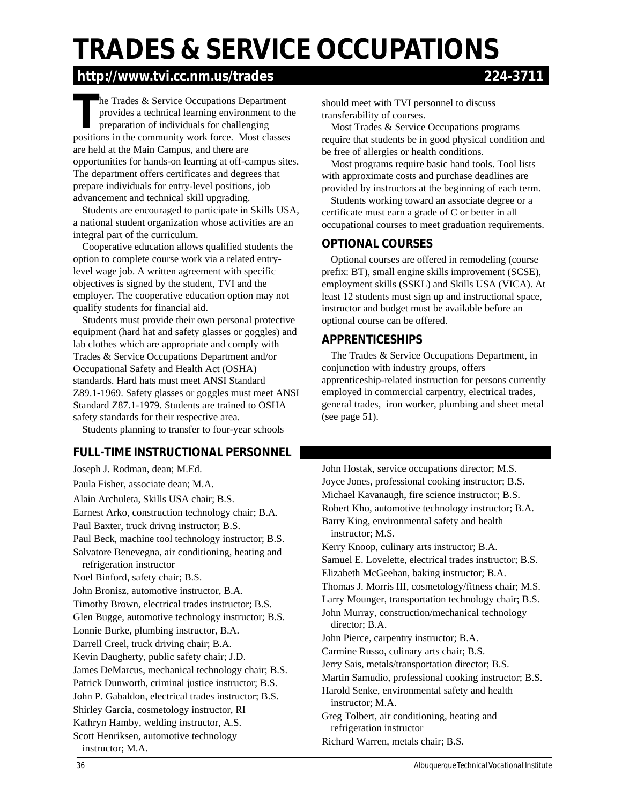# **TRADES & SERVICE OCCUPATIONS**

## **http://www.tvi.cc.nm.us/trades 224-3711**

**T**he Trades & Service Occupations Department provides a technical learning environment to the preparation of individuals for challenging positions in the community work force. Most classes are held at the Main Campus, and there are opportunities for hands-on learning at off-campus sites. The department offers certificates and degrees that prepare individuals for entry-level positions, job advancement and technical skill upgrading.

Students are encouraged to participate in Skills USA, a national student organization whose activities are an integral part of the curriculum.

Cooperative education allows qualified students the option to complete course work via a related entrylevel wage job. A written agreement with specific objectives is signed by the student, TVI and the employer. The cooperative education option may not qualify students for financial aid.

Students must provide their own personal protective equipment (hard hat and safety glasses or goggles) and lab clothes which are appropriate and comply with Trades & Service Occupations Department and/or Occupational Safety and Health Act (OSHA) standards. Hard hats must meet ANSI Standard Z89.1-1969. Safety glasses or goggles must meet ANSI Standard Z87.1-1979. Students are trained to OSHA safety standards for their respective area.

Students planning to transfer to four-year schools

#### **FULL-TIME INSTRUCTIONAL PERSONNEL**

Joseph J. Rodman, dean; M.Ed. Paula Fisher, associate dean; M.A. Alain Archuleta, Skills USA chair; B.S. Earnest Arko, construction technology chair; B.A. Paul Baxter, truck drivng instructor; B.S. Paul Beck, machine tool technology instructor; B.S. Salvatore Benevegna, air conditioning, heating and refrigeration instructor Noel Binford, safety chair; B.S. John Bronisz, automotive instructor, B.A. Timothy Brown, electrical trades instructor; B.S. Glen Bugge, automotive technology instructor; B.S. Lonnie Burke, plumbing instructor, B.A. Darrell Creel, truck driving chair; B.A. Kevin Daugherty, public safety chair; J.D. James DeMarcus, mechanical technology chair; B.S. Patrick Dunworth, criminal justice instructor; B.S. John P. Gabaldon, electrical trades instructor; B.S. Shirley Garcia, cosmetology instructor, RI Kathryn Hamby, welding instructor, A.S. Scott Henriksen, automotive technology instructor; M.A.

should meet with TVI personnel to discuss transferability of courses.

Most Trades & Service Occupations programs require that students be in good physical condition and be free of allergies or health conditions.

Most programs require basic hand tools. Tool lists with approximate costs and purchase deadlines are provided by instructors at the beginning of each term.

Students working toward an associate degree or a certificate must earn a grade of C or better in all occupational courses to meet graduation requirements.

#### **OPTIONAL COURSES**

Optional courses are offered in remodeling (course prefix: BT), small engine skills improvement (SCSE), employment skills (SSKL) and Skills USA (VICA). At least 12 students must sign up and instructional space, instructor and budget must be available before an optional course can be offered.

#### **APPRENTICESHIPS**

The Trades & Service Occupations Department, in conjunction with industry groups, offers apprenticeship-related instruction for persons currently employed in commercial carpentry, electrical trades, general trades, iron worker, plumbing and sheet metal (see page 51).

John Hostak, service occupations director; M.S. Joyce Jones, professional cooking instructor; B.S. Michael Kavanaugh, fire science instructor; B.S. Robert Kho, automotive technology instructor; B.A. Barry King, environmental safety and health instructor; M.S. Kerry Knoop, culinary arts instructor; B.A. Samuel E. Lovelette, electrical trades instructor; B.S. Elizabeth McGeehan, baking instructor; B.A. Thomas J. Morris III, cosmetology/fitness chair; M.S. Larry Mounger, transportation technology chair; B.S. John Murray, construction/mechanical technology director; B.A. John Pierce, carpentry instructor; B.A. Carmine Russo, culinary arts chair; B.S. Jerry Sais, metals/transportation director; B.S. Martin Samudio, professional cooking instructor; B.S. Harold Senke, environmental safety and health instructor; M.A. Greg Tolbert, air conditioning, heating and refrigeration instructor Richard Warren, metals chair; B.S.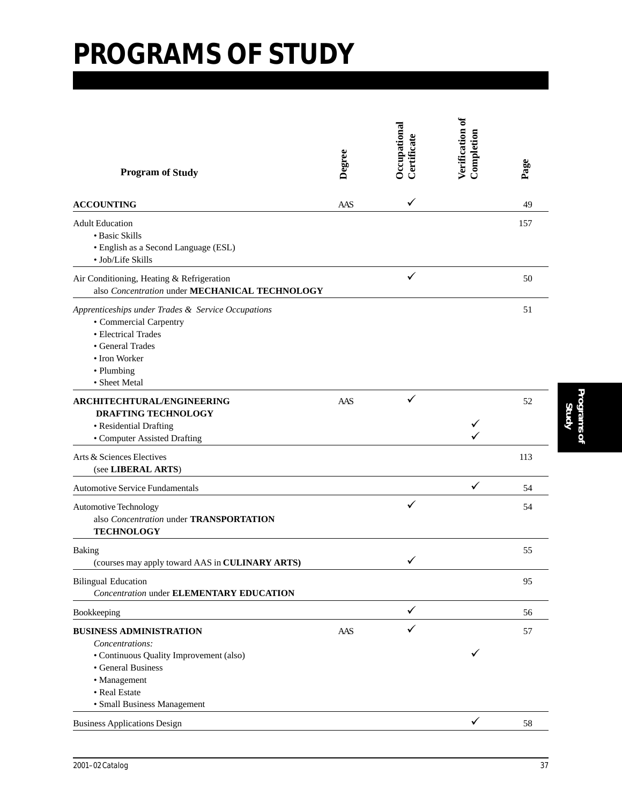| <b>Program of Study</b>                                                                                                                                                            | Degree | Occupational<br>$\emph{Lertificate}$ | Verification of<br>Completion | Page |
|------------------------------------------------------------------------------------------------------------------------------------------------------------------------------------|--------|--------------------------------------|-------------------------------|------|
| <b>ACCOUNTING</b>                                                                                                                                                                  | AAS    | $\checkmark$                         |                               | 49   |
| <b>Adult Education</b><br>• Basic Skills<br>· English as a Second Language (ESL)<br>· Job/Life Skills                                                                              |        |                                      |                               | 157  |
| Air Conditioning, Heating & Refrigeration<br>also Concentration under MECHANICAL TECHNOLOGY                                                                                        |        |                                      |                               | 50   |
| Apprenticeships under Trades & Service Occupations<br>• Commercial Carpentry<br>• Electrical Trades<br>• General Trades<br>• Iron Worker<br>• Plumbing<br>• Sheet Metal            |        |                                      |                               | 51   |
| ARCHITECHTURAL/ENGINEERING<br><b>DRAFTING TECHNOLOGY</b><br>• Residential Drafting<br>• Computer Assisted Drafting                                                                 | AAS    |                                      |                               | 52   |
| Arts & Sciences Electives<br>(see LIBERAL ARTS)                                                                                                                                    |        |                                      |                               | 113  |
| <b>Automotive Service Fundamentals</b>                                                                                                                                             |        |                                      | ✓                             | 54   |
| <b>Automotive Technology</b><br>also Concentration under TRANSPORTATION<br><b>TECHNOLOGY</b>                                                                                       |        | ✓                                    |                               | 54   |
| Baking<br>(courses may apply toward AAS in CULINARY ARTS)                                                                                                                          |        |                                      |                               | 55   |
| <b>Bilingual Education</b><br><b>Concentration under ELEMENTARY EDUCATION</b>                                                                                                      |        |                                      |                               | 95   |
| Bookkeeping                                                                                                                                                                        |        | ✓                                    |                               | 56   |
| <b>BUSINESS ADMINISTRATION</b><br>Concentrations:<br>• Continuous Quality Improvement (also)<br>• General Business<br>• Management<br>• Real Estate<br>· Small Business Management | AAS    |                                      |                               | 57   |
| <b>Business Applications Design</b>                                                                                                                                                |        |                                      | ✓                             | 58   |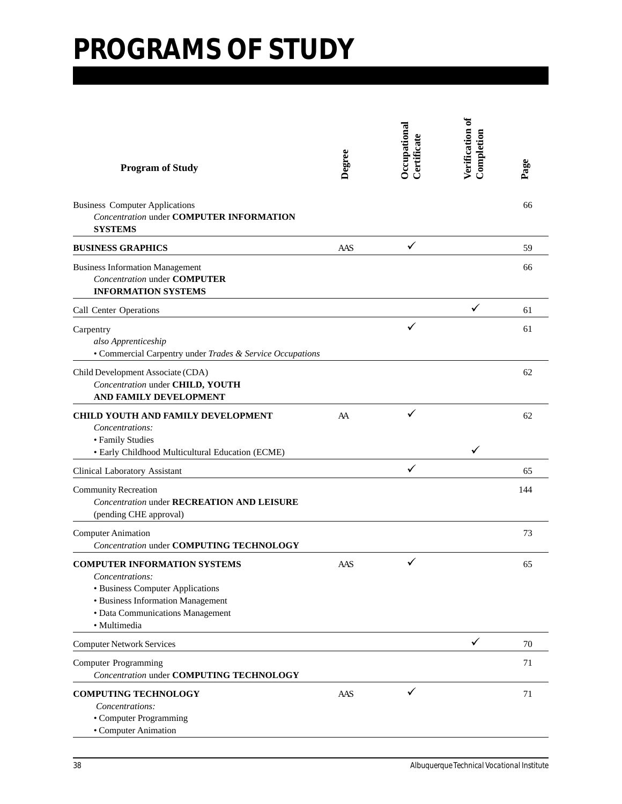| <b>Program of Study</b>                                                                                                                                                             | Degree | Occupational<br>Certificate | Verification of<br>Completion | Page |
|-------------------------------------------------------------------------------------------------------------------------------------------------------------------------------------|--------|-----------------------------|-------------------------------|------|
| <b>Business Computer Applications</b><br><b>Concentration under COMPUTER INFORMATION</b><br><b>SYSTEMS</b>                                                                          |        |                             |                               | 66   |
| <b>BUSINESS GRAPHICS</b>                                                                                                                                                            | AAS    | ✓                           |                               | 59   |
| <b>Business Information Management</b><br><b>Concentration under COMPUTER</b><br><b>INFORMATION SYSTEMS</b>                                                                         |        |                             |                               | 66   |
| Call Center Operations                                                                                                                                                              |        |                             | ✓                             | 61   |
| Carpentry<br>also Apprenticeship<br>• Commercial Carpentry under Trades & Service Occupations                                                                                       |        |                             |                               | 61   |
| Child Development Associate (CDA)<br>Concentration under CHILD, YOUTH<br>AND FAMILY DEVELOPMENT                                                                                     |        |                             |                               | 62   |
| <b>CHILD YOUTH AND FAMILY DEVELOPMENT</b><br>Concentrations:<br>• Family Studies<br>· Early Childhood Multicultural Education (ECME)                                                | AA     |                             |                               | 62   |
| Clinical Laboratory Assistant                                                                                                                                                       |        | ✓                           |                               | 65   |
| <b>Community Recreation</b><br><b>Concentration under RECREATION AND LEISURE</b><br>(pending CHE approval)                                                                          |        |                             |                               | 144  |
| <b>Computer Animation</b><br><b>Concentration under COMPUTING TECHNOLOGY</b>                                                                                                        |        |                             |                               | 73   |
| <b>COMPUTER INFORMATION SYSTEMS</b><br>Concentrations:<br>· Business Computer Applications<br>• Business Information Management<br>· Data Communications Management<br>· Multimedia | AAS    | ✓                           |                               | 65   |
| <b>Computer Network Services</b>                                                                                                                                                    |        |                             | ✓                             | 70   |
| <b>Computer Programming</b><br><b>Concentration under COMPUTING TECHNOLOGY</b>                                                                                                      |        |                             |                               | 71   |
| <b>COMPUTING TECHNOLOGY</b><br>Concentrations:<br>• Computer Programming<br>• Computer Animation                                                                                    | AAS    | ✓                           |                               | 71   |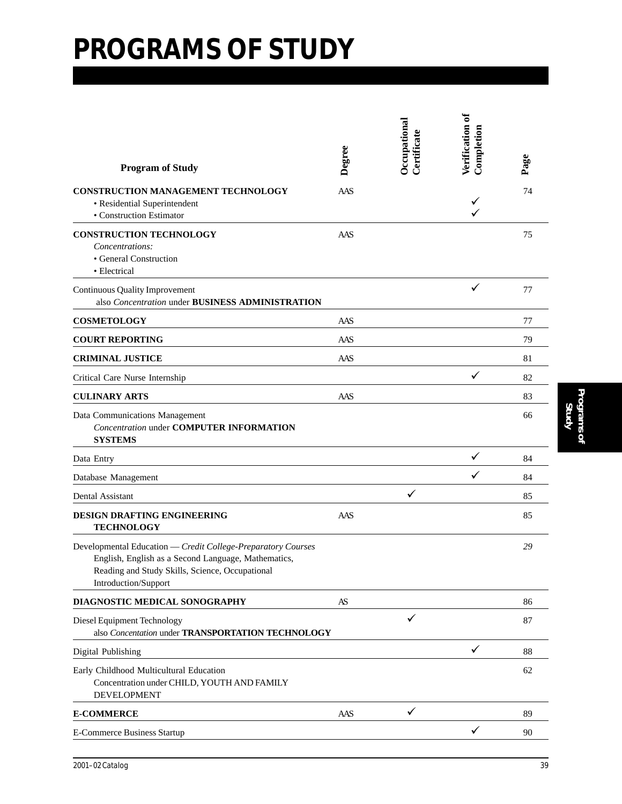| <b>Program of Study</b>                                                                                                                                                                        | Degree | Occupational<br>Certificate | Verification of<br>Completion | Page |
|------------------------------------------------------------------------------------------------------------------------------------------------------------------------------------------------|--------|-----------------------------|-------------------------------|------|
| CONSTRUCTION MANAGEMENT TECHNOLOGY<br>· Residential Superintendent<br>• Construction Estimator                                                                                                 | AAS    |                             | ✓                             | 74   |
| <b>CONSTRUCTION TECHNOLOGY</b><br>Concentrations:<br>• General Construction<br>• Electrical                                                                                                    | AAS    |                             |                               | 75   |
| <b>Continuous Quality Improvement</b><br>also Concentration under BUSINESS ADMINISTRATION                                                                                                      |        |                             | ✓                             | 77   |
| <b>COSMETOLOGY</b>                                                                                                                                                                             | AAS    |                             |                               | 77   |
| <b>COURT REPORTING</b>                                                                                                                                                                         | AAS    |                             |                               | 79   |
| <b>CRIMINAL JUSTICE</b>                                                                                                                                                                        | AAS    |                             |                               | 81   |
| Critical Care Nurse Internship                                                                                                                                                                 |        |                             | ✓                             | 82   |
| <b>CULINARY ARTS</b>                                                                                                                                                                           | AAS    |                             |                               | 83   |
| Data Communications Management<br><b>Concentration under COMPUTER INFORMATION</b><br><b>SYSTEMS</b>                                                                                            |        |                             |                               | 66   |
| Data Entry                                                                                                                                                                                     |        |                             | ✓                             | 84   |
| Database Management                                                                                                                                                                            |        |                             | ✓                             | 84   |
| Dental Assistant                                                                                                                                                                               |        | ✓                           |                               | 85   |
| DESIGN DRAFTING ENGINEERING<br><b>TECHNOLOGY</b>                                                                                                                                               | AAS    |                             |                               | 85   |
| Developmental Education - Credit College-Preparatory Courses<br>English, English as a Second Language, Mathematics,<br>Reading and Study Skills, Science, Occupational<br>Introduction/Support |        |                             |                               | 29   |
| DIAGNOSTIC MEDICAL SONOGRAPHY                                                                                                                                                                  | AS     |                             |                               | 86   |
| Diesel Equipment Technology<br>also Concentation under TRANSPORTATION TECHNOLOGY                                                                                                               |        | ✓                           |                               | 87   |
| Digital Publishing                                                                                                                                                                             |        |                             | $\checkmark$                  | 88   |
| Early Childhood Multicultural Education<br>Concentration under CHILD, YOUTH AND FAMILY<br><b>DEVELOPMENT</b>                                                                                   |        |                             |                               | 62   |
| <b>E-COMMERCE</b>                                                                                                                                                                              | AAS    | $\checkmark$                |                               | 89   |
| <b>E-Commerce Business Startup</b>                                                                                                                                                             |        |                             |                               | 90   |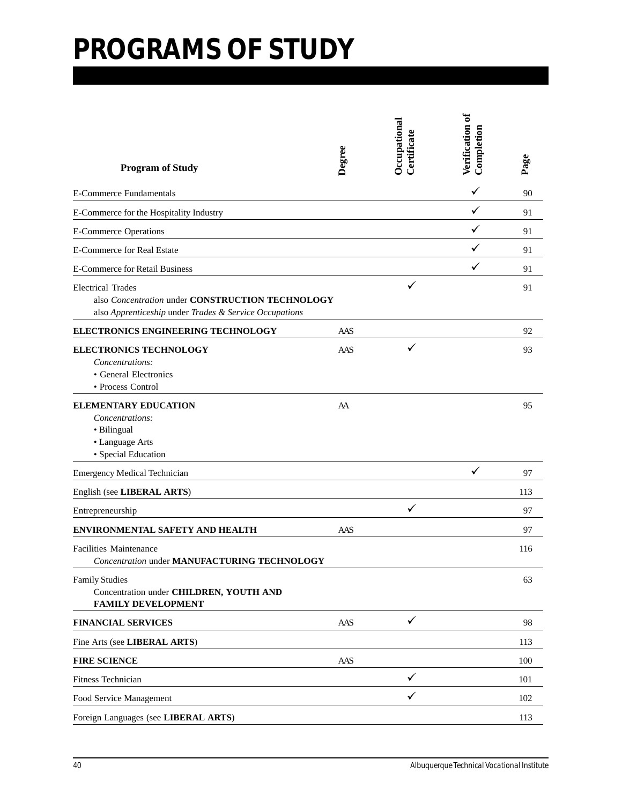| <b>Program of Study</b>                                                                                                                | Degree | Occupational<br>Certificate | Verification of<br>Completion | Page |
|----------------------------------------------------------------------------------------------------------------------------------------|--------|-----------------------------|-------------------------------|------|
| <b>E-Commerce Fundamentals</b>                                                                                                         |        |                             | ✓                             | 90   |
| E-Commerce for the Hospitality Industry                                                                                                |        |                             | ✓                             | 91   |
| <b>E-Commerce Operations</b>                                                                                                           |        |                             | ✓                             | 91   |
| <b>E-Commerce for Real Estate</b>                                                                                                      |        |                             | ✓                             | 91   |
| <b>E-Commerce for Retail Business</b>                                                                                                  |        |                             | ✓                             | 91   |
| <b>Electrical Trades</b><br>also Concentration under CONSTRUCTION TECHNOLOGY<br>also Apprenticeship under Trades & Service Occupations |        |                             |                               | 91   |
| ELECTRONICS ENGINEERING TECHNOLOGY                                                                                                     | AAS    |                             |                               | 92   |
| <b>ELECTRONICS TECHNOLOGY</b><br>Concentrations:<br>• General Electronics<br>• Process Control                                         | AAS    | ✓                           |                               | 93   |
| <b>ELEMENTARY EDUCATION</b><br>Concentrations:<br>• Bilingual<br>• Language Arts<br>· Special Education                                | AA     |                             |                               | 95   |
| <b>Emergency Medical Technician</b>                                                                                                    |        |                             | ✓                             | 97   |
| English (see LIBERAL ARTS)                                                                                                             |        |                             |                               | 113  |
| Entrepreneurship                                                                                                                       |        | ✓                           |                               | 97   |
| <b>ENVIRONMENTAL SAFETY AND HEALTH</b>                                                                                                 | AAS    |                             |                               | 97   |
| <b>Facilities Maintenance</b><br><b>Concentration under MANUFACTURING TECHNOLOGY</b>                                                   |        |                             |                               | 116  |
| <b>Family Studies</b><br>Concentration under CHILDREN, YOUTH AND<br><b>FAMILY DEVELOPMENT</b>                                          |        |                             |                               | 63   |
| <b>FINANCIAL SERVICES</b>                                                                                                              | AAS    | $\checkmark$                |                               | 98   |
| Fine Arts (see LIBERAL ARTS)                                                                                                           |        |                             |                               | 113  |
| <b>FIRE SCIENCE</b>                                                                                                                    | AAS    |                             |                               | 100  |
| Fitness Technician                                                                                                                     |        | ✓                           |                               | 101  |
| Food Service Management                                                                                                                |        | ✓                           |                               | 102  |
| Foreign Languages (see LIBERAL ARTS)                                                                                                   |        |                             |                               | 113  |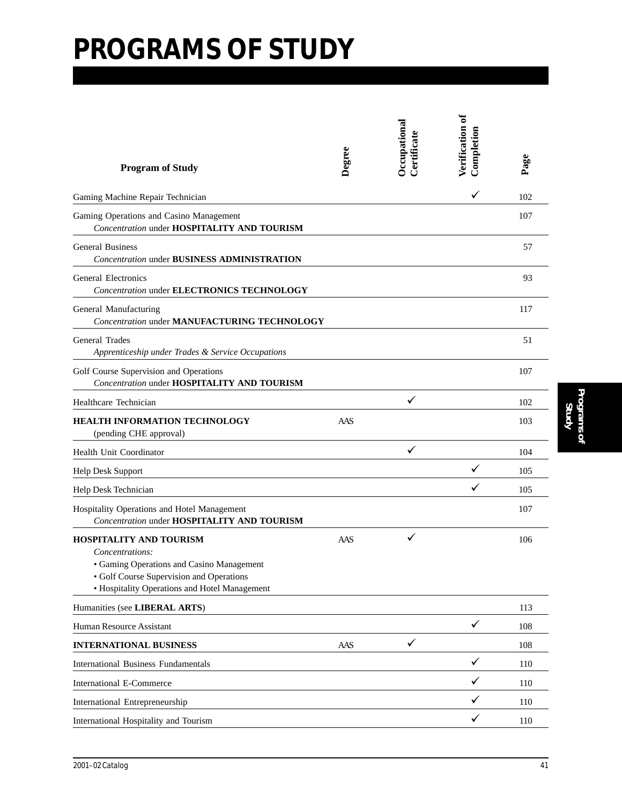| <b>Program of Study</b>                                                                                                                                                                     | Degree | Occupational<br>Certificate | Verification of<br>Completion | Page |
|---------------------------------------------------------------------------------------------------------------------------------------------------------------------------------------------|--------|-----------------------------|-------------------------------|------|
| Gaming Machine Repair Technician                                                                                                                                                            |        |                             | ✓                             | 102  |
| Gaming Operations and Casino Management<br><b>Concentration under HOSPITALITY AND TOURISM</b>                                                                                               |        |                             |                               | 107  |
| <b>General Business</b><br><b>Concentration under BUSINESS ADMINISTRATION</b>                                                                                                               |        |                             |                               | 57   |
| <b>General Electronics</b><br><b>Concentration under ELECTRONICS TECHNOLOGY</b>                                                                                                             |        |                             |                               | 93   |
| General Manufacturing<br><b>Concentration under MANUFACTURING TECHNOLOGY</b>                                                                                                                |        |                             |                               | 117  |
| General Trades<br>Apprenticeship under Trades & Service Occupations                                                                                                                         |        |                             |                               | 51   |
| Golf Course Supervision and Operations<br>Concentration under HOSPITALITY AND TOURISM                                                                                                       |        |                             |                               | 107  |
| Healthcare Technician                                                                                                                                                                       |        | $\checkmark$                |                               | 102  |
| <b>HEALTH INFORMATION TECHNOLOGY</b><br>(pending CHE approval)                                                                                                                              | AAS    |                             |                               | 103  |
| Health Unit Coordinator                                                                                                                                                                     |        | ✓                           |                               | 104  |
| Help Desk Support                                                                                                                                                                           |        |                             |                               | 105  |
| Help Desk Technician                                                                                                                                                                        |        |                             | ✓                             | 105  |
| Hospitality Operations and Hotel Management<br>Concentration under HOSPITALITY AND TOURISM                                                                                                  |        |                             |                               | 107  |
| <b>HOSPITALITY AND TOURISM</b><br>Concentrations:<br>• Gaming Operations and Casino Management<br>• Golf Course Supervision and Operations<br>• Hospitality Operations and Hotel Management | AAS    | $\checkmark$                |                               | 106  |
| Humanities (see LIBERAL ARTS)                                                                                                                                                               |        |                             |                               | 113  |
| Human Resource Assistant                                                                                                                                                                    |        |                             | $\checkmark$                  | 108  |
| <b>INTERNATIONAL BUSINESS</b>                                                                                                                                                               | AAS    | ✓                           |                               | 108  |
| <b>International Business Fundamentals</b>                                                                                                                                                  |        |                             | $\checkmark$                  | 110  |
| <b>International E-Commerce</b>                                                                                                                                                             |        |                             | ✓                             | 110  |
| International Entrepreneurship                                                                                                                                                              |        |                             | ✓                             | 110  |
| International Hospitality and Tourism                                                                                                                                                       |        |                             | ✓                             | 110  |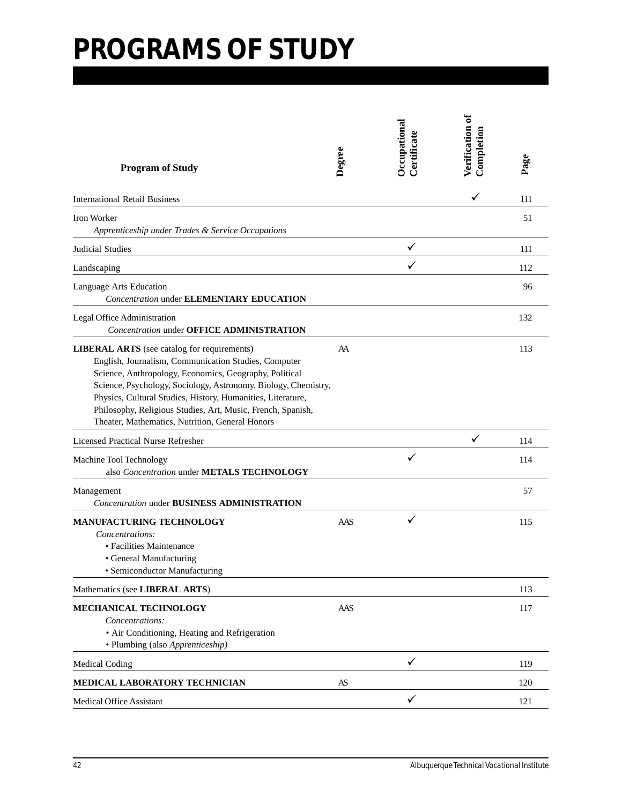| <b>Program of Study</b>                                                                                                                                                                                                                                                                                                                                                                                                 | Degree | Occupational<br>Certificate | Verification of<br>Completion | Page |
|-------------------------------------------------------------------------------------------------------------------------------------------------------------------------------------------------------------------------------------------------------------------------------------------------------------------------------------------------------------------------------------------------------------------------|--------|-----------------------------|-------------------------------|------|
| <b>International Retail Business</b>                                                                                                                                                                                                                                                                                                                                                                                    |        |                             | ✓                             | 111  |
| <b>Iron Worker</b><br>Apprenticeship under Trades & Service Occupations                                                                                                                                                                                                                                                                                                                                                 |        |                             |                               | 51   |
| Judicial Studies                                                                                                                                                                                                                                                                                                                                                                                                        |        | ✓                           |                               | 111  |
| Landscaping                                                                                                                                                                                                                                                                                                                                                                                                             |        |                             |                               | 112  |
| Language Arts Education<br><b>Concentration under ELEMENTARY EDUCATION</b>                                                                                                                                                                                                                                                                                                                                              |        |                             |                               | 96   |
| Legal Office Administration<br><b>Concentration under OFFICE ADMINISTRATION</b>                                                                                                                                                                                                                                                                                                                                         |        |                             |                               | 132  |
| <b>LIBERAL ARTS</b> (see catalog for requirements)<br>English, Journalism, Communication Studies, Computer<br>Science, Anthropology, Economics, Geography, Political<br>Science, Psychology, Sociology, Astronomy, Biology, Chemistry,<br>Physics, Cultural Studies, History, Humanities, Literature,<br>Philosophy, Religious Studies, Art, Music, French, Spanish,<br>Theater, Mathematics, Nutrition, General Honors | AA     |                             |                               | 113  |
| Licensed Practical Nurse Refresher                                                                                                                                                                                                                                                                                                                                                                                      |        |                             | ✓                             | 114  |
| Machine Tool Technology<br>also Concentration under METALS TECHNOLOGY                                                                                                                                                                                                                                                                                                                                                   |        |                             |                               | 114  |
| Management<br><b>Concentration under BUSINESS ADMINISTRATION</b>                                                                                                                                                                                                                                                                                                                                                        |        |                             |                               | 57   |
| <b>MANUFACTURING TECHNOLOGY</b><br>Concentrations:<br>• Facilities Maintenance<br>• General Manufacturing<br>• Semiconductor Manufacturing                                                                                                                                                                                                                                                                              | AAS    | ✓                           |                               | 115  |
| Mathematics (see LIBERAL ARTS)                                                                                                                                                                                                                                                                                                                                                                                          |        |                             |                               | 113  |
| MECHANICAL TECHNOLOGY<br>Concentrations:<br>• Air Conditioning, Heating and Refrigeration<br>• Plumbing (also Apprenticeship)                                                                                                                                                                                                                                                                                           | AAS    |                             |                               | 117  |
| Medical Coding                                                                                                                                                                                                                                                                                                                                                                                                          |        | ✓                           |                               | 119  |
| MEDICAL LABORATORY TECHNICIAN                                                                                                                                                                                                                                                                                                                                                                                           | AS     |                             |                               | 120  |
| Medical Office Assistant                                                                                                                                                                                                                                                                                                                                                                                                |        | ✓                           |                               | 121  |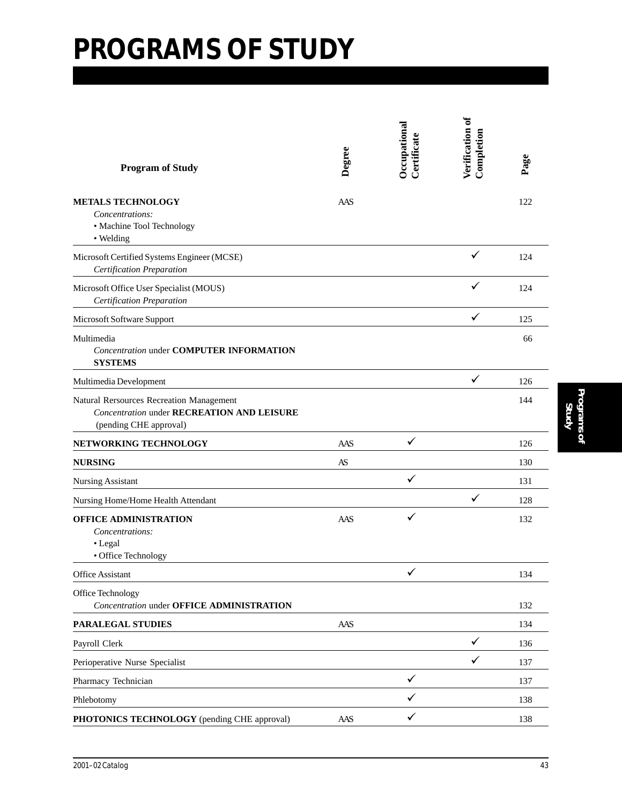| <b>Program of Study</b>                                                                                                 | Degree | Occupational<br>Certificate | Verification of<br>Completion | Page |
|-------------------------------------------------------------------------------------------------------------------------|--------|-----------------------------|-------------------------------|------|
| <b>METALS TECHNOLOGY</b><br>Concentrations:<br>· Machine Tool Technology<br>• Welding                                   | AAS    |                             |                               | 122  |
| Microsoft Certified Systems Engineer (MCSE)<br>Certification Preparation                                                |        |                             | ✓                             | 124  |
| Microsoft Office User Specialist (MOUS)<br>Certification Preparation                                                    |        |                             | ✓                             | 124  |
| Microsoft Software Support                                                                                              |        |                             | ✓                             | 125  |
| Multimedia<br><b>Concentration under COMPUTER INFORMATION</b><br><b>SYSTEMS</b>                                         |        |                             |                               | 66   |
| Multimedia Development                                                                                                  |        |                             | $\checkmark$                  | 126  |
| Natural Rersources Recreation Management<br><b>Concentration under RECREATION AND LEISURE</b><br>(pending CHE approval) |        |                             |                               | 144  |
| NETWORKING TECHNOLOGY                                                                                                   | AAS    | ✓                           |                               | 126  |
| <b>NURSING</b>                                                                                                          | AS     |                             |                               | 130  |
| <b>Nursing Assistant</b>                                                                                                |        | ✓                           |                               | 131  |
| Nursing Home/Home Health Attendant                                                                                      |        |                             | ✓                             | 128  |
| OFFICE ADMINISTRATION<br>Concentrations:<br>• Legal<br>· Office Technology                                              | AAS    | $\checkmark$                |                               | 132  |
| Office Assistant                                                                                                        |        |                             |                               | 134  |
| Office Technology<br><b>Concentration under OFFICE ADMINISTRATION</b>                                                   |        |                             |                               | 132  |
| PARALEGAL STUDIES                                                                                                       | AAS    |                             |                               | 134  |
| Payroll Clerk                                                                                                           |        |                             | $\checkmark$                  | 136  |
| Perioperative Nurse Specialist                                                                                          |        |                             | ✓                             | 137  |
| Pharmacy Technician                                                                                                     |        | ✓                           |                               | 137  |
| Phlebotomy                                                                                                              |        | ✓                           |                               | 138  |
| PHOTONICS TECHNOLOGY (pending CHE approval)                                                                             | AAS    | $\checkmark$                |                               | 138  |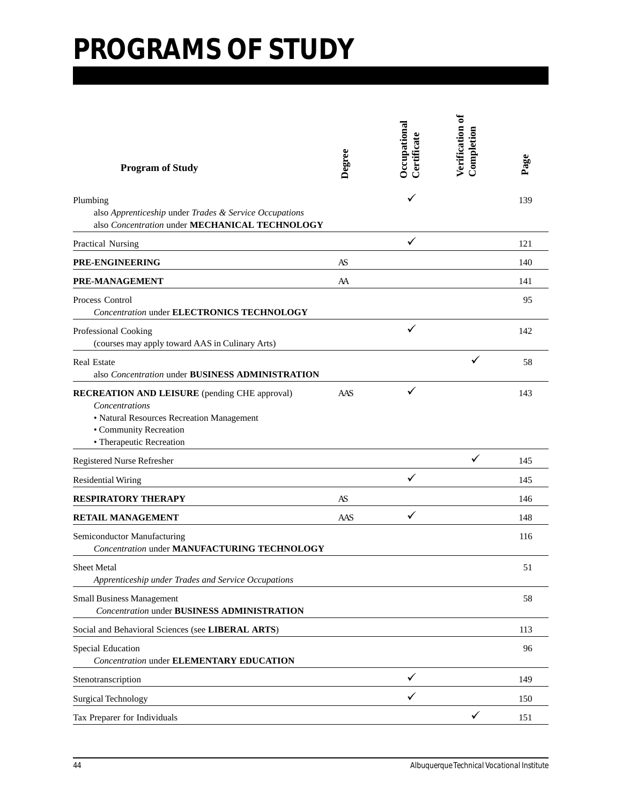| <b>Program of Study</b>                                                                                                                                                   | Degree | Occupational<br>Certificate | Verification of<br>Completion | Page |
|---------------------------------------------------------------------------------------------------------------------------------------------------------------------------|--------|-----------------------------|-------------------------------|------|
| Plumbing<br>also Apprenticeship under Trades & Service Occupations<br>also Concentration under MECHANICAL TECHNOLOGY                                                      |        |                             |                               | 139  |
| Practical Nursing                                                                                                                                                         |        | ✓                           |                               | 121  |
| PRE-ENGINEERING                                                                                                                                                           | AS     |                             |                               | 140  |
| PRE-MANAGEMENT                                                                                                                                                            | AA     |                             |                               | 141  |
| Process Control<br><b>Concentration under ELECTRONICS TECHNOLOGY</b>                                                                                                      |        |                             |                               | 95   |
| Professional Cooking<br>(courses may apply toward AAS in Culinary Arts)                                                                                                   |        | $\checkmark$                |                               | 142  |
| <b>Real Estate</b><br>also Concentration under BUSINESS ADMINISTRATION                                                                                                    |        |                             | ✓                             | 58   |
| <b>RECREATION AND LEISURE</b> (pending CHE approval)<br>Concentrations<br>• Natural Resources Recreation Management<br>• Community Recreation<br>• Therapeutic Recreation | AAS    | $\checkmark$                |                               | 143  |
| Registered Nurse Refresher                                                                                                                                                |        |                             | ✓                             | 145  |
| <b>Residential Wiring</b>                                                                                                                                                 |        | ✓                           |                               | 145  |
| <b>RESPIRATORY THERAPY</b>                                                                                                                                                | AS     |                             |                               | 146  |
| <b>RETAIL MANAGEMENT</b>                                                                                                                                                  | AAS    | ✓                           |                               | 148  |
| Semiconductor Manufacturing<br><b>Concentration under MANUFACTURING TECHNOLOGY</b>                                                                                        |        |                             |                               | 116  |
| Sheet Metal<br>Apprenticeship under Trades and Service Occupations                                                                                                        |        |                             |                               | 51   |
| <b>Small Business Management</b><br><b>Concentration under BUSINESS ADMINISTRATION</b>                                                                                    |        |                             |                               | 58   |
| Social and Behavioral Sciences (see LIBERAL ARTS)                                                                                                                         |        |                             |                               | 113  |
| Special Education<br><b>Concentration under ELEMENTARY EDUCATION</b>                                                                                                      |        |                             |                               | 96   |
| Stenotranscription                                                                                                                                                        |        | ✓                           |                               | 149  |
| Surgical Technology                                                                                                                                                       |        | ✓                           |                               | 150  |
| Tax Preparer for Individuals                                                                                                                                              |        |                             | ✓                             | 151  |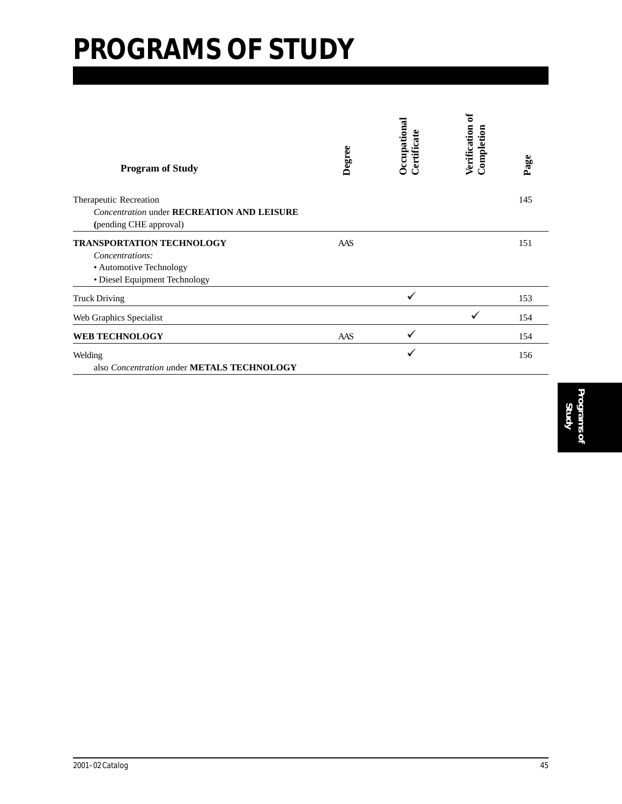| <b>Program of Study</b>                                                     | Degree | Occupational<br>Certificate | ಕ<br>Verification<br>Completion | Page |
|-----------------------------------------------------------------------------|--------|-----------------------------|---------------------------------|------|
| Therapeutic Recreation                                                      |        |                             |                                 | 145  |
| <b>Concentration under RECREATION AND LEISURE</b><br>(pending CHE approval) |        |                             |                                 |      |
| <b>TRANSPORTATION TECHNOLOGY</b>                                            | AAS    |                             |                                 | 151  |
| Concentrations:                                                             |        |                             |                                 |      |
| • Automotive Technology                                                     |        |                             |                                 |      |
| • Diesel Equipment Technology                                               |        |                             |                                 |      |
| <b>Truck Driving</b>                                                        |        |                             |                                 | 153  |
| Web Graphics Specialist                                                     |        |                             |                                 | 154  |
| <b>WEB TECHNOLOGY</b>                                                       | AAS    |                             |                                 | 154  |
| Welding                                                                     |        |                             |                                 | 156  |
| also Concentration under METALS TECHNOLOGY                                  |        |                             |                                 |      |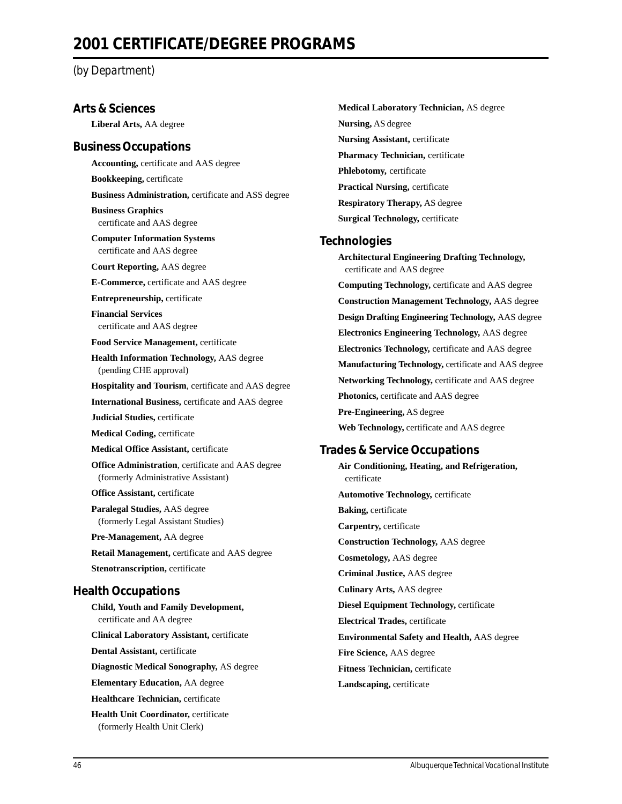#### *(by Department)*

#### **Arts & Sciences**

**Liberal Arts,** AA degree

#### **Business Occupations**

**Accounting,** certificate and AAS degree **Bookkeeping,** certificate **Business Administration,** certificate and ASS degree **Business Graphics**

certificate and AAS degree

**Computer Information Systems** certificate and AAS degree

**Court Reporting,** AAS degree

**E-Commerce,** certificate and AAS degree

**Entrepreneurship,** certificate

**Financial Services** certificate and AAS degree

**Food Service Management,** certificate

**Health Information Technology,** AAS degree (pending CHE approval)

**Hospitality and Tourism**, certificate and AAS degree

**International Business,** certificate and AAS degree

**Judicial Studies,** certificate

**Medical Coding,** certificate

**Medical Office Assistant,** certificate

**Office Administration**, certificate and AAS degree (formerly Administrative Assistant)

**Office Assistant,** certificate

**Paralegal Studies,** AAS degree (formerly Legal Assistant Studies)

**Pre-Management,** AA degree

**Retail Management,** certificate and AAS degree **Stenotranscription,** certificate

#### **Health Occupations**

**Child, Youth and Family Development,** certificate and AA degree **Clinical Laboratory Assistant,** certificate **Dental Assistant,** certificate **Diagnostic Medical Sonography,** AS degree **Elementary Education,** AA degree **Healthcare Technician,** certificate **Health Unit Coordinator,** certificate (formerly Health Unit Clerk)

**Medical Laboratory Technician,** AS degree **Nursing,** AS degree **Nursing Assistant,** certificate **Pharmacy Technician,** certificate **Phlebotomy,** certificate **Practical Nursing,** certificate **Respiratory Therapy,** AS degree **Surgical Technology,** certificate

#### **Technologies**

**Architectural Engineering Drafting Technology,** certificate and AAS degree **Computing Technology,** certificate and AAS degree **Construction Management Technology,** AAS degree **Design Drafting Engineering Technology,** AAS degree **Electronics Engineering Technology,** AAS degree **Electronics Technology,** certificate and AAS degree **Manufacturing Technology,** certificate and AAS degree **Networking Technology,** certificate and AAS degree **Photonics,** certificate and AAS degree **Pre-Engineering,** AS degree **Web Technology,** certificate and AAS degree

#### **Trades & Service Occupations**

**Air Conditioning, Heating, and Refrigeration,** certificate **Automotive Technology,** certificate **Baking,** certificate **Carpentry,** certificate **Construction Technology,** AAS degree **Cosmetology,** AAS degree **Criminal Justice,** AAS degree **Culinary Arts,** AAS degree **Diesel Equipment Technology,** certificate **Electrical Trades,** certificate **Environmental Safety and Health,** AAS degree **Fire Science,** AAS degree **Fitness Technician,** certificate **Landscaping,** certificate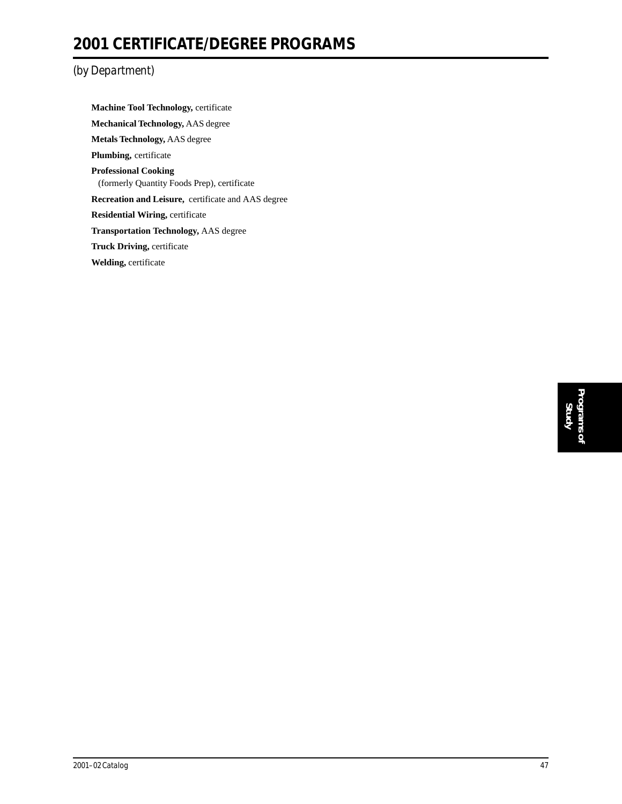### **2001 CERTIFICATE/DEGREE PROGRAMS**

#### *(by Department)*

**Machine Tool Technology,** certificate **Mechanical Technology,** AAS degree **Metals Technology,** AAS degree **Plumbing,** certificate **Professional Cooking** (formerly Quantity Foods Prep), certificate **Recreation and Leisure,** certificate and AAS degree **Residential Wiring,** certificate **Transportation Technology,** AAS degree **Truck Driving,** certificate **Welding,** certificate

> **Programs of Programs of**<br>Study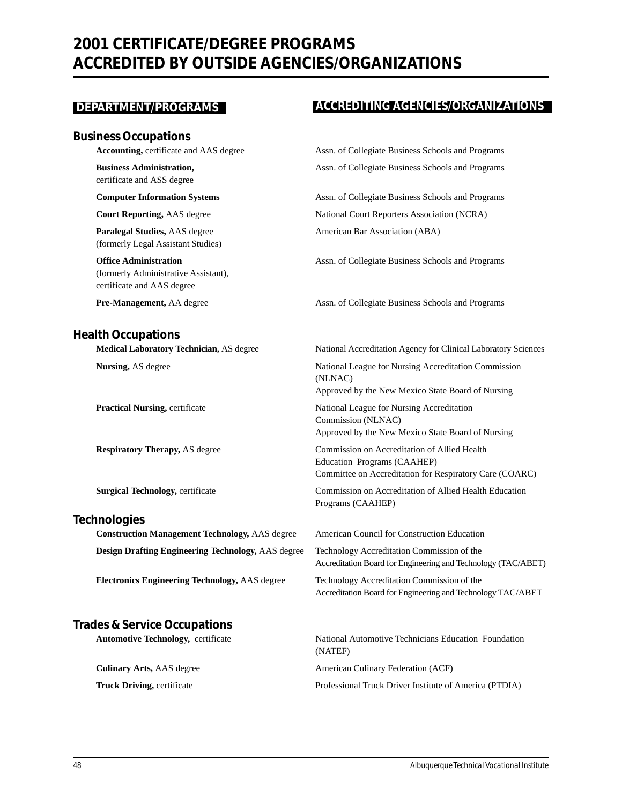### **2001 CERTIFICATE/DEGREE PROGRAMS ACCREDITED BY OUTSIDE AGENCIES/ORGANIZATIONS**

#### **Business Occupations**

certificate and ASS degree

**Paralegal Studies,** AAS degree American Bar Association (ABA) (formerly Legal Assistant Studies)

(formerly Administrative Assistant), certificate and AAS degree

#### **Health Occupations**

#### **Technologies**

**Construction Management Technology,** AAS degree American Council for Construction Education **Design Drafting Engineering Technology,** AAS degree Technology Accreditation Commission of the

**Electronics Engineering Technology,** AAS degree Technology Accreditation Commission of the

#### **Trades & Service Occupations**

#### **DEPARTMENT/PROGRAMS** ACCREDITING AGENCIES/ORGANIZATIONS

Accounting, certificate and AAS degree Assn. of Collegiate Business Schools and Programs **Business Administration, The Collegiate Business Schools and Programs** Assn. of Collegiate Business Schools and Programs

**Computer Information Systems** Assn. of Collegiate Business Schools and Programs **Court Reporting,** AAS degree National Court Reporters Association (NCRA)

**Office Administration** Assn. of Collegiate Business Schools and Programs

**Pre-Management,** AA degree Assn. of Collegiate Business Schools and Programs

**Medical Laboratory Technician,** AS degree National Accreditation Agency for Clinical Laboratory Sciences

**Nursing,** AS degree National League for Nursing Accreditation Commission (NLNAC) Approved by the New Mexico State Board of Nursing

**Practical Nursing, certificate 1986 1997 12:30 National League for Nursing Accreditation** Commission (NLNAC) Approved by the New Mexico State Board of Nursing

**Respiratory Therapy, AS degree Commission on Accreditation of Allied Health** Education Programs (CAAHEP) Committee on Accreditation for Respiratory Care (COARC)

**Surgical Technology, certificate Commission on Accreditation of Allied Health Education** Programs (CAAHEP)

Accreditation Board for Engineering and Technology (TAC/ABET)

Accreditation Board for Engineering and Technology TAC/ABET

**Automotive Technology,** certificate National Automotive Technicians Education Foundation (NATEF) **Culinary Arts, AAS degree American Culinary Federation (ACF) Truck Driving, certificate** Professional Truck Driver Institute of America (PTDIA)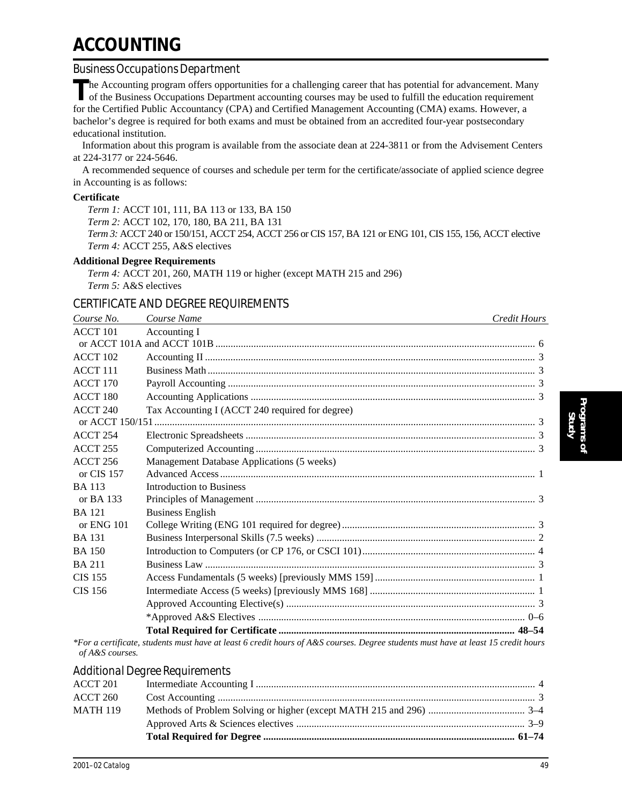## **ACCOUNTING**

#### *Business Occupations Department*

The Accounting program offers opportunities for a challenging career that has potential for advancement. Many of the Business Occupations Department accounting courses may be used to fulfill the education requirement for the Certified Public Accountancy (CPA) and Certified Management Accounting (CMA) exams. However, a bachelor's degree is required for both exams and must be obtained from an accredited four-year postsecondary educational institution.

Information about this program is available from the associate dean at 224-3811 or from the Advisement Centers at 224-3177 or 224-5646.

A recommended sequence of courses and schedule per term for the certificate/associate of applied science degree in Accounting is as follows:

#### **Certificate**

*Term 1:* ACCT 101, 111, BA 113 or 133, BA 150 *Term 2:* ACCT 102, 170, 180, BA 211, BA 131 *Term 3:* ACCT 240 or 150/151, ACCT 254, ACCT 256 or CIS 157, BA 121 or ENG 101, CIS 155, 156, ACCT elective *Term 4:* ACCT 255, A&S electives

#### **Additional Degree Requirements**

*Term 4:* ACCT 201, 260, MATH 119 or higher (except MATH 215 and 296) *Term 5:* A&S electives

#### CERTIFICATE AND DEGREE REQUIREMENTS

| Course No.      | Course Name                                                                                                                      | <b>Credit Hours</b> |
|-----------------|----------------------------------------------------------------------------------------------------------------------------------|---------------------|
| ACCT 101        | Accounting I                                                                                                                     |                     |
|                 |                                                                                                                                  |                     |
| <b>ACCT 102</b> |                                                                                                                                  |                     |
| $ACCT$ 111      |                                                                                                                                  |                     |
| <b>ACCT 170</b> |                                                                                                                                  |                     |
| <b>ACCT 180</b> |                                                                                                                                  |                     |
| ACCT 240        | Tax Accounting I (ACCT 240 required for degree)                                                                                  |                     |
|                 |                                                                                                                                  |                     |
| <b>ACCT 254</b> |                                                                                                                                  |                     |
| <b>ACCT 255</b> |                                                                                                                                  |                     |
| ACCT 256        | Management Database Applications (5 weeks)                                                                                       |                     |
| or CIS 157      |                                                                                                                                  |                     |
| <b>BA</b> 113   | <b>Introduction to Business</b>                                                                                                  |                     |
| or BA 133       |                                                                                                                                  |                     |
| <b>BA</b> 121   | <b>Business English</b>                                                                                                          |                     |
| or $ENG$ 101    |                                                                                                                                  |                     |
| <b>BA</b> 131   |                                                                                                                                  |                     |
| <b>BA</b> 150   |                                                                                                                                  |                     |
| <b>BA 211</b>   |                                                                                                                                  |                     |
| <b>CIS 155</b>  |                                                                                                                                  |                     |
| <b>CIS 156</b>  |                                                                                                                                  |                     |
|                 |                                                                                                                                  |                     |
|                 |                                                                                                                                  |                     |
|                 |                                                                                                                                  |                     |
|                 | *Early a south and onlands much bours of legath and it bound of A R accuracy Deams students must bours of legath I5 and it bound |                     |

*\*For a certificate, students must have at least 6 credit hours of A&S courses. Degree students must have at least 15 credit hours of A&S courses.*

#### *Additional Degree Requirements*

| ACCT 201        |  |
|-----------------|--|
| ACCT 260        |  |
| <b>MATH 119</b> |  |
|                 |  |
|                 |  |
|                 |  |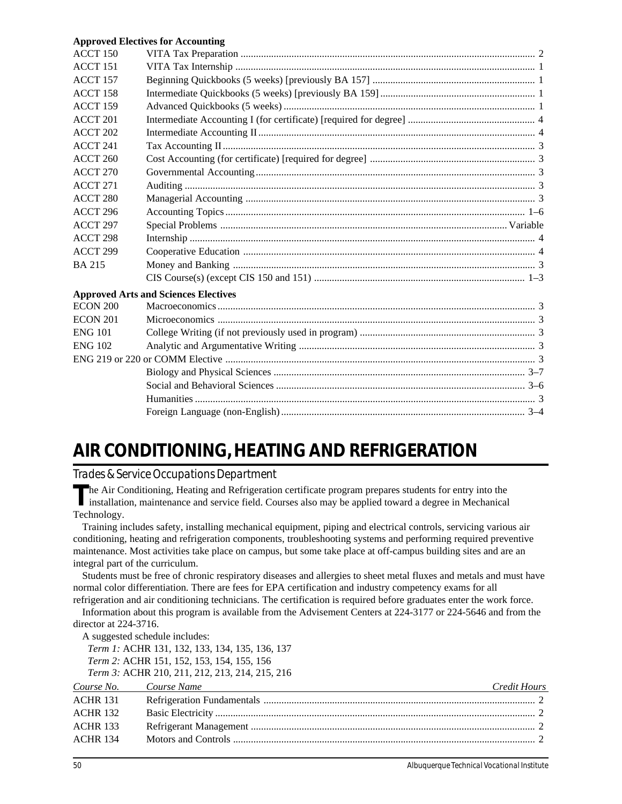#### **Approved Electives for Accounting**

| $ACCT$ 150          |                                             |  |
|---------------------|---------------------------------------------|--|
| ACCT 151            |                                             |  |
| <b>ACCT 157</b>     |                                             |  |
| <b>ACCT 158</b>     |                                             |  |
| ACCT 159            |                                             |  |
| ACCT <sub>201</sub> |                                             |  |
| ACCT <sub>202</sub> |                                             |  |
| ACCT 241            |                                             |  |
| <b>ACCT 260</b>     |                                             |  |
| <b>ACCT 270</b>     |                                             |  |
| <b>ACCT 271</b>     |                                             |  |
| <b>ACCT 280</b>     |                                             |  |
| ACCT 296            |                                             |  |
| ACCT 297            |                                             |  |
| ACCT <sub>298</sub> |                                             |  |
| ACCT <sub>299</sub> |                                             |  |
| <b>BA215</b>        |                                             |  |
|                     |                                             |  |
|                     | <b>Approved Arts and Sciences Electives</b> |  |
| ECON 200            |                                             |  |
| <b>ECON 201</b>     |                                             |  |
| <b>ENG 101</b>      |                                             |  |
| <b>ENG 102</b>      |                                             |  |
|                     |                                             |  |
|                     |                                             |  |
|                     |                                             |  |
|                     |                                             |  |
|                     |                                             |  |
|                     |                                             |  |

## **AIR CONDITIONING, HEATING AND REFRIGERATION**

*Trades & Service Occupations Department*

The Air Conditioning, Heating and Refrigeration certificate program prepares students for entry into the installation, maintenance and service field. Courses also may be applied toward a degree in Mechanical Technology.

Training includes safety, installing mechanical equipment, piping and electrical controls, servicing various air conditioning, heating and refrigeration components, troubleshooting systems and performing required preventive maintenance. Most activities take place on campus, but some take place at off-campus building sites and are an integral part of the curriculum.

Students must be free of chronic respiratory diseases and allergies to sheet metal fluxes and metals and must have normal color differentiation. There are fees for EPA certification and industry competency exams for all refrigeration and air conditioning technicians. The certification is required before graduates enter the work force.

Information about this program is available from the Advisement Centers at 224-3177 or 224-5646 and from the director at 224-3716.

A suggested schedule includes: *Term 1:* ACHR 131, 132, 133, 134, 135, 136, 137 *Term 2:* ACHR 151, 152, 153, 154, 155, 156

*Term 3:* ACHR 210, 211, 212, 213, 214, 215, 216

| Course No. Course Name | and the control of the control of the control of the control of the control of the control of the control of the | Credit Hours |
|------------------------|------------------------------------------------------------------------------------------------------------------|--------------|
| <b>ACHR 131</b>        |                                                                                                                  |              |
| <b>ACHR 132</b>        |                                                                                                                  |              |
| <b>ACHR 133</b>        |                                                                                                                  |              |
| <b>ACHR 134</b>        |                                                                                                                  |              |
|                        |                                                                                                                  |              |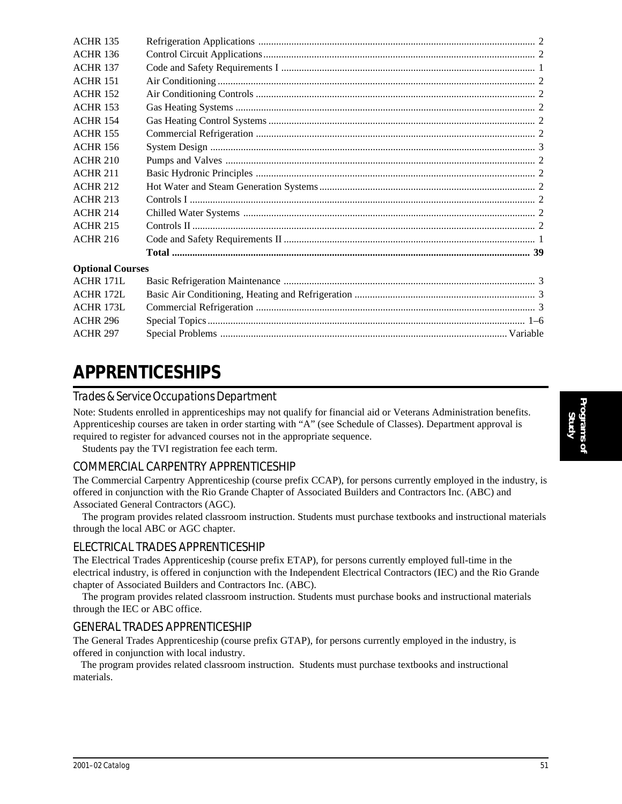| <b>ACHR 135</b>         |  |
|-------------------------|--|
| <b>ACHR 136</b>         |  |
| <b>ACHR 137</b>         |  |
| <b>ACHR 151</b>         |  |
| <b>ACHR 152</b>         |  |
| <b>ACHR 153</b>         |  |
| <b>ACHR 154</b>         |  |
| <b>ACHR 155</b>         |  |
| <b>ACHR 156</b>         |  |
| <b>ACHR 210</b>         |  |
| <b>ACHR 211</b>         |  |
| <b>ACHR 212</b>         |  |
| <b>ACHR 213</b>         |  |
| <b>ACHR 214</b>         |  |
| <b>ACHR 215</b>         |  |
| <b>ACHR 216</b>         |  |
|                         |  |
| <b>Optional Courses</b> |  |
| <b>ACHR 171L</b>        |  |
| ACHR 172L               |  |
| <b>ACHR 173L</b>        |  |
| <b>ACHR 296</b>         |  |
| <b>ACHR 297</b>         |  |
|                         |  |

## **APPRENTICESHIPS**

#### *Trades & Service Occupations Department*

Note: Students enrolled in apprenticeships may not qualify for financial aid or Veterans Administration benefits. Apprenticeship courses are taken in order starting with "A" (see Schedule of Classes). Department approval is required to register for advanced courses not in the appropriate sequence.

Students pay the TVI registration fee each term.

#### COMMERCIAL CARPENTRY APPRENTICESHIP

The Commercial Carpentry Apprenticeship (course prefix CCAP), for persons currently employed in the industry, is offered in conjunction with the Rio Grande Chapter of Associated Builders and Contractors Inc. (ABC) and Associated General Contractors (AGC).

The program provides related classroom instruction. Students must purchase textbooks and instructional materials through the local ABC or AGC chapter.

#### ELECTRICAL TRADES APPRENTICESHIP

The Electrical Trades Apprenticeship (course prefix ETAP), for persons currently employed full-time in the electrical industry, is offered in conjunction with the Independent Electrical Contractors (IEC) and the Rio Grande chapter of Associated Builders and Contractors Inc. (ABC).

The program provides related classroom instruction. Students must purchase books and instructional materials through the IEC or ABC office.

#### GENERAL TRADES APPRENTICESHIP

The General Trades Apprenticeship (course prefix GTAP), for persons currently employed in the industry, is offered in conjunction with local industry.

 The program provides related classroom instruction. Students must purchase textbooks and instructional materials.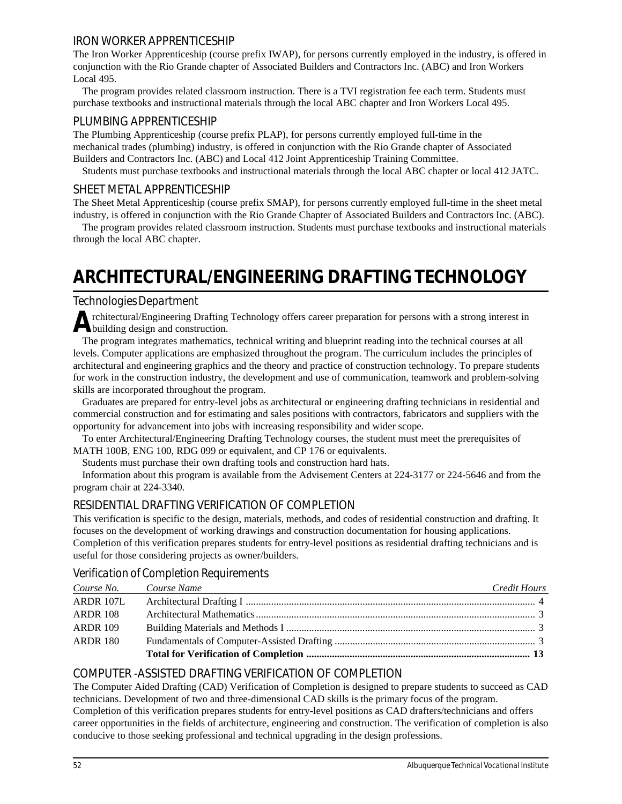#### IRON WORKER APPRENTICESHIP

The Iron Worker Apprenticeship (course prefix IWAP), for persons currently employed in the industry, is offered in conjunction with the Rio Grande chapter of Associated Builders and Contractors Inc. (ABC) and Iron Workers Local 495.

The program provides related classroom instruction. There is a TVI registration fee each term. Students must purchase textbooks and instructional materials through the local ABC chapter and Iron Workers Local 495.

#### PLUMBING APPRENTICESHIP

The Plumbing Apprenticeship (course prefix PLAP), for persons currently employed full-time in the mechanical trades (plumbing) industry, is offered in conjunction with the Rio Grande chapter of Associated Builders and Contractors Inc. (ABC) and Local 412 Joint Apprenticeship Training Committee.

Students must purchase textbooks and instructional materials through the local ABC chapter or local 412 JATC.

#### SHEET METAL APPRENTICESHIP

The Sheet Metal Apprenticeship (course prefix SMAP), for persons currently employed full-time in the sheet metal industry, is offered in conjunction with the Rio Grande Chapter of Associated Builders and Contractors Inc. (ABC).

The program provides related classroom instruction. Students must purchase textbooks and instructional materials through the local ABC chapter.

## **ARCHITECTURAL/ENGINEERING DRAFTING TECHNOLOGY**

#### *Technologies Department*

Architectural/Engineering Drafting Technology offers career preparation for persons with a strong interest in building design and construction.

The program integrates mathematics, technical writing and blueprint reading into the technical courses at all levels. Computer applications are emphasized throughout the program. The curriculum includes the principles of architectural and engineering graphics and the theory and practice of construction technology. To prepare students for work in the construction industry, the development and use of communication, teamwork and problem-solving skills are incorporated throughout the program.

Graduates are prepared for entry-level jobs as architectural or engineering drafting technicians in residential and commercial construction and for estimating and sales positions with contractors, fabricators and suppliers with the opportunity for advancement into jobs with increasing responsibility and wider scope.

To enter Architectural/Engineering Drafting Technology courses, the student must meet the prerequisites of MATH 100B, ENG 100, RDG 099 or equivalent, and CP 176 or equivalents.

Students must purchase their own drafting tools and construction hard hats.

Information about this program is available from the Advisement Centers at 224-3177 or 224-5646 and from the program chair at 224-3340.

#### RESIDENTIAL DRAFTING VERIFICATION OF COMPLETION

This verification is specific to the design, materials, methods, and codes of residential construction and drafting. It focuses on the development of working drawings and construction documentation for housing applications. Completion of this verification prepares students for entry-level positions as residential drafting technicians and is useful for those considering projects as owner/builders.

#### *Verification of Completion Requirements*

| Course No. Course Name | Credit Hours |
|------------------------|--------------|
| ARDR 107L              |              |
| <b>ARDR 108</b>        |              |
| <b>ARDR</b> 109        |              |
| <b>ARDR 180</b>        |              |
|                        |              |

#### COMPUTER -ASSISTED DRAFTING VERIFICATION OF COMPLETION

The Computer Aided Drafting (CAD) Verification of Completion is designed to prepare students to succeed as CAD technicians. Development of two and three-dimensional CAD skills is the primary focus of the program. Completion of this verification prepares students for entry-level positions as CAD drafters/technicians and offers

career opportunities in the fields of architecture, engineering and construction. The verification of completion is also conducive to those seeking professional and technical upgrading in the design professions.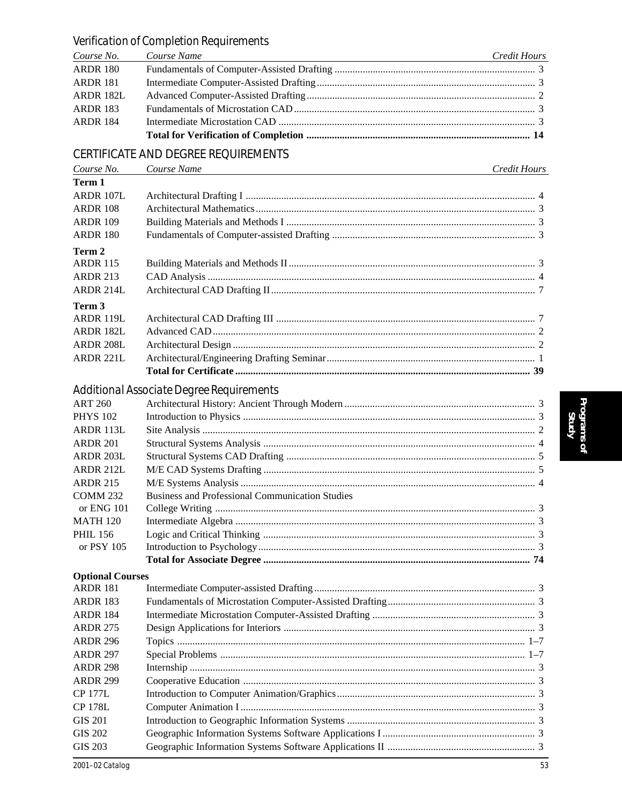| Course No.              | Course Name                                            | Credit Hours |
|-------------------------|--------------------------------------------------------|--------------|
| <b>ARDR 180</b>         |                                                        |              |
| <b>ARDR 181</b>         |                                                        |              |
| ARDR 182L               |                                                        |              |
| <b>ARDR 183</b>         |                                                        |              |
| <b>ARDR 184</b>         |                                                        |              |
|                         |                                                        |              |
|                         | <b>CERTIFICATE AND DEGREE REQUIREMENTS</b>             |              |
|                         |                                                        |              |
| Course No.              | Course Name                                            | Credit Hours |
| Term 1                  |                                                        |              |
| ARDR 107L               |                                                        |              |
| <b>ARDR 108</b>         |                                                        |              |
| <b>ARDR 109</b>         |                                                        |              |
| <b>ARDR 180</b>         |                                                        |              |
| Term 2                  |                                                        |              |
| <b>ARDR 115</b>         |                                                        |              |
| <b>ARDR 213</b>         |                                                        |              |
| <b>ARDR 214L</b>        |                                                        |              |
| Term 3                  |                                                        |              |
| ARDR 119L               |                                                        |              |
| <b>ARDR 182L</b>        |                                                        |              |
| ARDR 208L               |                                                        |              |
| ARDR 221L               |                                                        |              |
|                         |                                                        |              |
|                         | Additional Associate Degree Requirements               |              |
| <b>ART 260</b>          |                                                        |              |
| <b>PHYS 102</b>         |                                                        |              |
| ARDR 113L               |                                                        |              |
| <b>ARDR 201</b>         |                                                        |              |
| ARDR 203L               |                                                        |              |
| ARDR 212L               |                                                        |              |
| <b>ARDR 215</b>         |                                                        |              |
| <b>COMM 232</b>         | <b>Business and Professional Communication Studies</b> |              |
| or ENG 101              |                                                        |              |
| <b>MATH 120</b>         |                                                        |              |
| <b>PHIL 156</b>         |                                                        |              |
| or PSY 105              |                                                        |              |
|                         |                                                        |              |
| <b>Optional Courses</b> |                                                        |              |
| <b>ARDR 181</b>         |                                                        |              |
| <b>ARDR 183</b>         |                                                        |              |
| <b>ARDR 184</b>         |                                                        |              |
| <b>ARDR 275</b>         |                                                        |              |
| <b>ARDR 296</b>         |                                                        |              |
| <b>ARDR 297</b>         |                                                        |              |
| <b>ARDR 298</b>         |                                                        |              |
| <b>ARDR 299</b>         |                                                        |              |
| <b>CP 177L</b>          |                                                        |              |
| <b>CP 178L</b>          |                                                        |              |
| <b>GIS 201</b>          |                                                        |              |
| <b>GIS 202</b>          |                                                        |              |

#### Verification of Completion Requirements Course Name

**GIS 203** 

#### $\overline{53}$

### Credit Hours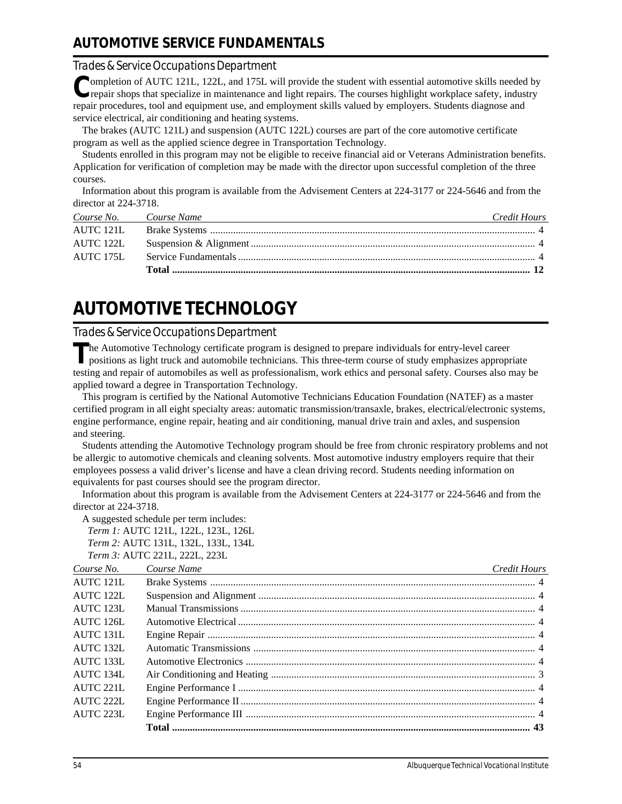### **AUTOMOTIVE SERVICE FUNDAMENTALS**

#### *Trades & Service Occupations Department*

**C**ompletion of AUTC 121L, 122L, and 175L will provide the student with essential automotive skills needed by repair shops that specialize in maintenance and light repairs. The courses highlight workplace safety, industry repair procedures, tool and equipment use, and employment skills valued by employers. Students diagnose and service electrical, air conditioning and heating systems.

The brakes (AUTC 121L) and suspension (AUTC 122L) courses are part of the core automotive certificate program as well as the applied science degree in Transportation Technology.

Students enrolled in this program may not be eligible to receive financial aid or Veterans Administration benefits. Application for verification of completion may be made with the director upon successful completion of the three courses.

Information about this program is available from the Advisement Centers at 224-3177 or 224-5646 and from the director at 224-3718.

| Course No. Course Name | Credit Hours |
|------------------------|--------------|
|                        |              |
| AUTC 122L              |              |
| AUTC 175L              |              |
|                        |              |

## **AUTOMOTIVE TECHNOLOGY**

#### *Trades & Service Occupations Department*

The Automotive Technology certificate program is designed to prepare individuals for entry-level career positions as light truck and automobile technicians. This three-term course of study emphasizes appropriate testing and repair of automobiles as well as professionalism, work ethics and personal safety. Courses also may be applied toward a degree in Transportation Technology.

This program is certified by the National Automotive Technicians Education Foundation (NATEF) as a master certified program in all eight specialty areas: automatic transmission/transaxle, brakes, electrical/electronic systems, engine performance, engine repair, heating and air conditioning, manual drive train and axles, and suspension and steering.

Students attending the Automotive Technology program should be free from chronic respiratory problems and not be allergic to automotive chemicals and cleaning solvents. Most automotive industry employers require that their employees possess a valid driver's license and have a clean driving record. Students needing information on equivalents for past courses should see the program director.

Information about this program is available from the Advisement Centers at 224-3177 or 224-5646 and from the director at 224-3718.

A suggested schedule per term includes:

*Term 1:* AUTC 121L, 122L, 123L, 126L *Term 2:* AUTC 131L, 132L, 133L, 134L

*Term 3:* AUTC 221L, 222L, 223L

| Course No.            | Course Name<br><u> 1989 - Johann Stein, mars an deus Amerikaansk kommunister (</u> | <b>Credit Hours</b> |
|-----------------------|------------------------------------------------------------------------------------|---------------------|
| AUTC 121L             |                                                                                    |                     |
| AUTC 122L             |                                                                                    |                     |
| AUTC 123L             |                                                                                    |                     |
| $\triangle$ LITC 126L |                                                                                    |                     |
| AUTC 131L             |                                                                                    |                     |
| AUTC 132L             |                                                                                    |                     |
| <b>AUTC 133L</b>      |                                                                                    |                     |
| AUTC 134L             |                                                                                    |                     |
| AUTC 221L             |                                                                                    |                     |
| AUTC 222L             |                                                                                    |                     |
| AUTC 223L             |                                                                                    |                     |
|                       |                                                                                    |                     |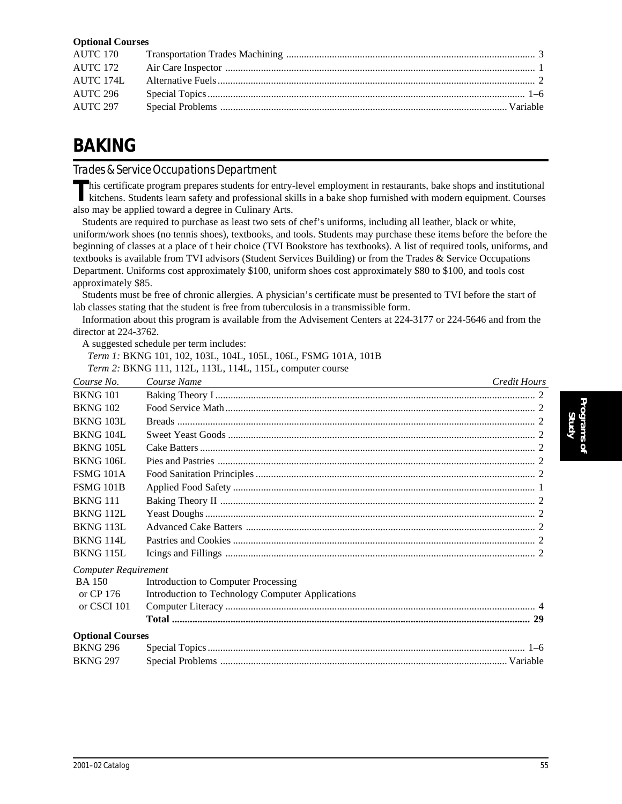#### **Optional Courses**

| AUTC 172 |  |
|----------|--|
|          |  |
| AUTC 296 |  |
| AUTC 297 |  |

## **BAKING**

*Trades & Service Occupations Department*

This certificate program prepares students for entry-level employment in restaurants, bake shops and institutional<br>kitchens. Students learn safety and professional skills in a bake shop furnished with modern equipment. Cou also may be applied toward a degree in Culinary Arts.

Students are required to purchase as least two sets of chef's uniforms, including all leather, black or white, uniform/work shoes (no tennis shoes), textbooks, and tools. Students may purchase these items before the before the beginning of classes at a place of t heir choice (TVI Bookstore has textbooks). A list of required tools, uniforms, and textbooks is available from TVI advisors (Student Services Building) or from the Trades & Service Occupations Department. Uniforms cost approximately \$100, uniform shoes cost approximately \$80 to \$100, and tools cost approximately \$85.

Students must be free of chronic allergies. A physician's certificate must be presented to TVI before the start of lab classes stating that the student is free from tuberculosis in a transmissible form.

Information about this program is available from the Advisement Centers at 224-3177 or 224-5646 and from the director at 224-3762.

A suggested schedule per term includes:

*Term 1:* BKNG 101, 102, 103L, 104L, 105L, 106L, FSMG 101A, 101B

*Term 2:* BKNG 111, 112L, 113L, 114L, 115L, computer course

| Course No.                  | Course Name<br><u> 1989 - Johann Barn, mars ann an t-Amhain an t-Amhain ann an t-Amhain an t-Amhain an t-Amhain an t-Amhain an t-</u> | Credit Hours |
|-----------------------------|---------------------------------------------------------------------------------------------------------------------------------------|--------------|
| <b>BKNG 101</b>             |                                                                                                                                       |              |
| <b>BKNG 102</b>             |                                                                                                                                       |              |
| <b>BKNG 103L</b>            |                                                                                                                                       |              |
| <b>BKNG 104L</b>            |                                                                                                                                       |              |
| <b>BKNG 105L</b>            |                                                                                                                                       |              |
| <b>BKNG 106L</b>            |                                                                                                                                       |              |
| FSMG 101A                   |                                                                                                                                       |              |
| <b>FSMG 101B</b>            |                                                                                                                                       |              |
| <b>BKNG 111</b>             |                                                                                                                                       |              |
| BKNG 112L                   |                                                                                                                                       |              |
| <b>BKNG 113L</b>            |                                                                                                                                       |              |
| <b>BKNG 114L</b>            |                                                                                                                                       |              |
| <b>BKNG 115L</b>            |                                                                                                                                       |              |
| <b>Computer Requirement</b> |                                                                                                                                       |              |
| <b>BA</b> 150               | Introduction to Computer Processing                                                                                                   |              |
| or $CP$ 176                 | Introduction to Technology Computer Applications                                                                                      |              |
| or CSCI 101                 |                                                                                                                                       |              |
|                             |                                                                                                                                       |              |
| <b>Optional Courses</b>     |                                                                                                                                       |              |
| <b>BKNG 296</b>             |                                                                                                                                       |              |
| <b>BKNG 297</b>             |                                                                                                                                       |              |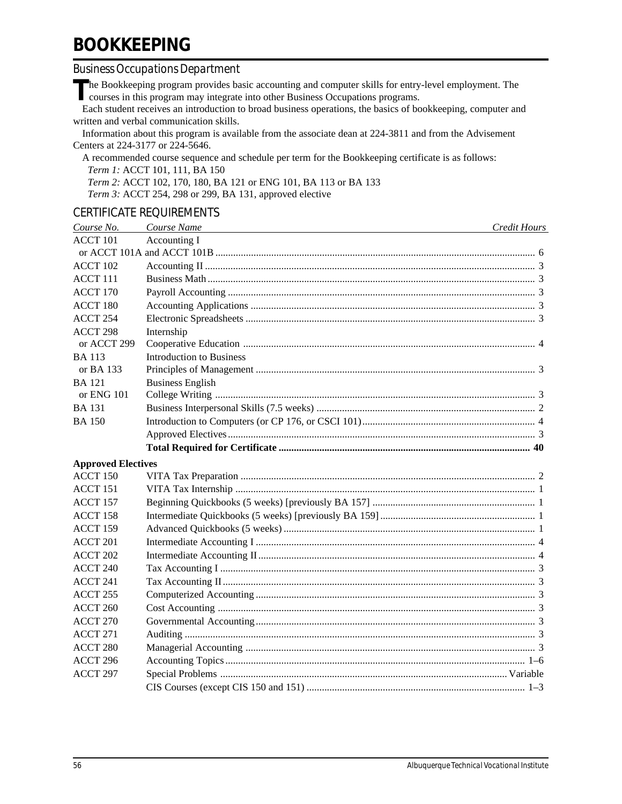## **BOOKKEEPING**

#### *Business Occupations Department*

The Bookkeeping program provides basic accounting and computer skills for entry-level employment. The courses in this program may integrate into other Business Occupations programs.

Each student receives an introduction to broad business operations, the basics of bookkeeping, computer and written and verbal communication skills.

Information about this program is available from the associate dean at 224-3811 and from the Advisement Centers at 224-3177 or 224-5646.

A recommended course sequence and schedule per term for the Bookkeeping certificate is as follows: *Term 1:* ACCT 101, 111, BA 150 *Term 2:* ACCT 102, 170, 180, BA 121 or ENG 101, BA 113 or BA 133

*Term 3:* ACCT 254, 298 or 299, BA 131, approved elective

#### CERTIFICATE REQUIREMENTS

| Course No.                | Course Name                     | Credit Hours |
|---------------------------|---------------------------------|--------------|
| <b>ACCT 101</b>           | Accounting I                    |              |
|                           |                                 |              |
| ACCT 102                  |                                 |              |
| ACCT <sub>111</sub>       |                                 |              |
| ACCT 170                  |                                 |              |
| ACCT 180                  |                                 |              |
| ACCT 254                  |                                 |              |
| ACCT 298                  | Internship                      |              |
| or ACCT 299               |                                 |              |
| <b>BA</b> 113             | <b>Introduction to Business</b> |              |
| or BA 133                 |                                 |              |
| <b>BA</b> 121             | <b>Business English</b>         |              |
| or ENG 101                |                                 |              |
| <b>BA</b> 131             |                                 |              |
| <b>BA 150</b>             |                                 |              |
|                           |                                 |              |
|                           |                                 |              |
| <b>Approved Electives</b> |                                 |              |
| ACCT 150                  |                                 |              |
| ACCT 151                  |                                 |              |
| ACCT 157                  |                                 |              |
| ACCT 158                  |                                 |              |
| ACCT 159                  |                                 |              |
| ACCT 201                  |                                 |              |
| ACCT 202                  |                                 |              |
| ACCT 240                  |                                 |              |
| ACCT 241                  |                                 |              |
| ACCT 255                  |                                 |              |
| ACCT 260                  |                                 |              |
| ACCT 270                  |                                 |              |
| ACCT 271                  |                                 |              |
| ACCT 280                  |                                 |              |
| ACCT 296                  |                                 |              |
| ACCT <sub>297</sub>       |                                 |              |
|                           |                                 |              |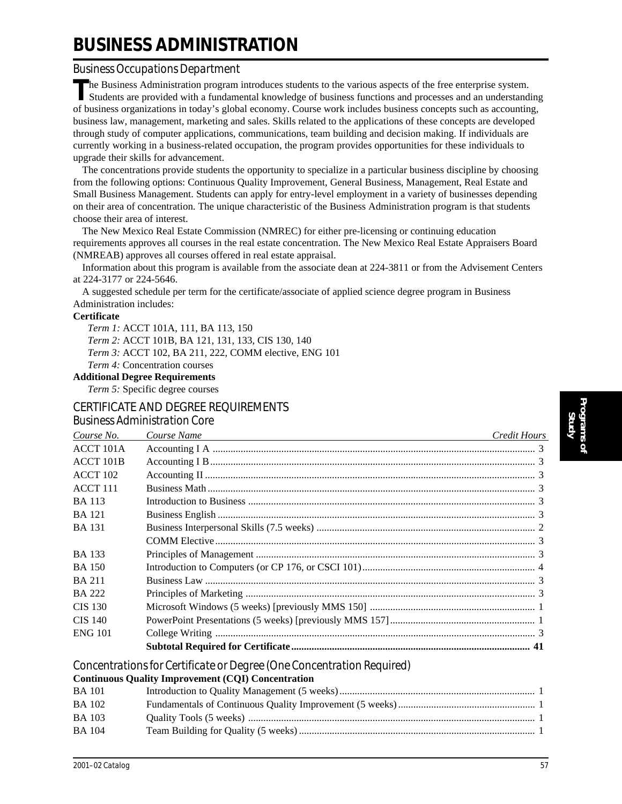## **BUSINESS ADMINISTRATION**

#### *Business Occupations Department*

**T**he Business Administration program introduces students to the various aspects of the free enterprise system. Students are provided with a fundamental knowledge of business functions and processes and an understanding of business organizations in today's global economy. Course work includes business concepts such as accounting, business law, management, marketing and sales. Skills related to the applications of these concepts are developed through study of computer applications, communications, team building and decision making. If individuals are currently working in a business-related occupation, the program provides opportunities for these individuals to upgrade their skills for advancement.

The concentrations provide students the opportunity to specialize in a particular business discipline by choosing from the following options: Continuous Quality Improvement, General Business, Management, Real Estate and Small Business Management. Students can apply for entry-level employment in a variety of businesses depending on their area of concentration. The unique characteristic of the Business Administration program is that students choose their area of interest.

The New Mexico Real Estate Commission (NMREC) for either pre-licensing or continuing education requirements approves all courses in the real estate concentration. The New Mexico Real Estate Appraisers Board (NMREAB) approves all courses offered in real estate appraisal.

Information about this program is available from the associate dean at 224-3811 or from the Advisement Centers at 224-3177 or 224-5646.

A suggested schedule per term for the certificate/associate of applied science degree program in Business Administration includes:

#### **Certificate**

*Term 1:* ACCT 101A, 111, BA 113, 150 *Term 2:* ACCT 101B, BA 121, 131, 133, CIS 130, 140 *Term 3:* ACCT 102, BA 211, 222, COMM elective, ENG 101 *Term 4:* Concentration courses

#### **Additional Degree Requirements**

*Term 5:* Specific degree courses

#### CERTIFICATE AND DEGREE REQUIREMENTS

#### *Business Administration Core*

| Course No.       | Course Name | Credit Hours |
|------------------|-------------|--------------|
| ACCT 101A        |             |              |
| <b>ACCT 101B</b> |             |              |
| ACCT 102         |             |              |
| $ACCT$ 111       |             |              |
| <b>BA</b> 113    |             |              |
| <b>BA</b> 121    |             |              |
| <b>BA</b> 131    |             |              |
|                  |             |              |
| <b>BA</b> 133    |             |              |
| BA 150           |             |              |
| <b>BA 211</b>    |             |              |
| <b>BA 222</b>    |             |              |
| <b>CIS 130</b>   |             |              |
| <b>CIS 140</b>   |             |              |
| <b>ENG 101</b>   |             |              |
|                  |             |              |

*Concentrations for Certificate or Degree (One Concentration Required)*

#### **Continuous Quality Improvement (CQI) Concentration**

| <b>BA</b> 101 |  |
|---------------|--|
| <b>BA</b> 102 |  |
| <b>BA</b> 103 |  |
| <b>BA</b> 104 |  |
|               |  |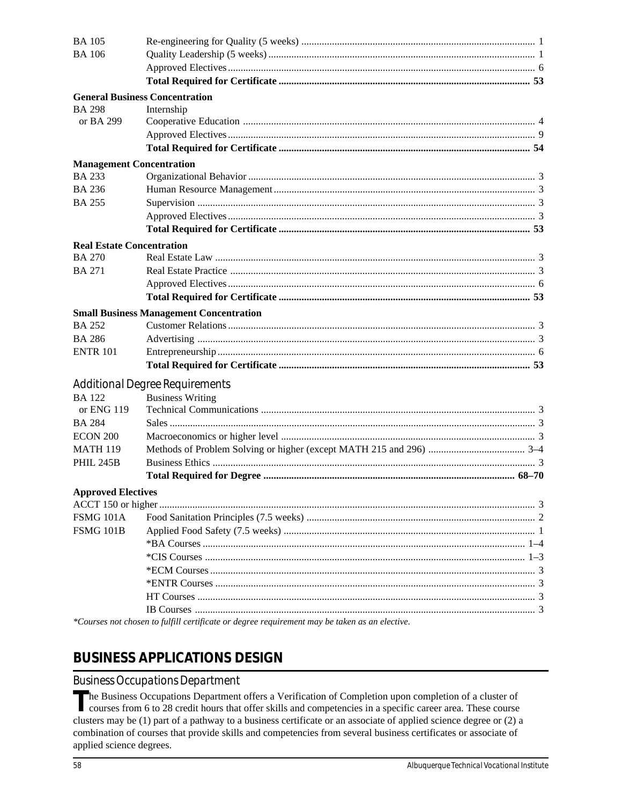| <b>BA</b> 105                    |                                                                                               |  |
|----------------------------------|-----------------------------------------------------------------------------------------------|--|
| <b>BA</b> 106                    |                                                                                               |  |
|                                  |                                                                                               |  |
|                                  |                                                                                               |  |
|                                  | <b>General Business Concentration</b>                                                         |  |
| <b>BA 298</b>                    | Internship                                                                                    |  |
| or BA 299                        |                                                                                               |  |
|                                  |                                                                                               |  |
|                                  |                                                                                               |  |
| <b>Management Concentration</b>  |                                                                                               |  |
| <b>BA 233</b>                    |                                                                                               |  |
| <b>BA 236</b>                    |                                                                                               |  |
| <b>BA 255</b>                    |                                                                                               |  |
|                                  |                                                                                               |  |
|                                  |                                                                                               |  |
| <b>Real Estate Concentration</b> |                                                                                               |  |
| <b>BA 270</b>                    |                                                                                               |  |
| <b>BA 271</b>                    |                                                                                               |  |
|                                  |                                                                                               |  |
|                                  |                                                                                               |  |
|                                  | <b>Small Business Management Concentration</b>                                                |  |
| <b>BA 252</b>                    |                                                                                               |  |
| <b>BA 286</b>                    |                                                                                               |  |
| <b>ENTR 101</b>                  |                                                                                               |  |
|                                  |                                                                                               |  |
|                                  | <b>Additional Degree Requirements</b>                                                         |  |
| <b>BA</b> 122                    | <b>Business Writing</b>                                                                       |  |
| or ENG 119                       |                                                                                               |  |
| <b>BA 284</b>                    |                                                                                               |  |
| <b>ECON 200</b>                  |                                                                                               |  |
| <b>MATH 119</b>                  |                                                                                               |  |
| <b>PHIL 245B</b>                 |                                                                                               |  |
|                                  |                                                                                               |  |
| <b>Approved Electives</b>        |                                                                                               |  |
|                                  |                                                                                               |  |
| FSMG 101A                        |                                                                                               |  |
| <b>FSMG 101B</b>                 |                                                                                               |  |
|                                  |                                                                                               |  |
|                                  |                                                                                               |  |
|                                  |                                                                                               |  |
|                                  |                                                                                               |  |
|                                  |                                                                                               |  |
|                                  |                                                                                               |  |
|                                  | *Courses not chosen to fulfill certificate or degree requirement may be taken as an elective. |  |

### **BUSINESS APPLICATIONS DESIGN**

#### **Business Occupations Department**

The Business Occupations Department offers a Verification of Completion upon completion of a cluster of courses from 6 to 28 credit hours that offer skills and competencies in a specific career area. These course clusters may be (1) part of a pathway to a business certificate or an associate of applied science degree or (2) a combination of courses that provide skills and competencies from several business certificates or associate of applied science degrees.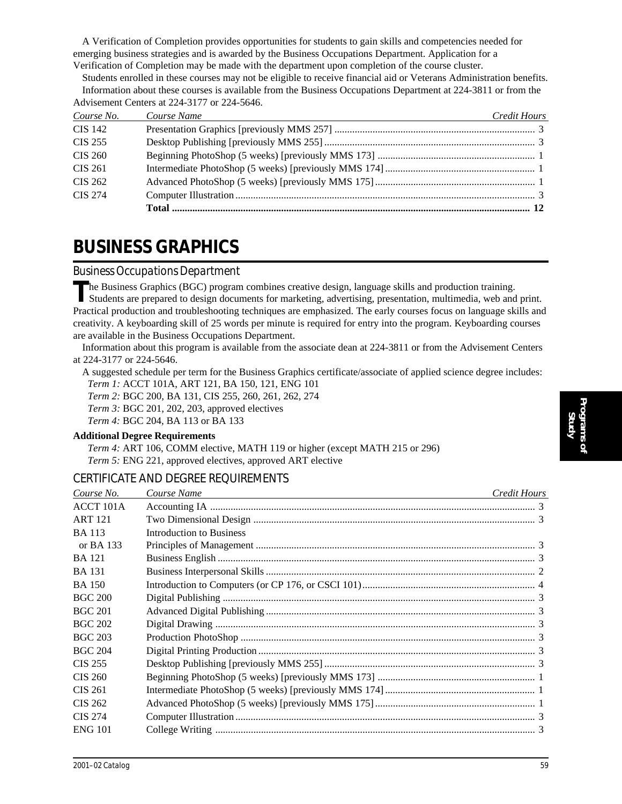A Verification of Completion provides opportunities for students to gain skills and competencies needed for emerging business strategies and is awarded by the Business Occupations Department. Application for a Verification of Completion may be made with the department upon completion of the course cluster.

Students enrolled in these courses may not be eligible to receive financial aid or Veterans Administration benefits. Information about these courses is available from the Business Occupations Department at 224-3811 or from the Advisement Centers at 224-3177 or 224-5646.

| Course No.     | Course Name | Credit Hours |
|----------------|-------------|--------------|
| <b>CIS 142</b> |             |              |
| <b>CIS 255</b> |             |              |
| CIS 260        |             |              |
| CIS 261        |             |              |
| CIS 262        |             |              |
| <b>CIS 274</b> |             |              |
|                |             |              |

## **BUSINESS GRAPHICS**

#### *Business Occupations Department*

**T**he Business Graphics (BGC) program combines creative design, language skills and production training. Students are prepared to design documents for marketing, advertising, presentation, multimedia, web and print. Practical production and troubleshooting techniques are emphasized. The early courses focus on language skills and creativity. A keyboarding skill of 25 words per minute is required for entry into the program. Keyboarding courses are available in the Business Occupations Department.

Information about this program is available from the associate dean at 224-3811 or from the Advisement Centers at 224-3177 or 224-5646.

A suggested schedule per term for the Business Graphics certificate/associate of applied science degree includes: *Term 1:* ACCT 101A, ART 121, BA 150, 121, ENG 101

*Term 2:* BGC 200, BA 131, CIS 255, 260, 261, 262, 274 *Term 3:* BGC 201, 202, 203, approved electives

*Term 4:* BGC 204, BA 113 or BA 133

#### **Additional Degree Requirements**

*Term 4:* ART 106, COMM elective, MATH 119 or higher (except MATH 215 or 296) *Term 5:* ENG 221, approved electives, approved ART elective

#### CERTIFICATE AND DEGREE REQUIREMENTS

| Course No.     | Course Name<br><u> 1986 - Jan Stein Stein Stein Stein Stein Stein Stein Stein Stein Stein Stein Stein Stein Stein Stein Stein S</u> | Credit Hours |
|----------------|-------------------------------------------------------------------------------------------------------------------------------------|--------------|
| ACCT 101A      |                                                                                                                                     |              |
| <b>ART 121</b> |                                                                                                                                     |              |
| <b>BA</b> 113  | Introduction to Business                                                                                                            |              |
| or BA $133$    |                                                                                                                                     |              |
| <b>BA</b> 121  |                                                                                                                                     |              |
| BA 131         |                                                                                                                                     |              |
| BA 150         |                                                                                                                                     |              |
| <b>BGC 200</b> |                                                                                                                                     |              |
| <b>BGC 201</b> |                                                                                                                                     |              |
| <b>BGC 202</b> |                                                                                                                                     |              |
| <b>BGC 203</b> |                                                                                                                                     |              |
| <b>BGC 204</b> |                                                                                                                                     |              |
| <b>CIS 255</b> |                                                                                                                                     |              |
| <b>CIS 260</b> |                                                                                                                                     |              |
| CIS 261        |                                                                                                                                     |              |
| CIS 262        |                                                                                                                                     |              |
| CIS 274        |                                                                                                                                     |              |
| <b>ENG 101</b> |                                                                                                                                     |              |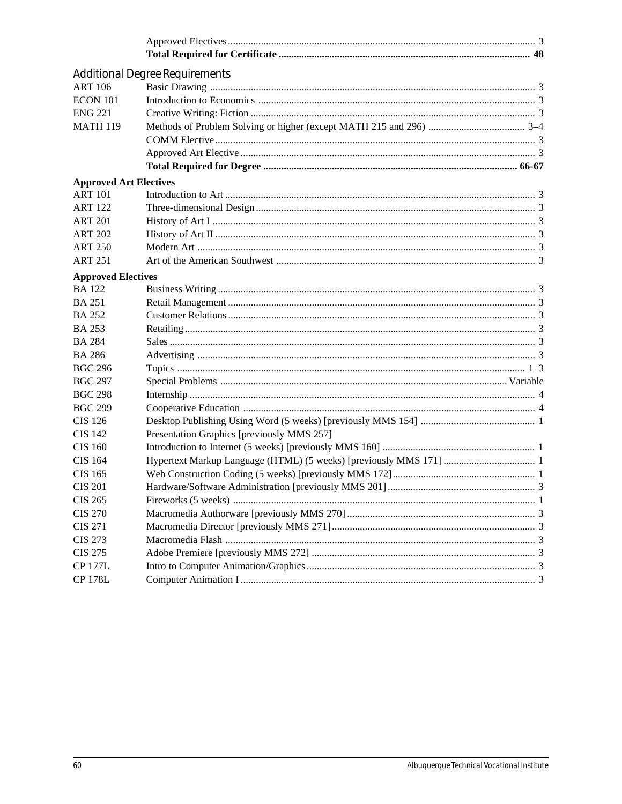|                               | <b>Additional Degree Requirements</b>      |  |
|-------------------------------|--------------------------------------------|--|
| <b>ART 106</b>                |                                            |  |
| <b>ECON 101</b>               |                                            |  |
| <b>ENG 221</b>                |                                            |  |
| <b>MATH 119</b>               |                                            |  |
|                               |                                            |  |
|                               |                                            |  |
|                               |                                            |  |
| <b>Approved Art Electives</b> |                                            |  |
| <b>ART 101</b>                |                                            |  |
| <b>ART 122</b>                |                                            |  |
| <b>ART 201</b>                |                                            |  |
| <b>ART 202</b>                |                                            |  |
| <b>ART 250</b>                |                                            |  |
| <b>ART 251</b>                |                                            |  |
| <b>Approved Electives</b>     |                                            |  |
| <b>BA</b> 122                 |                                            |  |
| <b>BA 251</b>                 |                                            |  |
| <b>BA 252</b>                 |                                            |  |
| <b>BA 253</b>                 |                                            |  |
| <b>BA 284</b>                 |                                            |  |
| <b>BA 286</b>                 |                                            |  |
| <b>BGC 296</b>                |                                            |  |
| <b>BGC 297</b>                |                                            |  |
| <b>BGC 298</b>                |                                            |  |
| <b>BGC 299</b>                |                                            |  |
| CIS 126                       |                                            |  |
| <b>CIS 142</b>                | Presentation Graphics [previously MMS 257] |  |
| CIS 160                       |                                            |  |
| <b>CIS 164</b>                |                                            |  |
| <b>CIS 165</b>                |                                            |  |
| <b>CIS 201</b>                |                                            |  |
| <b>CIS 265</b>                |                                            |  |
| <b>CIS 270</b>                |                                            |  |
| <b>CIS 271</b>                |                                            |  |
| <b>CIS 273</b>                |                                            |  |
| <b>CIS 275</b>                |                                            |  |
| <b>CP 177L</b>                |                                            |  |
| <b>CP 178L</b>                |                                            |  |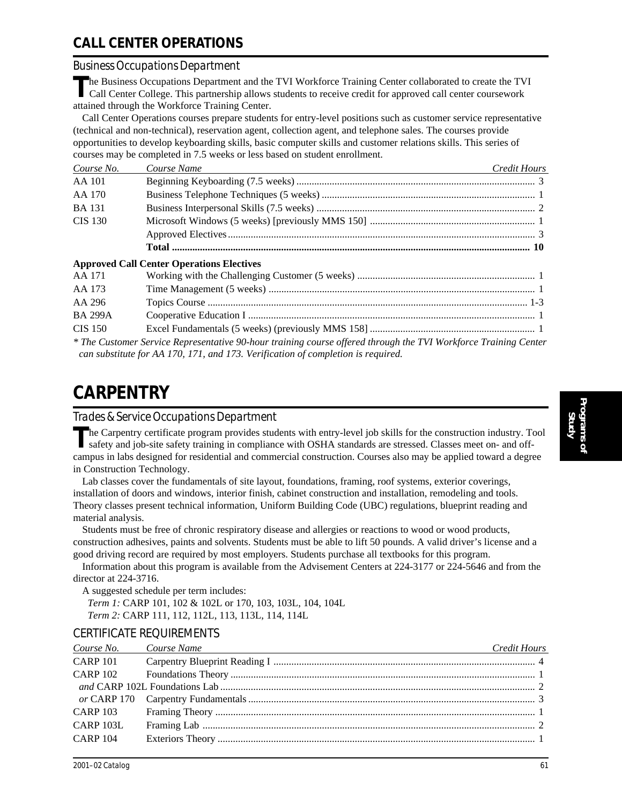### **CALL CENTER OPERATIONS**

#### *Business Occupations Department*

The Business Occupations Department and the TVI Workforce Training Center collaborated to create the TVI<br>Call Center Cellage This and the TVI Call Center College. This partnership allows students to receive credit for approved call center coursework attained through the Workforce Training Center.

Call Center Operations courses prepare students for entry-level positions such as customer service representative (technical and non-technical), reservation agent, collection agent, and telephone sales. The courses provide opportunities to develop keyboarding skills, basic computer skills and customer relations skills. This series of courses may be completed in 7.5 weeks or less based on student enrollment.

| Course No.     | Course Name | Credit Hours |
|----------------|-------------|--------------|
| AA 101         |             |              |
| AA 170         |             |              |
| <b>BA</b> 131  |             |              |
| <b>CIS 130</b> |             |              |
|                |             |              |
|                |             |              |

#### **Approved Call Center Operations Electives**

| AA 171         |                                                                                                                 |
|----------------|-----------------------------------------------------------------------------------------------------------------|
| AA 173         |                                                                                                                 |
| AA 296         |                                                                                                                 |
| <b>BA 299A</b> |                                                                                                                 |
| CIS 150        |                                                                                                                 |
|                | * The Customer Service Representative 90-hour training course offered through the TVI Workforce Training Center |
|                | can substitute for AA 170, 171, and 173, Verification of completion is required.                                |

### **CARPENTRY**

#### *Trades & Service Occupations Department*

The Carpentry certificate program provides students with entry-level job skills for the construction industry. Tool safety and job-site safety training in compliance with OSHA standards are stressed. Classes meet on- and o campus in labs designed for residential and commercial construction. Courses also may be applied toward a degree in Construction Technology.

Lab classes cover the fundamentals of site layout, foundations, framing, roof systems, exterior coverings, installation of doors and windows, interior finish, cabinet construction and installation, remodeling and tools. Theory classes present technical information, Uniform Building Code (UBC) regulations, blueprint reading and material analysis.

Students must be free of chronic respiratory disease and allergies or reactions to wood or wood products, construction adhesives, paints and solvents. Students must be able to lift 50 pounds. A valid driver's license and a good driving record are required by most employers. Students purchase all textbooks for this program.

Information about this program is available from the Advisement Centers at 224-3177 or 224-5646 and from the director at 224-3716.

A suggested schedule per term includes: *Term 1:* CARP 101, 102 & 102L or 170, 103, 103L, 104, 104L *Term 2:* CARP 111, 112, 112L, 113, 113L, 114, 114L

#### CERTIFICATE REQUIREMENTS

| Course No. Course Name | Credit Hours |
|------------------------|--------------|
| <b>CARP 101</b>        |              |
|                        |              |
|                        |              |
|                        |              |
|                        |              |
| CARP 103L              |              |
| <b>CARP 104</b>        |              |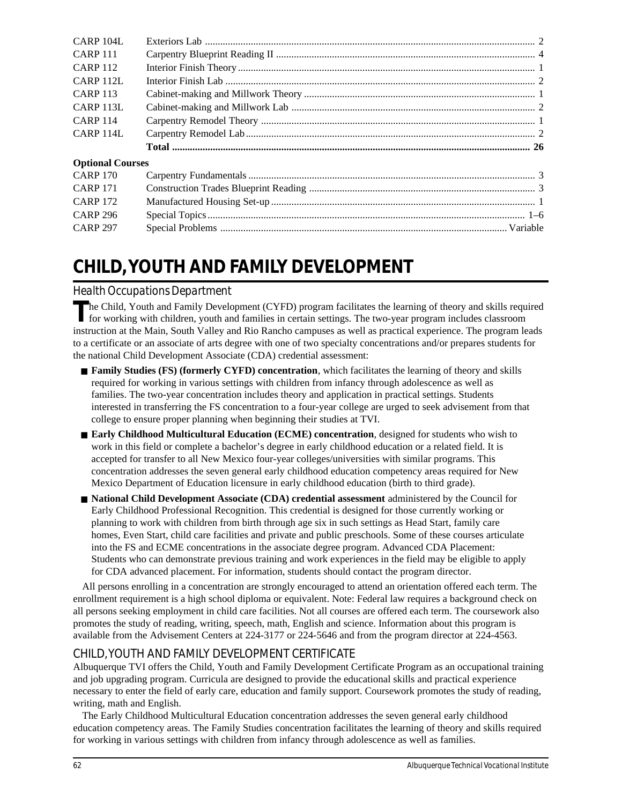| CARP 104L               |  |
|-------------------------|--|
| <b>CARP 111</b>         |  |
| <b>CARP 112</b>         |  |
| CARP <sub>112L</sub>    |  |
| <b>CARP 113</b>         |  |
| CARP <sub>113L</sub>    |  |
| <b>CARP 114</b>         |  |
| CARP 114L               |  |
|                         |  |
| <b>Optional Courses</b> |  |
| <b>CARP 170</b>         |  |
| <b>CARP 171</b>         |  |
| <b>CARP 172</b>         |  |
| <b>CARP 296</b>         |  |
| <b>CARP 297</b>         |  |

## **CHILD, YOUTH AND FAMILY DEVELOPMENT**

#### *Health Occupations Department*

The Child, Youth and Family Development (CYFD) program facilitates the learning of theory and skills required<br>for working with children, youth and families in certain settings. The two-year program includes classroom instruction at the Main, South Valley and Rio Rancho campuses as well as practical experience. The program leads to a certificate or an associate of arts degree with one of two specialty concentrations and/or prepares students for the national Child Development Associate (CDA) credential assessment:

- **Family Studies (FS) (formerly CYFD) concentration**, which facilitates the learning of theory and skills required for working in various settings with children from infancy through adolescence as well as families. The two-year concentration includes theory and application in practical settings. Students interested in transferring the FS concentration to a four-year college are urged to seek advisement from that college to ensure proper planning when beginning their studies at TVI.
- **Early Childhood Multicultural Education (ECME) concentration**, designed for students who wish to work in this field or complete a bachelor's degree in early childhood education or a related field. It is accepted for transfer to all New Mexico four-year colleges/universities with similar programs. This concentration addresses the seven general early childhood education competency areas required for New Mexico Department of Education licensure in early childhood education (birth to third grade).
- **National Child Development Associate (CDA) credential assessment** administered by the Council for Early Childhood Professional Recognition. This credential is designed for those currently working or planning to work with children from birth through age six in such settings as Head Start, family care homes, Even Start, child care facilities and private and public preschools. Some of these courses articulate into the FS and ECME concentrations in the associate degree program. Advanced CDA Placement: Students who can demonstrate previous training and work experiences in the field may be eligible to apply for CDA advanced placement. For information, students should contact the program director.

All persons enrolling in a concentration are strongly encouraged to attend an orientation offered each term. The enrollment requirement is a high school diploma or equivalent. Note: Federal law requires a background check on all persons seeking employment in child care facilities. Not all courses are offered each term. The coursework also promotes the study of reading, writing, speech, math, English and science. Information about this program is available from the Advisement Centers at 224-3177 or 224-5646 and from the program director at 224-4563.

#### CHILD, YOUTH AND FAMILY DEVELOPMENT CERTIFICATE

Albuquerque TVI offers the Child, Youth and Family Development Certificate Program as an occupational training and job upgrading program. Curricula are designed to provide the educational skills and practical experience necessary to enter the field of early care, education and family support. Coursework promotes the study of reading, writing, math and English.

The Early Childhood Multicultural Education concentration addresses the seven general early childhood education competency areas. The Family Studies concentration facilitates the learning of theory and skills required for working in various settings with children from infancy through adolescence as well as families.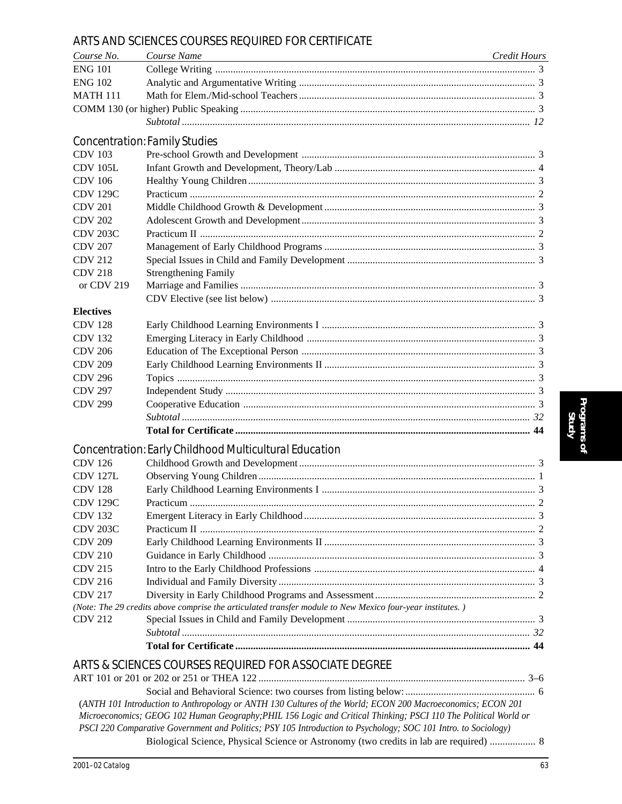#### ARTS AND SCIENCES COURSES REQUIRED FOR CERTIFICATE

| Course No.       | Course Name                                                                                                     | Credit Hours |
|------------------|-----------------------------------------------------------------------------------------------------------------|--------------|
| <b>ENG 101</b>   |                                                                                                                 |              |
| <b>ENG 102</b>   |                                                                                                                 |              |
| <b>MATH 111</b>  |                                                                                                                 |              |
|                  |                                                                                                                 |              |
|                  |                                                                                                                 |              |
|                  | <b>Concentration: Family Studies</b>                                                                            |              |
| <b>CDV 103</b>   |                                                                                                                 |              |
| <b>CDV 105L</b>  |                                                                                                                 |              |
| <b>CDV</b> 106   |                                                                                                                 |              |
| <b>CDV 129C</b>  |                                                                                                                 |              |
| <b>CDV 201</b>   |                                                                                                                 |              |
| <b>CDV 202</b>   |                                                                                                                 |              |
| <b>CDV 203C</b>  |                                                                                                                 |              |
| <b>CDV 207</b>   |                                                                                                                 |              |
| <b>CDV 212</b>   |                                                                                                                 |              |
| <b>CDV 218</b>   | <b>Strengthening Family</b>                                                                                     |              |
| or CDV 219       |                                                                                                                 |              |
|                  |                                                                                                                 |              |
| <b>Electives</b> |                                                                                                                 |              |
| <b>CDV 128</b>   |                                                                                                                 |              |
| <b>CDV 132</b>   |                                                                                                                 |              |
| <b>CDV 206</b>   |                                                                                                                 |              |
| <b>CDV 209</b>   |                                                                                                                 |              |
| <b>CDV 296</b>   |                                                                                                                 |              |
| <b>CDV 297</b>   |                                                                                                                 |              |
| <b>CDV 299</b>   |                                                                                                                 |              |
|                  |                                                                                                                 |              |
|                  |                                                                                                                 |              |
|                  | Concentration: Early Childhood Multicultural Education                                                          |              |
| <b>CDV 126</b>   |                                                                                                                 |              |
| <b>CDV 127L</b>  |                                                                                                                 |              |
| <b>CDV 128</b>   |                                                                                                                 |              |
| <b>CDV 129C</b>  |                                                                                                                 |              |
| <b>CDV 132</b>   |                                                                                                                 |              |
| <b>CDV 203C</b>  |                                                                                                                 |              |
| <b>CDV 209</b>   |                                                                                                                 |              |
| <b>CDV 210</b>   |                                                                                                                 |              |
| <b>CDV 215</b>   |                                                                                                                 |              |
| <b>CDV 216</b>   |                                                                                                                 |              |
| <b>CDV 217</b>   |                                                                                                                 |              |
|                  | (Note: The 29 credits above comprise the articulated transfer module to New Mexico four-year institutes.)       |              |
| <b>CDV 212</b>   |                                                                                                                 |              |
|                  |                                                                                                                 |              |
|                  |                                                                                                                 |              |
|                  | ARTS & SCIENCES COURSES REQUIRED FOR ASSOCIATE DEGREE                                                           |              |
|                  |                                                                                                                 |              |
|                  |                                                                                                                 |              |
|                  | (ANTH 101 Introduction to Anthropology or ANTH 130 Cultures of the World; ECON 200 Macroeconomics; ECON 201     |              |
|                  | Microeconomics; GEOG 102 Human Geography; PHIL 156 Logic and Critical Thinking; PSCI 110 The Political World or |              |
|                  | PSCI 220 Comparative Government and Politics; PSY 105 Introduction to Psychology; SOC 101 Intro. to Sociology)  |              |

Biological Science, Physical Science or Astronomy (two credits in lab are required) .................. 8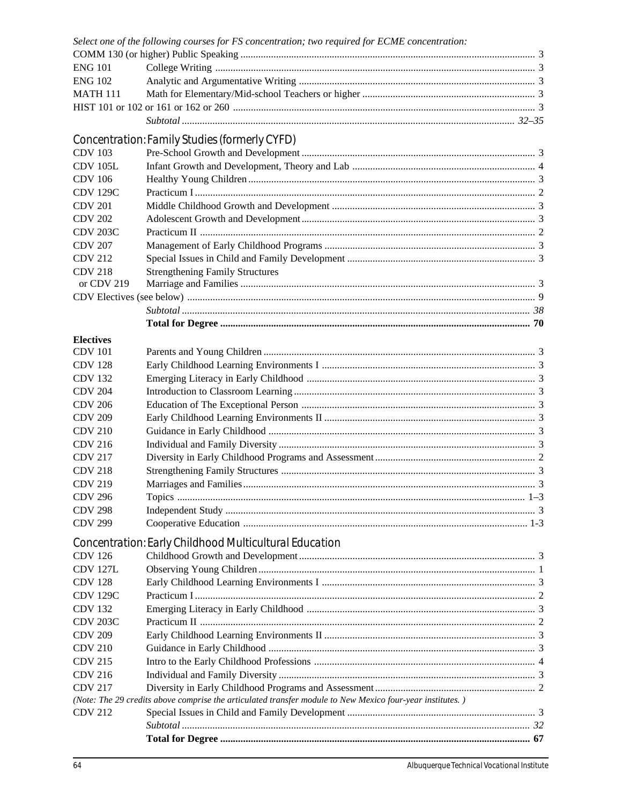|                  | Select one of the following courses for FS concentration; two required for ECME concentration:            |  |
|------------------|-----------------------------------------------------------------------------------------------------------|--|
| <b>ENG 101</b>   |                                                                                                           |  |
| <b>ENG 102</b>   |                                                                                                           |  |
|                  |                                                                                                           |  |
| <b>MATH 111</b>  |                                                                                                           |  |
|                  |                                                                                                           |  |
|                  |                                                                                                           |  |
|                  | Concentration: Family Studies (formerly CYFD)                                                             |  |
| <b>CDV 103</b>   |                                                                                                           |  |
| <b>CDV 105L</b>  |                                                                                                           |  |
| CDV 106          |                                                                                                           |  |
| <b>CDV 129C</b>  |                                                                                                           |  |
| <b>CDV 201</b>   |                                                                                                           |  |
| <b>CDV 202</b>   |                                                                                                           |  |
| <b>CDV 203C</b>  |                                                                                                           |  |
| <b>CDV 207</b>   |                                                                                                           |  |
| <b>CDV 212</b>   |                                                                                                           |  |
| <b>CDV 218</b>   | <b>Strengthening Family Structures</b>                                                                    |  |
| or CDV 219       |                                                                                                           |  |
|                  |                                                                                                           |  |
|                  |                                                                                                           |  |
|                  |                                                                                                           |  |
|                  |                                                                                                           |  |
| <b>Electives</b> |                                                                                                           |  |
| <b>CDV</b> 101   |                                                                                                           |  |
| <b>CDV 128</b>   |                                                                                                           |  |
| <b>CDV 132</b>   |                                                                                                           |  |
| <b>CDV 204</b>   |                                                                                                           |  |
| <b>CDV 206</b>   |                                                                                                           |  |
| <b>CDV 209</b>   |                                                                                                           |  |
| <b>CDV 210</b>   |                                                                                                           |  |
| <b>CDV 216</b>   |                                                                                                           |  |
| <b>CDV 217</b>   |                                                                                                           |  |
| <b>CDV 218</b>   |                                                                                                           |  |
| <b>CDV 219</b>   |                                                                                                           |  |
| <b>CDV 296</b>   |                                                                                                           |  |
| <b>CDV 298</b>   |                                                                                                           |  |
| <b>CDV 299</b>   |                                                                                                           |  |
|                  | Concentration: Early Childhood Multicultural Education                                                    |  |
| <b>CDV 126</b>   |                                                                                                           |  |
| <b>CDV 127L</b>  |                                                                                                           |  |
| <b>CDV 128</b>   |                                                                                                           |  |
| <b>CDV 129C</b>  |                                                                                                           |  |
| <b>CDV 132</b>   |                                                                                                           |  |
| <b>CDV 203C</b>  |                                                                                                           |  |
| <b>CDV 209</b>   |                                                                                                           |  |
| <b>CDV 210</b>   |                                                                                                           |  |
| <b>CDV 215</b>   |                                                                                                           |  |
| <b>CDV 216</b>   |                                                                                                           |  |
| <b>CDV 217</b>   |                                                                                                           |  |
|                  | (Note: The 29 credits above comprise the articulated transfer module to New Mexico four-year institutes.) |  |
| <b>CDV 212</b>   |                                                                                                           |  |
|                  |                                                                                                           |  |
|                  |                                                                                                           |  |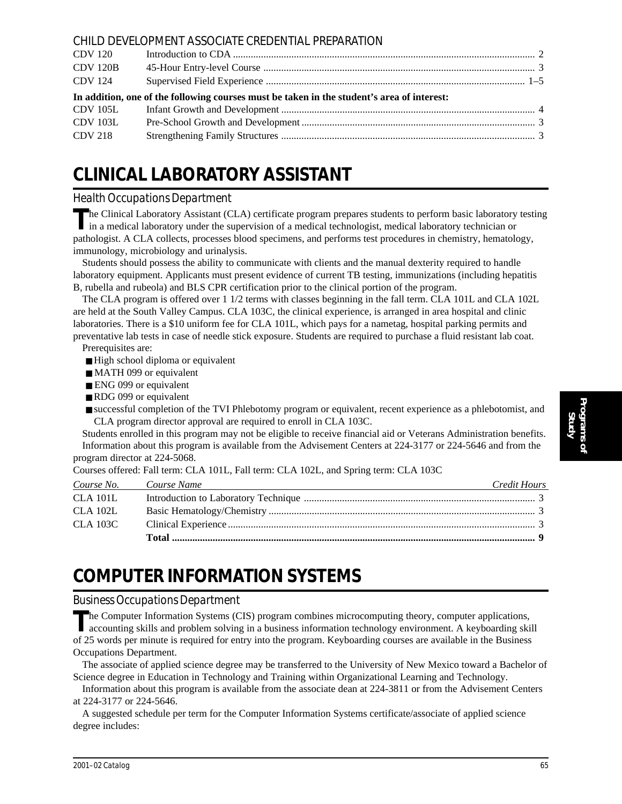|                                                                                            | CHILD DEVELOPMENT ASSOCIATE CREDENTIAL PREPARATION |  |
|--------------------------------------------------------------------------------------------|----------------------------------------------------|--|
| CDV 120                                                                                    |                                                    |  |
| <b>CDV 120B</b>                                                                            |                                                    |  |
| CDV 124                                                                                    |                                                    |  |
| In addition, one of the following courses must be taken in the student's area of interest: |                                                    |  |
|                                                                                            |                                                    |  |
|                                                                                            |                                                    |  |
| CDV 103L                                                                                   |                                                    |  |
| CDV 218                                                                                    |                                                    |  |

## **CLINICAL LABORATORY ASSISTANT**

#### *Health Occupations Department*

**T**he Clinical Laboratory Assistant (CLA) certificate program prepares students to perform basic laboratory testing in a medical laboratory under the supervision of a medical technologist, medical laboratory technician or pathologist. A CLA collects, processes blood specimens, and performs test procedures in chemistry, hematology, immunology, microbiology and urinalysis.

Students should possess the ability to communicate with clients and the manual dexterity required to handle laboratory equipment. Applicants must present evidence of current TB testing, immunizations (including hepatitis B, rubella and rubeola) and BLS CPR certification prior to the clinical portion of the program.

The CLA program is offered over 1 1/2 terms with classes beginning in the fall term. CLA 101L and CLA 102L are held at the South Valley Campus. CLA 103C, the clinical experience, is arranged in area hospital and clinic laboratories. There is a \$10 uniform fee for CLA 101L, which pays for a nametag, hospital parking permits and preventative lab tests in case of needle stick exposure. Students are required to purchase a fluid resistant lab coat.

Prerequisites are:

■ High school diploma or equivalent

- MATH 099 or equivalent
- ENG 099 or equivalent
- RDG 099 or equivalent
- successful completion of the TVI Phlebotomy program or equivalent, recent experience as a phlebotomist, and CLA program director approval are required to enroll in CLA 103C.

Students enrolled in this program may not be eligible to receive financial aid or Veterans Administration benefits. Information about this program is available from the Advisement Centers at 224-3177 or 224-5646 and from the program director at 224-5068.

Courses offered: Fall term: CLA 101L, Fall term: CLA 102L, and Spring term: CLA 103C

| Course No. Course Name | Credit Hours |
|------------------------|--------------|
| <b>CLA 101L</b>        |              |
| <b>CLA 102L</b>        |              |
| CLA 103C               |              |
|                        |              |

## **COMPUTER INFORMATION SYSTEMS**

#### *Business Occupations Department*

The Computer Information Systems (CIS) program combines microcomputing theory, computer applications, accounting skills and problem solving in a business information technology environment. A keyboarding skill of 25 words per minute is required for entry into the program. Keyboarding courses are available in the Business Occupations Department.

The associate of applied science degree may be transferred to the University of New Mexico toward a Bachelor of Science degree in Education in Technology and Training within Organizational Learning and Technology.

Information about this program is available from the associate dean at 224-3811 or from the Advisement Centers at 224-3177 or 224-5646.

A suggested schedule per term for the Computer Information Systems certificate/associate of applied science degree includes: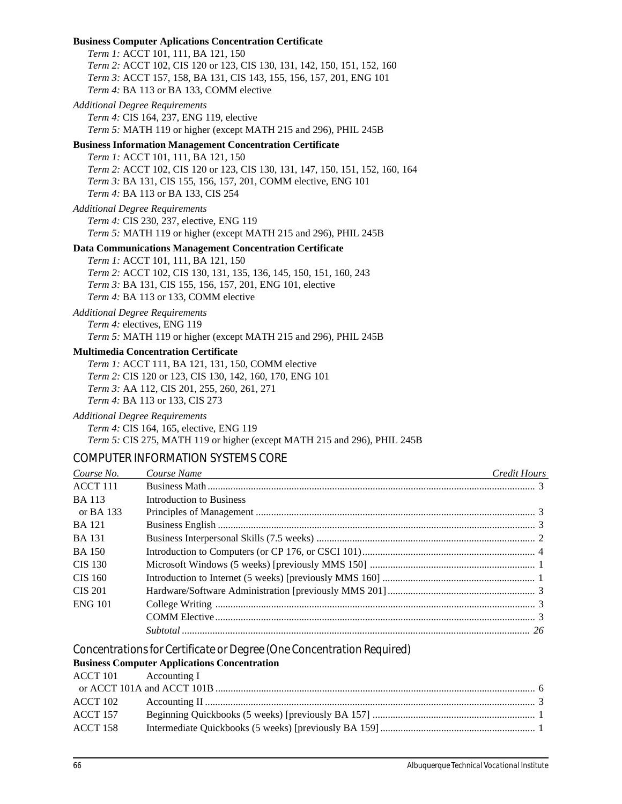**Business Computer Aplications Concentration Certificate** *Term 1:* ACCT 101, 111, BA 121, 150 *Term 2:* ACCT 102, CIS 120 or 123, CIS 130, 131, 142, 150, 151, 152, 160 *Term 3:* ACCT 157, 158, BA 131, CIS 143, 155, 156, 157, 201, ENG 101 *Term 4:* BA 113 or BA 133, COMM elective *Additional Degree Requirements Term 4:* CIS 164, 237, ENG 119, elective *Term 5:* MATH 119 or higher (except MATH 215 and 296), PHIL 245B **Business Information Management Concentration Certificate** *Term 1:* ACCT 101, 111, BA 121, 150 *Term 2:* ACCT 102, CIS 120 or 123, CIS 130, 131, 147, 150, 151, 152, 160, 164 *Term 3:* BA 131, CIS 155, 156, 157, 201, COMM elective, ENG 101 *Term 4:* BA 113 or BA 133, CIS 254 *Additional Degree Requirements Term 4:* CIS 230, 237, elective, ENG 119 *Term 5:* MATH 119 or higher (except MATH 215 and 296), PHIL 245B **Data Communications Management Concentration Certificate** *Term 1:* ACCT 101, 111, BA 121, 150 *Term 2:* ACCT 102, CIS 130, 131, 135, 136, 145, 150, 151, 160, 243 *Term 3:* BA 131, CIS 155, 156, 157, 201, ENG 101, elective *Term 4:* BA 113 or 133, COMM elective *Additional Degree Requirements Term 4:* electives, ENG 119 *Term 5:* MATH 119 or higher (except MATH 215 and 296), PHIL 245B **Multimedia Concentration Certificate** *Term 1:* ACCT 111, BA 121, 131, 150, COMM elective *Term 2:* CIS 120 or 123, CIS 130, 142, 160, 170, ENG 101 *Term 3:* AA 112, CIS 201, 255, 260, 261, 271 *Term 4:* BA 113 or 133, CIS 273 *Additional Degree Requirements Term 4:* CIS 164, 165, elective, ENG 119 *Term 5:* CIS 275, MATH 119 or higher (except MATH 215 and 296), PHIL 245B COMPUTER INFORMATION SYSTEMS CORE *Course No. Course Name Credit Hours* ACCT 111 Business Math ................................................................................................................................. 3 BA 113 Introduction to Business or BA 133 Principles of Management .............................................................................................................. 3 BA 121 Business English ............................................................................................................................. 3 BA 131 Business Interpersonal Skills (7.5 weeks) ...................................................................................... 2 BA 150 Introduction to Computers (or CP 176, or CSCI 101).................................................................... 4 CIS 130 Microsoft Windows (5 weeks) [previously MMS 150] ................................................................. 1 CIS 160 Introduction to Internet (5 weeks) [previously MMS 160] ............................................................ 1 CIS 201 Hardware/Software Administration [previously MMS 201] .......................................................... 3 ENG 101 College Writing .............................................................................................................................. 3 COMM Elective.............................................................................................................................. 3

*Concentrations for Certificate or Degree (One Concentration Required)*

#### **Business Computer Applications Concentration**

|          | ACCT 101 Accounting I |  |
|----------|-----------------------|--|
|          |                       |  |
| ACCT 102 |                       |  |
| ACCT 157 |                       |  |
| ACCT 158 |                       |  |
|          |                       |  |

*Subtotal ......................................................................................................................................... 26*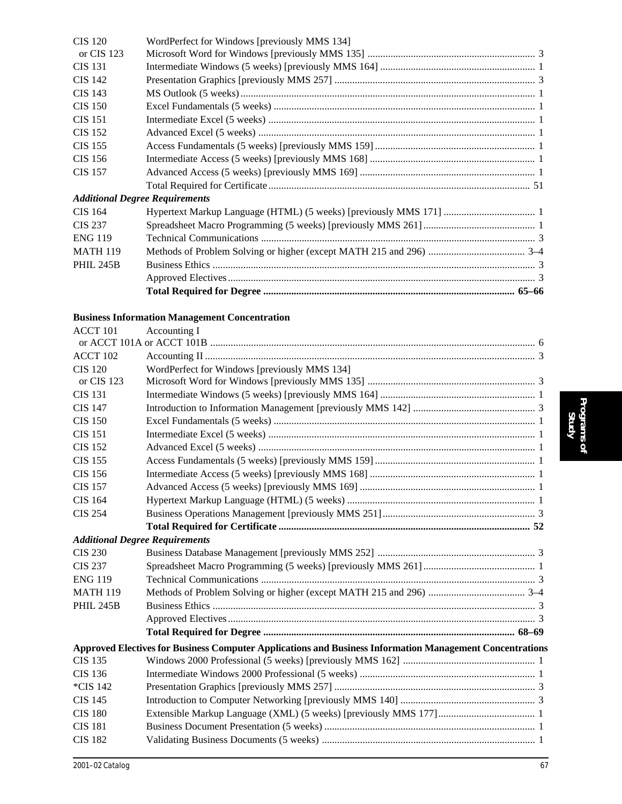| <b>CIS 120</b>   | WordPerfect for Windows [previously MMS 134] |  |
|------------------|----------------------------------------------|--|
| or CIS 123       |                                              |  |
| <b>CIS 131</b>   |                                              |  |
| <b>CIS 142</b>   |                                              |  |
| <b>CIS 143</b>   |                                              |  |
| <b>CIS 150</b>   |                                              |  |
| <b>CIS 151</b>   |                                              |  |
| <b>CIS</b> 152   |                                              |  |
| <b>CIS 155</b>   |                                              |  |
| <b>CIS 156</b>   |                                              |  |
| <b>CIS 157</b>   |                                              |  |
|                  |                                              |  |
|                  | <b>Additional Degree Requirements</b>        |  |
| CIS 164          |                                              |  |
| <b>CIS 237</b>   |                                              |  |
| <b>ENG 119</b>   |                                              |  |
| <b>MATH 119</b>  |                                              |  |
| <b>PHIL 245B</b> |                                              |  |
|                  |                                              |  |
|                  |                                              |  |
|                  |                                              |  |

#### **Business Information Management Concentration**

| ACCT 101                              | Accounting I                                                                                             |  |
|---------------------------------------|----------------------------------------------------------------------------------------------------------|--|
|                                       |                                                                                                          |  |
| ACCT 102                              |                                                                                                          |  |
| <b>CIS 120</b>                        | WordPerfect for Windows [previously MMS 134]                                                             |  |
| or CIS 123                            |                                                                                                          |  |
| <b>CIS 131</b>                        |                                                                                                          |  |
| <b>CIS 147</b>                        |                                                                                                          |  |
| <b>CIS 150</b>                        |                                                                                                          |  |
| <b>CIS 151</b>                        |                                                                                                          |  |
| <b>CIS 152</b>                        |                                                                                                          |  |
| <b>CIS 155</b>                        |                                                                                                          |  |
| <b>CIS 156</b>                        |                                                                                                          |  |
| <b>CIS 157</b>                        |                                                                                                          |  |
| <b>CIS 164</b>                        |                                                                                                          |  |
| <b>CIS 254</b>                        |                                                                                                          |  |
|                                       |                                                                                                          |  |
| <b>Additional Degree Requirements</b> |                                                                                                          |  |
| <b>CIS 230</b>                        |                                                                                                          |  |
| <b>CIS 237</b>                        |                                                                                                          |  |
| <b>ENG 119</b>                        |                                                                                                          |  |
| <b>MATH 119</b>                       |                                                                                                          |  |
| <b>PHIL 245B</b>                      |                                                                                                          |  |
|                                       |                                                                                                          |  |
|                                       |                                                                                                          |  |
|                                       | Approved Electives for Business Computer Applications and Business Information Management Concentrations |  |
| <b>CIS 135</b>                        |                                                                                                          |  |
| <b>CIS 136</b>                        |                                                                                                          |  |
| *CIS 142                              |                                                                                                          |  |
| <b>CIS 145</b>                        |                                                                                                          |  |
| <b>CIS 180</b>                        |                                                                                                          |  |
| <b>CIS 181</b>                        |                                                                                                          |  |
| <b>CIS 182</b>                        |                                                                                                          |  |
|                                       |                                                                                                          |  |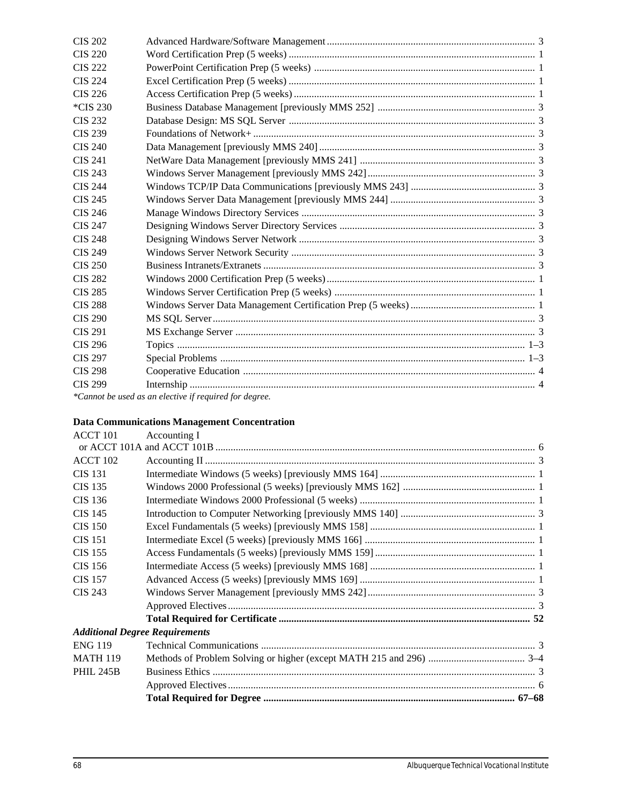| <b>CIS 202</b> |                                                        |  |
|----------------|--------------------------------------------------------|--|
| <b>CIS 220</b> |                                                        |  |
| <b>CIS 222</b> |                                                        |  |
| <b>CIS 224</b> |                                                        |  |
| <b>CIS 226</b> |                                                        |  |
| *CIS 230       |                                                        |  |
| <b>CIS 232</b> |                                                        |  |
| <b>CIS 239</b> |                                                        |  |
| <b>CIS 240</b> |                                                        |  |
| <b>CIS 241</b> |                                                        |  |
| CIS 243        |                                                        |  |
| <b>CIS 244</b> |                                                        |  |
| <b>CIS 245</b> |                                                        |  |
| CIS 246        |                                                        |  |
| <b>CIS 247</b> |                                                        |  |
| <b>CIS 248</b> |                                                        |  |
| <b>CIS 249</b> |                                                        |  |
| CIS 250        |                                                        |  |
| <b>CIS 282</b> |                                                        |  |
| <b>CIS 285</b> |                                                        |  |
| <b>CIS 288</b> |                                                        |  |
| <b>CIS 290</b> |                                                        |  |
| <b>CIS 291</b> |                                                        |  |
| CIS 296        |                                                        |  |
| <b>CIS 297</b> |                                                        |  |
| <b>CIS 298</b> |                                                        |  |
| <b>CIS 299</b> |                                                        |  |
|                | *Cannot be used as an elective if required for degree. |  |

#### **Data Communications Management Concentration**

| ACCT 101<br>Accounting I              |  |
|---------------------------------------|--|
|                                       |  |
| <b>ACCT 102</b>                       |  |
| <b>CIS 131</b>                        |  |
| <b>CIS 135</b>                        |  |
| CIS 136                               |  |
| <b>CIS 145</b>                        |  |
| <b>CIS 150</b>                        |  |
| <b>CIS 151</b>                        |  |
| <b>CIS 155</b>                        |  |
| CIS 156                               |  |
| <b>CIS 157</b>                        |  |
| CIS 243                               |  |
|                                       |  |
|                                       |  |
| <b>Additional Degree Requirements</b> |  |
| <b>ENG 119</b>                        |  |
| <b>MATH 119</b>                       |  |
| <b>PHIL 245B</b>                      |  |
|                                       |  |
|                                       |  |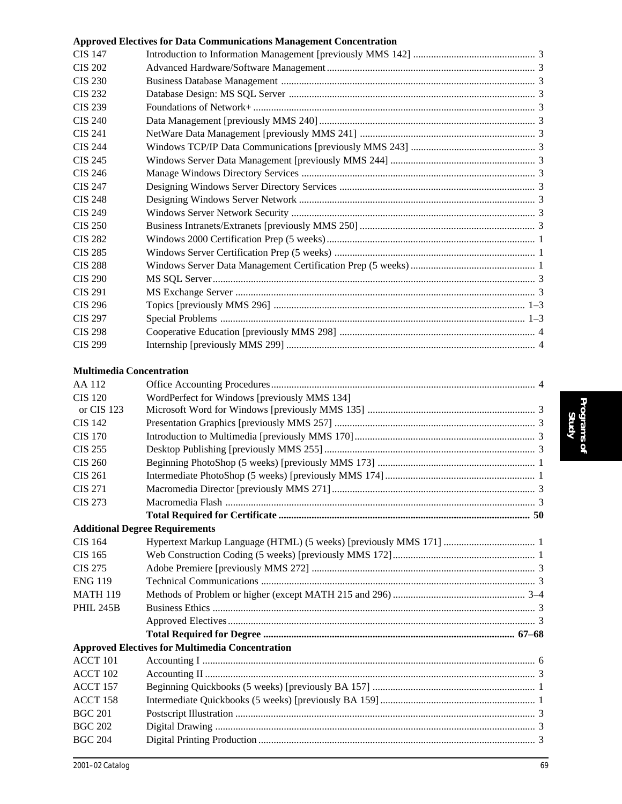| <b>CIS 147</b>                  |                                                        |    |
|---------------------------------|--------------------------------------------------------|----|
| <b>CIS 202</b>                  |                                                        |    |
| <b>CIS 230</b>                  |                                                        |    |
| <b>CIS 232</b>                  |                                                        |    |
| <b>CIS 239</b>                  |                                                        |    |
| <b>CIS 240</b>                  |                                                        |    |
| <b>CIS 241</b>                  |                                                        |    |
| <b>CIS 244</b>                  |                                                        |    |
| <b>CIS 245</b>                  |                                                        |    |
| <b>CIS 246</b>                  |                                                        |    |
| <b>CIS 247</b>                  |                                                        |    |
| <b>CIS 248</b>                  |                                                        |    |
| <b>CIS 249</b>                  |                                                        |    |
| <b>CIS 250</b>                  |                                                        |    |
| <b>CIS 282</b>                  |                                                        |    |
| <b>CIS 285</b>                  |                                                        |    |
| <b>CIS 288</b>                  |                                                        |    |
| <b>CIS 290</b>                  |                                                        |    |
| <b>CIS 291</b>                  |                                                        |    |
| <b>CIS 296</b>                  |                                                        |    |
| <b>CIS 297</b>                  |                                                        |    |
| <b>CIS 298</b>                  |                                                        |    |
| <b>CIS 299</b>                  |                                                        |    |
| <b>Multimedia Concentration</b> |                                                        |    |
| AA 112                          |                                                        |    |
| <b>CIS 120</b>                  | WordPerfect for Windows [previously MMS 134]           |    |
| or CIS 123                      |                                                        |    |
| <b>CIS 142</b>                  |                                                        |    |
| <b>CIS 170</b>                  |                                                        |    |
| <b>CIS 255</b>                  |                                                        |    |
| <b>CIS 260</b>                  |                                                        |    |
| <b>CIS 261</b>                  |                                                        |    |
| <b>CIS 271</b>                  |                                                        |    |
| <b>CIS 273</b>                  |                                                        |    |
|                                 |                                                        |    |
|                                 | <b>Additional Degree Requirements</b>                  |    |
| <b>CIS 164</b>                  |                                                        |    |
| <b>CIS 165</b>                  |                                                        |    |
| <b>CIS 275</b>                  |                                                        |    |
| <b>ENG 119</b>                  |                                                        |    |
| <b>MATH 119</b>                 |                                                        |    |
| <b>PHIL 245B</b>                |                                                        |    |
|                                 |                                                        |    |
|                                 |                                                        |    |
|                                 | <b>Approved Electives for Multimedia Concentration</b> |    |
| <b>ACCT 101</b>                 |                                                        |    |
| ACCT 102                        |                                                        |    |
| ACCT 157                        |                                                        |    |
| ACCT 158                        |                                                        |    |
| <b>BGC 201</b>                  |                                                        |    |
| <b>BGC 202</b>                  |                                                        |    |
| <b>BGC 204</b>                  |                                                        |    |
|                                 |                                                        |    |
| 2001-02 Catalog                 |                                                        | 69 |

**Approved Electives for Data Communications Management Concentration**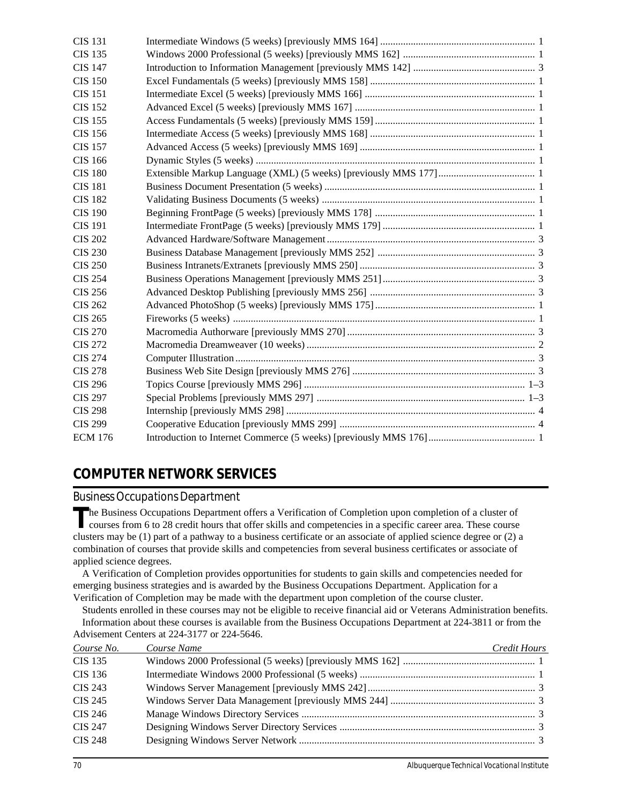| <b>CIS 131</b> |  |
|----------------|--|
| <b>CIS 135</b> |  |
| <b>CIS 147</b> |  |
| <b>CIS 150</b> |  |
| <b>CIS 151</b> |  |
| <b>CIS 152</b> |  |
| <b>CIS 155</b> |  |
| <b>CIS 156</b> |  |
| <b>CIS 157</b> |  |
| <b>CIS 166</b> |  |
| <b>CIS 180</b> |  |
| <b>CIS 181</b> |  |
| <b>CIS 182</b> |  |
| <b>CIS 190</b> |  |
| <b>CIS 191</b> |  |
| <b>CIS 202</b> |  |
| <b>CIS 230</b> |  |
| <b>CIS 250</b> |  |
| <b>CIS 254</b> |  |
| <b>CIS 256</b> |  |
| <b>CIS 262</b> |  |
| <b>CIS 265</b> |  |
| <b>CIS 270</b> |  |
| <b>CIS 272</b> |  |
| <b>CIS 274</b> |  |
| <b>CIS 278</b> |  |
| <b>CIS 296</b> |  |
| <b>CIS 297</b> |  |
| <b>CIS 298</b> |  |
| <b>CIS 299</b> |  |
| <b>ECM 176</b> |  |

### **COMPUTER NETWORK SERVICES**

*Business Occupations Department*

The Business Occupations Department offers a Verification of Completion upon completion of a cluster of courses from 6 to 28 credit hours that offer skills and competencies in a specific career area. These course clusters may be (1) part of a pathway to a business certificate or an associate of applied science degree or (2) a combination of courses that provide skills and competencies from several business certificates or associate of applied science degrees.

A Verification of Completion provides opportunities for students to gain skills and competencies needed for emerging business strategies and is awarded by the Business Occupations Department. Application for a Verification of Completion may be made with the department upon completion of the course cluster.

Students enrolled in these courses may not be eligible to receive financial aid or Veterans Administration benefits. Information about these courses is available from the Business Occupations Department at 224-3811 or from the Advisement Centers at 224-3177 or 224-5646.

| Course No.     | Course Name | Credit Hours |
|----------------|-------------|--------------|
| CIS 135        |             |              |
| CIS 136        |             |              |
| <b>CIS 243</b> |             |              |
| CIS 245        |             |              |
| CIS 246        |             |              |
| <b>CIS 247</b> |             |              |
| <b>CIS 248</b> |             |              |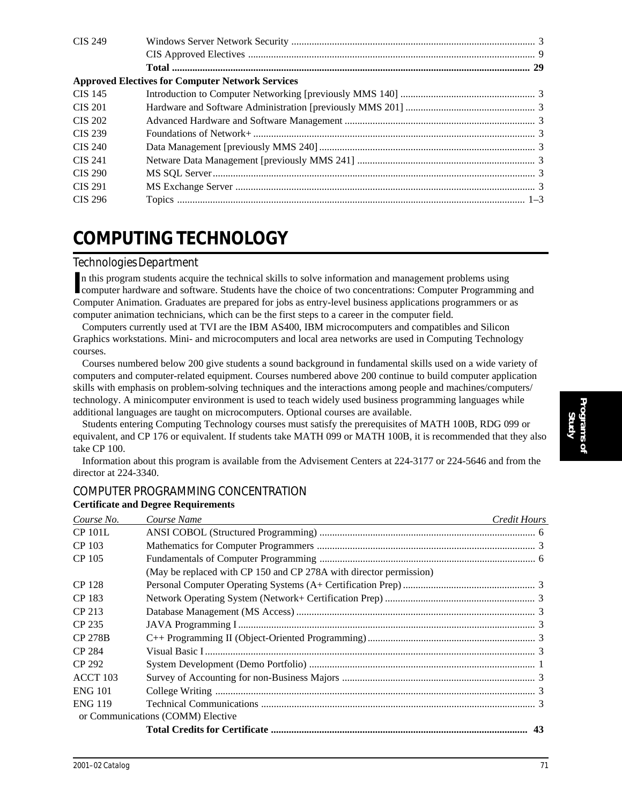| <b>CIS 249</b> |                                                         |  |
|----------------|---------------------------------------------------------|--|
|                |                                                         |  |
|                |                                                         |  |
|                | <b>Approved Electives for Computer Network Services</b> |  |
| <b>CIS 145</b> |                                                         |  |
| <b>CIS 201</b> |                                                         |  |
| <b>CIS 202</b> |                                                         |  |
| CIS 239        |                                                         |  |
| CIS 240        |                                                         |  |
| <b>CIS 241</b> |                                                         |  |
| CIS 290        |                                                         |  |
| <b>CIS 291</b> |                                                         |  |
| CIS 296        |                                                         |  |

## **COMPUTING TECHNOLOGY**

#### *Technologies Department*

In this program students acquire the technical skills to solve information and management problems using<br>computer hardware and software. Students have the choice of two concentrations: Computer Programmin computer hardware and software. Students have the choice of two concentrations: Computer Programming and Computer Animation. Graduates are prepared for jobs as entry-level business applications programmers or as computer animation technicians, which can be the first steps to a career in the computer field.

Computers currently used at TVI are the IBM AS400, IBM microcomputers and compatibles and Silicon Graphics workstations. Mini- and microcomputers and local area networks are used in Computing Technology courses.

Courses numbered below 200 give students a sound background in fundamental skills used on a wide variety of computers and computer-related equipment. Courses numbered above 200 continue to build computer application skills with emphasis on problem-solving techniques and the interactions among people and machines/computers/ technology. A minicomputer environment is used to teach widely used business programming languages while additional languages are taught on microcomputers. Optional courses are available.

Students entering Computing Technology courses must satisfy the prerequisites of MATH 100B, RDG 099 or equivalent, and CP 176 or equivalent. If students take MATH 099 or MATH 100B, it is recommended that they also take CP 100.

Information about this program is available from the Advisement Centers at 224-3177 or 224-5646 and from the director at 224-3340.

| Course No.      | Course Name                                                        | Credit Hours |
|-----------------|--------------------------------------------------------------------|--------------|
| <b>CP 101L</b>  |                                                                    |              |
| CP 103          |                                                                    |              |
| CP 105          |                                                                    |              |
|                 | (May be replaced with CP 150 and CP 278A with director permission) |              |
| CP 128          |                                                                    |              |
| CP 183          |                                                                    |              |
| CP 213          |                                                                    |              |
| CP 235          |                                                                    |              |
| <b>CP 278B</b>  |                                                                    |              |
| CP 284          |                                                                    |              |
| CP 292          |                                                                    |              |
| <b>ACCT 103</b> |                                                                    |              |
| <b>ENG 101</b>  |                                                                    |              |
| <b>ENG 119</b>  |                                                                    |              |
|                 | or Communications (COMM) Elective                                  |              |
|                 |                                                                    | 43           |
|                 |                                                                    |              |

#### COMPUTER PROGRAMMING CONCENTRATION **Certificate and Degree Requirements**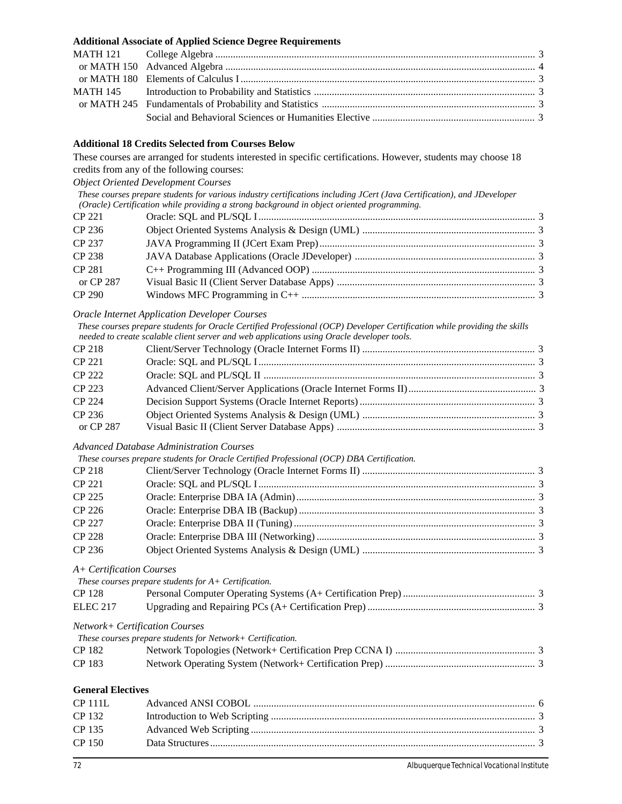|                                | <b>Additional Associate of Applied Science Degree Requirements</b>                                                                                                                |  |
|--------------------------------|-----------------------------------------------------------------------------------------------------------------------------------------------------------------------------------|--|
| <b>MATH 121</b>                |                                                                                                                                                                                   |  |
| or MATH 150                    |                                                                                                                                                                                   |  |
| or MATH 180                    |                                                                                                                                                                                   |  |
| <b>MATH 145</b>                |                                                                                                                                                                                   |  |
| or MATH 245                    |                                                                                                                                                                                   |  |
|                                |                                                                                                                                                                                   |  |
|                                | <b>Additional 18 Credits Selected from Courses Below</b>                                                                                                                          |  |
|                                | These courses are arranged for students interested in specific certifications. However, students may choose 18                                                                    |  |
|                                | credits from any of the following courses:                                                                                                                                        |  |
|                                | <b>Object Oriented Development Courses</b>                                                                                                                                        |  |
|                                | These courses prepare students for various industry certifications including JCert (Java Certification), and JDeveloper                                                           |  |
| <b>CP 221</b>                  | (Oracle) Certification while providing a strong background in object oriented programming.                                                                                        |  |
| CP 236                         |                                                                                                                                                                                   |  |
| CP 237                         |                                                                                                                                                                                   |  |
| CP 238                         |                                                                                                                                                                                   |  |
| <b>CP 281</b>                  |                                                                                                                                                                                   |  |
| or CP 287                      |                                                                                                                                                                                   |  |
| <b>CP 290</b>                  |                                                                                                                                                                                   |  |
|                                |                                                                                                                                                                                   |  |
|                                | <b>Oracle Internet Application Developer Courses</b><br>These courses prepare students for Oracle Certified Professional (OCP) Developer Certification while providing the skills |  |
|                                | needed to create scalable client server and web applications using Oracle developer tools.                                                                                        |  |
| <b>CP 218</b>                  |                                                                                                                                                                                   |  |
| <b>CP 221</b>                  |                                                                                                                                                                                   |  |
| <b>CP 222</b>                  |                                                                                                                                                                                   |  |
| CP 223                         |                                                                                                                                                                                   |  |
| <b>CP 224</b>                  |                                                                                                                                                                                   |  |
| CP 236                         |                                                                                                                                                                                   |  |
| or CP 287                      |                                                                                                                                                                                   |  |
|                                | <b>Advanced Database Administration Courses</b>                                                                                                                                   |  |
|                                | These courses prepare students for Oracle Certified Professional (OCP) DBA Certification.                                                                                         |  |
| <b>CP 218</b>                  |                                                                                                                                                                                   |  |
| <b>CP 221</b>                  |                                                                                                                                                                                   |  |
| <b>CP 225</b>                  |                                                                                                                                                                                   |  |
| CP 226                         |                                                                                                                                                                                   |  |
| CP 227                         |                                                                                                                                                                                   |  |
| <b>CP 228</b>                  |                                                                                                                                                                                   |  |
| CP 236                         |                                                                                                                                                                                   |  |
| A+ Certification Courses       |                                                                                                                                                                                   |  |
|                                | These courses prepare students for $A+$ Certification.                                                                                                                            |  |
| <b>CP128</b>                   |                                                                                                                                                                                   |  |
| <b>ELEC 217</b>                |                                                                                                                                                                                   |  |
| Network+ Certification Courses |                                                                                                                                                                                   |  |
|                                | These courses prepare students for Network+ Certification.                                                                                                                        |  |
| CP 182                         |                                                                                                                                                                                   |  |
| CP 183                         |                                                                                                                                                                                   |  |
| <b>General Electives</b>       |                                                                                                                                                                                   |  |
| <b>CP 111L</b>                 |                                                                                                                                                                                   |  |
| CP 132                         |                                                                                                                                                                                   |  |
| CP 135                         |                                                                                                                                                                                   |  |
| <b>CP 150</b>                  |                                                                                                                                                                                   |  |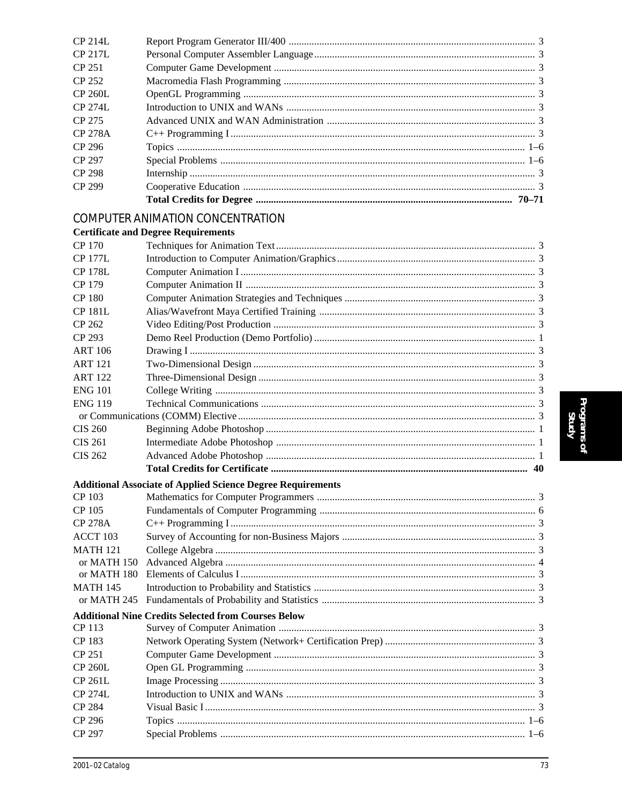| CP 214L         |                                                                    |  |
|-----------------|--------------------------------------------------------------------|--|
| CP 217L         |                                                                    |  |
| <b>CP 251</b>   |                                                                    |  |
| <b>CP 252</b>   |                                                                    |  |
| <b>CP 260L</b>  |                                                                    |  |
| <b>CP 274L</b>  |                                                                    |  |
| CP 275          |                                                                    |  |
| <b>CP 278A</b>  |                                                                    |  |
| CP 296          |                                                                    |  |
| CP 297          |                                                                    |  |
| <b>CP 298</b>   |                                                                    |  |
| CP 299          |                                                                    |  |
|                 |                                                                    |  |
|                 | <b>COMPUTER ANIMATION CONCENTRATION</b>                            |  |
|                 | <b>Certificate and Degree Requirements</b>                         |  |
| CP 170          |                                                                    |  |
| <b>CP 177L</b>  |                                                                    |  |
| <b>CP 178L</b>  |                                                                    |  |
| CP 179          |                                                                    |  |
| <b>CP 180</b>   |                                                                    |  |
| <b>CP 181L</b>  |                                                                    |  |
| CP 262          |                                                                    |  |
| CP 293          |                                                                    |  |
| <b>ART 106</b>  |                                                                    |  |
| <b>ART 121</b>  |                                                                    |  |
| <b>ART 122</b>  |                                                                    |  |
| <b>ENG 101</b>  |                                                                    |  |
| <b>ENG 119</b>  |                                                                    |  |
|                 |                                                                    |  |
| <b>CIS 260</b>  |                                                                    |  |
| <b>CIS 261</b>  |                                                                    |  |
| <b>CIS 262</b>  |                                                                    |  |
|                 |                                                                    |  |
|                 | <b>Additional Associate of Applied Science Degree Requirements</b> |  |
| CP 103          |                                                                    |  |
| CP 105          |                                                                    |  |
| <b>CP 278A</b>  |                                                                    |  |
| ACCT 103        |                                                                    |  |
| <b>MATH 121</b> |                                                                    |  |
| or MATH 150     |                                                                    |  |
| or MATH 180     |                                                                    |  |
| <b>MATH 145</b> |                                                                    |  |
| or MATH 245     |                                                                    |  |
|                 | <b>Additional Nine Credits Selected from Courses Below</b>         |  |
| CP 113          |                                                                    |  |
| CP 183          |                                                                    |  |
| CP 251          |                                                                    |  |
| <b>CP 260L</b>  |                                                                    |  |
| CP 261L         |                                                                    |  |
| <b>CP 274L</b>  |                                                                    |  |
| CP 284          |                                                                    |  |
| CP 296          |                                                                    |  |
| CP 297          |                                                                    |  |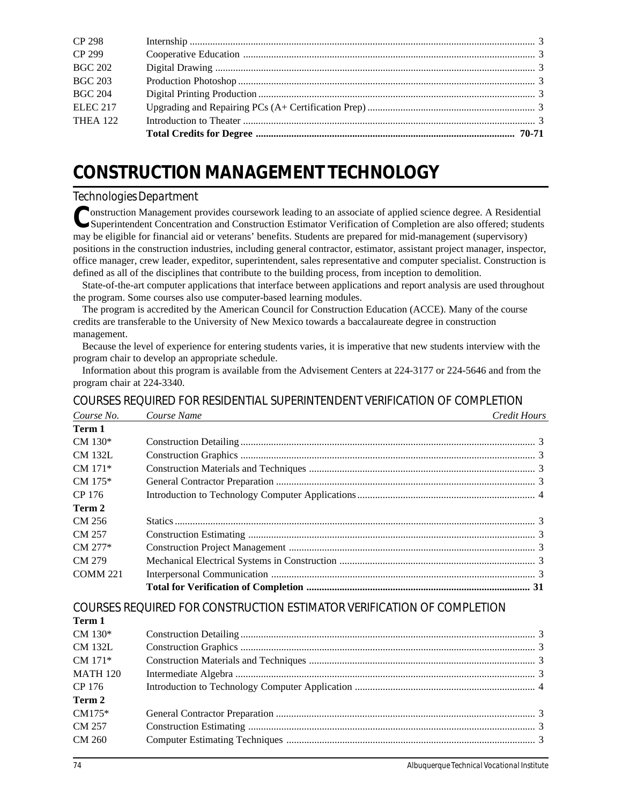| <b>CP 298</b>   |  |
|-----------------|--|
| CP 299          |  |
| <b>BGC 202</b>  |  |
| <b>BGC 203</b>  |  |
| <b>BGC 204</b>  |  |
| <b>ELEC 217</b> |  |
| <b>THEA 122</b> |  |
|                 |  |

# **CONSTRUCTION MANAGEMENT TECHNOLOGY**

### *Technologies Department*

Construction Management provides coursework leading to an associate of applied science degree. A Residential Superintendent Concentration and Construction Estimator Verification of Completion are also offered; students may be eligible for financial aid or veterans' benefits. Students are prepared for mid-management (supervisory) positions in the construction industries, including general contractor, estimator, assistant project manager, inspector, office manager, crew leader, expeditor, superintendent, sales representative and computer specialist. Construction is defined as all of the disciplines that contribute to the building process, from inception to demolition.

State-of-the-art computer applications that interface between applications and report analysis are used throughout the program. Some courses also use computer-based learning modules.

The program is accredited by the American Council for Construction Education (ACCE). Many of the course credits are transferable to the University of New Mexico towards a baccalaureate degree in construction management.

Because the level of experience for entering students varies, it is imperative that new students interview with the program chair to develop an appropriate schedule.

Information about this program is available from the Advisement Centers at 224-3177 or 224-5646 and from the program chair at 224-3340.

COURSES REQUIRED FOR RESIDENTIAL SUPERINTENDENT VERIFICATION OF COMPLETION

| Course No.      | Course Name<br>Credit Hours                                            |  |
|-----------------|------------------------------------------------------------------------|--|
| Term 1          |                                                                        |  |
| $CM 130*$       |                                                                        |  |
| <b>CM 132L</b>  |                                                                        |  |
| $CM$ 171*       |                                                                        |  |
| $CM 175*$       |                                                                        |  |
| CP 176          |                                                                        |  |
| Term 2          |                                                                        |  |
| CM 256          |                                                                        |  |
| CM 257          |                                                                        |  |
| CM 277*         |                                                                        |  |
| CM 279          |                                                                        |  |
| <b>COMM 221</b> |                                                                        |  |
|                 |                                                                        |  |
|                 | COURSES REQUIRED FOR CONSTRUCTION ESTIMATOR VERIFICATION OF COMPLETION |  |
| Term 1          |                                                                        |  |
| $CM 130*$       |                                                                        |  |
| <b>CM 132L</b>  |                                                                        |  |
| $CM$ 171 $*$    |                                                                        |  |
| <b>MATH 120</b> |                                                                        |  |
| CP 176          |                                                                        |  |
| Term 2          |                                                                        |  |
| $CM175*$        |                                                                        |  |
| CM 257          |                                                                        |  |
| <b>CM 260</b>   |                                                                        |  |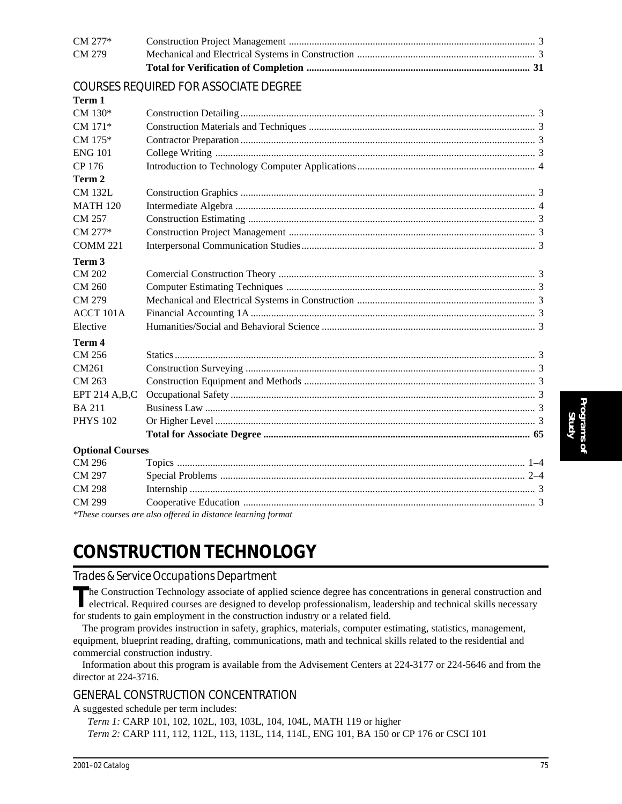| CM 279  |  |
|---------|--|
| CM 277* |  |
|         |  |

### COURSES REQUIRED FOR ASSOCIATE DEGREE

**Term 1**

| $CM 130*$               |                                                             |  |
|-------------------------|-------------------------------------------------------------|--|
| CM 171*                 |                                                             |  |
| $CM 175*$               |                                                             |  |
| <b>ENG 101</b>          |                                                             |  |
| CP 176                  |                                                             |  |
| Term 2                  |                                                             |  |
| <b>CM 132L</b>          |                                                             |  |
| <b>MATH 120</b>         |                                                             |  |
| CM 257                  |                                                             |  |
| CM 277*                 |                                                             |  |
| COMM <sub>221</sub>     |                                                             |  |
| Term 3                  |                                                             |  |
| <b>CM 202</b>           |                                                             |  |
| CM 260                  |                                                             |  |
| CM 279                  |                                                             |  |
| <b>ACCT 101A</b>        |                                                             |  |
| Elective                |                                                             |  |
| Term 4                  |                                                             |  |
| CM 256                  |                                                             |  |
| CM261                   |                                                             |  |
| CM 263                  |                                                             |  |
| EPT 214 A,B,C           |                                                             |  |
| <b>BA 211</b>           |                                                             |  |
| <b>PHYS 102</b>         |                                                             |  |
|                         |                                                             |  |
| <b>Optional Courses</b> |                                                             |  |
| CM 296                  |                                                             |  |
| CM 297                  |                                                             |  |
| <b>CM 298</b>           |                                                             |  |
| CM 299                  |                                                             |  |
|                         | *These courses are also offered in distance learning format |  |

*\*These courses are also offered in distance learning format*

## **CONSTRUCTION TECHNOLOGY**

#### *Trades & Service Occupations Department*

The Construction Technology associate of applied science degree has concentrations in general construction and<br>electrical. Required courses are designed to develop professionalism, leadership and technical skills necessary for students to gain employment in the construction industry or a related field.

The program provides instruction in safety, graphics, materials, computer estimating, statistics, management, equipment, blueprint reading, drafting, communications, math and technical skills related to the residential and commercial construction industry.

Information about this program is available from the Advisement Centers at 224-3177 or 224-5646 and from the director at 224-3716.

### GENERAL CONSTRUCTION CONCENTRATION

A suggested schedule per term includes:

*Term 1:* CARP 101, 102, 102L, 103, 103L, 104, 104L, MATH 119 or higher *Term 2:* CARP 111, 112, 112L, 113, 113L, 114, 114L, ENG 101, BA 150 or CP 176 or CSCI 101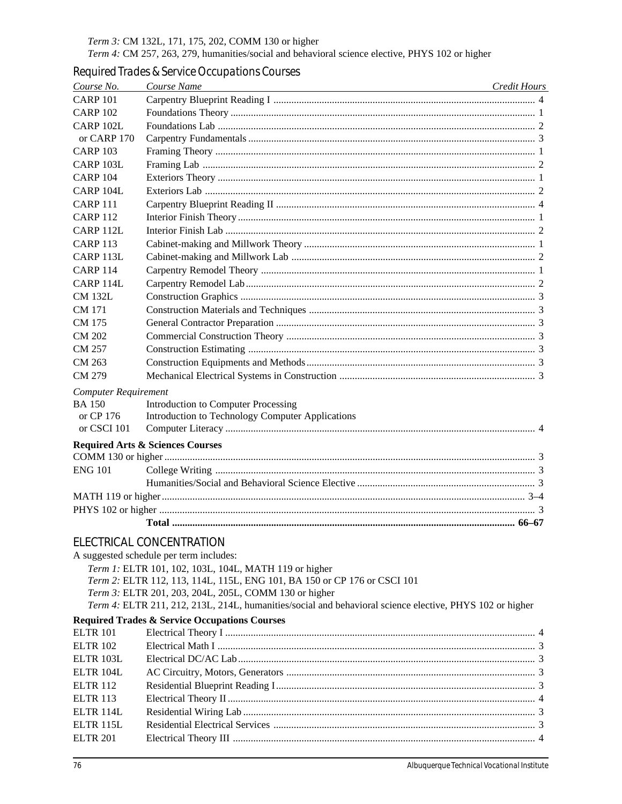Term 3: CM 132L, 171, 175, 202, COMM 130 or higher

Term 4: CM 257, 263, 279, humanities/social and behavioral science elective, PHYS 102 or higher

### Required Trades & Service Occupations Courses

| Course No.                                                               | Course Name<br><u> 1980 - Andrea Branden, amerikan basar personal di sebagai personal di sebagai personal di sebagai personal d</u> | Credit Hours |
|--------------------------------------------------------------------------|-------------------------------------------------------------------------------------------------------------------------------------|--------------|
| <b>CARP 101</b>                                                          |                                                                                                                                     |              |
| <b>CARP 102</b>                                                          |                                                                                                                                     |              |
| CARP 102L                                                                |                                                                                                                                     |              |
| or CARP 170                                                              |                                                                                                                                     |              |
| <b>CARP 103</b>                                                          |                                                                                                                                     |              |
| CARP 103L                                                                |                                                                                                                                     |              |
| <b>CARP 104</b>                                                          |                                                                                                                                     |              |
| CARP 104L                                                                |                                                                                                                                     |              |
| CARP <sub>111</sub>                                                      |                                                                                                                                     |              |
| <b>CARP 112</b>                                                          |                                                                                                                                     |              |
| CARP 112L                                                                |                                                                                                                                     |              |
| <b>CARP 113</b>                                                          |                                                                                                                                     |              |
| CARP 113L                                                                |                                                                                                                                     |              |
| <b>CARP 114</b>                                                          |                                                                                                                                     |              |
| CARP 114L                                                                |                                                                                                                                     |              |
| <b>CM 132L</b>                                                           |                                                                                                                                     |              |
| CM 171                                                                   |                                                                                                                                     |              |
| CM 175                                                                   |                                                                                                                                     |              |
| <b>CM 202</b>                                                            |                                                                                                                                     |              |
| CM 257                                                                   |                                                                                                                                     |              |
| CM 263                                                                   |                                                                                                                                     |              |
| CM 279                                                                   |                                                                                                                                     |              |
| <b>Computer Requirement</b><br><b>BA 150</b><br>or CP 176<br>or CSCI 101 | Introduction to Computer Processing<br>Introduction to Technology Computer Applications                                             |              |
|                                                                          | <b>Required Arts &amp; Sciences Courses</b>                                                                                         |              |
|                                                                          |                                                                                                                                     |              |
| <b>ENG 101</b>                                                           |                                                                                                                                     |              |
|                                                                          |                                                                                                                                     |              |
|                                                                          |                                                                                                                                     |              |
|                                                                          |                                                                                                                                     |              |
|                                                                          |                                                                                                                                     |              |
|                                                                          | <b>ELECTRICAL CONCENTRATION</b>                                                                                                     |              |
|                                                                          |                                                                                                                                     |              |
|                                                                          | A suggested schedule per term includes:<br>Term 1: ELTR 101, 102, 103L, 104L, MATH 119 or higher                                    |              |
|                                                                          | Term 2: ELTR 112, 113, 114L, 115L, ENG 101, BA 150 or CP 176 or CSCI 101                                                            |              |
|                                                                          | Term 3: ELTR 201, 203, 204L, 205L, COMM 130 or higher                                                                               |              |
|                                                                          | Term 4: ELTR 211, 212, 213L, 214L, humanities/social and behavioral science elective, PHYS 102 or higher                            |              |
|                                                                          | <b>Required Trades &amp; Service Occupations Courses</b>                                                                            |              |
| <b>ELTR 101</b>                                                          |                                                                                                                                     |              |
| <b>ELTR 102</b>                                                          |                                                                                                                                     |              |
| ELTR 103L                                                                |                                                                                                                                     |              |
| ELTR 104L                                                                |                                                                                                                                     |              |
| <b>ELTR 112</b>                                                          |                                                                                                                                     |              |
| <b>ELTR 113</b>                                                          |                                                                                                                                     |              |
| ELTR 114L                                                                |                                                                                                                                     |              |
| ELTR 115L                                                                |                                                                                                                                     |              |
| <b>ELTR 201</b>                                                          |                                                                                                                                     |              |
|                                                                          |                                                                                                                                     |              |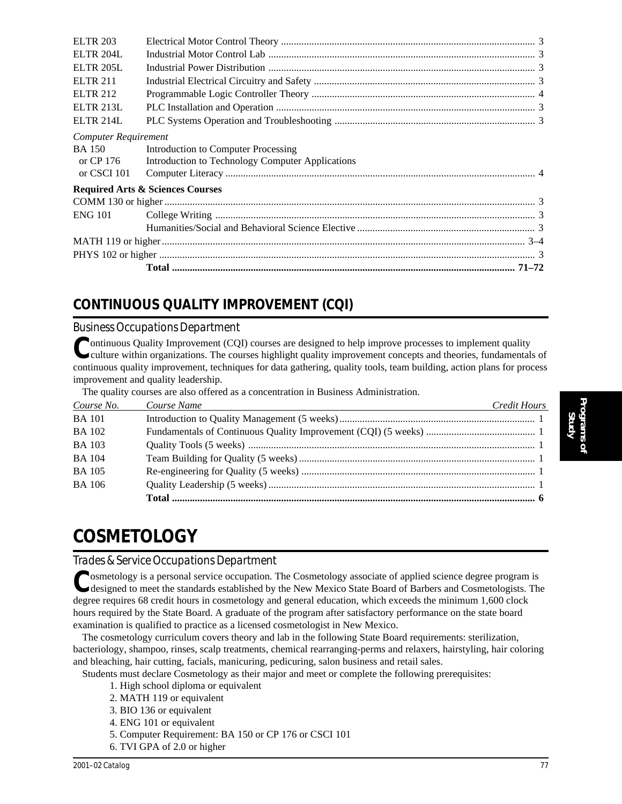| <b>ENG 101</b>                               |                                                  |  |
|----------------------------------------------|--------------------------------------------------|--|
|                                              |                                                  |  |
|                                              | <b>Required Arts &amp; Sciences Courses</b>      |  |
| or CSCI 101                                  |                                                  |  |
| or CP 176                                    | Introduction to Technology Computer Applications |  |
| <b>Computer Requirement</b><br><b>BA</b> 150 | Introduction to Computer Processing              |  |
|                                              |                                                  |  |
| <b>ELTR 214L</b>                             |                                                  |  |
| <b>ELTR 213L</b>                             |                                                  |  |
| <b>ELTR 212</b>                              |                                                  |  |
| <b>ELTR 211</b>                              |                                                  |  |
| <b>ELTR 205L</b>                             |                                                  |  |
| <b>ELTR 204L</b>                             |                                                  |  |
| <b>ELTR 203</b>                              |                                                  |  |

## **CONTINUOUS QUALITY IMPROVEMENT (CQI)**

### *Business Occupations Department*

Continuous Quality Improvement (CQI) courses are designed to help improve processes to implement quality culture within organizations. The courses highlight quality improvement concepts and theories, fundamentals of continuous quality improvement, techniques for data gathering, quality tools, team building, action plans for process improvement and quality leadership.

The quality courses are also offered as a concentration in Business Administration.

| Course No.    | Course Name<br>and the control of the control of the control of the control of the control of the control of the control of the | Credit Hours |
|---------------|---------------------------------------------------------------------------------------------------------------------------------|--------------|
| <b>BA</b> 101 |                                                                                                                                 |              |
| <b>BA</b> 102 |                                                                                                                                 |              |
| <b>BA 103</b> |                                                                                                                                 |              |
| <b>BA</b> 104 |                                                                                                                                 |              |
| <b>BA</b> 105 |                                                                                                                                 |              |
| <b>BA 106</b> |                                                                                                                                 |              |
|               |                                                                                                                                 |              |

# **COSMETOLOGY**

### *Trades & Service Occupations Department*

**P**osmetology is a personal service occupation. The Cosmetology associate of applied science degree program is designed to meet the standards established by the New Mexico State Board of Barbers and Cosmetologists. The degree requires 68 credit hours in cosmetology and general education, which exceeds the minimum 1,600 clock hours required by the State Board. A graduate of the program after satisfactory performance on the state board examination is qualified to practice as a licensed cosmetologist in New Mexico.

The cosmetology curriculum covers theory and lab in the following State Board requirements: sterilization, bacteriology, shampoo, rinses, scalp treatments, chemical rearranging-perms and relaxers, hairstyling, hair coloring and bleaching, hair cutting, facials, manicuring, pedicuring, salon business and retail sales.

Students must declare Cosmetology as their major and meet or complete the following prerequisites:

- 1. High school diploma or equivalent
- 2. MATH 119 or equivalent
- 3. BIO 136 or equivalent
- 4. ENG 101 or equivalent
- 5. Computer Requirement: BA 150 or CP 176 or CSCI 101
- 6. TVI GPA of 2.0 or higher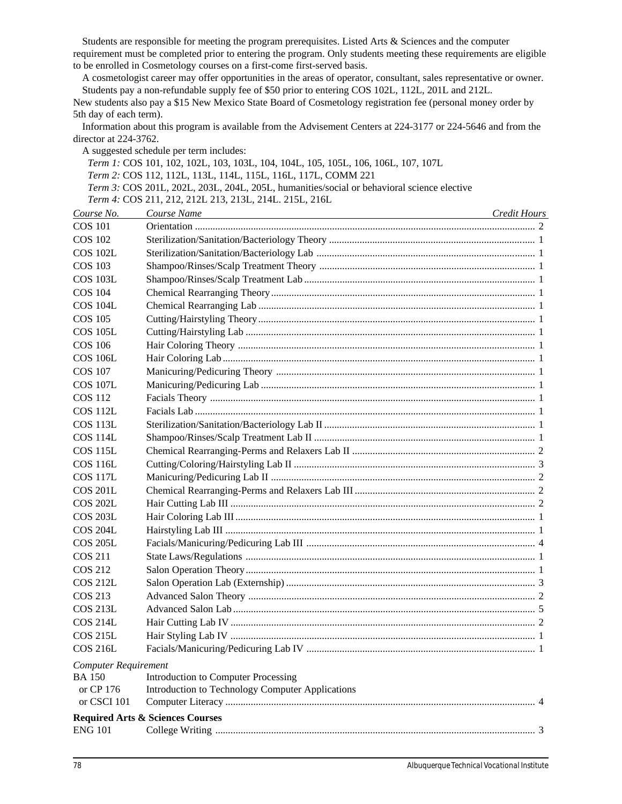Students are responsible for meeting the program prerequisites. Listed Arts & Sciences and the computer requirement must be completed prior to entering the program. Only students meeting these requirements are eligible to be enrolled in Cosmetology courses on a first-come first-served basis.

A cosmetologist career may offer opportunities in the areas of operator, consultant, sales representative or owner. Students pay a non-refundable supply fee of \$50 prior to entering COS 102L, 112L, 201L and 212L.

New students also pay a \$15 New Mexico State Board of Cosmetology registration fee (personal money order by 5th day of each term).

Information about this program is available from the Advisement Centers at 224-3177 or 224-5646 and from the director at 224-3762.

A suggested schedule per term includes:

*Term 1:* COS 101, 102, 102L, 103, 103L, 104, 104L, 105, 105L, 106, 106L, 107, 107L *Term 2:* COS 112, 112L, 113L, 114L, 115L, 116L, 117L, COMM 221 *Term 3:* COS 201L, 202L, 203L, 204L, 205L, humanities/social or behavioral science elective *Term 4:* COS 211, 212, 212L 213, 213L, 214L. 215L, 216L

| Course No.                  | Course Name                                      | Credit Hours |  |
|-----------------------------|--------------------------------------------------|--------------|--|
| <b>COS 101</b>              |                                                  |              |  |
| <b>COS 102</b>              |                                                  |              |  |
| COS 102L                    |                                                  |              |  |
| <b>COS 103</b>              |                                                  |              |  |
| <b>COS 103L</b>             |                                                  |              |  |
| COS 104                     |                                                  |              |  |
| <b>COS 104L</b>             |                                                  |              |  |
| <b>COS 105</b>              |                                                  |              |  |
| <b>COS 105L</b>             |                                                  |              |  |
| <b>COS 106</b>              |                                                  |              |  |
| <b>COS 106L</b>             |                                                  |              |  |
| <b>COS 107</b>              |                                                  |              |  |
| <b>COS 107L</b>             |                                                  |              |  |
| COS 112                     |                                                  |              |  |
| <b>COS 112L</b>             |                                                  |              |  |
| <b>COS 113L</b>             |                                                  |              |  |
| <b>COS 114L</b>             |                                                  |              |  |
| <b>COS 115L</b>             |                                                  |              |  |
| <b>COS 116L</b>             |                                                  |              |  |
| <b>COS 117L</b>             |                                                  |              |  |
| <b>COS 201L</b>             |                                                  |              |  |
| <b>COS 202L</b>             |                                                  |              |  |
| <b>COS 203L</b>             |                                                  |              |  |
| <b>COS 204L</b>             |                                                  |              |  |
| <b>COS 205L</b>             |                                                  |              |  |
| <b>COS 211</b>              |                                                  |              |  |
| COS 212                     |                                                  |              |  |
| COS 212L                    |                                                  |              |  |
| COS 213                     |                                                  |              |  |
| <b>COS 213L</b>             |                                                  |              |  |
| <b>COS 214L</b>             |                                                  |              |  |
| <b>COS 215L</b>             |                                                  |              |  |
| <b>COS 216L</b>             |                                                  |              |  |
| <b>Computer Requirement</b> |                                                  |              |  |
| <b>BA</b> 150               | <b>Introduction to Computer Processing</b>       |              |  |
| or CP 176                   | Introduction to Technology Computer Applications |              |  |
| or CSCI 101                 |                                                  |              |  |
|                             | <b>Required Arts &amp; Sciences Courses</b>      |              |  |
| <b>ENG 101</b>              |                                                  |              |  |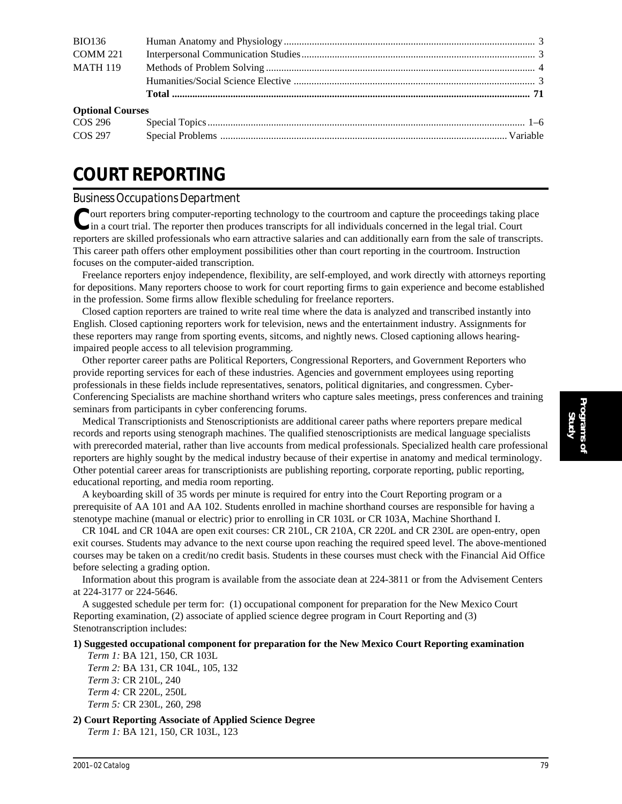| <b>BIO136</b>           |  |
|-------------------------|--|
| <b>COMM 221</b>         |  |
| <b>MATH 119</b>         |  |
|                         |  |
|                         |  |
| <b>Optional Courses</b> |  |
| COS 296                 |  |
|                         |  |

# **COURT REPORTING**

### *Business Occupations Department*

**P**ourt reporters bring computer-reporting technology to the courtroom and capture the proceedings taking place In a court trial. The reporter then produces transcripts for all individuals concerned in the legal trial. Court reporters are skilled professionals who earn attractive salaries and can additionally earn from the sale of transcripts. This career path offers other employment possibilities other than court reporting in the courtroom. Instruction focuses on the computer-aided transcription.

Freelance reporters enjoy independence, flexibility, are self-employed, and work directly with attorneys reporting for depositions. Many reporters choose to work for court reporting firms to gain experience and become established in the profession. Some firms allow flexible scheduling for freelance reporters.

Closed caption reporters are trained to write real time where the data is analyzed and transcribed instantly into English. Closed captioning reporters work for television, news and the entertainment industry. Assignments for these reporters may range from sporting events, sitcoms, and nightly news. Closed captioning allows hearingimpaired people access to all television programming.

Other reporter career paths are Political Reporters, Congressional Reporters, and Government Reporters who provide reporting services for each of these industries. Agencies and government employees using reporting professionals in these fields include representatives, senators, political dignitaries, and congressmen. Cyber-Conferencing Specialists are machine shorthand writers who capture sales meetings, press conferences and training seminars from participants in cyber conferencing forums.

Medical Transcriptionists and Stenoscriptionists are additional career paths where reporters prepare medical records and reports using stenograph machines. The qualified stenoscriptionists are medical language specialists with prerecorded material, rather than live accounts from medical professionals. Specialized health care professional reporters are highly sought by the medical industry because of their expertise in anatomy and medical terminology. Other potential career areas for transcriptionists are publishing reporting, corporate reporting, public reporting, educational reporting, and media room reporting.

A keyboarding skill of 35 words per minute is required for entry into the Court Reporting program or a prerequisite of AA 101 and AA 102. Students enrolled in machine shorthand courses are responsible for having a stenotype machine (manual or electric) prior to enrolling in CR 103L or CR 103A, Machine Shorthand I.

CR 104L and CR 104A are open exit courses: CR 210L, CR 210A, CR 220L and CR 230L are open-entry, open exit courses. Students may advance to the next course upon reaching the required speed level. The above-mentioned courses may be taken on a credit/no credit basis. Students in these courses must check with the Financial Aid Office before selecting a grading option.

Information about this program is available from the associate dean at 224-3811 or from the Advisement Centers at 224-3177 or 224-5646.

A suggested schedule per term for: (1) occupational component for preparation for the New Mexico Court Reporting examination, (2) associate of applied science degree program in Court Reporting and (3) Stenotranscription includes:

#### **1) Suggested occupational component for preparation for the New Mexico Court Reporting examination**

*Term 1:* BA 121, 150, CR 103L *Term 2:* BA 131, CR 104L, 105, 132 *Term 3:* CR 210L, 240 *Term 4:* CR 220L, 250L *Term 5:* CR 230L, 260, 298

**2) Court Reporting Associate of Applied Science Degree**

*Term 1:* BA 121, 150, CR 103L, 123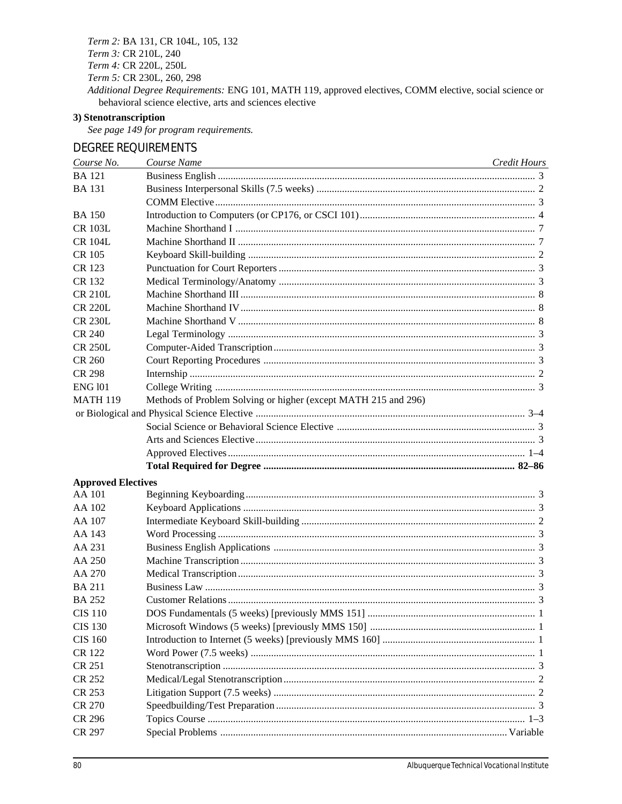Term 2: BA 131, CR 104L, 105, 132

Term 3: CR 210L, 240

Term 4: CR 220L, 250L

Term 5: CR 230L, 260, 298

Additional Degree Requirements: ENG 101, MATH 119, approved electives, COMM elective, social science or behavioral science elective, arts and sciences elective

### 3) Stenotranscription

See page 149 for program requirements.

### **DEGREE REQUIREMENTS**

| Course No.                | Course Name                                                    | Credit Hours |
|---------------------------|----------------------------------------------------------------|--------------|
| <b>BA</b> 121             |                                                                |              |
| <b>BA</b> 131             |                                                                |              |
|                           |                                                                |              |
| <b>BA</b> 150             |                                                                |              |
| <b>CR 103L</b>            |                                                                |              |
| <b>CR 104L</b>            |                                                                |              |
| CR 105                    |                                                                |              |
| CR 123                    |                                                                |              |
| CR 132                    |                                                                |              |
| <b>CR 210L</b>            |                                                                |              |
| <b>CR 220L</b>            |                                                                |              |
| <b>CR 230L</b>            |                                                                |              |
| <b>CR 240</b>             |                                                                |              |
| <b>CR 250L</b>            |                                                                |              |
| <b>CR 260</b>             |                                                                |              |
| CR 298                    |                                                                |              |
| <b>ENG 101</b>            |                                                                |              |
| <b>MATH 119</b>           | Methods of Problem Solving or higher (except MATH 215 and 296) |              |
|                           |                                                                |              |
|                           |                                                                |              |
|                           |                                                                |              |
|                           |                                                                |              |
|                           |                                                                |              |
| <b>Approved Electives</b> |                                                                |              |
| AA 101                    |                                                                |              |
| AA 102                    |                                                                |              |
| AA 107                    |                                                                |              |
| AA 143                    |                                                                |              |
| AA 231                    |                                                                |              |
| AA 250                    |                                                                |              |
| AA 270                    |                                                                |              |
| <b>BA 211</b>             |                                                                |              |
| <b>BA 252</b>             |                                                                |              |
| <b>CIS 110</b>            |                                                                |              |
| <b>CIS 130</b>            |                                                                |              |
| <b>CIS 160</b>            |                                                                |              |
| <b>CR 122</b>             |                                                                |              |
| CR 251                    |                                                                |              |
| <b>CR 252</b>             |                                                                |              |
| CR 253                    |                                                                |              |
| CR 270                    |                                                                |              |
| <b>CR 296</b>             |                                                                |              |
| CR 297                    |                                                                |              |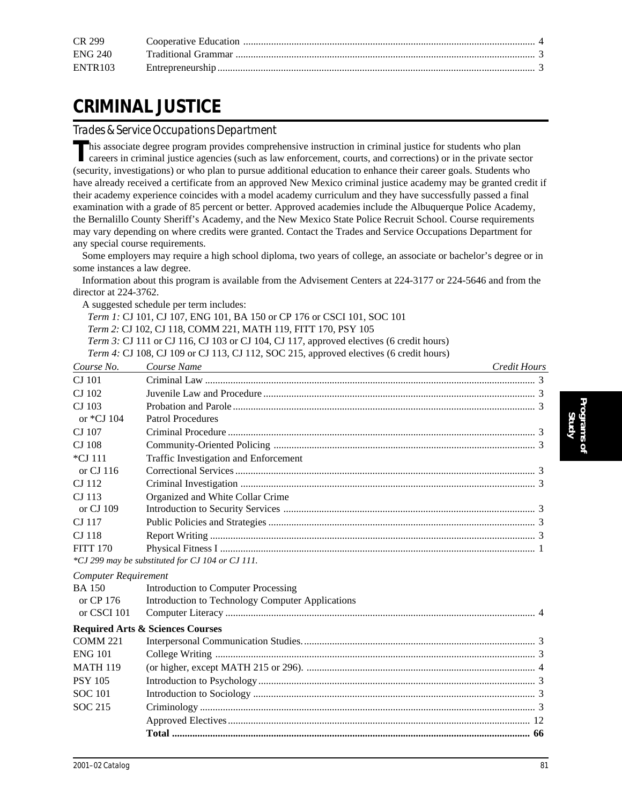| CR 299         |  |
|----------------|--|
| <b>ENG 240</b> |  |
| <b>ENTR103</b> |  |

# **CRIMINAL JUSTICE**

*Trades & Service Occupations Department*

This associate degree program provides comprehensive instruction in criminal justice for students who plan<br>corrects in stiminal careers in criminal justice agencies (such as law enforcement, courts, and corrections) or in the private sector (security, investigations) or who plan to pursue additional education to enhance their career goals. Students who have already received a certificate from an approved New Mexico criminal justice academy may be granted credit if their academy experience coincides with a model academy curriculum and they have successfully passed a final examination with a grade of 85 percent or better. Approved academies include the Albuquerque Police Academy, the Bernalillo County Sheriff's Academy, and the New Mexico State Police Recruit School. Course requirements may vary depending on where credits were granted. Contact the Trades and Service Occupations Department for any special course requirements.

Some employers may require a high school diploma, two years of college, an associate or bachelor's degree or in some instances a law degree.

Information about this program is available from the Advisement Centers at 224-3177 or 224-5646 and from the director at 224-3762.

A suggested schedule per term includes:

*Term 1:* CJ 101, CJ 107, ENG 101, BA 150 or CP 176 or CSCI 101, SOC 101

*Term 2:* CJ 102, CJ 118, COMM 221, MATH 119, FITT 170, PSY 105

*Term 3:* CJ 111 or CJ 116, CJ 103 or CJ 104, CJ 117, approved electives (6 credit hours)

*Term 4:* CJ 108, CJ 109 or CJ 113, CJ 112, SOC 215, approved electives (6 credit hours)

| Course No.      | Course Name<br><u> 1989 - Andrea Station Barbara, amerikan personal (h. 1989)</u> | Credit Hours |
|-----------------|-----------------------------------------------------------------------------------|--------------|
| CJ 101          |                                                                                   |              |
| CJ 102          |                                                                                   |              |
| CJ 103          |                                                                                   |              |
| or *CJ 104      | Patrol Procedures                                                                 |              |
| CJ 107          |                                                                                   |              |
| CJ 108          |                                                                                   |              |
| *CJ 111         | Traffic Investigation and Enforcement                                             |              |
| or CJ 116       |                                                                                   |              |
| CJ 112          |                                                                                   |              |
| CJ 113          | Organized and White Collar Crime                                                  |              |
| or CJ 109       |                                                                                   |              |
| CJ 117          |                                                                                   |              |
| CJ 118          |                                                                                   |              |
| <b>FITT 170</b> |                                                                                   |              |
|                 | *CJ 299 may be substituted for CJ 104 or CJ 111.                                  |              |

| <b>Computer Requirement</b> |                                                  |  |
|-----------------------------|--------------------------------------------------|--|
| <b>BA 150</b>               | Introduction to Computer Processing              |  |
| or CP 176                   | Introduction to Technology Computer Applications |  |
| or CSCI 101                 |                                                  |  |
|                             | <b>Required Arts &amp; Sciences Courses</b>      |  |
| <b>COMM 221</b>             |                                                  |  |
| <b>ENG 101</b>              |                                                  |  |
| <b>MATH 119</b>             |                                                  |  |
| <b>PSY 105</b>              |                                                  |  |
| <b>SOC</b> 101              |                                                  |  |
| SOC 215                     |                                                  |  |
|                             |                                                  |  |
|                             |                                                  |  |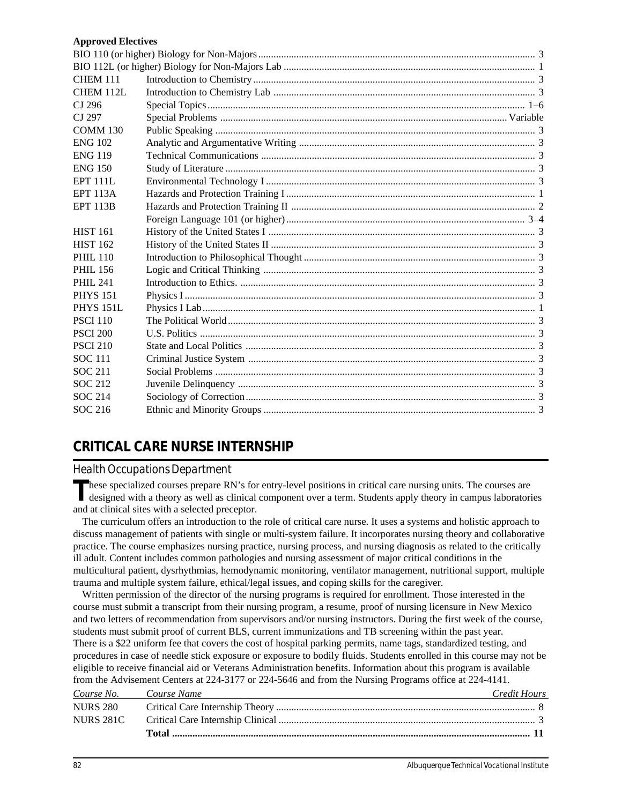#### **Approved Electives**

| <b>CHEM 111</b>  |  |
|------------------|--|
| CHEM 112L        |  |
| CJ 296           |  |
| CJ 297           |  |
| <b>COMM 130</b>  |  |
| <b>ENG 102</b>   |  |
| <b>ENG 119</b>   |  |
| <b>ENG 150</b>   |  |
| <b>EPT 111L</b>  |  |
| <b>EPT 113A</b>  |  |
| <b>EPT 113B</b>  |  |
|                  |  |
| <b>HIST 161</b>  |  |
| <b>HIST 162</b>  |  |
| <b>PHIL 110</b>  |  |
| PHIL 156         |  |
| <b>PHIL 241</b>  |  |
| <b>PHYS 151</b>  |  |
| <b>PHYS 151L</b> |  |
| <b>PSCI 110</b>  |  |
| <b>PSCI 200</b>  |  |
| <b>PSCI 210</b>  |  |
| <b>SOC</b> 111   |  |
| <b>SOC 211</b>   |  |
| <b>SOC 212</b>   |  |
| <b>SOC 214</b>   |  |
| SOC 216          |  |
|                  |  |

### **CRITICAL CARE NURSE INTERNSHIP**

### *Health Occupations Department*

These specialized courses prepare RN's for entry-level positions in critical care nursing units. The courses are designed with a theory as well as clinical component over a term. Students apply theory in campus laboratorie and at clinical sites with a selected preceptor.

The curriculum offers an introduction to the role of critical care nurse. It uses a systems and holistic approach to discuss management of patients with single or multi-system failure. It incorporates nursing theory and collaborative practice. The course emphasizes nursing practice, nursing process, and nursing diagnosis as related to the critically ill adult. Content includes common pathologies and nursing assessment of major critical conditions in the multicultural patient, dysrhythmias, hemodynamic monitoring, ventilator management, nutritional support, multiple trauma and multiple system failure, ethical/legal issues, and coping skills for the caregiver.

Written permission of the director of the nursing programs is required for enrollment. Those interested in the course must submit a transcript from their nursing program, a resume, proof of nursing licensure in New Mexico and two letters of recommendation from supervisors and/or nursing instructors. During the first week of the course, students must submit proof of current BLS, current immunizations and TB screening within the past year. There is a \$22 uniform fee that covers the cost of hospital parking permits, name tags, standardized testing, and procedures in case of needle stick exposure or exposure to bodily fluids. Students enrolled in this course may not be eligible to receive financial aid or Veterans Administration benefits. Information about this program is available from the Advisement Centers at 224-3177 or 224-5646 and from the Nursing Programs office at 224-4141.

| Course No. Course Name | Credit Hours |
|------------------------|--------------|
| <b>NURS 280</b>        |              |
|                        |              |
|                        |              |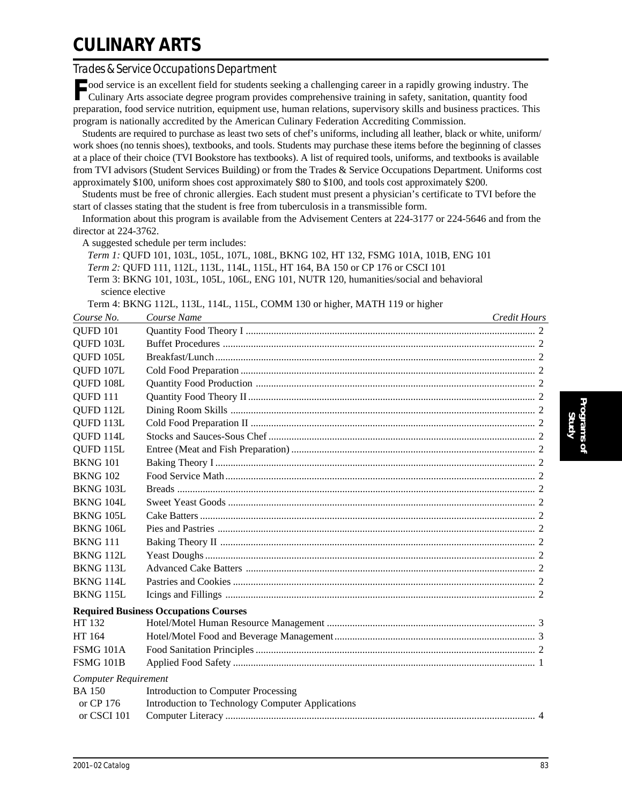## **CULINARY ARTS**

### *Trades & Service Occupations Department*

ood service is an excellent field for students seeking a challenging career in a rapidly growing industry. The Culinary Arts associate degree program provides comprehensive training in safety, sanitation, quantity food preparation, food service nutrition, equipment use, human relations, supervisory skills and business practices. This program is nationally accredited by the American Culinary Federation Accrediting Commission.

Students are required to purchase as least two sets of chef's uniforms, including all leather, black or white, uniform/ work shoes (no tennis shoes), textbooks, and tools. Students may purchase these items before the beginning of classes at a place of their choice (TVI Bookstore has textbooks). A list of required tools, uniforms, and textbooks is available from TVI advisors (Student Services Building) or from the Trades & Service Occupations Department. Uniforms cost approximately \$100, uniform shoes cost approximately \$80 to \$100, and tools cost approximately \$200.

Students must be free of chronic allergies. Each student must present a physician's certificate to TVI before the start of classes stating that the student is free from tuberculosis in a transmissible form.

Information about this program is available from the Advisement Centers at 224-3177 or 224-5646 and from the director at 224-3762.

A suggested schedule per term includes:

*Term 1:* QUFD 101, 103L, 105L, 107L, 108L, BKNG 102, HT 132, FSMG 101A, 101B, ENG 101 *Term 2:* QUFD 111, 112L, 113L, 114L, 115L, HT 164, BA 150 or CP 176 or CSCI 101 Term 3: BKNG 101, 103L, 105L, 106L, ENG 101, NUTR 120, humanities/social and behavioral science elective

Term 4: BKNG 112L, 113L, 114L, 115L, COMM 130 or higher, MATH 119 or higher

| Course No.                  | Course Name                                      | Credit Hours |
|-----------------------------|--------------------------------------------------|--------------|
| <b>OUFD 101</b>             |                                                  |              |
| QUFD 103L                   |                                                  |              |
| QUFD 105L                   |                                                  |              |
| QUFD 107L                   |                                                  |              |
| QUFD 108L                   |                                                  |              |
| QUFD <sub>111</sub>         |                                                  |              |
| QUFD 112L                   |                                                  |              |
| QUFD 113L                   |                                                  |              |
| QUFD 114L                   |                                                  |              |
| QUFD 115L                   |                                                  |              |
| <b>BKNG 101</b>             |                                                  |              |
| <b>BKNG 102</b>             |                                                  |              |
| <b>BKNG 103L</b>            |                                                  |              |
| BKNG 104L                   |                                                  |              |
| BKNG 105L                   |                                                  |              |
| <b>BKNG 106L</b>            |                                                  |              |
| <b>BKNG 111</b>             |                                                  |              |
| BKNG 112L                   |                                                  |              |
| BKNG 113L                   |                                                  |              |
| BKNG 114L                   |                                                  |              |
| BKNG 115L                   |                                                  |              |
|                             | <b>Required Business Occupations Courses</b>     |              |
| HT 132                      |                                                  |              |
| HT 164                      |                                                  |              |
| <b>FSMG 101A</b>            |                                                  |              |
| <b>FSMG 101B</b>            |                                                  |              |
| <b>Computer Requirement</b> |                                                  |              |
| <b>BA</b> 150               | <b>Introduction to Computer Processing</b>       |              |
| or CP 176                   | Introduction to Technology Computer Applications |              |
| or CSCI 101                 |                                                  |              |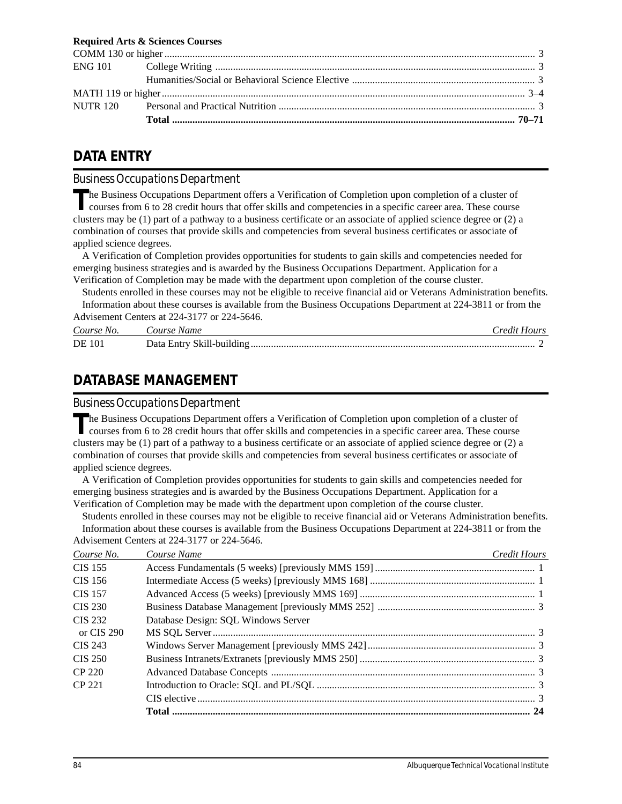#### **Required Arts & Sciences Courses**

### **DATA ENTRY**

### *Business Occupations Department*

The Business Occupations Department offers a Verification of Completion upon completion of a cluster of courses from 6 to 28 credit hours that offer skills and competencies in a specific career area. These course clusters may be (1) part of a pathway to a business certificate or an associate of applied science degree or (2) a combination of courses that provide skills and competencies from several business certificates or associate of applied science degrees.

A Verification of Completion provides opportunities for students to gain skills and competencies needed for emerging business strategies and is awarded by the Business Occupations Department. Application for a Verification of Completion may be made with the department upon completion of the course cluster.

Students enrolled in these courses may not be eligible to receive financial aid or Veterans Administration benefits. Information about these courses is available from the Business Occupations Department at 224-3811 or from the

|               | Advisement Centers at 224-3177 or 224-5646. |              |
|---------------|---------------------------------------------|--------------|
| Course No.    | Course Name                                 | Credit Hours |
| <b>DE</b> 101 |                                             |              |

### **DATABASE MANAGEMENT**

#### *Business Occupations Department*

The Business Occupations Department offers a Verification of Completion upon completion of a cluster of courses from 6 to 28 credit hours that offer skills and competencies in a specific career area. These course clusters may be (1) part of a pathway to a business certificate or an associate of applied science degree or (2) a combination of courses that provide skills and competencies from several business certificates or associate of applied science degrees.

A Verification of Completion provides opportunities for students to gain skills and competencies needed for emerging business strategies and is awarded by the Business Occupations Department. Application for a Verification of Completion may be made with the department upon completion of the course cluster.

Students enrolled in these courses may not be eligible to receive financial aid or Veterans Administration benefits. Information about these courses is available from the Business Occupations Department at 224-3811 or from the Advisement Centers at 224-3177 or 224-5646.

| Course No.     | Course Name                         | Credit Hours |
|----------------|-------------------------------------|--------------|
| <b>CIS 155</b> |                                     |              |
| CIS 156        |                                     |              |
| <b>CIS 157</b> |                                     |              |
| CIS 230        |                                     |              |
| CIS 232        | Database Design: SQL Windows Server |              |
| or CIS 290     |                                     |              |
| CIS 243        |                                     |              |
| CIS 250        |                                     |              |
| CP 220         |                                     |              |
| CP 221         |                                     |              |
|                |                                     |              |
|                |                                     |              |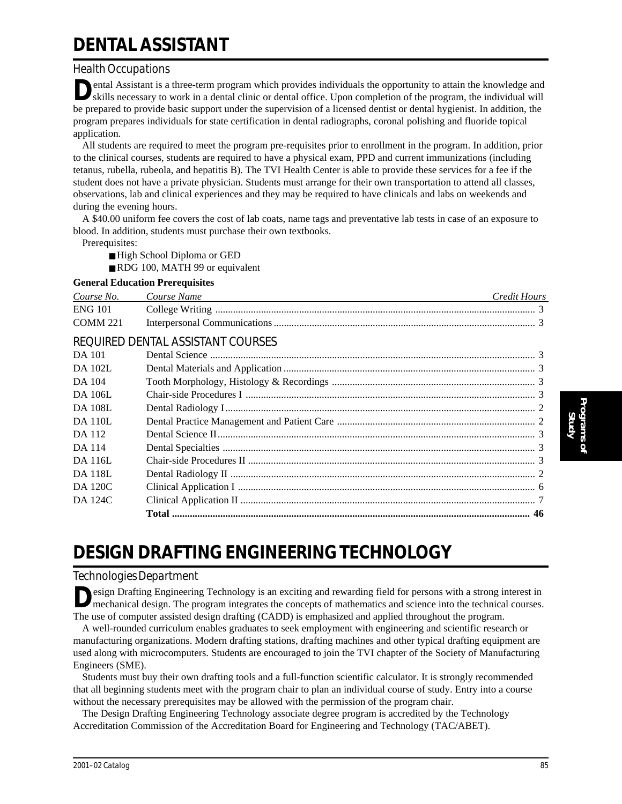# **DENTAL ASSISTANT**

### *Health Occupations*

ental Assistant is a three-term program which provides individuals the opportunity to attain the knowledge and skills necessary to work in a dental clinic or dental office. Upon completion of the program, the individual will be prepared to provide basic support under the supervision of a licensed dentist or dental hygienist. In addition, the program prepares individuals for state certification in dental radiographs, coronal polishing and fluoride topical application.

All students are required to meet the program pre-requisites prior to enrollment in the program. In addition, prior to the clinical courses, students are required to have a physical exam, PPD and current immunizations (including tetanus, rubella, rubeola, and hepatitis B). The TVI Health Center is able to provide these services for a fee if the student does not have a private physician. Students must arrange for their own transportation to attend all classes, observations, lab and clinical experiences and they may be required to have clinicals and labs on weekends and during the evening hours.

A \$40.00 uniform fee covers the cost of lab coats, name tags and preventative lab tests in case of an exposure to blood. In addition, students must purchase their own textbooks.

Prerequisites:

- High School Diploma or GED
- RDG 100, MATH 99 or equivalent

#### **General Education Prerequisites**

| Course No.      | Course Name | Credit Hours |
|-----------------|-------------|--------------|
| <b>ENG 101</b>  |             |              |
| <b>COMM 221</b> |             |              |

### REQUIRED DENTAL ASSISTANT COURSES

| DA 101         |  |
|----------------|--|
| <b>DA 102L</b> |  |
| DA 104         |  |
| <b>DA 106L</b> |  |
| <b>DA 108L</b> |  |
| <b>DA 110L</b> |  |
| DA 112         |  |
| DA 114         |  |
| DA 116L        |  |
| <b>DA 118L</b> |  |
| DA 120C        |  |
| DA 124C        |  |
|                |  |

## **DESIGN DRAFTING ENGINEERING TECHNOLOGY**

### *Technologies Department*

esign Drafting Engineering Technology is an exciting and rewarding field for persons with a strong interest in mechanical design. The program integrates the concepts of mathematics and science into the technical courses. The use of computer assisted design drafting (CADD) is emphasized and applied throughout the program.

A well-rounded curriculum enables graduates to seek employment with engineering and scientific research or manufacturing organizations. Modern drafting stations, drafting machines and other typical drafting equipment are used along with microcomputers. Students are encouraged to join the TVI chapter of the Society of Manufacturing Engineers (SME).

Students must buy their own drafting tools and a full-function scientific calculator. It is strongly recommended that all beginning students meet with the program chair to plan an individual course of study. Entry into a course without the necessary prerequisites may be allowed with the permission of the program chair.

The Design Drafting Engineering Technology associate degree program is accredited by the Technology Accreditation Commission of the Accreditation Board for Engineering and Technology (TAC/ABET).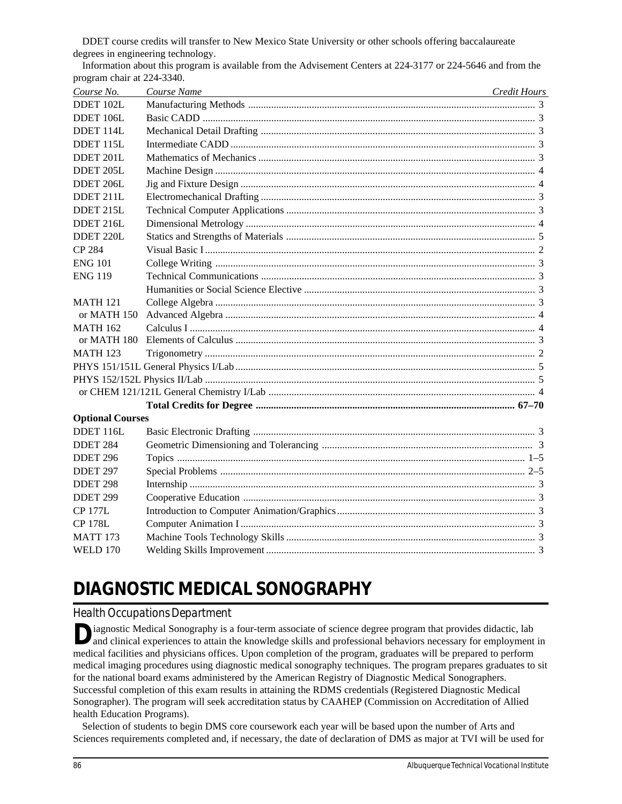DDET course credits will transfer to New Mexico State University or other schools offering baccalaureate degrees in engineering technology.

| Course No.              | Course Name<br>the control of the control of the control of the control of the control of the control of the control of the control of the control of the control of the control of the control of the control of the control of the control | Credit Hours |
|-------------------------|----------------------------------------------------------------------------------------------------------------------------------------------------------------------------------------------------------------------------------------------|--------------|
| DDET 102L               |                                                                                                                                                                                                                                              |              |
| DDET 106L               |                                                                                                                                                                                                                                              |              |
| DDET 114L               |                                                                                                                                                                                                                                              |              |
| DDET 115L               |                                                                                                                                                                                                                                              |              |
| DDET 201L               |                                                                                                                                                                                                                                              |              |
| DDET 205L               |                                                                                                                                                                                                                                              |              |
| DDET 206L               |                                                                                                                                                                                                                                              |              |
| DDET 211L               |                                                                                                                                                                                                                                              |              |
| DDET 215L               |                                                                                                                                                                                                                                              |              |
| DDET 216L               |                                                                                                                                                                                                                                              |              |
| DDET 220L               |                                                                                                                                                                                                                                              |              |
| CP 284                  |                                                                                                                                                                                                                                              |              |
| <b>ENG 101</b>          |                                                                                                                                                                                                                                              |              |
| <b>ENG 119</b>          |                                                                                                                                                                                                                                              |              |
|                         |                                                                                                                                                                                                                                              |              |
| <b>MATH 121</b>         |                                                                                                                                                                                                                                              |              |
| or MATH 150             |                                                                                                                                                                                                                                              |              |
| <b>MATH 162</b>         |                                                                                                                                                                                                                                              |              |
| or MATH 180             |                                                                                                                                                                                                                                              |              |
| <b>MATH 123</b>         |                                                                                                                                                                                                                                              |              |
|                         |                                                                                                                                                                                                                                              |              |
|                         |                                                                                                                                                                                                                                              |              |
|                         |                                                                                                                                                                                                                                              |              |
|                         |                                                                                                                                                                                                                                              |              |
| <b>Optional Courses</b> |                                                                                                                                                                                                                                              |              |
| DDET 116L               |                                                                                                                                                                                                                                              |              |
| <b>DDET 284</b>         |                                                                                                                                                                                                                                              |              |
| DDET <sub>296</sub>     |                                                                                                                                                                                                                                              |              |
| DDET <sub>297</sub>     |                                                                                                                                                                                                                                              |              |
| DDET <sub>298</sub>     |                                                                                                                                                                                                                                              |              |
| DDET 299                |                                                                                                                                                                                                                                              |              |
| <b>CP 177L</b>          |                                                                                                                                                                                                                                              |              |
| <b>CP 178L</b>          |                                                                                                                                                                                                                                              |              |
| <b>MATT 173</b>         |                                                                                                                                                                                                                                              |              |
| <b>WELD 170</b>         |                                                                                                                                                                                                                                              |              |
|                         |                                                                                                                                                                                                                                              |              |

Information about this program is available from the Advisement Centers at 224-3177 or 224-5646 and from the program chair at 224-3340.

# **DIAGNOSTIC MEDICAL SONOGRAPHY**

### *Health Occupations Department*

iagnostic Medical Sonography is a four-term associate of science degree program that provides didactic, lab<br>and clinical experiences to attain the knowledge skills and professional behaviors necessary for employment in medical facilities and physicians offices. Upon completion of the program, graduates will be prepared to perform medical imaging procedures using diagnostic medical sonography techniques. The program prepares graduates to sit for the national board exams administered by the American Registry of Diagnostic Medical Sonographers. Successful completion of this exam results in attaining the RDMS credentials (Registered Diagnostic Medical Sonographer). The program will seek accreditation status by CAAHEP (Commission on Accreditation of Allied health Education Programs).

Selection of students to begin DMS core coursework each year will be based upon the number of Arts and Sciences requirements completed and, if necessary, the date of declaration of DMS as major at TVI will be used for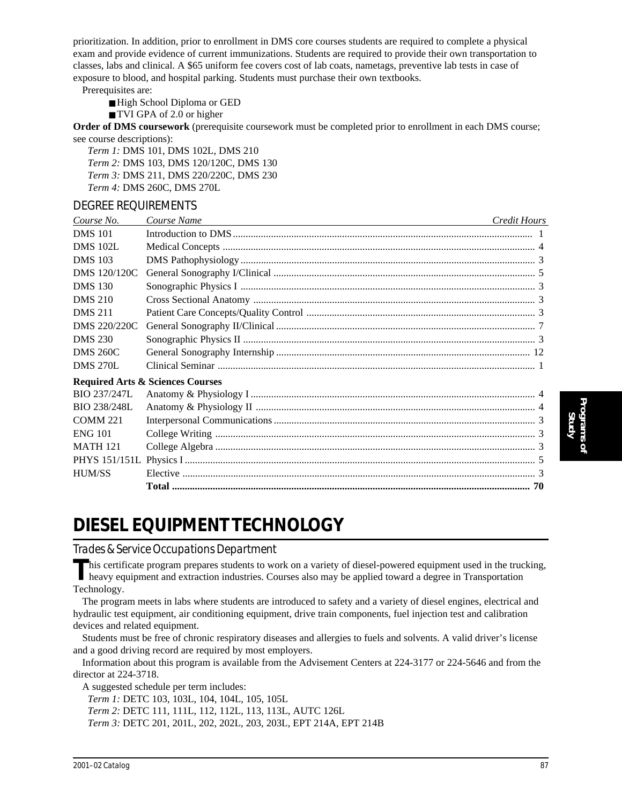prioritization. In addition, prior to enrollment in DMS core courses students are required to complete a physical exam and provide evidence of current immunizations. Students are required to provide their own transportation to classes, labs and clinical. A \$65 uniform fee covers cost of lab coats, nametags, preventive lab tests in case of exposure to blood, and hospital parking. Students must purchase their own textbooks.

Prerequisites are:

- High School Diploma or GED
- TVI GPA of 2.0 or higher

**Order of DMS coursework** (prerequisite coursework must be completed prior to enrollment in each DMS course; see course descriptions):

*Term 1:* DMS 101, DMS 102L, DMS 210 *Term 2:* DMS 103, DMS 120/120C, DMS 130 *Term 3:* DMS 211, DMS 220/220C, DMS 230 *Term 4:* DMS 260C, DMS 270L

### DEGREE REQUIREMENTS

| Course No.           | Course Name                                 | Credit Hours |
|----------------------|---------------------------------------------|--------------|
| <b>DMS</b> 101       |                                             |              |
| <b>DMS 102L</b>      |                                             |              |
| <b>DMS</b> 103       |                                             |              |
| DMS 120/120C         |                                             |              |
| <b>DMS</b> 130       |                                             |              |
| <b>DMS 210</b>       |                                             |              |
| <b>DMS 211</b>       |                                             |              |
| DMS 220/220C         |                                             |              |
| <b>DMS 230</b>       |                                             |              |
| <b>DMS 260C</b>      |                                             |              |
| <b>DMS 270L</b>      |                                             |              |
|                      | <b>Required Arts &amp; Sciences Courses</b> |              |
| <b>BIO 237/247L</b>  |                                             |              |
| BIO 238/248L         |                                             |              |
| <b>COMM 221</b>      |                                             |              |
| <b>ENG 101</b>       |                                             |              |
| <b>MATH 121</b>      |                                             |              |
| <b>PHYS</b> 151/151L |                                             |              |
| <b>HUM/SS</b>        |                                             |              |
|                      |                                             |              |

## **DIESEL EQUIPMENT TECHNOLOGY**

*Trades & Service Occupations Department*

This certificate program prepares students to work on a variety of diesel-powered equipment used in the trucking,<br>heavy equipment and extraction industries. Courses also may be applied toward a degree in Transportation Technology.

The program meets in labs where students are introduced to safety and a variety of diesel engines, electrical and hydraulic test equipment, air conditioning equipment, drive train components, fuel injection test and calibration devices and related equipment.

Students must be free of chronic respiratory diseases and allergies to fuels and solvents. A valid driver's license and a good driving record are required by most employers.

Information about this program is available from the Advisement Centers at 224-3177 or 224-5646 and from the director at 224-3718.

A suggested schedule per term includes:

*Term 1:* DETC 103, 103L, 104, 104L, 105, 105L

*Term 2:* DETC 111, 111L, 112, 112L, 113, 113L, AUTC 126L

*Term 3:* DETC 201, 201L, 202, 202L, 203, 203L, EPT 214A, EPT 214B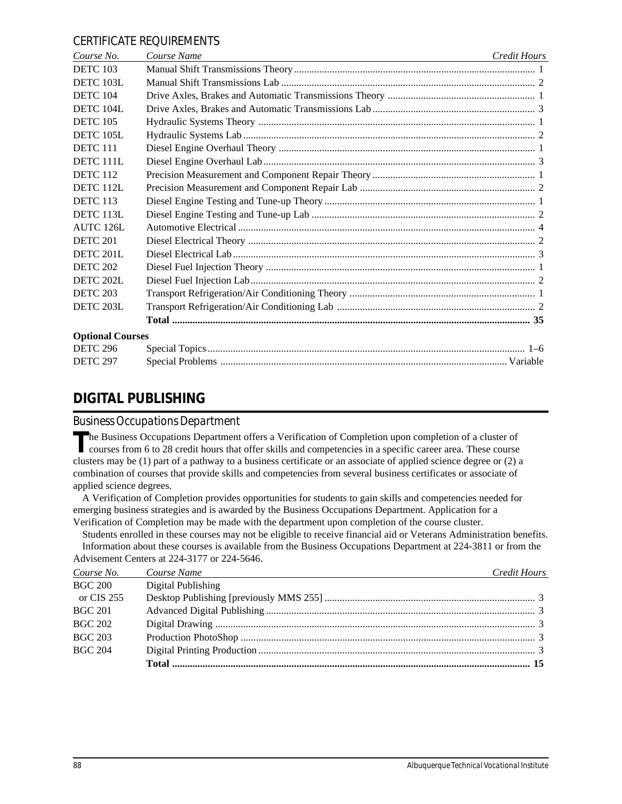#### CERTIFICATE REQUIREMENTS

| Course No.              | Course Name | Credit Hours |
|-------------------------|-------------|--------------|
| <b>DETC 103</b>         |             |              |
| DETC 103L               |             |              |
| <b>DETC 104</b>         |             |              |
| DETC 104L               |             |              |
| <b>DETC 105</b>         |             |              |
| DETC 105L               |             |              |
| <b>DETC 111</b>         |             |              |
| <b>DETC 111L</b>        |             |              |
| <b>DETC 112</b>         |             |              |
| <b>DETC 112L</b>        |             |              |
| <b>DETC 113</b>         |             |              |
| <b>DETC 113L</b>        |             |              |
| AUTC 126L               |             |              |
| <b>DETC 201</b>         |             |              |
| <b>DETC 201L</b>        |             |              |
| <b>DETC 202</b>         |             |              |
| DETC 202L               |             |              |
| <b>DETC 203</b>         |             |              |
| DETC 203L               |             |              |
|                         |             |              |
| <b>Optional Courses</b> |             |              |
| <b>DETC 296</b>         |             |              |
| <b>DETC 297</b>         |             |              |

### **DIGITAL PUBLISHING**

#### *Business Occupations Department*

The Business Occupations Department offers a Verification of Completion upon completion of a cluster of courses from 6 to 28 credit hours that offer skills and competencies in a specific career area. These course clusters may be (1) part of a pathway to a business certificate or an associate of applied science degree or (2) a combination of courses that provide skills and competencies from several business certificates or associate of applied science degrees.

A Verification of Completion provides opportunities for students to gain skills and competencies needed for emerging business strategies and is awarded by the Business Occupations Department. Application for a Verification of Completion may be made with the department upon completion of the course cluster.

Students enrolled in these courses may not be eligible to receive financial aid or Veterans Administration benefits. Information about these courses is available from the Business Occupations Department at 224-3811 or from the Advisement Centers at 224-3177 or 224-5646.

| Course No.     | Course Name<br>and the control of the control of the control of the control of the control of the control of the control of the | <b>Credit Hours</b> |
|----------------|---------------------------------------------------------------------------------------------------------------------------------|---------------------|
| <b>BGC 200</b> | Digital Publishing                                                                                                              |                     |
| or CIS 255     |                                                                                                                                 |                     |
| <b>BGC 201</b> |                                                                                                                                 |                     |
| <b>BGC 202</b> |                                                                                                                                 |                     |
| <b>BGC 203</b> |                                                                                                                                 |                     |
| <b>BGC 204</b> |                                                                                                                                 |                     |
|                |                                                                                                                                 |                     |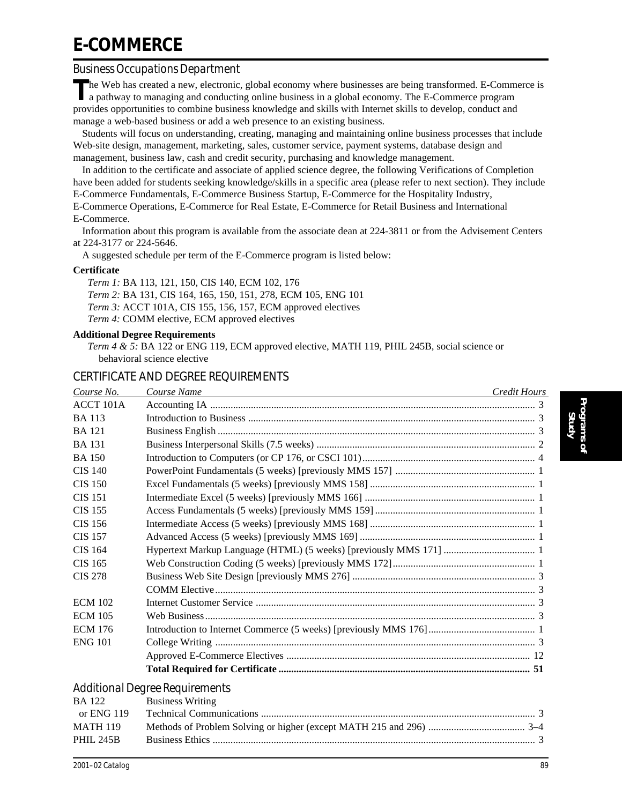# **E-COMMERCE**

### *Business Occupations Department*

**T**he Web has created a new, electronic, global economy where businesses are being transformed. E-Commerce is a pathway to managing and conducting online business in a global economy. The E-Commerce program provides opportunities to combine business knowledge and skills with Internet skills to develop, conduct and manage a web-based business or add a web presence to an existing business.

Students will focus on understanding, creating, managing and maintaining online business processes that include Web-site design, management, marketing, sales, customer service, payment systems, database design and management, business law, cash and credit security, purchasing and knowledge management.

In addition to the certificate and associate of applied science degree, the following Verifications of Completion have been added for students seeking knowledge/skills in a specific area (please refer to next section). They include E-Commerce Fundamentals, E-Commerce Business Startup, E-Commerce for the Hospitality Industry,

E-Commerce Operations, E-Commerce for Real Estate, E-Commerce for Retail Business and International E-Commerce.

Information about this program is available from the associate dean at 224-3811 or from the Advisement Centers at 224-3177 or 224-5646.

A suggested schedule per term of the E-Commerce program is listed below:

#### **Certificate**

*Term 1:* BA 113, 121, 150, CIS 140, ECM 102, 176 *Term 2:* BA 131, CIS 164, 165, 150, 151, 278, ECM 105, ENG 101 *Term 3:* ACCT 101A, CIS 155, 156, 157, ECM approved electives *Term 4:* COMM elective, ECM approved electives

#### **Additional Degree Requirements**

*Term 4 & 5:* BA 122 or ENG 119, ECM approved elective, MATH 119, PHIL 245B, social science or behavioral science elective

### CERTIFICATE AND DEGREE REQUIREMENTS

| Course No.     | Course Name<br><u> 1989 - Johann Stoff, deutscher Stoff, der Stoff, der Stoff, der Stoff, der Stoff, der Stoff, der Stoff, der S</u> | Credit Hours |
|----------------|--------------------------------------------------------------------------------------------------------------------------------------|--------------|
| ACCT 101A      |                                                                                                                                      |              |
| <b>BA</b> 113  |                                                                                                                                      |              |
| <b>BA</b> 121  |                                                                                                                                      |              |
| <b>BA</b> 131  |                                                                                                                                      |              |
| <b>BA</b> 150  |                                                                                                                                      |              |
| <b>CIS 140</b> |                                                                                                                                      |              |
| <b>CIS 150</b> |                                                                                                                                      |              |
| <b>CIS 151</b> |                                                                                                                                      |              |
| <b>CIS 155</b> |                                                                                                                                      |              |
| CIS 156        |                                                                                                                                      |              |
| <b>CIS 157</b> |                                                                                                                                      |              |
| <b>CIS 164</b> |                                                                                                                                      |              |
| <b>CIS 165</b> |                                                                                                                                      |              |
| <b>CIS 278</b> |                                                                                                                                      |              |
|                |                                                                                                                                      |              |
| <b>ECM 102</b> |                                                                                                                                      |              |
| <b>ECM 105</b> |                                                                                                                                      |              |
| <b>ECM 176</b> |                                                                                                                                      |              |
| <b>ENG 101</b> |                                                                                                                                      |              |
|                |                                                                                                                                      |              |
|                |                                                                                                                                      |              |
|                | <b>Additional Degree Requirements</b>                                                                                                |              |
| <b>BA</b> 122  | <b>Business Writing</b>                                                                                                              |              |
|                | $\sim \text{PMC}$ 110 $\sim$ Technical Communications                                                                                | $\sim$       |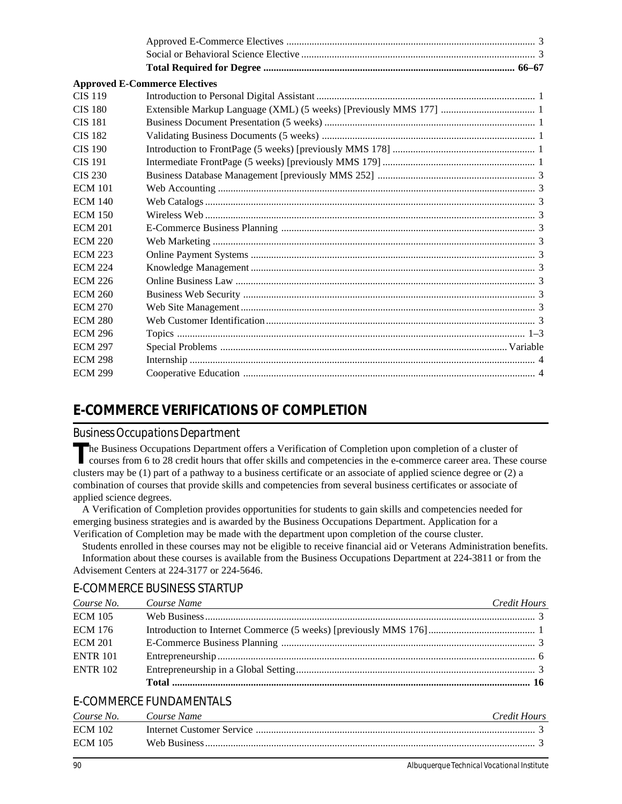|                | <b>Approved E-Commerce Electives</b> |  |
|----------------|--------------------------------------|--|
| <b>CIS 119</b> |                                      |  |
| <b>CIS 180</b> |                                      |  |
| <b>CIS 181</b> |                                      |  |
| <b>CIS 182</b> |                                      |  |
| <b>CIS 190</b> |                                      |  |
| <b>CIS 191</b> |                                      |  |
| CIS 230        |                                      |  |
| <b>ECM 101</b> |                                      |  |
| <b>ECM 140</b> |                                      |  |
| <b>ECM 150</b> |                                      |  |
| <b>ECM 201</b> |                                      |  |
| <b>ECM 220</b> |                                      |  |
| <b>ECM 223</b> |                                      |  |
| <b>ECM 224</b> |                                      |  |
| <b>ECM 226</b> |                                      |  |
| <b>ECM 260</b> |                                      |  |
| <b>ECM 270</b> |                                      |  |
| <b>ECM 280</b> |                                      |  |
| <b>ECM 296</b> |                                      |  |
| <b>ECM 297</b> |                                      |  |
| <b>ECM 298</b> |                                      |  |
| <b>ECM 299</b> |                                      |  |

## **E-COMMERCE VERIFICATIONS OF COMPLETION**

#### *Business Occupations Department*

The Business Occupations Department offers a Verification of Completion upon completion of a cluster of courses from 6 to 28 credit hours that offer skills and competencies in the e-commerce career area. These course clusters may be (1) part of a pathway to a business certificate or an associate of applied science degree or (2) a combination of courses that provide skills and competencies from several business certificates or associate of applied science degrees.

A Verification of Completion provides opportunities for students to gain skills and competencies needed for emerging business strategies and is awarded by the Business Occupations Department. Application for a Verification of Completion may be made with the department upon completion of the course cluster.

Students enrolled in these courses may not be eligible to receive financial aid or Veterans Administration benefits. Information about these courses is available from the Business Occupations Department at 224-3811 or from the Advisement Centers at 224-3177 or 224-5646.

### E-COMMERCE BUSINESS STARTUP

| Course No.      | Course Name | Credit Hours |
|-----------------|-------------|--------------|
| <b>ECM 105</b>  |             |              |
| <b>ECM 176</b>  |             |              |
| <b>ECM 201</b>  |             |              |
| <b>ENTR 101</b> |             |              |
| <b>ENTR 102</b> |             |              |
|                 |             |              |

### E-COMMERCE FUNDAMENTALS

| Course No.     | Course Name | Credit Hours |
|----------------|-------------|--------------|
| <b>ECM 102</b> |             |              |
| <b>ECM 105</b> |             |              |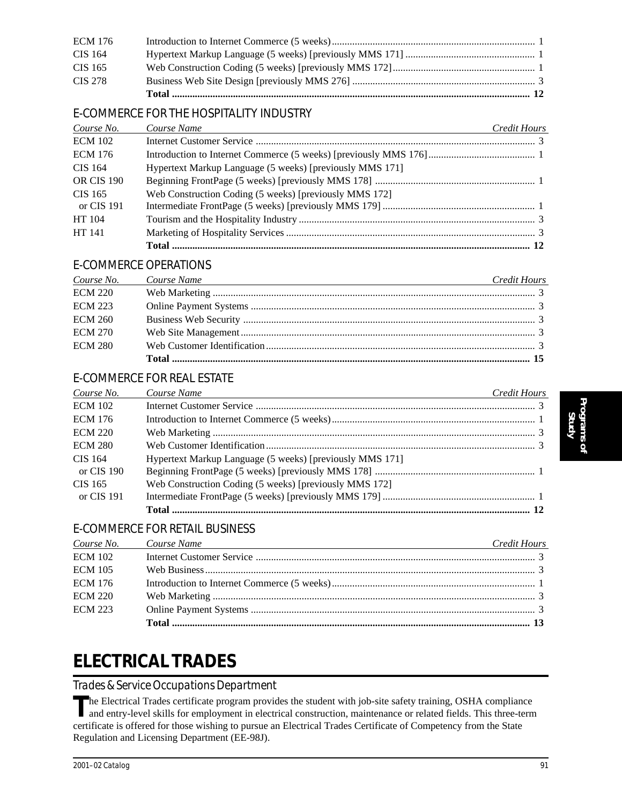| <b>ECM 176</b> |  |
|----------------|--|
| CIS 164        |  |
| CIS 165        |  |
| CIS 278        |  |
|                |  |

### E-COMMERCE FOR THE HOSPITALITY INDUSTRY

| Course No.        | Course Name                                              | <b>Credit Hours</b> |
|-------------------|----------------------------------------------------------|---------------------|
| <b>ECM 102</b>    |                                                          |                     |
| <b>ECM 176</b>    |                                                          |                     |
| CIS 164           | Hypertext Markup Language (5 weeks) [previously MMS 171] |                     |
| <b>OR CIS 190</b> |                                                          |                     |
| CIS 165           | Web Construction Coding (5 weeks) [previously MMS 172]   |                     |
| or CIS 191        |                                                          |                     |
| HT 104            |                                                          |                     |
| HT 141            |                                                          |                     |
|                   |                                                          |                     |

### E-COMMERCE OPERATIONS

|                | Course No. Course Name<br><u> 1989 - Johann Barn, fransk politik (f. 1989)</u> | Credit Hours |
|----------------|--------------------------------------------------------------------------------|--------------|
| <b>ECM 220</b> |                                                                                |              |
| <b>ECM 223</b> |                                                                                |              |
| <b>ECM 260</b> |                                                                                |              |
| <b>ECM 270</b> |                                                                                |              |
| <b>ECM 280</b> |                                                                                |              |
|                |                                                                                |              |

### E-COMMERCE FOR REAL ESTATE

| Course No.            | Course Name                                              | Credit Hours |
|-----------------------|----------------------------------------------------------|--------------|
| <b>ECM 102</b>        |                                                          |              |
| <b>ECM 176</b>        |                                                          |              |
| <b>ECM 220</b>        |                                                          |              |
| <b>ECM 280</b>        |                                                          |              |
| CIS 164<br>or CIS 190 | Hypertext Markup Language (5 weeks) [previously MMS 171] |              |
| CIS 165               | Web Construction Coding (5 weeks) [previously MMS 172]   |              |
| or CIS 191            |                                                          |              |
|                       |                                                          |              |

### E-COMMERCE FOR RETAIL BUSINESS

|                | Course No. Course Name<br><u> 1989 - Johann Barn, mars ann an t-Amhainn an t-Amhainn an t-Amhainn an t-Amhainn an t-Amhainn an t-Amhainn a</u> | Credit Hours |
|----------------|------------------------------------------------------------------------------------------------------------------------------------------------|--------------|
| <b>ECM 102</b> |                                                                                                                                                |              |
| <b>ECM 105</b> |                                                                                                                                                |              |
| <b>ECM 176</b> |                                                                                                                                                |              |
| <b>ECM 220</b> |                                                                                                                                                |              |
| <b>ECM 223</b> |                                                                                                                                                |              |
|                |                                                                                                                                                |              |

## **ELECTRICAL TRADES**

### *Trades & Service Occupations Department*

The Electrical Trades certificate program provides the student with job-site safety training, OSHA compliance<br>and entry-level skills for employment in electrical construction, maintenance or related fields. This three-term certificate is offered for those wishing to pursue an Electrical Trades Certificate of Competency from the State Regulation and Licensing Department (EE-98J).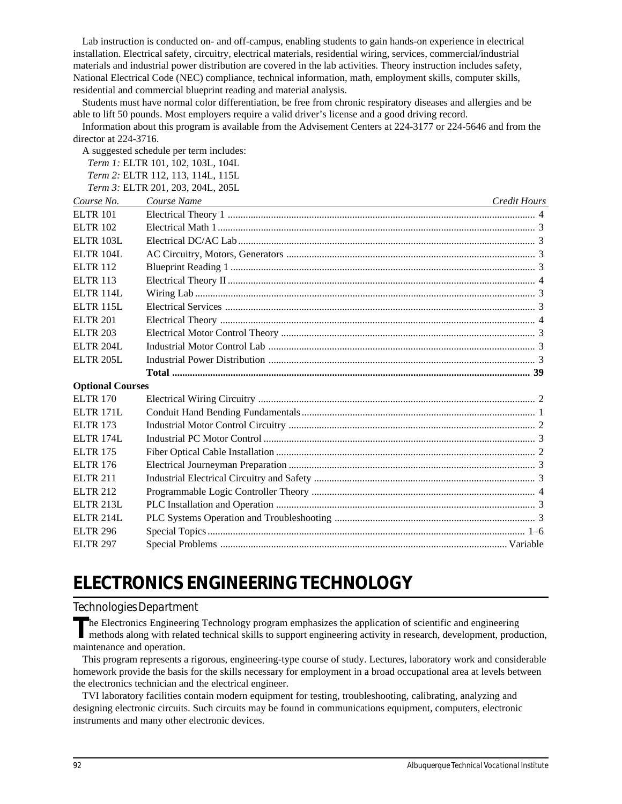Lab instruction is conducted on- and off-campus, enabling students to gain hands-on experience in electrical installation. Electrical safety, circuitry, electrical materials, residential wiring, services, commercial/industrial materials and industrial power distribution are covered in the lab activities. Theory instruction includes safety, National Electrical Code (NEC) compliance, technical information, math, employment skills, computer skills, residential and commercial blueprint reading and material analysis.

Students must have normal color differentiation, be free from chronic respiratory diseases and allergies and be able to lift 50 pounds. Most employers require a valid driver's license and a good driving record.

Information about this program is available from the Advisement Centers at 224-3177 or 224-5646 and from the director at 224-3716.

A suggested schedule per term includes:

*Term 1:* ELTR 101, 102, 103L, 104L *Term 2:* ELTR 112, 113, 114L, 115L *Term 3:* ELTR 201, 203, 204L, 205L

*Course No. Course Name Credit Hours* ELTR 101 Electrical Theory 1 ......................................................................................................................... 4 ELTR 102 Electrical Math 1............................................................................................................................. 3 ELTR 103L Electrical DC/AC Lab ..................................................................................................................... 3 ELTR 104L AC Circuitry, Motors, Generators .................................................................................................. 3 ELTR 112 Blueprint Reading 1 ........................................................................................................................ 3 ELTR 113 Electrical Theory II ......................................................................................................................... 4 ELTR 114L Wiring Lab ...................................................................................................................................... 3 ELTR 115L Electrical Services .......................................................................................................................... 3 ELTR 201 Electrical Theory ............................................................................................................................ 4 ELTR 203 Electrical Motor Control Theory .................................................................................................... 3 ELTR 204L Industrial Motor Control Lab ......................................................................................................... 3 ELTR 205L Industrial Power Distribution ......................................................................................................... 3 **Total ............................................................................................................................................. 39 Optional Courses** ELTR 170 Electrical Wiring Circuitry ............................................................................................................. 2 ELTR 171L Conduit Hand Bending Fundamentals............................................................................................ 1 ELTR 173 Industrial Motor Control Circuitry ................................................................................................. 2 ELTR 174L Industrial PC Motor Control ........................................................................................................... 3 ELTR 175 Fiber Optical Cable Installation ...................................................................................................... 2 ELTR 176 Electrical Journeyman Preparation ................................................................................................. 3 ELTR 211 Industrial Electrical Circuitry and Safety ....................................................................................... 3 ELTR 212 Programmable Logic Controller Theory ........................................................................................ 4 ELTR 213L PLC Installation and Operation ...................................................................................................... 3 ELTR 214L PLC Systems Operation and Troubleshooting ............................................................................... 3 ELTR 296 Special Topics ............................................................................................................................. 1–6 ELTR 297 Special Problems ................................................................................................................. Variable

# **ELECTRONICS ENGINEERING TECHNOLOGY**

### *Technologies Department*

The Electronics Engineering Technology program emphasizes the application of scientific and engineering methods along with related technical skills to support engineering activity in research, development, production, maintenance and operation.

This program represents a rigorous, engineering-type course of study. Lectures, laboratory work and considerable homework provide the basis for the skills necessary for employment in a broad occupational area at levels between the electronics technician and the electrical engineer.

TVI laboratory facilities contain modern equipment for testing, troubleshooting, calibrating, analyzing and designing electronic circuits. Such circuits may be found in communications equipment, computers, electronic instruments and many other electronic devices.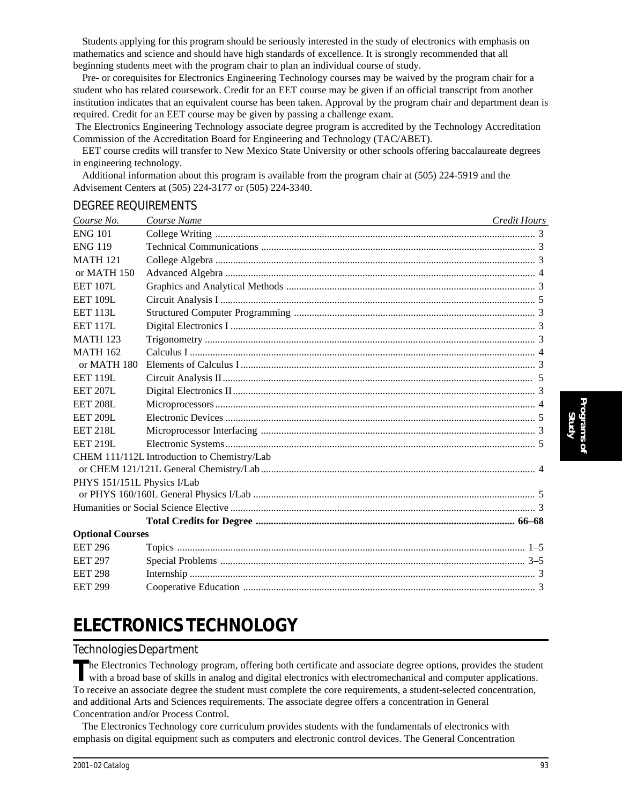Students applying for this program should be seriously interested in the study of electronics with emphasis on mathematics and science and should have high standards of excellence. It is strongly recommended that all beginning students meet with the program chair to plan an individual course of study.

Pre- or corequisites for Electronics Engineering Technology courses may be waived by the program chair for a student who has related coursework. Credit for an EET course may be given if an official transcript from another institution indicates that an equivalent course has been taken. Approval by the program chair and department dean is required. Credit for an EET course may be given by passing a challenge exam.

 The Electronics Engineering Technology associate degree program is accredited by the Technology Accreditation Commission of the Accreditation Board for Engineering and Technology (TAC/ABET).

EET course credits will transfer to New Mexico State University or other schools offering baccalaureate degrees in engineering technology.

Additional information about this program is available from the program chair at (505) 224-5919 and the Advisement Centers at (505) 224-3177 or (505) 224-3340.

#### DEGREE REQUIREMENTS

| Course No.                  | Course Name                                 | <b>Credit Hours</b> |
|-----------------------------|---------------------------------------------|---------------------|
| <b>ENG 101</b>              |                                             |                     |
| <b>ENG 119</b>              |                                             |                     |
| <b>MATH 121</b>             |                                             |                     |
| or MATH 150                 |                                             |                     |
| <b>EET 107L</b>             |                                             |                     |
| <b>EET 109L</b>             |                                             |                     |
| <b>EET 113L</b>             |                                             |                     |
| <b>EET 117L</b>             |                                             |                     |
| <b>MATH 123</b>             |                                             |                     |
| <b>MATH 162</b>             |                                             |                     |
| or MATH 180                 |                                             |                     |
| <b>EET 119L</b>             |                                             |                     |
| <b>EET 207L</b>             |                                             |                     |
| <b>EET 208L</b>             |                                             |                     |
| <b>EET 209L</b>             |                                             |                     |
| <b>EET 218L</b>             |                                             |                     |
| <b>EET 219L</b>             |                                             |                     |
|                             | CHEM 111/112L Introduction to Chemistry/Lab |                     |
|                             |                                             |                     |
| PHYS 151/151L Physics I/Lab |                                             |                     |
|                             |                                             |                     |
|                             |                                             |                     |
|                             |                                             |                     |
| <b>Optional Courses</b>     |                                             |                     |
| <b>EET 296</b>              |                                             |                     |
| <b>EET 297</b>              |                                             |                     |
| <b>EET 298</b>              |                                             |                     |
| <b>EET 299</b>              |                                             |                     |

## **ELECTRONICS TECHNOLOGY**

### *Technologies Department*

The Electronics Technology program, offering both certificate and associate degree options, provides the student with a broad base of skills in analog and digital electronics with electromechanical and computer application To receive an associate degree the student must complete the core requirements, a student-selected concentration, and additional Arts and Sciences requirements. The associate degree offers a concentration in General Concentration and/or Process Control.

The Electronics Technology core curriculum provides students with the fundamentals of electronics with emphasis on digital equipment such as computers and electronic control devices. The General Concentration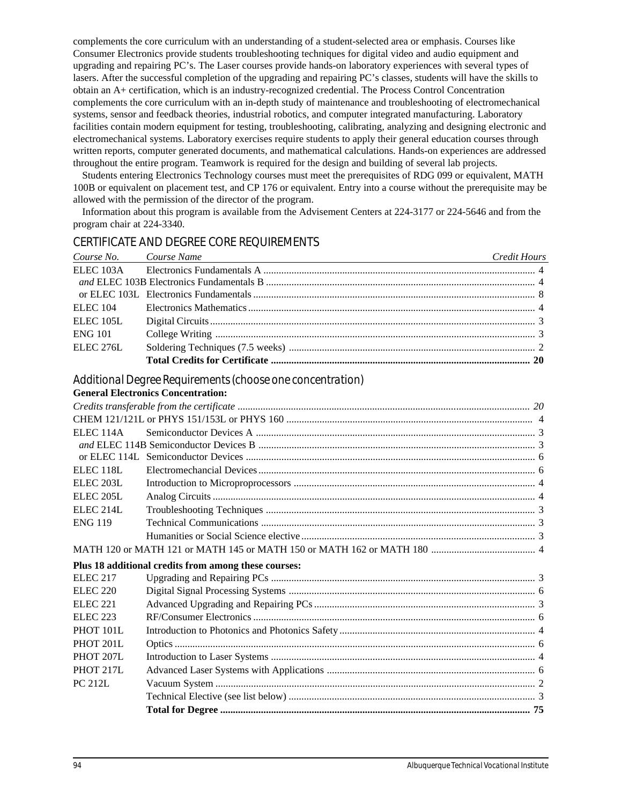complements the core curriculum with an understanding of a student-selected area or emphasis. Courses like Consumer Electronics provide students troubleshooting techniques for digital video and audio equipment and upgrading and repairing PC's. The Laser courses provide hands-on laboratory experiences with several types of lasers. After the successful completion of the upgrading and repairing PC's classes, students will have the skills to obtain an A+ certification, which is an industry-recognized credential. The Process Control Concentration complements the core curriculum with an in-depth study of maintenance and troubleshooting of electromechanical systems, sensor and feedback theories, industrial robotics, and computer integrated manufacturing. Laboratory facilities contain modern equipment for testing, troubleshooting, calibrating, analyzing and designing electronic and electromechanical systems. Laboratory exercises require students to apply their general education courses through written reports, computer generated documents, and mathematical calculations. Hands-on experiences are addressed throughout the entire program. Teamwork is required for the design and building of several lab projects.

Students entering Electronics Technology courses must meet the prerequisites of RDG 099 or equivalent, MATH 100B or equivalent on placement test, and CP 176 or equivalent. Entry into a course without the prerequisite may be allowed with the permission of the director of the program.

Information about this program is available from the Advisement Centers at 224-3177 or 224-5646 and from the program chair at 224-3340.

### CERTIFICATE AND DEGREE CORE REQUIREMENTS

| Course No. Course Name | <u> 1989 - Johann Barn, mars eta bat erroman erroman erroman erroman erroman erroman erroman erroman erroman err</u> | Credit Hours |
|------------------------|----------------------------------------------------------------------------------------------------------------------|--------------|
|                        |                                                                                                                      |              |
|                        |                                                                                                                      |              |
|                        |                                                                                                                      |              |
| ELEC 104               |                                                                                                                      |              |
| <b>ELEC 105L</b>       |                                                                                                                      |              |
| <b>ENG 101</b>         |                                                                                                                      |              |
| <b>ELEC 276L</b>       |                                                                                                                      |              |
|                        |                                                                                                                      |              |

### *Additional Degree Requirements (choose one concentration)*

| <b>ELEC 114A</b>     |                                                      |  |
|----------------------|------------------------------------------------------|--|
|                      |                                                      |  |
|                      |                                                      |  |
| ELEC <sub>118L</sub> |                                                      |  |
| ELEC <sub>203L</sub> |                                                      |  |
| ELEC <sub>205L</sub> |                                                      |  |
| ELEC <sub>214L</sub> |                                                      |  |
| <b>ENG 119</b>       |                                                      |  |
|                      |                                                      |  |
|                      |                                                      |  |
|                      | Plus 18 additional credits from among these courses: |  |
| <b>ELEC 217</b>      |                                                      |  |
| <b>ELEC 220</b>      |                                                      |  |
| <b>ELEC 221</b>      |                                                      |  |
| <b>ELEC 223</b>      |                                                      |  |
| PHOT 101L            |                                                      |  |
| PHOT 201L            |                                                      |  |
| <b>PHOT 207L</b>     |                                                      |  |
| PHOT 217L            |                                                      |  |
| <b>PC 212L</b>       |                                                      |  |
|                      |                                                      |  |
|                      |                                                      |  |
|                      |                                                      |  |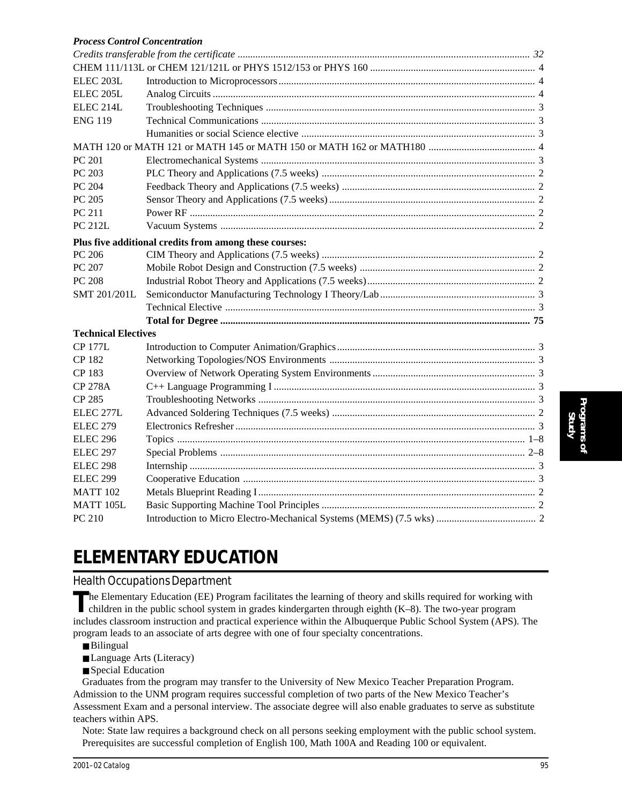| <b>Process Control Concentration</b> |                                                        |  |
|--------------------------------------|--------------------------------------------------------|--|
|                                      |                                                        |  |
|                                      |                                                        |  |
| ELEC 203L                            |                                                        |  |
| ELEC <sub>205L</sub>                 |                                                        |  |
| ELEC <sub>214L</sub>                 |                                                        |  |
| <b>ENG 119</b>                       |                                                        |  |
|                                      |                                                        |  |
|                                      |                                                        |  |
| PC 201                               |                                                        |  |
| PC 203                               |                                                        |  |
| PC 204                               |                                                        |  |
| PC 205                               |                                                        |  |
| PC 211                               |                                                        |  |
| <b>PC 212L</b>                       |                                                        |  |
|                                      | Plus five additional credits from among these courses: |  |
| PC 206                               |                                                        |  |
| PC 207                               |                                                        |  |
| PC 208                               |                                                        |  |
| SMT 201/201L                         |                                                        |  |
|                                      |                                                        |  |
|                                      |                                                        |  |
| <b>Technical Electives</b>           |                                                        |  |
| <b>CP 177L</b>                       |                                                        |  |
| CP 182                               |                                                        |  |
| CP 183                               |                                                        |  |
| <b>CP 278A</b>                       |                                                        |  |
| CP 285                               |                                                        |  |
| ELEC 277L                            |                                                        |  |
| <b>ELEC 279</b>                      |                                                        |  |
| <b>ELEC 296</b>                      |                                                        |  |
| ELEC 297                             |                                                        |  |
| ELEC <sub>298</sub>                  |                                                        |  |
| <b>ELEC 299</b>                      |                                                        |  |
| MATT 102                             |                                                        |  |
| MATT 105L                            |                                                        |  |
| PC 210                               |                                                        |  |

# **ELEMENTARY EDUCATION**

### *Health Occupations Department*

The Elementary Education (EE) Program facilitates the learning of theory and skills required for working with children in the public school system in grades kindergarten through eighth (K–8). The two-year program includes classroom instruction and practical experience within the Albuquerque Public School System (APS). The program leads to an associate of arts degree with one of four specialty concentrations.

- Bilingual
- Language Arts (Literacy)
- Special Education

Graduates from the program may transfer to the University of New Mexico Teacher Preparation Program. Admission to the UNM program requires successful completion of two parts of the New Mexico Teacher's Assessment Exam and a personal interview. The associate degree will also enable graduates to serve as substitute teachers within APS.

Note: State law requires a background check on all persons seeking employment with the public school system. Prerequisites are successful completion of English 100, Math 100A and Reading 100 or equivalent.

**Programs of Study**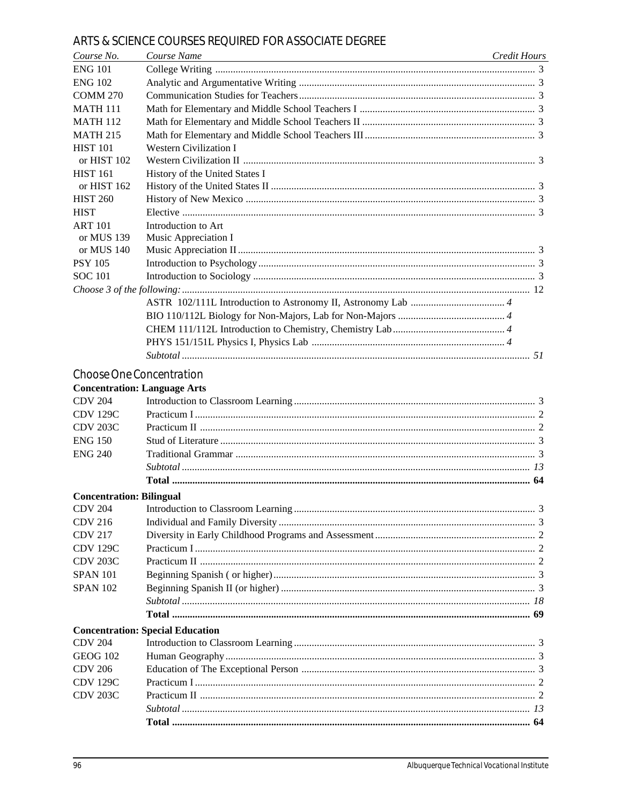### ARTS & SCIENCE COURSES REQUIRED FOR ASSOCIATE DEGREE

| Course No.                      | Course Name<br><u> 1980 - Johann Stoff, deutscher Stoffen und der Stoffen und der Stoffen und der Stoffen und der Stoffen und der</u> | Credit Hours |
|---------------------------------|---------------------------------------------------------------------------------------------------------------------------------------|--------------|
| <b>ENG 101</b>                  |                                                                                                                                       |              |
| <b>ENG 102</b>                  |                                                                                                                                       |              |
| <b>COMM 270</b>                 |                                                                                                                                       |              |
| <b>MATH 111</b>                 |                                                                                                                                       |              |
| <b>MATH 112</b>                 |                                                                                                                                       |              |
| <b>MATH 215</b>                 |                                                                                                                                       |              |
| <b>HIST 101</b>                 | <b>Western Civilization I</b>                                                                                                         |              |
| or HIST 102                     |                                                                                                                                       |              |
| <b>HIST 161</b>                 | History of the United States I                                                                                                        |              |
| or HIST 162                     |                                                                                                                                       |              |
| <b>HIST 260</b>                 |                                                                                                                                       |              |
| <b>HIST</b>                     |                                                                                                                                       |              |
| <b>ART 101</b>                  | Introduction to Art                                                                                                                   |              |
| or MUS 139                      | Music Appreciation I                                                                                                                  |              |
| or MUS 140                      |                                                                                                                                       |              |
| <b>PSY 105</b>                  |                                                                                                                                       |              |
| <b>SOC 101</b>                  |                                                                                                                                       |              |
|                                 |                                                                                                                                       |              |
|                                 |                                                                                                                                       |              |
|                                 |                                                                                                                                       |              |
|                                 |                                                                                                                                       |              |
|                                 |                                                                                                                                       |              |
|                                 |                                                                                                                                       |              |
|                                 | Choose One Concentration                                                                                                              |              |
|                                 | <b>Concentration: Language Arts</b>                                                                                                   |              |
| <b>CDV 204</b>                  |                                                                                                                                       |              |
| <b>CDV 129C</b>                 |                                                                                                                                       |              |
| <b>CDV 203C</b>                 |                                                                                                                                       |              |
| <b>ENG 150</b>                  |                                                                                                                                       |              |
| <b>ENG 240</b>                  |                                                                                                                                       |              |
|                                 |                                                                                                                                       |              |
|                                 |                                                                                                                                       |              |
|                                 |                                                                                                                                       |              |
| <b>Concentration: Bilingual</b> |                                                                                                                                       |              |
| <b>CDV 204</b>                  |                                                                                                                                       |              |
| <b>CDV 216</b>                  |                                                                                                                                       |              |
| <b>CDV 217</b>                  |                                                                                                                                       |              |
| <b>CDV 129C</b>                 |                                                                                                                                       |              |
| <b>CDV 203C</b>                 |                                                                                                                                       |              |
| <b>SPAN 101</b>                 |                                                                                                                                       |              |
| <b>SPAN 102</b>                 |                                                                                                                                       |              |
|                                 |                                                                                                                                       |              |
|                                 |                                                                                                                                       |              |
|                                 | <b>Concentration: Special Education</b>                                                                                               |              |
| <b>CDV 204</b>                  |                                                                                                                                       |              |
| <b>GEOG 102</b>                 |                                                                                                                                       |              |
| <b>CDV 206</b>                  |                                                                                                                                       |              |
| <b>CDV 129C</b>                 |                                                                                                                                       |              |
| <b>CDV 203C</b>                 |                                                                                                                                       |              |
|                                 |                                                                                                                                       |              |
|                                 |                                                                                                                                       |              |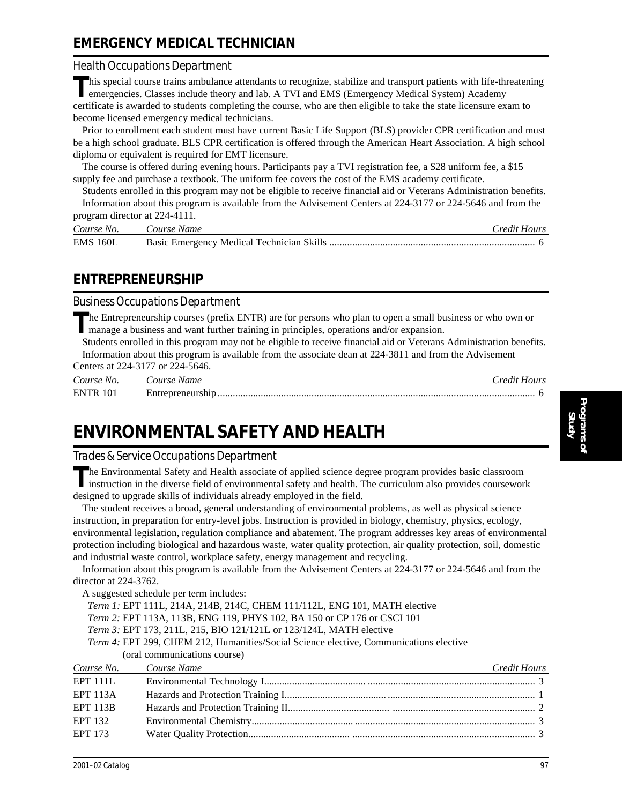## **EMERGENCY MEDICAL TECHNICIAN**

### *Health Occupations Department*

This special course trains ambulance attendants to recognize, stabilize and transport patients with life-threatening emergencies. Classes include theory and lab. A TVI and EMS (Emergency Medical System) Academy certificate is awarded to students completing the course, who are then eligible to take the state licensure exam to become licensed emergency medical technicians.

Prior to enrollment each student must have current Basic Life Support (BLS) provider CPR certification and must be a high school graduate. BLS CPR certification is offered through the American Heart Association. A high school diploma or equivalent is required for EMT licensure.

The course is offered during evening hours. Participants pay a TVI registration fee, a \$28 uniform fee, a \$15 supply fee and purchase a textbook. The uniform fee covers the cost of the EMS academy certificate.

Students enrolled in this program may not be eligible to receive financial aid or Veterans Administration benefits. Information about this program is available from the Advisement Centers at 224-3177 or 224-5646 and from the program director at 224-4111.

| program uncent at $224 - 4111$ . |                        |              |  |
|----------------------------------|------------------------|--------------|--|
|                                  | Course No. Course Name | Credit Hours |  |
| <b>EMS 160L</b>                  |                        |              |  |

### **ENTREPRENEURSHIP**

### *Business Occupations Department*

**T**he Entrepreneurship courses (prefix ENTR) are for persons who plan to open a small business or who own or manage a business and want further training in principles, operations and/or expansion.

Students enrolled in this program may not be eligible to receive financial aid or Veterans Administration benefits. Information about this program is available from the associate dean at 224-3811 and from the Advisement Centers at 224-3177 or 224-5646.

| Course No.      | Course Name       | Credit Hours |
|-----------------|-------------------|--------------|
| <b>ENTR 101</b> | Entrepreneurship. |              |

# **ENVIRONMENTAL SAFETY AND HEALTH**

### *Trades & Service Occupations Department*

The Environmental Safety and Health associate of applied science degree program provides basic classroom instruction in the diverse field of environmental safety and health. The curriculum also provides coursework designed to upgrade skills of individuals already employed in the field.

The student receives a broad, general understanding of environmental problems, as well as physical science instruction, in preparation for entry-level jobs. Instruction is provided in biology, chemistry, physics, ecology, environmental legislation, regulation compliance and abatement. The program addresses key areas of environmental protection including biological and hazardous waste, water quality protection, air quality protection, soil, domestic and industrial waste control, workplace safety, energy management and recycling.

Information about this program is available from the Advisement Centers at 224-3177 or 224-5646 and from the director at 224-3762.

A suggested schedule per term includes:

- *Term 1:* EPT 111L, 214A, 214B, 214C, CHEM 111/112L, ENG 101, MATH elective
- *Term 2:* EPT 113A, 113B, ENG 119, PHYS 102, BA 150 or CP 176 or CSCI 101
- *Term 3:* EPT 173, 211L, 215, BIO 121/121L or 123/124L, MATH elective
- *Term 4:* EPT 299, CHEM 212, Humanities/Social Science elective, Communications elective (oral communications course)

| Course No. Course Name | Credit Hours |
|------------------------|--------------|
| EPT 111L               |              |
| <b>EPT 113A</b>        |              |
| EPT 113B               |              |
| <b>EPT 132</b>         |              |
| <b>EPT 173</b>         |              |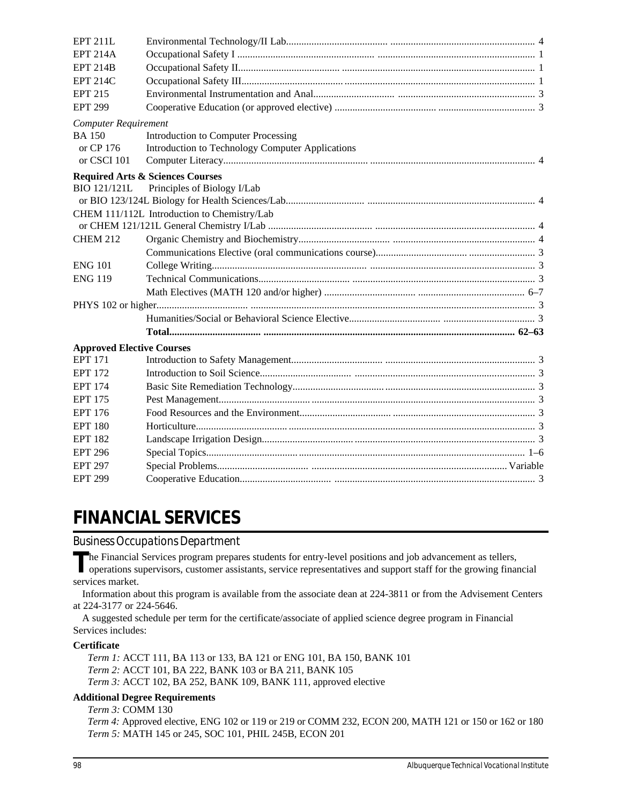| <b>EPT 211L</b>                  |                                                  |  |
|----------------------------------|--------------------------------------------------|--|
| <b>EPT 214A</b>                  |                                                  |  |
| <b>EPT 214B</b>                  |                                                  |  |
| <b>EPT 214C</b>                  |                                                  |  |
| <b>EPT 215</b>                   |                                                  |  |
| <b>EPT 299</b>                   |                                                  |  |
| <b>Computer Requirement</b>      |                                                  |  |
| <b>BA 150</b>                    | <b>Introduction to Computer Processing</b>       |  |
| or CP 176                        | Introduction to Technology Computer Applications |  |
| or CSCI 101                      |                                                  |  |
|                                  | <b>Required Arts &amp; Sciences Courses</b>      |  |
| <b>BIO 121/121L</b>              | Principles of Biology I/Lab                      |  |
|                                  |                                                  |  |
|                                  | CHEM 111/112L Introduction to Chemistry/Lab      |  |
|                                  |                                                  |  |
| <b>CHEM 212</b>                  |                                                  |  |
|                                  |                                                  |  |
| <b>ENG 101</b>                   |                                                  |  |
| <b>ENG 119</b>                   |                                                  |  |
|                                  |                                                  |  |
|                                  |                                                  |  |
|                                  |                                                  |  |
|                                  |                                                  |  |
| <b>Approved Elective Courses</b> |                                                  |  |
| <b>EPT 171</b>                   |                                                  |  |
| <b>EPT 172</b>                   |                                                  |  |
| <b>EPT 174</b>                   |                                                  |  |
| <b>EPT 175</b>                   |                                                  |  |
| <b>EPT 176</b>                   |                                                  |  |
| <b>EPT 180</b>                   |                                                  |  |
| <b>EPT 182</b>                   |                                                  |  |
| <b>EPT 296</b>                   |                                                  |  |
| <b>EPT 297</b>                   |                                                  |  |
| <b>EPT 299</b>                   |                                                  |  |

# **FINANCIAL SERVICES**

### *Business Occupations Department*

The Financial Services program prepares students for entry-level positions and job advancement as tellers,<br>operations supervisors, customer assistants, service representatives and support staff for the growing financial

services market.

Information about this program is available from the associate dean at 224-3811 or from the Advisement Centers at 224-3177 or 224-5646.

A suggested schedule per term for the certificate/associate of applied science degree program in Financial Services includes:

#### **Certificate**

*Term 1:* ACCT 111, BA 113 or 133, BA 121 or ENG 101, BA 150, BANK 101 *Term 2:* ACCT 101, BA 222, BANK 103 or BA 211, BANK 105 *Term 3:* ACCT 102, BA 252, BANK 109, BANK 111, approved elective

#### **Additional Degree Requirements**

*Term 3:* COMM 130

*Term 4:* Approved elective, ENG 102 or 119 or 219 or COMM 232, ECON 200, MATH 121 or 150 or 162 or 180 *Term 5:* MATH 145 or 245, SOC 101, PHIL 245B, ECON 201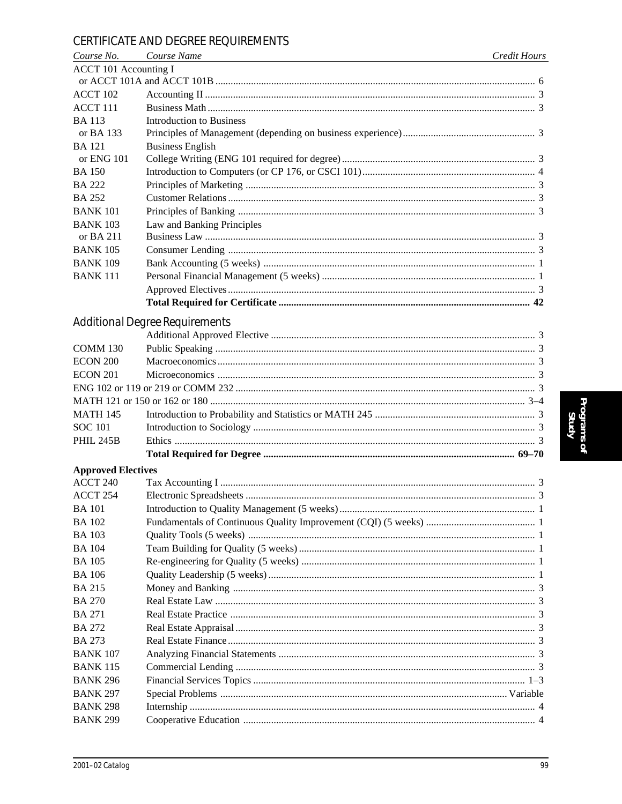### CERTIFICATE AND DEGREE REQUIREMENTS

| Course No.                   | Course Name                           | Credit Hours |
|------------------------------|---------------------------------------|--------------|
| <b>ACCT 101 Accounting I</b> |                                       |              |
|                              |                                       |              |
| ACCT 102                     |                                       |              |
| ACCT 111                     |                                       |              |
| <b>BA113</b>                 | <b>Introduction to Business</b>       |              |
| or BA 133                    |                                       |              |
| <b>BA</b> 121                | <b>Business English</b>               |              |
| or ENG 101                   |                                       |              |
| <b>BA150</b>                 |                                       |              |
| <b>BA 222</b>                |                                       |              |
| <b>BA 252</b>                |                                       |              |
| <b>BANK 101</b>              |                                       |              |
| <b>BANK 103</b>              | Law and Banking Principles            |              |
| or BA 211                    |                                       |              |
| <b>BANK 105</b>              |                                       |              |
| <b>BANK 109</b>              |                                       |              |
| <b>BANK 111</b>              |                                       |              |
|                              |                                       |              |
|                              |                                       |              |
|                              | <b>Additional Degree Requirements</b> |              |
|                              |                                       |              |
| <b>COMM 130</b>              |                                       |              |
| <b>ECON 200</b>              |                                       |              |
| <b>ECON 201</b>              |                                       |              |
|                              |                                       |              |
|                              |                                       |              |
| <b>MATH 145</b>              |                                       |              |
| <b>SOC 101</b>               |                                       |              |
| <b>PHIL 245B</b>             |                                       |              |
|                              |                                       |              |
| <b>Approved Electives</b>    |                                       |              |
| ACCT <sub>240</sub>          |                                       |              |
| ACCT 254                     |                                       |              |
| <b>BA</b> 101                |                                       |              |
| <b>BA</b> 102                |                                       |              |
| <b>BA</b> 103                |                                       |              |
| <b>BA</b> 104                |                                       |              |
| <b>BA</b> 105                |                                       |              |
| <b>BA</b> 106                |                                       |              |
| <b>BA215</b>                 |                                       |              |
| <b>BA 270</b>                |                                       |              |
| <b>BA 271</b>                |                                       |              |
| <b>BA 272</b>                |                                       |              |
| <b>BA 273</b>                |                                       |              |
| <b>BANK 107</b>              |                                       |              |
| <b>BANK 115</b>              |                                       |              |
| <b>BANK 296</b>              |                                       |              |
| <b>BANK 297</b>              |                                       |              |
| <b>BANK 298</b>              |                                       |              |
| <b>BANK 299</b>              |                                       |              |
|                              |                                       |              |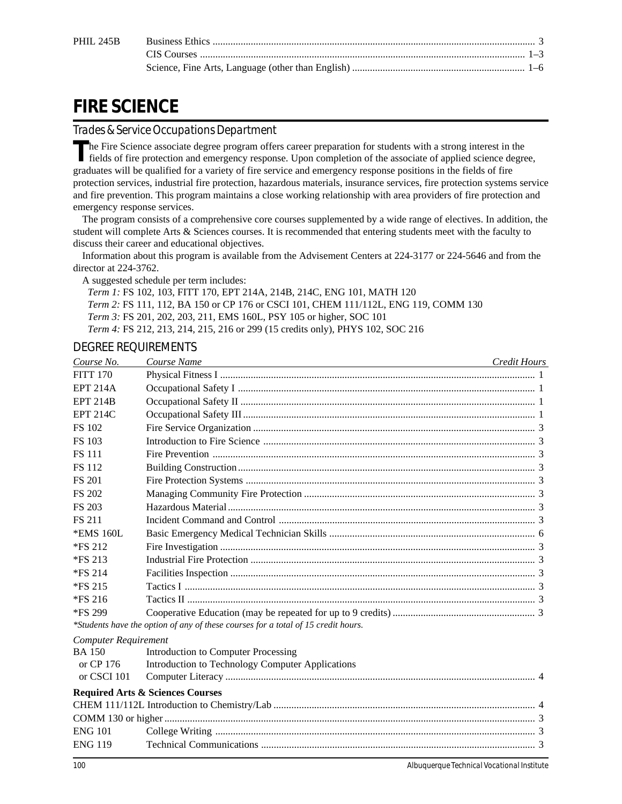# **FIRE SCIENCE**

### *Trades & Service Occupations Department*

The Fire Science associate degree program offers career preparation for students with a strong interest in the fields of fire graphs. fields of fire protection and emergency response. Upon completion of the associate of applied science degree, graduates will be qualified for a variety of fire service and emergency response positions in the fields of fire protection services, industrial fire protection, hazardous materials, insurance services, fire protection systems service and fire prevention. This program maintains a close working relationship with area providers of fire protection and emergency response services.

The program consists of a comprehensive core courses supplemented by a wide range of electives. In addition, the student will complete Arts & Sciences courses. It is recommended that entering students meet with the faculty to discuss their career and educational objectives.

Information about this program is available from the Advisement Centers at 224-3177 or 224-5646 and from the director at 224-3762.

A suggested schedule per term includes:

*Term 1:* FS 102, 103, FITT 170, EPT 214A, 214B, 214C, ENG 101, MATH 120 *Term 2:* FS 111, 112, BA 150 or CP 176 or CSCI 101, CHEM 111/112L, ENG 119, COMM 130 *Term 3:* FS 201, 202, 203, 211, EMS 160L, PSY 105 or higher, SOC 101 *Term 4:* FS 212, 213, 214, 215, 216 or 299 (15 credits only), PHYS 102, SOC 216

### DEGREE REQUIREMENTS

| Course No.                  | Course Name                                                                       | <b>Credit Hours</b> |
|-----------------------------|-----------------------------------------------------------------------------------|---------------------|
| <b>FITT 170</b>             |                                                                                   |                     |
| <b>EPT 214A</b>             |                                                                                   |                     |
| <b>EPT 214B</b>             |                                                                                   |                     |
| <b>EPT 214C</b>             |                                                                                   |                     |
| <b>FS 102</b>               |                                                                                   |                     |
| <b>FS 103</b>               |                                                                                   |                     |
| <b>FS 111</b>               |                                                                                   |                     |
| <b>FS 112</b>               |                                                                                   |                     |
| <b>FS 201</b>               |                                                                                   |                     |
| <b>FS 202</b>               |                                                                                   |                     |
| <b>FS 203</b>               |                                                                                   |                     |
| <b>FS 211</b>               |                                                                                   |                     |
| *EMS 160L                   |                                                                                   |                     |
| *FS 212                     |                                                                                   |                     |
| *FS 213                     |                                                                                   |                     |
| *FS 214                     |                                                                                   |                     |
| *FS 215                     |                                                                                   |                     |
| $*FS216$                    |                                                                                   |                     |
| *FS 299                     |                                                                                   |                     |
|                             | *Students have the option of any of these courses for a total of 15 credit hours. |                     |
| <b>Computer Requirement</b> |                                                                                   |                     |
| <b>BA 150</b>               | Introduction to Computer Processing                                               |                     |
| or CP 176                   | Introduction to Technology Computer Applications                                  |                     |
| or CSCI 101                 |                                                                                   |                     |
|                             | <b>Required Arts &amp; Sciences Courses</b>                                       |                     |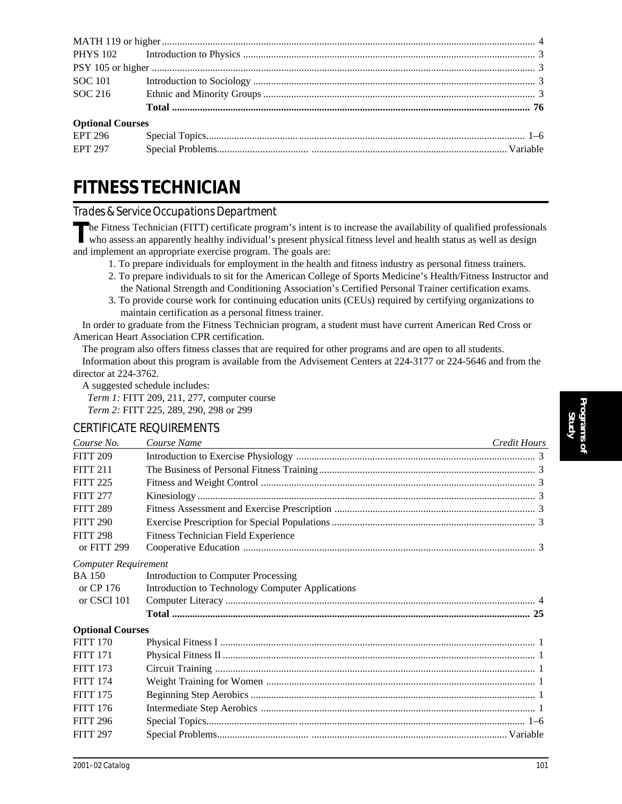| <b>Optional Courses</b> |       |  |
|-------------------------|-------|--|
| EPT 296 Special Topics  | $1-6$ |  |

| <b>EPT 296</b> |                   |  |
|----------------|-------------------|--|
| <b>EPT 297</b> | Special Problems. |  |

# **FITNESS TECHNICIAN**

### *Trades & Service Occupations Department*

The Fitness Technician (FITT) certificate program's intent is to increase the availability of qualified professionals who assess an apparently healthy individual's present physical fitness level and health status as well a and implement an appropriate exercise program. The goals are:

- 1. To prepare individuals for employment in the health and fitness industry as personal fitness trainers.
- 2. To prepare individuals to sit for the American College of Sports Medicine's Health/Fitness Instructor and the National Strength and Conditioning Association's Certified Personal Trainer certification exams.
- 3. To provide course work for continuing education units (CEUs) required by certifying organizations to maintain certification as a personal fitness trainer.

In order to graduate from the Fitness Technician program, a student must have current American Red Cross or American Heart Association CPR certification.

The program also offers fitness classes that are required for other programs and are open to all students. Information about this program is available from the Advisement Centers at 224-3177 or 224-5646 and from the director at 224-3762.

A suggested schedule includes:

*Term 1:* FITT 209, 211, 277, computer course *Term 2:* FITT 225, 289, 290, 298 or 299

### CERTIFICATE REQUIREMENTS

| Course No.                  | Course Name<br><u> 1989 - Johann Stein, marwolaethau a bhann an t-Amhain an t-Amhain an t-Amhain an t-Amhain an t-Amhain an t-A</u> | Credit Hours |
|-----------------------------|-------------------------------------------------------------------------------------------------------------------------------------|--------------|
| <b>FITT 209</b>             |                                                                                                                                     |              |
| <b>FITT 211</b>             |                                                                                                                                     |              |
| <b>FITT 225</b>             |                                                                                                                                     |              |
| <b>FITT 277</b>             |                                                                                                                                     |              |
| <b>FITT 289</b>             |                                                                                                                                     |              |
| <b>FITT 290</b>             |                                                                                                                                     |              |
| <b>FITT 298</b>             | Fitness Technician Field Experience                                                                                                 |              |
| or FITT 299                 |                                                                                                                                     |              |
| <b>Computer Requirement</b> |                                                                                                                                     |              |
| <b>BA</b> 150               | Introduction to Computer Processing                                                                                                 |              |
| or CP 176                   | Introduction to Technology Computer Applications                                                                                    |              |
| or CSCI 101                 |                                                                                                                                     |              |
|                             |                                                                                                                                     |              |
| <b>Optional Courses</b>     |                                                                                                                                     |              |
| <b>FITT 170</b>             |                                                                                                                                     |              |
| <b>FITT 171</b>             |                                                                                                                                     |              |
| <b>FITT 173</b>             |                                                                                                                                     |              |
| <b>FITT 174</b>             |                                                                                                                                     |              |
| <b>FITT 175</b>             |                                                                                                                                     |              |
| <b>FITT 176</b>             |                                                                                                                                     |              |
| <b>FITT 296</b>             |                                                                                                                                     |              |
| <b>FITT 297</b>             |                                                                                                                                     |              |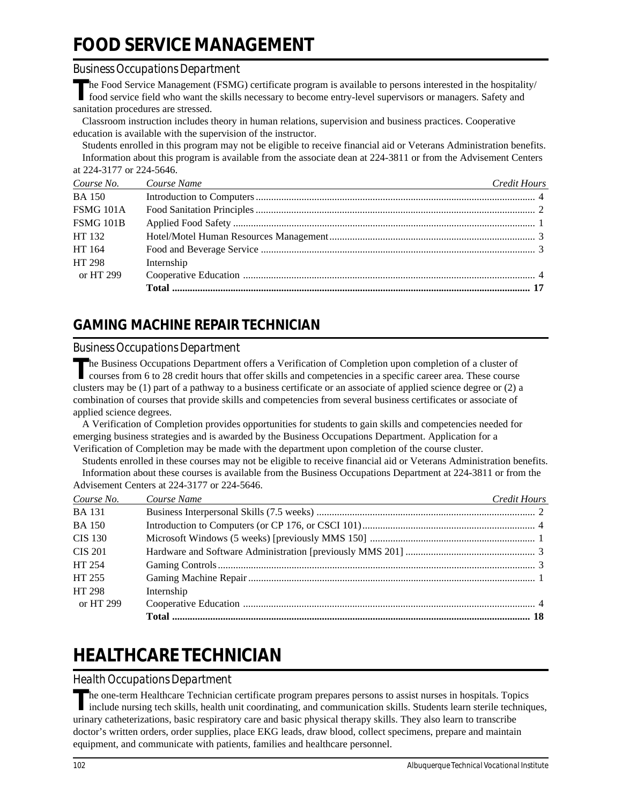# **FOOD SERVICE MANAGEMENT**

### *Business Occupations Department*

**T**he Food Service Management (FSMG) certificate program is available to persons interested in the hospitality/ food service field who want the skills necessary to become entry-level supervisors or managers. Safety and sanitation procedures are stressed.

Classroom instruction includes theory in human relations, supervision and business practices. Cooperative education is available with the supervision of the instructor.

Students enrolled in this program may not be eligible to receive financial aid or Veterans Administration benefits. Information about this program is available from the associate dean at 224-3811 or from the Advisement Centers at 224-3177 or 224-5646.

| Course No.    | Course Name<br><u> 1989 - Johann Barn, mars et al. (b. 1989)</u> | Credit Hours |
|---------------|------------------------------------------------------------------|--------------|
| <b>BA</b> 150 |                                                                  |              |
| FSMG 101A     |                                                                  |              |
| FSMG 101B     |                                                                  |              |
| HT 132        |                                                                  |              |
| HT 164        |                                                                  |              |
| HT 298        | Internship                                                       |              |
| or HT 299     |                                                                  |              |
|               |                                                                  |              |

## **GAMING MACHINE REPAIR TECHNICIAN**

### *Business Occupations Department*

The Business Occupations Department offers a Verification of Completion upon completion of a cluster of courses from 6 to 28 credit hours that offer skills and competencies in a specific career area. These course clusters may be (1) part of a pathway to a business certificate or an associate of applied science degree or (2) a combination of courses that provide skills and competencies from several business certificates or associate of applied science degrees.

A Verification of Completion provides opportunities for students to gain skills and competencies needed for emerging business strategies and is awarded by the Business Occupations Department. Application for a Verification of Completion may be made with the department upon completion of the course cluster.

Students enrolled in these courses may not be eligible to receive financial aid or Veterans Administration benefits. Information about these courses is available from the Business Occupations Department at 224-3811 or from the

| Advisement Centers at 224-3177 or 224-5646. |
|---------------------------------------------|
|---------------------------------------------|

| Course No.    | Course Name<br>and the control of the control of the control of the control of the control of the control of the control of the | Credit Hours |
|---------------|---------------------------------------------------------------------------------------------------------------------------------|--------------|
| <b>BA</b> 131 |                                                                                                                                 |              |
| <b>BA</b> 150 |                                                                                                                                 |              |
| CIS 130       |                                                                                                                                 |              |
| CIS 201       |                                                                                                                                 |              |
| HT 254        |                                                                                                                                 |              |
| HT 255        |                                                                                                                                 |              |
| HT 298        | Internship                                                                                                                      |              |
| or HT 299     |                                                                                                                                 |              |
|               |                                                                                                                                 |              |

# **HEALTHCARE TECHNICIAN**

### *Health Occupations Department*

The one-term Healthcare Technician certificate program prepares persons to assist nurses in hospitals. Topics<br>include nursing tech skills, health unit coordinating, and communication skills. Students learn sterile techniqu urinary catheterizations, basic respiratory care and basic physical therapy skills. They also learn to transcribe doctor's written orders, order supplies, place EKG leads, draw blood, collect specimens, prepare and maintain equipment, and communicate with patients, families and healthcare personnel.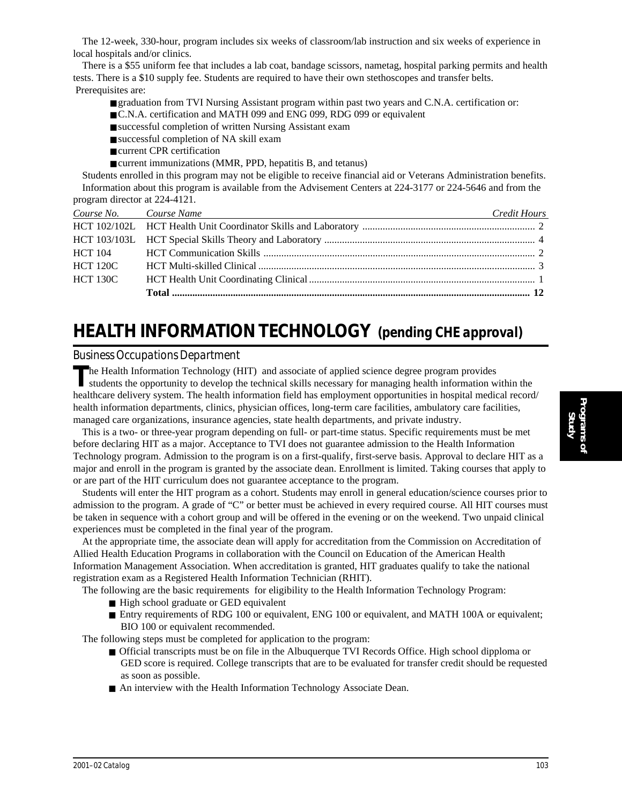The 12-week, 330-hour, program includes six weeks of classroom/lab instruction and six weeks of experience in local hospitals and/or clinics.

There is a \$55 uniform fee that includes a lab coat, bandage scissors, nametag, hospital parking permits and health tests. There is a \$10 supply fee. Students are required to have their own stethoscopes and transfer belts. Prerequisites are:

- graduation from TVI Nursing Assistant program within past two years and C.N.A. certification or:
- C.N.A. certification and MATH 099 and ENG 099, RDG 099 or equivalent
- successful completion of written Nursing Assistant exam
- successful completion of NA skill exam
- current CPR certification
- current immunizations (MMR, PPD, hepatitis B, and tetanus)

Students enrolled in this program may not be eligible to receive financial aid or Veterans Administration benefits. Information about this program is available from the Advisement Centers at 224-3177 or 224-5646 and from the program director at 224-4121.

| Course No. Course Name | <u> 1999 - Johann Stoff, amerikansk politiker (d. 1989)</u> | Credit Hours |
|------------------------|-------------------------------------------------------------|--------------|
|                        |                                                             |              |
|                        |                                                             |              |
|                        |                                                             |              |
| <b>HCT 120C</b>        |                                                             |              |
| <b>HCT 130C</b>        |                                                             |              |
|                        |                                                             |              |

## **HEALTH INFORMATION TECHNOLOGY** *(pending CHE approval)*

#### *Business Occupations Department*

The Health Information Technology (HIT) and associate of applied science degree program provides students the opportunity to develop the technical skills necessary for managing health information within the healthcare delivery system. The health information field has employment opportunities in hospital medical record/ health information departments, clinics, physician offices, long-term care facilities, ambulatory care facilities, managed care organizations, insurance agencies, state health departments, and private industry.

This is a two- or three-year program depending on full- or part-time status. Specific requirements must be met before declaring HIT as a major. Acceptance to TVI does not guarantee admission to the Health Information Technology program. Admission to the program is on a first-qualify, first-serve basis. Approval to declare HIT as a major and enroll in the program is granted by the associate dean. Enrollment is limited. Taking courses that apply to or are part of the HIT curriculum does not guarantee acceptance to the program.

Students will enter the HIT program as a cohort. Students may enroll in general education/science courses prior to admission to the program. A grade of "C" or better must be achieved in every required course. All HIT courses must be taken in sequence with a cohort group and will be offered in the evening or on the weekend. Two unpaid clinical experiences must be completed in the final year of the program.

At the appropriate time, the associate dean will apply for accreditation from the Commission on Accreditation of Allied Health Education Programs in collaboration with the Council on Education of the American Health Information Management Association. When accreditation is granted, HIT graduates qualify to take the national registration exam as a Registered Health Information Technician (RHIT).

The following are the basic requirements for eligibility to the Health Information Technology Program:

- High school graduate or GED equivalent
- Entry requirements of RDG 100 or equivalent, ENG 100 or equivalent, and MATH 100A or equivalent; BIO 100 or equivalent recommended.

The following steps must be completed for application to the program:

- Official transcripts must be on file in the Albuquerque TVI Records Office. High school dipploma or GED score is required. College transcripts that are to be evaluated for transfer credit should be requested as soon as possible.
- An interview with the Health Information Technology Associate Dean.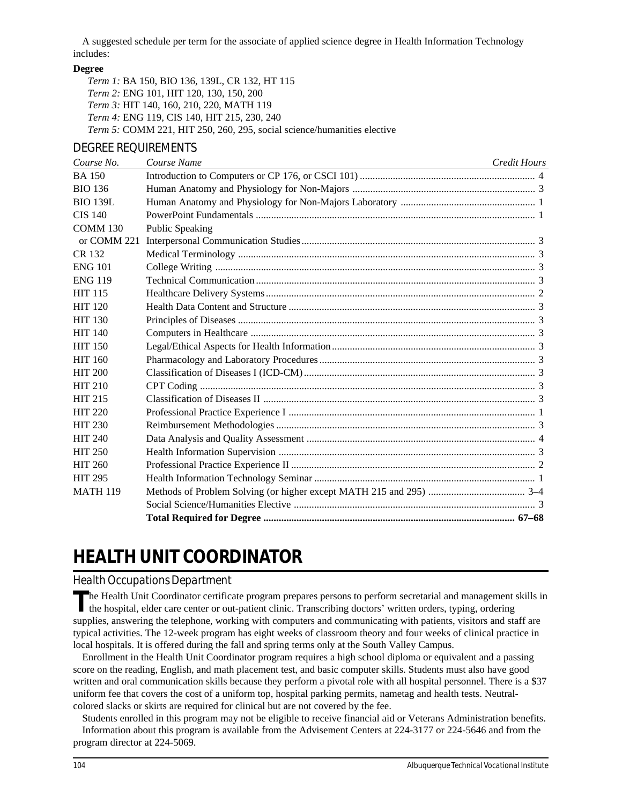A suggested schedule per term for the associate of applied science degree in Health Information Technology includes:

#### **Degree**

*Term 1:* BA 150, BIO 136, 139L, CR 132, HT 115 *Term 2:* ENG 101, HIT 120, 130, 150, 200 *Term 3:* HIT 140, 160, 210, 220, MATH 119 *Term 4:* ENG 119, CIS 140, HIT 215, 230, 240 *Term 5:* COMM 221, HIT 250, 260, 295, social science/humanities elective

#### DEGREE REQUIREMENTS

*Course No. Course Name Credit Hours* BA 150 Introduction to Computers or CP 176, or CSCI 101) ..................................................................... 4 BIO 136 Human Anatomy and Physiology for Non-Majors ........................................................................ 3 BIO 139L Human Anatomy and Physiology for Non-Majors Laboratory ..................................................... 1 CIS 140 PowerPoint Fundamentals .............................................................................................................. 1 COMM 130 Public Speaking or COMM 221 Interpersonal Communication Studies............................................................................................ 3 CR 132 Medical Terminology ..................................................................................................................... 3 ENG 101 College Writing .............................................................................................................................. 3 ENG 119 Technical Communication .............................................................................................................. 3 HIT 115 Healthcare Delivery Systems .......................................................................................................... 2 HIT 120 Health Data Content and Structure ................................................................................................. 3 HIT 130 Principles of Diseases ..................................................................................................................... 3 HIT 140 Computers in Healthcare ................................................................................................................ 3 HIT 150 Legal/Ethical Aspects for Health Information................................................................................ 3 HIT 160 Pharmacology and Laboratory Procedures ..................................................................................... 3 HIT 200 Classification of Diseases I (ICD-CM) ........................................................................................... 3 HIT 210 CPT Coding .................................................................................................................................... 3 HIT 215 Classification of Diseases II ........................................................................................................... 3 HIT 220 Professional Practice Experience I ................................................................................................. 1 HIT 230 Reimbursement Methodologies ...................................................................................................... 3 HIT 240 Data Analysis and Quality Assessment .......................................................................................... 4 HIT 250 Health Information Supervision ..................................................................................................... 3 HIT 260 Professional Practice Experience II ................................................................................................ 2 HIT 295 Health Information Technology Seminar ....................................................................................... 1 MATH 119 Methods of Problem Solving (or higher except MATH 215 and 295) ...................................... 3–4 Social Science/Humanities Elective ............................................................................................... 3 **Total Required for Degree ................................................................................................... 67–68**

## **HEALTH UNIT COORDINATOR**

#### *Health Occupations Department*

**T**he Health Unit Coordinator certificate program prepares persons to perform secretarial and management skills in I the hospital, elder care center or out-patient clinic. Transcribing doctors' written orders, typing, ordering supplies, answering the telephone, working with computers and communicating with patients, visitors and staff are typical activities. The 12-week program has eight weeks of classroom theory and four weeks of clinical practice in local hospitals. It is offered during the fall and spring terms only at the South Valley Campus.

Enrollment in the Health Unit Coordinator program requires a high school diploma or equivalent and a passing score on the reading, English, and math placement test, and basic computer skills. Students must also have good written and oral communication skills because they perform a pivotal role with all hospital personnel. There is a \$37 uniform fee that covers the cost of a uniform top, hospital parking permits, nametag and health tests. Neutralcolored slacks or skirts are required for clinical but are not covered by the fee.

Students enrolled in this program may not be eligible to receive financial aid or Veterans Administration benefits. Information about this program is available from the Advisement Centers at 224-3177 or 224-5646 and from the program director at 224-5069.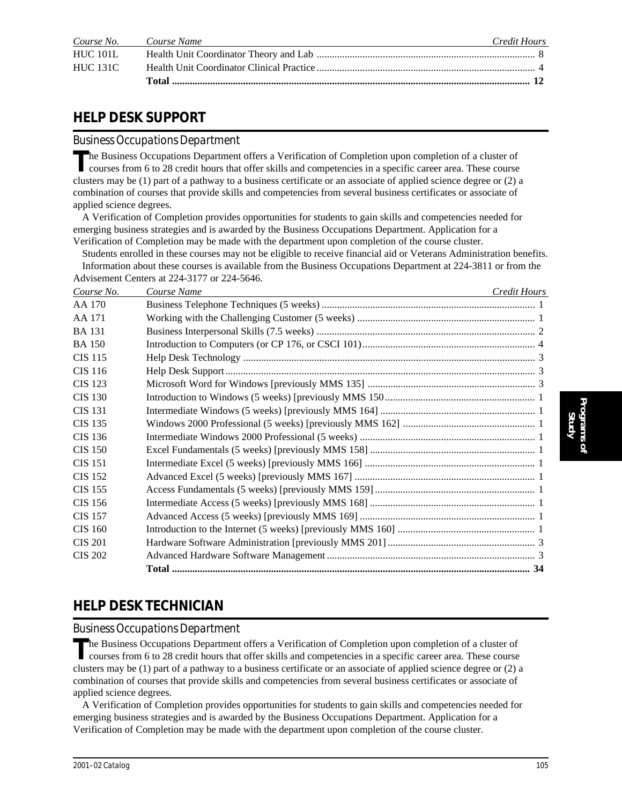|                 | Course No. Course Name | Credit Hours |
|-----------------|------------------------|--------------|
| <b>HUC 101L</b> |                        |              |
| <b>HUC 131C</b> |                        |              |
|                 |                        |              |

### **HELP DESK SUPPORT**

#### *Business Occupations Department*

The Business Occupations Department offers a Verification of Completion upon completion of a cluster of courses from 6 to 28 credit hours that offer skills and competencies in a specific career area. These course clusters may be (1) part of a pathway to a business certificate or an associate of applied science degree or (2) a combination of courses that provide skills and competencies from several business certificates or associate of applied science degrees.

A Verification of Completion provides opportunities for students to gain skills and competencies needed for emerging business strategies and is awarded by the Business Occupations Department. Application for a Verification of Completion may be made with the department upon completion of the course cluster.

Students enrolled in these courses may not be eligible to receive financial aid or Veterans Administration benefits. Information about these courses is available from the Business Occupations Department at 224-3811 or from the Advisement Centers at 224-3177 or 224-5646.

| Course No.     | Course Name | Credit Hours |
|----------------|-------------|--------------|
| AA 170         |             |              |
| AA 171         |             |              |
| <b>BA</b> 131  |             |              |
| <b>BA</b> 150  |             |              |
| <b>CIS</b> 115 |             |              |
| CIS 116        |             |              |
| <b>CIS 123</b> |             |              |
| <b>CIS 130</b> |             |              |
| <b>CIS 131</b> |             |              |
| <b>CIS 135</b> |             |              |
| <b>CIS 136</b> |             |              |
| <b>CIS 150</b> |             |              |
| <b>CIS 151</b> |             |              |
| <b>CIS 152</b> |             |              |
| <b>CIS 155</b> |             |              |
| <b>CIS 156</b> |             |              |
| <b>CIS 157</b> |             |              |
| <b>CIS 160</b> |             |              |
| <b>CIS 201</b> |             |              |
| <b>CIS 202</b> |             |              |
|                |             |              |

### **HELP DESK TECHNICIAN**

#### *Business Occupations Department*

The Business Occupations Department offers a Verification of Completion upon completion of a cluster of courses from 6 to 28 credit hours that offer skills and competencies in a specific career area. These course clusters may be (1) part of a pathway to a business certificate or an associate of applied science degree or (2) a combination of courses that provide skills and competencies from several business certificates or associate of applied science degrees.

A Verification of Completion provides opportunities for students to gain skills and competencies needed for emerging business strategies and is awarded by the Business Occupations Department. Application for a Verification of Completion may be made with the department upon completion of the course cluster.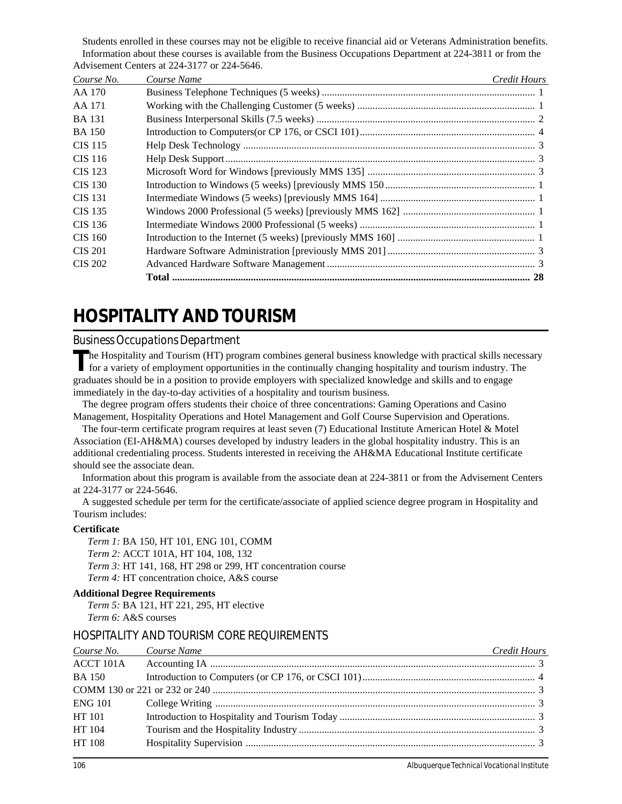Students enrolled in these courses may not be eligible to receive financial aid or Veterans Administration benefits. Information about these courses is available from the Business Occupations Department at 224-3811 or from the Advisement Centers at 224-3177 or 224-5646.

| Course No.     | Course Name | Credit Hours |
|----------------|-------------|--------------|
| AA 170         |             |              |
| AA 171         |             |              |
| <b>BA</b> 131  |             |              |
| <b>BA</b> 150  |             |              |
| CIS 115        |             |              |
| CIS 116        |             |              |
| CIS 123        |             |              |
| <b>CIS</b> 130 |             |              |
| CIS 131        |             |              |
| CIS 135        |             |              |
| CIS 136        |             |              |
| CIS 160        |             |              |
| <b>CIS 201</b> |             |              |
| CIS 202        |             |              |
|                | Total       |              |

# **HOSPITALITY AND TOURISM**

### *Business Occupations Department*

The Hospitality and Tourism (HT) program combines general business knowledge with practical skills necessary<br>for a variety of employment opportunities in the continually changing hospitality and tourism industry. The graduates should be in a position to provide employers with specialized knowledge and skills and to engage immediately in the day-to-day activities of a hospitality and tourism business.

The degree program offers students their choice of three concentrations: Gaming Operations and Casino Management, Hospitality Operations and Hotel Management and Golf Course Supervision and Operations.

The four-term certificate program requires at least seven (7) Educational Institute American Hotel & Motel Association (EI-AH&MA) courses developed by industry leaders in the global hospitality industry. This is an additional credentialing process. Students interested in receiving the AH&MA Educational Institute certificate should see the associate dean.

Information about this program is available from the associate dean at 224-3811 or from the Advisement Centers at 224-3177 or 224-5646.

A suggested schedule per term for the certificate/associate of applied science degree program in Hospitality and Tourism includes:

#### **Certificate**

*Term 1:* BA 150, HT 101, ENG 101, COMM *Term 2:* ACCT 101A, HT 104, 108, 132 *Term 3:* HT 141, 168, HT 298 or 299, HT concentration course *Term 4:* HT concentration choice, A&S course

#### **Additional Degree Requirements**

*Term 5:* BA 121, HT 221, 295, HT elective *Term 6:* A&S courses

### HOSPITALITY AND TOURISM CORE REQUIREMENTS

|                | Course No. Course Name | Credit Hours |
|----------------|------------------------|--------------|
| ACCT 101A      |                        |              |
| <b>BA</b> 150  |                        |              |
|                |                        |              |
| <b>ENG 101</b> |                        |              |
| HT 101         |                        |              |
| HT 104         |                        |              |
| HT 108         |                        |              |
|                |                        |              |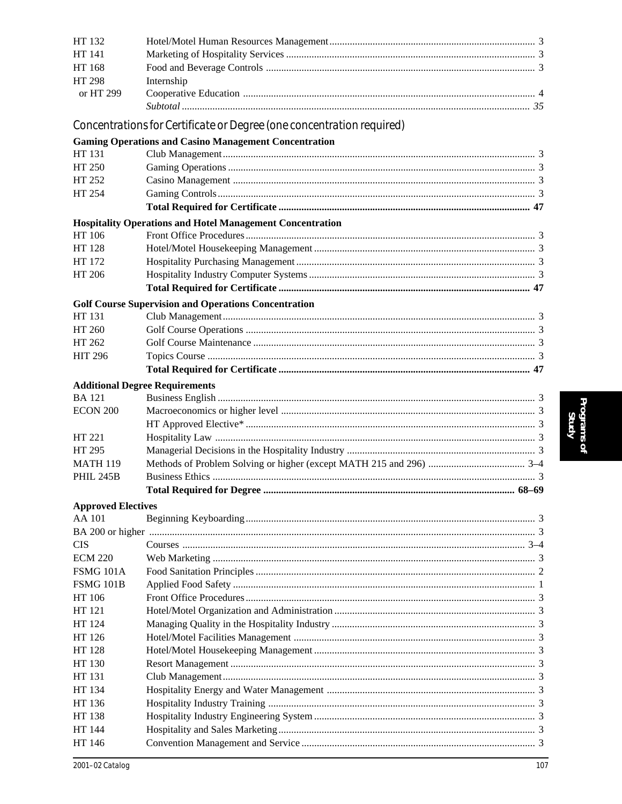| HT 132                    |                                                                       |  |
|---------------------------|-----------------------------------------------------------------------|--|
| HT 141                    |                                                                       |  |
| HT 168                    |                                                                       |  |
| HT 298                    | Internship                                                            |  |
| or HT 299                 |                                                                       |  |
|                           |                                                                       |  |
|                           | Concentrations for Certificate or Degree (one concentration required) |  |
|                           | <b>Gaming Operations and Casino Management Concentration</b>          |  |
| HT 131                    |                                                                       |  |
| HT 250                    |                                                                       |  |
| HT 252                    |                                                                       |  |
| HT 254                    |                                                                       |  |
|                           |                                                                       |  |
|                           | <b>Hospitality Operations and Hotel Management Concentration</b>      |  |
| HT 106<br>HT 128          |                                                                       |  |
| HT 172                    |                                                                       |  |
| HT 206                    |                                                                       |  |
|                           |                                                                       |  |
|                           |                                                                       |  |
| HT 131                    | <b>Golf Course Supervision and Operations Concentration</b>           |  |
| HT 260                    |                                                                       |  |
| HT 262                    |                                                                       |  |
| <b>HIT 296</b>            |                                                                       |  |
|                           |                                                                       |  |
|                           | <b>Additional Degree Requirements</b>                                 |  |
| <b>BA</b> 121             |                                                                       |  |
| <b>ECON 200</b>           |                                                                       |  |
|                           |                                                                       |  |
| HT 221                    |                                                                       |  |
| HT 295                    |                                                                       |  |
| <b>MATH 119</b>           |                                                                       |  |
| <b>PHIL 245B</b>          |                                                                       |  |
|                           |                                                                       |  |
| <b>Approved Electives</b> |                                                                       |  |
| AA 101                    |                                                                       |  |
|                           |                                                                       |  |
| CIS                       |                                                                       |  |
| ECM 220                   |                                                                       |  |
| FSMG 101A                 |                                                                       |  |
| <b>FSMG 101B</b>          |                                                                       |  |
| HT 106                    |                                                                       |  |
| HT 121                    |                                                                       |  |
| HT 124                    |                                                                       |  |
| HT 126                    |                                                                       |  |
| HT 128                    |                                                                       |  |
| HT 130                    |                                                                       |  |
| HT 131<br>HT 134          |                                                                       |  |
| HT 136                    |                                                                       |  |
| HT 138                    |                                                                       |  |
| HT 144                    |                                                                       |  |
| HT 146                    |                                                                       |  |
|                           |                                                                       |  |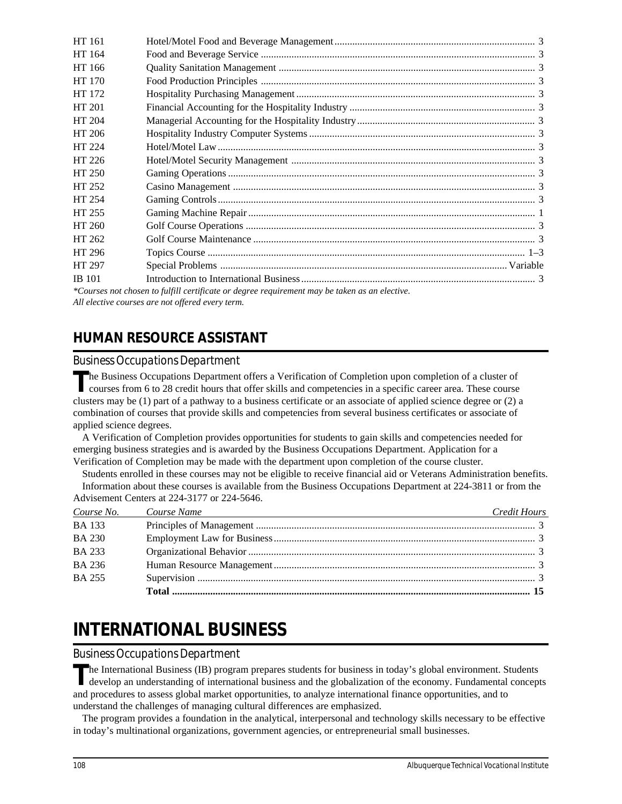| HT 161        |                                                                                             |  |
|---------------|---------------------------------------------------------------------------------------------|--|
| HT 164        |                                                                                             |  |
| HT 166        |                                                                                             |  |
| HT 170        |                                                                                             |  |
| HT 172        |                                                                                             |  |
| HT 201        |                                                                                             |  |
| HT 204        |                                                                                             |  |
| HT 206        |                                                                                             |  |
| HT 224        |                                                                                             |  |
| HT 226        |                                                                                             |  |
| HT 250        |                                                                                             |  |
| HT 252        |                                                                                             |  |
| HT 254        |                                                                                             |  |
| HT 255        |                                                                                             |  |
| HT 260        |                                                                                             |  |
| HT 262        |                                                                                             |  |
| HT 296        |                                                                                             |  |
| HT 297        |                                                                                             |  |
| <b>IB</b> 101 |                                                                                             |  |
|               | Courses not chosen to fulfill certificate or degree requirement may be taken as an elective |  |

*\*Courses not chosen to fulfill certificate or degree requirement may be taken as an elective. All elective courses are not offered every term.*

## **HUMAN RESOURCE ASSISTANT**

### *Business Occupations Department*

The Business Occupations Department offers a Verification of Completion upon completion of a cluster of courses from 6 to 28 credit hours that offer skills and competencies in a specific career area. These course clusters may be (1) part of a pathway to a business certificate or an associate of applied science degree or (2) a combination of courses that provide skills and competencies from several business certificates or associate of applied science degrees.

A Verification of Completion provides opportunities for students to gain skills and competencies needed for emerging business strategies and is awarded by the Business Occupations Department. Application for a Verification of Completion may be made with the department upon completion of the course cluster.

Students enrolled in these courses may not be eligible to receive financial aid or Veterans Administration benefits. Information about these courses is available from the Business Occupations Department at 224-3811 or from the Advisement Centers at 224-3177 or 224-5646.

| Course No.    | Course Name<br>and the control of the control of the control of the control of the control of the control of the control of the | Credit Hours |
|---------------|---------------------------------------------------------------------------------------------------------------------------------|--------------|
| <b>BA133</b>  |                                                                                                                                 |              |
| <b>BA 230</b> |                                                                                                                                 |              |
| <b>BA 233</b> |                                                                                                                                 |              |
| <b>BA 236</b> |                                                                                                                                 |              |
| <b>BA 255</b> |                                                                                                                                 |              |
|               |                                                                                                                                 |              |

# **INTERNATIONAL BUSINESS**

### *Business Occupations Department*

The International Business (IB) program prepares students for business in today's global environment. Students develop an understanding of international business and the globalization of the economy. Fundamental concepts and procedures to assess global market opportunities, to analyze international finance opportunities, and to understand the challenges of managing cultural differences are emphasized.

The program provides a foundation in the analytical, interpersonal and technology skills necessary to be effective in today's multinational organizations, government agencies, or entrepreneurial small businesses.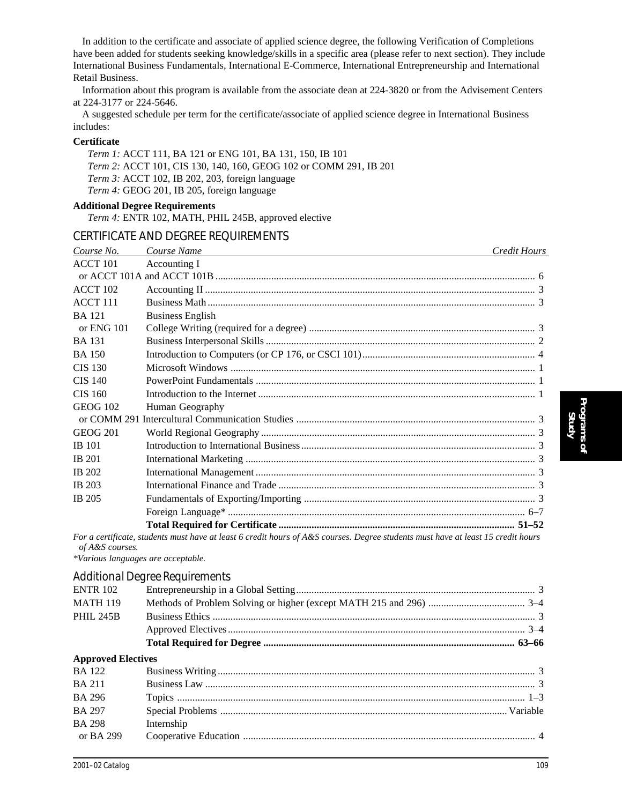In addition to the certificate and associate of applied science degree, the following Verification of Completions have been added for students seeking knowledge/skills in a specific area (please refer to next section). They include International Business Fundamentals, International E-Commerce, International Entrepreneurship and International Retail Business.

Information about this program is available from the associate dean at 224-3820 or from the Advisement Centers at 224-3177 or 224-5646.

A suggested schedule per term for the certificate/associate of applied science degree in International Business includes:

#### **Certificate**

*Term 1:* ACCT 111, BA 121 or ENG 101, BA 131, 150, IB 101 *Term 2:* ACCT 101, CIS 130, 140, 160, GEOG 102 or COMM 291, IB 201 *Term 3:* ACCT 102, IB 202, 203, foreign language *Term 4:* GEOG 201, IB 205, foreign language

#### **Additional Degree Requirements**

*Term 4:* ENTR 102, MATH, PHIL 245B, approved elective

#### CERTIFICATE AND DEGREE REQUIREMENTS

| Course No.          | Course Name                                                                                                                      | Credit Hours |
|---------------------|----------------------------------------------------------------------------------------------------------------------------------|--------------|
| <b>ACCT 101</b>     | Accounting I                                                                                                                     |              |
|                     |                                                                                                                                  |              |
| <b>ACCT 102</b>     |                                                                                                                                  |              |
| ACCT <sub>111</sub> |                                                                                                                                  |              |
| <b>BA</b> 121       | <b>Business English</b>                                                                                                          |              |
| or $ENG$ 101        |                                                                                                                                  |              |
| <b>BA</b> 131       |                                                                                                                                  |              |
| <b>BA</b> 150       |                                                                                                                                  |              |
| <b>CIS 130</b>      |                                                                                                                                  |              |
| <b>CIS 140</b>      |                                                                                                                                  |              |
| CIS 160             |                                                                                                                                  |              |
| <b>GEOG 102</b>     | Human Geography                                                                                                                  |              |
|                     |                                                                                                                                  |              |
| <b>GEOG 201</b>     |                                                                                                                                  |              |
| <b>IB</b> 101       |                                                                                                                                  |              |
| <b>IB</b> 201       |                                                                                                                                  |              |
| <b>IB 202</b>       |                                                                                                                                  |              |
| <b>IB</b> 203       |                                                                                                                                  |              |
| IB 205              |                                                                                                                                  |              |
|                     |                                                                                                                                  |              |
|                     |                                                                                                                                  |              |
|                     | For a certificate, students must have at least 6 credit hours of A&S courses. Degree students must have at least 15 credit hours |              |

*of A&S courses. \*Various languages are acceptable.*

## *Additional Degree Requirements*

|                           | rigational Degree Regainements |  |
|---------------------------|--------------------------------|--|
| <b>ENTR 102</b>           |                                |  |
| <b>MATH 119</b>           |                                |  |
| <b>PHIL 245B</b>          |                                |  |
|                           |                                |  |
|                           |                                |  |
| <b>Approved Electives</b> |                                |  |
| <b>BA</b> 122             |                                |  |
| <b>BA211</b>              |                                |  |
| <b>BA 296</b>             |                                |  |
|                           |                                |  |

BA 297 Special Problems ................................................................................................................. Variable

or BA 299 Cooperative Education ................................................................................................................... 4

BA 298 Internship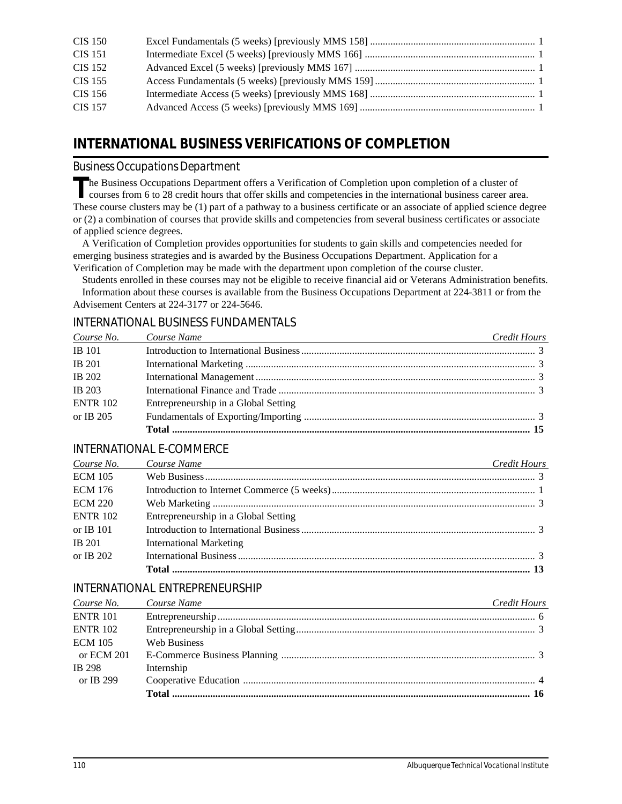| <b>CIS 150</b> |  |
|----------------|--|
| CIS 151        |  |
| CIS 152        |  |
| CIS 155        |  |
| CIS 156        |  |
| CIS 157        |  |

## **INTERNATIONAL BUSINESS VERIFICATIONS OF COMPLETION**

## *Business Occupations Department*

The Business Occupations Department offers a Verification of Completion upon completion of a cluster of courses from 6 to 28 credit hours that offer skills and competencies in the international business career area. These course clusters may be (1) part of a pathway to a business certificate or an associate of applied science degree or (2) a combination of courses that provide skills and competencies from several business certificates or associate of applied science degrees.

A Verification of Completion provides opportunities for students to gain skills and competencies needed for emerging business strategies and is awarded by the Business Occupations Department. Application for a Verification of Completion may be made with the department upon completion of the course cluster.

Students enrolled in these courses may not be eligible to receive financial aid or Veterans Administration benefits. Information about these courses is available from the Business Occupations Department at 224-3811 or from the Advisement Centers at 224-3177 or 224-5646.

## INTERNATIONAL BUSINESS FUNDAMENTALS

| Course No.      | Course Name<br><u> 1989 - Andrea Stadt Britain, amerikansk politiker (</u> | Credit Hours |
|-----------------|----------------------------------------------------------------------------|--------------|
| <b>IB</b> 101   |                                                                            |              |
| <b>IB</b> 201   |                                                                            |              |
| <b>IB 202</b>   |                                                                            |              |
| <b>IB</b> 203   |                                                                            |              |
| <b>ENTR 102</b> | Entrepreneurship in a Global Setting                                       |              |
| or IB 205       |                                                                            |              |
|                 |                                                                            |              |

### INTERNATIONAL E-COMMERCE

| Course No.      | Course Name<br><u> 1989 - Johann Barn, fransk politik (f. 1989)</u> | Credit Hours |
|-----------------|---------------------------------------------------------------------|--------------|
| <b>ECM 105</b>  |                                                                     |              |
| <b>ECM 176</b>  |                                                                     |              |
| <b>ECM 220</b>  |                                                                     |              |
| <b>ENTR 102</b> | Entrepreneurship in a Global Setting                                |              |
| or IB $101$     |                                                                     |              |
| <b>IB</b> 201   | <b>International Marketing</b>                                      |              |
| or IB $202$     |                                                                     |              |
|                 |                                                                     |              |

## INTERNATIONAL ENTREPRENEURSHIP

| Course No.      | Course Name<br>and the control of the control of the control of the control of the control of the control of the control of the | Credit Hours |
|-----------------|---------------------------------------------------------------------------------------------------------------------------------|--------------|
| <b>ENTR 101</b> |                                                                                                                                 |              |
| <b>ENTR 102</b> |                                                                                                                                 |              |
| <b>ECM 105</b>  | Web Business                                                                                                                    |              |
| or ECM 201      |                                                                                                                                 |              |
| <b>IB</b> 298   | Internship                                                                                                                      |              |
| or IB 299       |                                                                                                                                 |              |
|                 |                                                                                                                                 |              |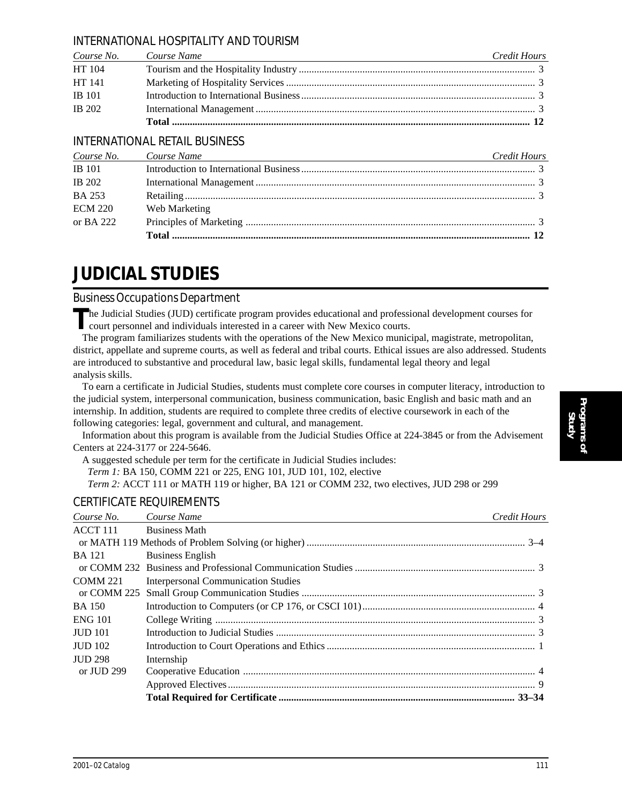### INTERNATIONAL HOSPITALITY AND TOURISM

|               | Course No. Course Name | Credit Hours |
|---------------|------------------------|--------------|
| HT 104        |                        |              |
| HT 141        |                        |              |
| <b>IB</b> 101 |                        |              |
| <b>IB</b> 202 |                        |              |
|               |                        |              |

## INTERNATIONAL RETAIL BUSINESS

|                | Course No. Course Name<br>and the control of the control of the control of the control of the control of the control of the control of the | Credit Hours |
|----------------|--------------------------------------------------------------------------------------------------------------------------------------------|--------------|
| <b>IB</b> 101  |                                                                                                                                            |              |
| <b>IB</b> 202  |                                                                                                                                            |              |
| <b>BA 253</b>  |                                                                                                                                            |              |
| <b>ECM 220</b> | Web Marketing                                                                                                                              |              |
| or BA 222      |                                                                                                                                            |              |
|                |                                                                                                                                            |              |

# **JUDICIAL STUDIES**

*Business Occupations Department*

The Judicial Studies (JUD) certificate program provides educational and professional development courses for court personnel and individuals interested in a career with New Mexico courts.

The program familiarizes students with the operations of the New Mexico municipal, magistrate, metropolitan, district, appellate and supreme courts, as well as federal and tribal courts. Ethical issues are also addressed. Students are introduced to substantive and procedural law, basic legal skills, fundamental legal theory and legal analysis skills.

To earn a certificate in Judicial Studies, students must complete core courses in computer literacy, introduction to the judicial system, interpersonal communication, business communication, basic English and basic math and an internship. In addition, students are required to complete three credits of elective coursework in each of the following categories: legal, government and cultural, and management.

Information about this program is available from the Judicial Studies Office at 224-3845 or from the Advisement Centers at 224-3177 or 224-5646.

A suggested schedule per term for the certificate in Judicial Studies includes:

*Term 1:* BA 150, COMM 221 or 225, ENG 101, JUD 101, 102, elective

*Term 2:* ACCT 111 or MATH 119 or higher, BA 121 or COMM 232, two electives, JUD 298 or 299

### CERTIFICATE REQUIREMENTS

| Course No.                    | Course Name                                | Credit Hours |
|-------------------------------|--------------------------------------------|--------------|
| <b>ACCT 111</b> Business Math |                                            |              |
|                               |                                            |              |
| <b>BA</b> 121                 | <b>Business English</b>                    |              |
|                               |                                            |              |
| <b>COMM 221</b>               | <b>Interpersonal Communication Studies</b> |              |
| or COMM 225                   |                                            |              |
| BA 150                        |                                            |              |
| <b>ENG 101</b>                |                                            |              |
| <b>JUD 101</b>                |                                            |              |
| <b>JUD 102</b>                |                                            |              |
| <b>JUD 298</b>                | Internship                                 |              |
| or JUD 299                    |                                            |              |
|                               |                                            |              |
|                               |                                            |              |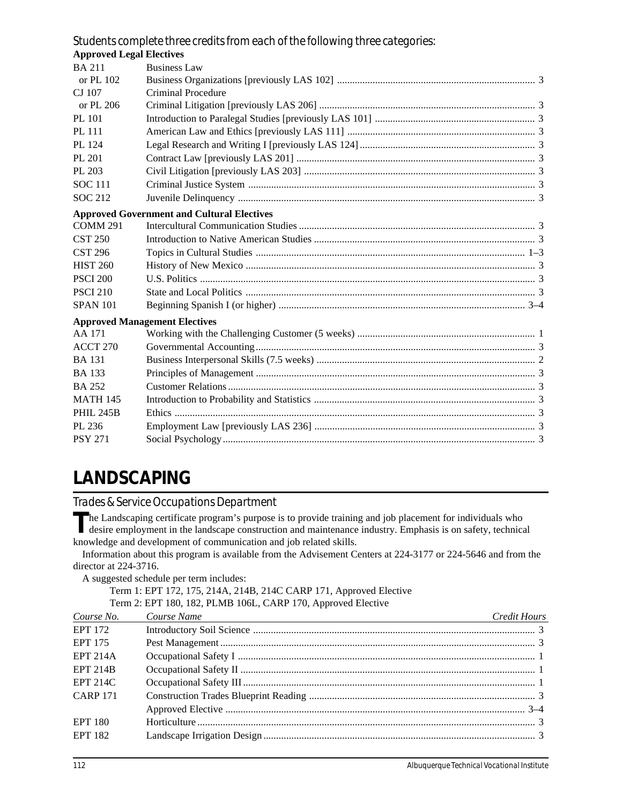## *Students complete three credits from each of the following three categories:*

| <b>Approved Legal Electives</b> |                                                   |  |
|---------------------------------|---------------------------------------------------|--|
| <b>BA 211</b>                   | <b>Business Law</b>                               |  |
| or PL 102                       |                                                   |  |
| CJ 107                          | <b>Criminal Procedure</b>                         |  |
| or PL 206                       |                                                   |  |
| PL 101                          |                                                   |  |
| <b>PL 111</b>                   |                                                   |  |
| PL 124                          |                                                   |  |
| PL 201                          |                                                   |  |
| PL 203                          |                                                   |  |
| <b>SOC 111</b>                  |                                                   |  |
| <b>SOC 212</b>                  |                                                   |  |
|                                 | <b>Approved Government and Cultural Electives</b> |  |
| <b>COMM 291</b>                 |                                                   |  |
| <b>CST 250</b>                  |                                                   |  |
| <b>CST 296</b>                  |                                                   |  |
| <b>HIST 260</b>                 |                                                   |  |
| <b>PSCI 200</b>                 |                                                   |  |
| <b>PSCI 210</b>                 |                                                   |  |
| <b>SPAN 101</b>                 |                                                   |  |
|                                 | <b>Approved Management Electives</b>              |  |
| AA 171                          |                                                   |  |
| <b>ACCT 270</b>                 |                                                   |  |
| <b>BA</b> 131                   |                                                   |  |
| <b>BA</b> 133                   |                                                   |  |
| <b>BA 252</b>                   |                                                   |  |
| <b>MATH 145</b>                 |                                                   |  |
| <b>PHIL 245B</b>                |                                                   |  |
| PL 236                          |                                                   |  |
| <b>PSY 271</b>                  |                                                   |  |

## **LANDSCAPING**

*Trades & Service Occupations Department*

The Landscaping certificate program's purpose is to provide training and job placement for individuals who desire employment in the landscape construction and maintenance industry. Emphasis is on safety, technical knowledge and development of communication and job related skills.

Information about this program is available from the Advisement Centers at 224-3177 or 224-5646 and from the director at 224-3716.

A suggested schedule per term includes:

|  |  | Term 1: EPT 172, 175, 214A, 214B, 214C CARP 171, Approved Elective |
|--|--|--------------------------------------------------------------------|
|  |  | Term 2: EPT 180, 182, PLMB 106L, CARP 170, Approved Elective       |

| Course No.      | Course Name<br>the control of the control of the control of the control of the control of the control of the control of the control of the control of the control of the control of the control of the control of the control of the control | Credit Hours |
|-----------------|----------------------------------------------------------------------------------------------------------------------------------------------------------------------------------------------------------------------------------------------|--------------|
| <b>EPT 172</b>  |                                                                                                                                                                                                                                              |              |
| <b>EPT 175</b>  |                                                                                                                                                                                                                                              |              |
| <b>EPT 214A</b> |                                                                                                                                                                                                                                              |              |
| <b>EPT 214B</b> |                                                                                                                                                                                                                                              |              |
| <b>EPT 214C</b> |                                                                                                                                                                                                                                              |              |
| <b>CARP 171</b> |                                                                                                                                                                                                                                              |              |
|                 |                                                                                                                                                                                                                                              |              |
| EPT 180         |                                                                                                                                                                                                                                              |              |
| <b>EPT 182</b>  |                                                                                                                                                                                                                                              |              |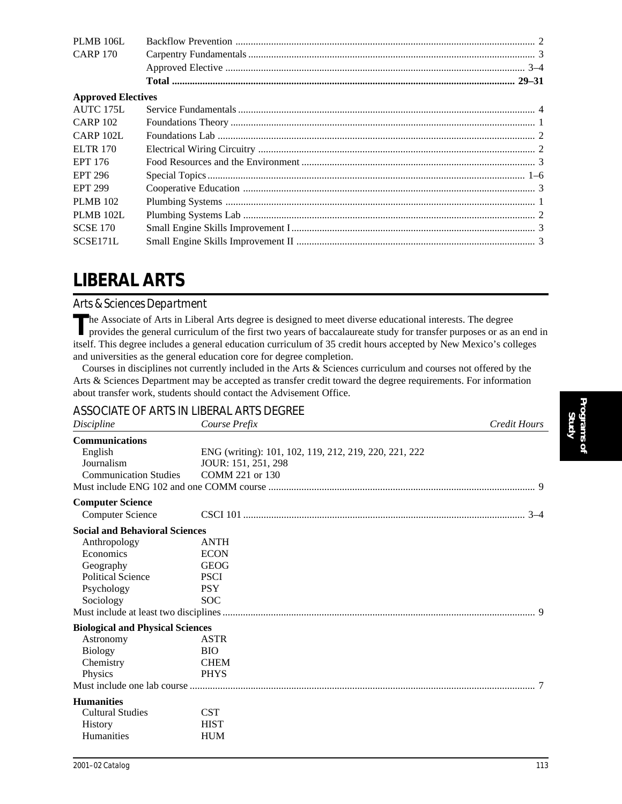| <b>Approved Electives</b> |
|---------------------------|

# **LIBERAL ARTS**

### *Arts & Sciences Department*

The Associate of Arts in Liberal Arts degree is designed to meet diverse educational interests. The degree<br>provides the general curriculum of the first two years of baccalaureate study for transfer purposes or as an end in itself. This degree includes a general education curriculum of 35 credit hours accepted by New Mexico's colleges and universities as the general education core for degree completion.

Courses in disciplines not currently included in the Arts & Sciences curriculum and courses not offered by the Arts & Sciences Department may be accepted as transfer credit toward the degree requirements. For information about transfer work, students should contact the Advisement Office.

### ASSOCIATE OF ARTS IN LIBERAL ARTS DEGREE

| Discipline                              | Course Prefix                                         | <b>Credit Hours</b> |
|-----------------------------------------|-------------------------------------------------------|---------------------|
| <b>Communications</b>                   |                                                       |                     |
| English                                 | ENG (writing): 101, 102, 119, 212, 219, 220, 221, 222 |                     |
| Journalism                              | JOUR: 151, 251, 298                                   |                     |
| <b>Communication Studies</b>            | COMM 221 or 130                                       |                     |
|                                         |                                                       |                     |
| <b>Computer Science</b>                 |                                                       |                     |
| <b>Computer Science</b>                 |                                                       |                     |
| <b>Social and Behavioral Sciences</b>   |                                                       |                     |
| Anthropology                            | <b>ANTH</b>                                           |                     |
| Economics                               | <b>ECON</b>                                           |                     |
| Geography                               | <b>GEOG</b>                                           |                     |
| <b>Political Science</b>                | <b>PSCI</b>                                           |                     |
| Psychology                              | <b>PSY</b>                                            |                     |
| Sociology                               | <b>SOC</b>                                            |                     |
|                                         |                                                       |                     |
| <b>Biological and Physical Sciences</b> |                                                       |                     |
| Astronomy                               | <b>ASTR</b>                                           |                     |
| <b>Biology</b>                          | <b>BIO</b>                                            |                     |
| Chemistry                               | <b>CHEM</b>                                           |                     |
| Physics                                 | <b>PHYS</b>                                           |                     |
|                                         |                                                       |                     |
| <b>Humanities</b>                       |                                                       |                     |
| <b>Cultural Studies</b>                 | <b>CST</b>                                            |                     |
| <b>History</b>                          | <b>HIST</b>                                           |                     |
| <b>Humanities</b>                       | <b>HUM</b>                                            |                     |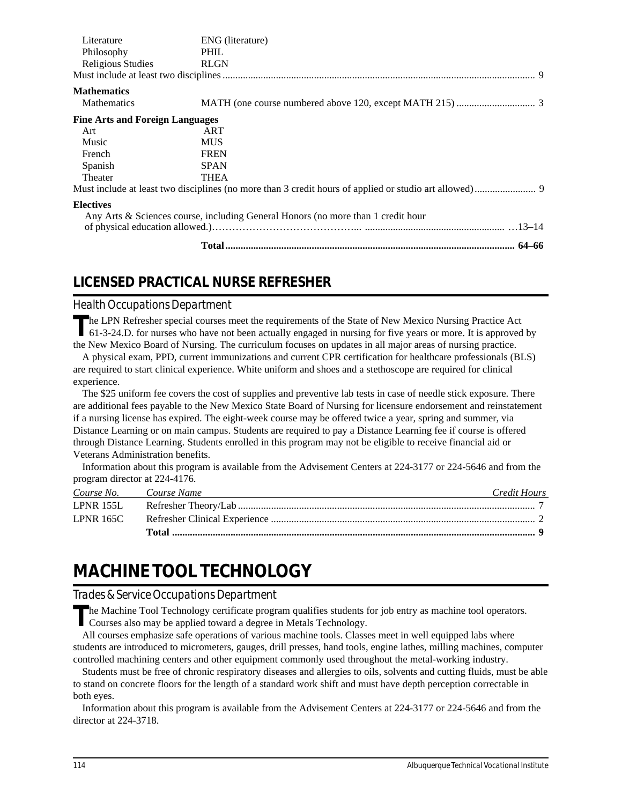| Literature                             | ENG (literature)                                                                 |  |
|----------------------------------------|----------------------------------------------------------------------------------|--|
| Philosophy                             | PHIL                                                                             |  |
| <b>Religious Studies</b>               | <b>RLGN</b>                                                                      |  |
|                                        |                                                                                  |  |
| <b>Mathematics</b>                     |                                                                                  |  |
| <b>Mathematics</b>                     |                                                                                  |  |
| <b>Fine Arts and Foreign Languages</b> |                                                                                  |  |
| Art                                    | ART                                                                              |  |
| Music                                  | <b>MUS</b>                                                                       |  |
| French                                 | <b>FREN</b>                                                                      |  |
| Spanish                                | <b>SPAN</b>                                                                      |  |
| Theater                                | <b>THEA</b>                                                                      |  |
|                                        |                                                                                  |  |
| <b>Electives</b>                       |                                                                                  |  |
|                                        | Any Arts & Sciences course, including General Honors (no more than 1 credit hour |  |
|                                        |                                                                                  |  |
|                                        |                                                                                  |  |

## **LICENSED PRACTICAL NURSE REFRESHER**

### *Health Occupations Department*

The LPN Refresher special courses meet the requirements of the State of New Mexico Nursing Practice Act 61-3-24.D. for nurses who have not been actually engaged in nursing for five years or more. It is approved by the New Mexico Board of Nursing. The curriculum focuses on updates in all major areas of nursing practice.

A physical exam, PPD, current immunizations and current CPR certification for healthcare professionals (BLS) are required to start clinical experience. White uniform and shoes and a stethoscope are required for clinical experience.

The \$25 uniform fee covers the cost of supplies and preventive lab tests in case of needle stick exposure. There are additional fees payable to the New Mexico State Board of Nursing for licensure endorsement and reinstatement if a nursing license has expired. The eight-week course may be offered twice a year, spring and summer, via Distance Learning or on main campus. Students are required to pay a Distance Learning fee if course is offered through Distance Learning. Students enrolled in this program may not be eligible to receive financial aid or Veterans Administration benefits.

Information about this program is available from the Advisement Centers at 224-3177 or 224-5646 and from the program director at 224-4176.

| Course No. Course Name | Credit Hours |
|------------------------|--------------|
| <b>LPNR 155L</b>       |              |
| LPNR 165C              |              |
|                        |              |

## **MACHINE TOOL TECHNOLOGY**

#### *Trades & Service Occupations Department*

**T**he Machine Tool Technology certificate program qualifies students for job entry as machine tool operators. Courses also may be applied toward a degree in Metals Technology.

All courses emphasize safe operations of various machine tools. Classes meet in well equipped labs where students are introduced to micrometers, gauges, drill presses, hand tools, engine lathes, milling machines, computer controlled machining centers and other equipment commonly used throughout the metal-working industry.

Students must be free of chronic respiratory diseases and allergies to oils, solvents and cutting fluids, must be able to stand on concrete floors for the length of a standard work shift and must have depth perception correctable in both eyes.

Information about this program is available from the Advisement Centers at 224-3177 or 224-5646 and from the director at 224-3718.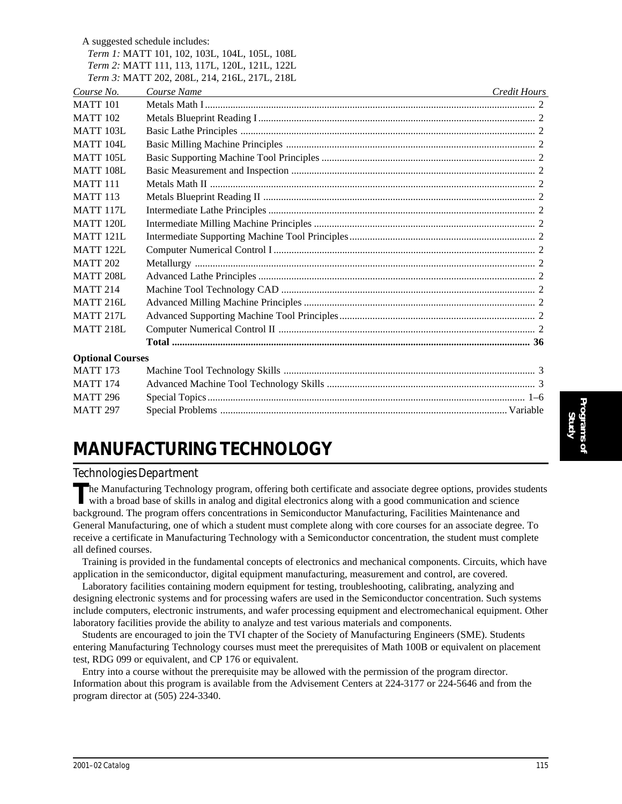A suggested schedule includes:

| <i>Term 1:</i> MATT 101, 102, 103L, 104L, 105L, 108L |  |  |  |  |
|------------------------------------------------------|--|--|--|--|
| <i>Term 2:</i> MATT 111, 113, 117L, 120L, 121L, 122L |  |  |  |  |

*Term 3:* MATT 202, 208L, 214, 216L, 217L, 218L *Course No. Course Name Credit Hours* MATT 101 Metals Math I .................................................................................................................................. 2 MATT 102 Metals Blueprint Reading I ............................................................................................................. 2 MATT 103L Basic Lathe Principles .................................................................................................................... 2 MATT 104L Basic Milling Machine Principles .................................................................................................. 2 MATT 105L Basic Supporting Machine Tool Principles .................................................................................... 2 MATT 108L Basic Measurement and Inspection ................................................................................................ 2 MATT 111 Metals Math II ................................................................................................................................ 2 MATT 113 Metals Blueprint Reading II ........................................................................................................... 2 MATT 117L Intermediate Lathe Principles ......................................................................................................... 2 MATT 120L Intermediate Milling Machine Principles ....................................................................................... 2 MATT 121L Intermediate Supporting Machine Tool Principles......................................................................... 2 MATT 122L Computer Numerical Control I ....................................................................................................... 2 MATT 202 Metallurgy ...................................................................................................................................... 2 MATT 208L Advanced Lathe Principles ............................................................................................................. 2 MATT 214 Machine Tool Technology CAD .................................................................................................... 2 MATT 216L Advanced Milling Machine Principles ........................................................................................... 2 MATT 217L Advanced Supporting Machine Tool Principles............................................................................. 2 MATT 218L Computer Numerical Control II ..................................................................................................... 2 **Total ............................................................................................................................................. 36 Optional Courses** MATT 173 Machine Tool Technology Skills ................................................................................................... 3

## MATT 174 Advanced Machine Tool Technology Skills .................................................................................. 3 MATT 296 Special Topics ............................................................................................................................. 1–6 MATT 297 Special Problems ................................................................................................................. Variable

# **MANUFACTURING TECHNOLOGY**

## *Technologies Department*

**T**he Manufacturing Technology program, offering both certificate and associate degree options, provides students with a broad base of skills in analog and digital electronics along with a good communication and science background. The program offers concentrations in Semiconductor Manufacturing, Facilities Maintenance and General Manufacturing, one of which a student must complete along with core courses for an associate degree. To receive a certificate in Manufacturing Technology with a Semiconductor concentration, the student must complete all defined courses.

Training is provided in the fundamental concepts of electronics and mechanical components. Circuits, which have application in the semiconductor, digital equipment manufacturing, measurement and control, are covered.

Laboratory facilities containing modern equipment for testing, troubleshooting, calibrating, analyzing and designing electronic systems and for processing wafers are used in the Semiconductor concentration. Such systems include computers, electronic instruments, and wafer processing equipment and electromechanical equipment. Other laboratory facilities provide the ability to analyze and test various materials and components.

Students are encouraged to join the TVI chapter of the Society of Manufacturing Engineers (SME). Students entering Manufacturing Technology courses must meet the prerequisites of Math 100B or equivalent on placement test, RDG 099 or equivalent, and CP 176 or equivalent.

Entry into a course without the prerequisite may be allowed with the permission of the program director. Information about this program is available from the Advisement Centers at 224-3177 or 224-5646 and from the program director at (505) 224-3340.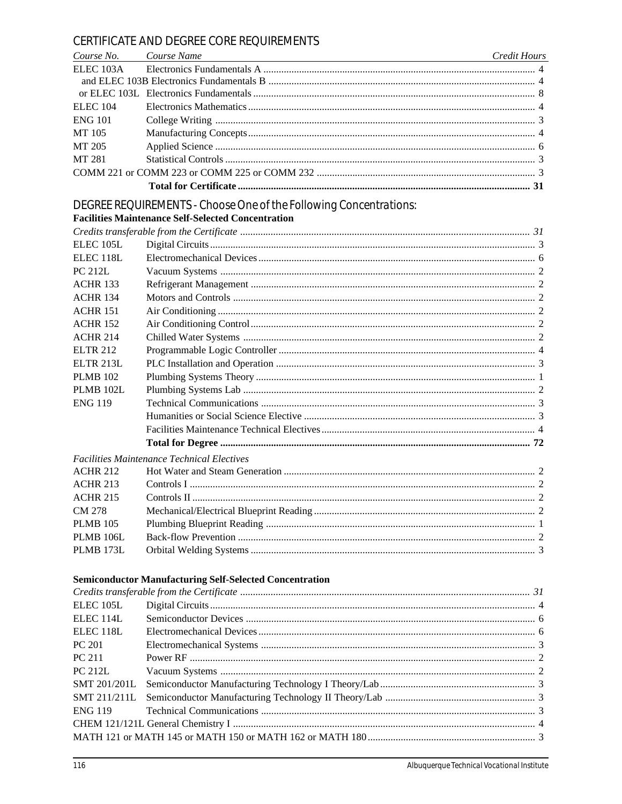## CERTIFICATE AND DEGREE CORE REQUIREMENTS

| Course No. Course Name | <u> 1989 - Johann Stoff, deutscher Stoffen und der Stoffen und der Stoffen und der Stoffen und der Stoffen und der</u> | <b>Credit Hours</b> |
|------------------------|------------------------------------------------------------------------------------------------------------------------|---------------------|
|                        |                                                                                                                        |                     |
|                        |                                                                                                                        |                     |
|                        |                                                                                                                        |                     |
| ELEC 104               |                                                                                                                        |                     |
| <b>ENG 101</b>         |                                                                                                                        |                     |
| MT 105                 |                                                                                                                        |                     |
| MT 205                 |                                                                                                                        |                     |
| MT 281                 |                                                                                                                        |                     |
|                        |                                                                                                                        |                     |
|                        |                                                                                                                        |                     |

# DEGREE REQUIREMENTS - Choose One of the Following Concentrations:<br>Facilities Maintenance Self-Selected Concentration

| ELEC <sub>105L</sub> |                                                   |  |
|----------------------|---------------------------------------------------|--|
| <b>ELEC 118L</b>     |                                                   |  |
| <b>PC 212L</b>       |                                                   |  |
| <b>ACHR 133</b>      |                                                   |  |
| <b>ACHR 134</b>      |                                                   |  |
| <b>ACHR 151</b>      |                                                   |  |
| <b>ACHR 152</b>      |                                                   |  |
| <b>ACHR 214</b>      |                                                   |  |
| <b>ELTR 212</b>      |                                                   |  |
| <b>ELTR 213L</b>     |                                                   |  |
| <b>PLMB 102</b>      |                                                   |  |
| PLMB 102L            |                                                   |  |
| <b>ENG 119</b>       |                                                   |  |
|                      |                                                   |  |
|                      |                                                   |  |
|                      |                                                   |  |
|                      | <b>Facilities Maintenance Technical Electives</b> |  |
| <b>ACHR 212</b>      |                                                   |  |
| <b>ACHR 213</b>      |                                                   |  |
| <b>ACHR 215</b>      |                                                   |  |
| CM 278               |                                                   |  |
| <b>PLMB 105</b>      |                                                   |  |
| PLMB 106L            |                                                   |  |
| <b>PLMB 173L</b>     |                                                   |  |
|                      |                                                   |  |

## **Semiconductor Manufacturing Self-Selected Concentration**

| ELEC 105L            |  |
|----------------------|--|
| ELEC <sub>114L</sub> |  |
| ELEC <sub>118L</sub> |  |
| PC 201               |  |
| <b>PC 211</b>        |  |
| <b>PC 212L</b>       |  |
| <b>SMT 201/201L</b>  |  |
|                      |  |
|                      |  |
|                      |  |
|                      |  |
|                      |  |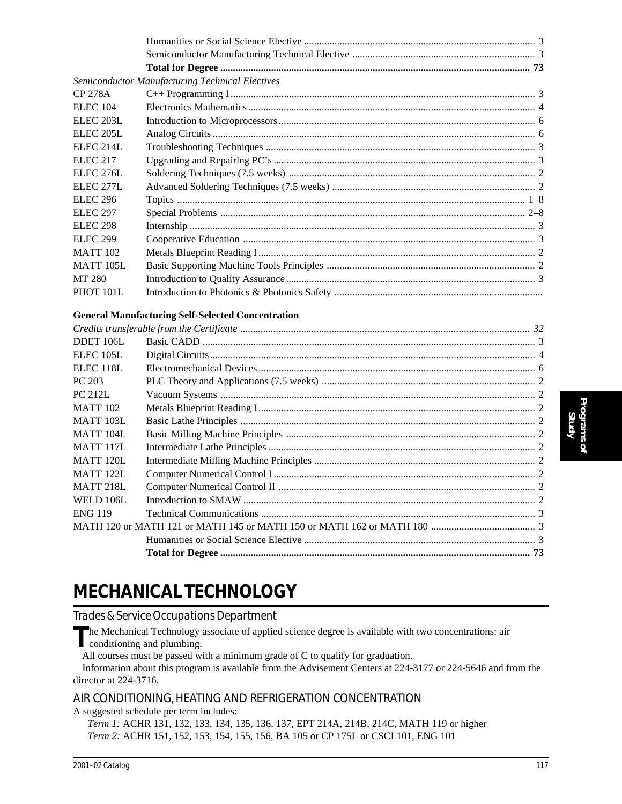|                      | <b>Semiconductor Manufacturing Technical Electives</b> |  |
|----------------------|--------------------------------------------------------|--|
| <b>CP 278A</b>       |                                                        |  |
| <b>ELEC</b> 104      |                                                        |  |
| ELEC <sub>203L</sub> |                                                        |  |
| ELEC <sub>205L</sub> |                                                        |  |
| ELEC <sub>214L</sub> |                                                        |  |
| <b>ELEC 217</b>      |                                                        |  |
| ELEC 276L            |                                                        |  |
| <b>ELEC 277L</b>     |                                                        |  |
| <b>ELEC 296</b>      |                                                        |  |
| <b>ELEC 297</b>      |                                                        |  |
| <b>ELEC 298</b>      |                                                        |  |
| <b>ELEC 299</b>      |                                                        |  |
| <b>MATT 102</b>      |                                                        |  |
| <b>MATT 105L</b>     |                                                        |  |
| MT 280               |                                                        |  |
| PHOT 101L            |                                                        |  |
|                      |                                                        |  |

### **General Manufacturing Self-Selected Concentration**

# **MECHANICAL TECHNOLOGY**

*Trades & Service Occupations Department*

The Mechanical Technology associate of applied science degree is available with two concentrations: air conditioning and plumbing.

All courses must be passed with a minimum grade of C to qualify for graduation.

Information about this program is available from the Advisement Centers at 224-3177 or 224-5646 and from the director at 224-3716.

## AIR CONDITIONING, HEATING AND REFRIGERATION CONCENTRATION

A suggested schedule per term includes:

*Term 1:* ACHR 131, 132, 133, 134, 135, 136, 137, EPT 214A, 214B, 214C, MATH 119 or higher *Term 2:* ACHR 151, 152, 153, 154, 155, 156, BA 105 or CP 175L or CSCI 101, ENG 101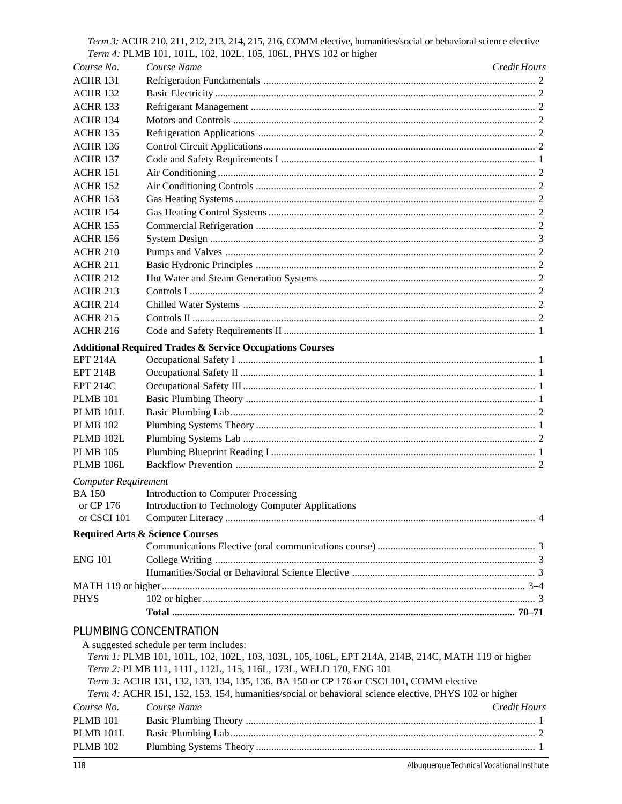Term 3: ACHR 210, 211, 212, 213, 214, 215, 216, COMM elective, humanities/social or behavioral science elective Term 4: PLMB 101, 101L, 102, 102L, 105, 106L, PHYS 102 or higher

| Course No.                  | Course Name<br><u> 1989 - Johann Stein, marwolaethau a bhann an t-Amhair an t-Amhair an t-Amhair an t-Amhair an t-Amhair an t-A</u> | Credit Hours |  |
|-----------------------------|-------------------------------------------------------------------------------------------------------------------------------------|--------------|--|
| <b>ACHR 131</b>             |                                                                                                                                     |              |  |
| <b>ACHR 132</b>             |                                                                                                                                     |              |  |
| <b>ACHR 133</b>             |                                                                                                                                     |              |  |
| <b>ACHR 134</b>             |                                                                                                                                     |              |  |
| <b>ACHR 135</b>             |                                                                                                                                     |              |  |
| <b>ACHR 136</b>             |                                                                                                                                     |              |  |
| <b>ACHR 137</b>             |                                                                                                                                     |              |  |
| <b>ACHR 151</b>             |                                                                                                                                     |              |  |
| <b>ACHR 152</b>             |                                                                                                                                     |              |  |
| <b>ACHR 153</b>             |                                                                                                                                     |              |  |
| <b>ACHR 154</b>             |                                                                                                                                     |              |  |
| <b>ACHR 155</b>             |                                                                                                                                     |              |  |
| <b>ACHR 156</b>             |                                                                                                                                     |              |  |
| <b>ACHR 210</b>             |                                                                                                                                     |              |  |
| <b>ACHR 211</b>             |                                                                                                                                     |              |  |
| <b>ACHR 212</b>             |                                                                                                                                     |              |  |
| <b>ACHR 213</b>             |                                                                                                                                     |              |  |
| <b>ACHR 214</b>             |                                                                                                                                     |              |  |
| <b>ACHR 215</b>             |                                                                                                                                     |              |  |
| <b>ACHR 216</b>             |                                                                                                                                     |              |  |
|                             | <b>Additional Required Trades &amp; Service Occupations Courses</b>                                                                 |              |  |
| <b>EPT 214A</b>             |                                                                                                                                     |              |  |
| <b>EPT 214B</b>             |                                                                                                                                     |              |  |
| <b>EPT 214C</b>             |                                                                                                                                     |              |  |
| <b>PLMB</b> 101             |                                                                                                                                     |              |  |
| PLMB 101L                   |                                                                                                                                     |              |  |
| <b>PLMB 102</b>             |                                                                                                                                     |              |  |
| PLMB 102L                   |                                                                                                                                     |              |  |
|                             |                                                                                                                                     |              |  |
| <b>PLMB 105</b>             |                                                                                                                                     |              |  |
| PLMB 106L                   |                                                                                                                                     |              |  |
| <b>Computer Requirement</b> |                                                                                                                                     |              |  |
| <b>BA 150</b>               | Introduction to Computer Processing                                                                                                 |              |  |
| or CP 176                   | Introduction to Technology Computer Applications                                                                                    |              |  |
|                             |                                                                                                                                     |              |  |
|                             | <b>Required Arts &amp; Science Courses</b>                                                                                          |              |  |
|                             |                                                                                                                                     |              |  |
| <b>ENG 101</b>              |                                                                                                                                     |              |  |
|                             |                                                                                                                                     |              |  |
|                             |                                                                                                                                     |              |  |
| <b>PHYS</b>                 |                                                                                                                                     |              |  |
|                             |                                                                                                                                     |              |  |
|                             | PLUMBING CONCENTRATION                                                                                                              |              |  |
|                             | A suggested schedule per term includes:                                                                                             |              |  |
|                             | Term 1: PLMB 101, 101L, 102, 102L, 103, 103L, 105, 106L, EPT 214A, 214B, 214C, MATH 119 or higher                                   |              |  |
|                             | Term 2: PLMB 111, 111L, 112L, 115, 116L, 173L, WELD 170, ENG 101                                                                    |              |  |
|                             | Term 3: ACHR 131, 132, 133, 134, 135, 136, BA 150 or CP 176 or CSCI 101, COMM elective                                              |              |  |
|                             | Term 4: ACHR 151, 152, 153, 154, humanities/social or behavioral science elective, PHYS 102 or higher                               |              |  |
| Course No.                  | Course Name<br><u> 1980 - Johann Barn, amerikan bestemannten bestemannten bestemannten bestemannten bestemannten bestemannten b</u> | Credit Hours |  |
| <b>PLMB</b> 101             |                                                                                                                                     |              |  |
| PLMB 101L                   |                                                                                                                                     |              |  |
| <b>PLMB 102</b>             |                                                                                                                                     |              |  |
|                             |                                                                                                                                     |              |  |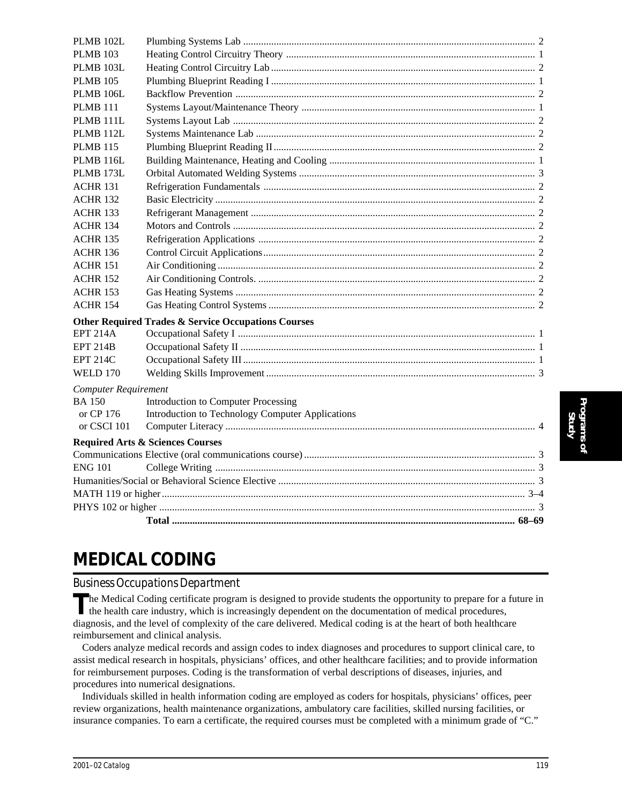| PLMB 102L                   |                                                                |  |
|-----------------------------|----------------------------------------------------------------|--|
| <b>PLMB 103</b>             |                                                                |  |
| <b>PLMB 103L</b>            |                                                                |  |
| <b>PLMB 105</b>             |                                                                |  |
| <b>PLMB 106L</b>            |                                                                |  |
| <b>PLMB 111</b>             |                                                                |  |
| PLMB 111L                   |                                                                |  |
| PLMB 112L                   |                                                                |  |
| <b>PLMB 115</b>             |                                                                |  |
| <b>PLMB 116L</b>            |                                                                |  |
| PLMB 173L                   |                                                                |  |
| <b>ACHR 131</b>             |                                                                |  |
| <b>ACHR 132</b>             |                                                                |  |
| <b>ACHR 133</b>             |                                                                |  |
| <b>ACHR 134</b>             |                                                                |  |
| <b>ACHR 135</b>             |                                                                |  |
| <b>ACHR 136</b>             |                                                                |  |
| <b>ACHR 151</b>             |                                                                |  |
| <b>ACHR 152</b>             |                                                                |  |
| <b>ACHR 153</b>             |                                                                |  |
| <b>ACHR 154</b>             |                                                                |  |
|                             | <b>Other Required Trades &amp; Service Occupations Courses</b> |  |
| <b>EPT 214A</b>             |                                                                |  |
| <b>EPT 214B</b>             |                                                                |  |
| <b>EPT 214C</b>             |                                                                |  |
| <b>WELD 170</b>             |                                                                |  |
| <b>Computer Requirement</b> |                                                                |  |
| <b>BA150</b>                | Introduction to Computer Processing                            |  |
| or CP 176                   | Introduction to Technology Computer Applications               |  |
| or CSCI 101                 |                                                                |  |
|                             | <b>Required Arts &amp; Sciences Courses</b>                    |  |
|                             |                                                                |  |
| <b>ENG 101</b>              |                                                                |  |
|                             |                                                                |  |
|                             |                                                                |  |
|                             |                                                                |  |
|                             |                                                                |  |

# **MEDICAL CODING**

## *Business Occupations Department*

The Medical Coding certificate program is designed to provide students the opportunity to prepare for a future in the health care industry, which is increasingly dependent on the documentation of medical procedures, diagnosis, and the level of complexity of the care delivered. Medical coding is at the heart of both healthcare reimbursement and clinical analysis.

Coders analyze medical records and assign codes to index diagnoses and procedures to support clinical care, to assist medical research in hospitals, physicians' offices, and other healthcare facilities; and to provide information for reimbursement purposes. Coding is the transformation of verbal descriptions of diseases, injuries, and procedures into numerical designations.

Individuals skilled in health information coding are employed as coders for hospitals, physicians' offices, peer review organizations, health maintenance organizations, ambulatory care facilities, skilled nursing facilities, or insurance companies. To earn a certificate, the required courses must be completed with a minimum grade of "C."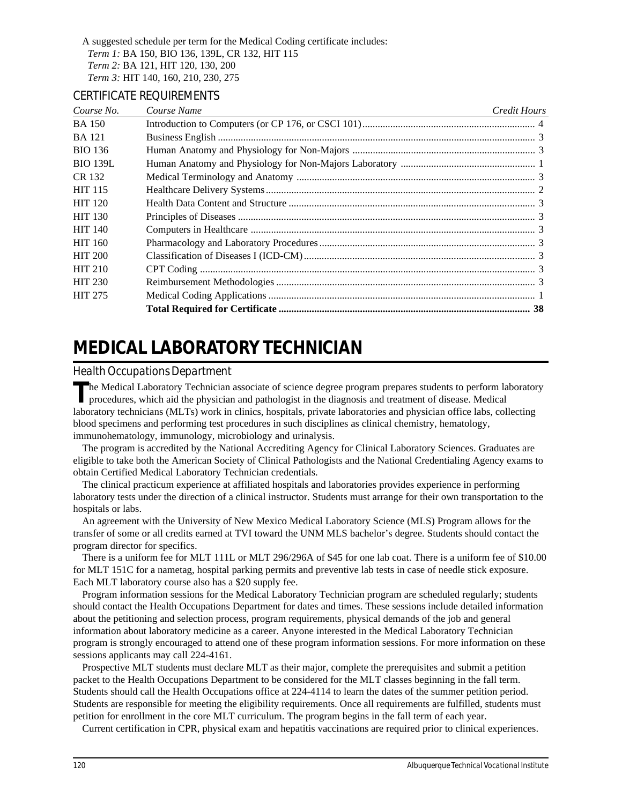A suggested schedule per term for the Medical Coding certificate includes: *Term 1:* BA 150, BIO 136, 139L, CR 132, HIT 115 *Term 2:* BA 121, HIT 120, 130, 200 *Term 3:* HIT 140, 160, 210, 230, 275

#### CERTIFICATE REQUIREMENTS

| Course No.      | Course Name | Credit Hours |
|-----------------|-------------|--------------|
| <b>BA</b> 150   |             |              |
| <b>BA</b> 121   |             |              |
| <b>BIO 136</b>  |             |              |
| <b>BIO 139L</b> |             |              |
| CR 132          |             |              |
| <b>HIT 115</b>  |             |              |
| <b>HIT 120</b>  |             |              |
| <b>HIT 130</b>  |             |              |
| <b>HIT 140</b>  |             |              |
| <b>HIT 160</b>  |             |              |
| <b>HIT 200</b>  |             |              |
| <b>HIT 210</b>  |             |              |
| <b>HIT 230</b>  |             |              |
| <b>HIT 275</b>  |             |              |
|                 |             |              |

# **MEDICAL LABORATORY TECHNICIAN**

### *Health Occupations Department*

The Medical Laboratory Technician associate of science degree program prepares students to perform laboratory procedures, which aid the physician and pathologist in the diagnosis and treatment of disease. Medical laboratory technicians (MLTs) work in clinics, hospitals, private laboratories and physician office labs, collecting blood specimens and performing test procedures in such disciplines as clinical chemistry, hematology, immunohematology, immunology, microbiology and urinalysis.

The program is accredited by the National Accrediting Agency for Clinical Laboratory Sciences. Graduates are eligible to take both the American Society of Clinical Pathologists and the National Credentialing Agency exams to obtain Certified Medical Laboratory Technician credentials.

The clinical practicum experience at affiliated hospitals and laboratories provides experience in performing laboratory tests under the direction of a clinical instructor. Students must arrange for their own transportation to the hospitals or labs.

An agreement with the University of New Mexico Medical Laboratory Science (MLS) Program allows for the transfer of some or all credits earned at TVI toward the UNM MLS bachelor's degree. Students should contact the program director for specifics.

There is a uniform fee for MLT 111L or MLT 296/296A of \$45 for one lab coat. There is a uniform fee of \$10.00 for MLT 151C for a nametag, hospital parking permits and preventive lab tests in case of needle stick exposure. Each MLT laboratory course also has a \$20 supply fee.

Program information sessions for the Medical Laboratory Technician program are scheduled regularly; students should contact the Health Occupations Department for dates and times. These sessions include detailed information about the petitioning and selection process, program requirements, physical demands of the job and general information about laboratory medicine as a career. Anyone interested in the Medical Laboratory Technician program is strongly encouraged to attend one of these program information sessions. For more information on these sessions applicants may call 224-4161.

Prospective MLT students must declare MLT as their major, complete the prerequisites and submit a petition packet to the Health Occupations Department to be considered for the MLT classes beginning in the fall term. Students should call the Health Occupations office at 224-4114 to learn the dates of the summer petition period. Students are responsible for meeting the eligibility requirements. Once all requirements are fulfilled, students must petition for enrollment in the core MLT curriculum. The program begins in the fall term of each year.

Current certification in CPR, physical exam and hepatitis vaccinations are required prior to clinical experiences.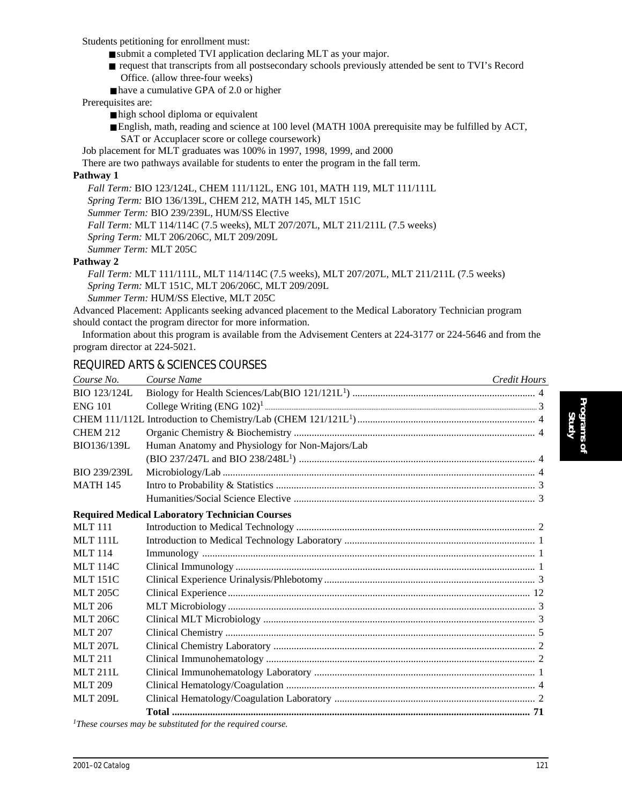Students petitioning for enrollment must:

- submit a completed TVI application declaring MLT as your major.
- request that transcripts from all postsecondary schools previously attended be sent to TVI's Record Office. (allow three-four weeks)
- have a cumulative GPA of 2.0 or higher

#### Prerequisites are:

- high school diploma or equivalent
- English, math, reading and science at 100 level (MATH 100A prerequisite may be fulfilled by ACT, SAT or Accuplacer score or college coursework)

Job placement for MLT graduates was 100% in 1997, 1998, 1999, and 2000

There are two pathways available for students to enter the program in the fall term.

#### **Pathway 1**

*Fall Term:* BIO 123/124L, CHEM 111/112L, ENG 101, MATH 119, MLT 111/111L *Spring Term:* BIO 136/139L, CHEM 212, MATH 145, MLT 151C *Summer Term:* BIO 239/239L, HUM/SS Elective *Fall Term:* MLT 114/114C (7.5 weeks), MLT 207/207L, MLT 211/211L (7.5 weeks) *Spring Term:* MLT 206/206C, MLT 209/209L *Summer Term:* MLT 205C

#### **Pathway 2**

*Fall Term:* MLT 111/111L, MLT 114/114C (7.5 weeks), MLT 207/207L, MLT 211/211L (7.5 weeks) *Spring Term:* MLT 151C, MLT 206/206C, MLT 209/209L *Summer Term:* HUM/SS Elective, MLT 205C

Advanced Placement: Applicants seeking advanced placement to the Medical Laboratory Technician program should contact the program director for more information.

Information about this program is available from the Advisement Centers at 224-3177 or 224-5646 and from the program director at 224-5021.

## REQUIRED ARTS & SCIENCES COURSES

| Course No.      | Course Name<br><u> 1989 - Johann Barbara, martxa eta politikaria (h. 1908).</u> | Credit Hours |
|-----------------|---------------------------------------------------------------------------------|--------------|
| BIO 123/124L    |                                                                                 |              |
| <b>ENG 101</b>  |                                                                                 |              |
|                 |                                                                                 |              |
| <b>CHEM 212</b> |                                                                                 |              |
| BIO136/139L     | Human Anatomy and Physiology for Non-Majors/Lab                                 |              |
|                 |                                                                                 |              |
| BIO 239/239L    |                                                                                 |              |
| <b>MATH 145</b> |                                                                                 |              |
|                 |                                                                                 |              |
|                 | <b>Required Medical Laboratory Technician Courses</b>                           |              |
| <b>MLT</b> 111  |                                                                                 |              |
| MT 111L         |                                                                                 |              |
| <b>MLT</b> 114  |                                                                                 |              |
| <b>MLT 114C</b> |                                                                                 |              |
| <b>MLT 151C</b> |                                                                                 |              |
| <b>MLT 205C</b> |                                                                                 |              |
| <b>MLT 206</b>  |                                                                                 |              |
| <b>MLT 206C</b> |                                                                                 |              |
| <b>MLT 207</b>  |                                                                                 |              |
| <b>MLT 207L</b> |                                                                                 |              |
| MLT 211         |                                                                                 |              |
| <b>MLT 211L</b> |                                                                                 |              |
| <b>MLT 209</b>  |                                                                                 |              |
| <b>MLT 209L</b> |                                                                                 |              |
|                 |                                                                                 |              |
|                 | These courses way be substituted for the required course                        |              |

*1These courses may be substituted for the required course.*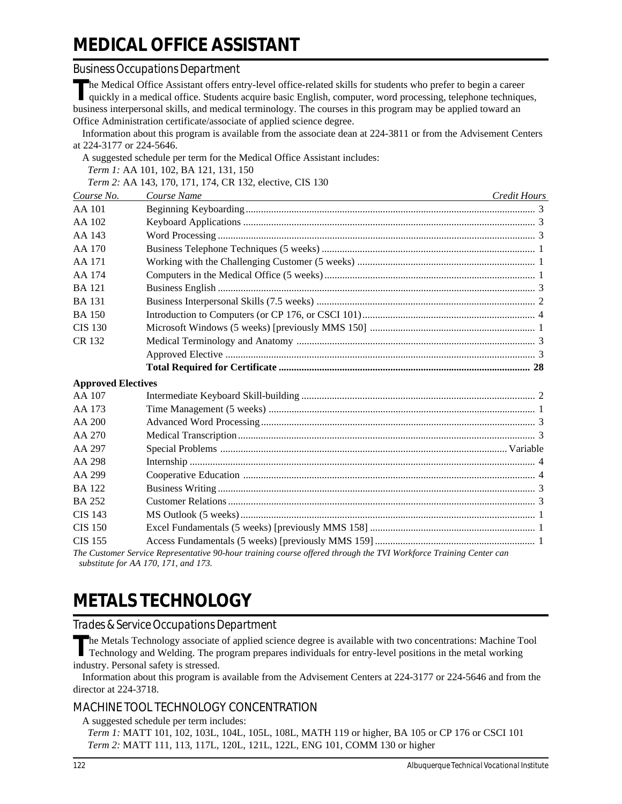# **MEDICAL OFFICE ASSISTANT**

#### *Business Occupations Department*

The Medical Office Assistant offers entry-level office-related skills for students who prefer to begin a career<br>quickly in a medical office. Students acquire basic English, computer, word processing, telephone techniques, business interpersonal skills, and medical terminology. The courses in this program may be applied toward an Office Administration certificate/associate of applied science degree. Information about this program is available from the associate dean at 224-3811 or from the Advisement Centers at 224-3177 or 224-5646. A suggested schedule per term for the Medical Office Assistant includes: *Term 1:* AA 101, 102, BA 121, 131, 150 *Term 2:* AA 143, 170, 171, 174, CR 132, elective, CIS 130 *Course No. Course Name Credit Hours* AA 101 Beginning Keyboarding.................................................................................................................. 3 AA 102 Keyboard Applications ................................................................................................................... 3 AA 143 Word Processing ............................................................................................................................. 3 AA 170 Business Telephone Techniques (5 weeks) .................................................................................... 1 AA 171 Working with the Challenging Customer (5 weeks) ...................................................................... 1 AA 174 Computers in the Medical Office (5 weeks) ................................................................................... 1 BA 121 Business English ............................................................................................................................. 3 BA 131 Business Interpersonal Skills (7.5 weeks) ...................................................................................... 2 BA 150 Introduction to Computers (or CP 176, or CSCI 101).................................................................... 4 CIS 130 Microsoft Windows (5 weeks) [previously MMS 150] ................................................................. 1 CR 132 Medical Terminology and Anatomy .............................................................................................. 3 Approved Elective .......................................................................................................................... 3 **Total Required for Certificate ................................................................................................... 28 Approved Electives** AA 107 Intermediate Keyboard Skill-building ............................................................................................ 2 AA 173 Time Management (5 weeks) ......................................................................................................... 1 AA 200 Advanced Word Processing............................................................................................................ 3 AA 270 Medical Transcription..................................................................................................................... 3 AA 297 Special Problems ................................................................................................................. Variable AA 298 Internship ........................................................................................................................................ 4 AA 299 Cooperative Education ................................................................................................................... 4 BA 122 Business Writing ............................................................................................................................. 3 BA 252 Customer Relations ......................................................................................................................... 3 CIS 143 MS Outlook (5 weeks) .................................................................................................................... 1 CIS 150 Excel Fundamentals (5 weeks) [previously MMS 158] ................................................................. 1 CIS 155 Access Fundamentals (5 weeks) [previously MMS 159] ............................................................... 1 *The Customer Service Representative 90-hour training course offered through the TVI Workforce Training Center can*

*substitute for AA 170, 171, and 173.*

# **METALS TECHNOLOGY**

### *Trades & Service Occupations Department*

The Metals Technology associate of applied science degree is available with two concentrations: Machine Tool<br>Technology and Welding. The program prepares individuals for entry-level positions in the metal working industry. Personal safety is stressed.

Information about this program is available from the Advisement Centers at 224-3177 or 224-5646 and from the director at 224-3718.

### MACHINE TOOL TECHNOLOGY CONCENTRATION

A suggested schedule per term includes:

*Term 1:* MATT 101, 102, 103L, 104L, 105L, 108L, MATH 119 or higher, BA 105 or CP 176 or CSCI 101 *Term 2:* MATT 111, 113, 117L, 120L, 121L, 122L, ENG 101, COMM 130 or higher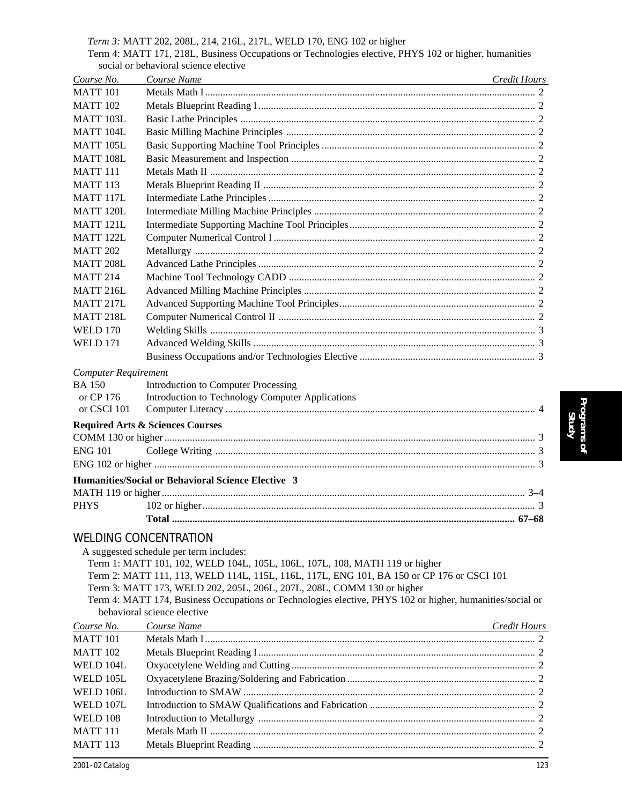#### *Term 3:* MATT 202, 208L, 214, 216L, 217L, WELD 170, ENG 102 or higher

Term 4: MATT 171, 218L, Business Occupations or Technologies elective, PHYS 102 or higher, humanities social or behavioral science elective

| Course No.                  | Course Name                                                                                               | Credit Hours |
|-----------------------------|-----------------------------------------------------------------------------------------------------------|--------------|
| <b>MATT 101</b>             |                                                                                                           |              |
| <b>MATT 102</b>             |                                                                                                           |              |
| <b>MATT 103L</b>            |                                                                                                           |              |
| MATT 104L                   |                                                                                                           |              |
| <b>MATT 105L</b>            |                                                                                                           |              |
| MATT 108L                   |                                                                                                           |              |
| <b>MATT 111</b>             |                                                                                                           |              |
| <b>MATT 113</b>             |                                                                                                           |              |
| MATT 117L                   |                                                                                                           |              |
| <b>MATT 120L</b>            |                                                                                                           |              |
| <b>MATT 121L</b>            |                                                                                                           |              |
| MATT <sub>122L</sub>        |                                                                                                           |              |
| <b>MATT 202</b>             |                                                                                                           |              |
| <b>MATT 208L</b>            |                                                                                                           |              |
| <b>MATT 214</b>             |                                                                                                           |              |
| MATT 216L                   |                                                                                                           |              |
| MATT 217L                   |                                                                                                           |              |
| MATT 218L                   |                                                                                                           |              |
| <b>WELD 170</b>             |                                                                                                           |              |
| <b>WELD 171</b>             |                                                                                                           |              |
|                             |                                                                                                           |              |
|                             |                                                                                                           |              |
| <b>Computer Requirement</b> |                                                                                                           |              |
| <b>BA 150</b><br>or CP 176  | <b>Introduction to Computer Processing</b>                                                                |              |
| or CSCI 101                 | Introduction to Technology Computer Applications                                                          |              |
|                             |                                                                                                           |              |
|                             | <b>Required Arts &amp; Sciences Courses</b>                                                               |              |
|                             |                                                                                                           |              |
| <b>ENG 101</b>              |                                                                                                           |              |
|                             |                                                                                                           |              |
|                             | Humanities/Social or Behavioral Science Elective 3                                                        |              |
|                             |                                                                                                           |              |
| <b>PHYS</b>                 |                                                                                                           |              |
|                             |                                                                                                           |              |
|                             | <b>WELDING CONCENTRATION</b>                                                                              |              |
|                             | A suggested schedule per term includes:                                                                   |              |
|                             | Term 1: MATT 101, 102, WELD 104L, 105L, 106L, 107L, 108, MATH 119 or higher                               |              |
|                             | Term 2: MATT 111, 113, WELD 114L, 115L, 116L, 117L, ENG 101, BA 150 or CP 176 or CSCI 101                 |              |
|                             | Term 3: MATT 173, WELD 202, 205L, 206L, 207L, 208L, COMM 130 or higher                                    |              |
|                             | Term 4: MATT 174, Business Occupations or Technologies elective, PHYS 102 or higher, humanities/social or |              |
|                             | behavioral science elective                                                                               |              |
| Course No.                  | Course Name                                                                                               | Credit Hours |
| <b>MATT 101</b>             |                                                                                                           |              |
| <b>MATT 102</b>             |                                                                                                           |              |
| WELD 104L                   |                                                                                                           |              |
| WELD 105L                   |                                                                                                           |              |
| WELD 106L                   |                                                                                                           |              |
| WELD 107L                   |                                                                                                           |              |
| <b>WELD 108</b>             |                                                                                                           |              |
| <b>MATT 111</b>             |                                                                                                           |              |

MATT 113 Metals Blueprint Reading ............................................................................................................... 2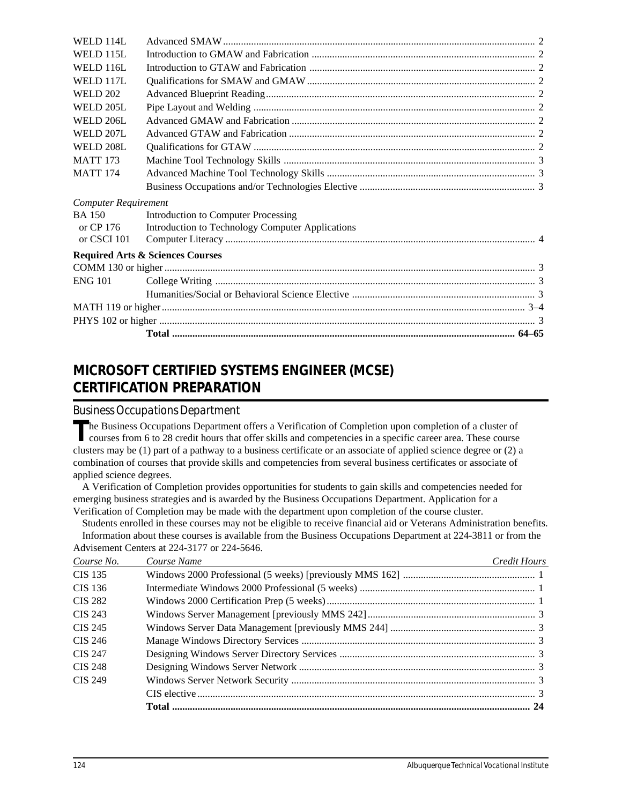| WELD 114L                   |                                                  |  |
|-----------------------------|--------------------------------------------------|--|
| WELD 115L                   |                                                  |  |
| <b>WELD 116L</b>            |                                                  |  |
| WELD 117L                   |                                                  |  |
| <b>WELD 202</b>             |                                                  |  |
| WELD 205L                   |                                                  |  |
| WELD 206L                   |                                                  |  |
| <b>WELD 207L</b>            |                                                  |  |
| <b>WELD 208L</b>            |                                                  |  |
| <b>MATT 173</b>             |                                                  |  |
| <b>MATT 174</b>             |                                                  |  |
|                             |                                                  |  |
| <b>Computer Requirement</b> |                                                  |  |
| <b>BA 150</b>               | Introduction to Computer Processing              |  |
| or CP 176                   | Introduction to Technology Computer Applications |  |
| or CSCI 101                 |                                                  |  |
|                             | <b>Required Arts &amp; Sciences Courses</b>      |  |
|                             |                                                  |  |
| <b>ENG 101</b>              |                                                  |  |
|                             |                                                  |  |
|                             |                                                  |  |
|                             |                                                  |  |
|                             |                                                  |  |
|                             |                                                  |  |

## **MICROSOFT CERTIFIED SYSTEMS ENGINEER (MCSE) CERTIFICATION PREPARATION**

### *Business Occupations Department*

The Business Occupations Department offers a Verification of Completion upon completion of a cluster of courses from 6 to 28 credit hours that offer skills and competencies in a specific career area. These course clusters may be (1) part of a pathway to a business certificate or an associate of applied science degree or (2) a combination of courses that provide skills and competencies from several business certificates or associate of applied science degrees.

A Verification of Completion provides opportunities for students to gain skills and competencies needed for emerging business strategies and is awarded by the Business Occupations Department. Application for a Verification of Completion may be made with the department upon completion of the course cluster.

Students enrolled in these courses may not be eligible to receive financial aid or Veterans Administration benefits. Information about these courses is available from the Business Occupations Department at 224-3811 or from the Advisement Centers at 224-3177 or 224-5646.

| Course No.     | Course Name | Credit Hours |
|----------------|-------------|--------------|
| <b>CIS 135</b> |             |              |
| CIS 136        |             |              |
| <b>CIS 282</b> |             |              |
| CIS 243        |             |              |
| CIS 245        |             |              |
| CIS 246        |             |              |
| CIS 247        |             |              |
| <b>CIS 248</b> |             |              |
| CIS 249        |             |              |
|                |             |              |
|                |             |              |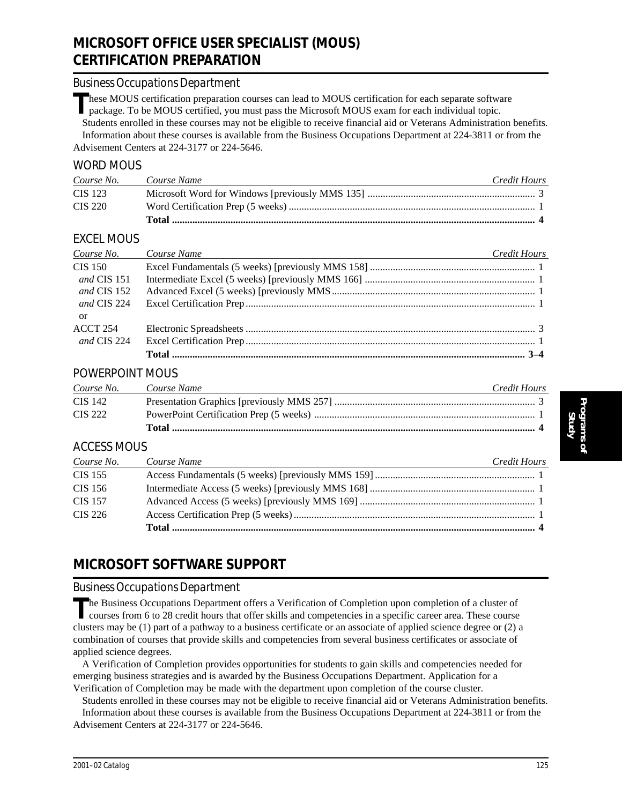## **MICROSOFT OFFICE USER SPECIALIST (MOUS) CERTIFICATION PREPARATION**

#### *Business Occupations Department*

These MOUS certification preparation courses can lead to MOUS certification for each separate software package. To be MOUS certified, you must pass the Microsoft MOUS exam for each individual topic. Students enrolled in these courses may not be eligible to receive financial aid or Veterans Administration benefits.

Information about these courses is available from the Business Occupations Department at 224-3811 or from the Advisement Centers at 224-3177 or 224-5646.

#### WORD MOUS

| Course No. | Course Name | Credit Hours |
|------------|-------------|--------------|
| CIS 123    |             |              |
| CIS 220    |             |              |
|            |             |              |

### EXCEL MOUS

| Course No.  | Course Name<br><u> 1989 - Johann Barn, fransk politik formuler (d. 1989)</u> | Credit Hours |
|-------------|------------------------------------------------------------------------------|--------------|
| CIS 150     |                                                                              |              |
| and CIS 151 |                                                                              |              |
| and CIS 152 |                                                                              |              |
| and CIS 224 |                                                                              |              |
| or          |                                                                              |              |
| ACCT 254    |                                                                              |              |
| and CIS 224 |                                                                              |              |
|             |                                                                              |              |

### POWERPOINT MOUS

| Course No. | Course Name | Credit Hours |
|------------|-------------|--------------|
| CIS 142    |             |              |
| CIS 222    |             |              |
|            |             |              |

## ACCESS MOUS

| Course No.     | Course Name | Credit Hours |
|----------------|-------------|--------------|
| CIS 155        |             |              |
| CIS 156        |             |              |
| <b>CIS</b> 157 |             |              |
| CIS 226        |             |              |
|                |             |              |

## **MICROSOFT SOFTWARE SUPPORT**

#### *Business Occupations Department*

The Business Occupations Department offers a Verification of Completion upon completion of a cluster of courses from 6 to 28 credit hours that offer skills and competencies in a specific career area. These course clusters may be (1) part of a pathway to a business certificate or an associate of applied science degree or (2) a combination of courses that provide skills and competencies from several business certificates or associate of applied science degrees.

A Verification of Completion provides opportunities for students to gain skills and competencies needed for emerging business strategies and is awarded by the Business Occupations Department. Application for a Verification of Completion may be made with the department upon completion of the course cluster.

Students enrolled in these courses may not be eligible to receive financial aid or Veterans Administration benefits.

Information about these courses is available from the Business Occupations Department at 224-3811 or from the Advisement Centers at 224-3177 or 224-5646.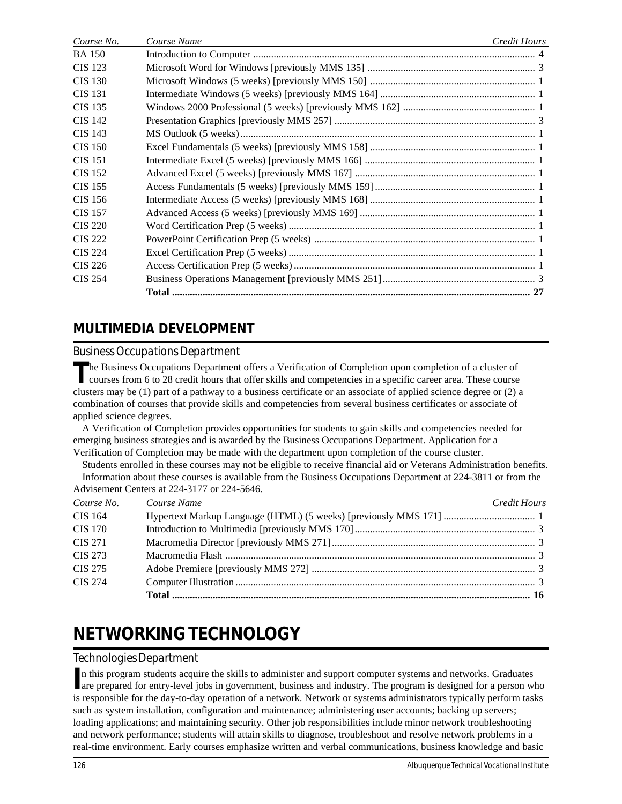| Course No.     | Course Name | Credit Hours |
|----------------|-------------|--------------|
| <b>BA 150</b>  |             |              |
| CIS 123        |             |              |
| <b>CIS</b> 130 |             |              |
| CIS 131        |             |              |
| CIS 135        |             |              |
| CIS 142        |             |              |
| CIS 143        |             |              |
| <b>CIS</b> 150 |             |              |
| <b>CIS</b> 151 |             |              |
| CIS 152        |             |              |
| CIS 155        |             |              |
| CIS 156        |             |              |
| <b>CIS</b> 157 |             |              |
| CIS 220        |             |              |
| <b>CIS 222</b> |             |              |
| <b>CIS 224</b> |             |              |
| CIS 226        |             |              |
| <b>CIS 254</b> |             |              |
|                |             |              |
|                |             |              |

## **MULTIMEDIA DEVELOPMENT**

## *Business Occupations Department*

The Business Occupations Department offers a Verification of Completion upon completion of a cluster of courses from 6 to 28 credit hours that offer skills and competencies in a specific career area. These course clusters may be (1) part of a pathway to a business certificate or an associate of applied science degree or (2) a combination of courses that provide skills and competencies from several business certificates or associate of applied science degrees.

A Verification of Completion provides opportunities for students to gain skills and competencies needed for emerging business strategies and is awarded by the Business Occupations Department. Application for a Verification of Completion may be made with the department upon completion of the course cluster.

Students enrolled in these courses may not be eligible to receive financial aid or Veterans Administration benefits. Information about these courses is available from the Business Occupations Department at 224-3811 or from the Advisement Centers at 224-3177 or 224-5646.

| Course No.     | Course Name | Credit Hours |
|----------------|-------------|--------------|
| CIS 164        |             |              |
| <b>CIS 170</b> |             |              |
| <b>CIS 271</b> |             |              |
| CIS 273        |             |              |
| CIS 275        |             |              |
| <b>CIS 274</b> |             |              |
|                |             |              |

# **NETWORKING TECHNOLOGY**

### *Technologies Department*

In this program students acquire the skills to administer and support computer systems and networks. Graduates are prepared for entry-level jobs in government, business and industry. The program is designed for a person w are prepared for entry-level jobs in government, business and industry. The program is designed for a person who is responsible for the day-to-day operation of a network. Network or systems administrators typically perform tasks such as system installation, configuration and maintenance; administering user accounts; backing up servers; loading applications; and maintaining security. Other job responsibilities include minor network troubleshooting and network performance; students will attain skills to diagnose, troubleshoot and resolve network problems in a real-time environment. Early courses emphasize written and verbal communications, business knowledge and basic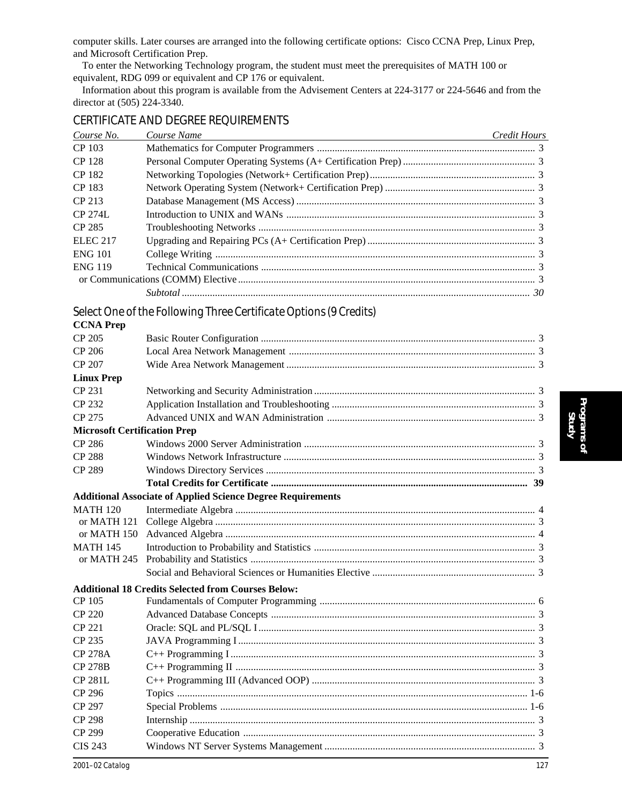computer skills. Later courses are arranged into the following certificate options: Cisco CCNA Prep, Linux Prep, and Microsoft Certification Prep.

To enter the Networking Technology program, the student must meet the prerequisites of MATH 100 or equivalent, RDG 099 or equivalent and CP 176 or equivalent.

Information about this program is available from the Advisement Centers at 224-3177 or 224-5646 and from the director at (505) 224-3340.

| CERTIFICATE AND DEGREE REQUIREMENTS |  |  |
|-------------------------------------|--|--|
|-------------------------------------|--|--|

| Course No.      | Course Name | <b>Credit Hours</b> |
|-----------------|-------------|---------------------|
| CP 103          |             |                     |
| <b>CP</b> 128   |             |                     |
| CP 182          |             |                     |
| CP 183          |             |                     |
| CP 213          |             |                     |
| $CP$ 274L       |             |                     |
| CP 285          |             |                     |
| <b>ELEC 217</b> |             |                     |
| <b>ENG 101</b>  |             |                     |
| <b>ENG 119</b>  |             |                     |
|                 |             |                     |
|                 |             |                     |

## *Select One of the Following Three Certificate Options (9 Credits)*

| <b>CCNA Prep</b>                    |                                                                    |  |
|-------------------------------------|--------------------------------------------------------------------|--|
| CP 205                              |                                                                    |  |
| CP 206                              |                                                                    |  |
| CP 207                              |                                                                    |  |
| <b>Linux Prep</b>                   |                                                                    |  |
| CP 231                              |                                                                    |  |
| CP 232                              |                                                                    |  |
| CP 275                              |                                                                    |  |
| <b>Microsoft Certification Prep</b> |                                                                    |  |
| <b>CP 286</b>                       |                                                                    |  |
| <b>CP 288</b>                       |                                                                    |  |
| <b>CP 289</b>                       |                                                                    |  |
|                                     |                                                                    |  |
|                                     | <b>Additional Associate of Applied Science Degree Requirements</b> |  |
| <b>MATH 120</b>                     |                                                                    |  |
| or MATH 121                         |                                                                    |  |
| or MATH 150                         |                                                                    |  |
| <b>MATH 145</b>                     |                                                                    |  |
| or MATH 245                         |                                                                    |  |
|                                     |                                                                    |  |
|                                     | <b>Additional 18 Credits Selected from Courses Below:</b>          |  |
| CP 105                              |                                                                    |  |
| CP 220                              |                                                                    |  |
| <b>CP 221</b>                       |                                                                    |  |
| CP 235                              |                                                                    |  |
| <b>CP 278A</b>                      |                                                                    |  |
| <b>CP 278B</b>                      |                                                                    |  |
| <b>CP 281L</b>                      |                                                                    |  |
| <b>CP 296</b>                       |                                                                    |  |
| CP 297                              |                                                                    |  |
| <b>CP 298</b>                       |                                                                    |  |
| CP 299                              |                                                                    |  |
| <b>CIS 243</b>                      |                                                                    |  |
|                                     |                                                                    |  |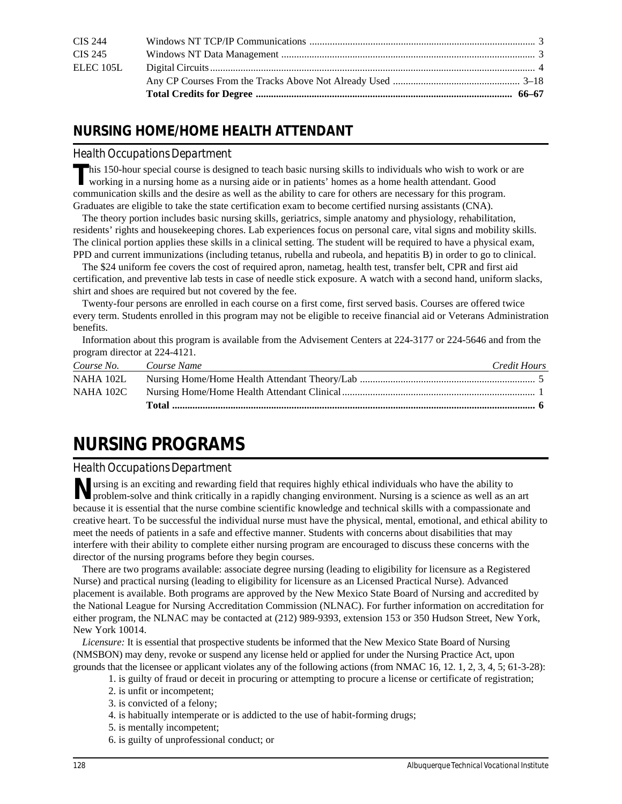| ELEC 105L      |  |
|----------------|--|
| CIS 245        |  |
| <b>CIS 244</b> |  |

## **NURSING HOME/HOME HEALTH ATTENDANT**

#### *Health Occupations Department*

**T**his 150-hour special course is designed to teach basic nursing skills to individuals who wish to work or are working in a nursing home as a nursing aide or in patients' homes as a home health attendant. Good communication skills and the desire as well as the ability to care for others are necessary for this program. Graduates are eligible to take the state certification exam to become certified nursing assistants (CNA).

The theory portion includes basic nursing skills, geriatrics, simple anatomy and physiology, rehabilitation, residents' rights and housekeeping chores. Lab experiences focus on personal care, vital signs and mobility skills. The clinical portion applies these skills in a clinical setting. The student will be required to have a physical exam, PPD and current immunizations (including tetanus, rubella and rubeola, and hepatitis B) in order to go to clinical.

The \$24 uniform fee covers the cost of required apron, nametag, health test, transfer belt, CPR and first aid certification, and preventive lab tests in case of needle stick exposure. A watch with a second hand, uniform slacks, shirt and shoes are required but not covered by the fee.

Twenty-four persons are enrolled in each course on a first come, first served basis. Courses are offered twice every term. Students enrolled in this program may not be eligible to receive financial aid or Veterans Administration benefits.

Information about this program is available from the Advisement Centers at 224-3177 or 224-5646 and from the program director at 224-4121.

| Course No.  | Course Name | Credit Hours |
|-------------|-------------|--------------|
| NAHA 102L   |             |              |
| NAHA $102C$ |             |              |
|             |             |              |

# **NURSING PROGRAMS**

### *Health Occupations Department*

**N**ursing is an exciting and rewarding field that requires highly ethical individuals who have the ability to problem-solve and think critically in a rapidly changing environment. Nursing is a science as well as an art because it is essential that the nurse combine scientific knowledge and technical skills with a compassionate and creative heart. To be successful the individual nurse must have the physical, mental, emotional, and ethical ability to meet the needs of patients in a safe and effective manner. Students with concerns about disabilities that may interfere with their ability to complete either nursing program are encouraged to discuss these concerns with the director of the nursing programs before they begin courses.

There are two programs available: associate degree nursing (leading to eligibility for licensure as a Registered Nurse) and practical nursing (leading to eligibility for licensure as an Licensed Practical Nurse). Advanced placement is available. Both programs are approved by the New Mexico State Board of Nursing and accredited by the National League for Nursing Accreditation Commission (NLNAC). For further information on accreditation for either program, the NLNAC may be contacted at (212) 989-9393, extension 153 or 350 Hudson Street, New York, New York 10014.

*Licensure:* It is essential that prospective students be informed that the New Mexico State Board of Nursing (NMSBON) may deny, revoke or suspend any license held or applied for under the Nursing Practice Act, upon grounds that the licensee or applicant violates any of the following actions (from NMAC 16, 12. 1, 2, 3, 4, 5; 61-3-28):

- 1. is guilty of fraud or deceit in procuring or attempting to procure a license or certificate of registration;
- 2. is unfit or incompetent;
- 3. is convicted of a felony;
- 4. is habitually intemperate or is addicted to the use of habit-forming drugs;
- 5. is mentally incompetent;
- 6. is guilty of unprofessional conduct; or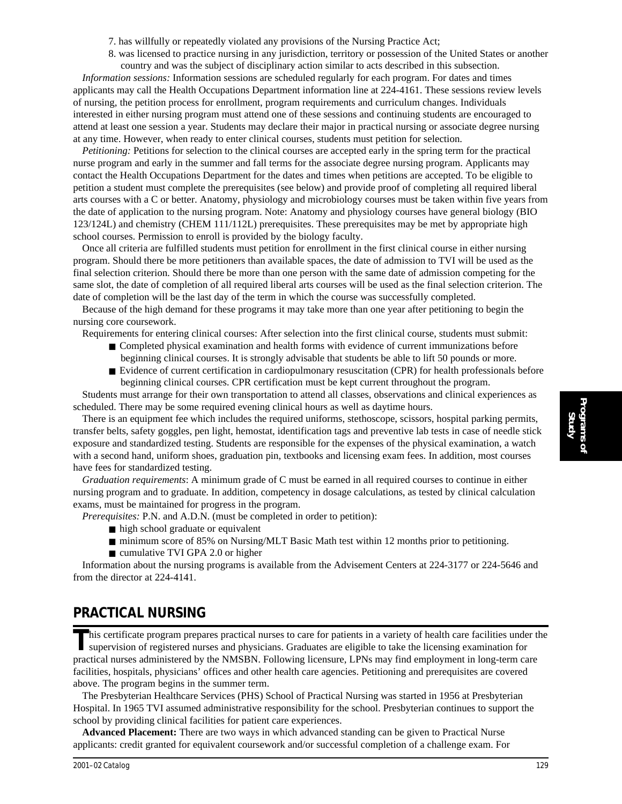- 7. has willfully or repeatedly violated any provisions of the Nursing Practice Act;
- 8. was licensed to practice nursing in any jurisdiction, territory or possession of the United States or another country and was the subject of disciplinary action similar to acts described in this subsection.

*Information sessions:* Information sessions are scheduled regularly for each program. For dates and times applicants may call the Health Occupations Department information line at 224-4161. These sessions review levels of nursing, the petition process for enrollment, program requirements and curriculum changes. Individuals interested in either nursing program must attend one of these sessions and continuing students are encouraged to attend at least one session a year. Students may declare their major in practical nursing or associate degree nursing at any time. However, when ready to enter clinical courses, students must petition for selection.

*Petitioning:* Petitions for selection to the clinical courses are accepted early in the spring term for the practical nurse program and early in the summer and fall terms for the associate degree nursing program. Applicants may contact the Health Occupations Department for the dates and times when petitions are accepted. To be eligible to petition a student must complete the prerequisites (see below) and provide proof of completing all required liberal arts courses with a C or better. Anatomy, physiology and microbiology courses must be taken within five years from the date of application to the nursing program. Note: Anatomy and physiology courses have general biology (BIO 123/124L) and chemistry (CHEM 111/112L) prerequisites. These prerequisites may be met by appropriate high school courses. Permission to enroll is provided by the biology faculty.

Once all criteria are fulfilled students must petition for enrollment in the first clinical course in either nursing program. Should there be more petitioners than available spaces, the date of admission to TVI will be used as the final selection criterion. Should there be more than one person with the same date of admission competing for the same slot, the date of completion of all required liberal arts courses will be used as the final selection criterion. The date of completion will be the last day of the term in which the course was successfully completed.

Because of the high demand for these programs it may take more than one year after petitioning to begin the nursing core coursework.

Requirements for entering clinical courses: After selection into the first clinical course, students must submit:

- Completed physical examination and health forms with evidence of current immunizations before beginning clinical courses. It is strongly advisable that students be able to lift 50 pounds or more.
- Evidence of current certification in cardiopulmonary resuscitation (CPR) for health professionals before beginning clinical courses. CPR certification must be kept current throughout the program.

Students must arrange for their own transportation to attend all classes, observations and clinical experiences as scheduled. There may be some required evening clinical hours as well as daytime hours.

There is an equipment fee which includes the required uniforms, stethoscope, scissors, hospital parking permits, transfer belts, safety goggles, pen light, hemostat, identification tags and preventive lab tests in case of needle stick exposure and standardized testing. Students are responsible for the expenses of the physical examination, a watch with a second hand, uniform shoes, graduation pin, textbooks and licensing exam fees. In addition, most courses have fees for standardized testing.

*Graduation requirements*: A minimum grade of C must be earned in all required courses to continue in either nursing program and to graduate. In addition, competency in dosage calculations, as tested by clinical calculation exams, must be maintained for progress in the program.

- *Prerequisites: P.N.* and A.D.N. (must be completed in order to petition):
	- high school graduate or equivalent
	- minimum score of 85% on Nursing/MLT Basic Math test within 12 months prior to petitioning.
	- cumulative TVI GPA 2.0 or higher

Information about the nursing programs is available from the Advisement Centers at 224-3177 or 224-5646 and from the director at 224-4141.

## **PRACTICAL NURSING**

This certificate program prepares practical nurses to care for patients in a variety of health care facilities under the supervision of registered nurses and physicians. Graduates are eligible to take the licensing examina practical nurses administered by the NMSBN. Following licensure, LPNs may find employment in long-term care facilities, hospitals, physicians' offices and other health care agencies. Petitioning and prerequisites are covered above. The program begins in the summer term.

The Presbyterian Healthcare Services (PHS) School of Practical Nursing was started in 1956 at Presbyterian Hospital. In 1965 TVI assumed administrative responsibility for the school. Presbyterian continues to support the school by providing clinical facilities for patient care experiences.

**Advanced Placement:** There are two ways in which advanced standing can be given to Practical Nurse applicants: credit granted for equivalent coursework and/or successful completion of a challenge exam. For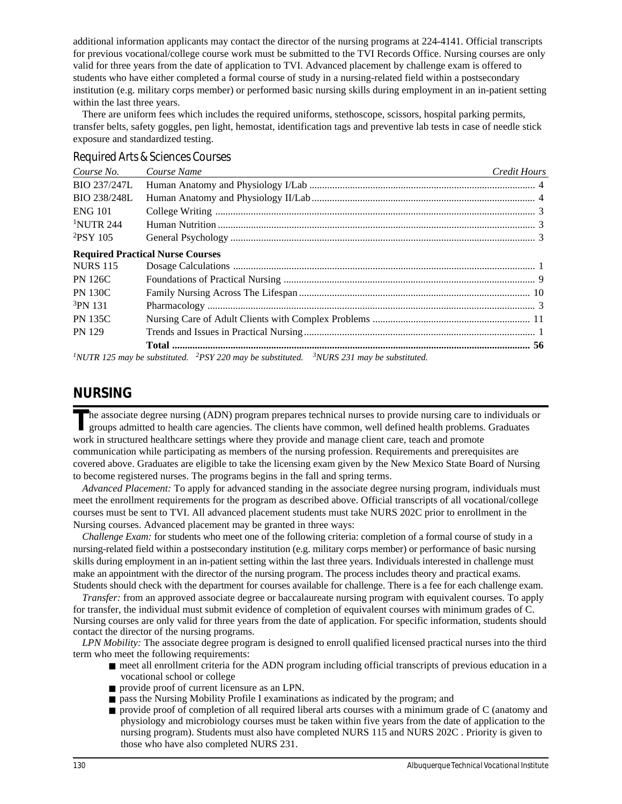additional information applicants may contact the director of the nursing programs at 224-4141. Official transcripts for previous vocational/college course work must be submitted to the TVI Records Office. Nursing courses are only valid for three years from the date of application to TVI. Advanced placement by challenge exam is offered to students who have either completed a formal course of study in a nursing-related field within a postsecondary institution (e.g. military corps member) or performed basic nursing skills during employment in an in-patient setting within the last three years.

There are uniform fees which includes the required uniforms, stethoscope, scissors, hospital parking permits, transfer belts, safety goggles, pen light, hemostat, identification tags and preventive lab tests in case of needle stick exposure and standardized testing.

| Course No.            | Course Name                                                                                          | <b>Credit Hours</b> |
|-----------------------|------------------------------------------------------------------------------------------------------|---------------------|
| <b>BIO 237/247L</b>   |                                                                                                      |                     |
| <b>BIO 238/248L</b>   |                                                                                                      |                     |
| <b>ENG 101</b>        |                                                                                                      |                     |
| <sup>1</sup> NUTR 244 |                                                                                                      |                     |
| $^{2}$ PSY 105        |                                                                                                      |                     |
|                       | <b>Required Practical Nurse Courses</b>                                                              |                     |
| <b>NURS 115</b>       |                                                                                                      |                     |
| <b>PN 126C</b>        |                                                                                                      |                     |
| <b>PN 130C</b>        |                                                                                                      |                     |
| <sup>3</sup> PN 131   |                                                                                                      |                     |
| <b>PN 135C</b>        |                                                                                                      |                     |
| <b>PN 129</b>         |                                                                                                      |                     |
|                       |                                                                                                      |                     |
|                       | المستحدث والمستنقل والمستعدد والمستعدد والمستعدد والمستعدد والمستعدد والمستعدد والمستعددة والمستعددة |                     |

#### *Required Arts & Sciences Courses*

*1NUTR 125 may be substituted. 2PSY 220 may be substituted. 3NURS 231 may be substituted.*

## **NURSING**

**T**he associate degree nursing (ADN) program prepares technical nurses to provide nursing care to individuals or groups admitted to health care agencies. The clients have common, well defined health problems. Graduates work in structured healthcare settings where they provide and manage client care, teach and promote communication while participating as members of the nursing profession. Requirements and prerequisites are covered above. Graduates are eligible to take the licensing exam given by the New Mexico State Board of Nursing to become registered nurses. The programs begins in the fall and spring terms.

*Advanced Placement:* To apply for advanced standing in the associate degree nursing program, individuals must meet the enrollment requirements for the program as described above. Official transcripts of all vocational/college courses must be sent to TVI. All advanced placement students must take NURS 202C prior to enrollment in the Nursing courses. Advanced placement may be granted in three ways:

*Challenge Exam:* for students who meet one of the following criteria: completion of a formal course of study in a nursing-related field within a postsecondary institution (e.g. military corps member) or performance of basic nursing skills during employment in an in-patient setting within the last three years. Individuals interested in challenge must make an appointment with the director of the nursing program. The process includes theory and practical exams. Students should check with the department for courses available for challenge. There is a fee for each challenge exam.

*Transfer:* from an approved associate degree or baccalaureate nursing program with equivalent courses. To apply for transfer, the individual must submit evidence of completion of equivalent courses with minimum grades of C. Nursing courses are only valid for three years from the date of application. For specific information, students should contact the director of the nursing programs.

*LPN Mobility:* The associate degree program is designed to enroll qualified licensed practical nurses into the third term who meet the following requirements:

- meet all enrollment criteria for the ADN program including official transcripts of previous education in a vocational school or college
- provide proof of current licensure as an LPN.
- pass the Nursing Mobility Profile I examinations as indicated by the program; and
- provide proof of completion of all required liberal arts courses with a minimum grade of C (anatomy and physiology and microbiology courses must be taken within five years from the date of application to the nursing program). Students must also have completed NURS 115 and NURS 202C . Priority is given to those who have also completed NURS 231.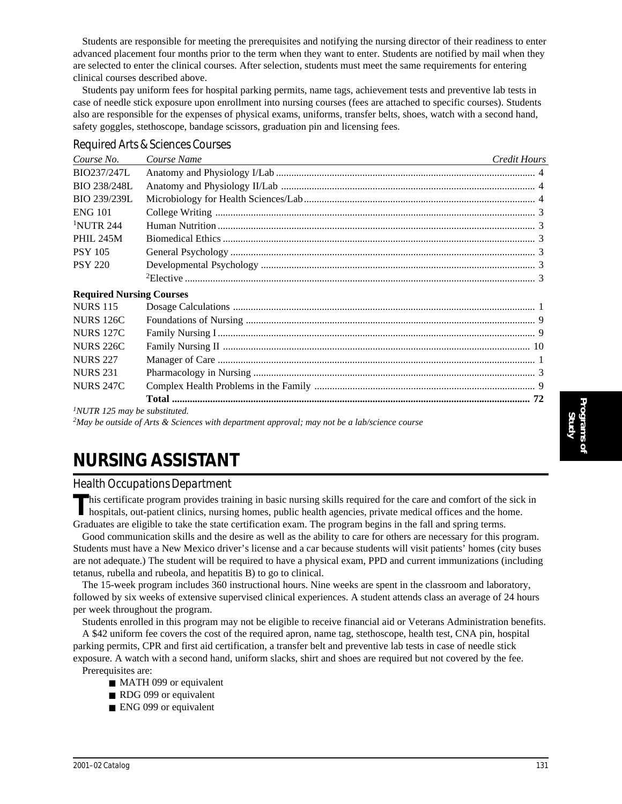Students are responsible for meeting the prerequisites and notifying the nursing director of their readiness to enter advanced placement four months prior to the term when they want to enter. Students are notified by mail when they are selected to enter the clinical courses. After selection, students must meet the same requirements for entering clinical courses described above.

Students pay uniform fees for hospital parking permits, name tags, achievement tests and preventive lab tests in case of needle stick exposure upon enrollment into nursing courses (fees are attached to specific courses). Students also are responsible for the expenses of physical exams, uniforms, transfer belts, shoes, watch with a second hand, safety goggles, stethoscope, bandage scissors, graduation pin and licensing fees.

| Course No.                       | Course Name                                                                                              | Credit Hours |
|----------------------------------|----------------------------------------------------------------------------------------------------------|--------------|
| BIO237/247L                      |                                                                                                          |              |
| BIO 238/248L                     |                                                                                                          |              |
| BIO 239/239L                     |                                                                                                          |              |
| <b>ENG 101</b>                   |                                                                                                          |              |
| <sup>1</sup> NUTR 244            |                                                                                                          |              |
| <b>PHIL 245M</b>                 |                                                                                                          |              |
| <b>PSY 105</b>                   |                                                                                                          |              |
| <b>PSY 220</b>                   |                                                                                                          |              |
|                                  |                                                                                                          |              |
| <b>Required Nursing Courses</b>  |                                                                                                          |              |
| <b>NURS 115</b>                  |                                                                                                          |              |
| <b>NURS 126C</b>                 |                                                                                                          |              |
| <b>NURS 127C</b>                 |                                                                                                          |              |
| <b>NURS 226C</b>                 |                                                                                                          |              |
| <b>NURS 227</b>                  |                                                                                                          |              |
| <b>NURS 231</b>                  |                                                                                                          |              |
| <b>NURS 247C</b>                 |                                                                                                          |              |
|                                  |                                                                                                          |              |
| $1$ NUTR 125 may be substituted. |                                                                                                          |              |
|                                  | <sup>2</sup> May be outside of Arts & Sciences with department approval; may not be a lab/science course |              |

#### *Required Arts & Sciences Courses*

**NURSING ASSISTANT**

### *Health Occupations Department*

This certificate program provides training in basic nursing skills required for the care and comfort of the sick in hospitals, out-patient clinics, nursing homes, public health agencies, private medical offices and the hom Graduates are eligible to take the state certification exam. The program begins in the fall and spring terms.

Good communication skills and the desire as well as the ability to care for others are necessary for this program. Students must have a New Mexico driver's license and a car because students will visit patients' homes (city buses are not adequate.) The student will be required to have a physical exam, PPD and current immunizations (including tetanus, rubella and rubeola, and hepatitis B) to go to clinical.

The 15-week program includes 360 instructional hours. Nine weeks are spent in the classroom and laboratory, followed by six weeks of extensive supervised clinical experiences. A student attends class an average of 24 hours per week throughout the program.

Students enrolled in this program may not be eligible to receive financial aid or Veterans Administration benefits. A \$42 uniform fee covers the cost of the required apron, name tag, stethoscope, health test, CNA pin, hospital parking permits, CPR and first aid certification, a transfer belt and preventive lab tests in case of needle stick exposure. A watch with a second hand, uniform slacks, shirt and shoes are required but not covered by the fee. Prerequisites are:

- MATH 099 or equivalent
- RDG 099 or equivalent
- ENG 099 or equivalent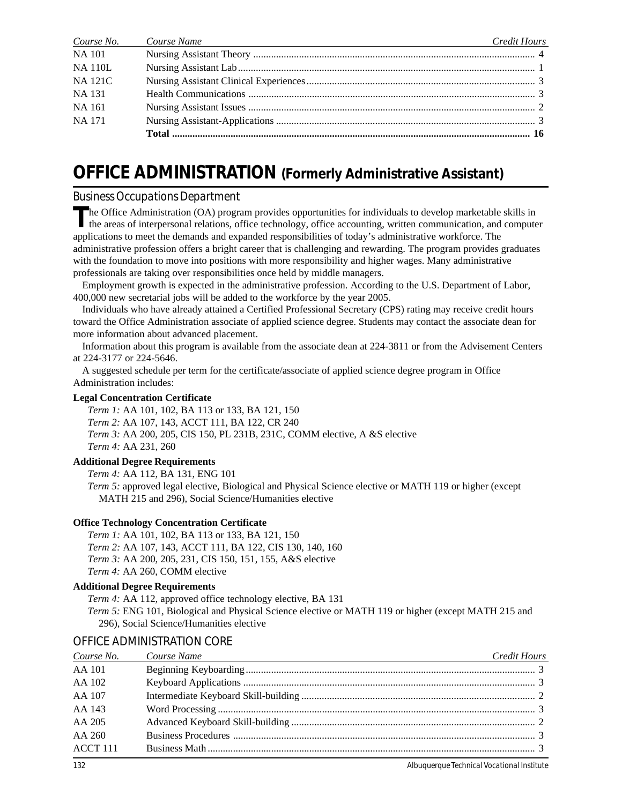| Course No.     | Course Name<br>and the control of the control of the control of the control of the control of the control of the control of the | Credit Hours |
|----------------|---------------------------------------------------------------------------------------------------------------------------------|--------------|
| <b>NA 101</b>  |                                                                                                                                 |              |
| <b>NA 110L</b> |                                                                                                                                 |              |
| <b>NA 121C</b> |                                                                                                                                 |              |
| <b>NA 131</b>  |                                                                                                                                 |              |
| <b>NA 161</b>  |                                                                                                                                 |              |
| <b>NA 171</b>  |                                                                                                                                 |              |
|                |                                                                                                                                 |              |

## **OFFICE ADMINISTRATION (Formerly Administrative Assistant)**

#### *Business Occupations Department*

**T**he Office Administration (OA) program provides opportunities for individuals to develop marketable skills in the areas of interpersonal relations, office technology, office accounting, written communication, and computer applications to meet the demands and expanded responsibilities of today's administrative workforce. The administrative profession offers a bright career that is challenging and rewarding. The program provides graduates with the foundation to move into positions with more responsibility and higher wages. Many administrative professionals are taking over responsibilities once held by middle managers.

Employment growth is expected in the administrative profession. According to the U.S. Department of Labor, 400,000 new secretarial jobs will be added to the workforce by the year 2005.

Individuals who have already attained a Certified Professional Secretary (CPS) rating may receive credit hours toward the Office Administration associate of applied science degree. Students may contact the associate dean for more information about advanced placement.

Information about this program is available from the associate dean at 224-3811 or from the Advisement Centers at 224-3177 or 224-5646.

A suggested schedule per term for the certificate/associate of applied science degree program in Office Administration includes:

#### **Legal Concentration Certificate**

*Term 1:* AA 101, 102, BA 113 or 133, BA 121, 150 *Term 2:* AA 107, 143, ACCT 111, BA 122, CR 240 *Term 3:* AA 200, 205, CIS 150, PL 231B, 231C, COMM elective, A &S elective *Term 4:* AA 231, 260

#### **Additional Degree Requirements**

*Term 4:* AA 112, BA 131, ENG 101 *Term 5:* approved legal elective, Biological and Physical Science elective or MATH 119 or higher (except MATH 215 and 296), Social Science/Humanities elective

#### **Office Technology Concentration Certificate**

*Term 1:* AA 101, 102, BA 113 or 133, BA 121, 150 *Term 2:* AA 107, 143, ACCT 111, BA 122, CIS 130, 140, 160 *Term 3:* AA 200, 205, 231, CIS 150, 151, 155, A&S elective *Term 4:* AA 260, COMM elective

#### **Additional Degree Requirements**

*Term 4:* AA 112, approved office technology elective, BA 131 *Term 5:* ENG 101, Biological and Physical Science elective or MATH 119 or higher (except MATH 215 and 296), Social Science/Humanities elective

#### OFFICE ADMINISTRATION CORE

| Course No. | Course Name<br><u> 1989 - Johann Stoff, amerikansk politiker (d. 1989)</u> | Credit Hours |
|------------|----------------------------------------------------------------------------|--------------|
| AA 101     |                                                                            |              |
| AA 102     |                                                                            |              |
| AA 107     |                                                                            |              |
| AA 143     |                                                                            |              |
| AA 205     |                                                                            |              |
| AA 260     |                                                                            |              |
| ACCT 111   |                                                                            |              |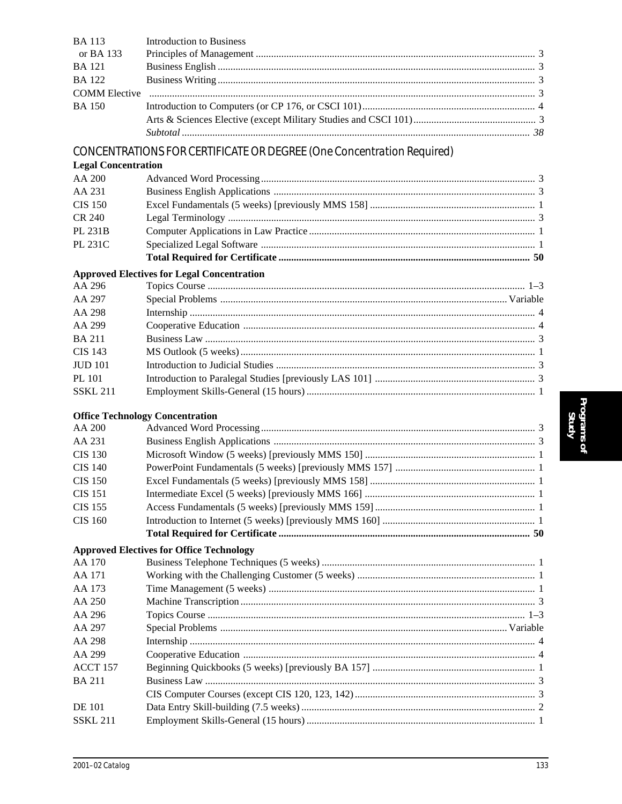| <b>BA</b> 113              | <b>Introduction to Business</b>                                       |  |
|----------------------------|-----------------------------------------------------------------------|--|
| or BA 133                  |                                                                       |  |
| <b>BA</b> 121              |                                                                       |  |
| <b>BA</b> 122              |                                                                       |  |
| <b>COMM</b> Elective       |                                                                       |  |
| <b>BA</b> 150              |                                                                       |  |
|                            |                                                                       |  |
|                            |                                                                       |  |
|                            | CONCENTRATIONS FOR CERTIFICATE OR DEGREE (One Concentration Required) |  |
| <b>Legal Concentration</b> |                                                                       |  |
| AA 200                     |                                                                       |  |
| AA 231                     |                                                                       |  |
| <b>CIS 150</b>             |                                                                       |  |
| <b>CR 240</b>              |                                                                       |  |
| PL 231B                    |                                                                       |  |
| PL 231C                    |                                                                       |  |
|                            |                                                                       |  |
|                            | <b>Approved Electives for Legal Concentration</b>                     |  |
| AA 296                     |                                                                       |  |
| AA 297                     |                                                                       |  |
| AA 298                     |                                                                       |  |
| AA 299                     |                                                                       |  |
| <b>BA211</b>               |                                                                       |  |
| <b>CIS 143</b>             |                                                                       |  |
| <b>JUD</b> 101             |                                                                       |  |
| <b>PL 101</b>              |                                                                       |  |
| <b>SSKL 211</b>            |                                                                       |  |
|                            |                                                                       |  |
|                            | <b>Office Technology Concentration</b>                                |  |
| AA 200                     |                                                                       |  |
| AA 231                     |                                                                       |  |
| <b>CIS 130</b>             |                                                                       |  |
| <b>CIS 140</b>             |                                                                       |  |
| <b>CIS 150</b>             |                                                                       |  |
| CIS 151                    |                                                                       |  |
| <b>CIS 155</b>             |                                                                       |  |
| <b>CIS 160</b>             |                                                                       |  |
|                            |                                                                       |  |
|                            | <b>Approved Electives for Office Technology</b>                       |  |
| AA 170                     |                                                                       |  |
| AA 171                     |                                                                       |  |
| AA 173                     |                                                                       |  |
| AA 250                     |                                                                       |  |
| AA 296                     |                                                                       |  |
| AA 297                     |                                                                       |  |
| AA 298                     |                                                                       |  |
| AA 299                     |                                                                       |  |
| ACCT 157                   |                                                                       |  |
| <b>BA211</b>               |                                                                       |  |
|                            |                                                                       |  |
| <b>DE</b> 101              |                                                                       |  |
| <b>SSKL 211</b>            |                                                                       |  |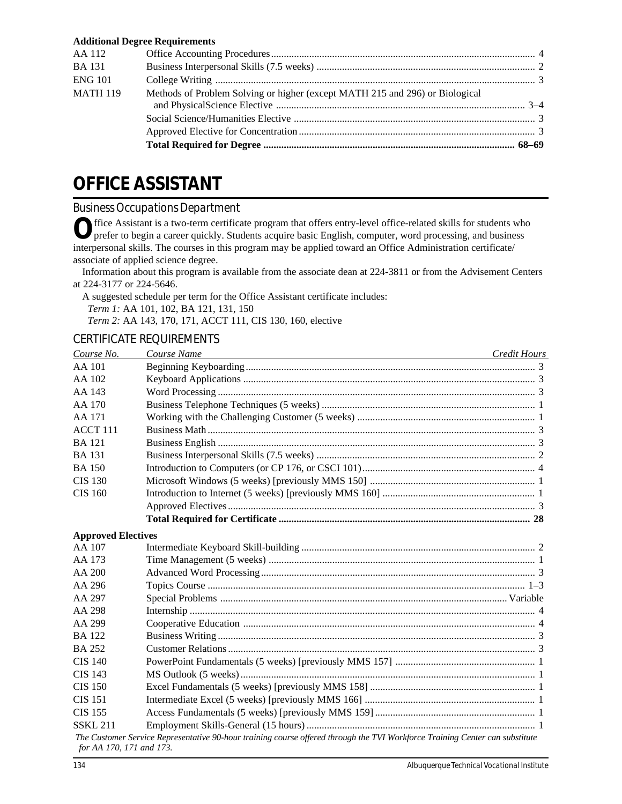|                 | <b>Additional Degree Requirements</b>                                        |  |
|-----------------|------------------------------------------------------------------------------|--|
| AA 112          |                                                                              |  |
| <b>BA</b> 131   |                                                                              |  |
| <b>ENG 101</b>  |                                                                              |  |
| <b>MATH 119</b> | Methods of Problem Solving or higher (except MATH 215 and 296) or Biological |  |
|                 |                                                                              |  |
|                 |                                                                              |  |
|                 |                                                                              |  |
|                 |                                                                              |  |

# **OFFICE ASSISTANT**

## *Business Occupations Department*

Office Assistant is a two-term certificate program that offers entry-level office-related skills for students who prefer to begin a career quickly. Students acquire basic English, computer, word processing, and business interpersonal skills. The courses in this program may be applied toward an Office Administration certificate/ associate of applied science degree.

Information about this program is available from the associate dean at 224-3811 or from the Advisement Centers at 224-3177 or 224-5646.

A suggested schedule per term for the Office Assistant certificate includes:

*Term 1:* AA 101, 102, BA 121, 131, 150

*Term 2:* AA 143, 170, 171, ACCT 111, CIS 130, 160, elective

## CERTIFICATE REQUIREMENTS

| Course No.                | Course Name                                                                                                                  | Credit Hours |
|---------------------------|------------------------------------------------------------------------------------------------------------------------------|--------------|
| AA 101                    |                                                                                                                              |              |
| AA 102                    |                                                                                                                              |              |
| AA 143                    |                                                                                                                              |              |
| AA 170                    |                                                                                                                              |              |
| AA 171                    |                                                                                                                              |              |
| ACCT <sub>111</sub>       |                                                                                                                              |              |
| <b>BA</b> 121             |                                                                                                                              |              |
| <b>BA</b> 131             |                                                                                                                              |              |
| <b>BA</b> 150             |                                                                                                                              |              |
| CIS 130                   |                                                                                                                              |              |
| <b>CIS 160</b>            |                                                                                                                              |              |
|                           |                                                                                                                              |              |
|                           |                                                                                                                              |              |
| <b>Approved Electives</b> |                                                                                                                              |              |
| AA 107                    |                                                                                                                              |              |
| AA 173                    |                                                                                                                              |              |
| AA 200                    |                                                                                                                              |              |
| AA 296                    |                                                                                                                              |              |
| AA 297                    |                                                                                                                              |              |
| AA 298                    |                                                                                                                              |              |
| AA 299                    |                                                                                                                              |              |
| <b>BA</b> 122             |                                                                                                                              |              |
| <b>BA 252</b>             |                                                                                                                              |              |
| <b>CIS 140</b>            |                                                                                                                              |              |
| <b>CIS 143</b>            |                                                                                                                              |              |
| <b>CIS 150</b>            |                                                                                                                              |              |
| <b>CIS 151</b>            |                                                                                                                              |              |
| <b>CIS 155</b>            |                                                                                                                              |              |
| <b>SSKL 211</b>           |                                                                                                                              |              |
| for AA 170, 171 and 173.  | The Customer Service Representative 90-hour training course offered through the TVI Workforce Training Center can substitute |              |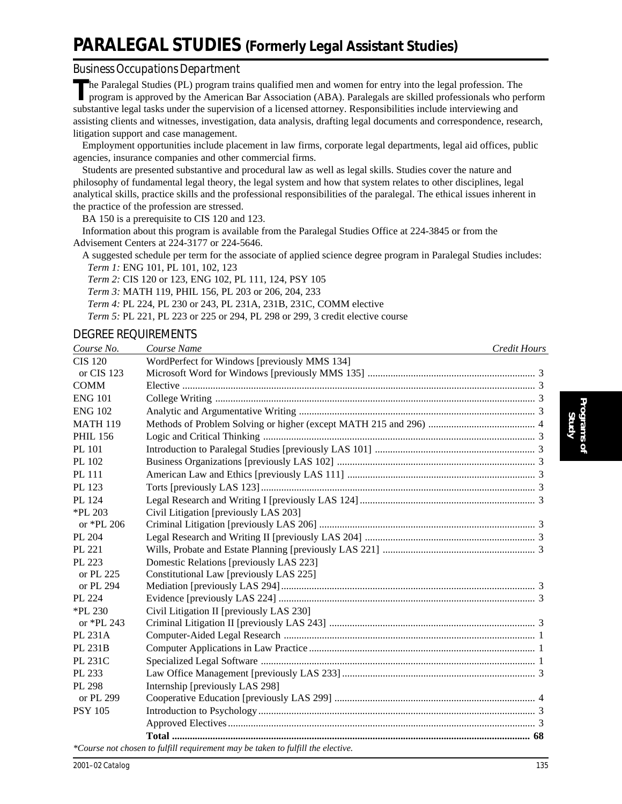# **PARALEGAL STUDIES (Formerly Legal Assistant Studies)**

#### *Business Occupations Department*

The Paralegal Studies (PL) program trains qualified men and women for entry into the legal profession. The program is approved by the American Bar Association (ABA). Paralegals are skilled professionals who perform substantive legal tasks under the supervision of a licensed attorney. Responsibilities include interviewing and assisting clients and witnesses, investigation, data analysis, drafting legal documents and correspondence, research, litigation support and case management.

Employment opportunities include placement in law firms, corporate legal departments, legal aid offices, public agencies, insurance companies and other commercial firms.

Students are presented substantive and procedural law as well as legal skills. Studies cover the nature and philosophy of fundamental legal theory, the legal system and how that system relates to other disciplines, legal analytical skills, practice skills and the professional responsibilities of the paralegal. The ethical issues inherent in the practice of the profession are stressed.

BA 150 is a prerequisite to CIS 120 and 123.

Information about this program is available from the Paralegal Studies Office at 224-3845 or from the Advisement Centers at 224-3177 or 224-5646.

A suggested schedule per term for the associate of applied science degree program in Paralegal Studies includes: *Term 1:* ENG 101, PL 101, 102, 123

*Term 2:* CIS 120 or 123, ENG 102, PL 111, 124, PSY 105

*Term 3:* MATH 119, PHIL 156, PL 203 or 206, 204, 233

*Term 4:* PL 224, PL 230 or 243, PL 231A, 231B, 231C, COMM elective

*Term 5:* PL 221, PL 223 or 225 or 294, PL 298 or 299, 3 credit elective course

### DEGREE REQUIREMENTS

| Course No.      | Course Name                                                                     | Credit Hours |
|-----------------|---------------------------------------------------------------------------------|--------------|
| <b>CIS 120</b>  | WordPerfect for Windows [previously MMS 134]                                    |              |
| or CIS 123      |                                                                                 |              |
| <b>COMM</b>     |                                                                                 |              |
| <b>ENG 101</b>  |                                                                                 |              |
| <b>ENG 102</b>  |                                                                                 |              |
| <b>MATH 119</b> |                                                                                 |              |
| <b>PHIL 156</b> |                                                                                 |              |
| PL 101          |                                                                                 |              |
| PL 102          |                                                                                 |              |
| <b>PL 111</b>   |                                                                                 |              |
| PL 123          |                                                                                 |              |
| PL 124          |                                                                                 |              |
| $*$ PL 203      | Civil Litigation [previously LAS 203]                                           |              |
| or *PL 206      |                                                                                 |              |
| PL 204          |                                                                                 |              |
| PL 221          |                                                                                 |              |
| PL 223          | Domestic Relations [previously LAS 223]                                         |              |
| or PL 225       | Constitutional Law [previously LAS 225]                                         |              |
| or PL 294       |                                                                                 |              |
| PL 224          |                                                                                 |              |
| $*$ PL 230      | Civil Litigation II [previously LAS 230]                                        |              |
| or *PL 243      |                                                                                 |              |
| PL 231A         |                                                                                 |              |
| PL 231B         |                                                                                 |              |
| PL 231C         |                                                                                 |              |
| PL 233          |                                                                                 |              |
| PL 298          | Internship [previously LAS 298]                                                 |              |
| or PL 299       |                                                                                 |              |
| <b>PSY 105</b>  |                                                                                 |              |
|                 |                                                                                 |              |
|                 |                                                                                 |              |
|                 | *Course not chosen to fulfill requirement may be taken to fulfill the elective. |              |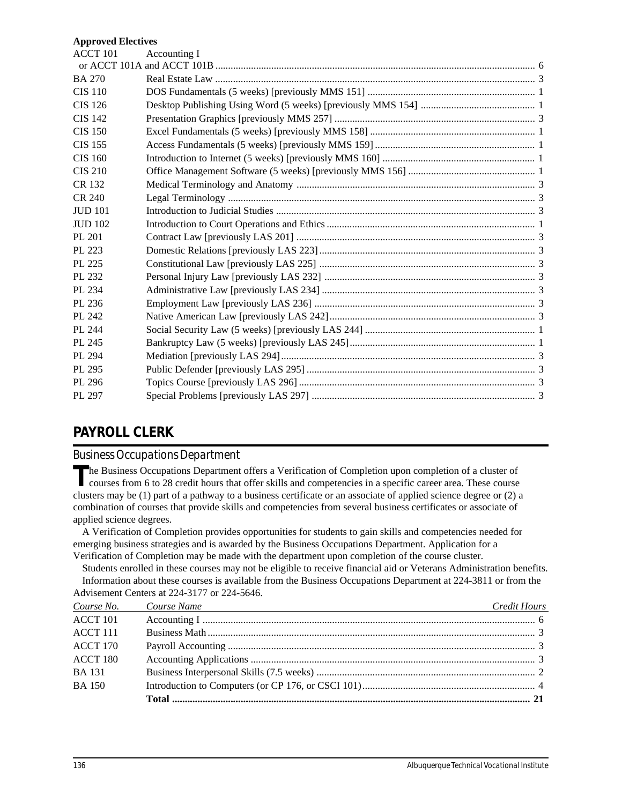#### **Approved Electives**

| <b>ACCT 101</b> | Accounting I |  |
|-----------------|--------------|--|
|                 |              |  |
| <b>BA 270</b>   |              |  |
| <b>CIS 110</b>  |              |  |
| <b>CIS 126</b>  |              |  |
| <b>CIS 142</b>  |              |  |
| <b>CIS 150</b>  |              |  |
| <b>CIS 155</b>  |              |  |
| <b>CIS 160</b>  |              |  |
| <b>CIS 210</b>  |              |  |
| CR 132          |              |  |
| CR 240          |              |  |
| <b>JUD 101</b>  |              |  |
| <b>JUD 102</b>  |              |  |
| PL 201          |              |  |
| PL 223          |              |  |
| PL 225          |              |  |
| PL 232          |              |  |
| PL 234          |              |  |
| PL 236          |              |  |
| PL 242          |              |  |
| PL 244          |              |  |
| PL 245          |              |  |
| PL 294          |              |  |
| PL 295          |              |  |
| PL 296          |              |  |
| PL 297          |              |  |
|                 |              |  |

## **PAYROLL CLERK**

### *Business Occupations Department*

The Business Occupations Department offers a Verification of Completion upon completion of a cluster of courses from 6 to 28 credit hours that offer skills and competencies in a specific career area. These course clusters may be (1) part of a pathway to a business certificate or an associate of applied science degree or (2) a combination of courses that provide skills and competencies from several business certificates or associate of applied science degrees.

A Verification of Completion provides opportunities for students to gain skills and competencies needed for emerging business strategies and is awarded by the Business Occupations Department. Application for a Verification of Completion may be made with the department upon completion of the course cluster.

Students enrolled in these courses may not be eligible to receive financial aid or Veterans Administration benefits. Information about these courses is available from the Business Occupations Department at 224-3811 or from the Advisement Centers at 224-3177 or 224-5646.

| Course No.      | Course Name | Credit Hours |
|-----------------|-------------|--------------|
| ACCT 101        |             |              |
| <b>ACCT 111</b> |             |              |
| <b>ACCT 170</b> |             |              |
| <b>ACCT 180</b> |             |              |
| <b>BA</b> 131   |             |              |
| <b>BA150</b>    |             |              |
|                 |             |              |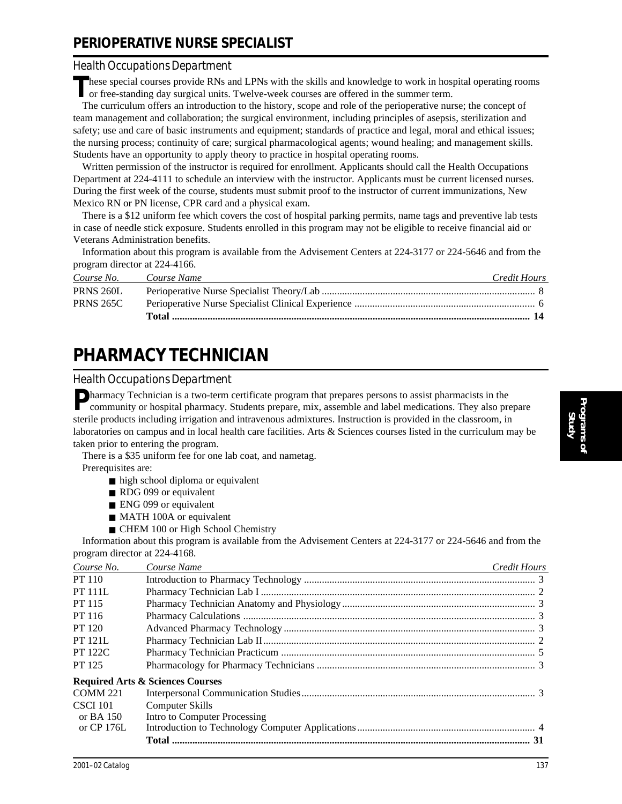## **PERIOPERATIVE NURSE SPECIALIST**

#### *Health Occupations Department*

These special courses provide RNs and LPNs with the skills and knowledge to work in hospital operating rooms or free standing day was in the skills. or free-standing day surgical units. Twelve-week courses are offered in the summer term.

The curriculum offers an introduction to the history, scope and role of the perioperative nurse; the concept of team management and collaboration; the surgical environment, including principles of asepsis, sterilization and safety; use and care of basic instruments and equipment; standards of practice and legal, moral and ethical issues; the nursing process; continuity of care; surgical pharmacological agents; wound healing; and management skills. Students have an opportunity to apply theory to practice in hospital operating rooms.

Written permission of the instructor is required for enrollment. Applicants should call the Health Occupations Department at 224-4111 to schedule an interview with the instructor. Applicants must be current licensed nurses. During the first week of the course, students must submit proof to the instructor of current immunizations, New Mexico RN or PN license, CPR card and a physical exam.

There is a \$12 uniform fee which covers the cost of hospital parking permits, name tags and preventive lab tests in case of needle stick exposure. Students enrolled in this program may not be eligible to receive financial aid or Veterans Administration benefits.

Information about this program is available from the Advisement Centers at 224-3177 or 224-5646 and from the program director at 224-4166.

| Course No.       | Course Name | Credit Hours |
|------------------|-------------|--------------|
| PRNS 260L        |             |              |
| <b>PRNS 265C</b> |             |              |
|                  |             |              |

# **PHARMACY TECHNICIAN**

#### *Health Occupations Department*

**Pharmacy Technician is a two-term certificate program that prepares persons to assist pharmacists in the** community or hospital pharmacy. Students prepare, mix, assemble and label medications. They also prepare sterile products including irrigation and intravenous admixtures. Instruction is provided in the classroom, in laboratories on campus and in local health care facilities. Arts & Sciences courses listed in the curriculum may be taken prior to entering the program.

There is a \$35 uniform fee for one lab coat, and nametag.

Prerequisites are:

- high school diploma or equivalent
- RDG 099 or equivalent
- ENG 099 or equivalent
- MATH 100A or equivalent
- CHEM 100 or High School Chemistry

Information about this program is available from the Advisement Centers at 224-3177 or 224-5646 and from the program director at 224-4168.

| Course No.      | Course Name                                 | Credit Hours |
|-----------------|---------------------------------------------|--------------|
| <b>PT</b> 110   |                                             |              |
| <b>PT 111L</b>  |                                             |              |
| PT 115          |                                             |              |
| PT 116          |                                             |              |
| PT 120          |                                             |              |
| <b>PT 121L</b>  |                                             |              |
| <b>PT 122C</b>  |                                             |              |
| PT 125          |                                             |              |
|                 | <b>Required Arts &amp; Sciences Courses</b> |              |
| <b>COMM 221</b> |                                             |              |
| <b>CSCI 101</b> | <b>Computer Skills</b>                      |              |
| or BA $150$     | Intro to Computer Processing                |              |
| or CP 176L      |                                             |              |
|                 |                                             |              |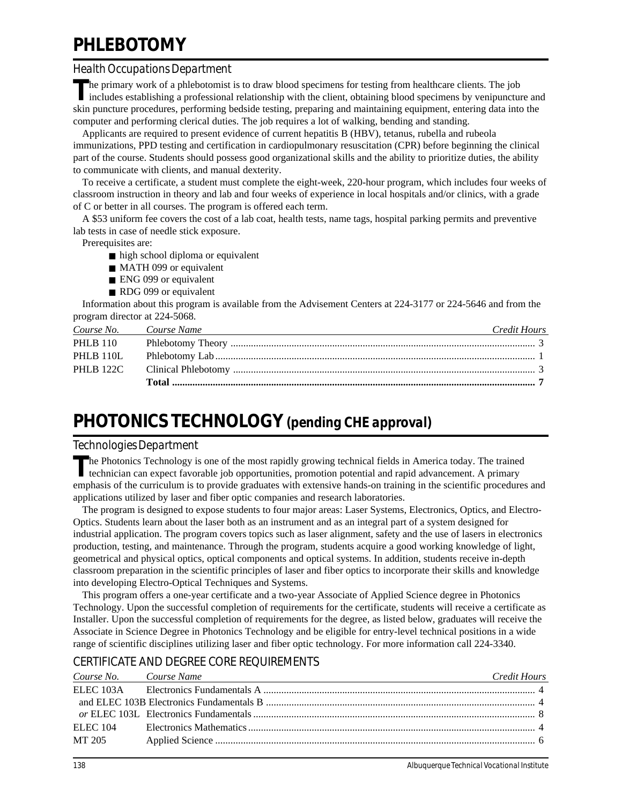# **PHLEBOTOMY**

### *Health Occupations Department*

**T**he primary work of a phlebotomist is to draw blood specimens for testing from healthcare clients. The job includes establishing a professional relationship with the client, obtaining blood specimens by venipuncture and skin puncture procedures, performing bedside testing, preparing and maintaining equipment, entering data into the computer and performing clerical duties. The job requires a lot of walking, bending and standing.

Applicants are required to present evidence of current hepatitis B (HBV), tetanus, rubella and rubeola immunizations, PPD testing and certification in cardiopulmonary resuscitation (CPR) before beginning the clinical part of the course. Students should possess good organizational skills and the ability to prioritize duties, the ability to communicate with clients, and manual dexterity.

To receive a certificate, a student must complete the eight-week, 220-hour program, which includes four weeks of classroom instruction in theory and lab and four weeks of experience in local hospitals and/or clinics, with a grade of C or better in all courses. The program is offered each term.

A \$53 uniform fee covers the cost of a lab coat, health tests, name tags, hospital parking permits and preventive lab tests in case of needle stick exposure.

Prerequisites are:

- high school diploma or equivalent
- MATH 099 or equivalent
- ENG 099 or equivalent
- RDG 099 or equivalent

Information about this program is available from the Advisement Centers at 224-3177 or 224-5646 and from the program director at 224-5068.

| Course No. Course Name | Credit Hours |
|------------------------|--------------|
| <b>PHLB</b> 110        |              |
| PHLB 110L              |              |
|                        |              |
|                        |              |

# **PHOTONICS TECHNOLOGY** *(pending CHE approval)*

### *Technologies Department*

The Photonics Technology is one of the most rapidly growing technical fields in America today. The trained technician can expect favorable job opportunities, promotion potential and rapid advancement. A primary emphasis of the curriculum is to provide graduates with extensive hands-on training in the scientific procedures and applications utilized by laser and fiber optic companies and research laboratories.

The program is designed to expose students to four major areas: Laser Systems, Electronics, Optics, and Electro-Optics. Students learn about the laser both as an instrument and as an integral part of a system designed for industrial application. The program covers topics such as laser alignment, safety and the use of lasers in electronics production, testing, and maintenance. Through the program, students acquire a good working knowledge of light, geometrical and physical optics, optical components and optical systems. In addition, students receive in-depth classroom preparation in the scientific principles of laser and fiber optics to incorporate their skills and knowledge into developing Electro-Optical Techniques and Systems.

This program offers a one-year certificate and a two-year Associate of Applied Science degree in Photonics Technology. Upon the successful completion of requirements for the certificate, students will receive a certificate as Installer. Upon the successful completion of requirements for the degree, as listed below, graduates will receive the Associate in Science Degree in Photonics Technology and be eligible for entry-level technical positions in a wide range of scientific disciplines utilizing laser and fiber optic technology. For more information call 224-3340.

## CERTIFICATE AND DEGREE CORE REQUIREMENTS

| Course No. Course Name | and the control of the control of the control of the control of the control of the control of the control of the | Credit Hours |
|------------------------|------------------------------------------------------------------------------------------------------------------|--------------|
|                        |                                                                                                                  |              |
|                        |                                                                                                                  |              |
|                        |                                                                                                                  |              |
| ELEC 104               |                                                                                                                  |              |
| MT 205                 |                                                                                                                  |              |
|                        |                                                                                                                  |              |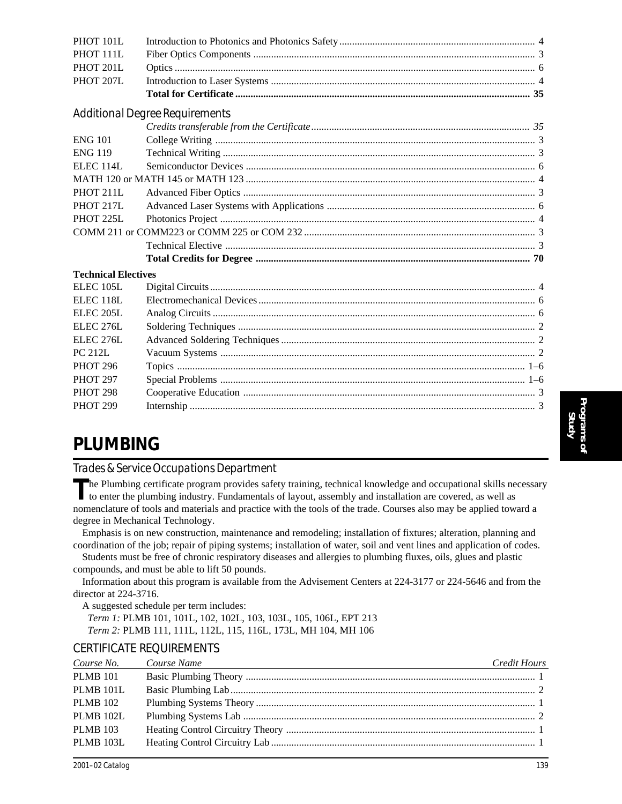| <b>ENG 119</b>             |                                                                                                                                                                                                                                                                                                                                                                                         |  |
|----------------------------|-----------------------------------------------------------------------------------------------------------------------------------------------------------------------------------------------------------------------------------------------------------------------------------------------------------------------------------------------------------------------------------------|--|
| ELEC <sub>114L</sub>       |                                                                                                                                                                                                                                                                                                                                                                                         |  |
|                            |                                                                                                                                                                                                                                                                                                                                                                                         |  |
| PHOT 211L                  |                                                                                                                                                                                                                                                                                                                                                                                         |  |
| PHOT 217L                  |                                                                                                                                                                                                                                                                                                                                                                                         |  |
| PHOT 225L                  |                                                                                                                                                                                                                                                                                                                                                                                         |  |
|                            |                                                                                                                                                                                                                                                                                                                                                                                         |  |
|                            |                                                                                                                                                                                                                                                                                                                                                                                         |  |
|                            |                                                                                                                                                                                                                                                                                                                                                                                         |  |
| <b>Technical Electives</b> |                                                                                                                                                                                                                                                                                                                                                                                         |  |
| ELEC <sub>105</sub> L      |                                                                                                                                                                                                                                                                                                                                                                                         |  |
| ELEC <sub>118L</sub>       |                                                                                                                                                                                                                                                                                                                                                                                         |  |
| ELEC <sub>205L</sub>       |                                                                                                                                                                                                                                                                                                                                                                                         |  |
| ELEC <sub>276</sub> L      |                                                                                                                                                                                                                                                                                                                                                                                         |  |
| ELEC <sub>276</sub> L      |                                                                                                                                                                                                                                                                                                                                                                                         |  |
| <b>PC 212L</b>             |                                                                                                                                                                                                                                                                                                                                                                                         |  |
| <b>PHOT 296</b>            |                                                                                                                                                                                                                                                                                                                                                                                         |  |
| <b>PHOT 297</b>            |                                                                                                                                                                                                                                                                                                                                                                                         |  |
| <b>PHOT 298</b>            |                                                                                                                                                                                                                                                                                                                                                                                         |  |
| <b>PHOT 299</b>            |                                                                                                                                                                                                                                                                                                                                                                                         |  |
|                            |                                                                                                                                                                                                                                                                                                                                                                                         |  |
| <b>PLUMBING</b>            |                                                                                                                                                                                                                                                                                                                                                                                         |  |
|                            |                                                                                                                                                                                                                                                                                                                                                                                         |  |
|                            | Trades & Service Occupations Department                                                                                                                                                                                                                                                                                                                                                 |  |
|                            | The Plumbing certificate program provides safety training, technical knowledge and occupational skills necessary<br>to enter the plumbing industry. Fundamentals of layout, assembly and installation are covered, as well as<br>nomenclature of tools and materials and practice with the tools of the trade. Courses also may be applied toward a<br>degree in Mechanical Technology. |  |
|                            | Emphasis is on new construction, maintenance and remodeling; installation of fixtures; alteration, planning and                                                                                                                                                                                                                                                                         |  |
|                            | coordination of the job; repair of piping systems; installation of water, soil and vent lines and application of codes.<br>Students must be free of chronic respiratory diseases and allergies to plumbing fluxes, oils, glues and plastic<br>compounds, and must be able to lift 50 pounds.                                                                                            |  |
|                            | Information about this program is available from the Advisement Centers at 224-3177 or 224-5646 and from the                                                                                                                                                                                                                                                                            |  |
| director at 224-3716.      |                                                                                                                                                                                                                                                                                                                                                                                         |  |
|                            | A suggested schedule per term includes:                                                                                                                                                                                                                                                                                                                                                 |  |
|                            | Term 1: PLMB 101, 101L, 102, 102L, 103, 103L, 105, 106L, EPT 213                                                                                                                                                                                                                                                                                                                        |  |
|                            | Term 2: PLMB 111, 111L, 112L, 115, 116L, 173L, MH 104, MH 106                                                                                                                                                                                                                                                                                                                           |  |

PHOT 101L Introduction to Photonics and Photonics Safety ............................................................................. 4 PHOT 111L Fiber Optics Components ............................................................................................................... 3 PHOT 201L Optics .............................................................................................................................................. 6 PHOT 207L Introduction to Laser Systems ........................................................................................................ 4

ENG 101 College Writing .............................................................................................................................. 3

**Total for Certificate .................................................................................................................... 35**

*Credits transferable from the Certificate...................................................................................... 35*

### CERTIFICATE REQUIREMENTS

*Additional Degree Requirements*

| Course No.       | Course Name | Credit Hours |
|------------------|-------------|--------------|
| <b>PLMB 101</b>  |             |              |
| <b>PLMB 101L</b> |             |              |
| <b>PLMB</b> 102  |             |              |
| <b>PLMB 102L</b> |             |              |
| <b>PLMB 103</b>  |             |              |
| <b>PLMB 103L</b> |             |              |
|                  |             |              |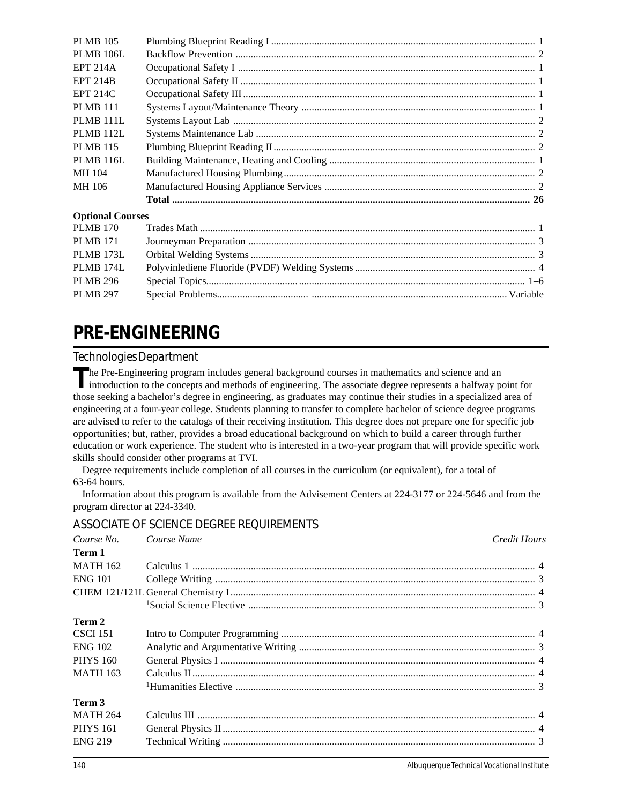| <b>PLMB 105</b>         |  |
|-------------------------|--|
| <b>PLMB 106L</b>        |  |
| <b>EPT 214A</b>         |  |
| <b>EPT 214B</b>         |  |
| <b>EPT 214C</b>         |  |
| <b>PLMB 111</b>         |  |
| <b>PLMB 111L</b>        |  |
| PLMB 112L               |  |
| <b>PLMB 115</b>         |  |
| <b>PLMB 116L</b>        |  |
| MH 104                  |  |
| MH 106                  |  |
|                         |  |
| <b>Optional Courses</b> |  |
| <b>PLMB 170</b>         |  |
| <b>PLMB 171</b>         |  |
| PLMB 173L               |  |
| PLMB 174L               |  |
| <b>PLMB 296</b>         |  |
| <b>PLMB 297</b>         |  |
|                         |  |

# **PRE-ENGINEERING**

## *Technologies Department*

The Pre-Engineering program includes general background courses in mathematics and science and an introduction to the concepts and methods of engineering. The associate degree represents a halfway point for those seeking a bachelor's degree in engineering, as graduates may continue their studies in a specialized area of engineering at a four-year college. Students planning to transfer to complete bachelor of science degree programs are advised to refer to the catalogs of their receiving institution. This degree does not prepare one for specific job opportunities; but, rather, provides a broad educational background on which to build a career through further education or work experience. The student who is interested in a two-year program that will provide specific work skills should consider other programs at TVI.

Degree requirements include completion of all courses in the curriculum (or equivalent), for a total of 63-64 hours.

Information about this program is available from the Advisement Centers at 224-3177 or 224-5646 and from the program director at 224-3340.

## ASSOCIATE OF SCIENCE DEGREE REQUIREMENTS

| Course No.      | Course Name | Credit Hours |
|-----------------|-------------|--------------|
| Term 1          |             |              |
| <b>MATH 162</b> |             |              |
| <b>ENG 101</b>  |             |              |
|                 |             |              |
|                 |             |              |
| Term 2          |             |              |
| <b>CSCI 151</b> |             |              |
| <b>ENG 102</b>  |             |              |
| <b>PHYS 160</b> |             |              |
| <b>MATH 163</b> |             |              |
|                 |             |              |
| Term 3          |             |              |
| <b>MATH 264</b> |             |              |
| <b>PHYS</b> 161 |             |              |
| <b>ENG 219</b>  |             |              |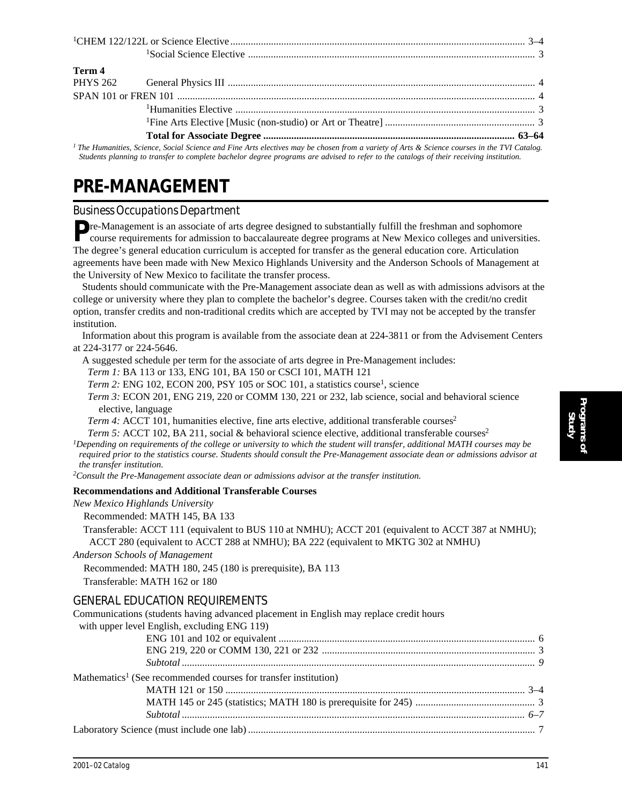| Term 4 |                                                                                                                                             |  |
|--------|---------------------------------------------------------------------------------------------------------------------------------------------|--|
|        |                                                                                                                                             |  |
|        |                                                                                                                                             |  |
|        |                                                                                                                                             |  |
|        |                                                                                                                                             |  |
|        |                                                                                                                                             |  |
|        | I The Humanities, Salares, Social Science and Fine Ante electives may be chosen from a varioty of Ante & Science courses in the TVI Catalog |  |

*1 The Humanities, Science, Social Science and Fine Arts electives may be chosen from a variety of Arts & Science courses in the TVI Catalog. Students planning to transfer to complete bachelor degree programs are advised to refer to the catalogs of their receiving institution.*

## **PRE-MANAGEMENT**

### *Business Occupations Department*

**Pre-Management is an associate of arts degree designed to substantially fulfill the freshman and sophomore** course requirements for admission to baccalaureate degree programs at New Mexico colleges and universities. The degree's general education curriculum is accepted for transfer as the general education core. Articulation agreements have been made with New Mexico Highlands University and the Anderson Schools of Management at the University of New Mexico to facilitate the transfer process.

Students should communicate with the Pre-Management associate dean as well as with admissions advisors at the college or university where they plan to complete the bachelor's degree. Courses taken with the credit/no credit option, transfer credits and non-traditional credits which are accepted by TVI may not be accepted by the transfer institution.

Information about this program is available from the associate dean at 224-3811 or from the Advisement Centers at 224-3177 or 224-5646.

A suggested schedule per term for the associate of arts degree in Pre-Management includes:

*Term 1:* BA 113 or 133, ENG 101, BA 150 or CSCI 101, MATH 121

*Term 2:* ENG 102, ECON 200, PSY 105 or SOC 101, a statistics course<sup>1</sup>, science

*Term 3:* ECON 201, ENG 219, 220 or COMM 130, 221 or 232, lab science, social and behavioral science elective, language

*Term 4:* ACCT 101, humanities elective, fine arts elective, additional transferable courses<sup>2</sup>

*Term 5:* ACCT 102, BA 211, social & behavioral science elective, additional transferable courses<sup>2</sup>

*1Depending on requirements of the college or university to which the student will transfer, additional MATH courses may be required prior to the statistics course. Students should consult the Pre-Management associate dean or admissions advisor at the transfer institution.*

*2Consult the Pre-Management associate dean or admissions advisor at the transfer institution.*

#### **Recommendations and Additional Transferable Courses**

*New Mexico Highlands University*

Recommended: MATH 145, BA 133

 Transferable: ACCT 111 (equivalent to BUS 110 at NMHU); ACCT 201 (equivalent to ACCT 387 at NMHU); ACCT 280 (equivalent to ACCT 288 at NMHU); BA 222 (equivalent to MKTG 302 at NMHU)

*Anderson Schools of Management*

Recommended: MATH 180, 245 (180 is prerequisite), BA 113

Transferable: MATH 162 or 180

#### GENERAL EDUCATION REQUIREMENTS

| Communications (students having advanced placement in English may replace credit hours |  |
|----------------------------------------------------------------------------------------|--|
| with upper level English, excluding ENG 119)                                           |  |
|                                                                                        |  |
|                                                                                        |  |
|                                                                                        |  |
| Mathematics <sup>1</sup> (See recommended courses for transfer institution)            |  |
|                                                                                        |  |
|                                                                                        |  |
|                                                                                        |  |
|                                                                                        |  |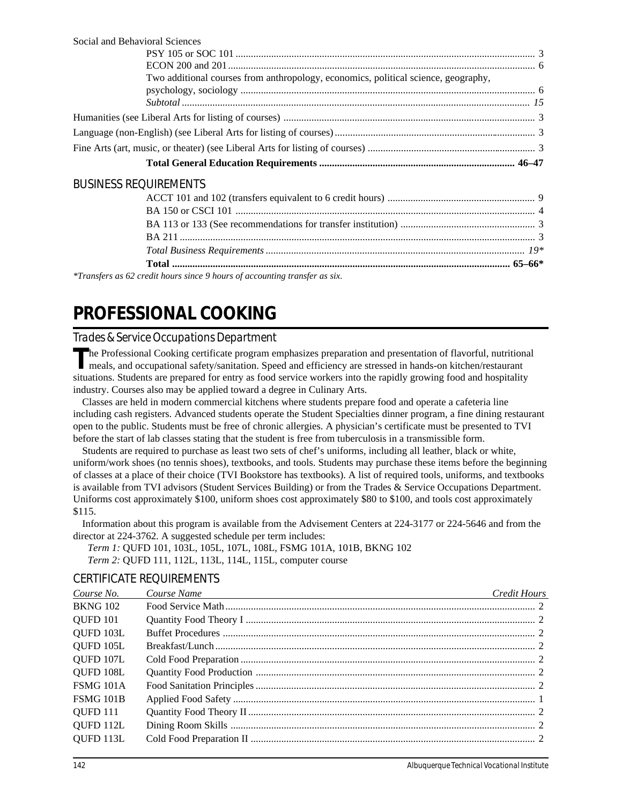| Social and Behavioral Sciences                                                     |  |
|------------------------------------------------------------------------------------|--|
|                                                                                    |  |
|                                                                                    |  |
| Two additional courses from anthropology, economics, political science, geography, |  |
|                                                                                    |  |
|                                                                                    |  |
|                                                                                    |  |
|                                                                                    |  |
|                                                                                    |  |
| <b>BUSINESS REQUIREMENTS</b>                                                       |  |
|                                                                                    |  |
|                                                                                    |  |
|                                                                                    |  |
|                                                                                    |  |
|                                                                                    |  |

*\*Transfers as 62 credit hours since 9 hours of accounting transfer as six.*

# **PROFESSIONAL COOKING**

## *Trades & Service Occupations Department*

The Professional Cooking certificate program emphasizes preparation and presentation of flavorful, nutritional meals, and occupational safety/sanitation. Speed and efficiency are stressed in hands-on kitchen/restaurant situations. Students are prepared for entry as food service workers into the rapidly growing food and hospitality industry. Courses also may be applied toward a degree in Culinary Arts.

Classes are held in modern commercial kitchens where students prepare food and operate a cafeteria line including cash registers. Advanced students operate the Student Specialties dinner program, a fine dining restaurant open to the public. Students must be free of chronic allergies. A physician's certificate must be presented to TVI before the start of lab classes stating that the student is free from tuberculosis in a transmissible form.

Students are required to purchase as least two sets of chef's uniforms, including all leather, black or white, uniform/work shoes (no tennis shoes), textbooks, and tools. Students may purchase these items before the beginning of classes at a place of their choice (TVI Bookstore has textbooks). A list of required tools, uniforms, and textbooks is available from TVI advisors (Student Services Building) or from the Trades & Service Occupations Department. Uniforms cost approximately \$100, uniform shoes cost approximately \$80 to \$100, and tools cost approximately \$115.

Information about this program is available from the Advisement Centers at 224-3177 or 224-5646 and from the director at 224-3762. A suggested schedule per term includes:

*Term 1:* QUFD 101, 103L, 105L, 107L, 108L, FSMG 101A, 101B, BKNG 102 *Term 2:* QUFD 111, 112L, 113L, 114L, 115L, computer course

## CERTIFICATE REQUIREMENTS

| Course No.       | Course Name | Credit Hours |
|------------------|-------------|--------------|
| <b>BKNG 102</b>  |             |              |
| <b>QUFD 101</b>  |             |              |
| QUFD 103L        |             |              |
| QUFD 105L        |             |              |
| QUFD 107L        |             |              |
| QUFD 108L        |             |              |
| FSMG 101A        |             |              |
| <b>FSMG 101B</b> |             |              |
| QUFD 111         |             |              |
| QUFD 112L        |             |              |
| QUFD 113L        |             |              |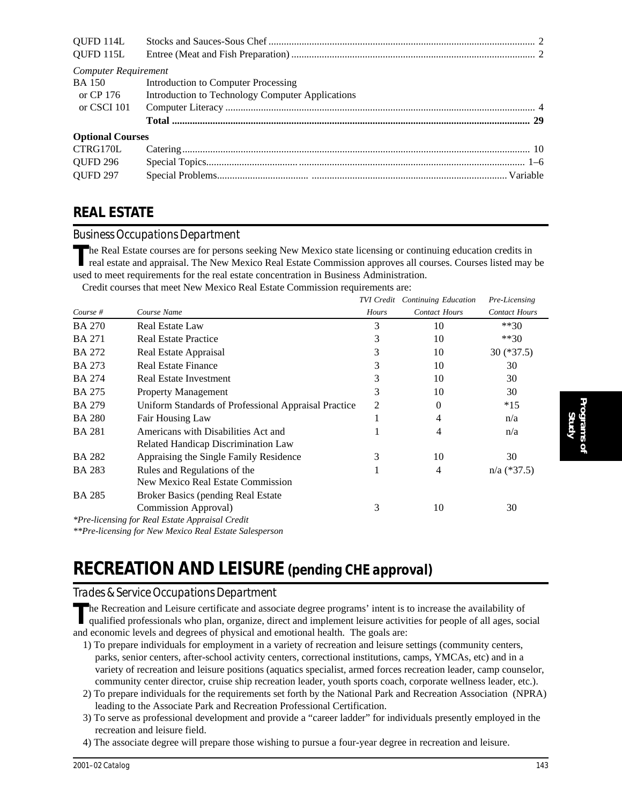| QUFD 114L               |                                                  |  |
|-------------------------|--------------------------------------------------|--|
| QUFD 115L               |                                                  |  |
| Computer Requirement    |                                                  |  |
|                         | BA 150 Introduction to Computer Processing       |  |
| or CP 176               | Introduction to Technology Computer Applications |  |
| or CSCI 101             |                                                  |  |
|                         |                                                  |  |
| <b>Optional Courses</b> |                                                  |  |
| CTRG170L                |                                                  |  |
| <b>QUFD 296</b>         |                                                  |  |
| <b>QUFD 297</b>         |                                                  |  |

## **REAL ESTATE**

### *Business Occupations Department*

**T**he Real Estate courses are for persons seeking New Mexico state licensing or continuing education credits in real estate and appraisal. The New Mexico Real Estate Commission approves all courses. Courses listed may be used to meet requirements for the real estate concentration in Business Administration.

Credit courses that meet New Mexico Real Estate Commission requirements are:

|               |                                                      |       | <b>TVI Credit</b> Continuing Education | Pre-Licensing        |
|---------------|------------------------------------------------------|-------|----------------------------------------|----------------------|
| Course #      | Course Name                                          | Hours | <b>Contact Hours</b>                   | <b>Contact Hours</b> |
| <b>BA 270</b> | <b>Real Estate Law</b>                               | 3     | 10                                     | $**30$               |
| <b>BA 271</b> | <b>Real Estate Practice</b>                          | 3     | 10                                     | $**30$               |
| <b>BA 272</b> | Real Estate Appraisal                                | 3     | 10                                     | $30$ (*37.5)         |
| <b>BA 273</b> | <b>Real Estate Finance</b>                           | 3     | 10                                     | 30                   |
| <b>BA 274</b> | Real Estate Investment                               | 3     | 10                                     | 30                   |
| <b>BA 275</b> | <b>Property Management</b>                           | 3     | 10                                     | 30                   |
| <b>BA 279</b> | Uniform Standards of Professional Appraisal Practice | 2     | 0                                      | $*15$                |
| <b>BA 280</b> | Fair Housing Law                                     | 1     | 4                                      | n/a                  |
| <b>BA 281</b> | Americans with Disabilities Act and                  |       | 4                                      | n/a                  |
|               | Related Handicap Discrimination Law                  |       |                                        |                      |
| <b>BA 282</b> | Appraising the Single Family Residence               | 3     | 10                                     | 30                   |
| <b>BA 283</b> | Rules and Regulations of the                         | л     | 4                                      | $n/a$ (*37.5)        |
|               | New Mexico Real Estate Commission                    |       |                                        |                      |
| <b>BA 285</b> | <b>Broker Basics (pending Real Estate</b>            |       |                                        |                      |
|               | Commission Approval)                                 | 3     | 10                                     | 30                   |
|               | *Pre-licensing for Real Estate Appraisal Credit      |       |                                        |                      |

*\*\*Pre-licensing for New Mexico Real Estate Salesperson*

## **RECREATION AND LEISURE** *(pending CHE approval)*

### *Trades & Service Occupations Department*

The Recreation and Leisure certificate and associate degree programs' intent is to increase the availability of qualified professionals who plan, organize, direct and implement leisure activities for people of all ages, so and economic levels and degrees of physical and emotional health. The goals are:

- 1) To prepare individuals for employment in a variety of recreation and leisure settings (community centers, parks, senior centers, after-school activity centers, correctional institutions, camps, YMCAs, etc) and in a variety of recreation and leisure positions (aquatics specialist, armed forces recreation leader, camp counselor, community center director, cruise ship recreation leader, youth sports coach, corporate wellness leader, etc.).
- 2) To prepare individuals for the requirements set forth by the National Park and Recreation Association (NPRA) leading to the Associate Park and Recreation Professional Certification.
- 3) To serve as professional development and provide a "career ladder" for individuals presently employed in the recreation and leisure field.
- 4) The associate degree will prepare those wishing to pursue a four-year degree in recreation and leisure.

**Programs of Study**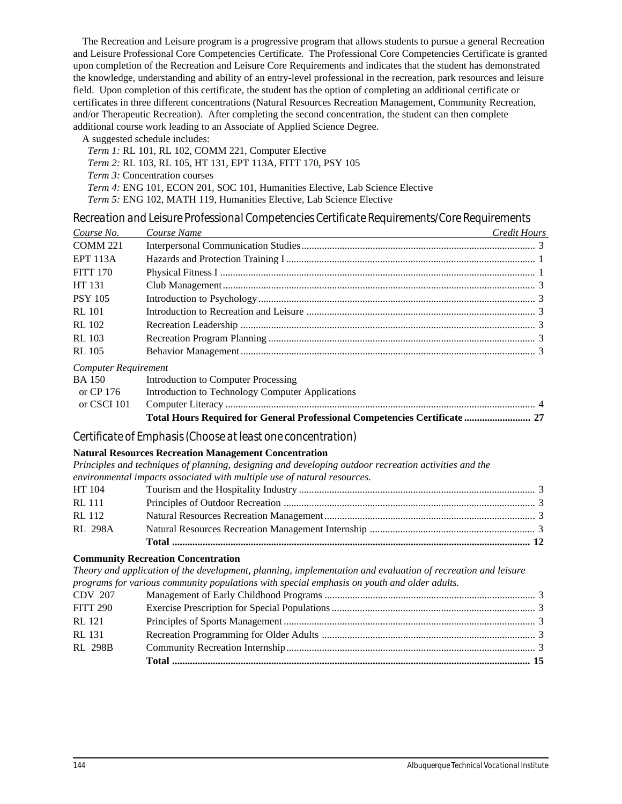The Recreation and Leisure program is a progressive program that allows students to pursue a general Recreation and Leisure Professional Core Competencies Certificate. The Professional Core Competencies Certificate is granted upon completion of the Recreation and Leisure Core Requirements and indicates that the student has demonstrated the knowledge, understanding and ability of an entry-level professional in the recreation, park resources and leisure field. Upon completion of this certificate, the student has the option of completing an additional certificate or certificates in three different concentrations (Natural Resources Recreation Management, Community Recreation, and/or Therapeutic Recreation). After completing the second concentration, the student can then complete additional course work leading to an Associate of Applied Science Degree.

A suggested schedule includes:

| Term 1: RL 101, RL 102, COMM 221, Computer Elective                                  |
|--------------------------------------------------------------------------------------|
| <i>Term 2:</i> RL 103, RL 105, HT 131, EPT 113A, FITT 170, PSY 105                   |
| <i>Term 3:</i> Concentration courses                                                 |
| <i>Term 4:</i> ENG 101, ECON 201, SOC 101, Humanities Elective, Lab Science Elective |
| <i>Term 5:</i> ENG 102, MATH 119, Humanities Elective, Lab Science Elective          |

#### *Recreation and Leisure Professional Competencies Certificate Requirements/Core Requirements*

| Course No.                  | Course Name                                                                                                  | Credit Hours |
|-----------------------------|--------------------------------------------------------------------------------------------------------------|--------------|
| <b>COMM 221</b>             |                                                                                                              |              |
| <b>EPT 113A</b>             |                                                                                                              |              |
| <b>FITT 170</b>             |                                                                                                              |              |
| HT 131                      |                                                                                                              |              |
| <b>PSY 105</b>              |                                                                                                              |              |
| <b>RL</b> 101               |                                                                                                              |              |
| <b>RL 102</b>               |                                                                                                              |              |
| <b>RL</b> 103               |                                                                                                              |              |
| <b>RL 105</b>               |                                                                                                              |              |
| <b>Computer Requirement</b> |                                                                                                              |              |
| <b>BA 150</b>               | <b>Introduction to Computer Processing</b>                                                                   |              |
| or CP 176                   | Introduction to Technology Computer Applications                                                             |              |
| or CSCI 101                 |                                                                                                              |              |
|                             | Total Hours Required for General Professional Competencies Certificate  27                                   |              |
|                             | Certificate of Emphasis (Choose at least one concentration)                                                  |              |
|                             | <b>Natural Resources Recreation Management Concentration</b>                                                 |              |
|                             | Principles and techniques of planning, designing and developing outdoor recreation activities and the        |              |
|                             | environmental impacts associated with multiple use of natural resources.                                     |              |
| HT 104                      |                                                                                                              |              |
| <b>RL 111</b>               |                                                                                                              |              |
| <b>RL</b> 112               |                                                                                                              |              |
| <b>RL 298A</b>              |                                                                                                              |              |
|                             |                                                                                                              |              |
|                             | <b>Community Recreation Concentration</b>                                                                    |              |
|                             | Theory and application of the development, planning, implementation and evaluation of recreation and leisure |              |
|                             | programs for various community populations with special emphasis on youth and older adults.                  |              |
| CDV 207                     |                                                                                                              |              |
| <b>FITT 290</b>             |                                                                                                              |              |
| <b>RL</b> 121               |                                                                                                              |              |
| <b>RL</b> 131               |                                                                                                              |              |
| <b>RL 298B</b>              |                                                                                                              |              |
|                             |                                                                                                              |              |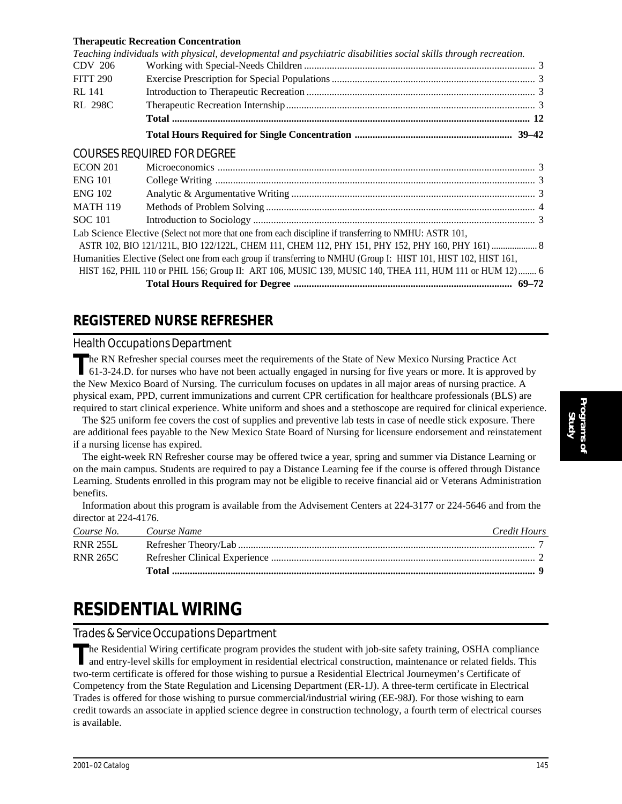# **Therapeutic Recreation Concentration**

|                 | Teaching individuals with physical, developmental and psychiatric disabilities social skills through recreation. |  |
|-----------------|------------------------------------------------------------------------------------------------------------------|--|
| CDV 206         |                                                                                                                  |  |
| FITT 290        |                                                                                                                  |  |
| RL 141          |                                                                                                                  |  |
| <b>RL 298C</b>  |                                                                                                                  |  |
|                 |                                                                                                                  |  |
|                 |                                                                                                                  |  |
|                 | <b>COURSES REQUIRED FOR DEGREE</b>                                                                               |  |
| ECON 201        |                                                                                                                  |  |
| <b>ENG 101</b>  |                                                                                                                  |  |
| ENG 102         |                                                                                                                  |  |
| <b>MATH 119</b> |                                                                                                                  |  |
| <b>SOC 101</b>  |                                                                                                                  |  |
|                 | Lab Science Elective (Select not more that one from each discipline if transferring to NMHU: ASTR 101,           |  |
|                 |                                                                                                                  |  |
|                 | Humanities Elective (Select one from each group if transferring to NMHU (Group I: HIST 101, HIST 102, HIST 161,  |  |
|                 | HIST 162, PHIL 110 or PHIL 156; Group II: ART 106, MUSIC 139, MUSIC 140, THEA 111, HUM 111 or HUM 12)  6         |  |
|                 |                                                                                                                  |  |
|                 |                                                                                                                  |  |

# **REGISTERED NURSE REFRESHER**

# *Health Occupations Department*

The RN Refresher special courses meet the requirements of the State of New Mexico Nursing Practice Act 61-3-24.D. for nurses who have not been actually engaged in nursing for five years or more. It is approved by the New Mexico Board of Nursing. The curriculum focuses on updates in all major areas of nursing practice. A physical exam, PPD, current immunizations and current CPR certification for healthcare professionals (BLS) are required to start clinical experience. White uniform and shoes and a stethoscope are required for clinical experience.

The \$25 uniform fee covers the cost of supplies and preventive lab tests in case of needle stick exposure. There are additional fees payable to the New Mexico State Board of Nursing for licensure endorsement and reinstatement if a nursing license has expired.

The eight-week RN Refresher course may be offered twice a year, spring and summer via Distance Learning or on the main campus. Students are required to pay a Distance Learning fee if the course is offered through Distance Learning. Students enrolled in this program may not be eligible to receive financial aid or Veterans Administration benefits.

Information about this program is available from the Advisement Centers at 224-3177 or 224-5646 and from the director at 224-4176.

| Course No. Course Name | Credit Hours |
|------------------------|--------------|
| <b>RNR 255L</b>        |              |
| RNR 265C               |              |
|                        |              |

# **RESIDENTIAL WIRING**

*Trades & Service Occupations Department*

The Residential Wiring certificate program provides the student with job-site safety training, OSHA compliance<br>and entry-level skills for employment in residential electrical construction, maintenance or related fields. Th two-term certificate is offered for those wishing to pursue a Residential Electrical Journeymen's Certificate of Competency from the State Regulation and Licensing Department (ER-1J). A three-term certificate in Electrical Trades is offered for those wishing to pursue commercial/industrial wiring (EE-98J). For those wishing to earn credit towards an associate in applied science degree in construction technology, a fourth term of electrical courses is available.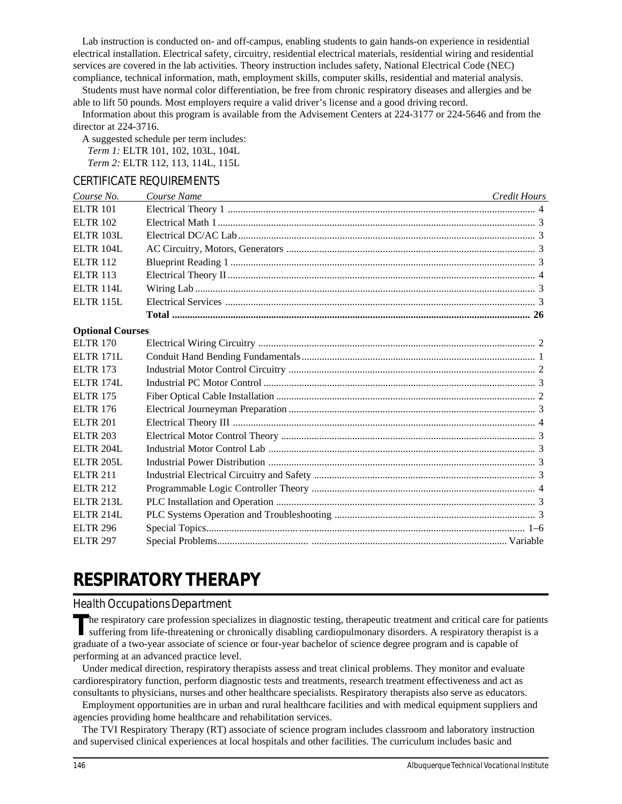Lab instruction is conducted on- and off-campus, enabling students to gain hands-on experience in residential electrical installation. Electrical safety, circuitry, residential electrical materials, residential wiring and residential services are covered in the lab activities. Theory instruction includes safety, National Electrical Code (NEC) compliance, technical information, math, employment skills, computer skills, residential and material analysis.

Students must have normal color differentiation, be free from chronic respiratory diseases and allergies and be able to lift 50 pounds. Most employers require a valid driver's license and a good driving record.

Information about this program is available from the Advisement Centers at 224-3177 or 224-5646 and from the director at 224-3716.

A suggested schedule per term includes: *Term 1:* ELTR 101, 102, 103L, 104L *Term 2:* ELTR 112, 113, 114L, 115L

# CERTIFICATE REQUIREMENTS

| Course No.              | Course Name<br><u> 1989 - Johann Barn, amerikansk politiker (d. 1989)</u> | <b>Credit Hours</b> |
|-------------------------|---------------------------------------------------------------------------|---------------------|
| <b>ELTR 101</b>         |                                                                           |                     |
| ELTR 102                |                                                                           |                     |
| <b>ELTR 103L</b>        |                                                                           |                     |
| <b>ELTR 104L</b>        |                                                                           |                     |
| <b>ELTR 112</b>         |                                                                           |                     |
| <b>ELTR 113</b>         |                                                                           |                     |
| <b>ELTR 114L</b>        |                                                                           |                     |
| <b>ELTR 115L</b>        |                                                                           |                     |
|                         |                                                                           |                     |
| <b>Optional Courses</b> |                                                                           |                     |
| <b>ELTR 170</b>         |                                                                           |                     |
| <b>ELTR 171L</b>        |                                                                           |                     |
| <b>ELTR 173</b>         |                                                                           |                     |
| ELTR 174L               |                                                                           |                     |
| <b>ELTR 175</b>         |                                                                           |                     |
| <b>ELTR 176</b>         |                                                                           |                     |
| <b>ELTR 201</b>         |                                                                           |                     |
| ELTR 203                |                                                                           |                     |
| <b>ELTR 204L</b>        |                                                                           |                     |
| <b>ELTR 205L</b>        |                                                                           |                     |
| <b>ELTR 211</b>         |                                                                           |                     |
| <b>ELTR 212</b>         |                                                                           |                     |
| ELTR 213L               |                                                                           |                     |
| <b>ELTR 214L</b>        |                                                                           |                     |
| <b>ELTR 296</b>         |                                                                           |                     |
| <b>ELTR 297</b>         |                                                                           |                     |

# **RESPIRATORY THERAPY**

# *Health Occupations Department*

**T**he respiratory care profession specializes in diagnostic testing, therapeutic treatment and critical care for patients suffering from life-threatening or chronically disabling cardiopulmonary disorders. A respiratory therapist is a graduate of a two-year associate of science or four-year bachelor of science degree program and is capable of performing at an advanced practice level.

Under medical direction, respiratory therapists assess and treat clinical problems. They monitor and evaluate cardiorespiratory function, perform diagnostic tests and treatments, research treatment effectiveness and act as consultants to physicians, nurses and other healthcare specialists. Respiratory therapists also serve as educators.

Employment opportunities are in urban and rural healthcare facilities and with medical equipment suppliers and agencies providing home healthcare and rehabilitation services.

The TVI Respiratory Therapy (RT) associate of science program includes classroom and laboratory instruction and supervised clinical experiences at local hospitals and other facilities. The curriculum includes basic and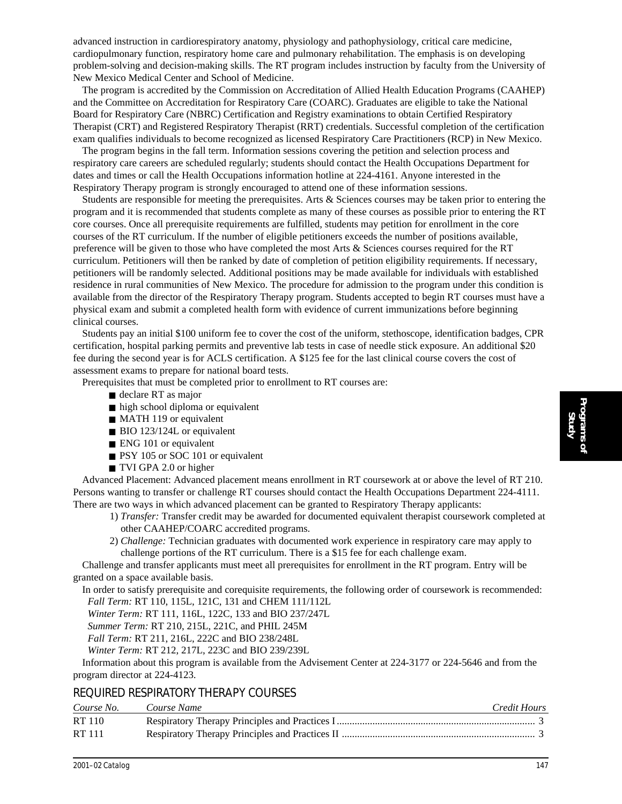advanced instruction in cardiorespiratory anatomy, physiology and pathophysiology, critical care medicine, cardiopulmonary function, respiratory home care and pulmonary rehabilitation. The emphasis is on developing problem-solving and decision-making skills. The RT program includes instruction by faculty from the University of New Mexico Medical Center and School of Medicine.

The program is accredited by the Commission on Accreditation of Allied Health Education Programs (CAAHEP) and the Committee on Accreditation for Respiratory Care (COARC). Graduates are eligible to take the National Board for Respiratory Care (NBRC) Certification and Registry examinations to obtain Certified Respiratory Therapist (CRT) and Registered Respiratory Therapist (RRT) credentials. Successful completion of the certification exam qualifies individuals to become recognized as licensed Respiratory Care Practitioners (RCP) in New Mexico.

The program begins in the fall term. Information sessions covering the petition and selection process and respiratory care careers are scheduled regularly; students should contact the Health Occupations Department for dates and times or call the Health Occupations information hotline at 224-4161. Anyone interested in the Respiratory Therapy program is strongly encouraged to attend one of these information sessions.

Students are responsible for meeting the prerequisites. Arts & Sciences courses may be taken prior to entering the program and it is recommended that students complete as many of these courses as possible prior to entering the RT core courses. Once all prerequisite requirements are fulfilled, students may petition for enrollment in the core courses of the RT curriculum. If the number of eligible petitioners exceeds the number of positions available, preference will be given to those who have completed the most Arts & Sciences courses required for the RT curriculum. Petitioners will then be ranked by date of completion of petition eligibility requirements. If necessary, petitioners will be randomly selected. Additional positions may be made available for individuals with established residence in rural communities of New Mexico. The procedure for admission to the program under this condition is available from the director of the Respiratory Therapy program. Students accepted to begin RT courses must have a physical exam and submit a completed health form with evidence of current immunizations before beginning clinical courses.

Students pay an initial \$100 uniform fee to cover the cost of the uniform, stethoscope, identification badges, CPR certification, hospital parking permits and preventive lab tests in case of needle stick exposure. An additional \$20 fee during the second year is for ACLS certification. A \$125 fee for the last clinical course covers the cost of assessment exams to prepare for national board tests.

Prerequisites that must be completed prior to enrollment to RT courses are:

- declare RT as major
- high school diploma or equivalent
- MATH 119 or equivalent
- BIO 123/124L or equivalent
- ENG 101 or equivalent
- PSY 105 or SOC 101 or equivalent
- TVI GPA 2.0 or higher

Advanced Placement: Advanced placement means enrollment in RT coursework at or above the level of RT 210. Persons wanting to transfer or challenge RT courses should contact the Health Occupations Department 224-4111. There are two ways in which advanced placement can be granted to Respiratory Therapy applicants:

- 1) *Transfer:* Transfer credit may be awarded for documented equivalent therapist coursework completed at other CAAHEP/COARC accredited programs.
- 2) *Challenge:* Technician graduates with documented work experience in respiratory care may apply to challenge portions of the RT curriculum. There is a \$15 fee for each challenge exam.

Challenge and transfer applicants must meet all prerequisites for enrollment in the RT program. Entry will be granted on a space available basis.

In order to satisfy prerequisite and corequisite requirements, the following order of coursework is recommended: *Fall Term:* RT 110, 115L, 121C, 131 and CHEM 111/112L

*Winter Term:* RT 111, 116L, 122C, 133 and BIO 237/247L

*Summer Term:* RT 210, 215L, 221C, and PHIL 245M

*Fall Term:* RT 211, 216L, 222C and BIO 238/248L

*Winter Term:* RT 212, 217L, 223C and BIO 239/239L

Information about this program is available from the Advisement Center at 224-3177 or 224-5646 and from the program director at 224-4123.

# REQUIRED RESPIRATORY THERAPY COURSES

| Course No.    | Course Name | Credit Hours |
|---------------|-------------|--------------|
| RT 110        |             |              |
| <b>RT</b> 111 |             |              |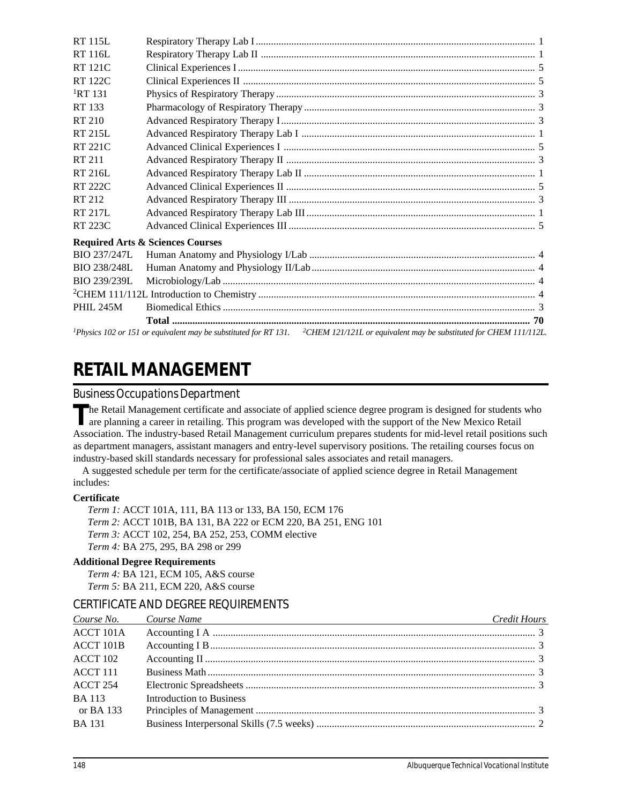| <b>RT 115L</b>   |                                                                                                                                                             |  |
|------------------|-------------------------------------------------------------------------------------------------------------------------------------------------------------|--|
| <b>RT 116L</b>   |                                                                                                                                                             |  |
| <b>RT 121C</b>   |                                                                                                                                                             |  |
| <b>RT 122C</b>   |                                                                                                                                                             |  |
| ${}^{1}RT$ 131   |                                                                                                                                                             |  |
| RT 133           |                                                                                                                                                             |  |
| RT 210           |                                                                                                                                                             |  |
| <b>RT 215L</b>   |                                                                                                                                                             |  |
| <b>RT 221C</b>   |                                                                                                                                                             |  |
| RT 211           |                                                                                                                                                             |  |
| RT 216L          |                                                                                                                                                             |  |
| <b>RT 222C</b>   |                                                                                                                                                             |  |
| RT 212           |                                                                                                                                                             |  |
| RT 217L          |                                                                                                                                                             |  |
| RT 223C          |                                                                                                                                                             |  |
|                  | <b>Required Arts &amp; Sciences Courses</b>                                                                                                                 |  |
| BIO 237/247L     |                                                                                                                                                             |  |
| BIO 238/248L     |                                                                                                                                                             |  |
| BIO 239/239L     |                                                                                                                                                             |  |
|                  |                                                                                                                                                             |  |
| <b>PHIL 245M</b> |                                                                                                                                                             |  |
|                  |                                                                                                                                                             |  |
|                  | <sup>1</sup> Physics 102 or 151 or equivalent may be substituted for RT 131. <sup>2</sup> CHEM 121/121L or equivalent may be substituted for CHEM 111/112L. |  |

# **RETAIL MANAGEMENT**

# *Business Occupations Department*

The Retail Management certificate and associate of applied science degree program is designed for students who are planning a career in retailing. This program was developed with the support of the New Mexico Retail Association. The industry-based Retail Management curriculum prepares students for mid-level retail positions such as department managers, assistant managers and entry-level supervisory positions. The retailing courses focus on industry-based skill standards necessary for professional sales associates and retail managers.

A suggested schedule per term for the certificate/associate of applied science degree in Retail Management includes:

# **Certificate**

*Term 1:* ACCT 101A, 111, BA 113 or 133, BA 150, ECM 176 *Term 2:* ACCT 101B, BA 131, BA 222 or ECM 220, BA 251, ENG 101 *Term 3:* ACCT 102, 254, BA 252, 253, COMM elective *Term 4:* BA 275, 295, BA 298 or 299

# **Additional Degree Requirements**

*Term 4:* BA 121, ECM 105, A&S course *Term 5:* BA 211, ECM 220, A&S course

# CERTIFICATE AND DEGREE REQUIREMENTS

|                  | Course No. Course Name<br><u> 1989 - Johann Barn, amerikansk politiker (d. 1989)</u> | Credit Hours |
|------------------|--------------------------------------------------------------------------------------|--------------|
| ACCT 101A        |                                                                                      |              |
| <b>ACCT 101B</b> |                                                                                      |              |
| ACCT 102         |                                                                                      |              |
| <b>ACCT 111</b>  |                                                                                      |              |
| ACCT 254         |                                                                                      |              |
| <b>BA 113</b>    | <b>Introduction to Business</b>                                                      |              |
| or BA 133        |                                                                                      |              |
| <b>BA</b> 131    |                                                                                      |              |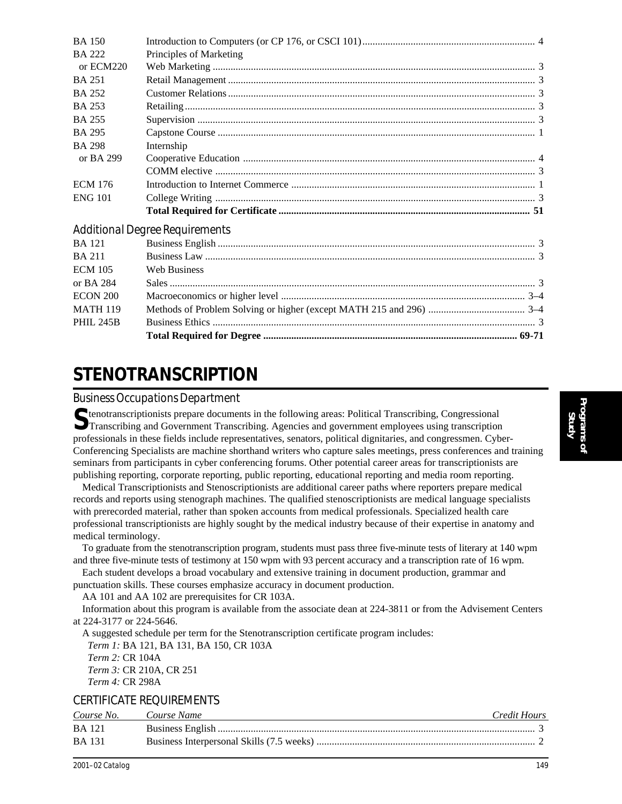| <b>PHIL 245B</b> |                                       |  |
|------------------|---------------------------------------|--|
| <b>MATH 119</b>  |                                       |  |
| <b>ECON 200</b>  |                                       |  |
| or BA 284        |                                       |  |
| <b>ECM 105</b>   | <b>Web Business</b>                   |  |
| <b>BA 211</b>    |                                       |  |
| <b>BA</b> 121    |                                       |  |
|                  | <b>Additional Degree Requirements</b> |  |
|                  |                                       |  |
| <b>ENG 101</b>   |                                       |  |
| <b>ECM 176</b>   |                                       |  |
|                  |                                       |  |
| or BA 299        |                                       |  |
| <b>BA 298</b>    | Internship                            |  |
| <b>BA 295</b>    |                                       |  |
| <b>BA 255</b>    |                                       |  |
| <b>BA 253</b>    |                                       |  |
| <b>BA 252</b>    |                                       |  |
| <b>BA 251</b>    |                                       |  |
| or ECM220        |                                       |  |
| <b>BA 222</b>    | Principles of Marketing               |  |
| <b>BA 150</b>    |                                       |  |

# **STENOTRANSCRIPTION**

*Business Occupations Department*

Stenotranscriptionists prepare documents in the following areas: Political Transcribing, Congressional Transcribing and Government Transcribing. Agencies and government employees using transcription professionals in these fields include representatives, senators, political dignitaries, and congressmen. Cyber-Conferencing Specialists are machine shorthand writers who capture sales meetings, press conferences and training seminars from participants in cyber conferencing forums. Other potential career areas for transcriptionists are publishing reporting, corporate reporting, public reporting, educational reporting and media room reporting.

Medical Transcriptionists and Stenoscriptionists are additional career paths where reporters prepare medical records and reports using stenograph machines. The qualified stenoscriptionists are medical language specialists with prerecorded material, rather than spoken accounts from medical professionals. Specialized health care professional transcriptionists are highly sought by the medical industry because of their expertise in anatomy and medical terminology.

To graduate from the stenotranscription program, students must pass three five-minute tests of literary at 140 wpm and three five-minute tests of testimony at 150 wpm with 93 percent accuracy and a transcription rate of 16 wpm.

Each student develops a broad vocabulary and extensive training in document production, grammar and punctuation skills. These courses emphasize accuracy in document production.

AA 101 and AA 102 are prerequisites for CR 103A.

Information about this program is available from the associate dean at 224-3811 or from the Advisement Centers at 224-3177 or 224-5646.

A suggested schedule per term for the Stenotranscription certificate program includes: *Term 1:* BA 121, BA 131, BA 150, CR 103A *Term 2:* CR 104A *Term 3:* CR 210A, CR 251 *Term 4:* CR 298A

# CERTIFICATE REQUIREMENTS

| Course No.    | Course Name | Credit Hours |
|---------------|-------------|--------------|
| <b>BA</b> 121 |             |              |
| <b>BA</b> 131 |             |              |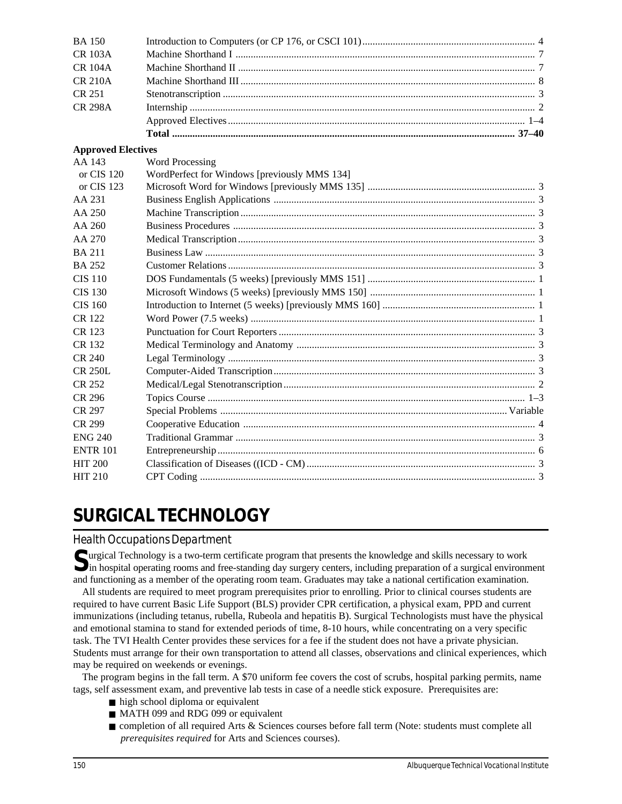| <b>BA 150</b>             |                                              |  |
|---------------------------|----------------------------------------------|--|
| <b>CR 103A</b>            |                                              |  |
| <b>CR 104A</b>            |                                              |  |
| <b>CR 210A</b>            |                                              |  |
| <b>CR 251</b>             |                                              |  |
| <b>CR 298A</b>            |                                              |  |
|                           |                                              |  |
|                           |                                              |  |
| <b>Approved Electives</b> |                                              |  |
| AA 143                    | <b>Word Processing</b>                       |  |
| or CIS 120                | WordPerfect for Windows [previously MMS 134] |  |
| or CIS 123                |                                              |  |
| AA 231                    |                                              |  |
| AA 250                    |                                              |  |
| AA 260                    |                                              |  |
| AA 270                    |                                              |  |
| <b>BA211</b>              |                                              |  |
| <b>BA 252</b>             |                                              |  |
| <b>CIS 110</b>            |                                              |  |
| <b>CIS 130</b>            |                                              |  |
| <b>CIS 160</b>            |                                              |  |
| CR 122                    |                                              |  |
| CR 123                    |                                              |  |
| CR 132                    |                                              |  |
| <b>CR 240</b>             |                                              |  |
| <b>CR 250L</b>            |                                              |  |
| CR 252                    |                                              |  |
| CR 296                    |                                              |  |
| <b>CR 297</b>             |                                              |  |
| CR 299                    |                                              |  |
| <b>ENG 240</b>            |                                              |  |
| <b>ENTR 101</b>           |                                              |  |
| <b>HIT 200</b>            |                                              |  |
| <b>HIT 210</b>            |                                              |  |
|                           |                                              |  |

# **SURGICAL TECHNOLOGY**

# *Health Occupations Department*

**S**urgical Technology is a two-term certificate program that presents the knowledge and skills necessary to work In hospital operating rooms and free-standing day surgery centers, including preparation of a surgical environment and functioning as a member of the operating room team. Graduates may take a national certification examination.

All students are required to meet program prerequisites prior to enrolling. Prior to clinical courses students are required to have current Basic Life Support (BLS) provider CPR certification, a physical exam, PPD and current immunizations (including tetanus, rubella, Rubeola and hepatitis B). Surgical Technologists must have the physical and emotional stamina to stand for extended periods of time, 8-10 hours, while concentrating on a very specific task. The TVI Health Center provides these services for a fee if the student does not have a private physician. Students must arrange for their own transportation to attend all classes, observations and clinical experiences, which may be required on weekends or evenings.

The program begins in the fall term. A \$70 uniform fee covers the cost of scrubs, hospital parking permits, name tags, self assessment exam, and preventive lab tests in case of a needle stick exposure. Prerequisites are:

- high school diploma or equivalent
- MATH 099 and RDG 099 or equivalent
- completion of all required Arts & Sciences courses before fall term (Note: students must complete all *prerequisites required* for Arts and Sciences courses).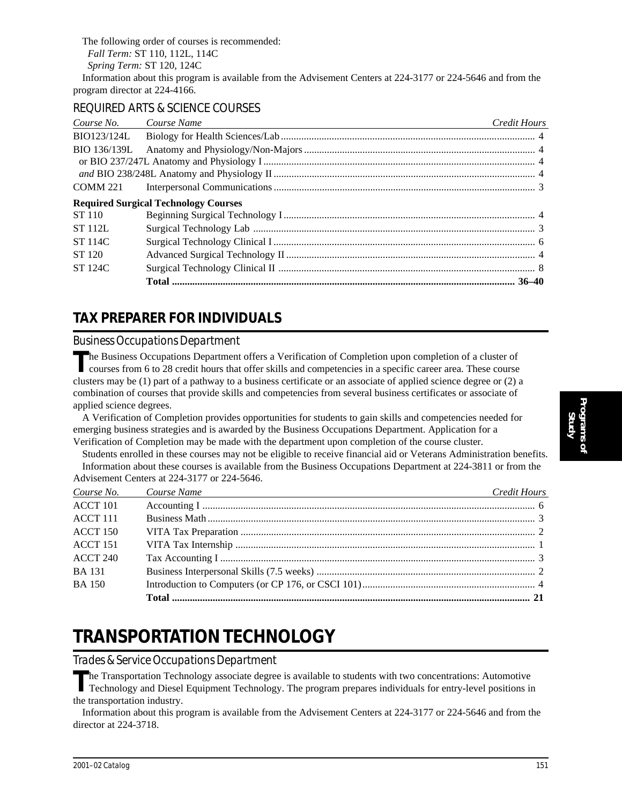The following order of courses is recommended: *Fall Term:* ST 110, 112L, 114C *Spring Term:* ST 120, 124C Information about this program is available from the Advisement Centers at 224-3177 or 224-5646 and from the program director at 224-4166.

# REQUIRED ARTS & SCIENCE COURSES

| Course No.     | Course Name                                 | <b>Credit Hours</b> |
|----------------|---------------------------------------------|---------------------|
| BIO123/124L    |                                             |                     |
| BIO 136/139L   |                                             |                     |
|                |                                             |                     |
|                |                                             |                     |
|                |                                             |                     |
|                | <b>Required Surgical Technology Courses</b> |                     |
| ST 110         |                                             |                     |
| <b>ST 112L</b> |                                             |                     |
| <b>ST 114C</b> |                                             |                     |
| ST 120         |                                             |                     |
| <b>ST 124C</b> |                                             |                     |
|                |                                             |                     |

# **TAX PREPARER FOR INDIVIDUALS**

# *Business Occupations Department*

The Business Occupations Department offers a Verification of Completion upon completion of a cluster of courses from 6 to 28 credit hours that offer skills and competencies in a specific career area. These course clusters may be (1) part of a pathway to a business certificate or an associate of applied science degree or (2) a combination of courses that provide skills and competencies from several business certificates or associate of applied science degrees.

A Verification of Completion provides opportunities for students to gain skills and competencies needed for emerging business strategies and is awarded by the Business Occupations Department. Application for a Verification of Completion may be made with the department upon completion of the course cluster.

Students enrolled in these courses may not be eligible to receive financial aid or Veterans Administration benefits. Information about these courses is available from the Business Occupations Department at 224-3811 or from the Advisement Centers at 224-3177 or 224-5646.

| Course No.      | Course Name<br><u> 1980 - Johann Barbara, martxa alemaniar argumento este alemaniar alemaniar alemaniar alemaniar alemaniar al</u> | Credit Hours |
|-----------------|------------------------------------------------------------------------------------------------------------------------------------|--------------|
| ACCT 101        |                                                                                                                                    |              |
| $ACCT$ 111      |                                                                                                                                    |              |
| <b>ACCT 150</b> |                                                                                                                                    |              |
| <b>ACCT 151</b> |                                                                                                                                    |              |
| <b>ACCT 240</b> |                                                                                                                                    |              |
| <b>BA</b> 131   |                                                                                                                                    |              |
| <b>BA</b> 150   |                                                                                                                                    |              |
|                 |                                                                                                                                    |              |

# **TRANSPORTATION TECHNOLOGY**

# *Trades & Service Occupations Department*

**T**he Transportation Technology associate degree is available to students with two concentrations: Automotive Technology and Diesel Equipment Technology. The program prepares individuals for entry-level positions in the transportation industry.

Information about this program is available from the Advisement Centers at 224-3177 or 224-5646 and from the director at 224-3718.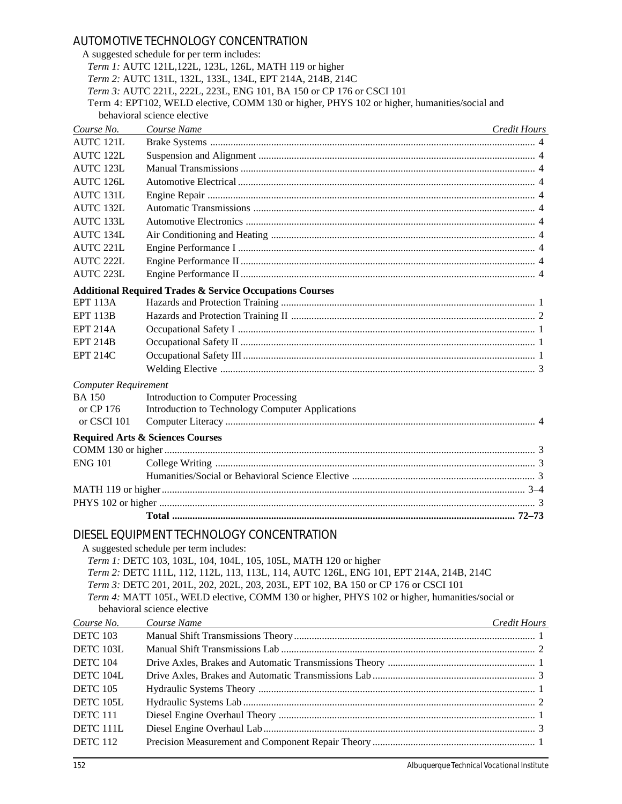# AUTOMOTIVE TECHNOLOGY CONCENTRATION

|                             | A suggested schedule for per term includes:                                                    |              |
|-----------------------------|------------------------------------------------------------------------------------------------|--------------|
|                             | Term 1: AUTC 121L, 122L, 123L, 126L, MATH 119 or higher                                        |              |
|                             | Term 2: AUTC 131L, 132L, 133L, 134L, EPT 214A, 214B, 214C                                      |              |
|                             | Term 3: AUTC 221L, 222L, 223L, ENG 101, BA 150 or CP 176 or CSCI 101                           |              |
|                             | Term 4: EPT102, WELD elective, COMM 130 or higher, PHYS 102 or higher, humanities/social and   |              |
|                             | behavioral science elective                                                                    |              |
| Course No.                  | Course Name                                                                                    | Credit Hours |
| AUTC 121L                   |                                                                                                |              |
| <b>AUTC 122L</b>            |                                                                                                |              |
| AUTC 123L                   |                                                                                                |              |
| AUTC 126L                   |                                                                                                |              |
| AUTC 131L                   |                                                                                                |              |
| AUTC 132L                   |                                                                                                |              |
| AUTC 133L                   |                                                                                                |              |
| AUTC 134L                   |                                                                                                |              |
| AUTC 221L                   |                                                                                                |              |
| AUTC 222L                   |                                                                                                |              |
| AUTC 223L                   |                                                                                                |              |
|                             |                                                                                                |              |
|                             | <b>Additional Required Trades &amp; Service Occupations Courses</b>                            |              |
| <b>EPT 113A</b>             |                                                                                                |              |
| <b>EPT 113B</b>             |                                                                                                |              |
| <b>EPT 214A</b>             |                                                                                                |              |
| <b>EPT 214B</b>             |                                                                                                |              |
| <b>EPT 214C</b>             |                                                                                                |              |
|                             |                                                                                                |              |
| <b>Computer Requirement</b> |                                                                                                |              |
| <b>BA 150</b>               | Introduction to Computer Processing                                                            |              |
| or CP 176                   | Introduction to Technology Computer Applications                                               |              |
| or CSCI 101                 |                                                                                                |              |
|                             | <b>Required Arts &amp; Sciences Courses</b>                                                    |              |
|                             |                                                                                                |              |
| <b>ENG 101</b>              |                                                                                                |              |
|                             |                                                                                                |              |
|                             |                                                                                                |              |
|                             |                                                                                                |              |
|                             |                                                                                                |              |
|                             |                                                                                                |              |
|                             | DIESEL EQUIPMENT TECHNOLOGY CONCENTRATION                                                      |              |
|                             | A suggested schedule per term includes:                                                        |              |
|                             | Term 1: DETC 103, 103L, 104, 104L, 105, 105L, MATH 120 or higher                               |              |
|                             | Term 2: DETC 111L, 112, 112L, 113, 113L, 114, AUTC 126L, ENG 101, EPT 214A, 214B, 214C         |              |
|                             | Term 3: DETC 201, 201L, 202, 202L, 203, 203L, EPT 102, BA 150 or CP 176 or CSCI 101            |              |
|                             | Term 4: MATT 105L, WELD elective, COMM 130 or higher, PHYS 102 or higher, humanities/social or |              |
|                             | behavioral science elective                                                                    |              |
| Course No.                  | Course Name                                                                                    | Credit Hours |
| <b>DETC 103</b>             |                                                                                                |              |
| DETC 103L                   |                                                                                                |              |
| <b>DETC 104</b>             |                                                                                                |              |
| DETC 104L                   |                                                                                                |              |
| <b>DETC 105</b>             |                                                                                                |              |
| DETC 105L                   |                                                                                                |              |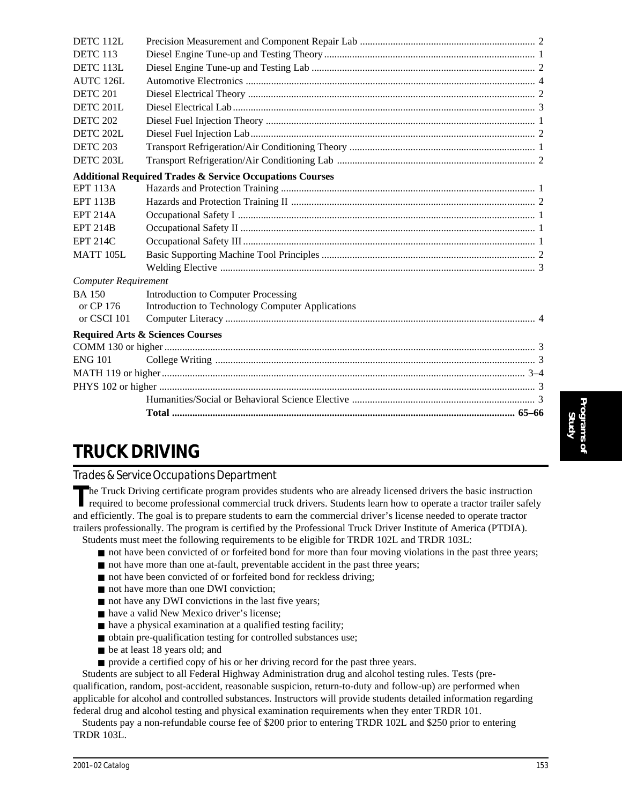| DETC 112L                   |                                                                     |  |
|-----------------------------|---------------------------------------------------------------------|--|
| <b>DETC 113</b>             |                                                                     |  |
| DETC 113L                   |                                                                     |  |
| <b>AUTC 126L</b>            |                                                                     |  |
| <b>DETC 201</b>             |                                                                     |  |
| DETC 201L                   |                                                                     |  |
| <b>DETC 202</b>             |                                                                     |  |
| DETC 202L                   |                                                                     |  |
| <b>DETC 203</b>             |                                                                     |  |
| DETC 203L                   |                                                                     |  |
|                             | <b>Additional Required Trades &amp; Service Occupations Courses</b> |  |
| <b>EPT 113A</b>             |                                                                     |  |
| <b>EPT 113B</b>             |                                                                     |  |
| <b>EPT 214A</b>             |                                                                     |  |
| <b>EPT 214B</b>             |                                                                     |  |
| <b>EPT 214C</b>             |                                                                     |  |
| MATT 105L                   |                                                                     |  |
|                             |                                                                     |  |
| <b>Computer Requirement</b> |                                                                     |  |
| <b>BA150</b>                | Introduction to Computer Processing                                 |  |
| or CP 176                   | Introduction to Technology Computer Applications                    |  |
| or CSCI 101                 |                                                                     |  |
|                             | <b>Required Arts &amp; Sciences Courses</b>                         |  |
|                             |                                                                     |  |
| <b>ENG 101</b>              |                                                                     |  |
|                             |                                                                     |  |
|                             |                                                                     |  |
|                             |                                                                     |  |
|                             |                                                                     |  |
|                             |                                                                     |  |

# **TRUCK DRIVING**

# *Trades & Service Occupations Department*

The Truck Driving certificate program provides students who are already licensed drivers the basic instruction<br>required to become professional commercial truck drivers. Students learn how to operate a tractor trailer safel and efficiently. The goal is to prepare students to earn the commercial driver's license needed to operate tractor trailers professionally. The program is certified by the Professional Truck Driver Institute of America (PTDIA). Students must meet the following requirements to be eligible for TRDR 102L and TRDR 103L:

■ not have been convicted of or forfeited bond for more than four moving violations in the past three years;

- not have more than one at-fault, preventable accident in the past three years;
- not have been convicted of or forfeited bond for reckless driving;
- not have more than one DWI conviction;
- not have any DWI convictions in the last five years;
- have a valid New Mexico driver's license;
- have a physical examination at a qualified testing facility;
- obtain pre-qualification testing for controlled substances use;
- be at least 18 years old; and
- provide a certified copy of his or her driving record for the past three years.

Students are subject to all Federal Highway Administration drug and alcohol testing rules. Tests (prequalification, random, post-accident, reasonable suspicion, return-to-duty and follow-up) are performed when applicable for alcohol and controlled substances. Instructors will provide students detailed information regarding federal drug and alcohol testing and physical examination requirements when they enter TRDR 101.

Students pay a non-refundable course fee of \$200 prior to entering TRDR 102L and \$250 prior to entering TRDR 103L.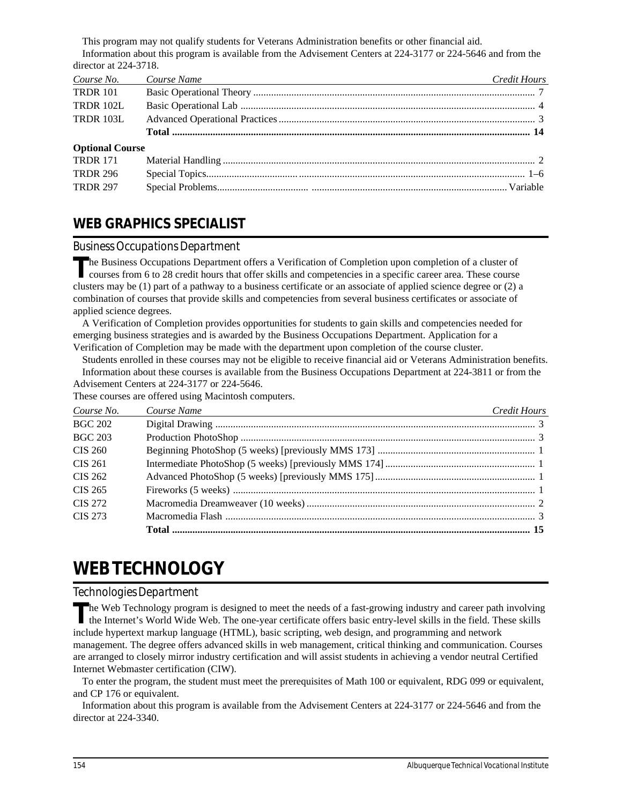This program may not qualify students for Veterans Administration benefits or other financial aid. Information about this program is available from the Advisement Centers at 224-3177 or 224-5646 and from the director at 224-3718.

| Course No.             | Course Name<br><u> 1989 - Johann Barn, mars and de Brasilian (b. 1989)</u> | <b>Credit Hours</b> |
|------------------------|----------------------------------------------------------------------------|---------------------|
| <b>TRDR 101</b>        |                                                                            |                     |
| <b>TRDR 102L</b>       |                                                                            |                     |
| <b>TRDR 103L</b>       |                                                                            |                     |
|                        |                                                                            |                     |
| <b>Optional Course</b> |                                                                            |                     |
| <b>TRDR 171</b>        |                                                                            |                     |
| <b>TRDR 296</b>        |                                                                            |                     |
| <b>TRDR 297</b>        |                                                                            |                     |

# **WEB GRAPHICS SPECIALIST**

# *Business Occupations Department*

The Business Occupations Department offers a Verification of Completion upon completion of a cluster of courses from 6 to 28 credit hours that offer skills and competencies in a specific career area. These course clusters may be (1) part of a pathway to a business certificate or an associate of applied science degree or (2) a combination of courses that provide skills and competencies from several business certificates or associate of applied science degrees.

A Verification of Completion provides opportunities for students to gain skills and competencies needed for emerging business strategies and is awarded by the Business Occupations Department. Application for a Verification of Completion may be made with the department upon completion of the course cluster.

Students enrolled in these courses may not be eligible to receive financial aid or Veterans Administration benefits. Information about these courses is available from the Business Occupations Department at 224-3811 or from the Advisement Centers at 224-3177 or 224-5646.

These courses are offered using Macintosh computers.

| Course No.     | Course Name<br><u> 1999 - Johann Stein, marwolaethau a bhann an t-Amhain ann an t-Amhain an t-Amhain an t-Amhain an t-Amhain an </u> | <b>Credit Hours</b> |
|----------------|--------------------------------------------------------------------------------------------------------------------------------------|---------------------|
| <b>BGC 202</b> |                                                                                                                                      |                     |
| <b>BGC 203</b> |                                                                                                                                      |                     |
| CIS 260        |                                                                                                                                      |                     |
| CIS 261        |                                                                                                                                      |                     |
| CIS 262        |                                                                                                                                      |                     |
| CIS 265        |                                                                                                                                      |                     |
| CIS 272        |                                                                                                                                      |                     |
| CIS 273        |                                                                                                                                      |                     |
|                |                                                                                                                                      |                     |

# **WEB TECHNOLOGY**

# *Technologies Department*

The Web Technology program is designed to meet the needs of a fast-growing industry and career path involving<br>the Internet's World Wide Web. The one-year certificate offers basic entry-level skills in the field. These skil include hypertext markup language (HTML), basic scripting, web design, and programming and network management. The degree offers advanced skills in web management, critical thinking and communication. Courses are arranged to closely mirror industry certification and will assist students in achieving a vendor neutral Certified Internet Webmaster certification (CIW).

To enter the program, the student must meet the prerequisites of Math 100 or equivalent, RDG 099 or equivalent, and CP 176 or equivalent.

Information about this program is available from the Advisement Centers at 224-3177 or 224-5646 and from the director at 224-3340.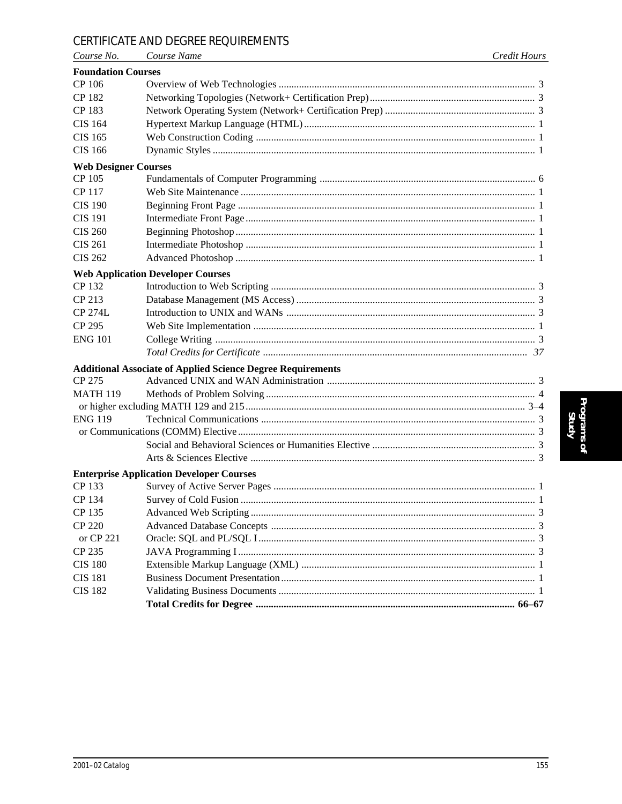# CERTIFICATE AND DEGREE REQUIREMENTS

| Course No.                  | Course Name                                                        | <b>Credit Hours</b> |
|-----------------------------|--------------------------------------------------------------------|---------------------|
| <b>Foundation Courses</b>   |                                                                    |                     |
| CP 106                      |                                                                    |                     |
| CP 182                      |                                                                    |                     |
| CP 183                      |                                                                    |                     |
| <b>CIS 164</b>              |                                                                    |                     |
| CIS 165                     |                                                                    |                     |
| <b>CIS 166</b>              |                                                                    |                     |
| <b>Web Designer Courses</b> |                                                                    |                     |
| CP 105                      |                                                                    |                     |
| CP 117                      |                                                                    |                     |
| <b>CIS 190</b>              |                                                                    |                     |
| <b>CIS 191</b>              |                                                                    |                     |
| <b>CIS 260</b>              |                                                                    |                     |
| <b>CIS 261</b>              |                                                                    |                     |
| <b>CIS 262</b>              |                                                                    |                     |
|                             | <b>Web Application Developer Courses</b>                           |                     |
| CP 132                      |                                                                    |                     |
| CP 213                      |                                                                    |                     |
| <b>CP 274L</b>              |                                                                    |                     |
| CP 295                      |                                                                    |                     |
| <b>ENG 101</b>              |                                                                    |                     |
|                             |                                                                    |                     |
|                             | <b>Additional Associate of Applied Science Degree Requirements</b> |                     |
| CP 275                      |                                                                    |                     |
| <b>MATH 119</b>             |                                                                    |                     |
|                             |                                                                    |                     |
| <b>ENG 119</b>              |                                                                    |                     |
|                             |                                                                    |                     |
|                             |                                                                    |                     |
|                             |                                                                    |                     |
|                             | <b>Enterprise Application Developer Courses</b>                    |                     |
| CP 133                      |                                                                    |                     |
| CP 134                      |                                                                    |                     |
| CP 135                      |                                                                    |                     |
| <b>CP 220</b>               |                                                                    |                     |
| or CP 221                   |                                                                    |                     |
| CP 235                      |                                                                    |                     |
| <b>CIS 180</b>              |                                                                    |                     |
| <b>CIS 181</b>              |                                                                    |                     |
| <b>CIS 182</b>              |                                                                    |                     |
|                             |                                                                    |                     |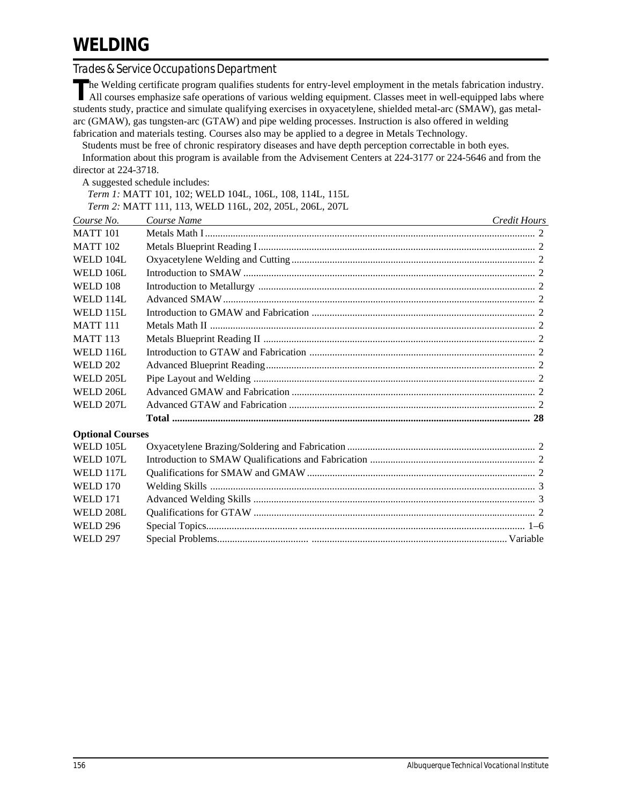# *Trades & Service Occupations Department*

The Welding certificate program qualifies students for entry-level employment in the metals fabrication industry.<br>All courses emphasize safe operations of various welding equipment. Classes meet in well-equipped labs where students study, practice and simulate qualifying exercises in oxyacetylene, shielded metal-arc (SMAW), gas metalarc (GMAW), gas tungsten-arc (GTAW) and pipe welding processes. Instruction is also offered in welding fabrication and materials testing. Courses also may be applied to a degree in Metals Technology.

Students must be free of chronic respiratory diseases and have depth perception correctable in both eyes. Information about this program is available from the Advisement Centers at 224-3177 or 224-5646 and from the director at 224-3718.

A suggested schedule includes:

*Term 1:* MATT 101, 102; WELD 104L, 106L, 108, 114L, 115L

*Term 2:* MATT 111, 113, WELD 116L, 202, 205L, 206L, 207L

| Course No.              | Course Name<br><u> 1989 - Johann John Stein, markin fan it ferstjer fan de ferstjer fan it ferstjer fan it ferstjer fan it fers</u> | Credit Hours |
|-------------------------|-------------------------------------------------------------------------------------------------------------------------------------|--------------|
| <b>MATT 101</b>         |                                                                                                                                     |              |
| <b>MATT 102</b>         |                                                                                                                                     |              |
| WELD 104L               |                                                                                                                                     |              |
| <b>WELD 106L</b>        |                                                                                                                                     |              |
| <b>WELD 108</b>         |                                                                                                                                     |              |
| <b>WELD 114L</b>        |                                                                                                                                     |              |
| <b>WELD 115L</b>        |                                                                                                                                     |              |
| <b>MATT 111</b>         |                                                                                                                                     |              |
| <b>MATT 113</b>         |                                                                                                                                     |              |
| WELD 116L               |                                                                                                                                     |              |
| <b>WELD 202</b>         |                                                                                                                                     |              |
| WELD 205L               |                                                                                                                                     |              |
| <b>WELD 206L</b>        |                                                                                                                                     |              |
| WELD 207L               |                                                                                                                                     |              |
|                         |                                                                                                                                     |              |
| <b>Optional Courses</b> |                                                                                                                                     |              |
| WELD 105L               |                                                                                                                                     |              |
| WELD 107L               |                                                                                                                                     |              |
| WELD 117L               |                                                                                                                                     |              |
| <b>WELD 170</b>         |                                                                                                                                     |              |
| <b>WELD 171</b>         |                                                                                                                                     |              |
| <b>WELD 208L</b>        |                                                                                                                                     |              |
| <b>WELD 296</b>         |                                                                                                                                     |              |
| <b>WELD 297</b>         |                                                                                                                                     |              |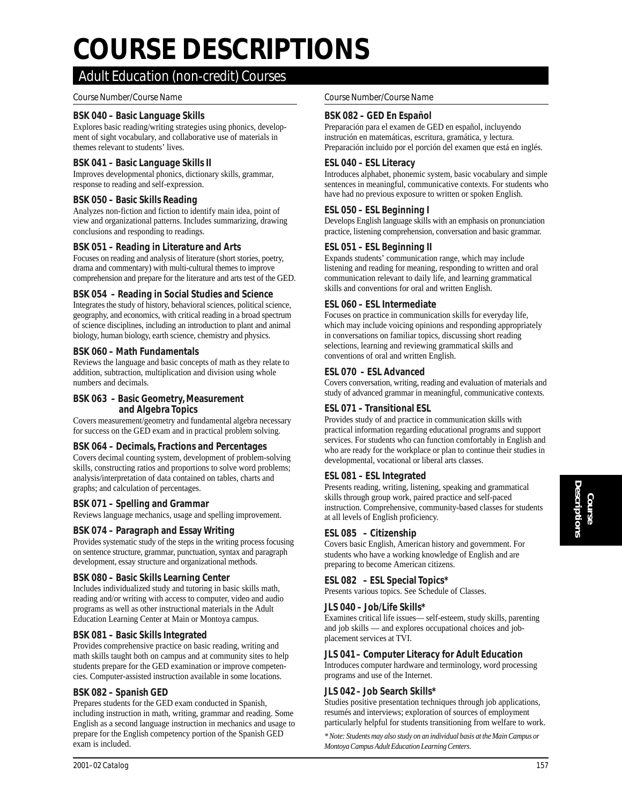# *Course Number/Course Name Credit Hours Course Number/Course Name Credit Hours* **COURSE DESCRIPTIONS**

# *Adult Education (non-credit) Courses*

# *Course Number/Course Name Course Number/Course Name*

# **BSK 040 – Basic Language Skills**

Explores basic reading/writing strategies using phonics, development of sight vocabulary, and collaborative use of materials in themes relevant to students' lives.

#### **BSK 041 – Basic Language Skills II**

Improves developmental phonics, dictionary skills, grammar, response to reading and self-expression.

#### **BSK 050 – Basic Skills Reading**

Analyzes non-fiction and fiction to identify main idea, point of view and organizational patterns. Includes summarizing, drawing conclusions and responding to readings.

#### **BSK 051 – Reading in Literature and Arts**

Focuses on reading and analysis of literature (short stories, poetry, drama and commentary) with multi-cultural themes to improve comprehension and prepare for the literature and arts test of the GED.

#### **BSK 054 – Reading in Social Studies and Science**

Integrates the study of history, behavioral sciences, political science, geography, and economics, with critical reading in a broad spectrum of science disciplines, including an introduction to plant and animal biology, human biology, earth science, chemistry and physics.

#### **BSK 060 – Math Fundamentals**

Reviews the language and basic concepts of math as they relate to addition, subtraction, multiplication and division using whole numbers and decimals.

#### **BSK 063 – Basic Geometry, Measurement and Algebra Topics**

Covers measurement/geometry and fundamental algebra necessary for success on the GED exam and in practical problem solving.

#### **BSK 064 – Decimals, Fractions and Percentages**

Covers decimal counting system, development of problem-solving skills, constructing ratios and proportions to solve word problems; analysis/interpretation of data contained on tables, charts and graphs; and calculation of percentages.

#### **BSK 071 – Spelling and Grammar**

Reviews language mechanics, usage and spelling improvement.

# **BSK 074 – Paragraph and Essay Writing**

Provides systematic study of the steps in the writing process focusing on sentence structure, grammar, punctuation, syntax and paragraph development, essay structure and organizational methods.

#### **BSK 080 – Basic Skills Learning Center**

Includes individualized study and tutoring in basic skills math, reading and/or writing with access to computer, video and audio programs as well as other instructional materials in the Adult Education Learning Center at Main or Montoya campus.

#### **BSK 081 – Basic Skills Integrated**

Provides comprehensive practice on basic reading, writing and math skills taught both on campus and at community sites to help students prepare for the GED examination or improve competencies. Computer-assisted instruction available in some locations.

#### **BSK 082 – Spanish GED**

Prepares students for the GED exam conducted in Spanish, including instruction in math, writing, grammar and reading. Some English as a second language instruction in mechanics and usage to prepare for the English competency portion of the Spanish GED exam is included.

#### **BSK 082 – GED En Español**

Preparación para el examen de GED en español, incluyendo instrución en matemáticas, escritura, gramática, y lectura. Preparación incluido por el porción del examen que está en inglés.

#### **ESL 040 – ESL Literacy**

Introduces alphabet, phonemic system, basic vocabulary and simple sentences in meaningful, communicative contexts. For students who have had no previous exposure to written or spoken English.

#### **ESL 050 – ESL Beginning I**

Develops English language skills with an emphasis on pronunciation practice, listening comprehension, conversation and basic grammar.

#### **ESL 051 – ESL Beginning II**

Expands students' communication range, which may include listening and reading for meaning, responding to written and oral communication relevant to daily life, and learning grammatical skills and conventions for oral and written English.

# **ESL 060 – ESL Intermediate**

Focuses on practice in communication skills for everyday life, which may include voicing opinions and responding appropriately in conversations on familiar topics, discussing short reading selections, learning and reviewing grammatical skills and conventions of oral and written English.

#### **ESL 070 – ESL Advanced**

Covers conversation, writing, reading and evaluation of materials and study of advanced grammar in meaningful, communicative contexts.

# **ESL 071 – Transitional ESL**

Provides study of and practice in communication skills with practical information regarding educational programs and support services. For students who can function comfortably in English and who are ready for the workplace or plan to continue their studies in developmental, vocational or liberal arts classes.

# **ESL 081 – ESL Integrated**

Presents reading, writing, listening, speaking and grammatical skills through group work, paired practice and self-paced instruction. Comprehensive, community-based classes for students at all levels of English proficiency.

#### **ESL 085 – Citizenship**

Covers basic English, American history and government. For students who have a working knowledge of English and are preparing to become American citizens.

# **ESL 082 – ESL Special Topics\***

Presents various topics. See Schedule of Classes.

#### **JLS 040 – Job/Life Skills\***

Examines critical life issues— self-esteem, study skills, parenting and job skills — and explores occupational choices and jobplacement services at TVI.

#### **JLS 041 – Computer Literacy for Adult Education**

Introduces computer hardware and terminology, word processing programs and use of the Internet.

#### **JLS 042 – Job Search Skills\***

Studies positive presentation techniques through job applications, resumés and interviews; exploration of sources of employment particularly helpful for students transitioning from welfare to work.

*\* Note: Students may also study on an individual basis at the Main Campus or Montoya Campus Adult Education Learning Centers.*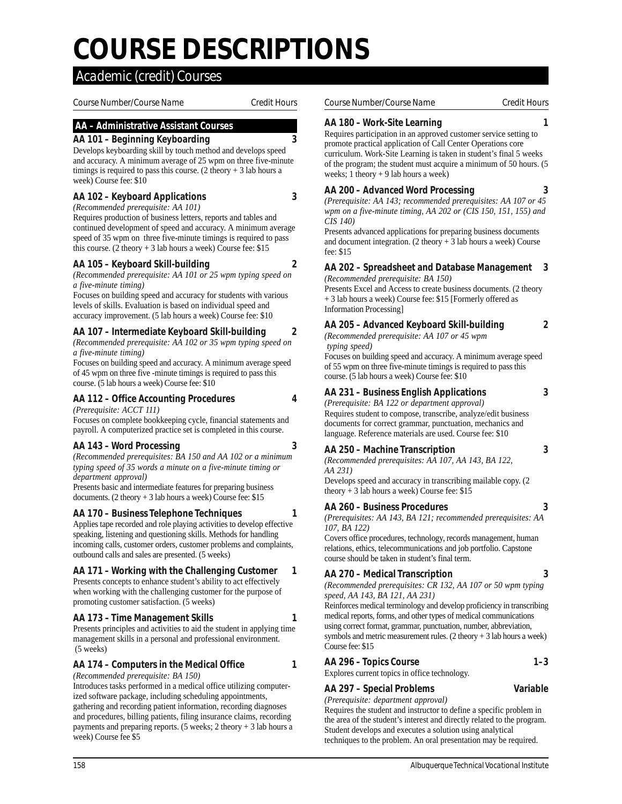# *Course Number/Course Name Credit Hours Course Number/Course Name Credit Hours* **COURSE DESCRIPTIONS**

# *Academic (credit) Courses*

# **AA – Administrative Assistant Courses**

# **AA 101 – Beginning Keyboarding 3**

Develops keyboarding skill by touch method and develops speed and accuracy. A minimum average of 25 wpm on three five-minute timings is required to pass this course.  $(2 \text{ theory} + 3 \text{ lab hours a})$ week) Course fee: \$10

# **AA 102 – Keyboard Applications 3**

*(Recommended prerequisite: AA 101)*

Requires production of business letters, reports and tables and continued development of speed and accuracy. A minimum average speed of 35 wpm on three five-minute timings is required to pass this course. (2 theory  $+3$  lab hours a week) Course fee: \$15

# **AA 105 – Keyboard Skill-building 2**

*(Recommended prerequisite: AA 101 or 25 wpm typing speed on a five-minute timing)*

Focuses on building speed and accuracy for students with various levels of skills. Evaluation is based on individual speed and accuracy improvement. (5 lab hours a week) Course fee: \$10

# **AA 107 – Intermediate Keyboard Skill-building 2**

*(Recommended prerequisite: AA 102 or 35 wpm typing speed on a five-minute timing)*

Focuses on building speed and accuracy. A minimum average speed of 45 wpm on three five -minute timings is required to pass this course. (5 lab hours a week) Course fee: \$10

**AA 112 – Office Accounting Procedures 4**

*(Prerequisite: ACCT 111)*

Focuses on complete bookkeeping cycle, financial statements and payroll. A computerized practice set is completed in this course.

# **AA 143 – Word Processing 3**

*(Recommended prerequisites: BA 150 and AA 102 or a minimum typing speed of 35 words a minute on a five-minute timing or department approval)*

Presents basic and intermediate features for preparing business documents. (2 theory + 3 lab hours a week) Course fee: \$15

# **AA 170 – Business Telephone Techniques 1**

Applies tape recorded and role playing activities to develop effective speaking, listening and questioning skills. Methods for handling incoming calls, customer orders, customer problems and complaints, outbound calls and sales are presented. (5 weeks)

# **AA 171 – Working with the Challenging Customer 1**

Presents concepts to enhance student's ability to act effectively when working with the challenging customer for the purpose of promoting customer satisfaction. (5 weeks)

# **AA 173 – Time Management Skills 1**

Presents principles and activities to aid the student in applying time management skills in a personal and professional environment. (5 weeks)

#### **AA 174 – Computers in the Medical Office 1** *(Recommended prerequisite: BA 150)*

Introduces tasks performed in a medical office utilizing computerized software package, including scheduling appointments, gathering and recording patient information, recording diagnoses and procedures, billing patients, filing insurance claims, recording payments and preparing reports. (5 weeks; 2 theory  $+3$  lab hours a week) Course fee \$5

#### *Course Number/Course Name Credit Hours Course Number/Course Name Credit Hours*

# **AA 180 – Work-Site Learning 1**

Requires participation in an approved customer service setting to promote practical application of Call Center Operations core curriculum. Work-Site Learning is taken in student's final 5 weeks of the program; the student must acquire a minimum of 50 hours. (5 weeks; 1 theory + 9 lab hours a week)

# **AA 200 – Advanced Word Processing 3**

*(Prerequisite: AA 143; recommended prerequisites: AA 107 or 45 wpm on a five-minute timing, AA 202 or (CIS 150, 151, 155) and CIS 140)*

Presents advanced applications for preparing business documents and document integration.  $(2 \text{ theory} + 3 \text{ lab hours a week})$  Course fee: \$15

#### **AA 202 – Spreadsheet and Database Management 3** *(Recommended prerequisite: BA 150)*

Presents Excel and Access to create business documents. (2 theory + 3 lab hours a week) Course fee: \$15 [Formerly offered as Information Processing]

# **AA 205 – Advanced Keyboard Skill-building 2**

*(Recommended prerequisite: AA 107 or 45 wpm typing speed)*

Focuses on building speed and accuracy. A minimum average speed of 55 wpm on three five-minute timings is required to pass this course. (5 lab hours a week) Course fee: \$10

# **AA 231 – Business English Applications 3**

*(Prerequisite: BA 122 or department approval)* Requires student to compose, transcribe, analyze/edit business documents for correct grammar, punctuation, mechanics and

# **AA 250 – Machine Transcription 3**

*(Recommended prerequisites: AA 107, AA 143, BA 122, AA 231)*

language. Reference materials are used. Course fee: \$10

Develops speed and accuracy in transcribing mailable copy. (2 theory  $+3$  lab hours a week) Course fee: \$15

# **AA 260 – Business Procedures 3**

*(Prerequisites: AA 143, BA 121; recommended prerequisites: AA 107, BA 122)*

Covers office procedures, technology, records management, human relations, ethics, telecommunications and job portfolio. Capstone course should be taken in student's final term.

# **AA 270 – Medical Transcription 3**

*(Recommended prerequisites: CR 132, AA 107 or 50 wpm typing speed, AA 143, BA 121, AA 231)*

Reinforces medical terminology and develop proficiency in transcribing medical reports, forms, and other types of medical communications using correct format, grammar, punctuation, number, abbreviation, symbols and metric measurement rules. (2 theory + 3 lab hours a week) Course fee: \$15

# **AA 296 – Topics Course 1–3**

Explores current topics in office technology.

# **AA 297 – Special Problems Variable**

*(Prerequisite: department approval)*

Requires the student and instructor to define a specific problem in the area of the student's interest and directly related to the program. Student develops and executes a solution using analytical techniques to the problem. An oral presentation may be required.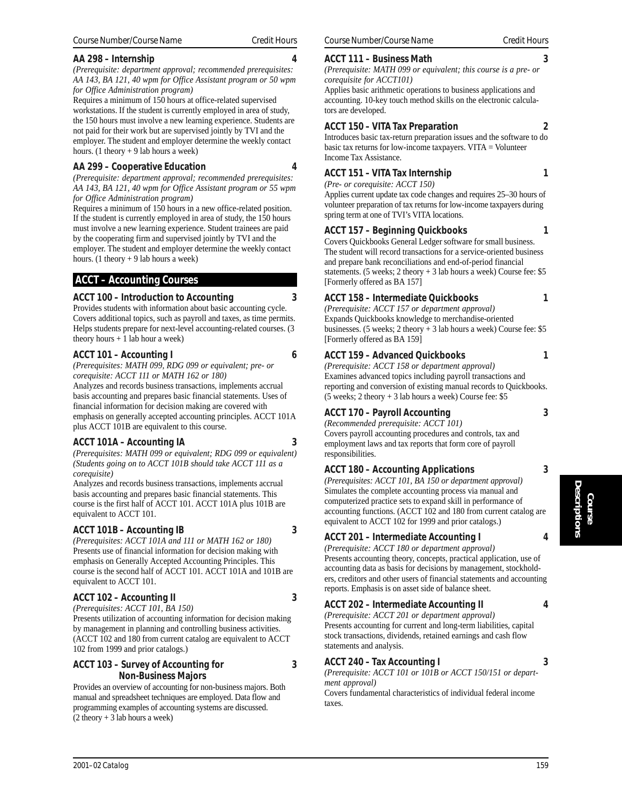Requires a minimum of 150 hours at office-related supervised workstations. If the student is currently employed in area of study, the 150 hours must involve a new learning experience. Students are not paid for their work but are supervised jointly by TVI and the employer. The student and employer determine the weekly contact hours. (1 theory + 9 lab hours a week)

# **AA 299 – Cooperative Education 4**

**AA 298 – Internship 4**

*(Prerequisite: department approval; recommended prerequisites: AA 143, BA 121, 40 wpm for Office Assistant program or 55 wpm for Office Administration program)*

Requires a minimum of 150 hours in a new office-related position. If the student is currently employed in area of study, the 150 hours must involve a new learning experience. Student trainees are paid by the cooperating firm and supervised jointly by TVI and the employer. The student and employer determine the weekly contact hours. (1 theory  $+9$  lab hours a week)

# **ACCT – Accounting Courses**

# **ACCT 100 – Introduction to Accounting 3**

Provides students with information about basic accounting cycle. Covers additional topics, such as payroll and taxes, as time permits. Helps students prepare for next-level accounting-related courses. (3 theory hours + 1 lab hour a week)

# **ACCT 101 – Accounting I 6**

*(Prerequisites: MATH 099, RDG 099 or equivalent; pre- or corequisite: ACCT 111 or MATH 162 or 180)*

Analyzes and records business transactions, implements accrual basis accounting and prepares basic financial statements. Uses of financial information for decision making are covered with emphasis on generally accepted accounting principles. ACCT 101A plus ACCT 101B are equivalent to this course.

# **ACCT 101A – Accounting IA 3**

*(Prerequisites: MATH 099 or equivalent; RDG 099 or equivalent) (Students going on to ACCT 101B should take ACCT 111 as a corequisite)*

Analyzes and records business transactions, implements accrual basis accounting and prepares basic financial statements. This course is the first half of ACCT 101. ACCT 101A plus 101B are equivalent to ACCT 101.

# **ACCT 101B – Accounting IB 3**

*(Prerequisites: ACCT 101A and 111 or MATH 162 or 180)* Presents use of financial information for decision making with emphasis on Generally Accepted Accounting Principles. This course is the second half of ACCT 101. ACCT 101A and 101B are equivalent to ACCT 101.

# **ACCT 102 – Accounting II 3**

*(Prerequisites: ACCT 101, BA 150)* Presents utilization of accounting information for decision making by management in planning and controlling business activities. (ACCT 102 and 180 from current catalog are equivalent to ACCT 102 from 1999 and prior catalogs.)

# **ACCT 103 – Survey of Accounting for 3 Non-Business Majors**

Provides an overview of accounting for non-business majors. Both manual and spreadsheet techniques are employed. Data flow and programming examples of accounting systems are discussed.  $(2$  theory + 3 lab hours a week)

# *Course Number/Course Name Credit Hours Course Number/Course Name Credit Hours*

# **ACCT 111 – Business Math 3**

*(Prerequisite: MATH 099 or equivalent; this course is a pre- or corequisite for ACCT101)*

Applies basic arithmetic operations to business applications and accounting. 10-key touch method skills on the electronic calculators are developed.

# **ACCT 150 – VITA Tax Preparation 2**

Introduces basic tax-return preparation issues and the software to do basic tax returns for low-income taxpayers. VITA  $=$  Volunteer Income Tax Assistance.

# **ACCT 151 – VITA Tax Internship 1**

*(Pre- or corequisite: ACCT 150)* Applies current update tax code changes and requires 25–30 hours of volunteer preparation of tax returns for low-income taxpayers during spring term at one of TVI's VITA locations.

# **ACCT 157 – Beginning Quickbooks 1**

Covers Quickbooks General Ledger software for small business. The student will record transactions for a service-oriented business and prepare bank reconciliations and end-of-period financial statements. (5 weeks; 2 theory + 3 lab hours a week) Course fee: \$5 [Formerly offered as BA 157]

# **ACCT 158 – Intermediate Quickbooks 1**

*(Prerequisite: ACCT 157 or department approval)* Expands Quickbooks knowledge to merchandise-oriented businesses. (5 weeks; 2 theory + 3 lab hours a week) Course fee: \$5 [Formerly offered as BA 159]

# **ACCT 159 – Advanced Quickbooks 1**

*(Prerequisite: ACCT 158 or department approval)* Examines advanced topics including payroll transactions and reporting and conversion of existing manual records to Quickbooks. (5 weeks; 2 theory + 3 lab hours a week) Course fee: \$5

# **ACCT 170 – Payroll Accounting 3**

*(Recommended prerequisite: ACCT 101)* Covers payroll accounting procedures and controls, tax and employment laws and tax reports that form core of payroll responsibilities.

# **ACCT 180 – Accounting Applications 3**

*(Prerequisites: ACCT 101, BA 150 or department approval)* Simulates the complete accounting process via manual and computerized practice sets to expand skill in performance of accounting functions. (ACCT 102 and 180 from current catalog are equivalent to ACCT 102 for 1999 and prior catalogs.)

# **ACCT 201 – Intermediate Accounting I 4**

*(Prerequisite: ACCT 180 or department approval)* Presents accounting theory, concepts, practical application, use of accounting data as basis for decisions by management, stockholders, creditors and other users of financial statements and accounting reports. Emphasis is on asset side of balance sheet.

# **ACCT 202 – Intermediate Accounting II 4**

*(Prerequisite: ACCT 201 or department approval)* Presents accounting for current and long-term liabilities, capital stock transactions, dividends, retained earnings and cash flow statements and analysis.

# **ACCT 240 – Tax Accounting I 3**

*(Prerequisite: ACCT 101 or 101B or ACCT 150/151 or department approval)*

Covers fundamental characteristics of individual federal income taxes.

**Course Descriptions**

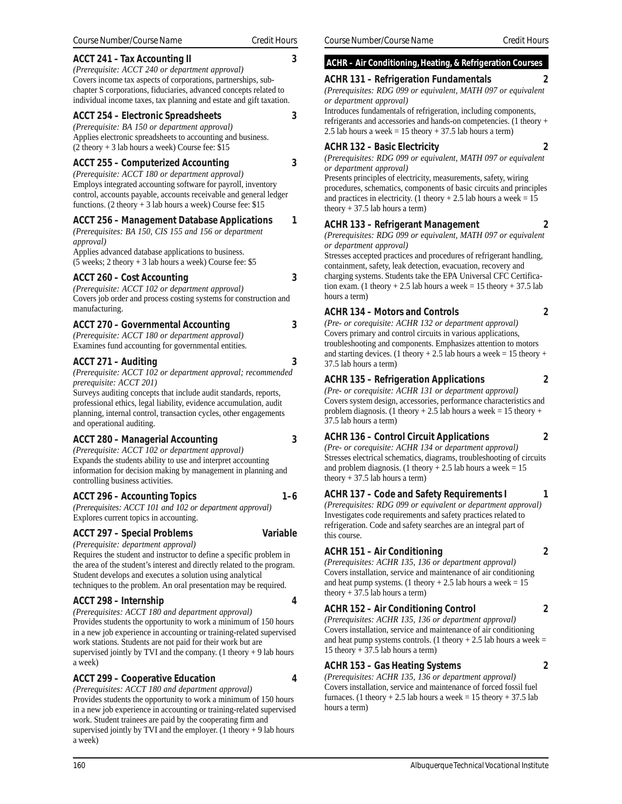# **ACCT 241 – Tax Accounting II 3**

*(Prerequisite: ACCT 240 or department approval)* Covers income tax aspects of corporations, partnerships, subchapter S corporations, fiduciaries, advanced concepts related to individual income taxes, tax planning and estate and gift taxation.

# **ACCT 254 – Electronic Spreadsheets 3**

*(Prerequisite: BA 150 or department approval)* Applies electronic spreadsheets to accounting and business.  $(2$  theory + 3 lab hours a week) Course fee: \$15

# **ACCT 255 – Computerized Accounting 3**

*(Prerequisite: ACCT 180 or department approval)* Employs integrated accounting software for payroll, inventory control, accounts payable, accounts receivable and general ledger functions. (2 theory + 3 lab hours a week) Course fee: \$15

# **ACCT 256 – Management Database Applications 1**

*(Prerequisites: BA 150, CIS 155 and 156 or department approval)* Applies advanced database applications to business.

(5 weeks; 2 theory + 3 lab hours a week) Course fee: \$5

# **ACCT 260 – Cost Accounting 3**

*(Prerequisite: ACCT 102 or department approval)* Covers job order and process costing systems for construction and manufacturing.

# **ACCT 270 – Governmental Accounting 3**

*(Prerequisite: ACCT 180 or department approval)* Examines fund accounting for governmental entities.

# **ACCT 271 – Auditing 3**

*(Prerequisite: ACCT 102 or department approval; recommended prerequisite: ACCT 201)*

Surveys auditing concepts that include audit standards, reports, professional ethics, legal liability, evidence accumulation, audit planning, internal control, transaction cycles, other engagements and operational auditing.

# **ACCT 280 – Managerial Accounting 3**

*(Prerequisite: ACCT 102 or department approval)* Expands the students ability to use and interpret accounting information for decision making by management in planning and controlling business activities.

# **ACCT 296 – Accounting Topics 1–6**

*(Prerequisites: ACCT 101 and 102 or department approval)* Explores current topics in accounting.

# **ACCT 297 – Special Problems Variable**

# *(Prerequisite: department approval)* Requires the student and instructor to define a specific problem in

the area of the student's interest and directly related to the program. Student develops and executes a solution using analytical techniques to the problem. An oral presentation may be required.

# **ACCT 298 – Internship 4**

*(Prerequisites: ACCT 180 and department approval)* Provides students the opportunity to work a minimum of 150 hours in a new job experience in accounting or training-related supervised work stations. Students are not paid for their work but are supervised jointly by TVI and the company. (1 theory  $+9$  lab hours a week)

# **ACCT 299 – Cooperative Education 4**

*(Prerequisites: ACCT 180 and department approval)* Provides students the opportunity to work a minimum of 150 hours in a new job experience in accounting or training-related supervised work. Student trainees are paid by the cooperating firm and supervised jointly by TVI and the employer.  $(1$  theory + 9 lab hours a week)

# **ACHR – Air Conditioning, Heating, & Refrigeration Courses**

# **ACHR 131 – Refrigeration Fundamentals 2**

*(Prerequisites: RDG 099 or equivalent, MATH 097 or equivalent or department approval)*

Introduces fundamentals of refrigeration, including components, refrigerants and accessories and hands-on competencies. (1 theory + 2.5 lab hours a week = 15 theory + 37.5 lab hours a term)

# **ACHR 132 – Basic Electricity 2**

*(Prerequisites: RDG 099 or equivalent, MATH 097 or equivalent or department approval)*

Presents principles of electricity, measurements, safety, wiring procedures, schematics, components of basic circuits and principles and practices in electricity. (1 theory  $+ 2.5$  lab hours a week = 15 theory  $+ 37.5$  lab hours a term)

# **ACHR 133 – Refrigerant Management 2**

*(Prerequisites: RDG 099 or equivalent, MATH 097 or equivalent or department approval)*

Stresses accepted practices and procedures of refrigerant handling, containment, safety, leak detection, evacuation, recovery and charging systems. Students take the EPA Universal CFC Certification exam. (1 theory  $+ 2.5$  lab hours a week = 15 theory  $+ 37.5$  lab hours a term)

# **ACHR 134 – Motors and Controls 2**

*(Pre- or corequisite: ACHR 132 or department approval)* Covers primary and control circuits in various applications, troubleshooting and components. Emphasizes attention to motors and starting devices. (1 theory + 2.5 lab hours a week = 15 theory + 37.5 lab hours a term)

# **ACHR 135 – Refrigeration Applications 2**

*(Pre- or corequisite: ACHR 131 or department approval)* Covers system design, accessories, performance characteristics and problem diagnosis. (1 theory + 2.5 lab hours a week = 15 theory + 37.5 lab hours a term)

# **ACHR 136 – Control Circuit Applications 2**

*(Pre- or corequisite: ACHR 134 or department approval)* Stresses electrical schematics, diagrams, troubleshooting of circuits and problem diagnosis. (1 theory  $+ 2.5$  lab hours a week = 15 theory  $+ 37.5$  lab hours a term)

#### **ACHR 137 – Code and Safety Requirements I 1** *(Prerequisites: RDG 099 or equivalent or department approval)* Investigates code requirements and safety practices related to refrigeration. Code and safety searches are an integral part of this course.

# **ACHR 151 – Air Conditioning 2**

*(Prerequisites: ACHR 135, 136 or department approval)* Covers installation, service and maintenance of air conditioning and heat pump systems. (1 theory  $+ 2.5$  lab hours a week = 15 theory  $+37.5$  lab hours a term)

# **ACHR 152 – Air Conditioning Control 2**

*(Prerequisites: ACHR 135, 136 or department approval)* Covers installation, service and maintenance of air conditioning and heat pump systems controls. (1 theory  $+ 2.5$  lab hours a week = 15 theory + 37.5 lab hours a term)

# **ACHR 153 – Gas Heating Systems 2**

*(Prerequisites: ACHR 135, 136 or department approval)* Covers installation, service and maintenance of forced fossil fuel furnaces. (1 theory  $+ 2.5$  lab hours a week = 15 theory  $+ 37.5$  lab hours a term)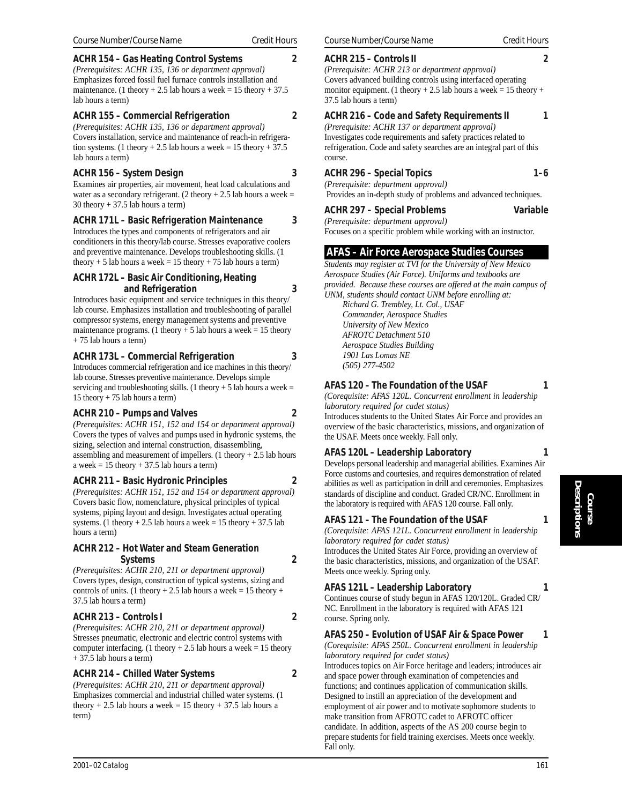Covers installation, service and maintenance of reach-in refrigeration systems. (1 theory  $+ 2.5$  lab hours a week = 15 theory  $+ 37.5$ lab hours a term)

# **ACHR 156 – System Design 3**

Examines air properties, air movement, heat load calculations and water as a secondary refrigerant. (2 theory  $+ 2.5$  lab hours a week = 30 theory  $+ 37.5$  lab hours a term)

# **ACHR 171L – Basic Refrigeration Maintenance 3**

Introduces the types and components of refrigerators and air conditioners in this theory/lab course. Stresses evaporative coolers and preventive maintenance. Develops troubleshooting skills. (1 theory + 5 lab hours a week =  $15$  theory + 75 lab hours a term)

# **ACHR 172L – Basic Air Conditioning, Heating and Refrigeration 3**

Introduces basic equipment and service techniques in this theory/ lab course. Emphasizes installation and troubleshooting of parallel compressor systems, energy management systems and preventive maintenance programs. (1 theory + 5 lab hours a week = 15 theory + 75 lab hours a term)

# **ACHR 173L – Commercial Refrigeration 3**

Introduces commercial refrigeration and ice machines in this theory/ lab course. Stresses preventive maintenance. Develops simple servicing and troubleshooting skills. (1 theory  $+ 5$  lab hours a week = 15 theory + 75 lab hours a term)

# **ACHR 210 – Pumps and Valves 2**

*(Prerequisites: ACHR 151, 152 and 154 or department approval)* Covers the types of valves and pumps used in hydronic systems, the sizing, selection and internal construction, disassembling, assembling and measurement of impellers. (1 theory  $+ 2.5$  lab hours a week  $= 15$  theory  $+ 37.5$  lab hours a term)

# **ACHR 211 – Basic Hydronic Principles 2**

*(Prerequisites: ACHR 151, 152 and 154 or department approval)* Covers basic flow, nomenclature, physical principles of typical systems, piping layout and design. Investigates actual operating systems. (1 theory  $+ 2.5$  lab hours a week = 15 theory  $+ 37.5$  lab hours a term)

# **ACHR 212 – Hot Water and Steam Generation Systems 2**

*(Prerequisites: ACHR 210, 211 or department approval)* Covers types, design, construction of typical systems, sizing and controls of units. (1 theory + 2.5 lab hours a week = 15 theory + 37.5 lab hours a term)

# **ACHR 213 – Controls I 2**

*(Prerequisites: ACHR 210, 211 or department approval)* Stresses pneumatic, electronic and electric control systems with computer interfacing. (1 theory  $+ 2.5$  lab hours a week = 15 theory + 37.5 lab hours a term)

# **ACHR 214 – Chilled Water Systems 2**

*(Prerequisites: ACHR 210, 211 or department approval)* Emphasizes commercial and industrial chilled water systems. (1 theory  $+ 2.5$  lab hours a week = 15 theory  $+ 37.5$  lab hours a term)

# **ACHR 215 – Controls II 2**

*(Prerequisite: ACHR 213 or department approval)* Covers advanced building controls using interfaced operating monitor equipment. (1 theory + 2.5 lab hours a week = 15 theory + 37.5 lab hours a term)

# **ACHR 216 – Code and Safety Requirements II** 1

*(Prerequisite: ACHR 137 or department approval)* Investigates code requirements and safety practices related to refrigeration. Code and safety searches are an integral part of this course.

# **ACHR 296 – Special Topics 1–6**

*(Prerequisite: department approval)*

Provides an in-depth study of problems and advanced techniques.

# **ACHR 297 – Special Problems Variable**

*(Prerequisite: department approval)* Focuses on a specific problem while working with an instructor.

 **AFAS – Air Force Aerospace Studies Courses** *Students may register at TVI for the University of New Mexico Aerospace Studies (Air Force). Uniforms and textbooks are provided. Because these courses are offered at the main campus of UNM, students should contact UNM before enrolling at:*

*Richard G. Trembley, Lt. Col., USAF Commander, Aerospace Studies University of New Mexico AFROTC Detachment 510 Aerospace Studies Building 1901 Las Lomas NE (505) 277-4502*

# **AFAS 120 – The Foundation of the USAF 1**

*(Corequisite: AFAS 120L. Concurrent enrollment in leadership laboratory required for cadet status)*

Introduces students to the United States Air Force and provides an overview of the basic characteristics, missions, and organization of the USAF. Meets once weekly. Fall only.

# **AFAS 120L – Leadership Laboratory 1**

Develops personal leadership and managerial abilities. Examines Air Force customs and courtesies, and requires demonstration of related abilities as well as participation in drill and ceremonies. Emphasizes standards of discipline and conduct. Graded CR/NC. Enrollment in the laboratory is required with AFAS 120 course. Fall only.

# **AFAS 121 – The Foundation of the USAF 1**

*(Corequisite: AFAS 121L. Concurrent enrollment in leadership laboratory required for cadet status)*

Introduces the United States Air Force, providing an overview of the basic characteristics, missions, and organization of the USAF. Meets once weekly. Spring only.

# **AFAS 121L – Leadership Laboratory 1**

Continues course of study begun in AFAS 120/120L. Graded CR/ NC. Enrollment in the laboratory is required with AFAS 121 course. Spring only.

# **AFAS 250 – Evolution of USAF Air & Space Power 1**

*(Corequisite: AFAS 250L. Concurrent enrollment in leadership laboratory required for cadet status)*

Introduces topics on Air Force heritage and leaders; introduces air and space power through examination of competencies and functions; and continues application of communication skills. Designed to instill an appreciation of the development and employment of air power and to motivate sophomore students to make transition from AFROTC cadet to AFROTC officer candidate. In addition, aspects of the AS 200 course begin to prepare students for field training exercises. Meets once weekly. Fall only.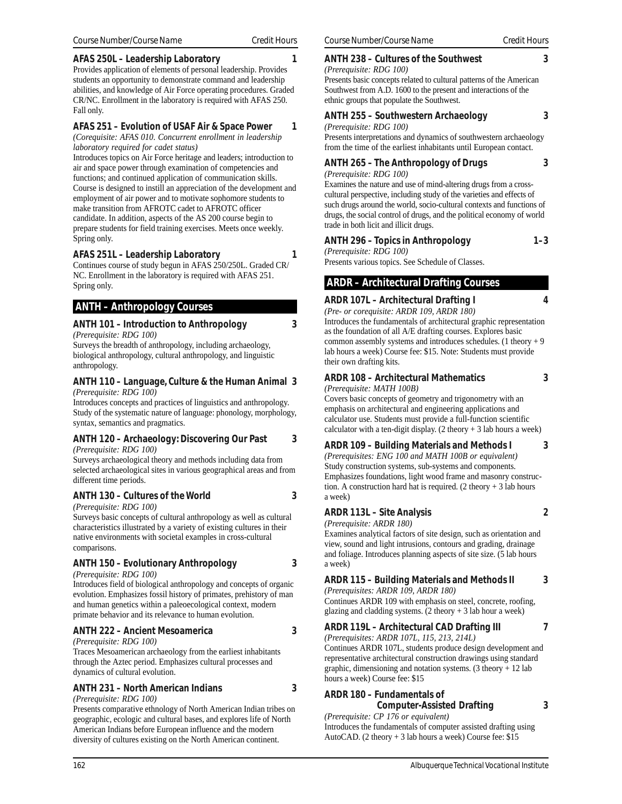# **AFAS 250L – Leadership Laboratory 1**

Provides application of elements of personal leadership. Provides students an opportunity to demonstrate command and leadership abilities, and knowledge of Air Force operating procedures. Graded CR/NC. Enrollment in the laboratory is required with AFAS 250. Fall only.

# **AFAS 251 – Evolution of USAF Air & Space Power 1**

*(Corequisite: AFAS 010. Concurrent enrollment in leadership laboratory required for cadet status)*

Introduces topics on Air Force heritage and leaders; introduction to air and space power through examination of competencies and functions; and continued application of communication skills. Course is designed to instill an appreciation of the development and employment of air power and to motivate sophomore students to make transition from AFROTC cadet to AFROTC officer candidate. In addition, aspects of the AS 200 course begin to prepare students for field training exercises. Meets once weekly. Spring only.

# **AFAS 251L – Leadership Laboratory 1**

Continues course of study begun in AFAS 250/250L. Graded CR/ NC. Enrollment in the laboratory is required with AFAS 251. Spring only.

# **ANTH – Anthropology Courses**

#### **ANTH 101 – Introduction to Anthropology 3** *(Prerequisite: RDG 100)*

Surveys the breadth of anthropology, including archaeology, biological anthropology, cultural anthropology, and linguistic anthropology.

#### **ANTH 110 – Language, Culture & the Human Animal 3** *(Prerequisite: RDG 100)*

Introduces concepts and practices of linguistics and anthropology. Study of the systematic nature of language: phonology, morphology, syntax, semantics and pragmatics.

#### **ANTH 120 – Archaeology: Discovering Our Past 3** *(Prerequisite: RDG 100)*

Surveys archaeological theory and methods including data from selected archaeological sites in various geographical areas and from different time periods.

# **ANTH 130 – Cultures of the World 3**

*(Prerequisite: RDG 100)*

Surveys basic concepts of cultural anthropology as well as cultural characteristics illustrated by a variety of existing cultures in their native environments with societal examples in cross-cultural comparisons.

# **ANTH 150 – Evolutionary Anthropology 3**

*(Prerequisite: RDG 100)*

Introduces field of biological anthropology and concepts of organic evolution. Emphasizes fossil history of primates, prehistory of man and human genetics within a paleoecological context, modern primate behavior and its relevance to human evolution.

# **ANTH 222 – Ancient Mesoamerica 3**

*(Prerequisite: RDG 100)*

Traces Mesoamerican archaeology from the earliest inhabitants through the Aztec period. Emphasizes cultural processes and dynamics of cultural evolution.

# **ANTH 231 – North American Indians 3**

*(Prerequisite: RDG 100)*

Presents comparative ethnology of North American Indian tribes on geographic, ecologic and cultural bases, and explores life of North American Indians before European influence and the modern diversity of cultures existing on the North American continent.

# **ANTH 238 – Cultures of the Southwest 3**

*(Prerequisite: RDG 100)* Presents basic concepts related to cultural patterns of the American Southwest from A.D. 1600 to the present and interactions of the ethnic groups that populate the Southwest.

# **ANTH 255 – Southwestern Archaeology 3**

#### *(Prerequisite: RDG 100)*

Presents interpretations and dynamics of southwestern archaeology from the time of the earliest inhabitants until European contact.

# **ANTH 265 – The Anthropology of Drugs 3**

*(Prerequisite: RDG 100)*

Examines the nature and use of mind-altering drugs from a crosscultural perspective, including study of the varieties and effects of such drugs around the world, socio-cultural contexts and functions of drugs, the social control of drugs, and the political economy of world trade in both licit and illicit drugs.

# **ANTH 296 – Topics in Anthropology 1–3**

*(Prerequisite: RDG 100)*

Presents various topics. See Schedule of Classes.

# **ARDR – Architectural Drafting Courses**

# **ARDR 107L – Architectural Drafting I 4**

*(Pre- or corequisite: ARDR 109, ARDR 180)* Introduces the fundamentals of architectural graphic representation as the foundation of all A/E drafting courses. Explores basic common assembly systems and introduces schedules. (1 theory  $+9$ lab hours a week) Course fee: \$15. Note: Students must provide their own drafting kits.

# **ARDR 108 – Architectural Mathematics 3**

*(Prerequisite: MATH 100B)* Covers basic concepts of geometry and trigonometry with an emphasis on architectural and engineering applications and calculator use. Students must provide a full-function scientific calculator with a ten-digit display.  $(2 \text{ theory} + 3 \text{ lab hours a week})$ 

#### **ARDR 109 – Building Materials and Methods I 3**

*(Prerequisites: ENG 100 and MATH 100B or equivalent)* Study construction systems, sub-systems and components. Emphasizes foundations, light wood frame and masonry construction. A construction hard hat is required.  $(2 \text{ theory} + 3 \text{ lab hours})$ a week)

# **ARDR 113L – Site Analysis 2**

*(Prerequisite: ARDR 180)* Examines analytical factors of site design, such as orientation and view, sound and light intrusions, contours and grading, drainage and foliage. Introduces planning aspects of site size. (5 lab hours a week)

# **ARDR 115 – Building Materials and Methods II 3**

*(Prerequisites: ARDR 109, ARDR 180)*

Continues ARDR 109 with emphasis on steel, concrete, roofing, glazing and cladding systems.  $(2 \text{ theory} + 3 \text{ lab hour a week})$ 

# **ARDR 119L – Architectural CAD Drafting III 7**

*(Prerequisites: ARDR 107L, 115, 213, 214L)*

Continues ARDR 107L, students produce design development and representative architectural construction drawings using standard graphic, dimensioning and notation systems.  $(3$  theory + 12 lab hours a week) Course fee: \$15

# **ARDR 180 – Fundamentals of Computer-Assisted Drafting 3**

*(Prerequisite: CP 176 or equivalent)* Introduces the fundamentals of computer assisted drafting using AutoCAD. (2 theory + 3 lab hours a week) Course fee: \$15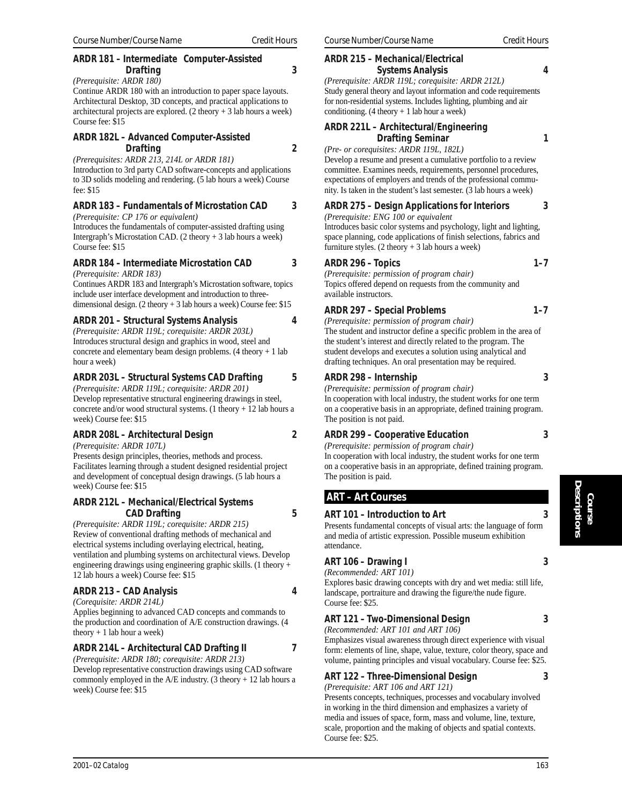# **ARDR 181 – Intermediate Computer-Assisted Drafting 3**

*(Prerequisite: ARDR 180)*

Continue ARDR 180 with an introduction to paper space layouts. Architectural Desktop, 3D concepts, and practical applications to architectural projects are explored.  $(2 \text{ theory} + 3 \text{ lab hours a week})$ Course fee: \$15

#### **ARDR 182L – Advanced Computer-Assisted Drafting 2**

*(Prerequisites: ARDR 213, 214L or ARDR 181)* Introduction to 3rd party CAD software-concepts and applications to 3D solids modeling and rendering. (5 lab hours a week) Course fee: \$15

# **ARDR 183 – Fundamentals of Microstation CAD 3**

*(Prerequisite: CP 176 or equivalent)*

Introduces the fundamentals of computer-assisted drafting using Intergraph's Microstation CAD. (2 theory + 3 lab hours a week) Course fee: \$15

# **ARDR 184 – Intermediate Microstation CAD 3**

*(Prerequisite: ARDR 183)*

Continues ARDR 183 and Intergraph's Microstation software, topics include user interface development and introduction to threedimensional design. (2 theory + 3 lab hours a week) Course fee: \$15

# **ARDR 201 – Structural Systems Analysis 4**

*(Prerequisite: ARDR 119L; corequisite: ARDR 203L)* Introduces structural design and graphics in wood, steel and concrete and elementary beam design problems. (4 theory + 1 lab hour a week)

# **ARDR 203L – Structural Systems CAD Drafting 5**

*(Prerequisite: ARDR 119L; corequisite: ARDR 201)* Develop representative structural engineering drawings in steel, concrete and/or wood structural systems. (1 theory + 12 lab hours a week) Course fee: \$15

# **ARDR 208L – Architectural Design 2**

*(Prerequisite: ARDR 107L)*

Presents design principles, theories, methods and process. Facilitates learning through a student designed residential project and development of conceptual design drawings. (5 lab hours a week) Course fee: \$15

# **ARDR 212L – Mechanical/Electrical Systems CAD Drafting 5**

*(Prerequisite: ARDR 119L; corequisite: ARDR 215)* Review of conventional drafting methods of mechanical and electrical systems including overlaying electrical, heating, ventilation and plumbing systems on architectural views. Develop engineering drawings using engineering graphic skills. (1 theory + 12 lab hours a week) Course fee: \$15

# **ARDR 213 – CAD Analysis 4**

*(Corequisite: ARDR 214L)*

Applies beginning to advanced CAD concepts and commands to the production and coordination of A/E construction drawings. (4 theory  $+1$  lab hour a week)

# **ARDR 214L – Architectural CAD Drafting II 7**

*(Prerequisite: ARDR 180; corequisite: ARDR 213)* Develop representative construction drawings using CAD software commonly employed in the A/E industry. (3 theory + 12 lab hours a week) Course fee: \$15

#### **ARDR 215 – Mechanical/Electrical Systems Analysis 4**

*(Prerequisite: ARDR 119L; corequisite: ARDR 212L)* Study general theory and layout information and code requirements for non-residential systems. Includes lighting, plumbing and air conditioning.  $(4 \text{ theory} + 1 \text{ lab hour a week})$ 

# **ARDR 221L – Architectural/Engineering Drafting Seminar 1**

*(Pre- or corequisites: ARDR 119L, 182L)*

Develop a resume and present a cumulative portfolio to a review committee. Examines needs, requirements, personnel procedures, expectations of employers and trends of the professional community. Is taken in the student's last semester. (3 lab hours a week)

# **ARDR 275 – Design Applications for Interiors 3**

*(Prerequisite: ENG 100 or equivalent* Introduces basic color systems and psychology, light and lighting, space planning, code applications of finish selections, fabrics and furniture styles. (2 theory + 3 lab hours a week)

# **ARDR 296 – Topics 1–7**

*(Prerequisite: permission of program chair)* Topics offered depend on requests from the community and available instructors.

# **ARDR 297 – Special Problems 1–7**

*(Prerequisite: permission of program chair)* The student and instructor define a specific problem in the area of the student's interest and directly related to the program. The student develops and executes a solution using analytical and drafting techniques. An oral presentation may be required.

# **ARDR 298 – Internship 3**

*(Prerequisite: permission of program chair)* In cooperation with local industry, the student works for one term on a cooperative basis in an appropriate, defined training program. The position is not paid.

# **ARDR 299 – Cooperative Education 3**

*(Prerequisite: permission of program chair)* In cooperation with local industry, the student works for one term on a cooperative basis in an appropriate, defined training program. The position is paid.

# **ART – Art Courses**

# **ART 101 – Introduction to Art 3**

Presents fundamental concepts of visual arts: the language of form and media of artistic expression. Possible museum exhibition attendance.

# **ART 106 – Drawing I 3**

*(Recommended: ART 101)*

Course fee: \$25.

Explores basic drawing concepts with dry and wet media: still life, landscape, portraiture and drawing the figure/the nude figure. Course fee: \$25.

# **ART 121 – Two-Dimensional Design 3**

*(Recommended: ART 101 and ART 106)* Emphasizes visual awareness through direct experience with visual form: elements of line, shape, value, texture, color theory, space and volume, painting principles and visual vocabulary. Course fee: \$25.

# **ART 122 – Three-Dimensional Design 3**

*(Prerequisite: ART 106 and ART 121)* Presents concepts, techniques, processes and vocabulary involved in working in the third dimension and emphasizes a variety of media and issues of space, form, mass and volume, line, texture, scale, proportion and the making of objects and spatial contexts.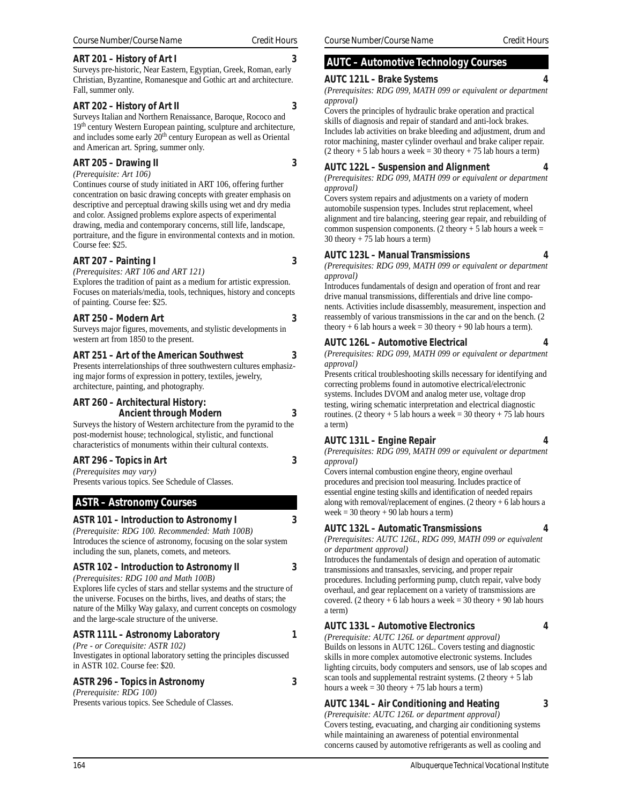#### **ART 201 – History of Art I 3**

Surveys pre-historic, Near Eastern, Egyptian, Greek, Roman, early Christian, Byzantine, Romanesque and Gothic art and architecture. Fall, summer only.

#### **ART 202 – History of Art II 3**

Surveys Italian and Northern Renaissance, Baroque, Rococo and 19th century Western European painting, sculpture and architecture, and includes some early 20<sup>th</sup> century European as well as Oriental and American art. Spring, summer only.

#### **ART 205 – Drawing II 3**

*(Prerequisite: Art 106)*

Continues course of study initiated in ART 106, offering further concentration on basic drawing concepts with greater emphasis on descriptive and perceptual drawing skills using wet and dry media and color. Assigned problems explore aspects of experimental drawing, media and contemporary concerns, still life, landscape, portraiture, and the figure in environmental contexts and in motion. Course fee: \$25.

# **ART 207 – Painting I 3**

*(Prerequisites: ART 106 and ART 121)* Explores the tradition of paint as a medium for artistic expression. Focuses on materials/media, tools, techniques, history and concepts of painting. Course fee: \$25.

#### **ART 250 – Modern Art 3**

Surveys major figures, movements, and stylistic developments in western art from 1850 to the present.

#### **ART 251 – Art of the American Southwest 3**

Presents interrelationships of three southwestern cultures emphasizing major forms of expression in pottery, textiles, jewelry, architecture, painting, and photography.

#### **ART 260 – Architectural History: Ancient through Modern 3**

Surveys the history of Western architecture from the pyramid to the post-modernist house; technological, stylistic, and functional characteristics of monuments within their cultural contexts.

# **ART 296 – Topics in Art 3**

*(Prerequisites may vary)* Presents various topics. See Schedule of Classes.

# **ASTR – Astronomy Courses**

# **ASTR 101 – Introduction to Astronomy I 3**

*(Prerequisite: RDG 100. Recommended: Math 100B)* Introduces the science of astronomy, focusing on the solar system including the sun, planets, comets, and meteors.

# **ASTR 102 – Introduction to Astronomy II 3**

*(Prerequisites: RDG 100 and Math 100B)* Explores life cycles of stars and stellar systems and the structure of the universe. Focuses on the births, lives, and deaths of stars; the nature of the Milky Way galaxy, and current concepts on cosmology and the large-scale structure of the universe.

# **ASTR 111L – Astronomy Laboratory 1**

*(Pre - or Corequisite: ASTR 102)* Investigates in optional laboratory setting the principles discussed in ASTR 102. Course fee: \$20.

# **ASTR 296 – Topics in Astronomy 3**

*(Prerequisite: RDG 100)* Presents various topics. See Schedule of Classes.

# **AUTC – Automotive Technology Courses**

#### **AUTC 121L – Brake Systems 4**

*(Prerequisites: RDG 099, MATH 099 or equivalent or department approval)*

Covers the principles of hydraulic brake operation and practical skills of diagnosis and repair of standard and anti-lock brakes. Includes lab activities on brake bleeding and adjustment, drum and rotor machining, master cylinder overhaul and brake caliper repair.  $(2$  theory + 5 lab hours a week = 30 theory + 75 lab hours a term)

# **AUTC 122L – Suspension and Alignment 4**

*(Prerequisites: RDG 099, MATH 099 or equivalent or department approval)*

Covers system repairs and adjustments on a variety of modern automobile suspension types. Includes strut replacement, wheel alignment and tire balancing, steering gear repair, and rebuilding of common suspension components. (2 theory  $+ 5$  lab hours a week = 30 theory + 75 lab hours a term)

# **AUTC 123L – Manual Transmissions 4**

*(Prerequisites: RDG 099, MATH 099 or equivalent or department approval)*

Introduces fundamentals of design and operation of front and rear drive manual transmissions, differentials and drive line components. Activities include disassembly, measurement, inspection and reassembly of various transmissions in the car and on the bench. (2 theory + 6 lab hours a week = 30 theory + 90 lab hours a term).

# **AUTC 126L – Automotive Electrical 4**

*(Prerequisites: RDG 099, MATH 099 or equivalent or department approval)*

Presents critical troubleshooting skills necessary for identifying and correcting problems found in automotive electrical/electronic systems. Includes DVOM and analog meter use, voltage drop testing, wiring schematic interpretation and electrical diagnostic routines. (2 theory + 5 lab hours a week = 30 theory + 75 lab hours a term)

# **AUTC 131L – Engine Repair 4**

*(Prerequisites: RDG 099, MATH 099 or equivalent or department approval)*

Covers internal combustion engine theory, engine overhaul procedures and precision tool measuring. Includes practice of essential engine testing skills and identification of needed repairs along with removal/replacement of engines. (2 theory + 6 lab hours a week =  $30$  theory +  $90$  lab hours a term)

# **AUTC 132L – Automatic Transmissions 4**

*(Prerequisites: AUTC 126L, RDG 099, MATH 099 or equivalent or department approval)*

Introduces the fundamentals of design and operation of automatic transmissions and transaxles, servicing, and proper repair procedures. Including performing pump, clutch repair, valve body overhaul, and gear replacement on a variety of transmissions are covered. (2 theory + 6 lab hours a week = 30 theory + 90 lab hours a term)

# **AUTC 133L – Automotive Electronics 4**

*(Prerequisite: AUTC 126L or department approval)* Builds on lessons in AUTC 126L. Covers testing and diagnostic skills in more complex automotive electronic systems. Includes lighting circuits, body computers and sensors, use of lab scopes and scan tools and supplemental restraint systems.  $(2 \text{ theory} + 5 \text{ lab})$ hours a week =  $30$  theory +  $75$  lab hours a term)

# **AUTC 134L – Air Conditioning and Heating 3**

*(Prerequisite: AUTC 126L or department approval)* Covers testing, evacuating, and charging air conditioning systems while maintaining an awareness of potential environmental concerns caused by automotive refrigerants as well as cooling and

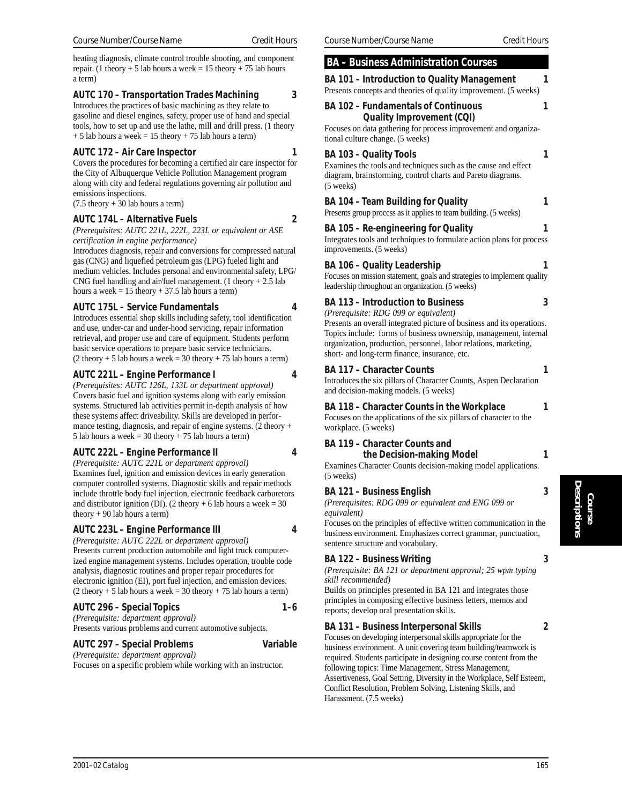heating diagnosis, climate control trouble shooting, and component repair. (1 theory + 5 lab hours a week =  $15$  theory + 75 lab hours a term)

# **AUTC 170 – Transportation Trades Machining 3**

Introduces the practices of basic machining as they relate to gasoline and diesel engines, safety, proper use of hand and special tools, how to set up and use the lathe, mill and drill press. (1 theory  $+ 5$  lab hours a week = 15 theory  $+ 75$  lab hours a term)

#### **AUTC 172 – Air Care Inspector 1**

Covers the procedures for becoming a certified air care inspector for the City of Albuquerque Vehicle Pollution Management program along with city and federal regulations governing air pollution and emissions inspections.  $(7.5$  theory  $+ 30$  lab hours a term)

# **AUTC 174L – Alternative Fuels 2**

*(Prerequisites: AUTC 221L, 222L, 223L or equivalent or ASE certification in engine performance)*

Introduces diagnosis, repair and conversions for compressed natural gas (CNG) and liquefied petroleum gas (LPG) fueled light and medium vehicles. Includes personal and environmental safety, LPG/ CNG fuel handling and air/fuel management. (1 theory  $+ 2.5$  lab hours a week  $= 15$  theory  $+ 37.5$  lab hours a term)

#### **AUTC 175L – Service Fundamentals 4**

Introduces essential shop skills including safety, tool identification and use, under-car and under-hood servicing, repair information retrieval, and proper use and care of equipment. Students perform basic service operations to prepare basic service technicians.  $(2$  theory + 5 lab hours a week = 30 theory + 75 lab hours a term)

# **AUTC 221L – Engine Performance I 4**

*(Prerequisites: AUTC 126L, 133L or department approval)* Covers basic fuel and ignition systems along with early emission systems. Structured lab activities permit in-depth analysis of how these systems affect driveability. Skills are developed in performance testing, diagnosis, and repair of engine systems. (2 theory + 5 lab hours a week =  $30$  theory +  $75$  lab hours a term)

# **AUTC 222L – Engine Performance II 4**

*(Prerequisite: AUTC 221L or department approval)* Examines fuel, ignition and emission devices in early generation computer controlled systems. Diagnostic skills and repair methods include throttle body fuel injection, electronic feedback carburetors and distributor ignition (DI). (2 theory + 6 lab hours a week =  $30$ theory + 90 lab hours a term)

# **AUTC 223L – Engine Performance III 4**

*(Prerequisite: AUTC 222L or department approval)* Presents current production automobile and light truck computerized engine management systems. Includes operation, trouble code analysis, diagnostic routines and proper repair procedures for electronic ignition (EI), port fuel injection, and emission devices.  $(2$  theory + 5 lab hours a week = 30 theory + 75 lab hours a term)

# **AUTC 296 – Special Topics 1–6**

*(Prerequisite: department approval)* Presents various problems and current automotive subjects.

#### **AUTC 297 – Special Problems Variable**

*(Prerequisite: department approval)* Focuses on a specific problem while working with an instructor.

# **BA – Business Administration Courses BA 101 – Introduction to Quality Management 1** Presents concepts and theories of quality improvement. (5 weeks) **BA 102 – Fundamentals of Continuous 1 Quality Improvement (CQI)** Focuses on data gathering for process improvement and organizational culture change. (5 weeks) **BA 103 – Quality Tools** 1 Examines the tools and techniques such as the cause and effect diagram, brainstorming, control charts and Pareto diagrams. (5 weeks) **BA 104 – Team Building for Quality 1** Presents group process as it applies to team building. (5 weeks) **BA 105 – Re-engineering for Quality 1** Integrates tools and techniques to formulate action plans for process improvements. (5 weeks) **BA 106 – Quality Leadership 1** Focuses on mission statement, goals and strategies to implement quality leadership throughout an organization. (5 weeks) **BA 113 – Introduction to Business 3** *(Prerequisite: RDG 099 or equivalent)* Presents an overall integrated picture of business and its operations. Topics include: forms of business ownership, management, internal organization, production, personnel, labor relations, marketing, short- and long-term finance, insurance, etc. **BA 117 – Character Counts 1**

Introduces the six pillars of Character Counts, Aspen Declaration and decision-making models. (5 weeks)

# **BA 118 – Character Counts in the Workplace 1**

Focuses on the applications of the six pillars of character to the workplace. (5 weeks)

# **BA 119 – Character Counts and**

**the Decision-making Model 1**

Examines Character Counts decision-making model applications. (5 weeks)

# **BA 121 – Business English 3**

*(Prerequisites: RDG 099 or equivalent and ENG 099 or equivalent)*

Focuses on the principles of effective written communication in the business environment. Emphasizes correct grammar, punctuation, sentence structure and vocabulary.

# **BA 122 – Business Writing 3**

*(Prerequisite: BA 121 or department approval; 25 wpm typing skill recommended)*

Builds on principles presented in BA 121 and integrates those principles in composing effective business letters, memos and reports; develop oral presentation skills.

# **BA 131 – Business Interpersonal Skills 2**

Focuses on developing interpersonal skills appropriate for the business environment. A unit covering team building/teamwork is required. Students participate in designing course content from the following topics: Time Management, Stress Management, Assertiveness, Goal Setting, Diversity in the Workplace, Self Esteem, Conflict Resolution, Problem Solving, Listening Skills, and Harassment. (7.5 weeks)

**Course**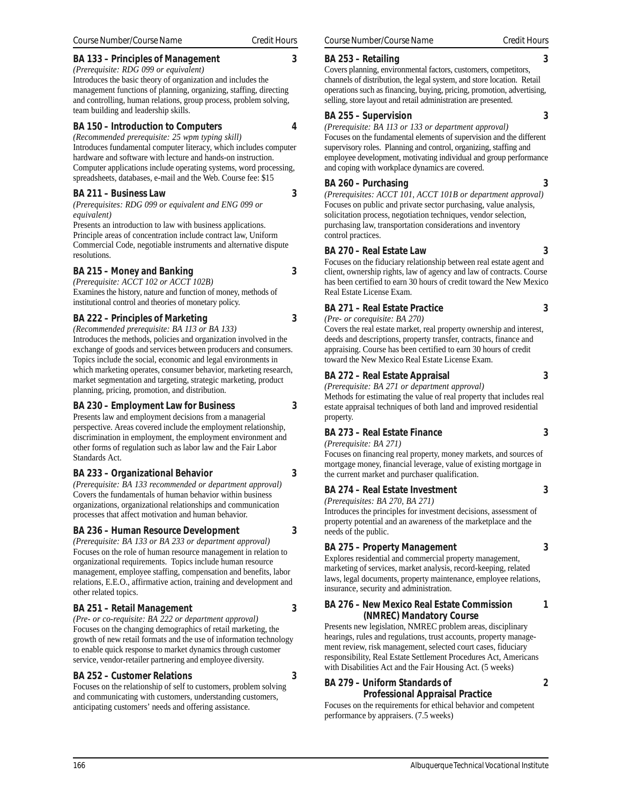# **BA 133 – Principles of Management 3**

*(Prerequisite: RDG 099 or equivalent)* Introduces the basic theory of organization and includes the management functions of planning, organizing, staffing, directing and controlling, human relations, group process, problem solving, team building and leadership skills.

# **BA 150 – Introduction to Computers 4**

*(Recommended prerequisite: 25 wpm typing skill)* Introduces fundamental computer literacy, which includes computer hardware and software with lecture and hands-on instruction. Computer applications include operating systems, word processing, spreadsheets, databases, e-mail and the Web. Course fee: \$15

# **BA 211 – Business Law 3**

*(Prerequisites: RDG 099 or equivalent and ENG 099 or equivalent)*

Presents an introduction to law with business applications. Principle areas of concentration include contract law, Uniform Commercial Code, negotiable instruments and alternative dispute resolutions.

# **BA 215 – Money and Banking 3**

*(Prerequisite: ACCT 102 or ACCT 102B)* Examines the history, nature and function of money, methods of institutional control and theories of monetary policy.

# **BA 222 – Principles of Marketing 3**

*(Recommended prerequisite: BA 113 or BA 133)* Introduces the methods, policies and organization involved in the exchange of goods and services between producers and consumers. Topics include the social, economic and legal environments in which marketing operates, consumer behavior, marketing research, market segmentation and targeting, strategic marketing, product planning, pricing, promotion, and distribution.

# **BA 230 – Employment Law for Business 3**

Presents law and employment decisions from a managerial perspective. Areas covered include the employment relationship, discrimination in employment, the employment environment and other forms of regulation such as labor law and the Fair Labor Standards Act.

# **BA 233 – Organizational Behavior 3**

*(Prerequisite: BA 133 recommended or department approval)* Covers the fundamentals of human behavior within business organizations, organizational relationships and communication processes that affect motivation and human behavior.

# **BA 236 – Human Resource Development 3**

*(Prerequisite: BA 133 or BA 233 or department approval)* Focuses on the role of human resource management in relation to organizational requirements. Topics include human resource management, employee staffing, compensation and benefits, labor relations, E.E.O., affirmative action, training and development and other related topics.

# **BA 251 – Retail Management 3**

*(Pre- or co-requisite: BA 222 or department approval)* Focuses on the changing demographics of retail marketing, the growth of new retail formats and the use of information technology to enable quick response to market dynamics through customer service, vendor-retailer partnering and employee diversity.

# **BA 252 – Customer Relations 3**

Focuses on the relationship of self to customers, problem solving and communicating with customers, understanding customers, anticipating customers' needs and offering assistance.

# **BA 253 – Retailing 3**

Covers planning, environmental factors, customers, competitors, channels of distribution, the legal system, and store location. Retail operations such as financing, buying, pricing, promotion, advertising, selling, store layout and retail administration are presented.

# **BA 255 – Supervision 3**

*(Prerequisite: BA 113 or 133 or department approval)* Focuses on the fundamental elements of supervision and the different supervisory roles. Planning and control, organizing, staffing and employee development, motivating individual and group performance and coping with workplace dynamics are covered.

# **BA 260 – Purchasing 3**

*(Prerequisites: ACCT 101, ACCT 101B or department approval)* Focuses on public and private sector purchasing, value analysis, solicitation process, negotiation techniques, vendor selection, purchasing law, transportation considerations and inventory control practices.

# **BA 270 – Real Estate Law 3**

Focuses on the fiduciary relationship between real estate agent and client, ownership rights, law of agency and law of contracts. Course has been certified to earn 30 hours of credit toward the New Mexico Real Estate License Exam.

# **BA 271 – Real Estate Practice 3**

*(Pre- or corequisite: BA 270)* Covers the real estate market, real property ownership and interest, deeds and descriptions, property transfer, contracts, finance and appraising. Course has been certified to earn 30 hours of credit

# **BA 272 – Real Estate Appraisal 3**

*(Prerequisite: BA 271 or department approval)* Methods for estimating the value of real property that includes real estate appraisal techniques of both land and improved residential

toward the New Mexico Real Estate License Exam.

# property. **BA 273 – Real Estate Finance 3**

*(Prerequisite: BA 271)*

Focuses on financing real property, money markets, and sources of mortgage money, financial leverage, value of existing mortgage in the current market and purchaser qualification.

# **BA 274 – Real Estate Investment 3**

*(Prerequisites: BA 270, BA 271)*

Introduces the principles for investment decisions, assessment of property potential and an awareness of the marketplace and the needs of the public.

#### **BA 275 – Property Management 3** Explores residential and commercial property management,

marketing of services, market analysis, record-keeping, related laws, legal documents, property maintenance, employee relations, insurance, security and administration.

# **BA 276 – New Mexico Real Estate Commission 1 (NMREC) Mandatory Course**

Presents new legislation, NMREC problem areas, disciplinary hearings, rules and regulations, trust accounts, property management review, risk management, selected court cases, fiduciary responsibility, Real Estate Settlement Procedures Act, Americans with Disabilities Act and the Fair Housing Act. (5 weeks)

# **BA 279 – Uniform Standards of 2 Professional Appraisal Practice**

Focuses on the requirements for ethical behavior and competent performance by appraisers. (7.5 weeks)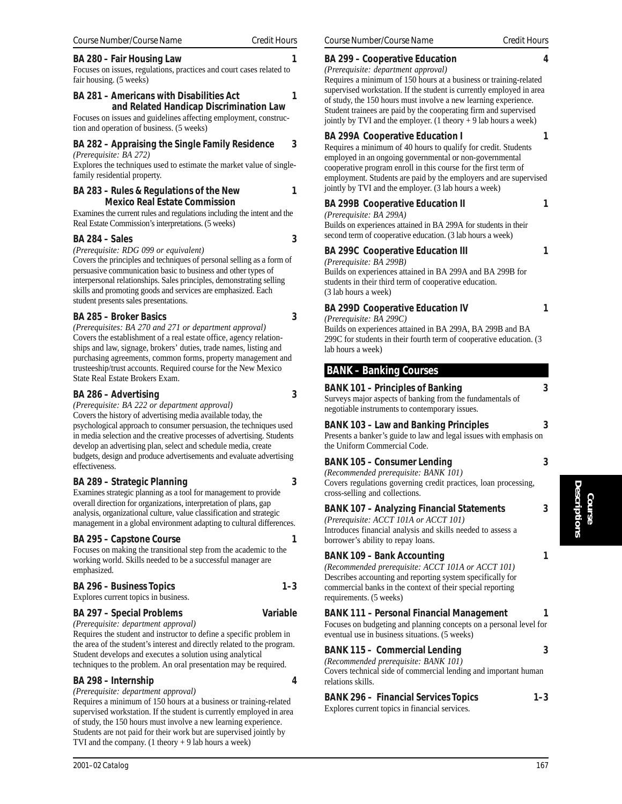**BA 281 – Americans with Disabilities Act 1 and Related Handicap Discrimination Law**

Focuses on issues and guidelines affecting employment, construction and operation of business. (5 weeks)

# **BA 282 – Appraising the Single Family Residence 3**

*(Prerequisite: BA 272)*

Explores the techniques used to estimate the market value of singlefamily residential property.

# **BA 283 – Rules & Regulations of the New 1 Mexico Real Estate Commission**

Examines the current rules and regulations including the intent and the Real Estate Commission's interpretations. (5 weeks)

# **BA 284 – Sales** 3

*(Prerequisite: RDG 099 or equivalent)*

Covers the principles and techniques of personal selling as a form of persuasive communication basic to business and other types of interpersonal relationships. Sales principles, demonstrating selling skills and promoting goods and services are emphasized. Each student presents sales presentations.

# **BA 285 – Broker Basics 3**

*(Prerequisites: BA 270 and 271 or department approval)* Covers the establishment of a real estate office, agency relationships and law, signage, brokers' duties, trade names, listing and purchasing agreements, common forms, property management and trusteeship/trust accounts. Required course for the New Mexico State Real Estate Brokers Exam.

# **BA 286 – Advertising 3**

*(Prerequisite: BA 222 or department approval)* Covers the history of advertising media available today, the psychological approach to consumer persuasion, the techniques used in media selection and the creative processes of advertising. Students develop an advertising plan, select and schedule media, create budgets, design and produce advertisements and evaluate advertising effectiveness.

# **BA 289 – Strategic Planning 3**

Examines strategic planning as a tool for management to provide overall direction for organizations, interpretation of plans, gap analysis, organizational culture, value classification and strategic management in a global environment adapting to cultural differences.

# **BA 295 – Capstone Course 1**

Focuses on making the transitional step from the academic to the working world. Skills needed to be a successful manager are emphasized.

# **BA 296 – Business Topics 1–3** Explores current topics in business.

# **BA 297 – Special Problems Variable**

*(Prerequisite: department approval)*

Requires the student and instructor to define a specific problem in the area of the student's interest and directly related to the program. Student develops and executes a solution using analytical techniques to the problem. An oral presentation may be required.

# **BA 298 – Internship 4**

*(Prerequisite: department approval)*

Requires a minimum of 150 hours at a business or training-related supervised workstation. If the student is currently employed in area of study, the 150 hours must involve a new learning experience. Students are not paid for their work but are supervised jointly by TVI and the company.  $(1$  theory  $+ 9$  lab hours a week)

# **BA 299 – Cooperative Education 4**

*(Prerequisite: department approval)*

Requires a minimum of 150 hours at a business or training-related supervised workstation. If the student is currently employed in area of study, the 150 hours must involve a new learning experience. Student trainees are paid by the cooperating firm and supervised jointly by TVI and the employer.  $(1$  theory  $+ 9$  lab hours a week)

# **BA 299A Cooperative Education I** 1

Requires a minimum of 40 hours to qualify for credit. Students employed in an ongoing governmental or non-governmental cooperative program enroll in this course for the first term of employment. Students are paid by the employers and are supervised jointly by TVI and the employer. (3 lab hours a week)

# **BA 299B Cooperative Education II** 1

# *(Prerequisite: BA 299A)*

Builds on experiences attained in BA 299A for students in their second term of cooperative education. (3 lab hours a week)

# **BA 299C Cooperative Education III** 1

*(Prerequisite: BA 299B)* Builds on experiences attained in BA 299A and BA 299B for students in their third term of cooperative education. (3 lab hours a week)

# **BA 299D Cooperative Education IV 1**

*(Prerequisite: BA 299C)*

Builds on experiences attained in BA 299A, BA 299B and BA 299C for students in their fourth term of cooperative education. (3 lab hours a week)

# **BANK – Banking Courses**

# **BANK 101 – Principles of Banking 3**

Surveys major aspects of banking from the fundamentals of negotiable instruments to contemporary issues.

# **BANK 103 – Law and Banking Principles 3**

Presents a banker's guide to law and legal issues with emphasis on the Uniform Commercial Code.

# **BANK 105 – Consumer Lending 3**

*(Recommended prerequisite: BANK 101)* Covers regulations governing credit practices, loan processing, cross-selling and collections.

# **BANK 107 – Analyzing Financial Statements 3**

*(Prerequisite: ACCT 101A or ACCT 101)* Introduces financial analysis and skills needed to assess a borrower's ability to repay loans.

# **BANK 109 – Bank Accounting 1**

*(Recommended prerequisite: ACCT 101A or ACCT 101)* Describes accounting and reporting system specifically for commercial banks in the context of their special reporting requirements. (5 weeks)

# **BANK 111 – Personal Financial Management 1**

Focuses on budgeting and planning concepts on a personal level for eventual use in business situations. (5 weeks)

# **BANK 115 – Commercial Lending 3**

*(Recommended prerequisite: BANK 101)*

Covers technical side of commercial lending and important human relations skills.

# **BANK 296 – Financial Services Topics 1–3**

Explores current topics in financial services.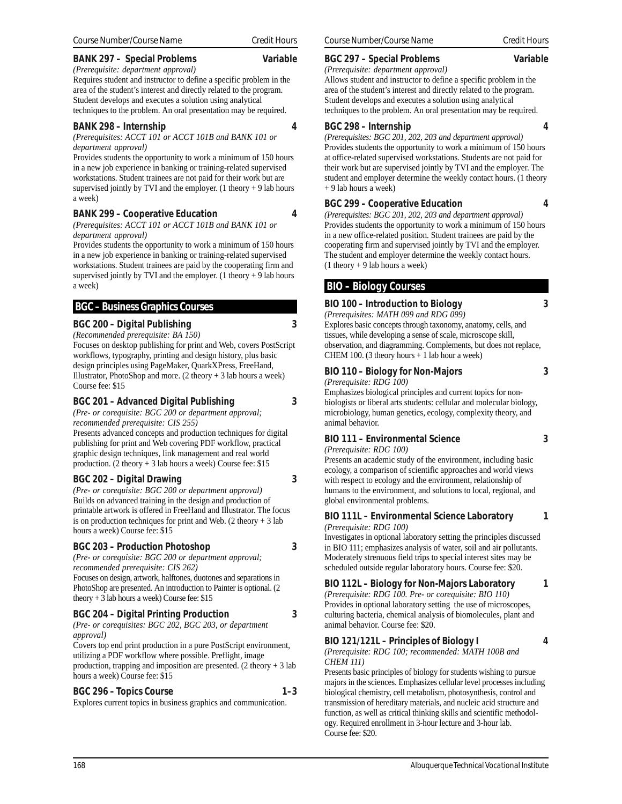#### **BANK 297 – Special Problems Variable**

#### *(Prerequisite: department approval)*

Requires student and instructor to define a specific problem in the area of the student's interest and directly related to the program. Student develops and executes a solution using analytical techniques to the problem. An oral presentation may be required.

#### **BANK 298 – Internship 4**

*(Prerequisites: ACCT 101 or ACCT 101B and BANK 101 or department approval)*

Provides students the opportunity to work a minimum of 150 hours in a new job experience in banking or training-related supervised workstations. Student trainees are not paid for their work but are supervised jointly by TVI and the employer. (1 theory  $+9$  lab hours a week)

#### **BANK 299 – Cooperative Education 4**

*(Prerequisites: ACCT 101 or ACCT 101B and BANK 101 or department approval)*

Provides students the opportunity to work a minimum of 150 hours in a new job experience in banking or training-related supervised workstations. Student trainees are paid by the cooperating firm and supervised jointly by TVI and the employer. (1 theory  $+9$  lab hours a week)

# **BGC – Business Graphics Courses**

#### **BGC 200 – Digital Publishing 3**

*(Recommended prerequisite: BA 150)*

Focuses on desktop publishing for print and Web, covers PostScript workflows, typography, printing and design history, plus basic design principles using PageMaker, QuarkXPress, FreeHand, Illustrator, PhotoShop and more.  $(2 \text{ theory} + 3 \text{ lab hours a week})$ Course fee: \$15

#### **BGC 201 – Advanced Digital Publishing 3**

*(Pre- or corequisite: BGC 200 or department approval; recommended prerequisite: CIS 255)*

Presents advanced concepts and production techniques for digital publishing for print and Web covering PDF workflow, practical graphic design techniques, link management and real world production. (2 theory + 3 lab hours a week) Course fee: \$15

# **BGC 202 – Digital Drawing 3**

*(Pre- or corequisite: BGC 200 or department approval)* Builds on advanced training in the design and production of printable artwork is offered in FreeHand and Illustrator. The focus is on production techniques for print and Web.  $(2 \text{ theory} + 3 \text{ lab})$ hours a week) Course fee: \$15

# **BGC 203 – Production Photoshop 3**

*(Pre- or corequisite: BGC 200 or department approval; recommended prerequisite: CIS 262)* Focuses on design, artwork, halftones, duotones and separations in PhotoShop are presented. An introduction to Painter is optional. (2 theory + 3 lab hours a week) Course fee: \$15

# **BGC 204 – Digital Printing Production 3**

*(Pre- or corequisites: BGC 202, BGC 203, or department approval)*

Covers top end print production in a pure PostScript environment, utilizing a PDF workflow where possible. Preflight, image production, trapping and imposition are presented.  $(2 \text{ theory} + 3 \text{ lab})$ hours a week) Course fee: \$15

# BGC 296 – Topics Course 1–3

Explores current topics in business graphics and communication.

#### **BGC 297 – Special Problems Variable**

*(Prerequisite: department approval)* Allows student and instructor to define a specific problem in the

area of the student's interest and directly related to the program. Student develops and executes a solution using analytical techniques to the problem. An oral presentation may be required.

#### **BGC 298 – Internship 4**

*(Prerequisites: BGC 201, 202, 203 and department approval)* Provides students the opportunity to work a minimum of 150 hours at office-related supervised workstations. Students are not paid for their work but are supervised jointly by TVI and the employer. The student and employer determine the weekly contact hours. (1 theory + 9 lab hours a week)

#### **BGC 299 – Cooperative Education 4**

*(Prerequisites: BGC 201, 202, 203 and department approval)* Provides students the opportunity to work a minimum of 150 hours in a new office-related position. Student trainees are paid by the cooperating firm and supervised jointly by TVI and the employer. The student and employer determine the weekly contact hours.  $(1$  theory + 9 lab hours a week)

# **BIO – Biology Courses**

#### **BIO 100 – Introduction to Biology 3**

#### *(Prerequisites: MATH 099 and RDG 099)*

Explores basic concepts through taxonomy, anatomy, cells, and tissues, while developing a sense of scale, microscope skill, observation, and diagramming. Complements, but does not replace, CHEM 100. (3 theory hours + 1 lab hour a week)

# **BIO 110 – Biology for Non-Majors 3**

*(Prerequisite: RDG 100)*

Emphasizes biological principles and current topics for nonbiologists or liberal arts students: cellular and molecular biology, microbiology, human genetics, ecology, complexity theory, and animal behavior.

# **BIO 111 – Environmental Science 3**

*(Prerequisite: RDG 100)*

Presents an academic study of the environment, including basic ecology, a comparison of scientific approaches and world views with respect to ecology and the environment, relationship of humans to the environment, and solutions to local, regional, and global environmental problems.

#### **BIO 111L – Environmental Science Laboratory 1** *(Prerequisite: RDG 100)*

Investigates in optional laboratory setting the principles discussed in BIO 111; emphasizes analysis of water, soil and air pollutants. Moderately strenuous field trips to special interest sites may be scheduled outside regular laboratory hours. Course fee: \$20.

# **BIO 112L – Biology for Non-Majors Laboratory 1**

*(Prerequisite: RDG 100. Pre- or corequisite: BIO 110)* Provides in optional laboratory setting the use of microscopes, culturing bacteria, chemical analysis of biomolecules, plant and animal behavior. Course fee: \$20.

# **BIO 121/121L – Principles of Biology I 4**

*(Prerequisite: RDG 100; recommended: MATH 100B and CHEM 111)*

Presents basic principles of biology for students wishing to pursue majors in the sciences. Emphasizes cellular level processes including biological chemistry, cell metabolism, photosynthesis, control and transmission of hereditary materials, and nucleic acid structure and function, as well as critical thinking skills and scientific methodology. Required enrollment in 3-hour lecture and 3-hour lab. Course fee: \$20.

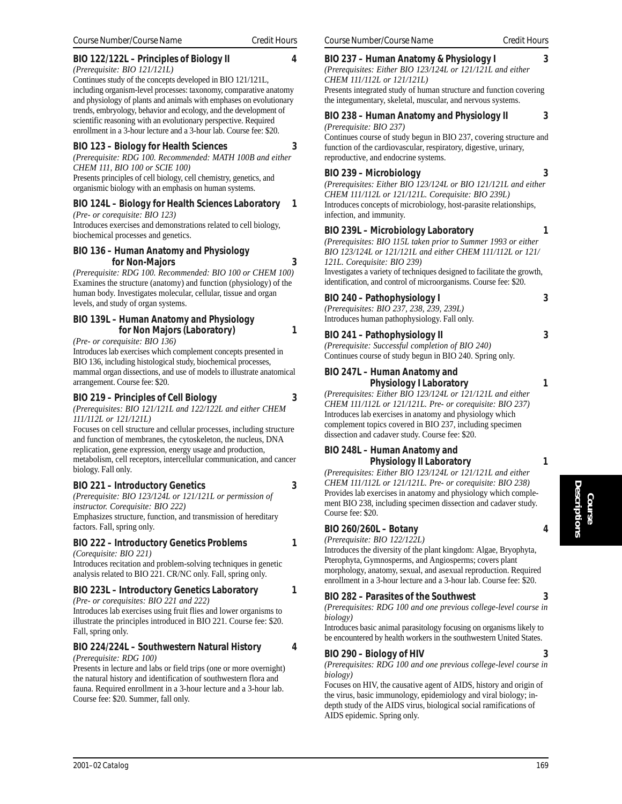# **BIO 122/122L – Principles of Biology II 4**

*(Prerequisite: BIO 121/121L)*

Continues study of the concepts developed in BIO 121/121L, including organism-level processes: taxonomy, comparative anatomy and physiology of plants and animals with emphases on evolutionary trends, embryology, behavior and ecology, and the development of scientific reasoning with an evolutionary perspective. Required enrollment in a 3-hour lecture and a 3-hour lab. Course fee: \$20.

#### **BIO 123 – Biology for Health Sciences 3**

*(Prerequisite: RDG 100. Recommended: MATH 100B and either CHEM 111, BIO 100 or SCIE 100)*

Presents principles of cell biology, cell chemistry, genetics, and organismic biology with an emphasis on human systems.

# **BIO 124L – Biology for Health Sciences Laboratory 1**

*(Pre- or corequisite: BIO 123)* Introduces exercises and demonstrations related to cell biology, biochemical processes and genetics.

#### **BIO 136 – Human Anatomy and Physiology for Non-Majors 3**

*(Prerequisite: RDG 100. Recommended: BIO 100 or CHEM 100)* Examines the structure (anatomy) and function (physiology) of the human body. Investigates molecular, cellular, tissue and organ levels, and study of organ systems.

#### **BIO 139L – Human Anatomy and Physiology for Non Majors (Laboratory) 1**

*(Pre- or corequisite: BIO 136)*

Introduces lab exercises which complement concepts presented in BIO 136, including histological study, biochemical processes, mammal organ dissections, and use of models to illustrate anatomical arrangement. Course fee: \$20.

# **BIO 219 – Principles of Cell Biology 3**

*(Prerequisites: BIO 121/121L and 122/122L and either CHEM 111/112L or 121/121L)*

Focuses on cell structure and cellular processes, including structure and function of membranes, the cytoskeleton, the nucleus, DNA replication, gene expression, energy usage and production, metabolism, cell receptors, intercellular communication, and cancer biology. Fall only.

#### **BIO 221 – Introductory Genetics 3**

*(Prerequisite: BIO 123/124L or 121/121L or permission of instructor. Corequisite: BIO 222)* Emphasizes structure, function, and transmission of hereditary

factors. Fall, spring only.

# **BIO 222 – Introductory Genetics Problems 1**

*(Corequisite: BIO 221)*

Introduces recitation and problem-solving techniques in genetic analysis related to BIO 221. CR/NC only. Fall, spring only.

# **BIO 223L – Introductory Genetics Laboratory 1**

*(Pre- or corequisites: BIO 221 and 222)* Introduces lab exercises using fruit flies and lower organisms to illustrate the principles introduced in BIO 221. Course fee: \$20. Fall, spring only.

# **BIO 224/224L – Southwestern Natural History 4**

#### *(Prerequisite: RDG 100)*

Presents in lecture and labs or field trips (one or more overnight) the natural history and identification of southwestern flora and fauna. Required enrollment in a 3-hour lecture and a 3-hour lab. Course fee: \$20. Summer, fall only.

#### **BIO 237 – Human Anatomy & Physiology I 3**

*(Prerequisites: Either BIO 123/124L or 121/121L and either CHEM 111/112L or 121/121L)*

Presents integrated study of human structure and function covering the integumentary, skeletal, muscular, and nervous systems.

#### **BIO 238 – Human Anatomy and Physiology II 3** *(Prerequisite: BIO 237)*

Continues course of study begun in BIO 237, covering structure and function of the cardiovascular, respiratory, digestive, urinary, reproductive, and endocrine systems.

#### **BIO 239 – Microbiology 3**

*(Prerequisites: Either BIO 123/124L or BIO 121/121L and either CHEM 111/112L or 121/121L. Corequisite: BIO 239L)* Introduces concepts of microbiology, host-parasite relationships, infection, and immunity.

#### **BIO 239L – Microbiology Laboratory 1**

*(Prerequisites: BIO 115L taken prior to Summer 1993 or either BIO 123/124L or 121/121L and either CHEM 111/112L or 121/ 121L. Corequisite: BIO 239)*

Investigates a variety of techniques designed to facilitate the growth, identification, and control of microorganisms. Course fee: \$20.

# **BIO 240 – Pathophysiology I 3**

*(Prerequisites: BIO 237, 238, 239, 239L)* Introduces human pathophysiology. Fall only.

# **BIO 241 – Pathophysiology II 3**

*(Prerequisite: Successful completion of BIO 240)* Continues course of study begun in BIO 240. Spring only.

#### **BIO 247L – Human Anatomy and Physiology I Laboratory 1**

*(Prerequisites: Either BIO 123/124L or 121/121L and either CHEM 111/112L or 121/121L. Pre- or corequisite: BIO 237)* Introduces lab exercises in anatomy and physiology which complement topics covered in BIO 237, including specimen dissection and cadaver study. Course fee: \$20.

#### **BIO 248L – Human Anatomy and Physiology II Laboratory 1**

*(Prerequisites: Either BIO 123/124L or 121/121L and either CHEM 111/112L or 121/121L. Pre- or corequisite: BIO 238)* Provides lab exercises in anatomy and physiology which complement BIO 238, including specimen dissection and cadaver study. Course fee: \$20.

# **BIO 260/260L – Botany 4**

*(Prerequisite: BIO 122/122L)*

Introduces the diversity of the plant kingdom: Algae, Bryophyta, Pterophyta, Gymnosperms, and Angiosperms; covers plant morphology, anatomy, sexual, and asexual reproduction. Required enrollment in a 3-hour lecture and a 3-hour lab. Course fee: \$20.

# **BIO 282 – Parasites of the Southwest 3**

*(Prerequisites: RDG 100 and one previous college-level course in biology)*

Introduces basic animal parasitology focusing on organisms likely to be encountered by health workers in the southwestern United States.

# **BIO 290 – Biology of HIV 3**

*(Prerequisites: RDG 100 and one previous college-level course in biology)*

Focuses on HIV, the causative agent of AIDS, history and origin of the virus, basic immunology, epidemiology and viral biology; indepth study of the AIDS virus, biological social ramifications of AIDS epidemic. Spring only.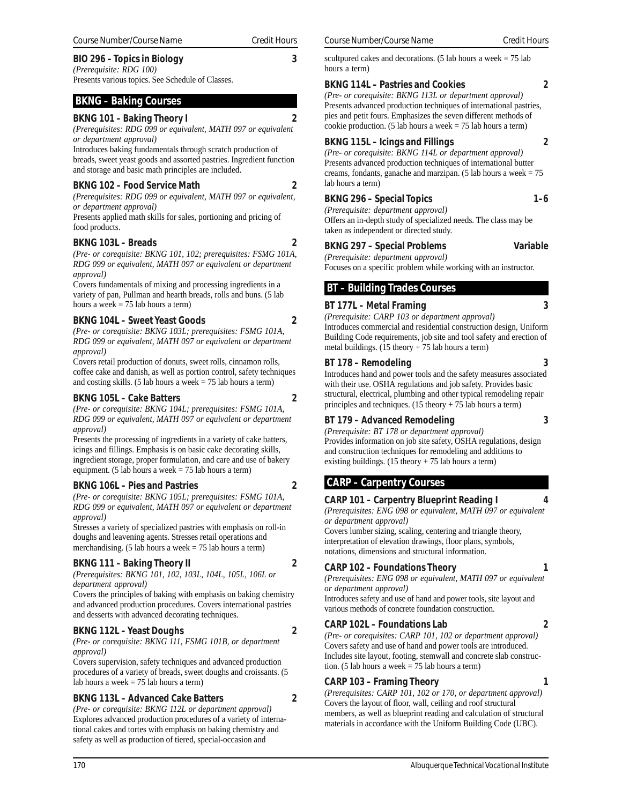# **BIO 296 – Topics in Biology 3**

*(Prerequisite: RDG 100)* Presents various topics. See Schedule of Classes.

# **BKNG – Baking Courses**

# **BKNG 101 – Baking Theory I 2**

*(Prerequisites: RDG 099 or equivalent, MATH 097 or equivalent or department approval)*

Introduces baking fundamentals through scratch production of breads, sweet yeast goods and assorted pastries. Ingredient function and storage and basic math principles are included.

# **BKNG 102 – Food Service Math 2**

*(Prerequisites: RDG 099 or equivalent, MATH 097 or equivalent, or department approval)*

Presents applied math skills for sales, portioning and pricing of food products.

# **BKNG 103L – Breads 2**

*(Pre- or corequisite: BKNG 101, 102; prerequisites: FSMG 101A, RDG 099 or equivalent, MATH 097 or equivalent or department approval)*

Covers fundamentals of mixing and processing ingredients in a variety of pan, Pullman and hearth breads, rolls and buns. (5 lab hours a week  $= 75$  lab hours a term)

# **BKNG 104L – Sweet Yeast Goods 2**

*(Pre- or corequisite: BKNG 103L; prerequisites: FSMG 101A, RDG 099 or equivalent, MATH 097 or equivalent or department approval)*

Covers retail production of donuts, sweet rolls, cinnamon rolls, coffee cake and danish, as well as portion control, safety techniques and costing skills. (5 lab hours a week  $= 75$  lab hours a term)

# **BKNG 105L – Cake Batters 2**

*(Pre- or corequisite: BKNG 104L; prerequisites: FSMG 101A, RDG 099 or equivalent, MATH 097 or equivalent or department approval)*

Presents the processing of ingredients in a variety of cake batters, icings and fillings. Emphasis is on basic cake decorating skills, ingredient storage, proper formulation, and care and use of bakery equipment. (5 lab hours a week  $= 75$  lab hours a term)

# **BKNG 106L – Pies and Pastries 2**

*(Pre- or corequisite: BKNG 105L; prerequisites: FSMG 101A, RDG 099 or equivalent, MATH 097 or equivalent or department approval)*

Stresses a variety of specialized pastries with emphasis on roll-in doughs and leavening agents. Stresses retail operations and merchandising. (5 lab hours a week  $= 75$  lab hours a term)

# **BKNG 111 – Baking Theory II 2**

*(Prerequisites: BKNG 101, 102, 103L, 104L, 105L, 106L or department approval)*

Covers the principles of baking with emphasis on baking chemistry and advanced production procedures. Covers international pastries and desserts with advanced decorating techniques.

# **BKNG 112L – Yeast Doughs 2**

*(Pre- or corequisite: BKNG 111, FSMG 101B, or department approval)*

Covers supervision, safety techniques and advanced production procedures of a variety of breads, sweet doughs and croissants. (5 lab hours a week = 75 lab hours a term)

# **BKNG 113L – Advanced Cake Batters 2**

*(Pre- or corequisite: BKNG 112L or department approval)* Explores advanced production procedures of a variety of international cakes and tortes with emphasis on baking chemistry and safety as well as production of tiered, special-occasion and

scultpured cakes and decorations. (5 lab hours a week  $= 75$  lab hours a term)

# **BKNG 114L – Pastries and Cookies 2**

*(Pre- or corequisite: BKNG 113L or department approval)* Presents advanced production techniques of international pastries, pies and petit fours. Emphasizes the seven different methods of cookie production. (5 lab hours a week  $= 75$  lab hours a term)

# **BKNG 115L – Icings and Fillings 2**

*(Pre- or corequisite: BKNG 114L or department approval)* Presents advanced production techniques of international butter creams, fondants, ganache and marzipan. (5 lab hours a week = 75 lab hours a term)

# BKNG 296 – Special Topics 1–6

*(Prerequisite: department approval)* Offers an in-depth study of specialized needs. The class may be taken as independent or directed study.

**BKNG 297 – Special Problems Variable**

*(Prerequisite: department approval)* Focuses on a specific problem while working with an instructor.

# **BT – Building Trades Courses**

# **BT 177L – Metal Framing 3**

*(Prerequisite: CARP 103 or department approval)*

Introduces commercial and residential construction design, Uniform Building Code requirements, job site and tool safety and erection of metal buildings.  $(15$  theory + 75 lab hours a term)

# **BT 178 – Remodeling 3**

Introduces hand and power tools and the safety measures associated with their use. OSHA regulations and job safety. Provides basic structural, electrical, plumbing and other typical remodeling repair principles and techniques. (15 theory + 75 lab hours a term)

# **BT 179 – Advanced Remodeling 3**

*(Prerequisite: BT 178 or department approval)* Provides information on job site safety, OSHA regulations, design and construction techniques for remodeling and additions to existing buildings.  $(15$  theory  $+ 75$  lab hours a term)

# **CARP – Carpentry Courses**

# **CARP 101 – Carpentry Blueprint Reading I 4**

*(Prerequisites: ENG 098 or equivalent, MATH 097 or equivalent or department approval)*

Covers lumber sizing, scaling, centering and triangle theory, interpretation of elevation drawings, floor plans, symbols, notations, dimensions and structural information.

# **CARP 102 – Foundations Theory 1**

*(Prerequisites: ENG 098 or equivalent, MATH 097 or equivalent or department approval)*

Introduces safety and use of hand and power tools, site layout and various methods of concrete foundation construction.

# **CARP 102L – Foundations Lab 2**

*(Pre- or corequisites: CARP 101, 102 or department approval)* Covers safety and use of hand and power tools are introduced. Includes site layout, footing, stemwall and concrete slab construc-

# **CARP 103 – Framing Theory 1**

tion. (5 lab hours a week = 75 lab hours a term)

*(Prerequisites: CARP 101, 102 or 170, or department approval)* Covers the layout of floor, wall, ceiling and roof structural members, as well as blueprint reading and calculation of structural materials in accordance with the Uniform Building Code (UBC).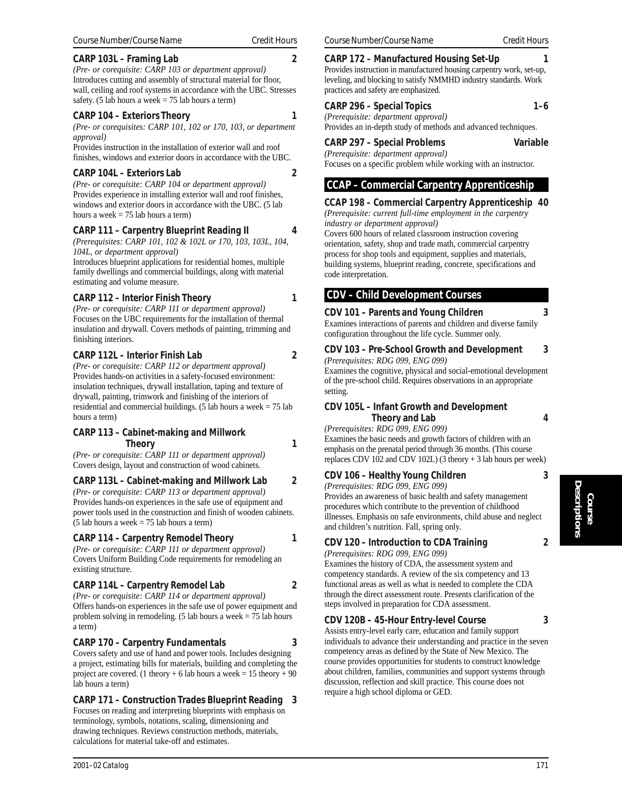# **CARP 103L – Framing Lab 2**

*(Pre- or corequisite: CARP 103 or department approval)* Introduces cutting and assembly of structural material for floor, wall, ceiling and roof systems in accordance with the UBC. Stresses safety. (5 lab hours a week  $= 75$  lab hours a term)

# **CARP 104 – Exteriors Theory 1**

*(Pre- or corequisites: CARP 101, 102 or 170, 103, or department approval)*

Provides instruction in the installation of exterior wall and roof finishes, windows and exterior doors in accordance with the UBC.

# **CARP 104L – Exteriors Lab 2**

*(Pre- or corequisite: CARP 104 or department approval)* Provides experience in installing exterior wall and roof finishes, windows and exterior doors in accordance with the UBC. (5 lab hours a week  $= 75$  lab hours a term)

# **CARP 111 – Carpentry Blueprint Reading II 4**

*(Prerequisites: CARP 101, 102 & 102L or 170, 103, 103L, 104, 104L, or department approval)*

Introduces blueprint applications for residential homes, multiple family dwellings and commercial buildings, along with material estimating and volume measure.

# **CARP 112 – Interior Finish Theory 1**

*(Pre- or corequisite: CARP 111 or department approval)* Focuses on the UBC requirements for the installation of thermal insulation and drywall. Covers methods of painting, trimming and finishing interiors.

#### **CARP 112L – Interior Finish Lab 2**

*(Pre- or corequisite: CARP 112 or department approval)* Provides hands-on activities in a safety-focused environment: insulation techniques, drywall installation, taping and texture of drywall, painting, trimwork and finishing of the interiors of residential and commercial buildings. (5 lab hours a week  $= 75$  lab hours a term)

#### **CARP 113 – Cabinet-making and Millwork Theory 1**

*(Pre- or corequisite: CARP 111 or department approval)* Covers design, layout and construction of wood cabinets.

# **CARP 113L – Cabinet-making and Millwork Lab 2**

*(Pre- or corequisite: CARP 113 or department approval)* Provides hands-on experiences in the safe use of equipment and power tools used in the construction and finish of wooden cabinets.  $(5$  lab hours a week = 75 lab hours a term)

# **CARP 114 – Carpentry Remodel Theory 1**

*(Pre- or corequisite: CARP 111 or department approval)* Covers Uniform Building Code requirements for remodeling an existing structure.

# **CARP 114L – Carpentry Remodel Lab 2**

*(Pre- or corequisite: CARP 114 or department approval)* Offers hands-on experiences in the safe use of power equipment and problem solving in remodeling. (5 lab hours a week = 75 lab hours a term)

# **CARP 170 – Carpentry Fundamentals 3**

Covers safety and use of hand and power tools. Includes designing a project, estimating bills for materials, building and completing the project are covered. (1 theory + 6 lab hours a week =  $15$  theory + 90 lab hours a term)

# **CARP 171 – Construction Trades Blueprint Reading 3**

Focuses on reading and interpreting blueprints with emphasis on terminology, symbols, notations, scaling, dimensioning and drawing techniques. Reviews construction methods, materials, calculations for material take-off and estimates.

# **CARP 172 – Manufactured Housing Set-Up 1**

Provides instruction in manufactured housing carpentry work, set-up, leveling, and blocking to satisfy NMMHD industry standards. Work practices and safety are emphasized.

# **CARP 296 – Special Topics 1–6**

*(Prerequisite: department approval)*

Provides an in-depth study of methods and advanced techniques.

#### **CARP 297 – Special Problems Variable**

*(Prerequisite: department approval)* Focuses on a specific problem while working with an instructor.

# **CCAP – Commercial Carpentry Apprenticeship**

**CCAP 198 – Commercial Carpentry Apprenticeship 40** *(Prerequisite: current full-time employment in the carpentry*

*industry or department approval)* Covers 600 hours of related classroom instruction covering orientation, safety, shop and trade math, commercial carpentry process for shop tools and equipment, supplies and materials, building systems, blueprint reading, concrete, specifications and code interpretation.

# **CDV – Child Development Courses**

# **CDV 101 – Parents and Young Children 3**

Examines interactions of parents and children and diverse family configuration throughout the life cycle. Summer only.

**CDV 103 – Pre-School Growth and Development 3** *(Prerequisites: RDG 099, ENG 099)*

Examines the cognitive, physical and social-emotional development of the pre-school child. Requires observations in an appropriate setting.

#### **CDV 105L – Infant Growth and Development Theory and Lab 4**

*(Prerequisites: RDG 099, ENG 099)*

Examines the basic needs and growth factors of children with an emphasis on the prenatal period through 36 months. (This course replaces CDV 102 and CDV 102L) (3 theory + 3 lab hours per week)

# **CDV 106 – Healthy Young Children 3**

*(Prerequisites: RDG 099, ENG 099)*

Provides an awareness of basic health and safety management procedures which contribute to the prevention of childhood illnesses. Emphasis on safe environments, child abuse and neglect and children's nutrition. Fall, spring only.

# **CDV 120 – Introduction to CDA Training 2**

*(Prerequisites: RDG 099, ENG 099)*

Examines the history of CDA, the assessment system and competency standards. A review of the six competency and 13 functional areas as well as what is needed to complete the CDA through the direct assessment route. Presents clarification of the steps involved in preparation for CDA assessment.

# **CDV 120B – 45-Hour Entry-level Course 3**

Assists entry-level early care, education and family support individuals to advance their understanding and practice in the seven competency areas as defined by the State of New Mexico. The course provides opportunities for students to construct knowledge about children, families, communities and support systems through discussion, reflection and skill practice. This course does not require a high school diploma or GED.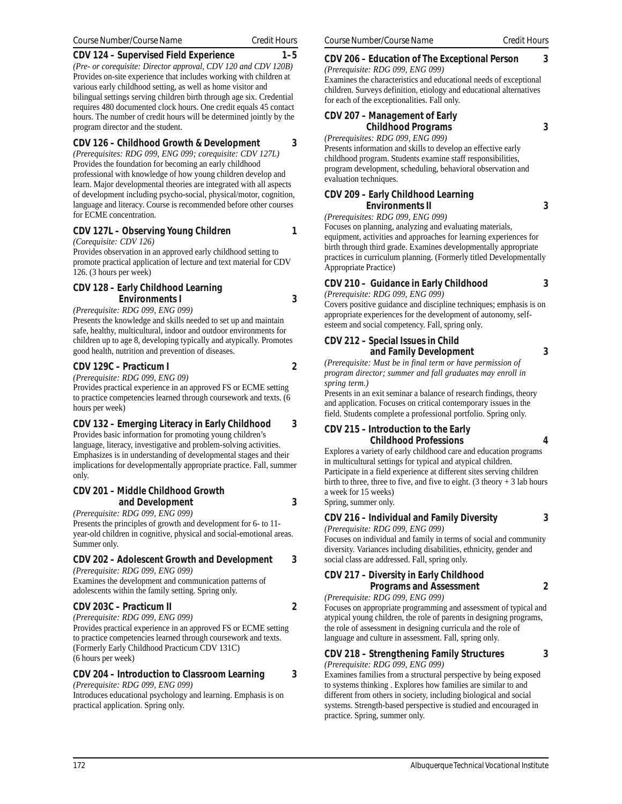*(Pre- or corequisite: Director approval, CDV 120 and CDV 120B)* Provides on-site experience that includes working with children at various early childhood setting, as well as home visitor and bilingual settings serving children birth through age six. Credential requires 480 documented clock hours. One credit equals 45 contact hours. The number of credit hours will be determined jointly by the program director and the student.

# **CDV 126 – Childhood Growth & Development 3**

*(Prerequisites: RDG 099, ENG 099; corequisite: CDV 127L)* Provides the foundation for becoming an early childhood professional with knowledge of how young children develop and learn. Major developmental theories are integrated with all aspects of development including psycho-social, physical/motor, cognition, language and literacy. Course is recommended before other courses for ECME concentration.

# **CDV 127L – Observing Young Children 1**

*(Corequisite: CDV 126)*

Provides observation in an approved early childhood setting to promote practical application of lecture and text material for CDV 126. (3 hours per week)

# **CDV 128 – Early Childhood Learning Environments I 3**

*(Prerequisite: RDG 099, ENG 099)*

Presents the knowledge and skills needed to set up and maintain safe, healthy, multicultural, indoor and outdoor environments for children up to age 8, developing typically and atypically. Promotes good health, nutrition and prevention of diseases.

# **CDV 129C – Practicum I 2**

*(Prerequisite: RDG 099, ENG 09)* Provides practical experience in an approved FS or ECME setting to practice competencies learned through coursework and texts. (6 hours per week)

# **CDV 132 – Emerging Literacy in Early Childhood 3**

Provides basic information for promoting young children's language, literacy, investigative and problem-solving activities. Emphasizes is in understanding of developmental stages and their implications for developmentally appropriate practice. Fall, summer only.

# **CDV 201 – Middle Childhood Growth and Development 3**

*(Prerequisite: RDG 099, ENG 099)*

Presents the principles of growth and development for 6- to 11 year-old children in cognitive, physical and social-emotional areas. Summer only.

# **CDV 202 – Adolescent Growth and Development 3**

*(Prerequisite: RDG 099, ENG 099)*

Examines the development and communication patterns of adolescents within the family setting. Spring only.

# **CDV 203C – Practicum II 2**

*(Prerequisite: RDG 099, ENG 099)* Provides practical experience in an approved FS or ECME setting to practice competencies learned through coursework and texts. (Formerly Early Childhood Practicum CDV 131C) (6 hours per week)

# **CDV 204 – Introduction to Classroom Learning 3**

*(Prerequisite: RDG 099, ENG 099)* Introduces educational psychology and learning. Emphasis is on practical application. Spring only.

# **CDV 206 – Education of The Exceptional Person 3**

*(Prerequisite: RDG 099, ENG 099)* Examines the characteristics and educational needs of exceptional children. Surveys definition, etiology and educational alternatives for each of the exceptionalities. Fall only.

# **CDV 207 – Management of Early Childhood Programs 3**

*(Prerequisites: RDG 099, ENG 099)*

Presents information and skills to develop an effective early childhood program. Students examine staff responsibilities, program development, scheduling, behavioral observation and evaluation techniques.

#### **CDV 209 – Early Childhood Learning Environments II 3**

*(Prerequisites: RDG 099, ENG 099)*

Focuses on planning, analyzing and evaluating materials, equipment, activities and approaches for learning experiences for birth through third grade. Examines developmentally appropriate practices in curriculum planning. (Formerly titled Developmentally Appropriate Practice)

# **CDV 210 – Guidance in Early Childhood 3**

*(Prerequisite: RDG 099, ENG 099)*

Covers positive guidance and discipline techniques; emphasis is on appropriate experiences for the development of autonomy, selfesteem and social competency. Fall, spring only.

#### **CDV 212 – Special Issues in Child and Family Development 3**

*(Prerequisite: Must be in final term or have permission of program director; summer and fall graduates may enroll in spring term.)*

Presents in an exit seminar a balance of research findings, theory and application. Focuses on critical contemporary issues in the field. Students complete a professional portfolio. Spring only.

#### **CDV 215 – Introduction to the Early Childhood Professions 4** Explores a variety of early childhood care and education programs

in multicultural settings for typical and atypical children. Participate in a field experience at different sites serving children birth to three, three to five, and five to eight. (3 theory  $+3$  lab hours a week for 15 weeks)

Spring, summer only.

# **CDV 216 – Individual and Family Diversity 3**

*(Prerequisite: RDG 099, ENG 099)* Focuses on individual and family in terms of social and community diversity. Variances including disabilities, ethnicity, gender and social class are addressed. Fall, spring only.

#### **CDV 217 – Diversity in Early Childhood Programs and Assessment 2**

*(Prerequisite: RDG 099, ENG 099)* Focuses on appropriate programming and assessment of typical and

atypical young children, the role of parents in designing programs, the role of assessment in designing curricula and the role of language and culture in assessment. Fall, spring only.

# **CDV 218 – Strengthening Family Structures 3**

*(Prerequisite: RDG 099, ENG 099)*

Examines families from a structural perspective by being exposed to systems thinking . Explores how families are similar to and different from others in society, including biological and social systems. Strength-based perspective is studied and encouraged in practice. Spring, summer only.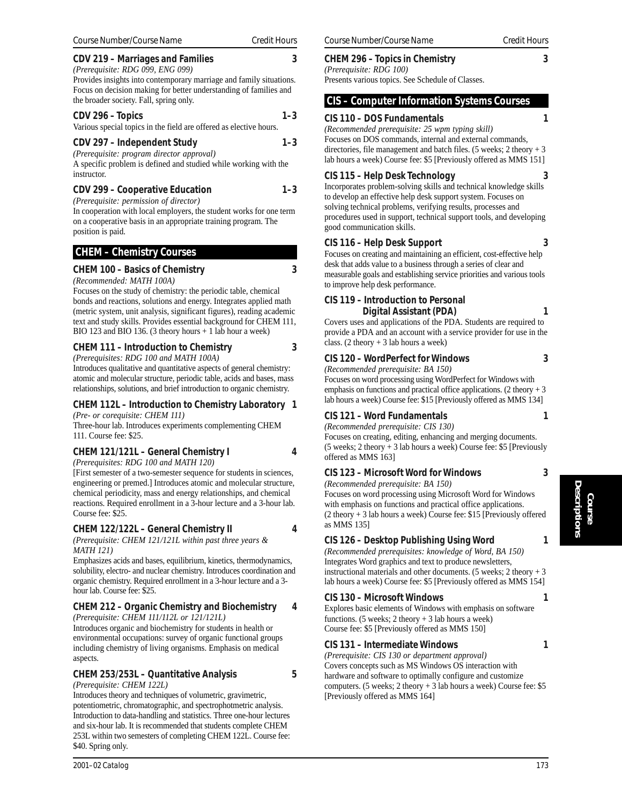# **CDV 219 – Marriages and Families 3**

*(Prerequisite: RDG 099, ENG 099)* Provides insights into contemporary marriage and family situations. Focus on decision making for better understanding of families and the broader society. Fall, spring only.

| CDV 296 - Topics                                                   | $1 - 3$ |
|--------------------------------------------------------------------|---------|
| Various special topics in the field are offered as elective hours. |         |

#### **CDV 297 – Independent Study 1–3**

*(Prerequisite: program director approval)*

A specific problem is defined and studied while working with the instructor.

# **CDV 299 – Cooperative Education 1–3**

*(Prerequisite: permission of director)*

In cooperation with local employers, the student works for one term on a cooperative basis in an appropriate training program. The position is paid.

# **CHEM – Chemistry Courses**

# **CHEM 100 – Basics of Chemistry 3**

*(Recommended: MATH 100A)*

Focuses on the study of chemistry: the periodic table, chemical bonds and reactions, solutions and energy. Integrates applied math (metric system, unit analysis, significant figures), reading academic text and study skills. Provides essential background for CHEM 111, BIO 123 and BIO 136. (3 theory hours + 1 lab hour a week)

# **CHEM 111 – Introduction to Chemistry 3**

*(Prerequisites: RDG 100 and MATH 100A)* Introduces qualitative and quantitative aspects of general chemistry: atomic and molecular structure, periodic table, acids and bases, mass relationships, solutions, and brief introduction to organic chemistry.

#### **CHEM 112L – Introduction to Chemistry Laboratory 1** *(Pre- or corequisite: CHEM 111)*

Three-hour lab. Introduces experiments complementing CHEM 111. Course fee: \$25.

# **CHEM 121/121L – General Chemistry I 4**

*(Prerequisites: RDG 100 and MATH 120)*

[First semester of a two-semester sequence for students in sciences, engineering or premed.] Introduces atomic and molecular structure, chemical periodicity, mass and energy relationships, and chemical reactions. Required enrollment in a 3-hour lecture and a 3-hour lab. Course fee: \$25.

# **CHEM 122/122L – General Chemistry II 4**

*(Prerequisite: CHEM 121/121L within past three years & MATH 121)*

Emphasizes acids and bases, equilibrium, kinetics, thermodynamics, solubility, electro- and nuclear chemistry. Introduces coordination and organic chemistry. Required enrollment in a 3-hour lecture and a 3 hour lab. Course fee: \$25.

# **CHEM 212 – Organic Chemistry and Biochemistry 4**

*(Prerequisite: CHEM 111/112L or 121/121L)* Introduces organic and biochemistry for students in health or environmental occupations: survey of organic functional groups including chemistry of living organisms. Emphasis on medical aspects.

# **CHEM 253/253L – Quantitative Analysis 5**

*(Prerequisite: CHEM 122L)*

Introduces theory and techniques of volumetric, gravimetric, potentiometric, chromatographic, and spectrophotmetric analysis. Introduction to data-handling and statistics. Three one-hour lectures and six-hour lab. It is recommended that students complete CHEM 253L within two semesters of completing CHEM 122L. Course fee: \$40. Spring only.

# **CHEM 296 – Topics in Chemistry 3**

*(Prerequisite: RDG 100)* Presents various topics. See Schedule of Classes.

# **CIS – Computer Information Systems Courses**

# **CIS 110 – DOS Fundamentals 1**

*(Recommended prerequisite: 25 wpm typing skill)* Focuses on DOS commands, internal and external commands, directories, file management and batch files. (5 weeks; 2 theory + 3 lab hours a week) Course fee: \$5 [Previously offered as MMS 151]

# **CIS 115 – Help Desk Technology 3**

Incorporates problem-solving skills and technical knowledge skills to develop an effective help desk support system. Focuses on solving technical problems, verifying results, processes and procedures used in support, technical support tools, and developing good communication skills.

# **CIS 116 – Help Desk Support 3**

Focuses on creating and maintaining an efficient, cost-effective help desk that adds value to a business through a series of clear and measurable goals and establishing service priorities and various tools to improve help desk performance.

# **CIS 119 – Introduction to Personal**

# **Digital Assistant (PDA) 1**

Covers uses and applications of the PDA. Students are required to provide a PDA and an account with a service provider for use in the class. (2 theory  $+3$  lab hours a week)

# **CIS 120 – WordPerfect for Windows 3**

*(Recommended prerequisite: BA 150)*

Focuses on word processing using WordPerfect for Windows with emphasis on functions and practical office applications. (2 theory  $+3$ lab hours a week) Course fee: \$15 [Previously offered as MMS 134]

# **CIS 121 – Word Fundamentals 1**

*(Recommended prerequisite: CIS 130)*

Focuses on creating, editing, enhancing and merging documents. (5 weeks; 2 theory + 3 lab hours a week) Course fee: \$5 [Previously offered as MMS 163]

# **CIS 123 – Microsoft Word for Windows 3**

*(Recommended prerequisite: BA 150)*

Focuses on word processing using Microsoft Word for Windows with emphasis on functions and practical office applications. (2 theory + 3 lab hours a week) Course fee: \$15 [Previously offered as MMS 135]

# **CIS 126 – Desktop Publishing Using Word 1**

*(Recommended prerequisites: knowledge of Word, BA 150)* Integrates Word graphics and text to produce newsletters, instructional materials and other documents. (5 weeks; 2 theory + 3 lab hours a week) Course fee: \$5 [Previously offered as MMS 154]

# **CIS 130 – Microsoft Windows 1**

Explores basic elements of Windows with emphasis on software functions. (5 weeks; 2 theory  $+3$  lab hours a week) Course fee: \$5 [Previously offered as MMS 150]

# **CIS 131 – Intermediate Windows 1**

*(Prerequisite: CIS 130 or department approval)* Covers concepts such as MS Windows OS interaction with hardware and software to optimally configure and customize computers. (5 weeks; 2 theory + 3 lab hours a week) Course fee:  $$5$ [Previously offered as MMS 164]

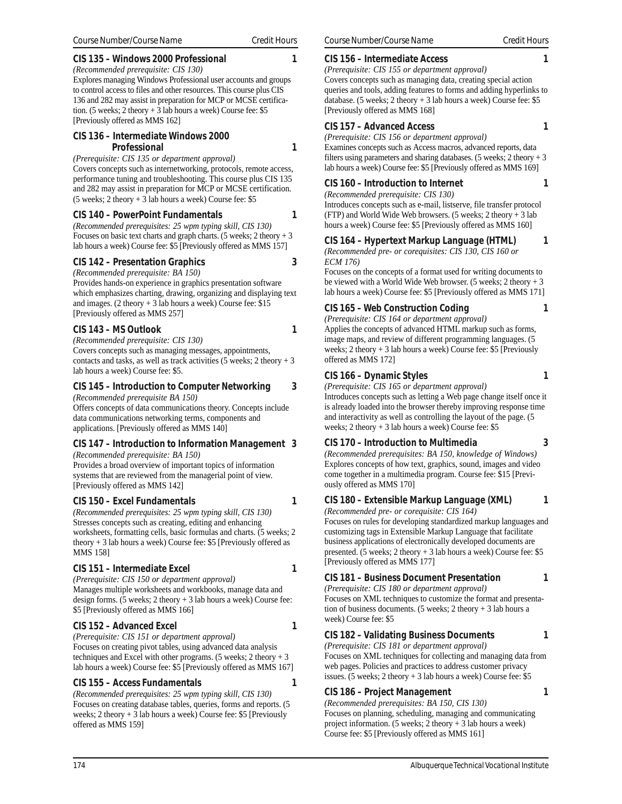# **CIS 135 – Windows 2000 Professional 1**

*(Recommended prerequisite: CIS 130)* Explores managing Windows Professional user accounts and groups to control access to files and other resources. This course plus CIS 136 and 282 may assist in preparation for MCP or MCSE certification. (5 weeks; 2 theory + 3 lab hours a week) Course fee: \$5 [Previously offered as MMS 162]

#### **CIS 136 – Intermediate Windows 2000 Professional 1**

*(Prerequisite: CIS 135 or department approval)* Covers concepts such as internetworking, protocols, remote access, performance tuning and troubleshooting. This course plus CIS 135 and 282 may assist in preparation for MCP or MCSE certification. (5 weeks; 2 theory + 3 lab hours a week) Course fee: \$5

#### **CIS 140 – PowerPoint Fundamentals 1**

*(Recommended prerequisites: 25 wpm typing skill, CIS 130)* Focuses on basic text charts and graph charts. (5 weeks; 2 theory  $+3$ lab hours a week) Course fee: \$5 [Previously offered as MMS 157]

# **CIS 142 – Presentation Graphics 3**

*(Recommended prerequisite: BA 150)*

Provides hands-on experience in graphics presentation software which emphasizes charting, drawing, organizing and displaying text and images. (2 theory + 3 lab hours a week) Course fee: \$15 [Previously offered as MMS 257]

#### **CIS 143 – MS Outlook 1**

*(Recommended prerequisite: CIS 130)* Covers concepts such as managing messages, appointments, contacts and tasks, as well as track activities (5 weeks; 2 theory  $+3$ lab hours a week) Course fee: \$5.

# **CIS 145 – Introduction to Computer Networking 3**

*(Recommended prerequisite BA 150)*

Offers concepts of data communications theory. Concepts include data communications networking terms, components and applications. [Previously offered as MMS 140]

# **CIS 147 – Introduction to Information Management 3**

*(Recommended prerequisite: BA 150)* Provides a broad overview of important topics of information systems that are reviewed from the managerial point of view. [Previously offered as MMS 142]

# **CIS 150 – Excel Fundamentals 1**

*(Recommended prerequisites: 25 wpm typing skill, CIS 130)* Stresses concepts such as creating, editing and enhancing worksheets, formatting cells, basic formulas and charts. (5 weeks; 2 theory + 3 lab hours a week) Course fee: \$5 [Previously offered as MMS 158]

# CIS 151 – Intermediate Excel 1

*(Prerequisite: CIS 150 or department approval)* Manages multiple worksheets and workbooks, manage data and design forms. (5 weeks; 2 theory + 3 lab hours a week) Course fee: \$5 [Previously offered as MMS 166]

# CIS 152 – Advanced Excel 1

*(Prerequisite: CIS 151 or department approval)* Focuses on creating pivot tables, using advanced data analysis techniques and Excel with other programs. (5 weeks; 2 theory + 3 lab hours a week) Course fee: \$5 [Previously offered as MMS 167]

# **CIS 155 – Access Fundamentals 1**

*(Recommended prerequisites: 25 wpm typing skill, CIS 130)* Focuses on creating database tables, queries, forms and reports. (5 weeks; 2 theory + 3 lab hours a week) Course fee: \$5 [Previously offered as MMS 159]

*(Prerequisite: CIS 155 or department approval)* Covers concepts such as managing data, creating special action queries and tools, adding features to forms and adding hyperlinks to database. (5 weeks; 2 theory + 3 lab hours a week) Course fee: \$5 [Previously offered as MMS 168]

# **CIS 157 – Advanced Access 1**

*(Prerequisite: CIS 156 or department approval)* Examines concepts such as Access macros, advanced reports, data filters using parameters and sharing databases. (5 weeks; 2 theory  $+3$ lab hours a week) Course fee: \$5 [Previously offered as MMS 169]

# **CIS 160 – Introduction to Internet 1**

*(Recommended prerequisite: CIS 130)* Introduces concepts such as e-mail, listserve, file transfer protocol (FTP) and World Wide Web browsers. (5 weeks; 2 theory + 3 lab hours a week) Course fee: \$5 [Previously offered as MMS 160]

**CIS 164 – Hypertext Markup Language (HTML) 1**

*(Recommended pre- or corequisites: CIS 130, CIS 160 or ECM 176)*

Focuses on the concepts of a format used for writing documents to be viewed with a World Wide Web browser. (5 weeks;  $2$  theory  $+3$ lab hours a week) Course fee: \$5 [Previously offered as MMS 171]

# **CIS 165 – Web Construction Coding 1**

*(Prerequisite: CIS 164 or department approval)* Applies the concepts of advanced HTML markup such as forms, image maps, and review of different programming languages. (5 weeks; 2 theory + 3 lab hours a week) Course fee: \$5 [Previously offered as MMS 172]

# **CIS 166 – Dynamic Styles 1**

*(Prerequisite: CIS 165 or department approval)*

Introduces concepts such as letting a Web page change itself once it is already loaded into the browser thereby improving response time and interactivity as well as controlling the layout of the page. (5 weeks; 2 theory + 3 lab hours a week) Course fee: \$5

# **CIS 170 – Introduction to Multimedia 3**

*(Recommended prerequisites: BA 150, knowledge of Windows)* Explores concepts of how text, graphics, sound, images and video come together in a multimedia program. Course fee: \$15 [Previously offered as MMS 170]

# **CIS 180 – Extensible Markup Language (XML) 1**

*(Recommended pre- or corequisite: CIS 164)* Focuses on rules for developing standardized markup languages and customizing tags in Extensible Markup Language that facilitate business applications of electronically developed documents are presented. (5 weeks; 2 theory + 3 lab hours a week) Course fee: \$5 [Previously offered as MMS 177]

# **CIS 181 – Business Document Presentation 1**

*(Prerequisite: CIS 180 or department approval)* Focuses on XML techniques to customize the format and presentation of business documents. (5 weeks; 2 theory + 3 lab hours a week) Course fee: \$5

# **CIS 182 – Validating Business Documents 1**

*(Prerequisite: CIS 181 or department approval)* Focuses on XML techniques for collecting and managing data from web pages. Policies and practices to address customer privacy issues. (5 weeks;  $2$  theory  $+3$  lab hours a week) Course fee: \$5

# **CIS 186 – Project Management 1**

*(Recommended prerequisites: BA 150, CIS 130)* Focuses on planning, scheduling, managing and communicating project information. (5 weeks; 2 theory + 3 lab hours a week) Course fee: \$5 [Previously offered as MMS 161]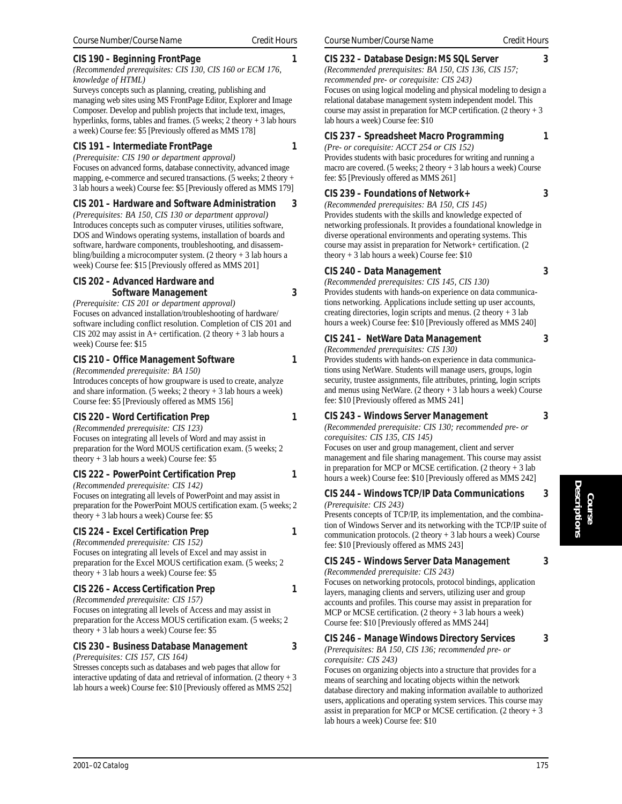# **CIS 190 – Beginning FrontPage 1**

*(Recommended prerequisites: CIS 130, CIS 160 or ECM 176, knowledge of HTML)*

Surveys concepts such as planning, creating, publishing and managing web sites using MS FrontPage Editor, Explorer and Image Composer. Develop and publish projects that include text, images, hyperlinks, forms, tables and frames. (5 weeks;  $2$  theory  $+3$  lab hours a week) Course fee: \$5 [Previously offered as MMS 178]

#### **CIS 191 – Intermediate FrontPage 1**

*(Prerequisite: CIS 190 or department approval)* Focuses on advanced forms, database connectivity, advanced image mapping, e-commerce and secured transactions. (5 weeks; 2 theory + 3 lab hours a week) Course fee: \$5 [Previously offered as MMS 179]

#### **CIS 201 – Hardware and Software Administration 3**

*(Prerequisites: BA 150, CIS 130 or department approval)* Introduces concepts such as computer viruses, utilities software, DOS and Windows operating systems, installation of boards and software, hardware components, troubleshooting, and disassembling/building a microcomputer system.  $(2 \text{ theory} + 3 \text{ lab hours a})$ week) Course fee: \$15 [Previously offered as MMS 201]

#### **CIS 202 – Advanced Hardware and Software Management 3**

*(Prerequisite: CIS 201 or department approval)* Focuses on advanced installation/troubleshooting of hardware/ software including conflict resolution. Completion of CIS 201 and CIS 202 may assist in A+ certification. (2 theory  $+3$  lab hours a week) Course fee: \$15

# **CIS 210 – Office Management Software 1**

*(Recommended prerequisite: BA 150)* Introduces concepts of how groupware is used to create, analyze and share information. (5 weeks; 2 theory + 3 lab hours a week) Course fee: \$5 [Previously offered as MMS 156]

# **CIS 220 – Word Certification Prep 1**

*(Recommended prerequisite: CIS 123)* Focuses on integrating all levels of Word and may assist in preparation for the Word MOUS certification exam. (5 weeks; 2 theory  $+3$  lab hours a week) Course fee: \$5

# **CIS 222 – PowerPoint Certification Prep 1**

*(Recommended prerequisite: CIS 142)* Focuses on integrating all levels of PowerPoint and may assist in preparation for the PowerPoint MOUS certification exam. (5 weeks; 2 theory  $+3$  lab hours a week) Course fee: \$5

# **CIS 224 – Excel Certification Prep 1**

*(Recommended prerequisite: CIS 152)* Focuses on integrating all levels of Excel and may assist in preparation for the Excel MOUS certification exam. (5 weeks; 2 theory  $+3$  lab hours a week) Course fee: \$5

# **CIS 226 – Access Certification Prep 1**

*(Recommended prerequisite: CIS 157)* Focuses on integrating all levels of Access and may assist in preparation for the Access MOUS certification exam. (5 weeks; 2 theory  $+3$  lab hours a week) Course fee: \$5

# **CIS 230 – Business Database Management 3**

*(Prerequisites: CIS 157, CIS 164)*

Stresses concepts such as databases and web pages that allow for interactive updating of data and retrieval of information. (2 theory  $+3$ lab hours a week) Course fee: \$10 [Previously offered as MMS 252]

# **CIS 232 – Database Design: MS SQL Server 3**

*(Recommended prerequisites: BA 150, CIS 136, CIS 157; recommended pre- or corequisite: CIS 243)* Focuses on using logical modeling and physical modeling to design a relational database management system independent model. This course may assist in preparation for MCP certification. (2 theory + 3 lab hours a week) Course fee: \$10

# **CIS 237 – Spreadsheet Macro Programming 1**

*(Pre- or corequisite: ACCT 254 or CIS 152)* Provides students with basic procedures for writing and running a macro are covered. (5 weeks; 2 theory + 3 lab hours a week) Course fee: \$5 [Previously offered as MMS 261]

#### **CIS 239 – Foundations of Network+ 3**

*(Recommended prerequisites: BA 150, CIS 145)* Provides students with the skills and knowledge expected of networking professionals. It provides a foundational knowledge in diverse operational environments and operating systems. This course may assist in preparation for Network+ certification. (2 theory + 3 lab hours a week) Course fee: \$10

#### **CIS 240 – Data Management 3**

*(Recommended prerequisites: CIS 145, CIS 130)* Provides students with hands-on experience on data communications networking. Applications include setting up user accounts, creating directories, login scripts and menus. (2 theory  $+3$  lab hours a week) Course fee: \$10 [Previously offered as MMS 240]

# **CIS 241 – NetWare Data Management 3**

*(Recommended prerequisites: CIS 130)*

Provides students with hands-on experience in data communications using NetWare. Students will manage users, groups, login security, trustee assignments, file attributes, printing, login scripts and menus using NetWare. (2 theory + 3 lab hours a week) Course fee: \$10 [Previously offered as MMS 241]

# **CIS 243 – Windows Server Management 3**

*(Recommended prerequisite: CIS 130; recommended pre- or corequisites: CIS 135, CIS 145)*

Focuses on user and group management, client and server management and file sharing management. This course may assist in preparation for MCP or MCSE certification. (2 theory + 3 lab hours a week) Course fee: \$10 [Previously offered as MMS 242]

#### **CIS 244 – Windows TCP/IP Data Communications 3** *(Prerequisite: CIS 243)*

Presents concepts of TCP/IP, its implementation, and the combination of Windows Server and its networking with the TCP/IP suite of communication protocols. (2 theory + 3 lab hours a week) Course fee: \$10 [Previously offered as MMS 243]

**CIS 245 – Windows Server Data Management 3**

*(Recommended prerequisite: CIS 243)*

Focuses on networking protocols, protocol bindings, application layers, managing clients and servers, utilizing user and group accounts and profiles. This course may assist in preparation for MCP or MCSE certification. (2 theory + 3 lab hours a week) Course fee: \$10 [Previously offered as MMS 244]

# **CIS 246 – Manage Windows Directory Services 3**

*(Prerequisites: BA 150, CIS 136; recommended pre- or corequisite: CIS 243)*

Focuses on organizing objects into a structure that provides for a means of searching and locating objects within the network database directory and making information available to authorized users, applications and operating system services. This course may assist in preparation for MCP or MCSE certification. (2 theory  $+3$ ) lab hours a week) Course fee: \$10

**Course Descriptions**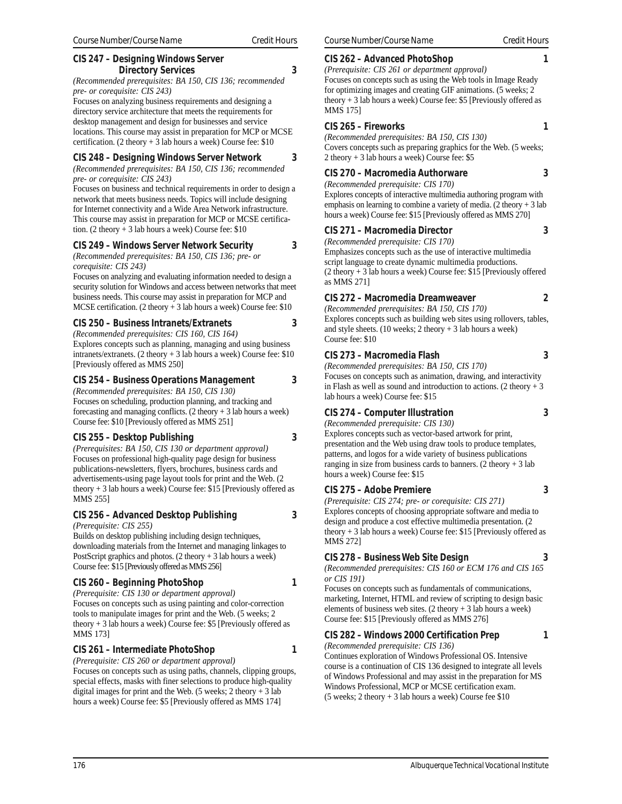# **CIS 247 – Designing Windows Server Directory Services 3**

*(Recommended prerequisites: BA 150, CIS 136; recommended pre- or corequisite: CIS 243)*

Focuses on analyzing business requirements and designing a directory service architecture that meets the requirements for desktop management and design for businesses and service locations. This course may assist in preparation for MCP or MCSE certification. (2 theory  $+3$  lab hours a week) Course fee: \$10

#### **CIS 248 – Designing Windows Server Network 3**

*(Recommended prerequisites: BA 150, CIS 136; recommended pre- or corequisite: CIS 243)*

Focuses on business and technical requirements in order to design a network that meets business needs. Topics will include designing for Internet connectivity and a Wide Area Network infrastructure. This course may assist in preparation for MCP or MCSE certification. (2 theory  $+3$  lab hours a week) Course fee: \$10

# **CIS 249 – Windows Server Network Security 3**

*(Recommended prerequisites: BA 150, CIS 136; pre- or corequisite: CIS 243)*

Focuses on analyzing and evaluating information needed to design a security solution for Windows and access between networks that meet business needs. This course may assist in preparation for MCP and MCSE certification. (2 theory + 3 lab hours a week) Course fee: \$10

#### **CIS 250 – Business Intranets/Extranets 3**

*(Recommended prerequisites: CIS 160, CIS 164)* Explores concepts such as planning, managing and using business intranets/extranets. (2 theory + 3 lab hours a week) Course fee: \$10 [Previously offered as MMS 250]

#### **CIS 254 – Business Operations Management 3**

*(Recommended prerequisites: BA 150, CIS 130)* Focuses on scheduling, production planning, and tracking and forecasting and managing conflicts.  $(2 \text{ theory} + 3 \text{ lab hours a week})$ Course fee: \$10 [Previously offered as MMS 251]

# **CIS 255 – Desktop Publishing 3**

*(Prerequisites: BA 150, CIS 130 or department approval)* Focuses on professional high-quality page design for business publications-newsletters, flyers, brochures, business cards and advertisements-using page layout tools for print and the Web. (2 theory + 3 lab hours a week) Course fee: \$15 [Previously offered as MMS 255]

# **CIS 256 – Advanced Desktop Publishing 3**

*(Prerequisite: CIS 255)*

Builds on desktop publishing including design techniques, downloading materials from the Internet and managing linkages to PostScript graphics and photos. (2 theory + 3 lab hours a week) Course fee: \$15 [Previously offered as MMS 256]

# **CIS 260 – Beginning PhotoShop 1**

*(Prerequisite: CIS 130 or department approval)* Focuses on concepts such as using painting and color-correction tools to manipulate images for print and the Web. (5 weeks; 2 theory + 3 lab hours a week) Course fee: \$5 [Previously offered as MMS 173]

# **CIS 261 – Intermediate PhotoShop 1**

*(Prerequisite: CIS 260 or department approval)* Focuses on concepts such as using paths, channels, clipping groups, special effects, masks with finer selections to produce high-quality digital images for print and the Web. (5 weeks; 2 theory  $+3$  lab hours a week) Course fee: \$5 [Previously offered as MMS 174]

# **CIS 262 – Advanced PhotoShop 1**

*(Prerequisite: CIS 261 or department approval)* Focuses on concepts such as using the Web tools in Image Ready

for optimizing images and creating GIF animations. (5 weeks; 2 theory + 3 lab hours a week) Course fee: \$5 [Previously offered as MMS 175]

# **CIS 265 – Fireworks 1**

*(Recommended prerequisites: BA 150, CIS 130)* Covers concepts such as preparing graphics for the Web. (5 weeks; 2 theory + 3 lab hours a week) Course fee: \$5

# **CIS 270 – Macromedia Authorware 3**

*(Recommended prerequisite: CIS 170)* Explores concepts of interactive multimedia authoring program with emphasis on learning to combine a variety of media.  $(2 \text{ theory} + 3 \text{ lab})$ hours a week) Course fee: \$15 [Previously offered as MMS 270]

# **CIS 271 – Macromedia Director 3**

*(Recommended prerequisite: CIS 170)*

Emphasizes concepts such as the use of interactive multimedia script language to create dynamic multimedia productions. (2 theory + 3 lab hours a week) Course fee: \$15 [Previously offered as MMS 271]

# **CIS 272 – Macromedia Dreamweaver 2**

*(Recommended prerequisites: BA 150, CIS 170)* Explores concepts such as building web sites using rollovers, tables, and style sheets. (10 weeks; 2 theory + 3 lab hours a week) Course fee: \$10

# **CIS 273 – Macromedia Flash 3**

*(Recommended prerequisites: BA 150, CIS 170)* Focuses on concepts such as animation, drawing, and interactivity in Flash as well as sound and introduction to actions. (2 theory  $+3$ lab hours a week) Course fee: \$15

# **CIS 274 – Computer Illustration 3**

*(Recommended prerequisite: CIS 130)*

Explores concepts such as vector-based artwork for print, presentation and the Web using draw tools to produce templates, patterns, and logos for a wide variety of business publications ranging in size from business cards to banners. (2 theory  $+3$  lab hours a week) Course fee: \$15

# **CIS 275 – Adobe Premiere 3**

*(Prerequisite: CIS 274; pre- or corequisite: CIS 271)* Explores concepts of choosing appropriate software and media to design and produce a cost effective multimedia presentation. (2 theory + 3 lab hours a week) Course fee: \$15 [Previously offered as MMS 272]

# **CIS 278 – Business Web Site Design 3**

*(Recommended prerequisites: CIS 160 or ECM 176 and CIS 165 or CIS 191)*

Focuses on concepts such as fundamentals of communications, marketing, Internet, HTML and review of scripting to design basic elements of business web sites. (2 theory + 3 lab hours a week) Course fee: \$15 [Previously offered as MMS 276]

# **CIS 282 – Windows 2000 Certification Prep 1**

*(Recommended prerequisite: CIS 136)* Continues exploration of Windows Professional OS. Intensive course is a continuation of CIS 136 designed to integrate all levels of Windows Professional and may assist in the preparation for MS Windows Professional, MCP or MCSE certification exam. (5 weeks; 2 theory + 3 lab hours a week) Course fee \$10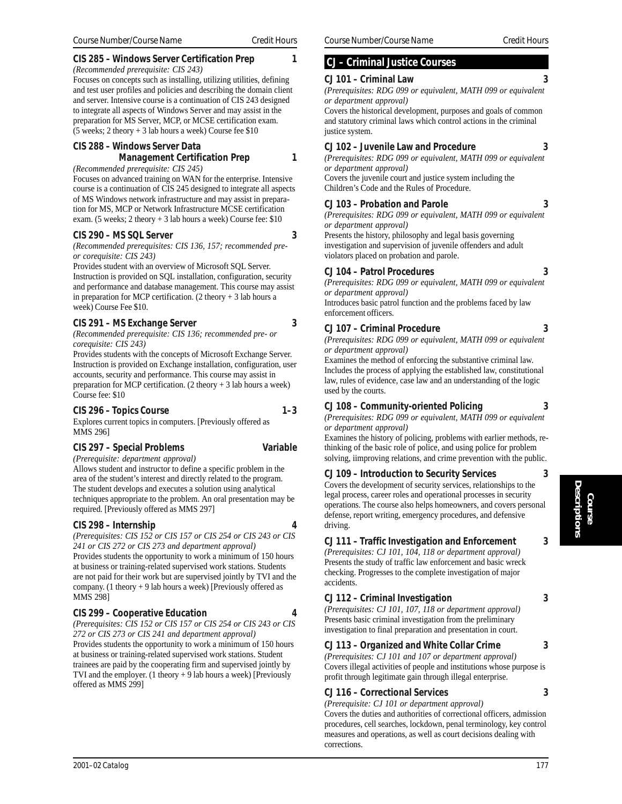# **CIS 285 – Windows Server Certification Prep 1**

*(Recommended prerequisite: CIS 243)* Focuses on concepts such as installing, utilizing utilities, defining and test user profiles and policies and describing the domain client and server. Intensive course is a continuation of CIS 243 designed to integrate all aspects of Windows Server and may assist in the preparation for MS Server, MCP, or MCSE certification exam. (5 weeks; 2 theory + 3 lab hours a week) Course fee \$10

# **CIS 288 – Windows Server Data Management Certification Prep 1**

*(Recommended prerequisite: CIS 245)*

Focuses on advanced training on WAN for the enterprise. Intensive course is a continuation of CIS 245 designed to integrate all aspects of MS Windows network infrastructure and may assist in preparation for MS, MCP or Network Infrastructure MCSE certification exam. (5 weeks; 2 theory + 3 lab hours a week) Course fee: \$10

# **CIS 290 – MS SQL Server 3**

*(Recommended prerequisites: CIS 136, 157; recommended preor corequisite: CIS 243)*

Provides student with an overview of Microsoft SQL Server. Instruction is provided on SQL installation, configuration, security and performance and database management. This course may assist in preparation for MCP certification.  $(2 \text{ theory} + 3 \text{ lab hours a})$ week) Course Fee \$10.

# **CIS 291 – MS Exchange Server 3**

*(Recommended prerequisite: CIS 136; recommended pre- or corequisite: CIS 243)*

Provides students with the concepts of Microsoft Exchange Server. Instruction is provided on Exchange installation, configuration, user accounts, security and performance. This course may assist in preparation for MCP certification.  $(2 \text{ theory} + 3 \text{ lab hours a week})$ Course fee: \$10

# **CIS 296 – Topics Course 1–3**

Explores current topics in computers. [Previously offered as MMS 296]

# **CIS 297 – Special Problems Variable**

*(Prerequisite: department approval)* Allows student and instructor to define a specific problem in the area of the student's interest and directly related to the program. The student develops and executes a solution using analytical techniques appropriate to the problem. An oral presentation may be required. [Previously offered as MMS 297]

# **CIS 298 – Internship 4**

*(Prerequisites: CIS 152 or CIS 157 or CIS 254 or CIS 243 or CIS 241 or CIS 272 or CIS 273 and department approval)* Provides students the opportunity to work a minimum of 150 hours at business or training-related supervised work stations. Students are not paid for their work but are supervised jointly by TVI and the company. (1 theory + 9 lab hours a week) [Previously offered as MMS 298]

# **CIS 299 – Cooperative Education 4**

*(Prerequisites: CIS 152 or CIS 157 or CIS 254 or CIS 243 or CIS 272 or CIS 273 or CIS 241 and department approval)* Provides students the opportunity to work a minimum of 150 hours at business or training-related supervised work stations. Student trainees are paid by the cooperating firm and supervised jointly by TVI and the employer. (1 theory + 9 lab hours a week) [Previously offered as MMS 299]

# **CJ – Criminal Justice Courses**

# **CJ 101 – Criminal Law 3**

*(Prerequisites: RDG 099 or equivalent, MATH 099 or equivalent or department approval)*

Covers the historical development, purposes and goals of common and statutory criminal laws which control actions in the criminal justice system.

# **CJ 102 – Juvenile Law and Procedure 3**

*(Prerequisites: RDG 099 or equivalent, MATH 099 or equivalent or department approval)*

Covers the juvenile court and justice system including the Children's Code and the Rules of Procedure.

# **CJ 103 – Probation and Parole 3**

*(Prerequisites: RDG 099 or equivalent, MATH 099 or equivalent or department approval)*

Presents the history, philosophy and legal basis governing investigation and supervision of juvenile offenders and adult violators placed on probation and parole.

# **CJ 104 – Patrol Procedures 3**

*(Prerequisites: RDG 099 or equivalent, MATH 099 or equivalent or department approval)*

Introduces basic patrol function and the problems faced by law enforcement officers.

# **CJ 107 – Criminal Procedure 3**

*(Prerequisites: RDG 099 or equivalent, MATH 099 or equivalent or department approval)*

Examines the method of enforcing the substantive criminal law. Includes the process of applying the established law, constitutional law, rules of evidence, case law and an understanding of the logic used by the courts.

# **CJ 108 – Community-oriented Policing 3**

*(Prerequisites: RDG 099 or equivalent, MATH 099 or equivalent or department approval)*

Examines the history of policing, problems with earlier methods, rethinking of the basic role of police, and using police for problem solving, iimproving relations, and crime prevention with the public.

# **CJ 109 – Introduction to Security Services 3**

Covers the development of security services, relationships to the legal process, career roles and operational processes in security operations. The course also helps homeowners, and covers personal defense, report writing, emergency procedures, and defensive driving.

# **CJ 111 – Traffic Investigation and Enforcement 3**

*(Prerequisites: CJ 101, 104, 118 or department approval)* Presents the study of traffic law enforcement and basic wreck checking. Progresses to the complete investigation of major accidents.

# **CJ 112 – Criminal Investigation 3**

*(Prerequisites: CJ 101, 107, 118 or department approval)* Presents basic criminal investigation from the preliminary investigation to final preparation and presentation in court.

# **CJ 113 – Organized and White Collar Crime 3**

*(Prerequisites: CJ 101 and 107 or department approval)* Covers illegal activities of people and institutions whose purpose is profit through legitimate gain through illegal enterprise.

# **CJ 116 – Correctional Services 3**

*(Prerequisite: CJ 101 or department approval)*

Covers the duties and authorities of correctional officers, admission procedures, cell searches, lockdown, penal terminology, key control measures and operations, as well as court decisions dealing with corrections.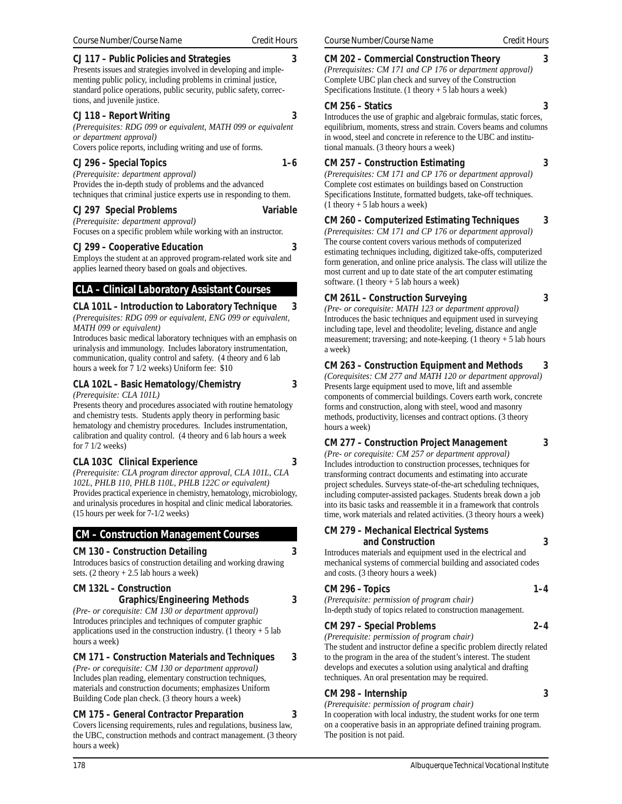#### **CJ 117 – Public Policies and Strategies 3**

Presents issues and strategies involved in developing and implementing public policy, including problems in criminal justice, standard police operations, public security, public safety, corrections, and juvenile justice.

#### **CJ 118 – Report Writing 3**

*(Prerequisites: RDG 099 or equivalent, MATH 099 or equivalent or department approval)* Covers police reports, including writing and use of forms.

#### **CJ 296 – Special Topics 1–6**

*(Prerequisite: department approval)* Provides the in-depth study of problems and the advanced techniques that criminal justice experts use in responding to them.

#### **CJ 297 Special Problems Variable**

*(Prerequisite: department approval)* Focuses on a specific problem while working with an instructor.

**CJ 299 – Cooperative Education 3**

Employs the student at an approved program-related work site and applies learned theory based on goals and objectives.

# **CLA – Clinical Laboratory Assistant Courses**

**CLA 101L – Introduction to Laboratory Technique 3** *(Prerequisites: RDG 099 or equivalent, ENG 099 or equivalent, MATH 099 or equivalent)*

Introduces basic medical laboratory techniques with an emphasis on urinalysis and immunology. Includes laboratory instrumentation, communication, quality control and safety. (4 theory and 6 lab hours a week for 7 1/2 weeks) Uniform fee: \$10

# **CLA 102L – Basic Hematology/Chemistry 3**

*(Prerequisite: CLA 101L)*

Presents theory and procedures associated with routine hematology and chemistry tests. Students apply theory in performing basic hematology and chemistry procedures. Includes instrumentation, calibration and quality control. (4 theory and 6 lab hours a week for 7 1/2 weeks)

# **CLA 103C Clinical Experience 3**

*(Prerequisite: CLA program director approval, CLA 101L, CLA 102L, PHLB 110, PHLB 110L, PHLB 122C or equivalent)* Provides practical experience in chemistry, hematology, microbiology, and urinalysis procedures in hospital and clinic medical laboratories. (15 hours per week for 7-1/2 weeks)

# **CM – Construction Management Courses**

# **CM 130 – Construction Detailing 3**

Introduces basics of construction detailing and working drawing sets.  $(2 \text{ theory} + 2.5 \text{ lab hours a week})$ 

# **CM 132L – Construction**

# **Graphics/Engineering Methods 3**

*(Pre- or corequisite: CM 130 or department approval)* Introduces principles and techniques of computer graphic applications used in the construction industry. (1 theory  $+ 5$  lab hours a week)

# **CM 171 – Construction Materials and Techniques 3**

*(Pre- or corequisite: CM 130 or department approval)* Includes plan reading, elementary construction techniques, materials and construction documents; emphasizes Uniform Building Code plan check. (3 theory hours a week)

# **CM 175 – General Contractor Preparation 3**

Covers licensing requirements, rules and regulations, business law, the UBC, construction methods and contract management. (3 theory hours a week)

# **CM 202 – Commercial Construction Theory 3**

# *(Prerequisites: CM 171 and CP 176 or department approval)*

Complete UBC plan check and survey of the Construction

Specifications Institute. (1 theory  $+ 5$  lab hours a week) **CM 256 – Statics 3**

Introduces the use of graphic and algebraic formulas, static forces, equilibrium, moments, stress and strain. Covers beams and columns in wood, steel and concrete in reference to the UBC and institutional manuals. (3 theory hours a week)

# **CM 257 – Construction Estimating 3**

*(Prerequisites: CM 171 and CP 176 or department approval)* Complete cost estimates on buildings based on Construction Specifications Institute, formatted budgets, take-off techniques.  $(1$  theory  $+ 5$  lab hours a week)

# **CM 260 – Computerized Estimating Techniques 3**

*(Prerequisites: CM 171 and CP 176 or department approval)* The course content covers various methods of computerized estimating techniques including, digitized take-offs, computerized form generation, and online price analysis. The class will utilize the most current and up to date state of the art computer estimating software. (1 theory  $+ 5$  lab hours a week)

# **CM 261L – Construction Surveying 3**

*(Pre- or corequisite: MATH 123 or department approval)* Introduces the basic techniques and equipment used in surveying including tape, level and theodolite; leveling, distance and angle measurement; traversing; and note-keeping.  $(1$  theory  $+ 5$  lab hours a week)

# **CM 263 – Construction Equipment and Methods 3**

*(Corequisites: CM 277 and MATH 120 or department approval)* Presents large equipment used to move, lift and assemble components of commercial buildings. Covers earth work, concrete forms and construction, along with steel, wood and masonry methods, productivity, licenses and contract options. (3 theory hours a week)

# **CM 277 – Construction Project Management 3**

*(Pre- or corequisite: CM 257 or department approval)* Includes introduction to construction processes, techniques for transforming contract documents and estimating into accurate project schedules. Surveys state-of-the-art scheduling techniques, including computer-assisted packages. Students break down a job into its basic tasks and reassemble it in a framework that controls time, work materials and related activities. (3 theory hours a week)

#### **CM 279 – Mechanical Electrical Systems and Construction 3**

Introduces materials and equipment used in the electrical and mechanical systems of commercial building and associated codes and costs. (3 theory hours a week)

# **CM 296 – Topics 1–4**

*(Prerequisite: permission of program chair)* In-depth study of topics related to construction management.

# **CM 297 – Special Problems 2–4**

*(Prerequisite: permission of program chair)* The student and instructor define a specific problem directly related to the program in the area of the student's interest. The student develops and executes a solution using analytical and drafting techniques. An oral presentation may be required.

# **CM 298 – Internship 3**

*(Prerequisite: permission of program chair)*

In cooperation with local industry, the student works for one term on a cooperative basis in an appropriate defined training program. The position is not paid.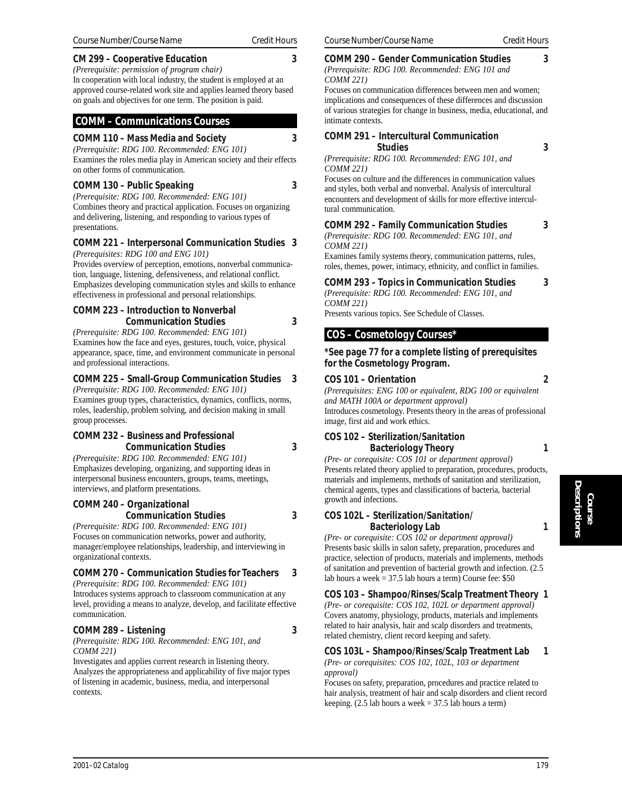# **CM 299 – Cooperative Education 3**

*(Prerequisite: permission of program chair)* In cooperation with local industry, the student is employed at an approved course-related work site and applies learned theory based on goals and objectives for one term. The position is paid.

# **COMM – Communications Courses**

#### **COMM 110 – Mass Media and Society 3** *(Prerequisite: RDG 100. Recommended: ENG 101)*

Examines the roles media play in American society and their effects on other forms of communication.

#### **COMM 130 – Public Speaking 3**

*(Prerequisite: RDG 100. Recommended: ENG 101)* Combines theory and practical application. Focuses on organizing and delivering, listening, and responding to various types of presentations.

#### **COMM 221 – Interpersonal Communication Studies 3** *(Prerequisites: RDG 100 and ENG 101)*

Provides overview of perception, emotions, nonverbal communication, language, listening, defensiveness, and relational conflict. Emphasizes developing communication styles and skills to enhance effectiveness in professional and personal relationships.

#### **COMM 223 – Introduction to Nonverbal Communication Studies 3**

*(Prerequisite: RDG 100. Recommended: ENG 101)* Examines how the face and eyes, gestures, touch, voice, physical appearance, space, time, and environment communicate in personal and professional interactions.

#### **COMM 225 – Small-Group Communication Studies 3**

*(Prerequisite: RDG 100. Recommended: ENG 101)* Examines group types, characteristics, dynamics, conflicts, norms, roles, leadership, problem solving, and decision making in small group processes.

# **COMM 232 – Business and Professional Communication Studies 3**

*(Prerequisite: RDG 100. Recommended: ENG 101)* Emphasizes developing, organizing, and supporting ideas in interpersonal business encounters, groups, teams, meetings, interviews, and platform presentations.

# **COMM 240 – Organizational**

**Communication Studies 3** *(Prerequisite: RDG 100. Recommended: ENG 101)* Focuses on communication networks, power and authority, manager/employee relationships, leadership, and interviewing in organizational contexts.

# **COMM 270 – Communication Studies for Teachers 3**

*(Prerequisite: RDG 100. Recommended: ENG 101)* Introduces systems approach to classroom communication at any level, providing a means to analyze, develop, and facilitate effective communication.

# **COMM 289 – Listening 3**

*(Prerequisite: RDG 100. Recommended: ENG 101, and COMM 221)*

Investigates and applies current research in listening theory. Analyzes the appropriateness and applicability of five major types of listening in academic, business, media, and interpersonal contexts.

#### **COMM 290 – Gender Communication Studies 3** *(Prerequisite: RDG 100. Recommended: ENG 101 and*

*COMM 221)*

Focuses on communication differences between men and women; implications and consequences of these differences and discussion of various strategies for change in business, media, educational, and intimate contexts.

#### **COMM 291 – Intercultural Communication Studies 3**

*(Prerequisite: RDG 100. Recommended: ENG 101, and COMM 221)*

Focuses on culture and the differences in communication values and styles, both verbal and nonverbal. Analysis of intercultural encounters and development of skills for more effective intercultural communication.

# **COMM 292 – Family Communication Studies 3**

*(Prerequisite: RDG 100. Recommended: ENG 101, and COMM 221)*

Examines family systems theory, communication patterns, rules, roles, themes, power, intimacy, ethnicity, and conflict in families.

# **COMM 293 – Topics in Communication Studies 3**

*(Prerequisite: RDG 100. Recommended: ENG 101, and COMM 221)*

Presents various topics. See Schedule of Classes.

# **COS – Cosmetology Courses\***

#### **\*See page 77 for a complete listing of prerequisites for the Cosmetology Program.**

#### **COS 101 – Orientation 2**

*(Prerequisites: ENG 100 or equivalent, RDG 100 or equivalent and MATH 100A or department approval)* Introduces cosmetology. Presents theory in the areas of professional image, first aid and work ethics.

#### **COS 102 – Sterilization/Sanitation Bacteriology Theory 1**

*(Pre- or corequisite: COS 101 or department approval)* Presents related theory applied to preparation, procedures, products, materials and implements, methods of sanitation and sterilization, chemical agents, types and classifications of bacteria, bacterial growth and infections.

#### **COS 102L – Sterilization/Sanitation/ Bacteriology Lab 1**

*(Pre- or corequisite: COS 102 or department approval)* Presents basic skills in salon safety, preparation, procedures and practice, selection of products, materials and implements, methods of sanitation and prevention of bacterial growth and infection. (2.5 lab hours a week = 37.5 lab hours a term) Course fee: \$50

**COS 103 – Shampoo/Rinses/Scalp Treatment Theory 1** *(Pre- or corequisite: COS 102, 102L or department approval)* Covers anatomy, physiology, products, materials and implements related to hair analysis, hair and scalp disorders and treatments,

related chemistry, client record keeping and safety. **COS 103L – Shampoo/Rinses/Scalp Treatment Lab 1**

*(Pre- or corequisites: COS 102, 102L, 103 or department approval)*

Focuses on safety, preparation, procedures and practice related to hair analysis, treatment of hair and scalp disorders and client record keeping.  $(2.5$  lab hours a week = 37.5 lab hours a term)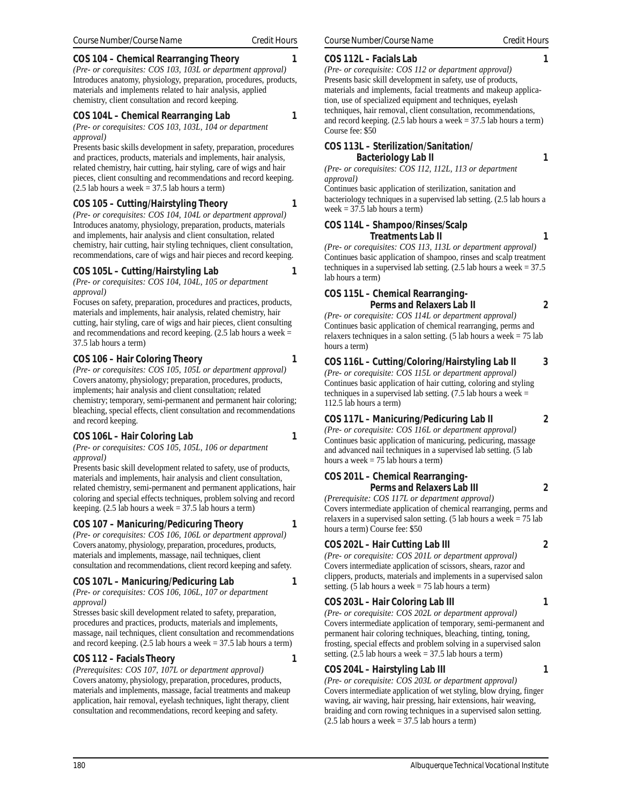# **COS 104 – Chemical Rearranging Theory 1**

*(Pre- or corequisites: COS 103, 103L or department approval)* Introduces anatomy, physiology, preparation, procedures, products, materials and implements related to hair analysis, applied chemistry, client consultation and record keeping.

#### **COS 104L – Chemical Rearranging Lab 1**

*(Pre- or corequisites: COS 103, 103L, 104 or department approval)*

Presents basic skills development in safety, preparation, procedures and practices, products, materials and implements, hair analysis, related chemistry, hair cutting, hair styling, care of wigs and hair pieces, client consulting and recommendations and record keeping.  $(2.5$  lab hours a week = 37.5 lab hours a term)

#### **COS 105 – Cutting/Hairstyling Theory 1**

*(Pre- or corequisites: COS 104, 104L or department approval)* Introduces anatomy, physiology, preparation, products, materials and implements, hair analysis and client consultation, related chemistry, hair cutting, hair styling techniques, client consultation, recommendations, care of wigs and hair pieces and record keeping.

# **COS 105L – Cutting/Hairstyling Lab 1**

*(Pre- or corequisites: COS 104, 104L, 105 or department approval)*

Focuses on safety, preparation, procedures and practices, products, materials and implements, hair analysis, related chemistry, hair cutting, hair styling, care of wigs and hair pieces, client consulting and recommendations and record keeping.  $(2.5$  lab hours a week = 37.5 lab hours a term)

#### **COS 106 – Hair Coloring Theory 1**

*(Pre- or corequisites: COS 105, 105L or department approval)* Covers anatomy, physiology; preparation, procedures, products, implements; hair analysis and client consultation; related chemistry; temporary, semi-permanent and permanent hair coloring; bleaching, special effects, client consultation and recommendations and record keeping.

#### **COS 106L – Hair Coloring Lab 1**

*(Pre- or corequisites: COS 105, 105L, 106 or department approval)*

Presents basic skill development related to safety, use of products, materials and implements, hair analysis and client consultation, related chemistry, semi-permanent and permanent applications, hair coloring and special effects techniques, problem solving and record keeping.  $(2.5$  lab hours a week = 37.5 lab hours a term)

#### **COS 107 – Manicuring/Pedicuring Theory 1**

*(Pre- or corequisites: COS 106, 106L or department approval)* Covers anatomy, physiology, preparation, procedures, products, materials and implements, massage, nail techniques, client consultation and recommendations, client record keeping and safety.

#### **COS 107L – Manicuring/Pedicuring Lab 1**

*(Pre- or corequisites: COS 106, 106L, 107 or department approval)*

Stresses basic skill development related to safety, preparation, procedures and practices, products, materials and implements, massage, nail techniques, client consultation and recommendations and record keeping.  $(2.5$  lab hours a week = 37.5 lab hours a term)

#### **COS 112 – Facials Theory 1**

*(Prerequisites: COS 107, 107L or department approval)* Covers anatomy, physiology, preparation, procedures, products, materials and implements, massage, facial treatments and makeup application, hair removal, eyelash techniques, light therapy, client consultation and recommendations, record keeping and safety.

#### **COS 112L – Facials Lab 1**

*(Pre- or corequisite: COS 112 or department approval)* Presents basic skill development in safety, use of products, materials and implements, facial treatments and makeup application, use of specialized equipment and techniques, eyelash techniques, hair removal, client consultation, recommendations, and record keeping.  $(2.5$  lab hours a week = 37.5 lab hours a term) Course fee: \$50

#### **COS 113L – Sterilization/Sanitation/ Bacteriology Lab II** 1

*(Pre- or corequisites: COS 112, 112L, 113 or department approval)*

Continues basic application of sterilization, sanitation and bacteriology techniques in a supervised lab setting. (2.5 lab hours a week  $= 37.5$  lab hours a term)

#### **COS 114L – Shampoo/Rinses/Scalp Treatments Lab II** 1

*(Pre- or corequisites: COS 113, 113L or department approval)* Continues basic application of shampoo, rinses and scalp treatment techniques in a supervised lab setting.  $(2.5 \text{ lab hours a week} = 37.5)$ lab hours a term)

# **COS 115L – Chemical Rearranging-**

hours a term)

**Perms and Relaxers Lab II 2**

*(Pre- or corequisite: COS 114L or department approval)* Continues basic application of chemical rearranging, perms and relaxers techniques in a salon setting.  $(5 \text{ lab hours a week} = 75 \text{ lab})$ 

#### **COS 116L – Cutting/Coloring/Hairstyling Lab II 3**

*(Pre- or corequisite: COS 115L or department approval)* Continues basic application of hair cutting, coloring and styling techniques in a supervised lab setting.  $(7.5 \text{ lab hours a week} =$ 112.5 lab hours a term)

#### **COS 117L – Manicuring/Pedicuring Lab II 2**

*(Pre- or corequisite: COS 116L or department approval)* Continues basic application of manicuring, pedicuring, massage and advanced nail techniques in a supervised lab setting. (5 lab hours a week  $= 75$  lab hours a term)

# **COS 201L – Chemical Rearranging-Perms and Relaxers Lab III 2**

*(Prerequisite: COS 117L or department approval)* Covers intermediate application of chemical rearranging, perms and relaxers in a supervised salon setting.  $(5 \text{ lab hours a week} = 75 \text{ lab})$ hours a term) Course fee: \$50

#### **COS 202L – Hair Cutting Lab III 2**

*(Pre- or corequisite: COS 201L or department approval)* Covers intermediate application of scissors, shears, razor and clippers, products, materials and implements in a supervised salon setting. (5 lab hours a week  $= 75$  lab hours a term)

#### **COS 203L – Hair Coloring Lab III** 1

*(Pre- or corequisite: COS 202L or department approval)* Covers intermediate application of temporary, semi-permanent and permanent hair coloring techniques, bleaching, tinting, toning, frosting, special effects and problem solving in a supervised salon setting.  $(2.5$  lab hours a week = 37.5 lab hours a term)

#### **COS 204L – Hairstyling Lab III** 1

*(Pre- or corequisite: COS 203L or department approval)* Covers intermediate application of wet styling, blow drying, finger waving, air waving, hair pressing, hair extensions, hair weaving, braiding and corn rowing techniques in a supervised salon setting. (2.5 lab hours a week = 37.5 lab hours a term)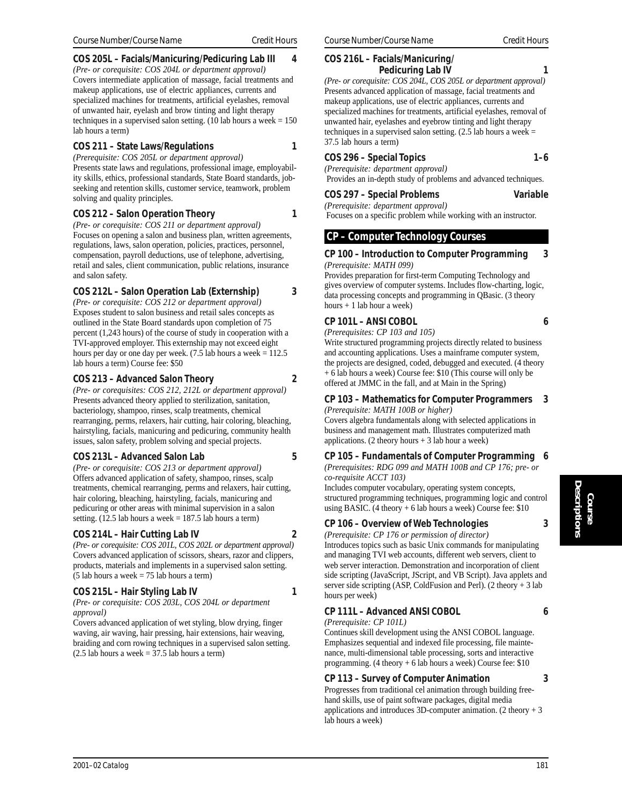## **COS 205L – Facials/Manicuring/Pedicuring Lab III 4**

*(Pre- or corequisite: COS 204L or department approval)* Covers intermediate application of massage, facial treatments and makeup applications, use of electric appliances, currents and specialized machines for treatments, artificial eyelashes, removal of unwanted hair, eyelash and brow tinting and light therapy techniques in a supervised salon setting. (10 lab hours a week  $= 150$ ) lab hours a term)

## **COS 211 – State Laws/Regulations 1**

*(Prerequisite: COS 205L or department approval)* Presents state laws and regulations, professional image, employability skills, ethics, professional standards, State Board standards, jobseeking and retention skills, customer service, teamwork, problem solving and quality principles.

## **COS 212 – Salon Operation Theory 1**

*(Pre- or corequisite: COS 211 or department approval)* Focuses on opening a salon and business plan, written agreements, regulations, laws, salon operation, policies, practices, personnel, compensation, payroll deductions, use of telephone, advertising, retail and sales, client communication, public relations, insurance and salon safety.

## **COS 212L – Salon Operation Lab (Externship) 3**

*(Pre- or corequisite: COS 212 or department approval)* Exposes student to salon business and retail sales concepts as outlined in the State Board standards upon completion of 75 percent (1,243 hours) of the course of study in cooperation with a TVI-approved employer. This externship may not exceed eight hours per day or one day per week. (7.5 lab hours a week = 112.5 lab hours a term) Course fee: \$50

## **COS 213 – Advanced Salon Theory 2**

*(Pre- or corequisites: COS 212, 212L or department approval)* Presents advanced theory applied to sterilization, sanitation, bacteriology, shampoo, rinses, scalp treatments, chemical rearranging, perms, relaxers, hair cutting, hair coloring, bleaching, hairstyling, facials, manicuring and pedicuring, community health issues, salon safety, problem solving and special projects.

## **COS 213L – Advanced Salon Lab 5**

*(Pre- or corequisite: COS 213 or department approval)* Offers advanced application of safety, shampoo, rinses, scalp treatments, chemical rearranging, perms and relaxers, hair cutting, hair coloring, bleaching, hairstyling, facials, manicuring and pedicuring or other areas with minimal supervision in a salon setting.  $(12.5$  lab hours a week = 187.5 lab hours a term)

## **COS 214L – Hair Cutting Lab IV 2**

*(Pre- or corequisite: COS 201L, COS 202L or department approval)* Covers advanced application of scissors, shears, razor and clippers, products, materials and implements in a supervised salon setting. (5 lab hours a week = 75 lab hours a term)

## **COS 215L – Hair Styling Lab IV 1**

*(Pre- or corequisite: COS 203L, COS 204L or department approval)*

Covers advanced application of wet styling, blow drying, finger waving, air waving, hair pressing, hair extensions, hair weaving, braiding and corn rowing techniques in a supervised salon setting.  $(2.5$  lab hours a week = 37.5 lab hours a term)

#### **COS 216L – Facials/Manicuring/ Pedicuring Lab IV 1**

*(Pre- or corequisite: COS 204L, COS 205L or department approval)* Presents advanced application of massage, facial treatments and makeup applications, use of electric appliances, currents and specialized machines for treatments, artificial eyelashes, removal of unwanted hair, eyelashes and eyebrow tinting and light therapy techniques in a supervised salon setting.  $(2.5$  lab hours a week = 37.5 lab hours a term)

## **COS 296 – Special Topics 1–6**

*(Prerequisite: department approval)* Provides an in-depth study of problems and advanced techniques.

## **COS 297 – Special Problems Variable**

*(Prerequisite: department approval)* Focuses on a specific problem while working with an instructor.

## **CP – Computer Technology Courses**

#### **CP 100 – Introduction to Computer Programming 3** *(Prerequisite: MATH 099)*

Provides preparation for first-term Computing Technology and gives overview of computer systems. Includes flow-charting, logic, data processing concepts and programming in QBasic. (3 theory hours + 1 lab hour a week)

## **CP 101L – ANSI COBOL 6**

*(Prerequisites: CP 103 and 105)*

Write structured programming projects directly related to business and accounting applications. Uses a mainframe computer system, the projects are designed, coded, debugged and executed. (4 theory + 6 lab hours a week) Course fee: \$10 (This course will only be offered at JMMC in the fall, and at Main in the Spring)

#### **CP 103 – Mathematics for Computer Programmers 3** *(Prerequisite: MATH 100B or higher)*

Covers algebra fundamentals along with selected applications in business and management math. Illustrates computerized math applications. (2 theory hours  $+3$  lab hour a week)

## **CP 105 – Fundamentals of Computer Programming 6**

*(Prerequisites: RDG 099 and MATH 100B and CP 176; pre- or co-requisite ACCT 103)*

Includes computer vocabulary, operating system concepts, structured programming techniques, programming logic and control using BASIC. (4 theory  $+ 6$  lab hours a week) Course fee: \$10

## **CP 106 – Overview of Web Technologies 3**

*(Prerequisite: CP 176 or permission of director)* Introduces topics such as basic Unix commands for manipulating and managing TVI web accounts, different web servers, client to web server interaction. Demonstration and incorporation of client side scripting (JavaScript, JScript, and VB Script). Java applets and server side scripting (ASP, ColdFusion and Perl). (2 theory + 3 lab hours per week)

## **CP 111L – Advanced ANSI COBOL 6**

*(Prerequisite: CP 101L)*

Continues skill development using the ANSI COBOL language. Emphasizes sequential and indexed file processing, file maintenance, multi-dimensional table processing, sorts and interactive programming. (4 theory + 6 lab hours a week) Course fee: \$10

## **CP 113 – Survey of Computer Animation 3**

Progresses from traditional cel animation through building freehand skills, use of paint software packages, digital media applications and introduces 3D-computer animation. (2 theory + 3 lab hours a week)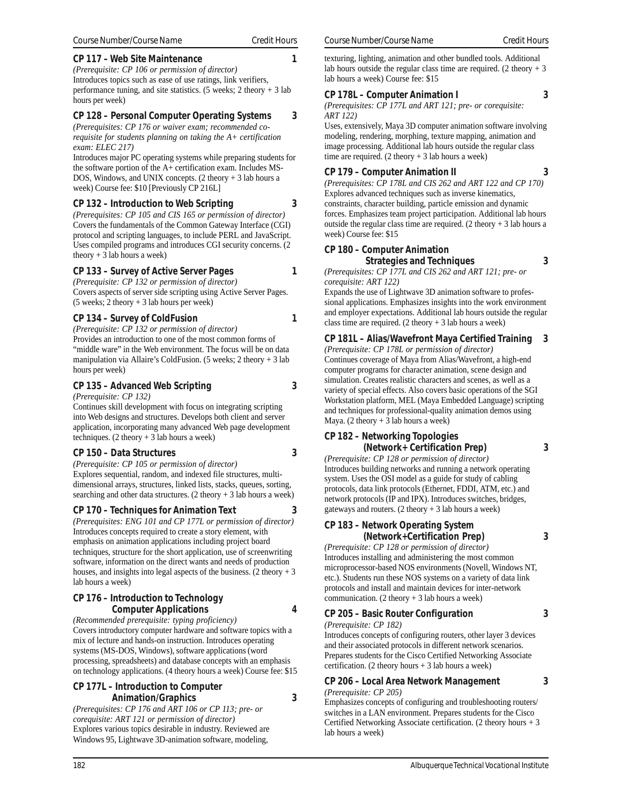#### **CP 117 – Web Site Maintenance 1**

*(Prerequisite: CP 106 or permission of director)* Introduces topics such as ease of use ratings, link verifiers, performance tuning, and site statistics. (5 weeks; 2 theory  $+3$  lab hours per week)

#### **CP 128 – Personal Computer Operating Systems 3**

*(Prerequisites: CP 176 or waiver exam; recommended corequisite for students planning on taking the A+ certification exam: ELEC 217)*

Introduces major PC operating systems while preparing students for the software portion of the A+ certification exam. Includes MS-DOS, Windows, and UNIX concepts. (2 theory + 3 lab hours a week) Course fee: \$10 [Previously CP 216L]

#### **CP 132 – Introduction to Web Scripting 3**

*(Prerequisites: CP 105 and CIS 165 or permission of director)* Covers the fundamentals of the Common Gateway Interface (CGI) protocol and scripting languages, to include PERL and JavaScript. Uses compiled programs and introduces CGI security concerns. (2 theory  $+3$  lab hours a week)

#### **CP 133 – Survey of Active Server Pages 1**

*(Prerequisite: CP 132 or permission of director)* Covers aspects of server side scripting using Active Server Pages. (5 weeks; 2 theory + 3 lab hours per week)

**CP 134 – Survey of ColdFusion 1**

*(Prerequisite: CP 132 or permission of director)* Provides an introduction to one of the most common forms of "middle ware" in the Web environment. The focus will be on data manipulation via Allaire's ColdFusion. (5 weeks; 2 theory + 3 lab hours per week)

#### **CP 135 – Advanced Web Scripting 3**

#### *(Prerequisite: CP 132)*

Continues skill development with focus on integrating scripting into Web designs and structures. Develops both client and server application, incorporating many advanced Web page development techniques. (2 theory + 3 lab hours a week)

#### **CP 150 – Data Structures 3**

*(Prerequisite: CP 105 or permission of director)* Explores sequential, random, and indexed file structures, multidimensional arrays, structures, linked lists, stacks, queues, sorting, searching and other data structures. (2 theory + 3 lab hours a week)

#### **CP 170 – Techniques for Animation Text 3**

*(Prerequisites: ENG 101 and CP 177L or permission of director)* Introduces concepts required to create a story element, with emphasis on animation applications including project board techniques, structure for the short application, use of screenwriting software, information on the direct wants and needs of production houses, and insights into legal aspects of the business. (2 theory  $+3$ lab hours a week)

#### **CP 176 – Introduction to Technology Computer Applications 4**

*(Recommended prerequisite: typing proficiency)* Covers introductory computer hardware and software topics with a mix of lecture and hands-on instruction. Introduces operating systems (MS-DOS, Windows), software applications (word processing, spreadsheets) and database concepts with an emphasis on technology applications. (4 theory hours a week) Course fee: \$15

#### **CP 177L – Introduction to Computer Animation/Graphics 3**

*(Prerequisites: CP 176 and ART 106 or CP 113; pre- or corequisite: ART 121 or permission of director)* Explores various topics desirable in industry. Reviewed are Windows 95, Lightwave 3D-animation software, modeling,

texturing, lighting, animation and other bundled tools. Additional lab hours outside the regular class time are required. (2 theory  $+3$ lab hours a week) Course fee: \$15

#### **CP 178L – Computer Animation I 3**

*(Prerequisites: CP 177L and ART 121; pre- or corequisite: ART 122)*

Uses, extensively, Maya 3D computer animation software involving modeling, rendering, morphing, texture mapping, animation and image processing. Additional lab hours outside the regular class time are required.  $(2 \text{ theory} + 3 \text{ lab hours a week})$ 

#### **CP 179 – Computer Animation II 3**

*(Prerequisites: CP 178L and CIS 262 and ART 122 and CP 170)* Explores advanced techniques such as inverse kinematics, constraints, character building, particle emission and dynamic forces. Emphasizes team project participation. Additional lab hours outside the regular class time are required. (2 theory  $+3$  lab hours a week) Course fee: \$15

#### **CP 180 – Computer Animation**

 **Strategies and Techniques 3** *(Prerequisites: CP 177L and CIS 262 and ART 121; pre- or corequisite: ART 122)*

Expands the use of Lightwave 3D animation software to professional applications. Emphasizes insights into the work environment and employer expectations. Additional lab hours outside the regular class time are required.  $(2 \text{ theory} + 3 \text{ lab hours a week})$ 

#### **CP 181L – Alias/Wavefront Maya Certified Training 3**

*(Prerequisite: CP 178L or permission of director)* Continues coverage of Maya from Alias/Wavefront, a high-end computer programs for character animation, scene design and simulation. Creates realistic characters and scenes, as well as a variety of special effects. Also covers basic operations of the SGI Workstation platform, MEL (Maya Embedded Language) scripting and techniques for professional-quality animation demos using Maya. (2 theory  $+3$  lab hours a week)

## **CP 182 – Networking Topologies**

**(Network+ Certification Prep) 3**

*(Prerequisite: CP 128 or permission of director)* Introduces building networks and running a network operating system. Uses the OSI model as a guide for study of cabling protocols, data link protocols (Ethernet, FDDI, ATM, etc.) and network protocols (IP and IPX). Introduces switches, bridges, gateways and routers.  $(2 \text{ theory} + 3 \text{ lab hours a week})$ 

#### **CP 183 – Network Operating System (Network+Certification Prep) 3**

*(Prerequisite: CP 128 or permission of director)* Introduces installing and administering the most common microprocessor-based NOS environments (Novell, Windows NT, etc.). Students run these NOS systems on a variety of data link protocols and install and maintain devices for inter-network

## communication.  $(2 \text{ theory} + 3 \text{ lab hours a week})$ **CP 205 – Basic Router Configuration 3**

*(Prerequisite: CP 182)*

Introduces concepts of configuring routers, other layer 3 devices and their associated protocols in different network scenarios. Prepares students for the Cisco Certified Networking Associate certification. (2 theory hours  $+ 3$  lab hours a week)

**CP 206 – Local Area Network Management 3** *(Prerequisite: CP 205)*

Emphasizes concepts of configuring and troubleshooting routers/ switches in a LAN environment. Prepares students for the Cisco Certified Networking Associate certification. (2 theory hours + 3 lab hours a week)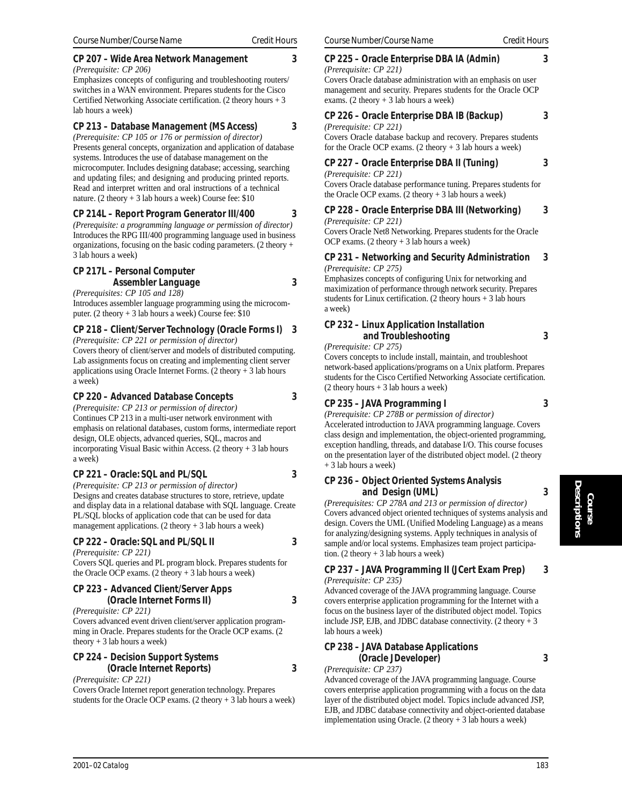#### **CP 207 – Wide Area Network Management 3**

*(Prerequisite: CP 206)*

Emphasizes concepts of configuring and troubleshooting routers/ switches in a WAN environment. Prepares students for the Cisco Certified Networking Associate certification. (2 theory hours + 3 lab hours a week)

## **CP 213 – Database Management (MS Access) 3**

*(Prerequisite: CP 105 or 176 or permission of director)* Presents general concepts, organization and application of database systems. Introduces the use of database management on the microcomputer. Includes designing database; accessing, searching and updating files; and designing and producing printed reports. Read and interpret written and oral instructions of a technical nature. (2 theory  $+3$  lab hours a week) Course fee: \$10

#### **CP 214L – Report Program Generator III/400 3**

*(Prerequisite: a programming language or permission of director)* Introduces the RPG III/400 programming language used in business organizations, focusing on the basic coding parameters. (2 theory + 3 lab hours a week)

#### **CP 217L – Personal Computer Assembler Language 3**

#### *(Prerequisites: CP 105 and 128)* Introduces assembler language programming using the microcomputer. (2 theory + 3 lab hours a week) Course fee: \$10

## **CP 218 – Client/Server Technology (Oracle Forms I) 3**

*(Prerequisite: CP 221 or permission of director)* Covers theory of client/server and models of distributed computing. Lab assignments focus on creating and implementing client server applications using Oracle Internet Forms. (2 theory + 3 lab hours a week)

#### **CP 220 – Advanced Database Concepts 3**

*(Prerequisite: CP 213 or permission of director)* Continues CP 213 in a multi-user network environment with emphasis on relational databases, custom forms, intermediate report design, OLE objects, advanced queries, SQL, macros and incorporating Visual Basic within Access. (2 theory + 3 lab hours a week)

#### **CP 221 – Oracle: SQL and PL/SQL 3**

*(Prerequisite: CP 213 or permission of director)* Designs and creates database structures to store, retrieve, update and display data in a relational database with SQL language. Create PL/SQL blocks of application code that can be used for data management applications.  $(2 \text{ theory} + 3 \text{ lab hours a week})$ 

**CP 222 – Oracle: SQL and PL/SQL II 3**

*(Prerequisite: CP 221)*

Covers SQL queries and PL program block. Prepares students for the Oracle OCP exams.  $(2 \text{ theory} + 3 \text{ lab hours a week})$ 

#### **CP 223 – Advanced Client/Server Apps (Oracle Internet Forms II) 3**

*(Prerequisite: CP 221)*

Covers advanced event driven client/server application programming in Oracle. Prepares students for the Oracle OCP exams. (2 theory  $+3$  lab hours a week)

#### **CP 224 – Decision Support Systems (Oracle Internet Reports) 3**

*(Prerequisite: CP 221)*

Covers Oracle Internet report generation technology. Prepares students for the Oracle OCP exams. (2 theory + 3 lab hours a week)

## **CP 225 – Oracle Enterprise DBA IA (Admin) 3**

*(Prerequisite: CP 221)* Covers Oracle database administration with an emphasis on user management and security. Prepares students for the Oracle OCP exams. (2 theory + 3 lab hours a week)

#### **CP 226 – Oracle Enterprise DBA IB (Backup) 3**

*(Prerequisite: CP 221)*

Covers Oracle database backup and recovery. Prepares students for the Oracle OCP exams. (2 theory  $+3$  lab hours a week)

#### **CP 227 – Oracle Enterprise DBA II (Tuning) 3**

*(Prerequisite: CP 221)*

Covers Oracle database performance tuning. Prepares students for the Oracle OCP exams. (2 theory + 3 lab hours a week)

**CP 228 – Oracle Enterprise DBA III (Networking) 3** *(Prerequisite: CP 221)*

Covers Oracle Net8 Networking. Prepares students for the Oracle OCP exams.  $(2 \text{ theory} + 3 \text{ lab hours a week})$ 

#### **CP 231 – Networking and Security Administration 3** *(Prerequisite: CP 275)*

Emphasizes concepts of configuring Unix for networking and maximization of performance through network security. Prepares students for Linux certification. (2 theory hours + 3 lab hours a week)

## **CP 232 – Linux Application Installation and Troubleshooting 3**

*(Prerequisite: CP 275)*

Covers concepts to include install, maintain, and troubleshoot network-based applications/programs on a Unix platform. Prepares students for the Cisco Certified Networking Associate certification.  $(2$  theory hours + 3 lab hours a week)

## **CP 235 – JAVA Programming I 3**

*(Prerequisite: CP 278B or permission of director)* Accelerated introduction to JAVA programming language. Covers class design and implementation, the object-oriented programming, exception handling, threads, and database I/O. This course focuses on the presentation layer of the distributed object model. (2 theory + 3 lab hours a week)

#### **CP 236 – Object Oriented Systems Analysis and Design (UML) 3**

*(Prerequisites: CP 278A and 213 or permission of director)* Covers advanced object oriented techniques of systems analysis and design. Covers the UML (Unified Modeling Language) as a means for analyzing/designing systems. Apply techniques in analysis of sample and/or local systems. Emphasizes team project participation.  $(2 \text{ theory} + 3 \text{ lab hours a week})$ 

#### **CP 237 – JAVA Programming II (JCert Exam Prep) 3** *(Prerequisite: CP 235)*

Advanced coverage of the JAVA programming language. Course covers enterprise application programming for the Internet with a focus on the business layer of the distributed object model. Topics include JSP, EJB, and JDBC database connectivity.  $(2 \text{ theory} + 3)$ lab hours a week)

#### **CP 238 – JAVA Database Applications (Oracle JDeveloper) 3**

*(Prerequisite: CP 237)*

Advanced coverage of the JAVA programming language. Course covers enterprise application programming with a focus on the data layer of the distributed object model. Topics include advanced JSP, EJB, and JDBC database connectivity and object-oriented database implementation using Oracle. (2 theory + 3 lab hours a week)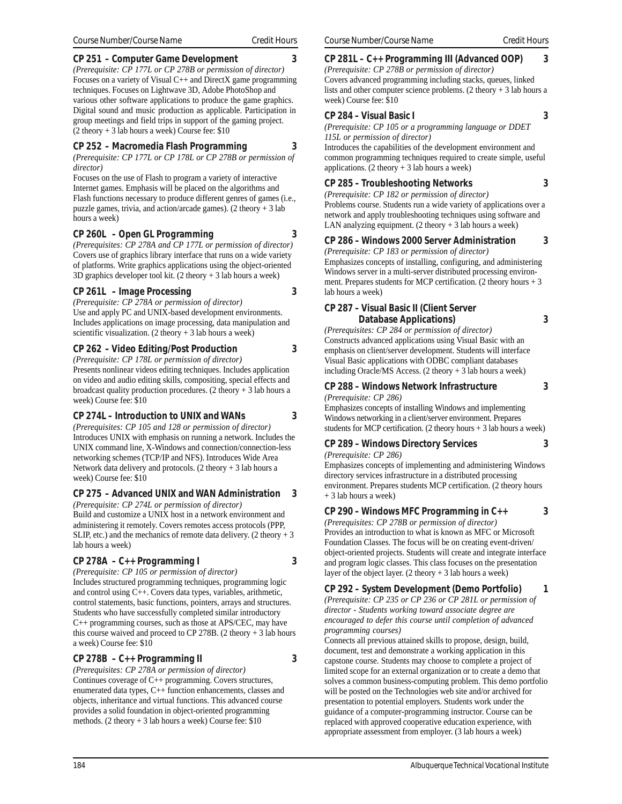#### **CP 251 – Computer Game Development 3**

*(Prerequisite: CP 177L or CP 278B or permission of director)* Focuses on a variety of Visual C++ and DirectX game programming techniques. Focuses on Lightwave 3D, Adobe PhotoShop and various other software applications to produce the game graphics. Digital sound and music production as applicable. Participation in group meetings and field trips in support of the gaming project.  $(2$  theory + 3 lab hours a week) Course fee: \$10

## **CP 252 – Macromedia Flash Programming 3**

*(Prerequisite: CP 177L or CP 178L or CP 278B or permission of director)*

Focuses on the use of Flash to program a variety of interactive Internet games. Emphasis will be placed on the algorithms and Flash functions necessary to produce different genres of games (i.e., puzzle games, trivia, and action/arcade games).  $(2 \text{ theory} + 3 \text{ lab})$ hours a week)

## **CP 260L – Open GL Programming 3**

*(Prerequisites: CP 278A and CP 177L or permission of director)* Covers use of graphics library interface that runs on a wide variety of platforms. Write graphics applications using the object-oriented 3D graphics developer tool kit.  $(2 \text{ theory} + 3 \text{ lab hours a week})$ 

## **CP 261L – Image Processing 3**

*(Prerequisite: CP 278A or permission of director)* Use and apply PC and UNIX-based development environments. Includes applications on image processing, data manipulation and scientific visualization.  $(2 \text{ theory} + 3 \text{ lab hours a week})$ 

## **CP 262 – Video Editing/Post Production 3**

*(Prerequisite: CP 178L or permission of director)* Presents nonlinear videos editing techniques. Includes application on video and audio editing skills, compositing, special effects and broadcast quality production procedures. (2 theory  $+3$  lab hours a week) Course fee: \$10

## **CP 274L – Introduction to UNIX and WANs 3**

*(Prerequisites: CP 105 and 128 or permission of director)* Introduces UNIX with emphasis on running a network. Includes the UNIX command line, X-Windows and connection/connection-less networking schemes (TCP/IP and NFS). Introduces Wide Area Network data delivery and protocols.  $(2 \text{ theory} + 3 \text{ lab hours a})$ week) Course fee: \$10

## **CP 275 – Advanced UNIX and WAN Administration 3**

*(Prerequisite: CP 274L or permission of director)* Build and customize a UNIX host in a network environment and administering it remotely. Covers remotes access protocols (PPP, SLIP, etc.) and the mechanics of remote data delivery.  $(2 \text{ theory} + 3)$ lab hours a week)

## **CP 278A – C++ Programming I 3**

*(Prerequisite: CP 105 or permission of director)*

Includes structured programming techniques, programming logic and control using C++. Covers data types, variables, arithmetic, control statements, basic functions, pointers, arrays and structures. Students who have successfully completed similar introductory C++ programming courses, such as those at APS/CEC, may have this course waived and proceed to  $CP$  278B. (2 theory + 3 lab hours a week) Course fee: \$10

## **CP 278B – C++ Programming II 3**

*(Prerequisites: CP 278A or permission of director)* Continues coverage of C++ programming. Covers structures, enumerated data types, C++ function enhancements, classes and objects, inheritance and virtual functions. This advanced course provides a solid foundation in object-oriented programming methods. (2 theory + 3 lab hours a week) Course fee: \$10

#### **CP 281L – C++ Programming III (Advanced OOP) 3**

*(Prerequisite: CP 278B or permission of director)* Covers advanced programming including stacks, queues, linked lists and other computer science problems. (2 theory + 3 lab hours a week) Course fee: \$10

#### **CP 284 – Visual Basic I 3**

*(Prerequisite: CP 105 or a programming language or DDET*

*115L or permission of director)*

Introduces the capabilities of the development environment and common programming techniques required to create simple, useful applications.  $(2 \text{ theory} + 3 \text{ lab hours a week})$ 

## **CP 285 – Troubleshooting Networks 3**

*(Prerequisite: CP 182 or permission of director)* Problems course. Students run a wide variety of applications over a network and apply troubleshooting techniques using software and LAN analyzing equipment.  $(2 \text{ theory} + 3 \text{ lab hours a week})$ 

#### **CP 286 – Windows 2000 Server Administration 3**

*(Prerequisite: CP 183 or permission of director)* Emphasizes concepts of installing, configuring, and administering Windows server in a multi-server distributed processing environment. Prepares students for MCP certification. (2 theory hours + 3 lab hours a week)

#### **CP 287 – Visual Basic II (Client Server Database Applications) 3**

*(Prerequisites: CP 284 or permission of director)* Constructs advanced applications using Visual Basic with an emphasis on client/server development. Students will interface Visual Basic applications with ODBC compliant databases including Oracle/MS Access. (2 theory + 3 lab hours a week)

## **CP 288 – Windows Network Infrastructure 3**

*(Prerequisite: CP 286)* Emphasizes concepts of installing Windows and implementing Windows networking in a client/server environment. Prepares

# students for MCP certification.  $(2 \text{ theory hours} + 3 \text{ lab hours a week})$

**CP 289 – Windows Directory Services 3** *(Prerequisite: CP 286)*

Emphasizes concepts of implementing and administering Windows directory services infrastructure in a distributed processing environment. Prepares students MCP certification. (2 theory hours + 3 lab hours a week)

#### **CP 290 – Windows MFC Programming in C++ 3**

*(Prerequisites: CP 278B or permission of director)* Provides an introduction to what is known as MFC or Microsoft Foundation Classes. The focus will be on creating event-driven/ object-oriented projects. Students will create and integrate interface and program logic classes. This class focuses on the presentation layer of the object layer. (2 theory + 3 lab hours a week)

**CP 292 – System Development (Demo Portfolio) 1**

*(Prerequisite: CP 235 or CP 236 or CP 281L or permission of director - Students working toward associate degree are encouraged to defer this course until completion of advanced programming courses)*

Connects all previous attained skills to propose, design, build, document, test and demonstrate a working application in this capstone course. Students may choose to complete a project of limited scope for an external organization or to create a demo that solves a common business-computing problem. This demo portfolio will be posted on the Technologies web site and/or archived for presentation to potential employers. Students work under the guidance of a computer-programming instructor. Course can be replaced with approved cooperative education experience, with appropriate assessment from employer. (3 lab hours a week)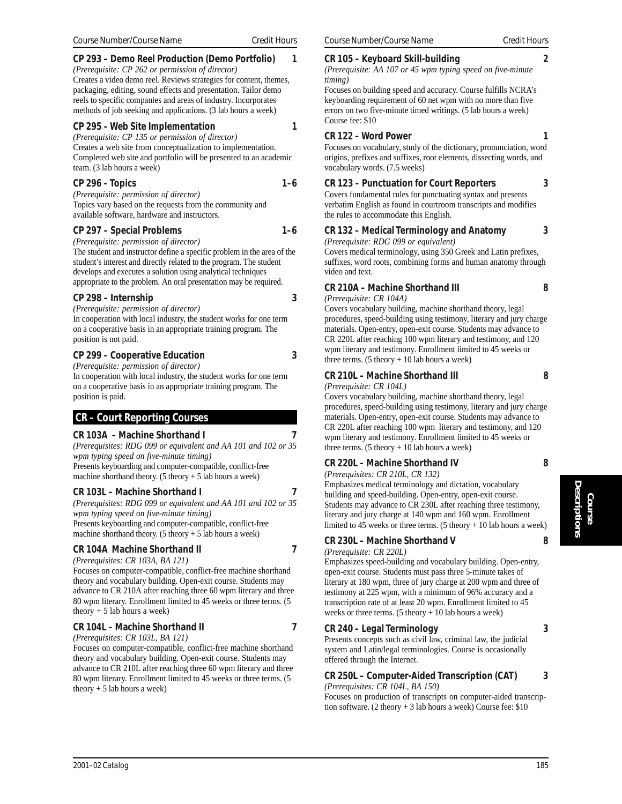## **CP 293 – Demo Reel Production (Demo Portfolio) 1**

*(Prerequisite: CP 262 or permission of director)* Creates a video demo reel. Reviews strategies for content, themes, packaging, editing, sound effects and presentation. Tailor demo reels to specific companies and areas of industry. Incorporates methods of job seeking and applications. (3 lab hours a week)

#### **CP 295 – Web Site Implementation 1**

*(Prerequisite: CP 135 or permission of director)* Creates a web site from conceptualization to implementation. Completed web site and portfolio will be presented to an academic team. (3 lab hours a week)

#### **CP 296 – Topics 1–6**

*(Prerequisite: permission of director)* Topics vary based on the requests from the community and available software, hardware and instructors.

#### **CP 297 – Special Problems 1–6**

*(Prerequisite: permission of director)*

The student and instructor define a specific problem in the area of the student's interest and directly related to the program. The student develops and executes a solution using analytical techniques appropriate to the problem. An oral presentation may be required.

#### **CP 298 – Internship 3**

*(Prerequisite: permission of director)* In cooperation with local industry, the student works for one term on a cooperative basis in an appropriate training program. The position is not paid.

#### **CP 299 – Cooperative Education 3**

*(Prerequisite: permission of director)*

In cooperation with local industry, the student works for one term on a cooperative basis in an appropriate training program. The position is paid.

## **CR – Court Reporting Courses**

#### **CR 103A – Machine Shorthand I 7**

*(Prerequisites: RDG 099 or equivalent and AA 101 and 102 or 35 wpm typing speed on five-minute timing)* Presents keyboarding and computer-compatible, conflict-free machine shorthand theory. (5 theory  $+ 5$  lab hours a week)

#### **CR 103L – Machine Shorthand I 7**

*(Prerequisites: RDG 099 or equivalent and AA 101 and 102 or 35 wpm typing speed on five-minute timing)* Presents keyboarding and computer-compatible, conflict-free

machine shorthand theory. (5 theory  $+ 5$  lab hours a week)

## **CR 104A Machine Shorthand II** 7

*(Prerequisites: CR 103A, BA 121)* Focuses on computer-compatible, conflict-free machine shorthand theory and vocabulary building. Open-exit course. Students may advance to CR 210A after reaching three 60 wpm literary and three 80 wpm literary. Enrollment limited to 45 weeks or three terms. (5

#### **CR 104L – Machine Shorthand II 7**

*(Prerequisites: CR 103L, BA 121)*

theory  $+ 5$  lab hours a week)

Focuses on computer-compatible, conflict-free machine shorthand theory and vocabulary building. Open-exit course. Students may advance to CR 210L after reaching three 60 wpm literary and three 80 wpm literary. Enrollment limited to 45 weeks or three terms. (5 theory  $+ 5$  lab hours a week)

#### **CR 105 – Keyboard Skill-building 2**

*(Prerequisite: AA 107 or 45 wpm typing speed on five-minute timing)*

Focuses on building speed and accuracy. Course fulfills NCRA's keyboarding requirement of 60 net wpm with no more than five errors on two five-minute timed writings. (5 lab hours a week) Course fee: \$10

#### **CR 122 – Word Power 1**

Focuses on vocabulary, study of the dictionary, pronunciation, word origins, prefixes and suffixes, root elements, dissecting words, and vocabulary words. (7.5 weeks)

## **CR 123 – Punctuation for Court Reporters 3**

Covers fundamental rules for punctuating syntax and presents verbatim English as found in courtroom transcripts and modifies the rules to accommodate this English.

#### **CR 132 – Medical Terminology and Anatomy 3**

*(Prerequisite: RDG 099 or equivalent)*

Covers medical terminology, using 350 Greek and Latin prefixes, suffixes, word roots, combining forms and human anatomy through video and text.

## **CR 210A – Machine Shorthand III 8**

*(Prerequisite: CR 104A)*

Covers vocabulary building, machine shorthand theory, legal procedures, speed-building using testimony, literary and jury charge materials. Open-entry, open-exit course. Students may advance to CR 220L after reaching 100 wpm literary and testimony, and 120 wpm literary and testimony. Enrollment limited to 45 weeks or three terms.  $(5$  theory  $+ 10$  lab hours a week)

#### **CR 210L – Machine Shorthand III 8**

*(Prerequisite: CR 104L)*

Covers vocabulary building, machine shorthand theory, legal procedures, speed-building using testimony, literary and jury charge materials. Open-entry, open-exit course. Students may advance to CR 220L after reaching 100 wpm literary and testimony, and 120 wpm literary and testimony. Enrollment limited to 45 weeks or three terms.  $(5$  theory  $+ 10$  lab hours a week)

## **CR 220L – Machine Shorthand IV 8**

*(Prerequisites: CR 210L, CR 132)*

Emphasizes medical terminology and dictation, vocabulary building and speed-building. Open-entry, open-exit course. Students may advance to CR 230L after reaching three testimony, literary and jury charge at 140 wpm and 160 wpm. Enrollment limited to 45 weeks or three terms.  $(5 \text{ theory} + 10 \text{ lab hours a week})$ 

## **CR 230L – Machine Shorthand V 8**

*(Prerequisite: CR 220L)*

Emphasizes speed-building and vocabulary building. Open-entry, open-exit course. Students must pass three 5-minute takes of literary at 180 wpm, three of jury charge at 200 wpm and three of testimony at 225 wpm, with a minimum of 96% accuracy and a transcription rate of at least 20 wpm. Enrollment limited to 45 weeks or three terms. (5 theory + 10 lab hours a week)

## **CR 240 – Legal Terminology 3**

Presents concepts such as civil law, criminal law, the judicial system and Latin/legal terminologies. Course is occasionally offered through the Internet.

## **CR 250L – Computer-Aided Transcription (CAT) 3**

*(Prerequisites: CR 104L, BA 150)*

Focuses on production of transcripts on computer-aided transcription software. (2 theory + 3 lab hours a week) Course fee: \$10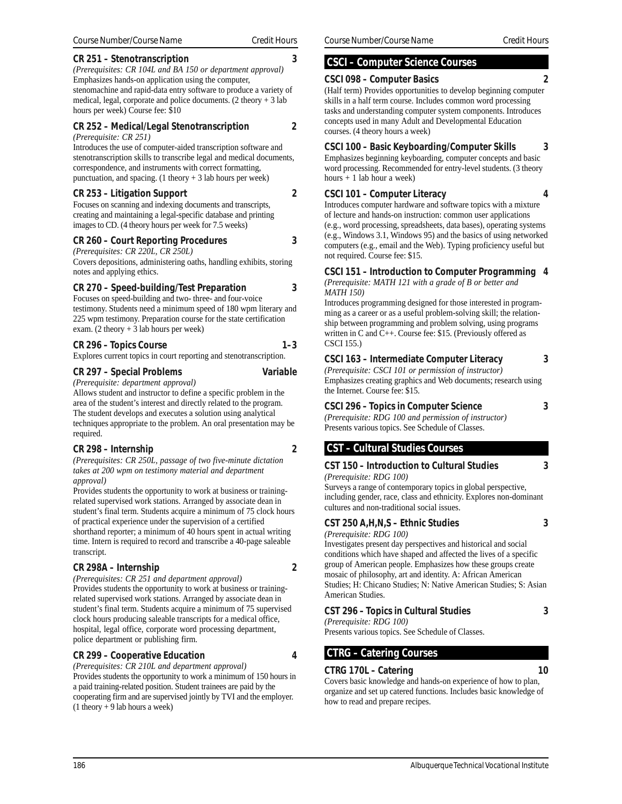#### **CR 251 – Stenotranscription 3**

*(Prerequisites: CR 104L and BA 150 or department approval)* Emphasizes hands-on application using the computer, stenomachine and rapid-data entry software to produce a variety of medical, legal, corporate and police documents. (2 theory + 3 lab hours per week) Course fee: \$10

## **CR 252 – Medical/Legal Stenotranscription 2**

#### *(Prerequisite: CR 251)*

Introduces the use of computer-aided transcription software and stenotranscription skills to transcribe legal and medical documents, correspondence, and instruments with correct formatting, punctuation, and spacing.  $(1$  theory + 3 lab hours per week)

#### **CR 253 – Litigation Support 2**

Focuses on scanning and indexing documents and transcripts, creating and maintaining a legal-specific database and printing images to CD. (4 theory hours per week for 7.5 weeks)

#### **CR 260 – Court Reporting Procedures 3**

#### *(Prerequisites: CR 220L, CR 250L)*

Covers depositions, administering oaths, handling exhibits, storing notes and applying ethics.

#### **CR 270 – Speed-building/Test Preparation 3**

Focuses on speed-building and two- three- and four-voice testimony. Students need a minimum speed of 180 wpm literary and 225 wpm testimony. Preparation course for the state certification exam. (2 theory + 3 lab hours per week)

#### **CR 296 – Topics Course 1–3**

Explores current topics in court reporting and stenotranscription.

#### **CR 297 – Special Problems Variable**

*(Prerequisite: department approval)* Allows student and instructor to define a specific problem in the area of the student's interest and directly related to the program. The student develops and executes a solution using analytical techniques appropriate to the problem. An oral presentation may be required.

#### **CR 298 – Internship 2**

*(Prerequisites: CR 250L, passage of two five-minute dictation takes at 200 wpm on testimony material and department approval)*

Provides students the opportunity to work at business or trainingrelated supervised work stations. Arranged by associate dean in student's final term. Students acquire a minimum of 75 clock hours of practical experience under the supervision of a certified shorthand reporter; a minimum of 40 hours spent in actual writing time. Intern is required to record and transcribe a 40-page saleable transcript.

#### **CR 298A – Internship 2**

*(Prerequisites: CR 251 and department approval)* Provides students the opportunity to work at business or trainingrelated supervised work stations. Arranged by associate dean in student's final term. Students acquire a minimum of 75 supervised clock hours producing saleable transcripts for a medical office, hospital, legal office, corporate word processing department, police department or publishing firm.

#### **CR 299 – Cooperative Education 4**

*(Prerequisites: CR 210L and department approval)* Provides students the opportunity to work a minimum of 150 hours in a paid training-related position. Student trainees are paid by the cooperating firm and are supervised jointly by TVI and the employer.  $(1$  theory + 9 lab hours a week)

## **CSCI – Computer Science Courses**

#### **CSCI 098 – Computer Basics 2**

(Half term) Provides opportunities to develop beginning computer skills in a half term course. Includes common word processing tasks and understanding computer system components. Introduces concepts used in many Adult and Developmental Education courses. (4 theory hours a week)

#### **CSCI 100 – Basic Keyboarding/Computer Skills 3**

Emphasizes beginning keyboarding, computer concepts and basic word processing. Recommended for entry-level students. (3 theory hours + 1 lab hour a week)

#### **CSCI 101 – Computer Literacy 4**

Introduces computer hardware and software topics with a mixture of lecture and hands-on instruction: common user applications (e.g., word processing, spreadsheets, data bases), operating systems (e.g., Windows 3.1, Windows 95) and the basics of using networked computers (e.g., email and the Web). Typing proficiency useful but not required. Course fee: \$15.

## **CSCI 151 – Introduction to Computer Programming 4**

*(Prerequisite: MATH 121 with a grade of B or better and MATH 150)*

Introduces programming designed for those interested in programming as a career or as a useful problem-solving skill; the relationship between programming and problem solving, using programs written in C and C++. Course fee: \$15. (Previously offered as CSCI 155.)

#### **CSCI 163 – Intermediate Computer Literacy 3**

*(Prerequisite: CSCI 101 or permission of instructor)* Emphasizes creating graphics and Web documents; research using the Internet. Course fee: \$15.

#### **CSCI 296 – Topics in Computer Science 3**

*(Prerequisite: RDG 100 and permission of instructor)* Presents various topics. See Schedule of Classes.

## **CST – Cultural Studies Courses**

#### **CST 150 – Introduction to Cultural Studies 3**

*(Prerequisite: RDG 100)*

Surveys a range of contemporary topics in global perspective, including gender, race, class and ethnicity. Explores non-dominant cultures and non-traditional social issues.

#### **CST 250 A,H,N,S – Ethnic Studies 3**

*(Prerequisite: RDG 100)*

Investigates present day perspectives and historical and social conditions which have shaped and affected the lives of a specific group of American people. Emphasizes how these groups create mosaic of philosophy, art and identity. A: African American Studies; H: Chicano Studies; N: Native American Studies; S: Asian American Studies.

## **CST 296 – Topics in Cultural Studies 3**

*(Prerequisite: RDG 100)* Presents various topics. See Schedule of Classes.

## **CTRG – Catering Courses**

#### **CTRG 170L – Catering 10**

Covers basic knowledge and hands-on experience of how to plan, organize and set up catered functions. Includes basic knowledge of how to read and prepare recipes.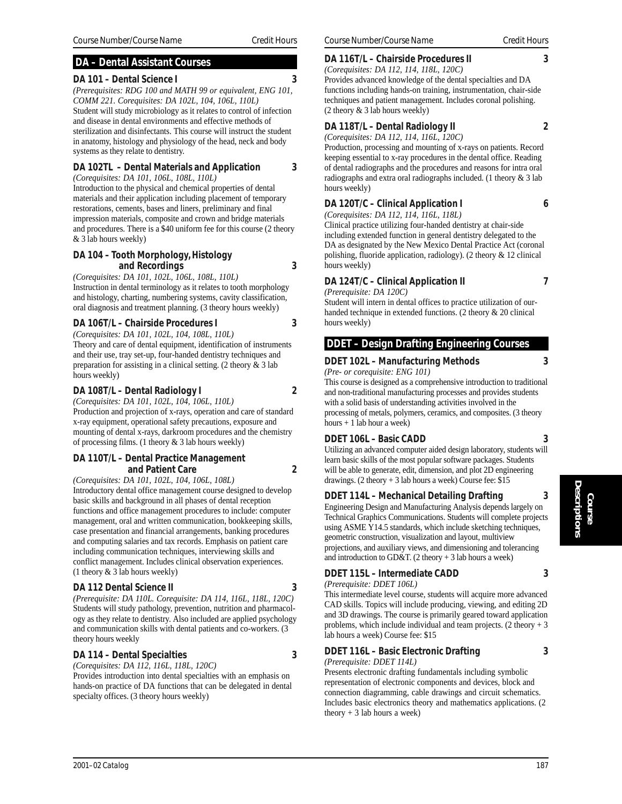## **DA – Dental Assistant Courses**

#### **DA 101 – Dental Science I 3**

*(Prerequisites: RDG 100 and MATH 99 or equivalent, ENG 101, COMM 221. Corequisites: DA 102L, 104, 106L, 110L)* Student will study microbiology as it relates to control of infection and disease in dental environments and effective methods of sterilization and disinfectants. This course will instruct the student in anatomy, histology and physiology of the head, neck and body systems as they relate to dentistry.

## **DA 102TL – Dental Materials and Application 3**

*(Corequisites: DA 101, 106L, 108L, 110L)* Introduction to the physical and chemical properties of dental materials and their application including placement of temporary restorations, cements, bases and liners, preliminary and final impression materials, composite and crown and bridge materials and procedures. There is a \$40 uniform fee for this course (2 theory & 3 lab hours weekly)

#### **DA 104 – Tooth Morphology, Histology and Recordings 3**

*(Corequisites: DA 101, 102L, 106L, 108L, 110L)* Instruction in dental terminology as it relates to tooth morphology and histology, charting, numbering systems, cavity classification, oral diagnosis and treatment planning. (3 theory hours weekly)

## **DA 106T/L – Chairside Procedures I 3**

*(Corequisites: DA 101, 102L, 104, 108L, 110L)* Theory and care of dental equipment, identification of instruments and their use, tray set-up, four-handed dentistry techniques and preparation for assisting in a clinical setting. (2 theory & 3 lab hours weekly)

## **DA 108T/L – Dental Radiology I 2**

*(Corequisites: DA 101, 102L, 104, 106L, 110L)* Production and projection of x-rays, operation and care of standard x-ray equipment, operational safety precautions, exposure and mounting of dental x-rays, darkroom procedures and the chemistry of processing films. (1 theory  $&$  3 lab hours weekly)

#### **DA 110T/L – Dental Practice Management and Patient Care** 2

*(Corequisites: DA 101, 102L, 104, 106L, 108L)* Introductory dental office management course designed to develop basic skills and background in all phases of dental reception functions and office management procedures to include: computer management, oral and written communication, bookkeeping skills, case presentation and financial arrangements, banking procedures and computing salaries and tax records. Emphasis on patient care including communication techniques, interviewing skills and conflict management. Includes clinical observation experiences. (1 theory & 3 lab hours weekly)

## **DA 112 Dental Science II 3**

*(Prerequisite: DA 110L. Corequisite: DA 114, 116L, 118L, 120C)* Students will study pathology, prevention, nutrition and pharmacology as they relate to dentistry. Also included are applied psychology and communication skills with dental patients and co-workers. (3 theory hours weekly

#### **DA 114 – Dental Specialties 3**

*(Corequisites: DA 112, 116L, 118L, 120C)*

Provides introduction into dental specialties with an emphasis on hands-on practice of DA functions that can be delegated in dental specialty offices. (3 theory hours weekly)

## **DA 116T/L – Chairside Procedures II 3**

*(Corequisites: DA 112, 114, 118L, 120C)* Provides advanced knowledge of the dental specialties and DA functions including hands-on training, instrumentation, chair-side techniques and patient management. Includes coronal polishing. (2 theory & 3 lab hours weekly)

## **DA 118T/L – Dental Radiology II 2**

*(Corequisites: DA 112, 114, 116L, 120C)*

Production, processing and mounting of x-rays on patients. Record keeping essential to x-ray procedures in the dental office. Reading of dental radiographs and the procedures and reasons for intra oral radiographs and extra oral radiographs included. (1 theory & 3 lab hours weekly)

## **DA 120T/C – Clinical Application I 6**

*(Corequisites: DA 112, 114, 116L, 118L)*

Clinical practice utilizing four-handed dentistry at chair-side including extended function in general dentistry delegated to the DA as designated by the New Mexico Dental Practice Act (coronal polishing, fluoride application, radiology). (2 theory & 12 clinical hours weekly)

#### **DA 124T/C – Clinical Application II 7**

*(Prerequisite: DA 120C)*

Student will intern in dental offices to practice utilization of ourhanded technique in extended functions. (2 theory & 20 clinical hours weekly)

## **DDET – Design Drafting Engineering Courses**

## **DDET 102L – Manufacturing Methods 3**

*(Pre- or corequisite: ENG 101)*

This course is designed as a comprehensive introduction to traditional and non-traditional manufacturing processes and provides students with a solid basis of understanding activities involved in the processing of metals, polymers, ceramics, and composites. (3 theory hours + 1 lab hour a week)

## **DDET 106L – Basic CADD 3**

Utilizing an advanced computer aided design laboratory, students will learn basic skills of the most popular software packages. Students will be able to generate, edit, dimension, and plot 2D engineering drawings. (2 theory + 3 lab hours a week) Course fee: \$15

## **DDET 114L – Mechanical Detailing Drafting 3**

Engineering Design and Manufacturing Analysis depends largely on Technical Graphics Communications. Students will complete projects using ASME Y14.5 standards, which include sketching techniques, geometric construction, visualization and layout, multiview projections, and auxiliary views, and dimensioning and tolerancing and introduction to GD&T. (2 theory  $+3$  lab hours a week)

#### **DDET 115L – Intermediate CADD 3**

*(Prerequisite: DDET 106L)*

This intermediate level course, students will acquire more advanced CAD skills. Topics will include producing, viewing, and editing 2D and 3D drawings. The course is primarily geared toward application problems, which include individual and team projects. (2 theory + 3 lab hours a week) Course fee: \$15

## **DDET 116L – Basic Electronic Drafting 3**

*(Prerequisite: DDET 114L)*

Presents electronic drafting fundamentals including symbolic representation of electronic components and devices, block and connection diagramming, cable drawings and circuit schematics. Includes basic electronics theory and mathematics applications. (2 theory  $+3$  lab hours a week)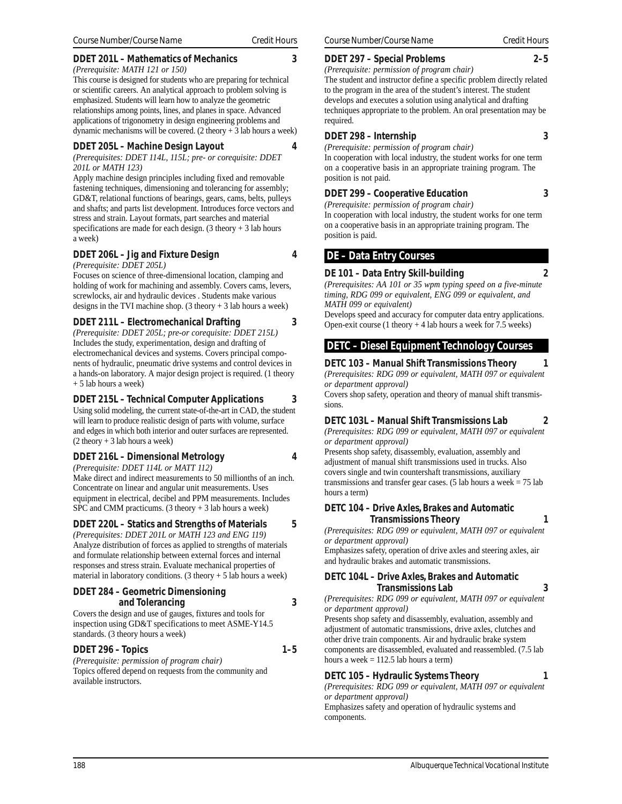#### **DDET 201L – Mathematics of Mechanics 3**

*(Prerequisite: MATH 121 or 150)*

This course is designed for students who are preparing for technical or scientific careers. An analytical approach to problem solving is emphasized. Students will learn how to analyze the geometric relationships among points, lines, and planes in space. Advanced applications of trigonometry in design engineering problems and dynamic mechanisms will be covered.  $(2 \text{ theory} + 3 \text{ lab hours a week})$ 

#### **DDET 205L – Machine Design Layout 4**

*(Prerequisites: DDET 114L, 115L; pre- or corequisite: DDET 201L or MATH 123)*

Apply machine design principles including fixed and removable fastening techniques, dimensioning and tolerancing for assembly; GD&T, relational functions of bearings, gears, cams, belts, pulleys and shafts; and parts list development. Introduces force vectors and stress and strain. Layout formats, part searches and material specifications are made for each design.  $(3$  theory + 3 lab hours a week)

#### **DDET 206L – Jig and Fixture Design 4**

*(Prerequisite: DDET 205L)*

Focuses on science of three-dimensional location, clamping and holding of work for machining and assembly. Covers cams, levers, screwlocks, air and hydraulic devices . Students make various designs in the TVI machine shop. (3 theory + 3 lab hours a week)

#### **DDET 211L – Electromechanical Drafting 3**

*(Prerequisite: DDET 205L; pre-or corequisite: DDET 215L)* Includes the study, experimentation, design and drafting of electromechanical devices and systems. Covers principal components of hydraulic, pneumatic drive systems and control devices in a hands-on laboratory. A major design project is required. (1 theory + 5 lab hours a week)

#### **DDET 215L – Technical Computer Applications 3**

Using solid modeling, the current state-of-the-art in CAD, the student will learn to produce realistic design of parts with volume, surface and edges in which both interior and outer surfaces are represented. (2 theory + 3 lab hours a week)

#### **DDET 216L – Dimensional Metrology 4**

*(Prerequisite: DDET 114L or MATT 112)*

Make direct and indirect measurements to 50 millionths of an inch. Concentrate on linear and angular unit measurements. Uses equipment in electrical, decibel and PPM measurements. Includes SPC and CMM practicums. (3 theory + 3 lab hours a week)

## **DDET 220L – Statics and Strengths of Materials 5**

*(Prerequisites: DDET 201L or MATH 123 and ENG 119)* Analyze distribution of forces as applied to strengths of materials and formulate relationship between external forces and internal responses and stress strain. Evaluate mechanical properties of material in laboratory conditions.  $(3$  theory  $+ 5$  lab hours a week)

#### **DDET 284 – Geometric Dimensioning and Tolerancing 3**

Covers the design and use of gauges, fixtures and tools for inspection using GD&T specifications to meet ASME-Y14.5 standards. (3 theory hours a week)

#### **DDET 296 – Topics 1–5**

*(Prerequisite: permission of program chair)* Topics offered depend on requests from the community and available instructors.

#### **DDET 297 – Special Problems 2–5**

*(Prerequisite: permission of program chair)*

The student and instructor define a specific problem directly related to the program in the area of the student's interest. The student develops and executes a solution using analytical and drafting techniques appropriate to the problem. An oral presentation may be required.

#### **DDET 298 – Internship 3**

*(Prerequisite: permission of program chair)* In cooperation with local industry, the student works for one term on a cooperative basis in an appropriate training program. The position is not paid.

#### **DDET 299 – Cooperative Education 3**

*(Prerequisite: permission of program chair)*

In cooperation with local industry, the student works for one term on a cooperative basis in an appropriate training program. The position is paid.

## **DE – Data Entry Courses**

#### **DE 101 – Data Entry Skill-building 2**

*(Prerequisites: AA 101 or 35 wpm typing speed on a five-minute timing, RDG 099 or equivalent, ENG 099 or equivalent, and MATH 099 or equivalent)*

Develops speed and accuracy for computer data entry applications. Open-exit course (1 theory + 4 lab hours a week for 7.5 weeks)

## **DETC – Diesel Equipment Technology Courses**

**DETC 103 – Manual Shift Transmissions Theory 1** *(Prerequisites: RDG 099 or equivalent, MATH 097 or equivalent or department approval)*

Covers shop safety, operation and theory of manual shift transmissions.

#### **DETC 103L – Manual Shift Transmissions Lab 2**

*(Prerequisites: RDG 099 or equivalent, MATH 097 or equivalent or department approval)*

Presents shop safety, disassembly, evaluation, assembly and adjustment of manual shift transmissions used in trucks. Also covers single and twin countershaft transmissions, auxiliary transmissions and transfer gear cases. (5 lab hours a week  $= 75$  lab hours a term)

#### **DETC 104 – Drive Axles, Brakes and Automatic Transmissions Theory 1**

*(Prerequisites: RDG 099 or equivalent, MATH 097 or equivalent or department approval)*

Emphasizes safety, operation of drive axles and steering axles, air and hydraulic brakes and automatic transmissions.

#### **DETC 104L – Drive Axles, Brakes and Automatic Transmissions Lab 3**

*(Prerequisites: RDG 099 or equivalent, MATH 097 or equivalent or department approval)*

Presents shop safety and disassembly, evaluation, assembly and adjustment of automatic transmissions, drive axles, clutches and other drive train components. Air and hydraulic brake system components are disassembled, evaluated and reassembled. (7.5 lab hours a week  $= 112.5$  lab hours a term)

#### **DETC 105 – Hydraulic Systems Theory 1**

*(Prerequisites: RDG 099 or equivalent, MATH 097 or equivalent or department approval)*

Emphasizes safety and operation of hydraulic systems and components.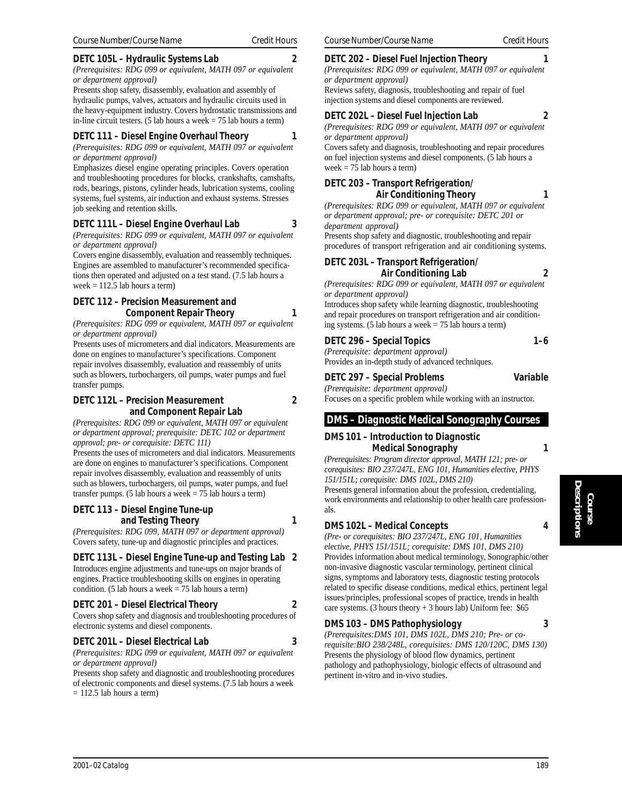#### **DETC 105L – Hydraulic Systems Lab 2**

*(Prerequisites: RDG 099 or equivalent, MATH 097 or equivalent or department approval)*

Presents shop safety, disassembly, evaluation and assembly of hydraulic pumps, valves, actuators and hydraulic circuits used in the heavy-equipment industry. Covers hydrostatic transmissions and in-line circuit testers. (5 lab hours a week  $= 75$  lab hours a term)

## **DETC 111 – Diesel Engine Overhaul Theory 1**

*(Prerequisites: RDG 099 or equivalent, MATH 097 or equivalent or department approval)*

Emphasizes diesel engine operating principles. Covers operation and troubleshooting procedures for blocks, crankshafts, camshafts, rods, bearings, pistons, cylinder heads, lubrication systems, cooling systems, fuel systems, air induction and exhaust systems. Stresses job seeking and retention skills.

## **DETC 111L – Diesel Engine Overhaul Lab 3**

*(Prerequisites: RDG 099 or equivalent, MATH 097 or equivalent or department approval)*

Covers engine disassembly, evaluation and reassembly techniques. Engines are assembled to manufacturer's recommended specifications then operated and adjusted on a test stand. (7.5 lab hours a week  $= 112.5$  lab hours a term)

#### **DETC 112 – Precision Measurement and Component Repair Theory 1**

*(Prerequisites: RDG 099 or equivalent, MATH 097 or equivalent or department approval)*

Presents uses of micrometers and dial indicators. Measurements are done on engines to manufacturer's specifications. Component repair involves disassembly, evaluation and reassembly of units such as blowers, turbochargers, oil pumps, water pumps and fuel transfer pumps.

#### **DETC 112L – Precision Measurement 2 and Component Repair Lab**

*(Prerequisites: RDG 099 or equivalent, MATH 097 or equivalent or department approval; prerequisite: DETC 102 or department approval; pre- or corequisite: DETC 111)*

Presents the uses of micrometers and dial indicators. Measurements are done on engines to manufacturer's specifications. Component repair involves disassembly, evaluation and reassembly of units such as blowers, turbochargers, oil pumps, water pumps, and fuel transfer pumps. (5 lab hours a week = 75 lab hours a term)

#### **DETC 113 – Diesel Engine Tune-up and Testing Theory 1**

*(Prerequisites: RDG 099, MATH 097 or department approval)* Covers safety, tune-up and diagnostic principles and practices.

## **DETC 113L – Diesel Engine Tune-up and Testing Lab 2**

Introduces engine adjustments and tune-ups on major brands of engines. Practice troubleshooting skills on engines in operating condition. (5 lab hours a week  $= 75$  lab hours a term)

## **DETC 201 – Diesel Electrical Theory 2**

Covers shop safety and diagnosis and troubleshooting procedures of electronic systems and diesel components.

## **DETC 201L – Diesel Electrical Lab 3**

*(Prerequisites: RDG 099 or equivalent, MATH 097 or equivalent or department approval)*

Presents shop safety and diagnostic and troubleshooting procedures of electronic components and diesel systems. (7.5 lab hours a week  $= 112.5$  lab hours a term)

#### **DETC 202 – Diesel Fuel Injection Theory 1**

*(Prerequisites: RDG 099 or equivalent, MATH 097 or equivalent*

*or department approval)* Reviews safety, diagnosis, troubleshooting and repair of fuel

injection systems and diesel components are reviewed.

#### **DETC 202L – Diesel Fuel Injection Lab 2**

*(Prerequisites: RDG 099 or equivalent, MATH 097 or equivalent or department approval)*

Covers safety and diagnosis, troubleshooting and repair procedures on fuel injection systems and diesel components. (5 lab hours a week  $= 75$  lab hours a term)

#### **DETC 203 – Transport Refrigeration/ Air Conditioning Theory 1**

*(Prerequisites: RDG 099 or equivalent, MATH 097 or equivalent or department approval; pre- or corequisite: DETC 201 or department approval)*

Presents shop safety and diagnostic, troubleshooting and repair procedures of transport refrigeration and air conditioning systems.

#### **DETC 203L – Transport Refrigeration/ Air Conditioning Lab 2**

*(Prerequisites: RDG 099 or equivalent, MATH 097 or equivalent or department approval)*

Introduces shop safety while learning diagnostic, troubleshooting and repair procedures on transport refrigeration and air conditioning systems. (5 lab hours a week  $= 75$  lab hours a term)

#### **DETC 296 – Special Topics** 1–6

*(Prerequisite: department approval)* Provides an in-depth study of advanced techniques.

#### **DETC 297 – Special Problems Variable**

*(Prerequisite: department approval)* Focuses on a specific problem while working with an instructor.

## **DMS – Diagnostic Medical Sonography Courses**

#### **DMS 101 – Introduction to Diagnostic Medical Sonography 1**

*(Prerequisites: Program director approval, MATH 121; pre- or corequisites: BIO 237/247L, ENG 101, Humanities elective, PHYS 151/151L; corequisite: DMS 102L, DMS 210)* Presents general information about the profession, credentialing, work environments and relationship to other health care professionals.

## **DMS 102L – Medical Concepts 4**

*(Pre- or corequisites: BIO 237/247L, ENG 101, Humanities elective, PHYS 151/151L; corequisite: DMS 101, DMS 210)* Provides information about medical terminology, Sonographic/other non-invasive diagnostic vascular terminology, pertinent clinical signs, symptoms and laboratory tests, diagnostic testing protocols related to specific disease conditions, medical ethics, pertinent legal issues/principles, professional scopes of practice, trends in health care systems. (3 hours theory  $+3$  hours lab) Uniform fee: \$65

#### **DMS 103 – DMS Pathophysiology 3**

*(Prerequisites:DMS 101, DMS 102L, DMS 210; Pre- or corequisite:BIO 238/248L, corequisites: DMS 120/120C, DMS 130)* Presents the physiology of blood flow dynamics, pertinent pathology and pathophysiology, biologic effects of ultrasound and pertinent in-vitro and in-vivo studies.

**Course**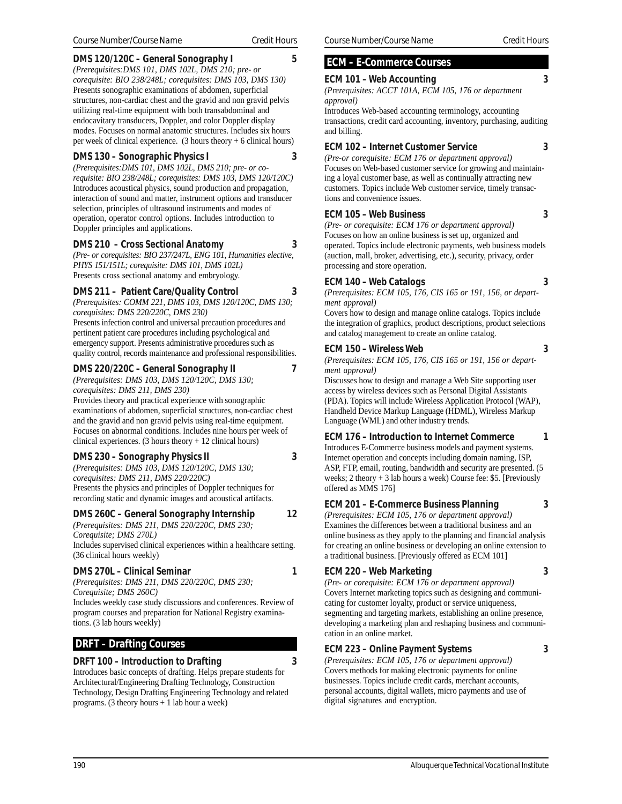#### **DMS 120/120C – General Sonography I 5**

*(Prerequisites:DMS 101, DMS 102L, DMS 210; pre- or corequisite: BIO 238/248L; corequisites: DMS 103, DMS 130)* Presents sonographic examinations of abdomen, superficial structures, non-cardiac chest and the gravid and non gravid pelvis utilizing real-time equipment with both transabdominal and endocavitary transducers, Doppler, and color Doppler display modes. Focuses on normal anatomic structures. Includes six hours per week of clinical experience.  $(3 \text{ hours theory} + 6 \text{ clinical hours})$ 

#### **DMS 130 – Sonographic Physics I 3**

*(Prerequisites:DMS 101, DMS 102L, DMS 210; pre- or corequisite: BIO 238/248L; corequisites: DMS 103, DMS 120/120C)* Introduces acoustical physics, sound production and propagation, interaction of sound and matter, instrument options and transducer selection, principles of ultrasound instruments and modes of operation, operator control options. Includes introduction to Doppler principles and applications.

#### **DMS 210 – Cross Sectional Anatomy 3**

*(Pre- or corequisites: BIO 237/247L, ENG 101, Humanities elective, PHYS 151/151L; corequisite: DMS 101, DMS 102L)* Presents cross sectional anatomy and embryology.

#### **DMS 211 – Patient Care/Quality Control 3**

*(Prerequisites: COMM 221, DMS 103, DMS 120/120C, DMS 130; corequisites: DMS 220/220C, DMS 230)* Presents infection control and universal precaution procedures and pertinent patient care procedures including psychological and emergency support. Presents administrative procedures such as

quality control, records maintenance and professional responsibilities.

#### **DMS 220/220C – General Sonography II 7**

*(Prerequisites: DMS 103, DMS 120/120C, DMS 130; corequisites: DMS 211, DMS 230)*

Provides theory and practical experience with sonographic examinations of abdomen, superficial structures, non-cardiac chest and the gravid and non gravid pelvis using real-time equipment. Focuses on abnormal conditions. Includes nine hours per week of clinical experiences.  $(3 \text{ hours theory} + 12 \text{ clinical hours})$ 

#### **DMS 230 – Sonography Physics II 3**

*(Prerequisites: DMS 103, DMS 120/120C, DMS 130; corequisites: DMS 211, DMS 220/220C)* Presents the physics and principles of Doppler techniques for recording static and dynamic images and acoustical artifacts.

#### **DMS 260C – General Sonography Internship 12**

*(Prerequisites: DMS 211, DMS 220/220C, DMS 230; Corequisite; DMS 270L)* Includes supervised clinical experiences within a healthcare setting. (36 clinical hours weekly)

#### **DMS 270L – Clinical Seminar 1**

*(Prerequisites: DMS 211, DMS 220/220C, DMS 230; Corequisite; DMS 260C)*

Includes weekly case study discussions and conferences. Review of program courses and preparation for National Registry examinations. (3 lab hours weekly)

## **DRFT – Drafting Courses**

#### **DRFT 100 – Introduction to Drafting 3**

Introduces basic concepts of drafting. Helps prepare students for Architectural/Engineering Drafting Technology, Construction Technology, Design Drafting Engineering Technology and related programs. (3 theory hours + 1 lab hour a week)

## **ECM – E-Commerce Courses**

#### **ECM 101 – Web Accounting 3**

*(Prerequisites: ACCT 101A, ECM 105, 176 or department approval)*

Introduces Web-based accounting terminology, accounting transactions, credit card accounting, inventory, purchasing, auditing and billing.

#### **ECM 102 – Internet Customer Service 3**

*(Pre-or corequisite: ECM 176 or department approval)* Focuses on Web-based customer service for growing and maintaining a loyal customer base, as well as continually attracting new customers. Topics include Web customer service, timely transactions and convenience issues.

#### **ECM 105 – Web Business 3**

*(Pre- or corequisite: ECM 176 or department approval)* Focuses on how an online business is set up, organized and operated. Topics include electronic payments, web business models (auction, mall, broker, advertising, etc.), security, privacy, order processing and store operation.

#### **ECM 140 – Web Catalogs 3**

*(Prerequisites: ECM 105, 176, CIS 165 or 191, 156, or department approval)*

Covers how to design and manage online catalogs. Topics include the integration of graphics, product descriptions, product selections and catalog management to create an online catalog.

#### **ECM 150 – Wireless Web 3**

*(Prerequisites: ECM 105, 176, CIS 165 or 191, 156 or department approval)*

Discusses how to design and manage a Web Site supporting user access by wireless devices such as Personal Digital Assistants (PDA). Topics will include Wireless Application Protocol (WAP), Handheld Device Markup Language (HDML), Wireless Markup Language (WML) and other industry trends.

#### **ECM 176 – Introduction to Internet Commerce 1**

Introduces E-Commerce business models and payment systems. Internet operation and concepts including domain naming, ISP, ASP, FTP, email, routing, bandwidth and security are presented. (5 weeks; 2 theory + 3 lab hours a week) Course fee: \$5. [Previously offered as MMS 176]

#### **ECM 201 – E-Commerce Business Planning 3**

*(Prerequisites: ECM 105, 176 or department approval)* Examines the differences between a traditional business and an online business as they apply to the planning and financial analysis for creating an online business or developing an online extension to a traditional business. [Previously offered as ECM 101]

#### **ECM 220 – Web Marketing 3**

*(Pre- or corequisite: ECM 176 or department approval)* Covers Internet marketing topics such as designing and communicating for customer loyalty, product or service uniqueness, segmenting and targeting markets, establishing an online presence, developing a marketing plan and reshaping business and communication in an online market.

#### **ECM 223 – Online Payment Systems 3**

*(Prerequisites: ECM 105, 176 or department approval)* Covers methods for making electronic payments for online businesses. Topics include credit cards, merchant accounts, personal accounts, digital wallets, micro payments and use of digital signatures and encryption.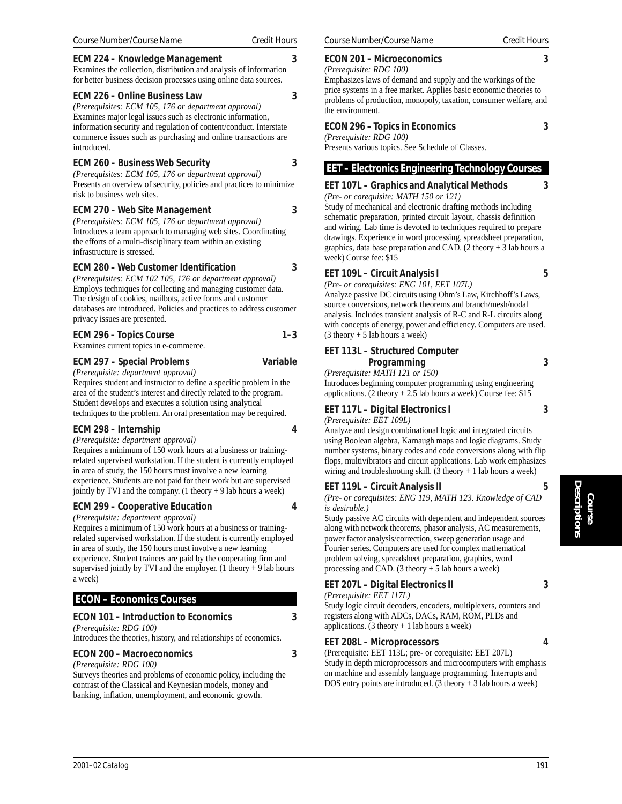#### **ECM 224 – Knowledge Management 3**

Examines the collection, distribution and analysis of information for better business decision processes using online data sources.

#### **ECM 226 – Online Business Law 3**

*(Prerequisites: ECM 105, 176 or department approval)* Examines major legal issues such as electronic information, information security and regulation of content/conduct. Interstate commerce issues such as purchasing and online transactions are introduced.

#### **ECM 260 – Business Web Security 3**

*(Prerequisites: ECM 105, 176 or department approval)* Presents an overview of security, policies and practices to minimize risk to business web sites.

#### **ECM 270 – Web Site Management 3**

*(Prerequisites: ECM 105, 176 or department approval)* Introduces a team approach to managing web sites. Coordinating the efforts of a multi-disciplinary team within an existing infrastructure is stressed.

#### **ECM 280 – Web Customer Identification 3**

*(Prerequisites: ECM 102 105, 176 or department approval)* Employs techniques for collecting and managing customer data. The design of cookies, mailbots, active forms and customer databases are introduced. Policies and practices to address customer privacy issues are presented.

#### ECM 296 – Topics Course 1–3

Examines current topics in e-commerce.

#### **ECM 297 – Special Problems Variable**

*(Prerequisite: department approval)*

Requires student and instructor to define a specific problem in the area of the student's interest and directly related to the program. Student develops and executes a solution using analytical techniques to the problem. An oral presentation may be required.

#### **ECM 298 – Internship 4**

*(Prerequisite: department approval)*

Requires a minimum of 150 work hours at a business or trainingrelated supervised workstation. If the student is currently employed in area of study, the 150 hours must involve a new learning experience. Students are not paid for their work but are supervised jointly by TVI and the company. (1 theory + 9 lab hours a week)

#### **ECM 299 – Cooperative Education 4**

*(Prerequisite: department approval)*

Requires a minimum of 150 work hours at a business or trainingrelated supervised workstation. If the student is currently employed in area of study, the 150 hours must involve a new learning experience. Student trainees are paid by the cooperating firm and supervised jointly by TVI and the employer. (1 theory  $+9$  lab hours a week)

## **ECON – Economics Courses**

#### **ECON 101 – Introduction to Economics 3**

*(Prerequisite: RDG 100)*

Introduces the theories, history, and relationships of economics.

## **ECON 200 – Macroeconomics 3**

*(Prerequisite: RDG 100)*

Surveys theories and problems of economic policy, including the contrast of the Classical and Keynesian models, money and banking, inflation, unemployment, and economic growth.

#### **ECON 201 – Microeconomics 3**

*(Prerequisite: RDG 100)* Emphasizes laws of demand and supply and the workings of the price systems in a free market. Applies basic economic theories to problems of production, monopoly, taxation, consumer welfare, and the environment.

#### **ECON 296 – Topics in Economics 3**

*(Prerequisite: RDG 100)* Presents various topics. See Schedule of Classes.

#### **EET – Electronics Engineering Technology Courses**

#### **EET 107L – Graphics and Analytical Methods 3**

*(Pre- or corequisite: MATH 150 or 121)* Study of mechanical and electronic drafting methods including schematic preparation, printed circuit layout, chassis definition and wiring. Lab time is devoted to techniques required to prepare drawings. Experience in word processing, spreadsheet preparation, graphics, data base preparation and CAD. (2 theory + 3 lab hours a week) Course fee: \$15

#### **EET 109L – Circuit Analysis I 5**

*(Pre- or corequisites: ENG 101, EET 107L)*

Analyze passive DC circuits using Ohm's Law, Kirchhoff's Laws, source conversions, network theorems and branch/mesh/nodal analysis. Includes transient analysis of R-C and R-L circuits along with concepts of energy, power and efficiency. Computers are used.  $(3$  theory + 5 lab hours a week)

#### **EET 113L – Structured Computer Programming 3**

*(Prerequisite: MATH 121 or 150)*

Introduces beginning computer programming using engineering applications. (2 theory  $+ 2.5$  lab hours a week) Course fee: \$15

#### **EET 117L – Digital Electronics I 3**

*(Prerequisite: EET 109L)*

Analyze and design combinational logic and integrated circuits using Boolean algebra, Karnaugh maps and logic diagrams. Study number systems, binary codes and code conversions along with flip flops, multivibrators and circuit applications. Lab work emphasizes wiring and troubleshooting skill.  $(3 \text{ theory} + 1 \text{ lab hours a week})$ 

#### **EET 119L – Circuit Analysis II 5**

*(Pre- or corequisites: ENG 119, MATH 123. Knowledge of CAD is desirable.)*

Study passive AC circuits with dependent and independent sources along with network theorems, phasor analysis, AC measurements, power factor analysis/correction, sweep generation usage and Fourier series. Computers are used for complex mathematical problem solving, spreadsheet preparation, graphics, word processing and CAD.  $(3$  theory  $+ 5$  lab hours a week)

## **EET 207L – Digital Electronics II 3**

*(Prerequisite: EET 117L)*

Study logic circuit decoders, encoders, multiplexers, counters and registers along with ADCs, DACs, RAM, ROM, PLDs and applications.  $(3$  theory  $+ 1$  lab hours a week)

#### **EET 208L – Microprocessors 4**

(Prerequisite: EET 113L; pre- or corequisite: EET 207L) Study in depth microprocessors and microcomputers with emphasis on machine and assembly language programming. Interrupts and DOS entry points are introduced.  $(3 \text{ theory} + 3 \text{ lab hours a week})$ 

**Course**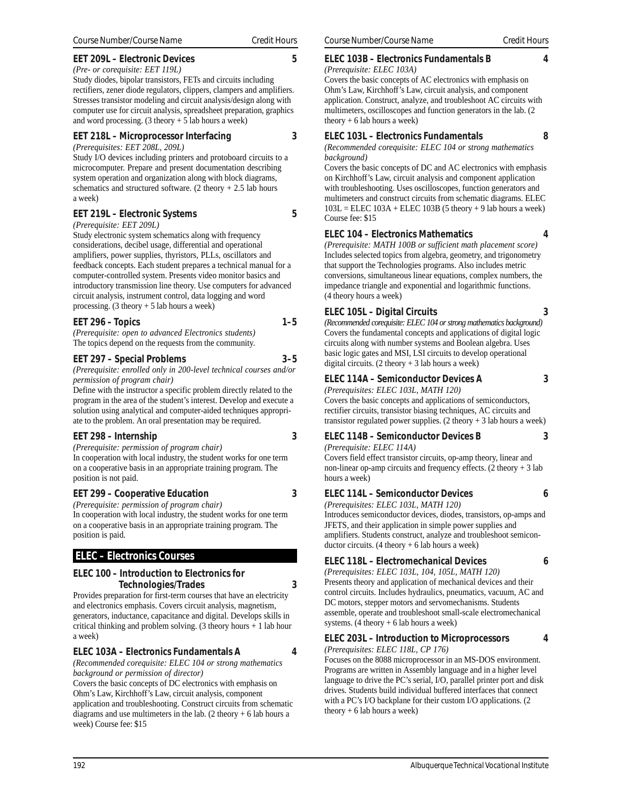#### **EET 209L – Electronic Devices 5**

## *(Pre- or corequisite: EET 119L)*

Study diodes, bipolar transistors, FETs and circuits including rectifiers, zener diode regulators, clippers, clampers and amplifiers. Stresses transistor modeling and circuit analysis/design along with computer use for circuit analysis, spreadsheet preparation, graphics and word processing.  $(3$  theory  $+ 5$  lab hours a week)

## **EET 218L – Microprocessor Interfacing 3**

*(Prerequisites: EET 208L, 209L)*

Study I/O devices including printers and protoboard circuits to a microcomputer. Prepare and present documentation describing system operation and organization along with block diagrams, schematics and structured software. (2 theory  $+ 2.5$  lab hours a week)

## **EET 219L – Electronic Systems 5**

*(Prerequisite: EET 209L)*

Study electronic system schematics along with frequency considerations, decibel usage, differential and operational amplifiers, power supplies, thyristors, PLLs, oscillators and feedback concepts. Each student prepares a technical manual for a computer-controlled system. Presents video monitor basics and introductory transmission line theory. Use computers for advanced circuit analysis, instrument control, data logging and word processing. (3 theory + 5 lab hours a week)

## **EET 296 – Topics** 1–5

*(Prerequisite: open to advanced Electronics students)* The topics depend on the requests from the community.

## **EET 297 – Special Problems 3–5**

*(Prerequisite: enrolled only in 200-level technical courses and/or permission of program chair)*

Define with the instructor a specific problem directly related to the program in the area of the student's interest. Develop and execute a solution using analytical and computer-aided techniques appropriate to the problem. An oral presentation may be required.

## **EET 298 – Internship 3**

*(Prerequisite: permission of program chair)* In cooperation with local industry, the student works for one term on a cooperative basis in an appropriate training program. The position is not paid.

## **EET 299 – Cooperative Education 3**

*(Prerequisite: permission of program chair)*

In cooperation with local industry, the student works for one term on a cooperative basis in an appropriate training program. The position is paid.

## **ELEC – Electronics Courses**

## **ELEC 100 – Introduction to Electronics for Technologies/Trades 3**

Provides preparation for first-term courses that have an electricity and electronics emphasis. Covers circuit analysis, magnetism, generators, inductance, capacitance and digital. Develops skills in critical thinking and problem solving. (3 theory hours + 1 lab hour a week)

## **ELEC 103A – Electronics Fundamentals A 4**

*(Recommended corequisite: ELEC 104 or strong mathematics background or permission of director)*

Covers the basic concepts of DC electronics with emphasis on Ohm's Law, Kirchhoff's Law, circuit analysis, component application and troubleshooting. Construct circuits from schematic diagrams and use multimeters in the lab. (2 theory + 6 lab hours a week) Course fee: \$15

#### **ELEC 103B – Electronics Fundamentals B 4**

*(Prerequisite: ELEC 103A)* Covers the basic concepts of AC electronics with emphasis on Ohm's Law, Kirchhoff's Law, circuit analysis, and component application. Construct, analyze, and troubleshoot AC circuits with multimeters, oscilloscopes and function generators in the lab. (2 theory  $+ 6$  lab hours a week)

## **ELEC 103L – Electronics Fundamentals 8**

*(Recommended corequisite: ELEC 104 or strong mathematics background)*

Covers the basic concepts of DC and AC electronics with emphasis on Kirchhoff's Law, circuit analysis and component application with troubleshooting. Uses oscilloscopes, function generators and multimeters and construct circuits from schematic diagrams. ELEC  $103L$  = ELEC  $103A$  + ELEC  $103B$  (5 theory + 9 lab hours a week) Course fee: \$15

#### **ELEC 104 – Electronics Mathematics 4**

*(Prerequisite: MATH 100B or sufficient math placement score)* Includes selected topics from algebra, geometry, and trigonometry that support the Technologies programs. Also includes metric conversions, simultaneous linear equations, complex numbers, the impedance triangle and exponential and logarithmic functions. (4 theory hours a week)

## **ELEC 105L – Digital Circuits 3**

*(Recommended corequisite: ELEC 104 or strong mathematics background)* Covers the fundamental concepts and applications of digital logic circuits along with number systems and Boolean algebra. Uses basic logic gates and MSI, LSI circuits to develop operational digital circuits.  $(2 \text{ theory} + 3 \text{ lab hours a week})$ 

## **ELEC 114A – Semiconductor Devices A 3**

*(Prerequisites: ELEC 103L, MATH 120)* Covers the basic concepts and applications of semiconductors, rectifier circuits, transistor biasing techniques, AC circuits and transistor regulated power supplies. (2 theory + 3 lab hours a week)

#### **ELEC 114B – Semiconductor Devices B 3**

*(Prerequisite: ELEC 114A)*

Covers field effect transistor circuits, op-amp theory, linear and non-linear op-amp circuits and frequency effects.  $(2 \text{ theory} + 3 \text{ lab})$ hours a week)

## **ELEC 114L – Semiconductor Devices 6**

*(Prerequisites: ELEC 103L, MATH 120)*

Introduces semiconductor devices, diodes, transistors, op-amps and JFETS, and their application in simple power supplies and amplifiers. Students construct, analyze and troubleshoot semiconductor circuits.  $(4 \text{ theory} + 6 \text{ lab hours a week})$ 

## **ELEC 118L – Electromechanical Devices 6**

*(Prerequisites: ELEC 103L, 104, 105L, MATH 120)* Presents theory and application of mechanical devices and their control circuits. Includes hydraulics, pneumatics, vacuum, AC and DC motors, stepper motors and servomechanisms. Students assemble, operate and troubleshoot small-scale electromechanical systems. (4 theory + 6 lab hours a week)

## **ELEC 203L – Introduction to Microprocessors 4**

*(Prerequisites: ELEC 118L, CP 176)*

Focuses on the 8088 microprocessor in an MS-DOS environment. Programs are written in Assembly language and in a higher level language to drive the PC's serial, I/O, parallel printer port and disk drives. Students build individual buffered interfaces that connect with a PC's I/O backplane for their custom I/O applications. (2 theory  $+ 6$  lab hours a week)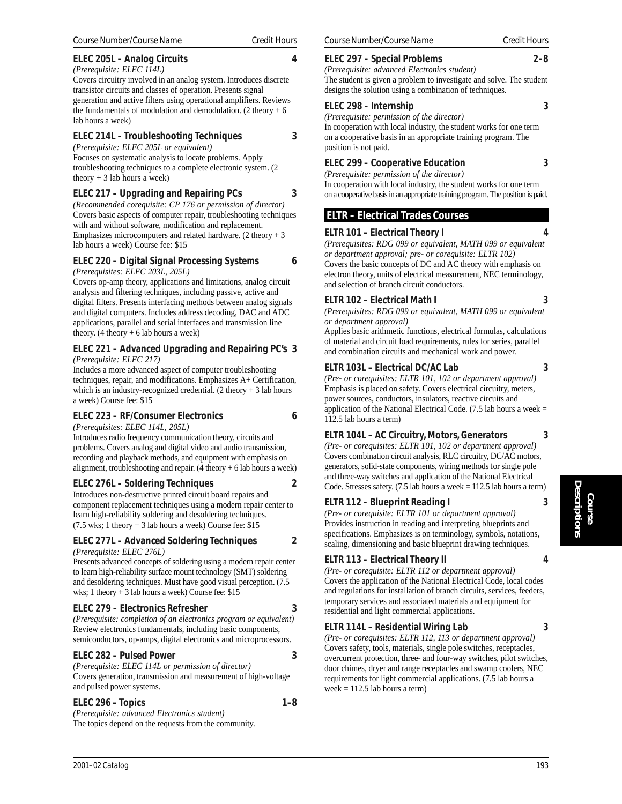## **ELEC 214L – Troubleshooting Techniques 3**

*(Prerequisite: ELEC 205L or equivalent)* Focuses on systematic analysis to locate problems. Apply troubleshooting techniques to a complete electronic system. (2 theory  $+3$  lab hours a week)

## **ELEC 217 – Upgrading and Repairing PCs 3**

*(Recommended corequisite: CP 176 or permission of director)* Covers basic aspects of computer repair, troubleshooting techniques with and without software, modification and replacement. Emphasizes microcomputers and related hardware. (2 theory + 3 lab hours a week) Course fee: \$15

#### **ELEC 220 – Digital Signal Processing Systems 6** *(Prerequisites: ELEC 203L, 205L)*

Covers op-amp theory, applications and limitations, analog circuit analysis and filtering techniques, including passive, active and digital filters. Presents interfacing methods between analog signals and digital computers. Includes address decoding, DAC and ADC applications, parallel and serial interfaces and transmission line theory.  $(4$  theory + 6 lab hours a week)

#### **ELEC 221 – Advanced Upgrading and Repairing PC's 3** *(Prerequisite: ELEC 217)*

Includes a more advanced aspect of computer troubleshooting techniques, repair, and modifications. Emphasizes A+ Certification, which is an industry-recognized credential.  $(2 \text{ theory} + 3 \text{ lab hours})$ a week) Course fee: \$15

## **ELEC 223 – RF/Consumer Electronics 6**

*(Prerequisites: ELEC 114L, 205L)*

Introduces radio frequency communication theory, circuits and problems. Covers analog and digital video and audio transmission, recording and playback methods, and equipment with emphasis on alignment, troubleshooting and repair.  $(4 \text{ theory} + 6 \text{ lab hours a week})$ 

## **ELEC 276L – Soldering Techniques 2**

Introduces non-destructive printed circuit board repairs and component replacement techniques using a modern repair center to learn high-reliability soldering and desoldering techniques.  $(7.5 \text{ wks}; 1 \text{ theory} + 3 \text{ lab hours a week})$  Course fee: \$15

## **ELEC 277L – Advanced Soldering Techniques 2**

*(Prerequisite: ELEC 276L)*

Presents advanced concepts of soldering using a modern repair center to learn high-reliability surface mount technology (SMT) soldering and desoldering techniques. Must have good visual perception. (7.5 wks; 1 theory + 3 lab hours a week) Course fee: \$15

## **ELEC 279 – Electronics Refresher 3**

*(Prerequisite: completion of an electronics program or equivalent)* Review electronics fundamentals, including basic components, semiconductors, op-amps, digital electronics and microprocessors.

## **ELEC 282 – Pulsed Power 3**

*(Prerequisite: ELEC 114L or permission of director)* Covers generation, transmission and measurement of high-voltage and pulsed power systems.

## **ELEC 296 – Topics 1–8**

*(Prerequisite: advanced Electronics student)* The topics depend on the requests from the community.

## **ELEC 297 – Special Problems 2–8**

*(Prerequisite: advanced Electronics student)* The student is given a problem to investigate and solve. The student designs the solution using a combination of techniques.

## **ELEC 298 – Internship 3**

*(Prerequisite: permission of the director)* In cooperation with local industry, the student works for one term on a cooperative basis in an appropriate training program. The position is not paid.

## **ELEC 299 – Cooperative Education 3**

*(Prerequisite: permission of the director)*

In cooperation with local industry, the student works for one term on a cooperative basis in an appropriate training program. The position is paid.

# **ELTR – Electrical Trades Courses**

## **ELTR 101 – Electrical Theory I 4**

*(Prerequisites: RDG 099 or equivalent, MATH 099 or equivalent or department approval; pre- or corequisite: ELTR 102)* Covers the basic concepts of DC and AC theory with emphasis on electron theory, units of electrical measurement, NEC terminology, and selection of branch circuit conductors.

## **ELTR 102 – Electrical Math I 3**

*(Prerequisites: RDG 099 or equivalent, MATH 099 or equivalent or department approval)*

Applies basic arithmetic functions, electrical formulas, calculations of material and circuit load requirements, rules for series, parallel and combination circuits and mechanical work and power.

## **ELTR 103L – Electrical DC/AC Lab 3**

*(Pre- or corequisites: ELTR 101, 102 or department approval)* Emphasis is placed on safety. Covers electrical circuitry, meters, power sources, conductors, insulators, reactive circuits and application of the National Electrical Code.  $(7.5$  lab hours a week = 112.5 lab hours a term)

## **ELTR 104L – AC Circuitry, Motors, Generators 3**

*(Pre- or corequisites: ELTR 101, 102 or department approval)* Covers combination circuit analysis, RLC circuitry, DC/AC motors, generators, solid-state components, wiring methods for single pole and three-way switches and application of the National Electrical Code. Stresses safety. (7.5 lab hours a week = 112.5 lab hours a term)

## **ELTR 112 – Blueprint Reading I 3**

*(Pre- or corequisite: ELTR 101 or department approval)* Provides instruction in reading and interpreting blueprints and specifications. Emphasizes is on terminology, symbols, notations, scaling, dimensioning and basic blueprint drawing techniques.

## **ELTR 113 – Electrical Theory II 4**

*(Pre- or corequisite: ELTR 112 or department approval)* Covers the application of the National Electrical Code, local codes and regulations for installation of branch circuits, services, feeders, temporary services and associated materials and equipment for residential and light commercial applications.

## **ELTR 114L – Residential Wiring Lab 3**

*(Pre- or corequisites: ELTR 112, 113 or department approval)* Covers safety, tools, materials, single pole switches, receptacles, overcurrent protection, three- and four-way switches, pilot switches, door chimes, dryer and range receptacles and swamp coolers, NEC requirements for light commercial applications. (7.5 lab hours a week  $= 112.5$  lab hours a term)

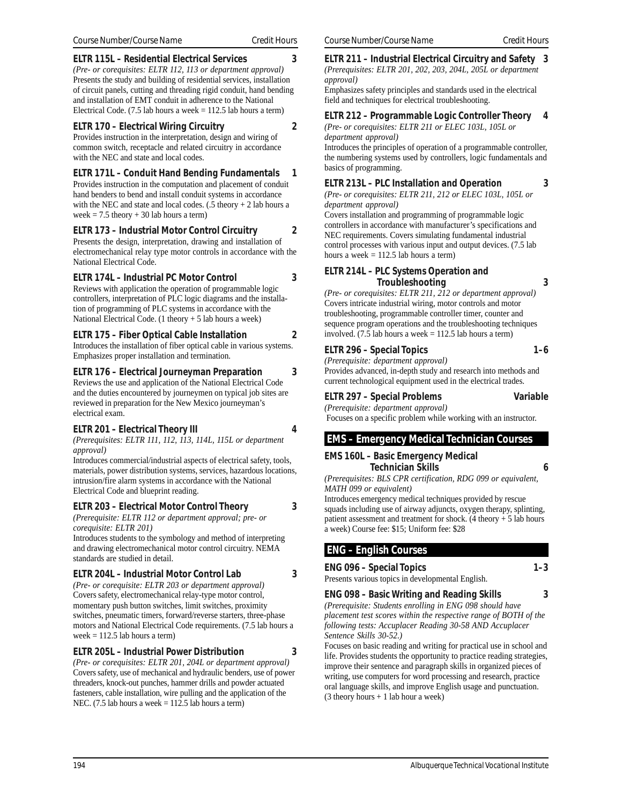#### **ELTR 115L – Residential Electrical Services 3**

*(Pre- or corequisites: ELTR 112, 113 or department approval)* Presents the study and building of residential services, installation of circuit panels, cutting and threading rigid conduit, hand bending and installation of EMT conduit in adherence to the National Electrical Code.  $(7.5$  lab hours a week = 112.5 lab hours a term)

## **ELTR 170 – Electrical Wiring Circuitry 2**

Provides instruction in the interpretation, design and wiring of common switch, receptacle and related circuitry in accordance with the NEC and state and local codes.

## **ELTR 171L – Conduit Hand Bending Fundamentals 1**

Provides instruction in the computation and placement of conduit hand benders to bend and install conduit systems in accordance with the NEC and state and local codes.  $(.5$  theory + 2 lab hours a week  $= 7.5$  theory  $+ 30$  lab hours a term)

## **ELTR 173 – Industrial Motor Control Circuitry 2**

Presents the design, interpretation, drawing and installation of electromechanical relay type motor controls in accordance with the National Electrical Code.

## **ELTR 174L – Industrial PC Motor Control 3**

Reviews with application the operation of programmable logic controllers, interpretation of PLC logic diagrams and the installation of programming of PLC systems in accordance with the National Electrical Code. (1 theory + 5 lab hours a week)

## **ELTR 175 – Fiber Optical Cable Installation 2**

Introduces the installation of fiber optical cable in various systems. Emphasizes proper installation and termination.

## **ELTR 176 – Electrical Journeyman Preparation 3**

Reviews the use and application of the National Electrical Code and the duties encountered by journeymen on typical job sites are reviewed in preparation for the New Mexico journeyman's electrical exam.

## **ELTR 201 – Electrical Theory III 4**

*(Prerequisites: ELTR 111, 112, 113, 114L, 115L or department approval)*

Introduces commercial/industrial aspects of electrical safety, tools, materials, power distribution systems, services, hazardous locations, intrusion/fire alarm systems in accordance with the National Electrical Code and blueprint reading.

## **ELTR 203 – Electrical Motor Control Theory 3**

*(Prerequisite: ELTR 112 or department approval; pre- or corequisite: ELTR 201)*

Introduces students to the symbology and method of interpreting and drawing electromechanical motor control circuitry. NEMA standards are studied in detail.

## **ELTR 204L – Industrial Motor Control Lab 3**

*(Pre- or corequisite: ELTR 203 or department approval)* Covers safety, electromechanical relay-type motor control, momentary push button switches, limit switches, proximity switches, pneumatic timers, forward/reverse starters, three-phase motors and National Electrical Code requirements. (7.5 lab hours a week  $= 112.5$  lab hours a term)

## **ELTR 205L – Industrial Power Distribution 3**

*(Pre- or corequisites: ELTR 201, 204L or department approval)* Covers safety, use of mechanical and hydraulic benders, use of power threaders, knock-out punches, hammer drills and powder actuated fasteners, cable installation, wire pulling and the application of the NEC. (7.5 lab hours a week = 112.5 lab hours a term)

#### **ELTR 211 – Industrial Electrical Circuitry and Safety 3** *(Prerequisites: ELTR 201, 202, 203, 204L, 205L or department approval)*

Emphasizes safety principles and standards used in the electrical field and techniques for electrical troubleshooting.

#### **ELTR 212 – Programmable Logic Controller Theory 4** *(Pre- or corequisites: ELTR 211 or ELEC 103L, 105L or*

*department approval)*

Introduces the principles of operation of a programmable controller, the numbering systems used by controllers, logic fundamentals and basics of programming.

#### **ELTR 213L – PLC Installation and Operation 3**

*(Pre- or corequisites: ELTR 211, 212 or ELEC 103L, 105L or department approval)*

Covers installation and programming of programmable logic controllers in accordance with manufacturer's specifications and NEC requirements. Covers simulating fundamental industrial control processes with various input and output devices. (7.5 lab hours a week  $= 112.5$  lab hours a term)

#### **ELTR 214L – PLC Systems Operation and Troubleshooting 3**

*(Pre- or corequisites: ELTR 211, 212 or department approval)* Covers intricate industrial wiring, motor controls and motor troubleshooting, programmable controller timer, counter and sequence program operations and the troubleshooting techniques involved. (7.5 lab hours a week  $= 112.5$  lab hours a term)

#### **ELTR 296 – Special Topics 1–6**

*(Prerequisite: department approval)*

Provides advanced, in-depth study and research into methods and current technological equipment used in the electrical trades.

#### **ELTR 297 – Special Problems Variable**

*(Prerequisite: department approval)* Focuses on a specific problem while working with an instructor.

## **EMS – Emergency Medical Technician Courses**

#### **EMS 160L – Basic Emergency Medical Technician Skills 6**

*(Prerequisites: BLS CPR certification, RDG 099 or equivalent, MATH 099 or equivalent)*

Introduces emergency medical techniques provided by rescue squads including use of airway adjuncts, oxygen therapy, splinting, patient assessment and treatment for shock. (4 theory + 5 lab hours a week) Course fee: \$15; Uniform fee: \$28

## **ENG – English Courses**

## **ENG 096 – Special Topics 1–3**

Presents various topics in developmental English.

**ENG 098 – Basic Writing and Reading Skills 3** *(Prerequisite: Students enrolling in ENG 098 should have placement test scores within the respective range of BOTH of the following tests: Accuplacer Reading 30-58 AND Accuplacer Sentence Skills 30-52.)*

Focuses on basic reading and writing for practical use in school and life. Provides students the opportunity to practice reading strategies, improve their sentence and paragraph skills in organized pieces of writing, use computers for word processing and research, practice oral language skills, and improve English usage and punctuation. (3 theory hours + 1 lab hour a week)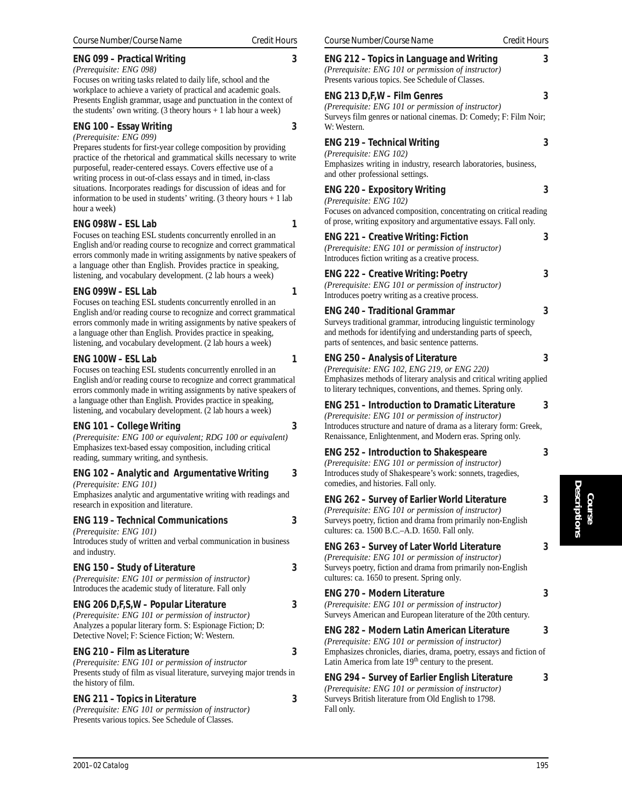## *2001–02 Catalog 195*

## **ENG 099 – Practical Writing 3**

*(Prerequisite: ENG 098)* Focuses on writing tasks related to daily life, school and the workplace to achieve a variety of practical and academic goals. Presents English grammar, usage and punctuation in the context of the students' own writing. (3 theory hours + 1 lab hour a week)

## **ENG 100 – Essay Writing 3**

*(Prerequisite: ENG 099)*

Prepares students for first-year college composition by providing practice of the rhetorical and grammatical skills necessary to write purposeful, reader-centered essays. Covers effective use of a writing process in out-of-class essays and in timed, in-class situations. Incorporates readings for discussion of ideas and for information to be used in students' writing. (3 theory hours  $+1$  lab hour a week)

## **ENG 098W – ESL Lab 1**

Focuses on teaching ESL students concurrently enrolled in an English and/or reading course to recognize and correct grammatical errors commonly made in writing assignments by native speakers of a language other than English. Provides practice in speaking, listening, and vocabulary development. (2 lab hours a week)

## **ENG 099W – ESL Lab 1**

Focuses on teaching ESL students concurrently enrolled in an English and/or reading course to recognize and correct grammatical errors commonly made in writing assignments by native speakers of a language other than English. Provides practice in speaking, listening, and vocabulary development. (2 lab hours a week)

## **ENG 100W – ESL Lab 1**

Focuses on teaching ESL students concurrently enrolled in an English and/or reading course to recognize and correct grammatical errors commonly made in writing assignments by native speakers of a language other than English. Provides practice in speaking, listening, and vocabulary development. (2 lab hours a week)

## **ENG 101 – College Writing 3**

*(Prerequisite: ENG 100 or equivalent; RDG 100 or equivalent)* Emphasizes text-based essay composition, including critical reading, summary writing, and synthesis.

#### **ENG 102 –** *(Prerequisite: ENG 101)*

Emphasizes research in ex

# **ENG 119 –**

*(Prerequisite: ENG 101)* Introduces st and industry.

| <b>ENG 150 - Study of Literature</b><br>(Prerequisite: ENG 101 or permission of instructor)<br>Introduces the academic study of literature. Fall only                                                         | 3 |
|---------------------------------------------------------------------------------------------------------------------------------------------------------------------------------------------------------------|---|
| ENG 206 D,F,S,W - Popular Literature<br>(Prerequisite: ENG 101 or permission of instructor)<br>Analyzes a popular literary form. S: Espionage Fiction; D:<br>Detective Novel; F: Science Fiction; W: Western. | 3 |
| ENG 210 - Film as Literature<br>(Prerequisite: ENG 101 or permission of instructor<br>Presents study of film as visual literature, surveying major trends in<br>the history of film.                          | 3 |
| <b>ENG 211 - Topics in Literature</b><br>(Prerequisite: ENG 101 or permission of instructor)                                                                                                                  | 3 |

| inary writing, and synthesis.                                                                                                                                      |   |
|--------------------------------------------------------------------------------------------------------------------------------------------------------------------|---|
| Analytic and Argumentative Writing<br>e: ENG 101)<br>analytic and argumentative writing with readings and<br>xposition and literature.                             | 3 |
| <b>Technical Communications</b><br>e: ENG 101)<br>udy of written and verbal communication in business                                                              | 3 |
| <b>Study of Literature</b><br>e: ENG 101 or permission of instructor)<br>e academic study of literature. Fall only                                                 | 3 |
| ),F,S,W – Popular Literature<br>e: ENG 101 or permission of instructor)<br>opular literary form. S: Espionage Fiction; D:<br>ovel; F: Science Fiction; W: Western. | 3 |
| Film as Literature<br>e: ENG 101 or permission of instructor                                                                                                       | 3 |

## *(Prerequisite: ENG 101 or permission of instructor)* Presents various topics. See Schedule of Classes.

| <b>ENG 212 - Topics in Language and Writing</b><br>(Prerequisite: ENG 101 or permission of instructor)<br>Presents various topics. See Schedule of Classes.                                                                                          | 3 |
|------------------------------------------------------------------------------------------------------------------------------------------------------------------------------------------------------------------------------------------------------|---|
| ENG 213 D,F,W – Film Genres<br>(Prerequisite: ENG 101 or permission of instructor)<br>Surveys film genres or national cinemas. D: Comedy; F: Film Noir;<br>W: Western.                                                                               | 3 |
| <b>ENG 219 - Technical Writing</b><br>(Prerequisite: ENG 102)<br>Emphasizes writing in industry, research laboratories, business,<br>and other professional settings.                                                                                | 3 |
| <b>ENG 220 - Expository Writing</b><br>(Prerequisite: ENG 102)<br>Focuses on advanced composition, concentrating on critical reading<br>of prose, writing expository and argumentative essays. Fall only.                                            | 3 |
| <b>ENG 221 - Creative Writing: Fiction</b><br>(Prerequisite: ENG 101 or permission of instructor)<br>Introduces fiction writing as a creative process.                                                                                               | 3 |
| <b>ENG 222 - Creative Writing: Poetry</b><br>(Prerequisite: ENG 101 or permission of instructor)<br>Introduces poetry writing as a creative process.                                                                                                 | 3 |
| <b>ENG 240 - Traditional Grammar</b><br>Surveys traditional grammar, introducing linguistic terminology<br>and methods for identifying and understanding parts of speech,<br>parts of sentences, and basic sentence patterns.                        | 3 |
| <b>ENG 250 - Analysis of Literature</b><br>(Prerequisite: ENG 102, ENG 219, or ENG 220)<br>Emphasizes methods of literary analysis and critical writing applied<br>to literary techniques, conventions, and themes. Spring only.                     | 3 |
| <b>ENG 251 - Introduction to Dramatic Literature</b><br>(Prerequisite: ENG 101 or permission of instructor)<br>Introduces structure and nature of drama as a literary form: Greek,<br>Renaissance, Enlightenment, and Modern eras. Spring only.      | 3 |
| <b>ENG 252 - Introduction to Shakespeare</b><br>(Prerequisite: ENG 101 or permission of instructor)<br>Introduces study of Shakespeare's work: sonnets, tragedies,<br>comedies, and histories. Fall only.                                            | 3 |
| ENG 262 - Survey of Earlier World Literature<br>(Prerequisite: ENG 101 or permission of instructor)<br>Surveys poetry, fiction and drama from primarily non-English<br>cultures: ca. 1500 B.C.-A.D. 1650. Fall only.                                 | 3 |
| <b>ENG 263 - Survey of Later World Literature</b><br>(Prerequisite: ENG 101 or permission of instructor)<br>Surveys poetry, fiction and drama from primarily non-English<br>cultures: ca. 1650 to present. Spring only.                              | 3 |
| <b>ENG 270 - Modern Literature</b><br>(Prerequisite: ENG 101 or permission of instructor)<br>Surveys American and European literature of the 20th century.                                                                                           | 3 |
| <b>ENG 282 - Modern Latin American Literature</b><br>(Prerequisite: ENG 101 or permission of instructor)<br>Emphasizes chronicles, diaries, drama, poetry, essays and fiction of<br>Latin America from late 19 <sup>th</sup> century to the present. | 3 |
| <b>ENG 294 - Survey of Earlier English Literature</b><br>(Prerequisite: ENG 101 or permission of instructor)<br>Surveys British literature from Old English to 1798.<br>Fall only.                                                                   | 3 |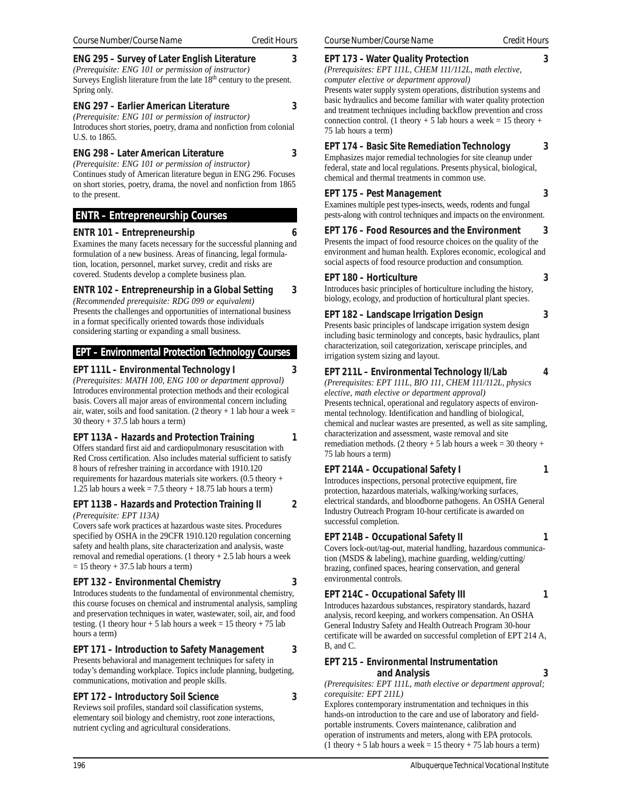### **ENG 295 – Survey of Later English Literature 3**

*(Prerequisite: ENG 101 or permission of instructor)* Surveys English literature from the late  $18<sup>th</sup>$  century to the present. Spring only.

#### **ENG 297 – Earlier American Literature 3**

*(Prerequisite: ENG 101 or permission of instructor)* Introduces short stories, poetry, drama and nonfiction from colonial U.S. to 1865.

#### **ENG 298 – Later American Literature 3**

*(Prerequisite: ENG 101 or permission of instructor)*

Continues study of American literature begun in ENG 296. Focuses on short stories, poetry, drama, the novel and nonfiction from 1865 to the present.

## **ENTR – Entrepreneurship Courses**

#### **ENTR 101 – Entrepreneurship 6**

Examines the many facets necessary for the successful planning and formulation of a new business. Areas of financing, legal formulation, location, personnel, market survey, credit and risks are covered. Students develop a complete business plan.

## **ENTR 102 – Entrepreneurship in a Global Setting 3**

*(Recommended prerequisite: RDG 099 or equivalent)* Presents the challenges and opportunities of international business in a format specifically oriented towards those individuals considering starting or expanding a small business.

#### **EPT – Environmental Protection Technology Courses**

#### **EPT 111L – Environmental Technology I 3**

*(Prerequisites: MATH 100, ENG 100 or department approval)* Introduces environmental protection methods and their ecological basis. Covers all major areas of environmental concern including air, water, soils and food sanitation. (2 theory  $+1$  lab hour a week =  $30$  theory  $+ 37.5$  lab hours a term)

#### **EPT 113A – Hazards and Protection Training 1**

Offers standard first aid and cardiopulmonary resuscitation with Red Cross certification. Also includes material sufficient to satisfy 8 hours of refresher training in accordance with 1910.120 requirements for hazardous materials site workers. (0.5 theory + 1.25 lab hours a week  $= 7.5$  theory  $+ 18.75$  lab hours a term)

#### **EPT 113B – Hazards and Protection Training II 2**

#### *(Prerequisite: EPT 113A)*

Covers safe work practices at hazardous waste sites. Procedures specified by OSHA in the 29CFR 1910.120 regulation concerning safety and health plans, site characterization and analysis, waste removal and remedial operations. (1 theory + 2.5 lab hours a week  $= 15$  theory  $+ 37.5$  lab hours a term)

#### **EPT 132 – Environmental Chemistry 3**

Introduces students to the fundamental of environmental chemistry, this course focuses on chemical and instrumental analysis, sampling and preservation techniques in water, wastewater, soil, air, and food testing. (1 theory hour + 5 lab hours a week =  $15$  theory + 75 lab hours a term)

## **EPT 171 – Introduction to Safety Management 3**

Presents behavioral and management techniques for safety in today's demanding workplace. Topics include planning, budgeting, communications, motivation and people skills.

## **EPT 172 – Introductory Soil Science 3**

Reviews soil profiles, standard soil classification systems, elementary soil biology and chemistry, root zone interactions, nutrient cycling and agricultural considerations.

#### **EPT 173 – Water Quality Protection 3**

*(Prerequisites: EPT 111L, CHEM 111/112L, math elective, computer elective or department approval)*

Presents water supply system operations, distribution systems and basic hydraulics and become familiar with water quality protection and treatment techniques including backflow prevention and cross connection control. (1 theory + 5 lab hours a week = 15 theory + 75 lab hours a term)

#### **EPT 174 – Basic Site Remediation Technology 3**

Emphasizes major remedial technologies for site cleanup under federal, state and local regulations. Presents physical, biological, chemical and thermal treatments in common use.

#### **EPT 175 – Pest Management 3**

Examines multiple pest types-insects, weeds, rodents and fungal pests-along with control techniques and impacts on the environment.

#### **EPT 176 - Food Resources and the Environment**

Presents the impact of food resource choices on the quality of the environment and human health. Explores economic, ecological and social aspects of food resource production and consumption.

#### **EPT 180 – Horticulture 3**

Introduces basic principles of horticulture including the history, biology, ecology, and production of horticultural plant species.

#### **EPT 182 – Landscape Irrigation Design 3**

Presents basic principles of landscape irrigation system design including basic terminology and concepts, basic hydraulics, plant characterization, soil categorization, xeriscape principles, and irrigation system sizing and layout.

#### **EPT 211L – Environmental Technology II/Lab 4**

*(Prerequisites: EPT 111L, BIO 111, CHEM 111/112L, physics elective, math elective or department approval)* Presents technical, operational and regulatory aspects of environmental technology. Identification and handling of biological, chemical and nuclear wastes are presented, as well as site sampling, characterization and assessment, waste removal and site remediation methods. (2 theory + 5 lab hours a week = 30 theory + 75 lab hours a term)

## **EPT 214A – Occupational Safety I 1**

Introduces inspections, personal protective equipment, fire protection, hazardous materials, walking/working surfaces, electrical standards, and bloodborne pathogens. An OSHA General Industry Outreach Program 10-hour certificate is awarded on successful completion.

## **EPT 214B – Occupational Safety II** 1

Covers lock-out/tag-out, material handling, hazardous communication (MSDS & labeling), machine guarding, welding/cutting/ brazing, confined spaces, hearing conservation, and general environmental controls.

## **EPT 214C – Occupational Safety III** 1

Introduces hazardous substances, respiratory standards, hazard analysis, record keeping, and workers compensation. An OSHA General Industry Safety and Health Outreach Program 30-hour certificate will be awarded on successful completion of EPT 214 A, B, and C.

#### **EPT 215 – Environmental Instrumentation and Analysis 3**

*(Prerequisites: EPT 111L, math elective or department approval; corequisite: EPT 211L)*

Explores contemporary instrumentation and techniques in this hands-on introduction to the care and use of laboratory and fieldportable instruments. Covers maintenance, calibration and operation of instruments and meters, along with EPA protocols.  $(1$  theory + 5 lab hours a week = 15 theory + 75 lab hours a term)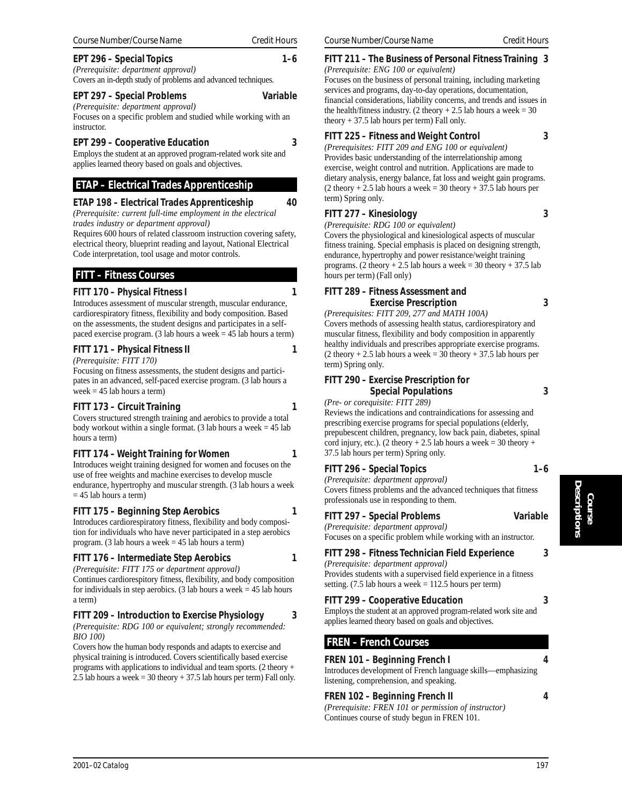**FITT 170 – Physical Fitness I 1**

Introduces assessment of muscular strength, muscular endurance, cardiorespiratory fitness, flexibility and body composition. Based on the assessments, the student designs and participates in a selfpaced exercise program. (3 lab hours a week = 45 lab hours a term)

# **FITT 171 – Physical Fitness II** 1

*(Prerequisite: FITT 170)* Focusing on fitness assessments, the student designs and participates in an advanced, self-paced exercise program. (3 lab hours a week  $= 45$  lab hours a term)

## **FITT 173 – Circuit Training 1**

Covers structured strength training and aerobics to provide a total body workout within a single format. (3 lab hours a week  $= 45$  lab hours a term)

## **FITT 174 – Weight Training for Women 1**

Introduces weight training designed for women and focuses on the use of free weights and machine exercises to develop muscle endurance, hypertrophy and muscular strength. (3 lab hours a week  $= 45$  lab hours a term)

## **FITT 175 – Beginning Step Aerobics 1**

Introduces cardiorespiratory fitness, flexibility and body composition for individuals who have never participated in a step aerobics program. (3 lab hours a week = 45 lab hours a term)

## **FITT 176 – Intermediate Step Aerobics 1**

*(Prerequisite: FITT 175 or department approval)*

Continues cardiorespitory fitness, flexibility, and body composition for individuals in step aerobics. (3 lab hours a week  $= 45$  lab hours a term)

## **FITT 209 – Introduction to Exercise Physiology 3**

*(Prerequisite: RDG 100 or equivalent; strongly recommended: BIO 100)*

Covers how the human body responds and adapts to exercise and physical training is introduced. Covers scientifically based exercise programs with applications to individual and team sports. (2 theory + 2.5 lab hours a week = 30 theory + 37.5 lab hours per term) Fall only.

# **FITT 211 – The Business of Personal Fitness Training 3**

*(Prerequisite: ENG 100 or equivalent)* Focuses on the business of personal training, including marketing services and programs, day-to-day operations, documentation, financial considerations, liability concerns, and trends and issues in the health/fitness industry. (2 theory  $+ 2.5$  lab hours a week = 30 theory  $+ 37.5$  lab hours per term) Fall only.

## **FITT 225 – Fitness and Weight Control 3**

*(Prerequisites: FITT 209 and ENG 100 or equivalent)* Provides basic understanding of the interrelationship among exercise, weight control and nutrition. Applications are made to dietary analysis, energy balance, fat loss and weight gain programs.  $(2$  theory  $+ 2.5$  lab hours a week  $= 30$  theory  $+ 37.5$  lab hours per term) Spring only.

## **FITT 277 – Kinesiology 3**

*(Prerequisite: RDG 100 or equivalent)*

Covers the physiological and kinesiological aspects of muscular fitness training. Special emphasis is placed on designing strength, endurance, hypertrophy and power resistance/weight training programs. (2 theory  $+ 2.5$  lab hours a week = 30 theory  $+ 37.5$  lab hours per term) (Fall only)

## **FITT 289 – Fitness Assessment and Exercise Prescription 3**

*(Prerequisites: FITT 209, 277 and MATH 100A)* Covers methods of assessing health status, cardiorespiratory and muscular fitness, flexibility and body composition in apparently healthy individuals and prescribes appropriate exercise programs.  $(2$  theory  $+ 2.5$  lab hours a week =  $30$  theory  $+ 37.5$  lab hours per term) Spring only.

## **FITT 290 – Exercise Prescription for Special Populations 3**

*(Pre- or corequisite: FITT 289)*

Reviews the indications and contraindications for assessing and prescribing exercise programs for special populations (elderly, prepubescent children, pregnancy, low back pain, diabetes, spinal cord injury, etc.). (2 theory + 2.5 lab hours a week = 30 theory + 37.5 lab hours per term) Spring only.

## **FITT 296 – Special Topics 1–6**

*(Prerequisite: department approval)* Covers fitness problems and the advanced techniques that fitness professionals use in responding to them.

## **FITT 297 – Special Problems Variable**

*(Prerequisite: department approval)* Focuses on a specific problem while working with an instructor.

## **FITT 298 – Fitness Technician Field Experience 3**

*(Prerequisite: department approval)* Provides students with a supervised field experience in a fitness setting. (7.5 lab hours a week  $= 112.5$  hours per term)

## **FITT 299 – Cooperative Education 3**

Employs the student at an approved program-related work site and applies learned theory based on goals and objectives.

## **FREN – French Courses**

## **FREN 101 – Beginning French I 4**

Introduces development of French language skills—emphasizing listening, comprehension, and speaking.

## **FREN 102 – Beginning French II 4**

*(Prerequisite: FREN 101 or permission of instructor)* Continues course of study begun in FREN 101.

# **EPT 296 – Special Topics 1–6**

*(Prerequisite: department approval)* Covers an in-depth study of problems and advanced techniques.

## **EPT 297 – Special Problems Variable**

*(Prerequisite: department approval)*

Focuses on a specific problem and studied while working with an instructor.

## **EPT 299 – Cooperative Education 3**

Employs the student at an approved program-related work site and

applies learned theory based on goals and objectives.

## **ETAP – Electrical Trades Apprenticeship**

## **ETAP 198 – Electrical Trades Apprenticeship 40**

*(Prerequisite: current full-time employment in the electrical trades industry or department approval)*

Requires 600 hours of related classroom instruction covering safety, electrical theory, blueprint reading and layout, National Electrical Code interpretation, tool usage and motor controls.

## **FITT – Fitness Courses**

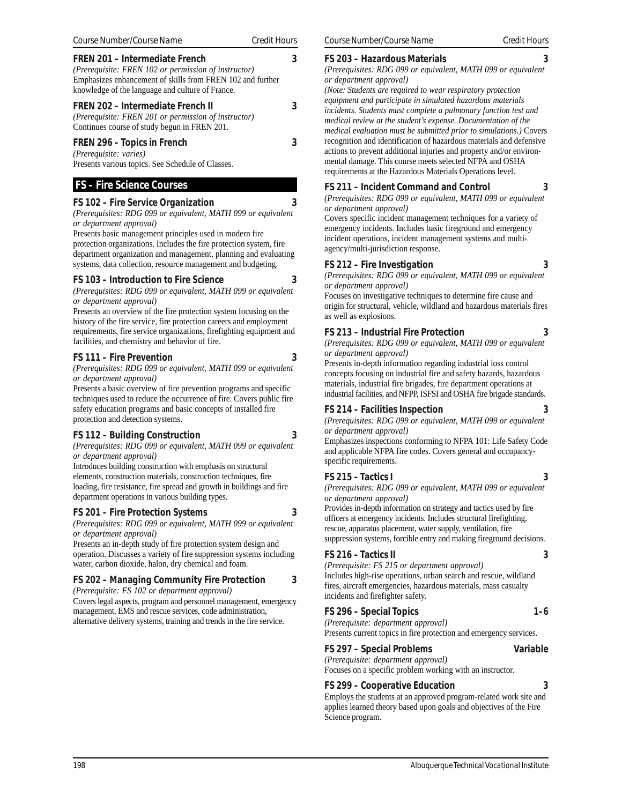requirements, fire service organizations, firefighting equipment and facilities, and chemistry and behavior of fire. **FS 111 – Fire Prevention 3** *(Prerequisites: RDG 099 or equivalent, MATH 099 or equivalent*

*or department approval)*

Presents an overview of the fire protection system focusing on the history of the fire service, fire protection careers and employment

Presents a basic overview of fire prevention programs and specific techniques used to reduce the occurrence of fire. Covers public fire safety education programs and basic concepts of installed fire protection and detection systems.

## **FS 112 – Building Construction 3**

*(Prerequisites: RDG 099 or equivalent, MATH 099 or equivalent or department approval)*

Introduces building construction with emphasis on structural elements, construction materials, construction techniques, fire loading, fire resistance, fire spread and growth in buildings and fire department operations in various building types.

#### **FS 201 – Fire Protection Systems 3**

*(Prerequisites: RDG 099 or equivalent, MATH 099 or equivalent or department approval)*

Presents an in-depth study of fire protection system design and operation. Discusses a variety of fire suppression systems including water, carbon dioxide, halon, dry chemical and foam.

### **FS 202 – Managing Community Fire Protection 3**

*(Prerequisite: FS 102 or department approval)*

Covers legal aspects, program and personnel management, emergency management, EMS and rescue services, code administration, alternative delivery systems, training and trends in the fire service.

#### **FS 203 – Hazardous Materials 3**

*(Prerequisites: RDG 099 or equivalent, MATH 099 or equivalent or department approval)*

*(Note: Students are required to wear respiratory protection equipment and participate in simulated hazardous materials incidents. Students must complete a pulmonary function test and medical review at the student's expense. Documentation of the medical evaluation must be submitted prior to simulations.)* Covers recognition and identification of hazardous materials and defensive actions to prevent additional injuries and property and/or environmental damage. This course meets selected NFPA and OSHA requirements at the Hazardous Materials Operations level.

#### **FS 211 – Incident Command and Control 3**

*(Prerequisites: RDG 099 or equivalent, MATH 099 or equivalent or department approval)*

Covers specific incident management techniques for a variety of emergency incidents. Includes basic fireground and emergency incident operations, incident management systems and multiagency/multi-jurisdiction response.

#### **FS 212 – Fire Investigation 3**

*(Prerequisites: RDG 099 or equivalent, MATH 099 or equivalent or department approval)*

Focuses on investigative techniques to determine fire cause and origin for structural, vehicle, wildland and hazardous materials fires as well as explosions.

#### **FS 213 – Industrial Fire Protection 3**

*(Prerequisites: RDG 099 or equivalent, MATH 099 or equivalent or department approval)*

Presents in-depth information regarding industrial loss control concepts focusing on industrial fire and safety hazards, hazardous materials, industrial fire brigades, fire department operations at industrial facilities, and NFPP, ISFSI and OSHA fire brigade standards.

#### **FS 214 – Facilities Inspection 3**

*(Prerequisites: RDG 099 or equivalent, MATH 099 or equivalent or department approval)*

Emphasizes inspections conforming to NFPA 101: Life Safety Code and applicable NFPA fire codes. Covers general and occupancyspecific requirements.

#### **FS 215 – Tactics I 3**

*(Prerequisites: RDG 099 or equivalent, MATH 099 or equivalent or department approval)*

Provides in-depth information on strategy and tactics used by fire officers at emergency incidents. Includes structural firefighting, rescue, apparatus placement, water supply, ventilation, fire suppression systems, forcible entry and making fireground decisions.

#### **FS 216 – Tactics II 3**

*(Prerequisite: FS 215 or department approval)* Includes high-rise operations, urban search and rescue, wildland fires, aircraft emergencies, hazardous materials, mass casualty incidents and firefighter safety.

#### FS 296 – Special Topics **1–6**

*(Prerequisite: department approval)* Presents current topics in fire protection and emergency services.

#### **FS 297 – Special Problems Variable**

*(Prerequisite: department approval)* Focuses on a specific problem working with an instructor.

#### **FS 299 – Cooperative Education 3**

Employs the students at an approved program-related work site and applies learned theory based upon goals and objectives of the Fire Science program.

**FREN 202 – Intermediate French II 3** *(Prerequisite: FREN 201 or permission of instructor)* Continues course of study begun in FREN 201. **FREN 296 – Topics in French 3** *(Prerequisite: varies)*

*(Prerequisite: FREN 102 or permission of instructor)* Emphasizes enhancement of skills from FREN 102 and further

knowledge of the language and culture of France.

Presents various topics. See Schedule of Classes.

 **FS – Fire Science Courses**

*or department approval)*

*or department approval)*

**FREN 201 – Intermediate French 3**

**FS 102 – Fire Service Organization 3**

Presents basic management principles used in modern fire protection organizations. Includes the fire protection system, fire department organization and management, planning and evaluating systems, data collection, resource management and budgeting. **FS 103 – Introduction to Fire Science 3** *(Prerequisites: RDG 099 or equivalent, MATH 099 or equivalent*

*(Prerequisites: RDG 099 or equivalent, MATH 099 or equivalent*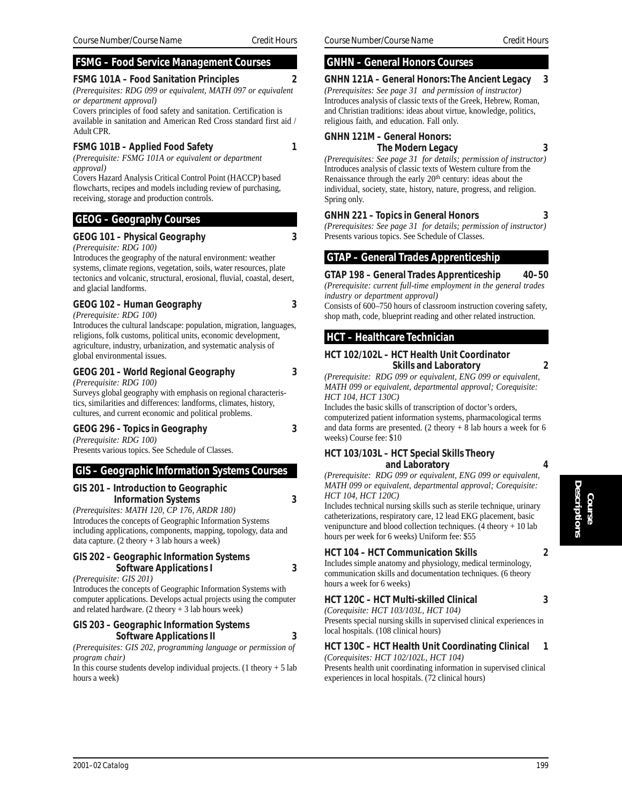## **FSMG – Food Service Management Courses**

## **FSMG 101A – Food Sanitation Principles 2**

*(Prerequisites: RDG 099 or equivalent, MATH 097 or equivalent or department approval)*

Covers principles of food safety and sanitation. Certification is available in sanitation and American Red Cross standard first aid / Adult CPR.

#### **FSMG 101B – Applied Food Safety 1**

*(Prerequisite: FSMG 101A or equivalent or department approval)*

Covers Hazard Analysis Critical Control Point (HACCP) based flowcharts, recipes and models including review of purchasing, receiving, storage and production controls.

#### **GEOG – Geography Courses**

#### **GEOG 101 – Physical Geography 3**

*(Prerequisite: RDG 100)*

Introduces the geography of the natural environment: weather systems, climate regions, vegetation, soils, water resources, plate tectonics and volcanic, structural, erosional, fluvial, coastal, desert, and glacial landforms.

## **GEOG 102 – Human Geography 3**

*(Prerequisite: RDG 100)*

Introduces the cultural landscape: population, migration, languages, religions, folk customs, political units, economic development, agriculture, industry, urbanization, and systematic analysis of global environmental issues.

## **GEOG 201 – World Regional Geography 3**

*(Prerequisite: RDG 100)*

Surveys global geography with emphasis on regional characteristics, similarities and differences: landforms, climates, history, cultures, and current economic and political problems.

#### **GEOG 296 – Topics in Geography 3**

*(Prerequisite: RDG 100)* Presents various topics. See Schedule of Classes.

#### **GIS – Geographic Information Systems Courses**

# **GIS 201 – Introduction to Geographic**

 **Information Systems 3**

*(Prerequisites: MATH 120, CP 176, ARDR 180)* Introduces the concepts of Geographic Information Systems including applications, components, mapping, topology, data and data capture.  $(2 \text{ theory} + 3 \text{ lab hours a week})$ 

#### **GIS 202 – Geographic Information Systems Software Applications I 3**

*(Prerequisite: GIS 201)*

Introduces the concepts of Geographic Information Systems with computer applications. Develops actual projects using the computer and related hardware.  $(2 \text{ theory} + 3 \text{ lab hours week})$ 

#### **GIS 203 – Geographic Information Systems Software Applications II 3**

*(Prerequisites: GIS 202, programming language or permission of program chair)*

In this course students develop individual projects. (1 theory  $+ 5$  lab hours a week)

## **GNHN – General Honors Courses**

## **GNHN 121A – General Honors: The Ancient Legacy 3** *(Prerequisites: See page 31 and permission of instructor)*

Introduces analysis of classic texts of the Greek, Hebrew, Roman, and Christian traditions: ideas about virtue, knowledge, politics, religious faith, and education. Fall only.

## **GNHN 121M – General Honors:**

## **The Modern Legacy 3**

*(Prerequisites: See page 31 for details; permission of instructor)* Introduces analysis of classic texts of Western culture from the Renaissance through the early  $20<sup>th</sup>$  century: ideas about the individual, society, state, history, nature, progress, and religion. Spring only.

#### **GNHN 221 – Topics in General Honors 3**

*(Prerequisites: See page 31 for details; permission of instructor)* Presents various topics. See Schedule of Classes.

## **GTAP – General Trades Apprenticeship**

#### **GTAP 198 – General Trades Apprenticeship 40–50**

*(Prerequisite: current full-time employment in the general trades industry or department approval)*

Consists of 600–750 hours of classroom instruction covering safety, shop math, code, blueprint reading and other related instruction.

## **HCT – Healthcare Technician**

#### **HCT 102/102L – HCT Health Unit Coordinator Skills and Laboratory 2**

*(Prerequisite: RDG 099 or equivalent, ENG 099 or equivalent, MATH 099 or equivalent, departmental approval; Corequisite: HCT 104, HCT 130C)*

Includes the basic skills of transcription of doctor's orders, computerized patient information systems, pharmacological terms and data forms are presented. (2 theory  $+ 8$  lab hours a week for 6 weeks) Course fee: \$10

#### **HCT 103/103L – HCT Special Skills Theory and Laboratory 4**

*(Prerequisite: RDG 099 or equivalent, ENG 099 or equivalent, MATH 099 or equivalent, departmental approval; Corequisite: HCT 104, HCT 120C)*

Includes technical nursing skills such as sterile technique, urinary catheterizations, respiratory care, 12 lead EKG placement, basic venipuncture and blood collection techniques. (4 theory + 10 lab hours per week for 6 weeks) Uniform fee: \$55

## **HCT 104 – HCT Communication Skills 2**

Includes simple anatomy and physiology, medical terminology, communication skills and documentation techniques. (6 theory hours a week for 6 weeks)

## **HCT 120C – HCT Multi-skilled Clinical 3**

*(Corequisite: HCT 103/103L, HCT 104)* Presents special nursing skills in supervised clinical experiences in local hospitals. (108 clinical hours)

#### **HCT 130C – HCT Health Unit Coordinating Clinical 1**

*(Corequisites: HCT 102/102L, HCT 104)*

Presents health unit coordinating information in supervised clinical experiences in local hospitals. (72 clinical hours)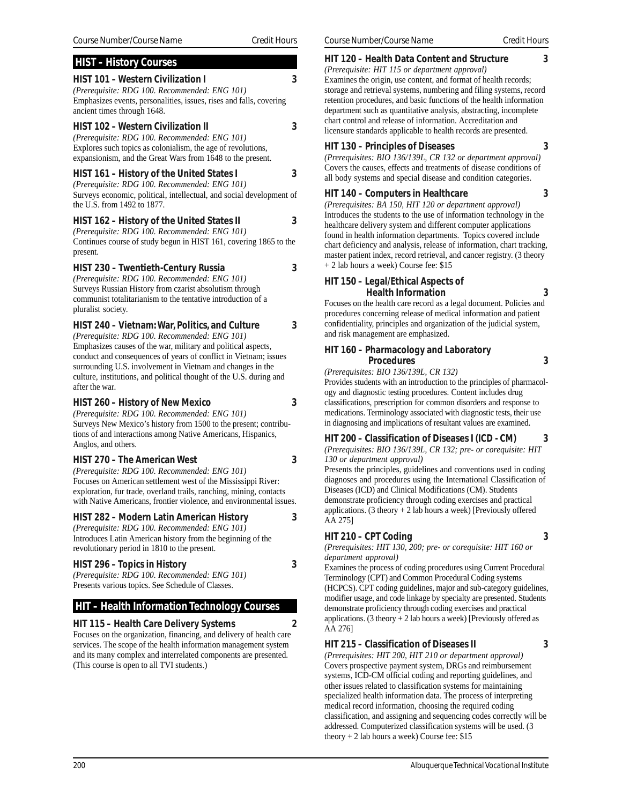| <b>HIST - History Courses</b>                                                                                                                                                                                                         |   |
|---------------------------------------------------------------------------------------------------------------------------------------------------------------------------------------------------------------------------------------|---|
| <b>HIST 101 - Western Civilization I</b><br>(Prerequisite: RDG 100. Recommended: ENG 101)<br>Emphasizes events, personalities, issues, rises and falls, covering<br>ancient times through 1648.                                       | 3 |
| <b>HIST 102 - Western Civilization II</b><br>(Prerequisite: RDG 100. Recommended: ENG 101)<br>Explores such topics as colonialism, the age of revolutions,<br>expansionism, and the Great Wars from 1648 to the present.              | 3 |
| HIST 161 – History of the United States I<br>(Prerequisite: RDG 100. Recommended: ENG 101)<br>Surveys economic, political, intellectual, and social development of<br>the U.S. from 1492 to 1877.                                     | 3 |
| HIST 162 - History of the United States II<br>(Prerequisite: RDG 100. Recommended: ENG 101)<br>Continues course of study begun in HIST 161, covering 1865 to the<br>present.                                                          | 3 |
| HIST 230 – Twentieth-Century Russia<br>(Prerequisite: RDG 100. Recommended: ENG 101)<br>Surveys Russian History from czarist absolutism through<br>communist totalitarianism to the tentative introduction of a<br>pluralist society. | 3 |

**HIST 240 – Vietnam: War, Politics, and Culture 3**

*(Prerequisite: RDG 100. Recommended: ENG 101)* Emphasizes causes of the war, military and political aspects, conduct and consequences of years of conflict in Vietnam; issues surrounding U.S. involvement in Vietnam and changes in the culture, institutions, and political thought of the U.S. during and after the war.

#### **HIST 260 – History of New Mexico 3**

*(Prerequisite: RDG 100. Recommended: ENG 101)* Surveys New Mexico's history from 1500 to the present; contributions of and interactions among Native Americans, Hispanics, Anglos, and others.

#### **HIST 270 – The American West 3**

*(Prerequisite: RDG 100. Recommended: ENG 101)* Focuses on American settlement west of the Mississippi River: exploration, fur trade, overland trails, ranching, mining, contacts with Native Americans, frontier violence, and environmental issues.

**HIST 282 – Modern Latin American History 3**

#### *(Prerequisite: RDG 100. Recommended: ENG 101)* Introduces Latin American history from the beginning of the revolutionary period in 1810 to the present.

#### **HIST 296 – Topics in History 3**

*(Prerequisite: RDG 100. Recommended: ENG 101)* Presents various topics. See Schedule of Classes.

## **HIT – Health Information Technology Courses**

## **HIT 115 – Health Care Delivery Systems 2**

Focuses on the organization, financing, and delivery of health care services. The scope of the health information management system and its many complex and interrelated components are presented. (This course is open to all TVI students.)

#### **HIT 120 – Health Data Content and Structure 3**

*(Prerequisite: HIT 115 or department approval)* Examines the origin, use content, and format of health records; storage and retrieval systems, numbering and filing systems, record retention procedures, and basic functions of the health information department such as quantitative analysis, abstracting, incomplete chart control and release of information. Accreditation and licensure standards applicable to health records are presented.

#### **HIT 130 – Principles of Diseases 3**

*(Prerequisites: BIO 136/139L, CR 132 or department approval)* Covers the causes, effects and treatments of disease conditions of all body systems and special disease and condition categories.

#### **HIT 140 – Computers in Healthcare 3**

*(Prerequisites: BA 150, HIT 120 or department approval)* Introduces the students to the use of information technology in the healthcare delivery system and different computer applications found in health information departments. Topics covered include chart deficiency and analysis, release of information, chart tracking, master patient index, record retrieval, and cancer registry. (3 theory + 2 lab hours a week) Course fee: \$15

#### **HIT 150 – Legal/Ethical Aspects of Health Information 3**

Focuses on the health care record as a legal document. Policies and procedures concerning release of medical information and patient confidentiality, principles and organization of the judicial system, and risk management are emphasized.

#### **HIT 160 – Pharmacology and Laboratory Procedures 3**

*(Prerequisites: BIO 136/139L, CR 132)*

Provides students with an introduction to the principles of pharmacology and diagnostic testing procedures. Content includes drug classifications, prescription for common disorders and response to medications. Terminology associated with diagnostic tests, their use in diagnosing and implications of resultant values are examined.

#### **HIT 200 – Classification of Diseases I (ICD - CM) 3**

*(Prerequisites: BIO 136/139L, CR 132; pre- or corequisite: HIT 130 or department approval)*

Presents the principles, guidelines and conventions used in coding diagnoses and procedures using the International Classification of Diseases (ICD) and Clinical Modifications (CM). Students demonstrate proficiency through coding exercises and practical applications. (3 theory  $+ 2$  lab hours a week) [Previously offered AA 275]

#### **HIT 210 – CPT Coding 3**

*(Prerequisites: HIT 130, 200; pre- or corequisite: HIT 160 or department approval)*

Examines the process of coding procedures using Current Procedural Terminology (CPT) and Common Procedural Coding systems (HCPCS). CPT coding guidelines, major and sub-category guidelines, modifier usage, and code linkage by specialty are presented. Students demonstrate proficiency through coding exercises and practical applications. (3 theory  $+ 2$  lab hours a week) [Previously offered as AA 276]

#### **HIT 215 – Classification of Diseases II 3**

*(Prerequisites: HIT 200, HIT 210 or department approval)* Covers prospective payment system, DRGs and reimbursement systems, ICD-CM official coding and reporting guidelines, and other issues related to classification systems for maintaining specialized health information data. The process of interpreting medical record information, choosing the required coding classification, and assigning and sequencing codes correctly will be addressed. Computerized classification systems will be used. (3 theory  $+ 2$  lab hours a week) Course fee: \$15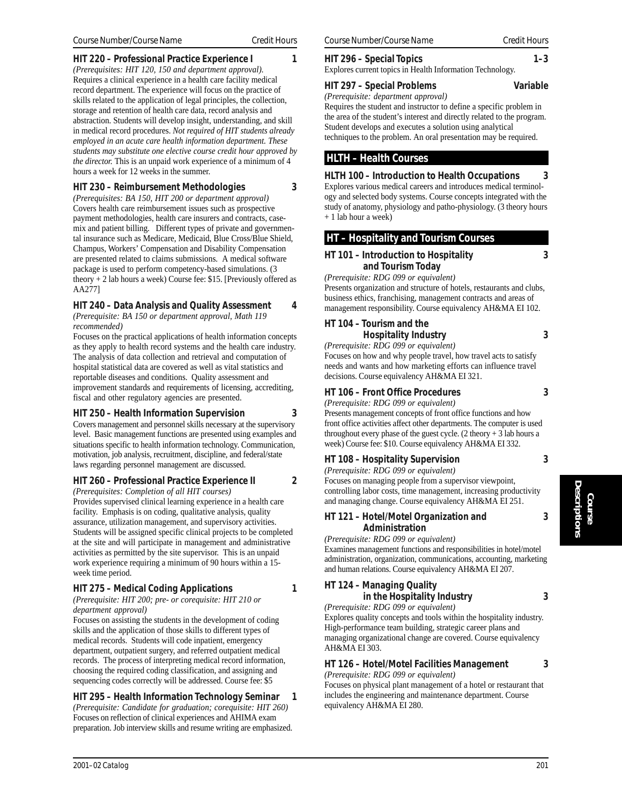#### **HIT 220 – Professional Practice Experience I 1**

*(Prerequisites: HIT 120, 150 and department approval).* Requires a clinical experience in a health care facility medical record department. The experience will focus on the practice of skills related to the application of legal principles, the collection, storage and retention of health care data, record analysis and abstraction. Students will develop insight, understanding, and skill in medical record procedures. *Not required of HIT students already employed in an acute care health information department. These students may substitute one elective course credit hour approved by the director.* This is an unpaid work experience of a minimum of 4 hours a week for 12 weeks in the summer.

## **HIT 230 – Reimbursement Methodologies 3**

*(Prerequisites: BA 150, HIT 200 or department approval)* Covers health care reimbursement issues such as prospective payment methodologies, health care insurers and contracts, casemix and patient billing. Different types of private and governmental insurance such as Medicare, Medicaid, Blue Cross/Blue Shield, Champus, Workers' Compensation and Disability Compensation are presented related to claims submissions. A medical software package is used to perform competency-based simulations. (3 theory  $+ 2$  lab hours a week) Course fee: \$15. [Previously offered as AA277]

## **HIT 240 – Data Analysis and Quality Assessment 4**

*(Prerequisite: BA 150 or department approval, Math 119 recommended)*

Focuses on the practical applications of health information concepts as they apply to health record systems and the health care industry. The analysis of data collection and retrieval and computation of hospital statistical data are covered as well as vital statistics and reportable diseases and conditions. Quality assessment and improvement standards and requirements of licensing, accrediting, fiscal and other regulatory agencies are presented.

## **HIT 250 – Health Information Supervision 3**

Covers management and personnel skills necessary at the supervisory level. Basic management functions are presented using examples and situations specific to health information technology. Communication, motivation, job analysis, recruitment, discipline, and federal/state laws regarding personnel management are discussed.

## **HIT 260 – Professional Practice Experience II 2**

*(Prerequisites: Completion of all HIT courses)* Provides supervised clinical learning experience in a health care facility. Emphasis is on coding, qualitative analysis, quality assurance, utilization management, and supervisory activities. Students will be assigned specific clinical projects to be completed at the site and will participate in management and administrative activities as permitted by the site supervisor. This is an unpaid work experience requiring a minimum of 90 hours within a 15 week time period.

## **HIT 275 – Medical Coding Applications 1**

*(Prerequisite: HIT 200; pre- or corequisite: HIT 210 or department approval)*

Focuses on assisting the students in the development of coding skills and the application of those skills to different types of medical records. Students will code inpatient, emergency department, outpatient surgery, and referred outpatient medical records. The process of interpreting medical record information, choosing the required coding classification, and assigning and sequencing codes correctly will be addressed. Course fee: \$5

## **HIT 295 – Health Information Technology Seminar 1**

*(Prerequisite: Candidate for graduation; corequisite: HIT 260)* Focuses on reflection of clinical experiences and AHIMA exam preparation. Job interview skills and resume writing are emphasized. **HIT 296 – Special Topics 1–3**

Explores current topics in Health Information Technology.

#### **HIT 297 – Special Problems Variable**

*(Prerequisite: department approval)*

Requires the student and instructor to define a specific problem in the area of the student's interest and directly related to the program. Student develops and executes a solution using analytical techniques to the problem. An oral presentation may be required.

## **HLTH – Health Courses**

**HLTH 100 – Introduction to Health Occupations 3** Explores various medical careers and introduces medical terminol-

ogy and selected body systems. Course concepts integrated with the study of anatomy, physiology and patho-physiology. (3 theory hours + 1 lab hour a week)

#### **HT – Hospitality and Tourism Courses**

#### **HT 101 – Introduction to Hospitality 3 and Tourism Today**

*(Prerequisite: RDG 099 or equivalent)*

Presents organization and structure of hotels, restaurants and clubs, business ethics, franchising, management contracts and areas of management responsibility. Course equivalency AH&MA EI 102.

# **HT 104 – Tourism and the**

**Hospitality Industry 3**

*(Prerequisite: RDG 099 or equivalent)* Focuses on how and why people travel, how travel acts to satisfy needs and wants and how marketing efforts can influence travel decisions. Course equivalency AH&MA EI 321.

## **HT 106 – Front Office Procedures 3**

*(Prerequisite: RDG 099 or equivalent)*

Presents management concepts of front office functions and how front office activities affect other departments. The computer is used throughout every phase of the guest cycle.  $(2 \text{ theory} + 3 \text{ lab hours a})$ week) Course fee: \$10. Course equivalency AH&MA EI 332.

#### **HT 108 – Hospitality Supervision 3**

*(Prerequisite: RDG 099 or equivalent)* Focuses on managing people from a supervisor viewpoint, controlling labor costs, time management, increasing productivity

and managing change. Course equivalency AH&MA EI 251. **HT 121 – Hotel/Motel Organization and 3 Administration**

*(Prerequisite: RDG 099 or equivalent)*

Examines management functions and responsibilities in hotel/motel administration, organization, communications, accounting, marketing and human relations. Course equivalency AH&MA EI 207.

## **HT 124 – Managing Quality**

**in the Hospitality Industry 3**

*(Prerequisite: RDG 099 or equivalent)* Explores quality concepts and tools within the hospitality industry. High-performance team building, strategic career plans and managing organizational change are covered. Course equivalency AH&MA EI 303.

## **HT 126 – Hotel/Motel Facilities Management 3**

*(Prerequisite: RDG 099 or equivalent)*

Focuses on physical plant management of a hotel or restaurant that includes the engineering and maintenance department. Course equivalency AH&MA EI 280.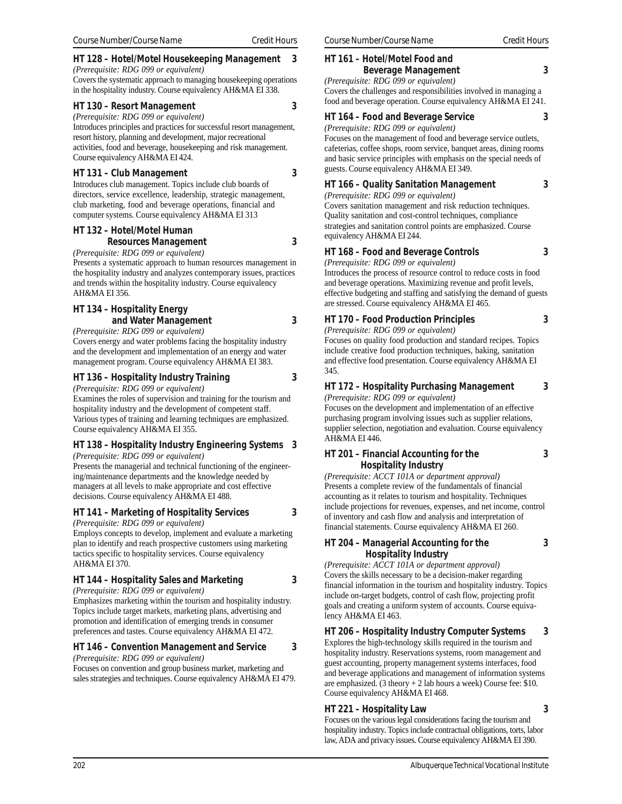#### **HT 128 – Hotel/Motel Housekeeping Management 3**

*(Prerequisite: RDG 099 or equivalent)* Covers the systematic approach to managing housekeeping operations in the hospitality industry. Course equivalency AH&MA EI 338.

#### **HT 130 – Resort Management 3**

*(Prerequisite: RDG 099 or equivalent)*

Introduces principles and practices for successful resort management, resort history, planning and development, major recreational activities, food and beverage, housekeeping and risk management. Course equivalency AH&MA EI 424.

#### **HT 131 – Club Management 3**

Introduces club management. Topics include club boards of directors, service excellence, leadership, strategic management, club marketing, food and beverage operations, financial and computer systems. Course equivalency AH&MA EI 313

#### **HT 132 – Hotel/Motel Human Resources Management 3**

*(Prerequisite: RDG 099 or equivalent)* Presents a systematic approach to human resources management in the hospitality industry and analyzes contemporary issues, practices and trends within the hospitality industry. Course equivalency AH&MA EI 356.

#### **HT 134 – Hospitality Energy and Water Management 3**

*(Prerequisite: RDG 099 or equivalent)*

Covers energy and water problems facing the hospitality industry and the development and implementation of an energy and water management program. Course equivalency AH&MA EI 383.

#### **HT 136 – Hospitality Industry Training 3**

*(Prerequisite: RDG 099 or equivalent)*

Examines the roles of supervision and training for the tourism and hospitality industry and the development of competent staff. Various types of training and learning techniques are emphasized. Course equivalency AH&MA EI 355.

#### **HT 138 – Hospitality Industry Engineering Systems 3**

*(Prerequisite: RDG 099 or equivalent)*

Presents the managerial and technical functioning of the engineering/maintenance departments and the knowledge needed by managers at all levels to make appropriate and cost effective decisions. Course equivalency AH&MA EI 488.

#### **HT 141 – Marketing of Hospitality Services 3**

*(Prerequisite: RDG 099 or equivalent)*

Employs concepts to develop, implement and evaluate a marketing plan to identify and reach prospective customers using marketing tactics specific to hospitality services. Course equivalency AH&MA EI 370.

#### **HT 144 – Hospitality Sales and Marketing 3**

*(Prerequisite: RDG 099 or equivalent)*

Emphasizes marketing within the tourism and hospitality industry. Topics include target markets, marketing plans, advertising and promotion and identification of emerging trends in consumer preferences and tastes. Course equivalency AH&MA EI 472.

#### **HT 146 – Convention Management and Service 3**

*(Prerequisite: RDG 099 or equivalent)*

Focuses on convention and group business market, marketing and sales strategies and techniques. Course equivalency AH&MA EI 479.

## **HT 161 – Hotel/Motel Food and**

# **Beverage Management 3**

*(Prerequisite: RDG 099 or equivalent)*

Covers the challenges and responsibilities involved in managing a

food and beverage operation. Course equivalency AH&MA EI 241.

#### **HT 164 – Food and Beverage Service 3**

*(Prerequisite: RDG 099 or equivalent)*

Focuses on the management of food and beverage service outlets, cafeterias, coffee shops, room service, banquet areas, dining rooms and basic service principles with emphasis on the special needs of guests. Course equivalency AH&MA EI 349.

#### **HT 166 – Quality Sanitation Management 3**

*(Prerequisite: RDG 099 or equivalent)*

Covers sanitation management and risk reduction techniques. Quality sanitation and cost-control techniques, compliance strategies and sanitation control points are emphasized. Course equivalency AH&MA EI 244.

#### **HT 168 – Food and Beverage Controls 3**

*(Prerequisite: RDG 099 or equivalent)*

Introduces the process of resource control to reduce costs in food and beverage operations. Maximizing revenue and profit levels, effective budgeting and staffing and satisfying the demand of guests are stressed. Course equivalency AH&MA EI 465.

#### **HT 170 – Food Production Principles 3**

*(Prerequisite: RDG 099 or equivalent)* Focuses on quality food production and standard recipes. Topics include creative food production techniques, baking, sanitation and effective food presentation. Course equivalency AH&MA EI 345.

#### **HT 172 – Hospitality Purchasing Management 3**

*(Prerequisite: RDG 099 or equivalent)* Focuses on the development and implementation of an effective purchasing program involving issues such as supplier relations, supplier selection, negotiation and evaluation. Course equivalency AH&MA EI 446.

# **HT 201 – Financial Accounting for the 3**

 **Hospitality Industry** *(Prerequisite: ACCT 101A or department approval)* Presents a complete review of the fundamentals of financial accounting as it relates to tourism and hospitality. Techniques include projections for revenues, expenses, and net income, control of inventory and cash flow and analysis and interpretation of

#### **HT 204 – Managerial Accounting for the 3 Hospitality Industry**

financial statements. Course equivalency AH&MA EI 260.

*(Prerequisite: ACCT 101A or department approval)* Covers the skills necessary to be a decision-maker regarding financial information in the tourism and hospitality industry. Topics include on-target budgets, control of cash flow, projecting profit goals and creating a uniform system of accounts. Course equivalency AH&MA EI 463.

#### **HT 206 – Hospitality Industry Computer Systems 3**

Explores the high-technology skills required in the tourism and hospitality industry. Reservations systems, room management and guest accounting, property management systems interfaces, food and beverage applications and management of information systems are emphasized. (3 theory  $+ 2$  lab hours a week) Course fee: \$10. Course equivalency AH&MA EI 468.

#### **HT 221 – Hospitality Law 3**

Focuses on the various legal considerations facing the tourism and hospitality industry. Topics include contractual obligations, torts, labor law, ADA and privacy issues. Course equivalency AH&MA EI 390.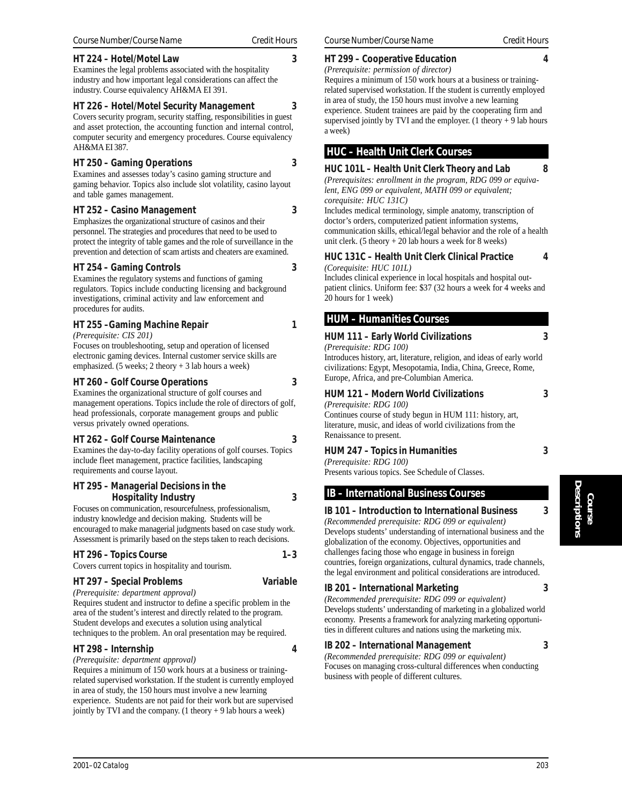#### **HT 224 – Hotel/Motel Law 3**

Examines the legal problems associated with the hospitality industry and how important legal considerations can affect the industry. Course equivalency AH&MA EI 391.

#### **HT 226 – Hotel/Motel Security Management 3**

Covers security program, security staffing, responsibilities in guest and asset protection, the accounting function and internal control, computer security and emergency procedures. Course equivalency AH&MA EI 387.

#### **HT 250 – Gaming Operations 3**

Examines and assesses today's casino gaming structure and gaming behavior. Topics also include slot volatility, casino layout and table games management.

#### **HT 252 – Casino Management 3**

Emphasizes the organizational structure of casinos and their personnel. The strategies and procedures that need to be used to protect the integrity of table games and the role of surveillance in the prevention and detection of scam artists and cheaters are examined.

#### **HT 254 – Gaming Controls 3**

Examines the regulatory systems and functions of gaming regulators. Topics include conducting licensing and background investigations, criminal activity and law enforcement and procedures for audits.

#### **HT 255 –Gaming Machine Repair 1**

*(Prerequisite: CIS 201)*

Focuses on troubleshooting, setup and operation of licensed electronic gaming devices. Internal customer service skills are emphasized. (5 weeks; 2 theory + 3 lab hours a week)

#### **HT 260 – Golf Course Operations 3**

Examines the organizational structure of golf courses and management operations. Topics include the role of directors of golf, head professionals, corporate management groups and public versus privately owned operations.

#### **HT 262 – Golf Course Maintenance 3**

Examines the day-to-day facility operations of golf courses. Topics include fleet management, practice facilities, landscaping requirements and course layout.

#### **HT 295 – Managerial Decisions in the Hospitality Industry 3**

Focuses on communication, resourcefulness, professionalism, industry knowledge and decision making. Students will be encouraged to make managerial judgments based on case study work. Assessment is primarily based on the steps taken to reach decisions.

#### **HT 296 – Topics Course 1–3**

Covers current topics in hospitality and tourism.

#### **HT 297 – Special Problems Variable**

*(Prerequisite: department approval)* Requires student and instructor to define a specific problem in the area of the student's interest and directly related to the program. Student develops and executes a solution using analytical techniques to the problem. An oral presentation may be required.

#### **HT 298 – Internship 4**

*(Prerequisite: department approval)*

Requires a minimum of 150 work hours at a business or trainingrelated supervised workstation. If the student is currently employed in area of study, the 150 hours must involve a new learning experience. Students are not paid for their work but are supervised jointly by TVI and the company.  $(1$  theory  $+ 9$  lab hours a week)

#### **HT 299 – Cooperative Education 4**

*(Prerequisite: permission of director)*

Requires a minimum of 150 work hours at a business or trainingrelated supervised workstation. If the student is currently employed in area of study, the 150 hours must involve a new learning experience. Student trainees are paid by the cooperating firm and supervised jointly by TVI and the employer. (1 theory  $+9$  lab hours a week)

#### **HUC – Health Unit Clerk Courses**

#### **HUC 101L – Health Unit Clerk Theory and Lab 8**

*(Prerequisites: enrollment in the program, RDG 099 or equivalent, ENG 099 or equivalent, MATH 099 or equivalent; corequisite: HUC 131C)*

Includes medical terminology, simple anatomy, transcription of doctor's orders, computerized patient information systems, communication skills, ethical/legal behavior and the role of a health unit clerk. (5 theory  $+20$  lab hours a week for 8 weeks)

**HUC 131C – Health Unit Clerk Clinical Practice 4**

#### *(Corequisite: HUC 101L)*

Includes clinical experience in local hospitals and hospital outpatient clinics. Uniform fee: \$37 (32 hours a week for 4 weeks and 20 hours for 1 week)

#### **HUM – Humanities Courses**

#### **HUM 111 – Early World Civilizations 3**

*(Prerequisite: RDG 100)*

Introduces history, art, literature, religion, and ideas of early world civilizations: Egypt, Mesopotamia, India, China, Greece, Rome, Europe, Africa, and pre-Columbian America.

#### **HUM 121 – Modern World Civilizations 3**

*(Prerequisite: RDG 100)*

Continues course of study begun in HUM 111: history, art, literature, music, and ideas of world civilizations from the Renaissance to present.

#### **HUM 247 – Topics in Humanities 3**

*(Prerequisite: RDG 100)*

Presents various topics. See Schedule of Classes.

#### **IB – International Business Courses**

#### **IB 101 – Introduction to International Business 3**

*(Recommended prerequisite: RDG 099 or equivalent)* Develops students' understanding of international business and the globalization of the economy. Objectives, opportunities and challenges facing those who engage in business in foreign countries, foreign organizations, cultural dynamics, trade channels, the legal environment and political considerations are introduced.

#### **IB 201 – International Marketing 3**

*(Recommended prerequisite: RDG 099 or equivalent)* Develops students' understanding of marketing in a globalized world economy. Presents a framework for analyzing marketing opportunities in different cultures and nations using the marketing mix.

#### **IB 202 – International Management 3**

*(Recommended prerequisite: RDG 099 or equivalent)* Focuses on managing cross-cultural differences when conducting business with people of different cultures.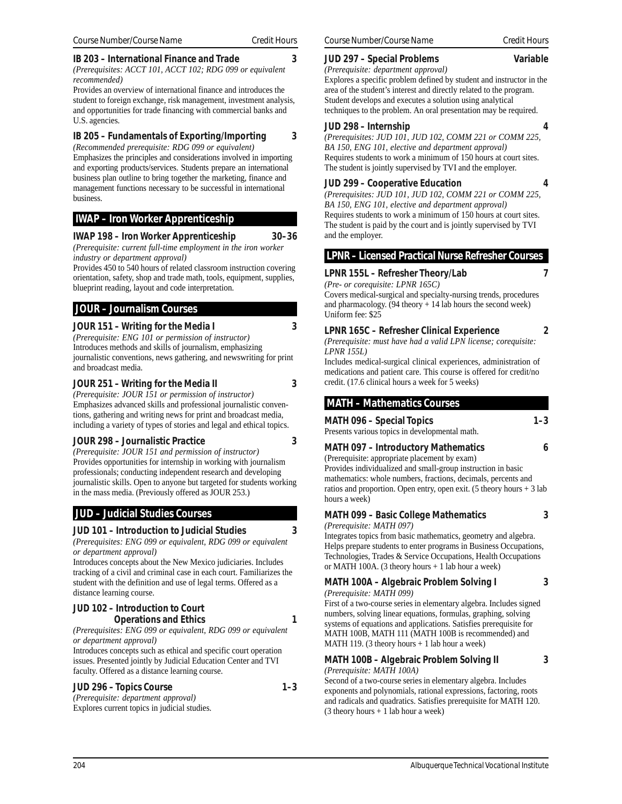#### **IB 203 – International Finance and Trade 3**

*(Prerequisites: ACCT 101, ACCT 102; RDG 099 or equivalent recommended)*

Provides an overview of international finance and introduces the student to foreign exchange, risk management, investment analysis, and opportunities for trade financing with commercial banks and U.S. agencies.

#### **IB 205 – Fundamentals of Exporting/Importing 3**

*(Recommended prerequisite: RDG 099 or equivalent)* Emphasizes the principles and considerations involved in importing and exporting products/services. Students prepare an international business plan outline to bring together the marketing, finance and management functions necessary to be successful in international business.

#### **IWAP – Iron Worker Apprenticeship**

#### **IWAP 198 – Iron Worker Apprenticeship 30–36**

*(Prerequisite: current full-time employment in the iron worker*

*industry or department approval)* Provides 450 to 540 hours of related classroom instruction covering orientation, safety, shop and trade math, tools, equipment, supplies,

#### blueprint reading, layout and code interpretation.

#### **JOUR – Journalism Courses**

#### **JOUR 151 – Writing for the Media I 3**

*(Prerequisite: ENG 101 or permission of instructor)* Introduces methods and skills of journalism, emphasizing journalistic conventions, news gathering, and newswriting for print and broadcast media.

#### **JOUR 251 – Writing for the Media II 3**

*(Prerequisite: JOUR 151 or permission of instructor)* Emphasizes advanced skills and professional journalistic conventions, gathering and writing news for print and broadcast media, including a variety of types of stories and legal and ethical topics.

#### **JOUR 298 – Journalistic Practice 3**

*(Prerequisite: JOUR 151 and permission of instructor)* Provides opportunities for internship in working with journalism professionals; conducting independent research and developing journalistic skills. Open to anyone but targeted for students working in the mass media. (Previously offered as JOUR 253.)

## **JUD – Judicial Studies Courses**

#### **JUD 101 – Introduction to Judicial Studies 3**

*(Prerequisites: ENG 099 or equivalent, RDG 099 or equivalent or department approval)*

Introduces concepts about the New Mexico judiciaries. Includes tracking of a civil and criminal case in each court. Familiarizes the student with the definition and use of legal terms. Offered as a distance learning course.

#### **JUD 102 – Introduction to Court Operations and Ethics** 1

*(Prerequisites: ENG 099 or equivalent, RDG 099 or equivalent or department approval)*

Introduces concepts such as ethical and specific court operation issues. Presented jointly by Judicial Education Center and TVI faculty. Offered as a distance learning course.

#### **JUD 296 – Topics Course 1–3**

*(Prerequisite: department approval)* Explores current topics in judicial studies.

#### **JUD 297 – Special Problems Variable**

*(Prerequisite: department approval)* Explores a specific problem defined by student and instructor in the area of the student's interest and directly related to the program. Student develops and executes a solution using analytical techniques to the problem. An oral presentation may be required.

#### **JUD 298 – Internship 4**

*(Prerequisites: JUD 101, JUD 102, COMM 221 or COMM 225, BA 150, ENG 101, elective and department approval)* Requires students to work a minimum of 150 hours at court sites. The student is jointly supervised by TVI and the employer.

## **JUD 299 – Cooperative Education 4**

*(Prerequisites: JUD 101, JUD 102, COMM 221 or COMM 225, BA 150, ENG 101, elective and department approval)* Requires students to work a minimum of 150 hours at court sites. The student is paid by the court and is jointly supervised by TVI and the employer.

## **LPNR – Licensed Practical Nurse Refresher Courses**

## **LPNR 155L – Refresher Theory/Lab 7**

*(Pre- or corequisite: LPNR 165C)*

Covers medical-surgical and specialty-nursing trends, procedures and pharmacology. (94 theory + 14 lab hours the second week) Uniform fee: \$25

## **LPNR 165C – Refresher Clinical Experience 2**

*(Prerequisite: must have had a valid LPN license; corequisite: LPNR 155L)*

Includes medical-surgical clinical experiences, administration of medications and patient care. This course is offered for credit/no credit. (17.6 clinical hours a week for 5 weeks)

## **MATH – Mathematics Courses**

MATH 096 – Special Topics **1–3** Presents various topics in developmental math.

## **MATH 097 – Introductory Mathematics 6**

(Prerequisite: appropriate placement by exam) Provides individualized and small-group instruction in basic mathematics: whole numbers, fractions, decimals, percents and ratios and proportion. Open entry, open exit. (5 theory hours  $+3$  lab hours a week)

**MATH 099 – Basic College Mathematics 3**

*(Prerequisite: MATH 097)*

Integrates topics from basic mathematics, geometry and algebra. Helps prepare students to enter programs in Business Occupations, Technologies, Trades & Service Occupations, Health Occupations or MATH 100A. (3 theory hours + 1 lab hour a week)

**MATH 100A – Algebraic Problem Solving I 3** *(Prerequisite: MATH 099)*

First of a two-course series in elementary algebra. Includes signed numbers, solving linear equations, formulas, graphing, solving systems of equations and applications. Satisfies prerequisite for MATH 100B, MATH 111 (MATH 100B is recommended) and MATH 119. (3 theory hours + 1 lab hour a week)

#### **MATH 100B – Algebraic Problem Solving II 3**

*(Prerequisite: MATH 100A)*

Second of a two-course series in elementary algebra. Includes exponents and polynomials, rational expressions, factoring, roots and radicals and quadratics. Satisfies prerequisite for MATH 120.  $(3$  theory hours  $+ 1$  lab hour a week)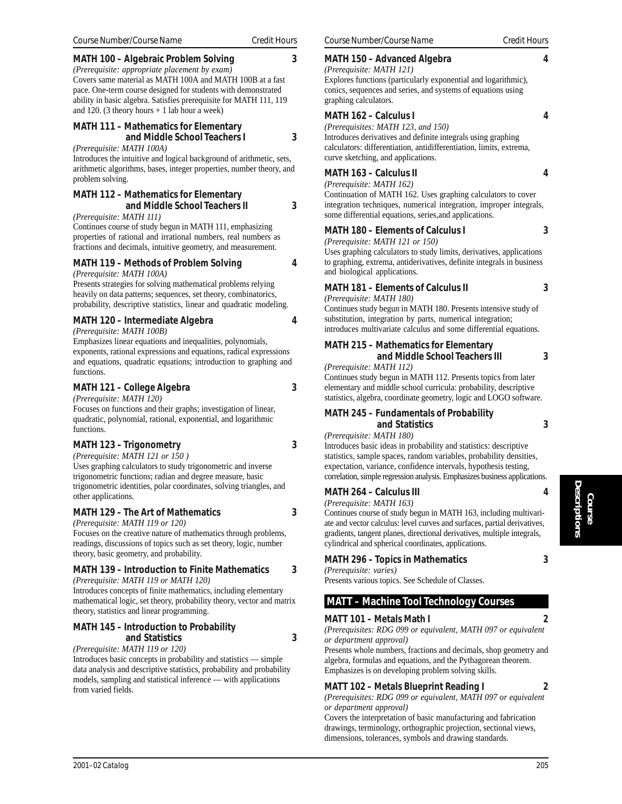#### **MATH 100 – Algebraic Problem Solving 3**

*(Prerequisite: appropriate placement by exam)* Covers same material as MATH 100A and MATH 100B at a fast pace. One-term course designed for students with demonstrated ability in basic algebra. Satisfies prerequisite for MATH 111, 119 and 120. (3 theory hours + 1 lab hour a week)

#### **MATH 111 – Mathematics for Elementary and Middle School Teachers I 3**

*(Prerequisite: MATH 100A)*

Introduces the intuitive and logical background of arithmetic, sets, arithmetic algorithms, bases, integer properties, number theory, and problem solving.

#### **MATH 112 – Mathematics for Elementary and Middle School Teachers II 3**

*(Prerequisite: MATH 111)*

Continues course of study begun in MATH 111, emphasizing properties of rational and irrational numbers, real numbers as fractions and decimals, intuitive geometry, and measurement.

## **MATH 119 – Methods of Problem Solving 4**

*(Prerequisite: MATH 100A)*

Presents strategies for solving mathematical problems relying heavily on data patterns; sequences, set theory, combinatorics, probability, descriptive statistics, linear and quadratic modeling.

#### **MATH 120 – Intermediate Algebra 4**

*(Prerequisite: MATH 100B)*

Emphasizes linear equations and inequalities, polynomials, exponents, rational expressions and equations, radical expressions and equations, quadratic equations; introduction to graphing and functions.

#### **MATH 121 – College Algebra 3**

*(Prerequisite: MATH 120)*

Focuses on functions and their graphs; investigation of linear, quadratic, polynomial, rational, exponential, and logarithmic functions.

#### **MATH 123 – Trigonometry 3**

*(Prerequisite: MATH 121 or 150 )*

Uses graphing calculators to study trigonometric and inverse trigonometric functions; radian and degree measure, basic trigonometric identities, polar coordinates, solving triangles, and other applications.

#### **MATH 129 – The Art of Mathematics 3**

*(Prerequisite: MATH 119 or 120)*

Focuses on the creative nature of mathematics through problems, readings, discussions of topics such as set theory, logic, number theory, basic geometry, and probability.

#### **MATH 139 – Introduction to Finite Mathematics 3** *(Prerequisite: MATH 119 or MATH 120)*

Introduces concepts of finite mathematics, including elementary mathematical logic, set theory, probability theory, vector and matrix theory, statistics and linear programming.

#### **MATH 145 – Introduction to Probability and Statistics 3**

*(Prerequisite: MATH 119 or 120)*

Introduces basic concepts in probability and statistics — simple data analysis and descriptive statistics, probability and probability models, sampling and statistical inference — with applications from varied fields.

#### **MATH 150 - Advanced Algebra**

#### *(Prerequisite: MATH 121)* Explores functions (particularly exponential and logarithmic),

conics, sequences and series, and systems of equations using

#### **MATH 162 – Calculus I 4**

graphing calculators.

*(Prerequisites: MATH 123, and 150)* Introduces derivatives and definite integrals using graphing calculators: differentiation, antidifferentiation, limits, extrema, curve sketching, and applications.

#### **MATH 163 – Calculus II 4**

*(Prerequisite: MATH 162)*

Continuation of MATH 162. Uses graphing calculators to cover integration techniques, numerical integration, improper integrals, some differential equations, series,and applications.

#### **MATH 180 – Elements of Calculus I 3**

*(Prerequisite: MATH 121 or 150)*

Uses graphing calculators to study limits, derivatives, applications to graphing, extrema, antiderivatives, definite integrals in business and biological applications.

## **MATH 181 – Elements of Calculus II 3**

*(Prerequisite: MATH 180)*

Continues study begun in MATH 180. Presents intensive study of substitution, integration by parts, numerical integration; introduces multivariate calculus and some differential equations.

#### **MATH 215 – Mathematics for Elementary and Middle School Teachers III 3**

*(Prerequisite: MATH 112)*

Continues study begun in MATH 112. Presents topics from later elementary and middle school curricula: probability, descriptive statistics, algebra, coordinate geometry, logic and LOGO software.

#### **MATH 245 – Fundamentals of Probability and Statistics 3**

#### *(Prerequisite: MATH 180)*

Introduces basic ideas in probability and statistics: descriptive statistics, sample spaces, random variables, probability densities, expectation, variance, confidence intervals, hypothesis testing, correlation, simple regression analysis. Emphasizes business applications.

#### **MATH 264 – Calculus III 4**

*(Prerequisite: MATH 163)*

Continues course of study begun in MATH 163, including multivariate and vector calculus: level curves and surfaces, partial derivatives, gradients, tangent planes, directional derivatives, multiple integrals, cylindrical and spherical coordinates, applications.

## **MATH 296 – Topics in Mathematics 3**

*(Prerequisite: varies)*

Presents various topics. See Schedule of Classes.

#### **MATT – Machine Tool Technology Courses**

#### **MATT 101 – Metals Math I 2**

*(Prerequisites: RDG 099 or equivalent, MATH 097 or equivalent or department approval)*

Presents whole numbers, fractions and decimals, shop geometry and algebra, formulas and equations, and the Pythagorean theorem. Emphasizes is on developing problem solving skills.

## **MATT 102 – Metals Blueprint Reading I 2**

*(Prerequisites: RDG 099 or equivalent, MATH 097 or equivalent or department approval)*

Covers the interpretation of basic manufacturing and fabrication drawings, terminology, orthographic projection, sectional views, dimensions, tolerances, symbols and drawing standards.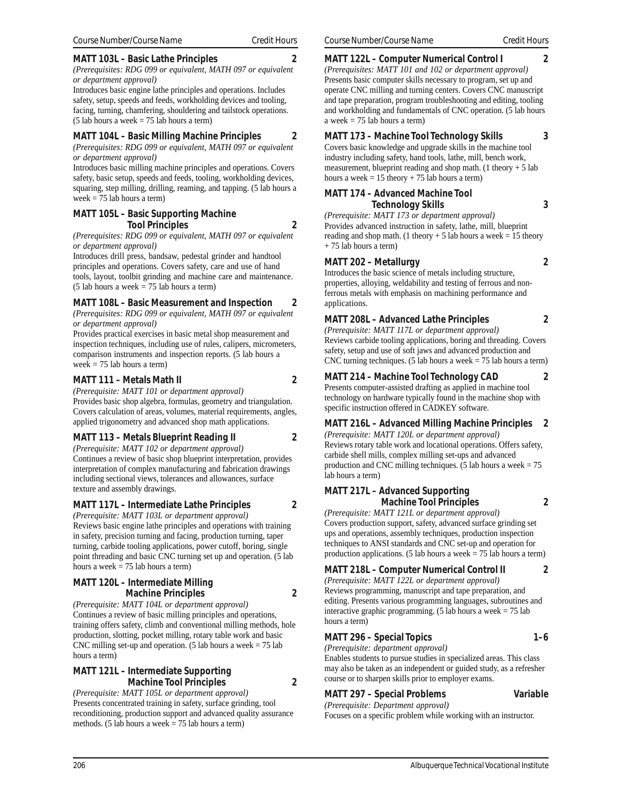#### **MATT 103L – Basic Lathe Principles 2**

*(Prerequisites: RDG 099 or equivalent, MATH 097 or equivalent or department approval)*

Introduces basic engine lathe principles and operations. Includes safety, setup, speeds and feeds, workholding devices and tooling, facing, turning, chamfering, shouldering and tailstock operations.  $(5$  lab hours a week = 75 lab hours a term)

#### **MATT 104L – Basic Milling Machine Principles 2**

*(Prerequisites: RDG 099 or equivalent, MATH 097 or equivalent or department approval)*

Introduces basic milling machine principles and operations. Covers safety, basic setup, speeds and feeds, tooling, workholding devices, squaring, step milling, drilling, reaming, and tapping. (5 lab hours a week = 75 lab hours a term)

#### **MATT 105L – Basic Supporting Machine Tool Principles 2**

*(Prerequisites: RDG 099 or equivalent, MATH 097 or equivalent or department approval)*

Introduces drill press, bandsaw, pedestal grinder and handtool principles and operations. Covers safety, care and use of hand tools, layout, toolbit grinding and machine care and maintenance.  $(5$  lab hours a week = 75 lab hours a term)

#### **MATT 108L – Basic Measurement and Inspection 2**

*(Prerequisites: RDG 099 or equivalent, MATH 097 or equivalent or department approval)*

Provides practical exercises in basic metal shop measurement and inspection techniques, including use of rules, calipers, micrometers, comparison instruments and inspection reports. (5 lab hours a week  $= 75$  lab hours a term)

#### **MATT 111 – Metals Math II 2**

*(Prerequisite: MATT 101 or department approval)*

Provides basic shop algebra, formulas, geometry and triangulation. Covers calculation of areas, volumes, material requirements, angles, applied trigonometry and advanced shop math applications.

#### **MATT 113 – Metals Blueprint Reading II 2**

*(Prerequisite: MATT 102 or department approval)* Continues a review of basic shop blueprint interpretation, provides interpretation of complex manufacturing and fabrication drawings including sectional views, tolerances and allowances, surface texture and assembly drawings.

#### **MATT 117L – Intermediate Lathe Principles 2**

*(Prerequisite: MATT 103L or department approval)* Reviews basic engine lathe principles and operations with training in safety, precision turning and facing, production turning, taper turning, carbide tooling applications, power cutoff, boring, single point threading and basic CNC turning set up and operation. (5 lab hours a week  $= 75$  lab hours a term)

#### **MATT 120L – Intermediate Milling Machine Principles 2**

*(Prerequisite: MATT 104L or department approval)* Continues a review of basic milling principles and operations, training offers safety, climb and conventional milling methods, hole production, slotting, pocket milling, rotary table work and basic CNC milling set-up and operation. (5 lab hours a week  $= 75$  lab hours a term)

#### **MATT 121L – Intermediate Supporting Machine Tool Principles 2**

*(Prerequisite: MATT 105L or department approval)* Presents concentrated training in safety, surface grinding, tool reconditioning, production support and advanced quality assurance methods. (5 lab hours a week  $= 75$  lab hours a term)

# **MATT 122L – Computer Numerical Control I 2**

*(Prerequisites: MATT 101 and 102 or department approval)* Presents basic computer skills necessary to program, set up and operate CNC milling and turning centers. Covers CNC manuscript and tape preparation, program troubleshooting and editing, tooling and workholding and fundamentals of CNC operation. (5 lab hours a week  $= 75$  lab hours a term)

#### **MATT 173 – Machine Tool Technology Skills 3**

Covers basic knowledge and upgrade skills in the machine tool industry including safety, hand tools, lathe, mill, bench work, measurement, blueprint reading and shop math. (1 theory + 5 lab hours a week =  $15$  theory +  $75$  lab hours a term)

#### **MATT 174 – Advanced Machine Tool Technology Skills 3**

*(Prerequisite: MATT 173 or department approval)* Provides advanced instruction in safety, lathe, mill, blueprint reading and shop math. (1 theory  $+ 5$  lab hours a week = 15 theory + 75 lab hours a term)

#### **MATT 202 – Metallurgy 2**

Introduces the basic science of metals including structure, properties, alloying, weldability and testing of ferrous and nonferrous metals with emphasis on machining performance and applications.

#### **MATT 208L – Advanced Lathe Principles 2**

*(Prerequisite: MATT 117L or department approval)* Reviews carbide tooling applications, boring and threading. Covers safety, setup and use of soft jaws and advanced production and CNC turning techniques. (5 lab hours a week  $= 75$  lab hours a term)

## **MATT 214 – Machine Tool Technology CAD 2**

Presents computer-assisted drafting as applied in machine tool technology on hardware typically found in the machine shop with specific instruction offered in CADKEY software.

#### **MATT 216L – Advanced Milling Machine Principles 2**

*(Prerequisite: MATT 120L or department approval)* Reviews rotary table work and locational operations. Offers safety, carbide shell mills, complex milling set-ups and advanced production and CNC milling techniques. (5 lab hours a week  $= 75$ lab hours a term)

## **MATT 217L – Advanced Supporting Machine Tool Principles 2**

*(Prerequisite: MATT 121L or department approval)* Covers production support, safety, advanced surface grinding set ups and operations, assembly techniques, production inspection techniques to ANSI standards and CNC set-up and operation for production applications. (5 lab hours a week  $= 75$  lab hours a term)

## **MATT 218L – Computer Numerical Control II 2**

*(Prerequisite: MATT 122L or department approval)* Reviews programming, manuscript and tape preparation, and editing. Presents various programming languages, subroutines and interactive graphic programming. (5 lab hours a week = 75 lab hours a term)

## **MATT 296 – Special Topics 1–6**

*(Prerequisite: department approval)* Enables students to pursue studies in specialized areas. This class may also be taken as an independent or guided study, as a refresher course or to sharpen skills prior to employer exams.

## **MATT 297 – Special Problems Variable**

*(Prerequisite: Department approval)*

Focuses on a specific problem while working with an instructor.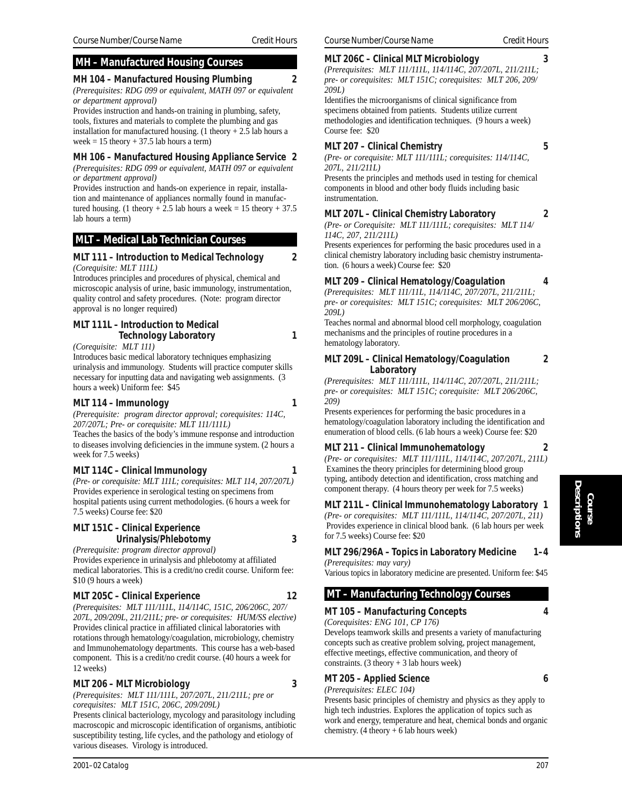## **MH – Manufactured Housing Courses**

**MH 104 – Manufactured Housing Plumbing 2** *(Prerequisites: RDG 099 or equivalent, MATH 097 or equivalent or department approval)*

Provides instruction and hands-on training in plumbing, safety, tools, fixtures and materials to complete the plumbing and gas installation for manufactured housing. (1 theory  $+2.5$  lab hours a week =  $15$  theory +  $37.5$  lab hours a term)

#### **MH 106 – Manufactured Housing Appliance Service 2**

*(Prerequisites: RDG 099 or equivalent, MATH 097 or equivalent or department approval)*

Provides instruction and hands-on experience in repair, installation and maintenance of appliances normally found in manufactured housing. (1 theory  $+ 2.5$  lab hours a week = 15 theory  $+ 37.5$ lab hours a term)

#### **MLT – Medical Lab Technician Courses**

#### **MLT 111 – Introduction to Medical Technology 2** *(Corequisite: MLT 111L)*

Introduces principles and procedures of physical, chemical and microscopic analysis of urine, basic immunology, instrumentation, quality control and safety procedures. (Note: program director approval is no longer required)

## **MLT 111L – Introduction to Medical Technology Laboratory 1**

*(Corequisite: MLT 111)*

Introduces basic medical laboratory techniques emphasizing urinalysis and immunology. Students will practice computer skills necessary for inputting data and navigating web assignments. (3 hours a week) Uniform fee: \$45

#### **MLT 114 – Immunology 1**

*(Prerequisite: program director approval; corequisites: 114C, 207/207L; Pre- or corequisite: MLT 111/111L)*

Teaches the basics of the body's immune response and introduction to diseases involving deficiencies in the immune system. (2 hours a week for 7.5 weeks)

#### **MLT 114C – Clinical Immunology 1**

*(Pre- or corequisite: MLT 111L; corequisites: MLT 114, 207/207L)* Provides experience in serological testing on specimens from hospital patients using current methodologies. (6 hours a week for 7.5 weeks) Course fee: \$20

#### **MLT 151C – Clinical Experience Urinalysis/Phlebotomy 3**

*(Prerequisite: program director approval)* Provides experience in urinalysis and phlebotomy at affiliated medical laboratories. This is a credit/no credit course. Uniform fee:

#### **MLT 205C – Clinical Experience 12**

*(Prerequisites: MLT 111/111L, 114/114C, 151C, 206/206C, 207/ 207L, 209/209L, 211/211L; pre- or corequisites: HUM/SS elective)* Provides clinical practice in affiliated clinical laboratories with rotations through hematology/coagulation, microbiology, chemistry and Immunohematology departments. This course has a web-based component. This is a credit/no credit course. (40 hours a week for 12 weeks)

#### **MLT 206 – MLT Microbiology 3**

*(Prerequisites: MLT 111/111L, 207/207L, 211/211L; pre or corequisites: MLT 151C, 206C, 209/209L)*

Presents clinical bacteriology, mycology and parasitology including macroscopic and microscopic identification of organisms, antibiotic susceptibility testing, life cycles, and the pathology and etiology of various diseases. Virology is introduced.

\$10 (9 hours a week)

#### **MLT 206C – Clinical MLT Microbiology 3**

*(Prerequisites: MLT 111/111L, 114/114C, 207/207L, 211/211L; pre- or corequisites: MLT 151C; corequisites: MLT 206, 209/ 209L)*

Identifies the microorganisms of clinical significance from specimens obtained from patients. Students utilize current methodologies and identification techniques. (9 hours a week) Course fee: \$20

#### **MLT 207 – Clinical Chemistry 5**

*(Pre- or corequisite: MLT 111/111L; corequisites: 114/114C, 207L, 211/211L)*

Presents the principles and methods used in testing for chemical components in blood and other body fluids including basic instrumentation.

#### **MLT 207L – Clinical Chemistry Laboratory 2**

*(Pre- or Corequisite: MLT 111/111L; corequisites: MLT 114/ 114C, 207, 211/211L)*

Presents experiences for performing the basic procedures used in a clinical chemistry laboratory including basic chemistry instrumentation. (6 hours a week) Course fee: \$20

#### **MLT 209 – Clinical Hematology/Coagulation 4**

*(Prerequisites: MLT 111/11L, 114/114C, 207/207L, 211/211L; pre- or corequisites: MLT 151C; corequisites: MLT 206/206C, 209L)*

Teaches normal and abnormal blood cell morphology, coagulation mechanisms and the principles of routine procedures in a hematology laboratory.

#### **MLT 209L – Clinical Hematology/Coagulation 2 Laboratory**

*(Prerequisites: MLT 111/111L, 114/114C, 207/207L, 211/211L; pre- or corequisites: MLT 151C; corequisite: MLT 206/206C, 209)*

Presents experiences for performing the basic procedures in a hematology/coagulation laboratory including the identification and enumeration of blood cells. (6 lab hours a week) Course fee: \$20

#### **MLT 211 – Clinical Immunohematology 2**

*(Pre- or corequisites: MLT 111/111L, 114/114C, 207/207L, 211L)* Examines the theory principles for determining blood group typing, antibody detection and identification, cross matching and component therapy. (4 hours theory per week for 7.5 weeks)

#### **MLT 211L – Clinical Immunohematology Laboratory 1**

*(Pre- or corequisites: MLT 111/111L, 114/114C, 207/207L, 211)* Provides experience in clinical blood bank. (6 lab hours per week for 7.5 weeks) Course fee: \$20

#### **MLT 296/296A – Topics in Laboratory Medicine 1–4** *(Prerequisites: may vary)*

Various topics in laboratory medicine are presented. Uniform fee: \$45

## **MT – Manufacturing Technology Courses**

**MT 105 – Manufacturing Concepts 4**

*(Corequisites: ENG 101, CP 176)* Develops teamwork skills and presents a variety of manufacturing concepts such as creative problem solving, project management, effective meetings, effective communication, and theory of constraints.  $(3$  theory  $+ 3$  lab hours week)

#### **MT 205 – Applied Science 6**

*(Prerequisites: ELEC 104)*

Presents basic principles of chemistry and physics as they apply to high tech industries. Explores the application of topics such as work and energy, temperature and heat, chemical bonds and organic chemistry.  $(4 \text{ theory} + 6 \text{ lab hours week})$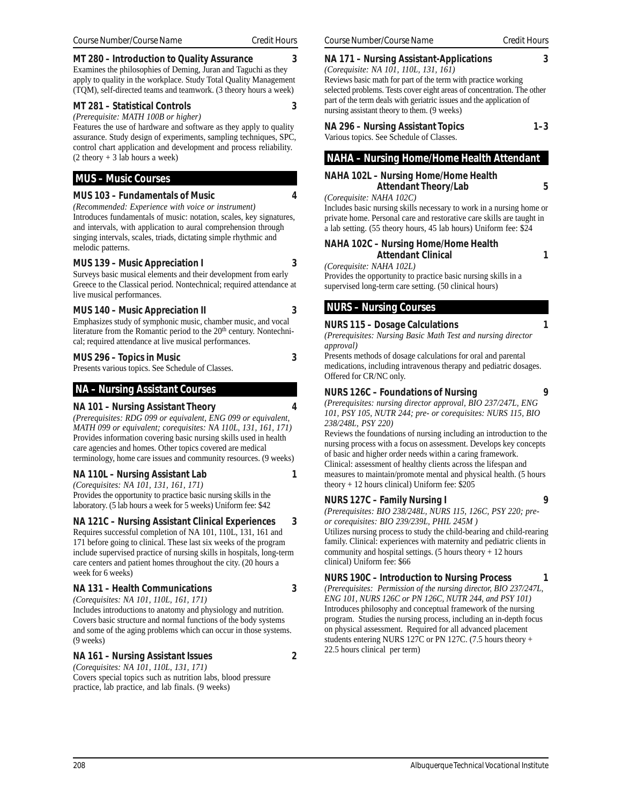#### **MT 280 – Introduction to Quality Assurance 3**

Examines the philosophies of Deming, Juran and Taguchi as they apply to quality in the workplace. Study Total Quality Management (TQM), self-directed teams and teamwork. (3 theory hours a week)

#### **MT 281 – Statistical Controls 3**

*(Prerequisite: MATH 100B or higher)*

Features the use of hardware and software as they apply to quality assurance. Study design of experiments, sampling techniques, SPC, control chart application and development and process reliability.  $(2$  theory + 3 lab hours a week)

## **MUS – Music Courses**

#### **MUS 103 – Fundamentals of Music 4**

*(Recommended: Experience with voice or instrument)* Introduces fundamentals of music: notation, scales, key signatures, and intervals, with application to aural comprehension through singing intervals, scales, triads, dictating simple rhythmic and melodic patterns.

#### **MUS 139 – Music Appreciation I 3**

Surveys basic musical elements and their development from early Greece to the Classical period. Nontechnical; required attendance at live musical performances.

#### **MUS 140 – Music Appreciation II 3**

Emphasizes study of symphonic music, chamber music, and vocal literature from the Romantic period to the 20<sup>th</sup> century. Nontechnical; required attendance at live musical performances.

#### **MUS 296 – Topics in Music 3**

Presents various topics. See Schedule of Classes.

#### **NA – Nursing Assistant Courses**

#### **NA 101 – Nursing Assistant Theory 4**

*(Prerequisites: RDG 099 or equivalent, ENG 099 or equivalent, MATH 099 or equivalent; corequisites: NA 110L, 131, 161, 171)* Provides information covering basic nursing skills used in health care agencies and homes. Other topics covered are medical terminology, home care issues and community resources. (9 weeks)

#### **NA 110L – Nursing Assistant Lab 1**

*(Corequisites: NA 101, 131, 161, 171)* Provides the opportunity to practice basic nursing skills in the laboratory. (5 lab hours a week for 5 weeks) Uniform fee: \$42

#### **NA 121C – Nursing Assistant Clinical Experiences 3**

Requires successful completion of NA 101, 110L, 131, 161 and 171 before going to clinical. These last six weeks of the program include supervised practice of nursing skills in hospitals, long-term care centers and patient homes throughout the city. (20 hours a week for 6 weeks)

#### **NA 131 – Health Communications 3**

*(Corequisites: NA 101, 110L, 161, 171)* Includes introductions to anatomy and physiology and nutrition. Covers basic structure and normal functions of the body systems and some of the aging problems which can occur in those systems. (9 weeks)

#### **NA 161 – Nursing Assistant Issues 2**

*(Corequisites: NA 101, 110L, 131, 171)* Covers special topics such as nutrition labs, blood pressure practice, lab practice, and lab finals. (9 weeks)

#### **NA 171 – Nursing Assistant-Applications 3**

*(Corequisite: NA 101, 110L, 131, 161)*

Reviews basic math for part of the term with practice working selected problems. Tests cover eight areas of concentration. The other part of the term deals with geriatric issues and the application of nursing assistant theory to them. (9 weeks)

|   |  | NA 296 - Nursing Assistant Topics | $1 - 3$ |
|---|--|-----------------------------------|---------|
| . |  |                                   |         |

Various topics. See Schedule of Classes.

## **NAHA – Nursing Home/Home Health Attendant**

#### **NAHA 102L – Nursing Home/Home Health Attendant Theory/Lab 5**

*(Corequisite: NAHA 102C)*

Includes basic nursing skills necessary to work in a nursing home or private home. Personal care and restorative care skills are taught in a lab setting. (55 theory hours, 45 lab hours) Uniform fee: \$24

**NAHA 102C – Nursing Home/Home Health Attendant Clinical 1**

*(Corequisite: NAHA 102L)*

Provides the opportunity to practice basic nursing skills in a supervised long-term care setting. (50 clinical hours)

## **NURS – Nursing Courses**

#### **NURS 115 – Dosage Calculations 1**

*(Prerequisites: Nursing Basic Math Test and nursing director approval)*

Presents methods of dosage calculations for oral and parental medications, including intravenous therapy and pediatric dosages. Offered for CR/NC only.

# **NURS 126C – Foundations of Nursing 9**

*(Prerequisites: nursing director approval, BIO 237/247L, ENG 101, PSY 105, NUTR 244; pre- or corequisites: NURS 115, BIO 238/248L, PSY 220)*

Reviews the foundations of nursing including an introduction to the nursing process with a focus on assessment. Develops key concepts of basic and higher order needs within a caring framework. Clinical: assessment of healthy clients across the lifespan and measures to maintain/promote mental and physical health. (5 hours theory + 12 hours clinical) Uniform fee: \$205

#### **NURS 127C – Family Nursing I 9**

*(Prerequisites: BIO 238/248L, NURS 115, 126C, PSY 220; preor corequisites: BIO 239/239L, PHIL 245M )*

Utilizes nursing process to study the child-bearing and child-rearing family. Clinical: experiences with maternity and pediatric clients in community and hospital settings. (5 hours theory + 12 hours clinical) Uniform fee: \$66

## **NURS 190C – Introduction to Nursing Process 1**

*(Prerequisites: Permission of the nursing director, BIO 237/247L, ENG 101, NURS 126C or PN 126C, NUTR 244, and PSY 101)* Introduces philosophy and conceptual framework of the nursing program. Studies the nursing process, including an in-depth focus on physical assessment. Required for all advanced placement students entering NURS 127C or PN 127C. (7.5 hours theory + 22.5 hours clinical per term)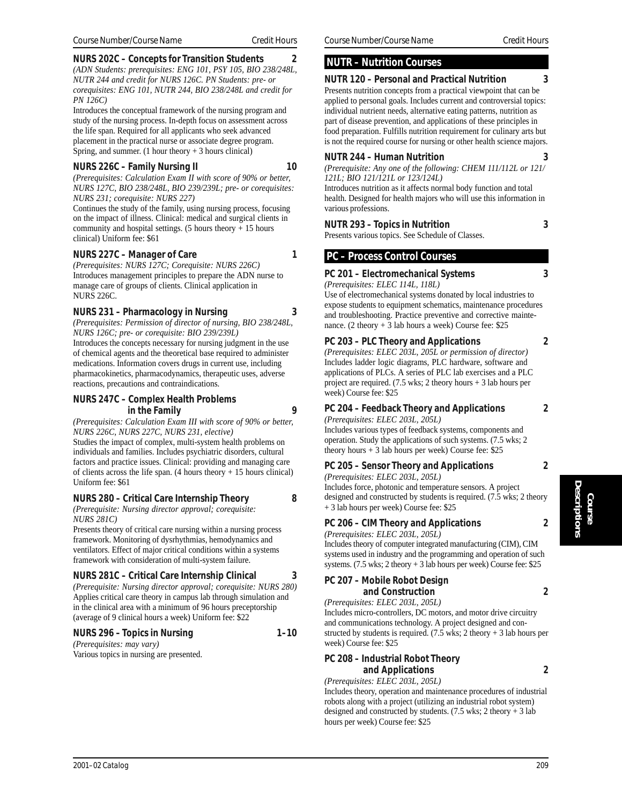#### **NURS 202C – Concepts for Transition Students 2**

*(ADN Students: prerequisites: ENG 101, PSY 105, BIO 238/248L, NUTR 244 and credit for NURS 126C. PN Students: pre- or corequisites: ENG 101, NUTR 244, BIO 238/248L and credit for PN 126C)*

Introduces the conceptual framework of the nursing program and study of the nursing process. In-depth focus on assessment across the life span. Required for all applicants who seek advanced placement in the practical nurse or associate degree program. Spring, and summer.  $(1$  hour theory  $+3$  hours clinical)

## **NURS 226C – Family Nursing II** 10

*(Prerequisites: Calculation Exam II with score of 90% or better, NURS 127C, BIO 238/248L, BIO 239/239L; pre- or corequisites:*

*NURS 231; corequisite: NURS 227)* Continues the study of the family, using nursing process, focusing on the impact of illness. Clinical: medical and surgical clients in community and hospital settings. (5 hours theory + 15 hours clinical) Uniform fee: \$61

## **NURS 227C – Manager of Care** 1

*(Prerequisites: NURS 127C; Corequisite: NURS 226C)*

Introduces management principles to prepare the ADN nurse to manage care of groups of clients. Clinical application in NURS 226C.

## **NURS 231 – Pharmacology in Nursing 3**

*(Prerequisites: Permission of director of nursing, BIO 238/248L, NURS 126C; pre- or corequisite: BIO 239/239L)* Introduces the concepts necessary for nursing judgment in the use of chemical agents and the theoretical base required to administer medications. Information covers drugs in current use, including pharmacokinetics, pharmacodynamics, therapeutic uses, adverse reactions, precautions and contraindications.

#### **NURS 247C – Complex Health Problems in the Family 9**

*(Prerequisites: Calculation Exam III with score of 90% or better, NURS 226C, NURS 227C, NURS 231, elective)* Studies the impact of complex, multi-system health problems on individuals and families. Includes psychiatric disorders, cultural factors and practice issues. Clinical: providing and managing care of clients across the life span.  $(4 \text{ hours theory} + 15 \text{ hours clinical})$ 

#### Uniform fee: \$61 **NURS 280 – Critical Care Internship Theory 8**

*(Prerequisite: Nursing director approval; corequisite: NURS 281C)*

Presents theory of critical care nursing within a nursing process framework. Monitoring of dysrhythmias, hemodynamics and ventilators. Effect of major critical conditions within a systems framework with consideration of multi-system failure.

## **NURS 281C – Critical Care Internship Clinical 3**

*(Prerequisite: Nursing director approval; corequisite: NURS 280)* Applies critical care theory in campus lab through simulation and in the clinical area with a minimum of 96 hours preceptorship (average of 9 clinical hours a week) Uniform fee: \$22

## **NURS 296 – Topics in Nursing 1–10**

*(Prerequisites: may vary)* Various topics in nursing are presented.

#### *Course Number/Course Name Credit Hours Course Number/Course Name Credit Hours*

## **NUTR – Nutrition Courses**

#### **NUTR 120 – Personal and Practical Nutrition 3**

Presents nutrition concepts from a practical viewpoint that can be applied to personal goals. Includes current and controversial topics: individual nutrient needs, alternative eating patterns, nutrition as part of disease prevention, and applications of these principles in food preparation. Fulfills nutrition requirement for culinary arts but is not the required course for nursing or other health science majors.

#### **NUTR 244 – Human Nutrition 3**

*(Prerequisite: Any one of the following: CHEM 111/112L or 121/ 121L; BIO 121/121L or 123/124L)* Introduces nutrition as it affects normal body function and total

health. Designed for health majors who will use this information in various professions.

## **NUTR 293 – Topics in Nutrition 3**

Presents various topics. See Schedule of Classes.

## **PC – Process Control Courses**

## **PC 201 – Electromechanical Systems 3**

*(Prerequisites: ELEC 114L, 118L)*

Use of electromechanical systems donated by local industries to expose students to equipment schematics, maintenance procedures and troubleshooting. Practice preventive and corrective maintenance. (2 theory + 3 lab hours a week) Course fee: \$25

#### **PC 203 – PLC Theory and Applications 2**

*(Prerequisites: ELEC 203L, 205L or permission of director)* Includes ladder logic diagrams, PLC hardware, software and applications of PLCs. A series of PLC lab exercises and a PLC project are required.  $(7.5 \text{ wks}; 2 \text{ theory hours} + 3 \text{ lab hours per})$ week) Course fee: \$25

## **PC 204 – Feedback Theory and Applications 2**

*(Prerequisites: ELEC 203L, 205L)*

Includes various types of feedback systems, components and operation. Study the applications of such systems. (7.5 wks; 2 theory hours  $+3$  lab hours per week) Course fee: \$25

## **PC 205 – Sensor Theory and Applications 2**

*(Prerequisites: ELEC 203L, 205L)* Includes force, photonic and temperature sensors. A project designed and constructed by students is required. (7.5 wks; 2 theory + 3 lab hours per week) Course fee: \$25

## **PC 206 – CIM Theory and Applications 2**

*(Prerequisites: ELEC 203L, 205L)*

Includes theory of computer integrated manufacturing (CIM), CIM systems used in industry and the programming and operation of such systems. (7.5 wks; 2 theory + 3 lab hours per week) Course fee: \$25

| PC 207 - Mobile Robot Design     |  |
|----------------------------------|--|
| and Construction                 |  |
| (Prerequisites: ELEC 203L, 205L) |  |

Includes micro-controllers, DC motors, and motor drive circuitry and communications technology. A project designed and constructed by students is required.  $(7.5 \text{ wks}; 2 \text{ theory} + 3 \text{ lab hours per})$ week) Course fee: \$25

## **PC 208 – Industrial Robot Theory and Applications 2**

*(Prerequisites: ELEC 203L, 205L)*

Includes theory, operation and maintenance procedures of industrial robots along with a project (utilizing an industrial robot system) designed and constructed by students. (7.5 wks; 2 theory + 3 lab hours per week) Course fee: \$25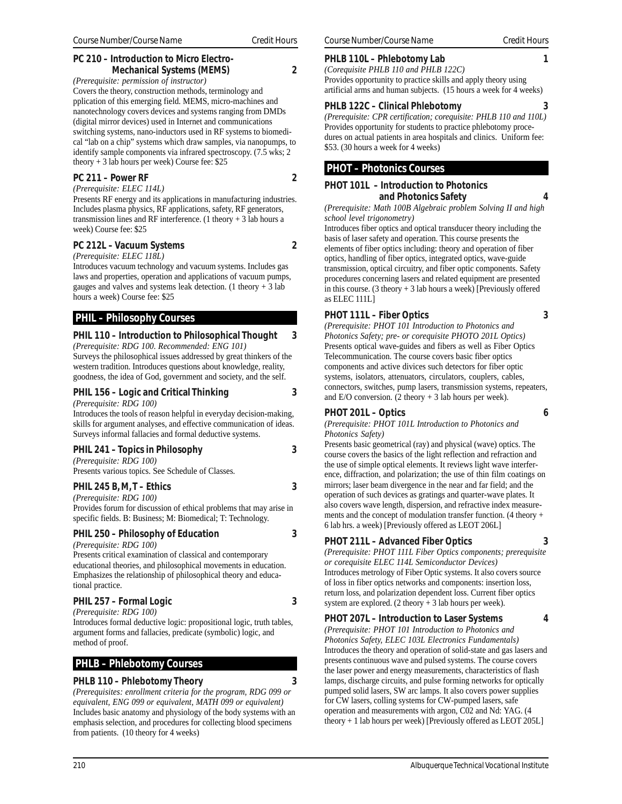## **PC 210 – Introduction to Micro Electro-Mechanical Systems (MEMS) 2**

*(Prerequisite: permission of instructor)*

Covers the theory, construction methods, terminology and pplication of this emerging field. MEMS, micro-machines and nanotechnology covers devices and systems ranging from DMDs (digital mirror devices) used in Internet and communications switching systems, nano-inductors used in RF systems to biomedical "lab on a chip" systems which draw samples, via nanopumps, to identify sample components via infrared spectroscopy. (7.5 wks; 2 theory + 3 lab hours per week) Course fee: \$25

#### **PC 211 – Power RF 2**

*(Prerequisite: ELEC 114L)*

Presents RF energy and its applications in manufacturing industries. Includes plasma physics, RF applications, safety, RF generators, transmission lines and RF interference. (1 theory  $+3$  lab hours a week) Course fee: \$25

#### **PC 212L – Vacuum Systems 2**

*(Prerequisite: ELEC 118L)*

Introduces vacuum technology and vacuum systems. Includes gas laws and properties, operation and applications of vacuum pumps, gauges and valves and systems leak detection.  $(1$  theory  $+ 3$  lab hours a week) Course fee: \$25

## **PHIL – Philosophy Courses**

## **PHIL 110 – Introduction to Philosophical Thought 3**

*(Prerequisite: RDG 100. Recommended: ENG 101)* Surveys the philosophical issues addressed by great thinkers of the western tradition. Introduces questions about knowledge, reality, goodness, the idea of God, government and society, and the self.

#### **PHIL 156 – Logic and Critical Thinking 3**

*(Prerequisite: RDG 100)*

Introduces the tools of reason helpful in everyday decision-making, skills for argument analyses, and effective communication of ideas. Surveys informal fallacies and formal deductive systems.

| PHIL 241 - Topics in Philosophy                   |  |
|---------------------------------------------------|--|
| (Prerequires: RDG 100)                            |  |
| Presents various topics. See Schedule of Classes. |  |

#### **PHIL 245 B, M, T – Ethics 3**

*(Prerequisite: RDG 100)*

Provides forum for discussion of ethical problems that may arise in specific fields. B: Business; M: Biomedical; T: Technology.

**PHIL 250 – Philosophy of Education 3**

*(Prerequisite: RDG 100)* Presents critical examination of classical and contemporary educational theories, and philosophical movements in education. Emphasizes the relationship of philosophical theory and educational practice.

## **PHIL 257 – Formal Logic 3**

*(Prerequisite: RDG 100)* Introduces formal deductive logic: propositional logic, truth tables, argument forms and fallacies, predicate (symbolic) logic, and method of proof.

## **PHLB – Phlebotomy Courses**

#### **PHLB 110 – Phlebotomy Theory 3**

*(Prerequisites: enrollment criteria for the program, RDG 099 or equivalent, ENG 099 or equivalent, MATH 099 or equivalent)* Includes basic anatomy and physiology of the body systems with an emphasis selection, and procedures for collecting blood specimens from patients. (10 theory for 4 weeks)

## **PHLB 110L – Phlebotomy Lab 1**

*(Corequisite PHLB 110 and PHLB 122C)* Provides opportunity to practice skills and apply theory using artificial arms and human subjects. (15 hours a week for 4 weeks)

## **PHLB 122C – Clinical Phlebotomy 3**

*(Prerequisite: CPR certification; corequisite: PHLB 110 and 110L)* Provides opportunity for students to practice phlebotomy procedures on actual patients in area hospitals and clinics. Uniform fee: \$53. (30 hours a week for 4 weeks)

## **PHOT – Photonics Courses**

#### **PHOT 101L – Introduction to Photonics and Photonics Safety 4**

*(Prerequisite: Math 100B Algebraic problem Solving II and high school level trigonometry)*

Introduces fiber optics and optical transducer theory including the basis of laser safety and operation. This course presents the elements of fiber optics including: theory and operation of fiber optics, handling of fiber optics, integrated optics, wave-guide transmission, optical circuitry, and fiber optic components. Safety procedures concerning lasers and related equipment are presented in this course. (3 theory  $+3$  lab hours a week) [Previously offered as ELEC 111L]

## **PHOT 111L – Fiber Optics 3**

*(Prerequisite: PHOT 101 Introduction to Photonics and Photonics Safety; pre- or corequisite PHOTO 201L Optics)* Presents optical wave-guides and fibers as well as Fiber Optics Telecommunication. The course covers basic fiber optics components and active divices such detectors for fiber optic systems, isolators, attenuators, circulators, couplers, cables, connectors, switches, pump lasers, transmission systems, repeaters, and  $E/O$  conversion. (2 theory  $+3$  lab hours per week).

## **PHOT 201L – Optics 6**

*(Prerequisite: PHOT 101L Introduction to Photonics and Photonics Safety)*

Presents basic geometrical (ray) and physical (wave) optics. The course covers the basics of the light reflection and refraction and the use of simple optical elements. It reviews light wave interference, diffraction, and polarization; the use of thin film coatings on mirrors; laser beam divergence in the near and far field; and the operation of such devices as gratings and quarter-wave plates. It also covers wave length, dispersion, and refractive index measurements and the concept of modulation transfer function. (4 theory + 6 lab hrs. a week) [Previously offered as LEOT 206L]

## **PHOT 211L – Advanced Fiber Optics 3**

*(Prerequisite: PHOT 111L Fiber Optics components; prerequisite or corequisite ELEC 114L Semiconductor Devices)* Introduces metrology of Fiber Optic systems. It also covers source of loss in fiber optics networks and components: insertion loss, return loss, and polarization dependent loss. Current fiber optics system are explored. (2 theory + 3 lab hours per week).

**PHOT 207L – Introduction to Laser Systems 4**

*(Prerequisite: PHOT 101 Introduction to Photonics and Photonics Safety, ELEC 103L Electronics Fundamentals)* Introduces the theory and operation of solid-state and gas lasers and presents continuous wave and pulsed systems. The course covers the laser power and energy measurements, characteristics of flash lamps, discharge circuits, and pulse forming networks for optically pumped solid lasers, SW arc lamps. It also covers power supplies for CW lasers, colling systems for CW-pumped lasers, safe operation and measurements with argon, C02 and Nd: YAG. (4 theory + 1 lab hours per week) [Previously offered as LEOT 205L]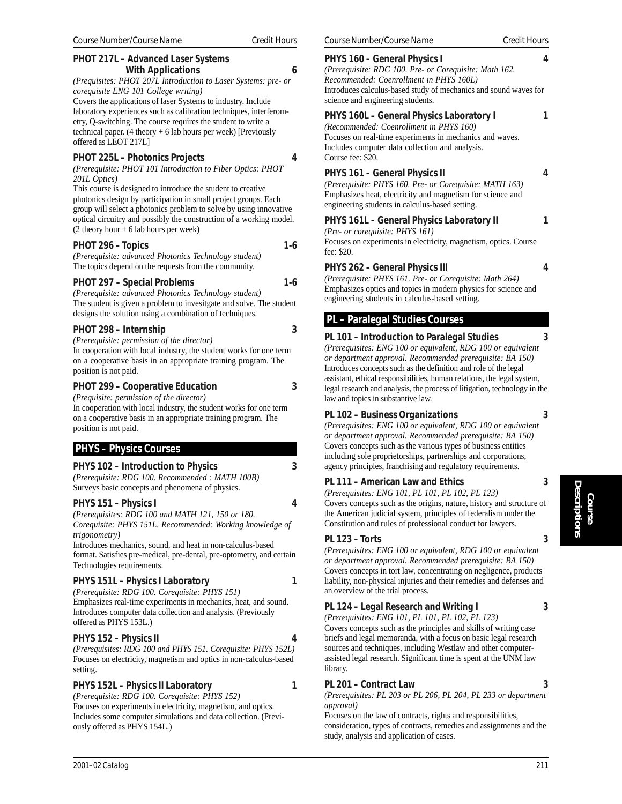#### **PHOT 217L – Advanced Laser Systems With Applications 6**

*(Prequisites: PHOT 207L Introduction to Laser Systems: pre- or corequisite ENG 101 College writing)*

Covers the applications of laser Systems to industry. Include laboratory experiences such as calibration techniques, interferometry, Q-switching. The course requires the student to write a technical paper. (4 theory + 6 lab hours per week) [Previously offered as LEOT 217L]

## **PHOT 225L – Photonics Projects 4**

*(Prerequisite: PHOT 101 Introduction to Fiber Optics: PHOT 201L Optics)*

This course is designed to introduce the student to creative photonics design by participation in small project groups. Each group will select a photonics problem to solve by using innovative optical circuitry and possibly the construction of a working model.  $(2$  theory hour + 6 lab hours per week)

## **PHOT 296 – Topics 1-6**

*(Prerequisite: advanced Photonics Technology student)* The topics depend on the requests from the community.

## PHOT 297 – Special Problems 1-6

*(Prerequisite: advanced Photonics Technology student)* The student is given a problem to invesitgate and solve. The student designs the solution using a combination of techniques.

## **PHOT 298 – Internship 3**

*(Prerequisite: permission of the director)* In cooperation with local industry, the student works for one term on a cooperative basis in an appropriate training program. The position is not paid.

## **PHOT 299 – Cooperative Education 3**

*(Prequisite: permission of the director)*

In cooperation with local industry, the student works for one term on a cooperative basis in an appropriate training program. The position is not paid.

## **PHYS – Physics Courses**

## **PHYS 102 – Introduction to Physics 3**

*(Prerequisite: RDG 100. Recommended : MATH 100B)* Surveys basic concepts and phenomena of physics.

## **PHYS 151 – Physics I 4**

*(Prerequisites: RDG 100 and MATH 121, 150 or 180. Corequisite: PHYS 151L. Recommended: Working knowledge of trigonometry)*

Introduces mechanics, sound, and heat in non-calculus-based format. Satisfies pre-medical, pre-dental, pre-optometry, and certain Technologies requirements.

## **PHYS 151L – Physics I Laboratory 1**

*(Prerequisite: RDG 100. Corequisite: PHYS 151)* Emphasizes real-time experiments in mechanics, heat, and sound. Introduces computer data collection and analysis. (Previously offered as PHYS 153L.)

## **PHYS 152 – Physics II 4**

*(Prerequisites: RDG 100 and PHYS 151. Corequisite: PHYS 152L)* Focuses on electricity, magnetism and optics in non-calculus-based setting.

## **PHYS 152L – Physics II Laboratory 1**

*(Prerequisite: RDG 100. Corequisite: PHYS 152)* Focuses on experiments in electricity, magnetism, and optics. Includes some computer simulations and data collection. (Previously offered as PHYS 154L.)

#### **PHYS 160 – General Physics I** *(Prerequisite: RDG 100. Pre- or Corequisite: Math 162.*

*Recommended: Coenrollment in PHYS 160L)* Introduces calculus-based study of mechanics and sound waves for science and engineering students.

## **PHYS 160L – General Physics Laboratory I 1**

*(Recommended: Coenrollment in PHYS 160)* Focuses on real-time experiments in mechanics and waves. Includes computer data collection and analysis. Course fee: \$20.

## **PHYS 161 – General Physics II 4**

*(Prerequisite: PHYS 160. Pre- or Corequisite: MATH 163)* Emphasizes heat, electricity and magnetism for science and engineering students in calculus-based setting.

#### **PHYS 161L – General Physics Laboratory II 1**

*(Pre- or corequisite: PHYS 161)*

Focuses on experiments in electricity, magnetism, optics. Course fee: \$20.

#### **PHYS 262 – General Physics III 4**

*(Prerequisite: PHYS 161. Pre- or Corequisite: Math 264)* Emphasizes optics and topics in modern physics for science and engineering students in calculus-based setting.

## **PL – Paralegal Studies Courses**

## **PL 101 – Introduction to Paralegal Studies 3**

*(Prerequisites: ENG 100 or equivalent, RDG 100 or equivalent or department approval. Recommended prerequisite: BA 150)* Introduces concepts such as the definition and role of the legal assistant, ethical responsibilities, human relations, the legal system, legal research and analysis, the process of litigation, technology in the law and topics in substantive law.

## **PL 102 – Business Organizations 3**

*(Prerequisites: ENG 100 or equivalent, RDG 100 or equivalent or department approval. Recommended prerequisite: BA 150)* Covers concepts such as the various types of business entities including sole proprietorships, partnerships and corporations, agency principles, franchising and regulatory requirements.

## **PL 111 – American Law and Ethics 3**

*(Prerequisites: ENG 101, PL 101, PL 102, PL 123)* Covers concepts such as the origins, nature, history and structure of the American judicial system, principles of federalism under the Constitution and rules of professional conduct for lawyers.

## **PL 123 – Torts 3**

*(Prerequisites: ENG 100 or equivalent, RDG 100 or equivalent or department approval. Recommended prerequisite: BA 150)* Covers concepts in tort law, concentrating on negligence, products liability, non-physical injuries and their remedies and defenses and an overview of the trial process.

## **PL 124 – Legal Research and Writing I 3**

*(Prerequisites: ENG 101, PL 101, PL 102, PL 123)* Covers concepts such as the principles and skills of writing case briefs and legal memoranda, with a focus on basic legal research sources and techniques, including Westlaw and other computerassisted legal research. Significant time is spent at the UNM law library.

## **PL 201 – Contract Law 3**

*(Prerequisites: PL 203 or PL 206, PL 204, PL 233 or department approval)*

Focuses on the law of contracts, rights and responsibilities, consideration, types of contracts, remedies and assignments and the study, analysis and application of cases.

**Course Descriptions**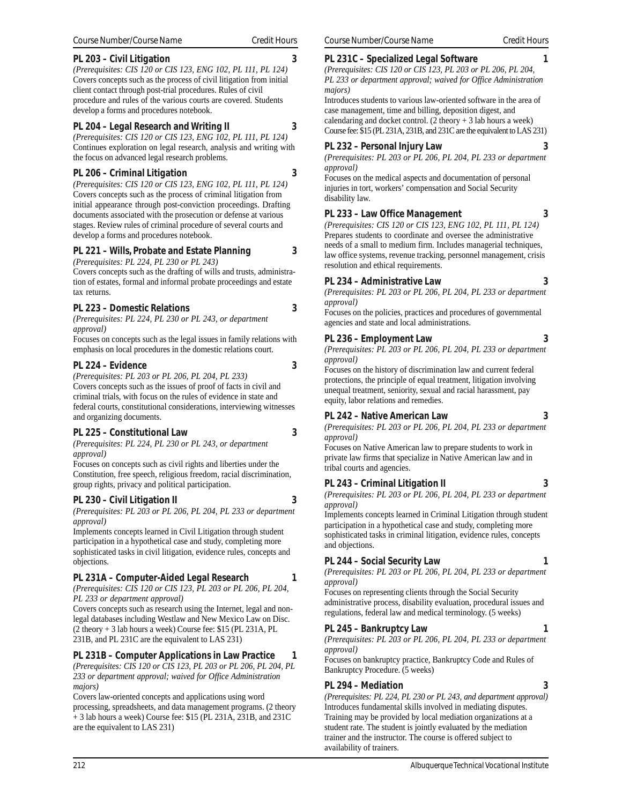## **PL 203 – Civil Litigation 3**

*(Prerequisites: CIS 120 or CIS 123, ENG 102, PL 111, PL 124)* Covers concepts such as the process of civil litigation from initial client contact through post-trial procedures. Rules of civil procedure and rules of the various courts are covered. Students develop a forms and procedures notebook.

## **PL 204 – Legal Research and Writing II 3**

*(Prerequisites: CIS 120 or CIS 123, ENG 102, PL 111, PL 124)* Continues exploration on legal research, analysis and writing with the focus on advanced legal research problems.

## **PL 206 – Criminal Litigation 3**

*(Prerequisites: CIS 120 or CIS 123, ENG 102, PL 111, PL 124)* Covers concepts such as the process of criminal litigation from initial appearance through post-conviction proceedings. Drafting documents associated with the prosecution or defense at various stages. Review rules of criminal procedure of several courts and develop a forms and procedures notebook.

## **PL 221 – Wills, Probate and Estate Planning 3**

*(Prerequisites: PL 224, PL 230 or PL 243)*

Covers concepts such as the drafting of wills and trusts, administration of estates, formal and informal probate proceedings and estate tax returns.

## **PL 223 – Domestic Relations 3**

*(Prerequisites: PL 224, PL 230 or PL 243, or department approval)*

Focuses on concepts such as the legal issues in family relations with emphasis on local procedures in the domestic relations court.

## **PL 224 – Evidence 3**

*(Prerequisites: PL 203 or PL 206, PL 204, PL 233)* Covers concepts such as the issues of proof of facts in civil and criminal trials, with focus on the rules of evidence in state and federal courts, constitutional considerations, interviewing witnesses and organizing documents.

## **PL 225 – Constitutional Law 3**

*(Prerequisites: PL 224, PL 230 or PL 243, or department approval)*

Focuses on concepts such as civil rights and liberties under the Constitution, free speech, religious freedom, racial discrimination, group rights, privacy and political participation.

## **PL 230 – Civil Litigation II 3**

*(Prerequisites: PL 203 or PL 206, PL 204, PL 233 or department approval)*

Implements concepts learned in Civil Litigation through student participation in a hypothetical case and study, completing more sophisticated tasks in civil litigation, evidence rules, concepts and objections.

## **PL 231A – Computer-Aided Legal Research 1**

*(Prerequisites: CIS 120 or CIS 123, PL 203 or PL 206, PL 204, PL 233 or department approval)*

Covers concepts such as research using the Internet, legal and nonlegal databases including Westlaw and New Mexico Law on Disc. (2 theory + 3 lab hours a week) Course fee: \$15 (PL 231A, PL 231B, and PL 231C are the equivalent to LAS 231)

# **PL 231B – Computer Applications in Law Practice 1**

*(Prerequisites: CIS 120 or CIS 123, PL 203 or PL 206, PL 204, PL 233 or department approval; waived for Office Administration majors)*

Covers law-oriented concepts and applications using word processing, spreadsheets, and data management programs. (2 theory + 3 lab hours a week) Course fee: \$15 (PL 231A, 231B, and 231C are the equivalent to LAS 231)

## **PL 231C – Specialized Legal Software**

*(Prerequisites: CIS 120 or CIS 123, PL 203 or PL 206, PL 204, PL 233 or department approval; waived for Office Administration majors)*

Introduces students to various law-oriented software in the area of case management, time and billing, deposition digest, and calendaring and docket control.  $(2 \text{ theory} + 3 \text{ lab hours a week})$ Course fee: \$15 (PL 231A, 231B, and 231C are the equivalent to LAS 231)

## **PL 232 – Personal Injury Law 3**

*(Prerequisites: PL 203 or PL 206, PL 204, PL 233 or department approval)*

Focuses on the medical aspects and documentation of personal injuries in tort, workers' compensation and Social Security disability law.

## **PL 233 – Law Office Management 3**

*(Prerequisites: CIS 120 or CIS 123, ENG 102, PL 111, PL 124)* Prepares students to coordinate and oversee the administrative needs of a small to medium firm. Includes managerial techniques, law office systems, revenue tracking, personnel management, crisis resolution and ethical requirements.

## **PL 234 – Administrative Law 3**

*(Prerequisites: PL 203 or PL 206, PL 204, PL 233 or department approval)*

Focuses on the policies, practices and procedures of governmental agencies and state and local administrations.

## **PL 236 – Employment Law 3**

*(Prerequisites: PL 203 or PL 206, PL 204, PL 233 or department approval)*

Focuses on the history of discrimination law and current federal protections, the principle of equal treatment, litigation involving unequal treatment, seniority, sexual and racial harassment, pay equity, labor relations and remedies.

## **PL 242 – Native American Law 3**

*(Prerequisites: PL 203 or PL 206, PL 204, PL 233 or department approval)*

Focuses on Native American law to prepare students to work in private law firms that specialize in Native American law and in tribal courts and agencies.

## **PL 243 – Criminal Litigation II 3**

*(Prerequisites: PL 203 or PL 206, PL 204, PL 233 or department approval)*

Implements concepts learned in Criminal Litigation through student participation in a hypothetical case and study, completing more sophisticated tasks in criminal litigation, evidence rules, concepts and objections.

## **PL 244 – Social Security Law 1**

*(Prerequisites: PL 203 or PL 206, PL 204, PL 233 or department approval)*

Focuses on representing clients through the Social Security administrative process, disability evaluation, procedural issues and regulations, federal law and medical terminology. (5 weeks)

## **PL 245 – Bankruptcy Law 1**

*(Prerequisites: PL 203 or PL 206, PL 204, PL 233 or department approval)*

Focuses on bankruptcy practice, Bankruptcy Code and Rules of Bankruptcy Procedure. (5 weeks)

## **PL 294 – Mediation 3**

*(Prerequisites: PL 224, PL 230 or PL 243, and department approval)* Introduces fundamental skills involved in mediating disputes. Training may be provided by local mediation organizations at a student rate. The student is jointly evaluated by the mediation trainer and the instructor. The course is offered subject to availability of trainers.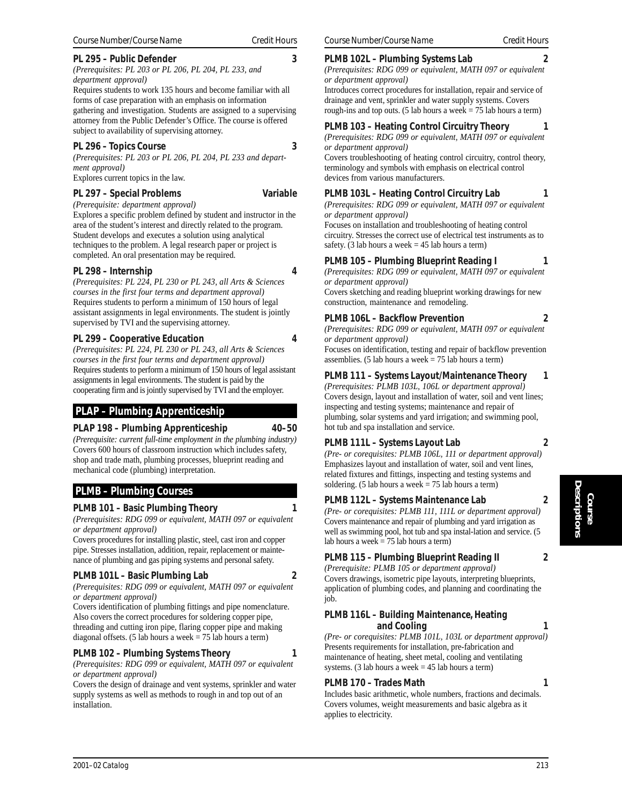#### **PL 295 – Public Defender 3**

*(Prerequisites: PL 203 or PL 206, PL 204, PL 233, and department approval)*

Requires students to work 135 hours and become familiar with all forms of case preparation with an emphasis on information gathering and investigation. Students are assigned to a supervising attorney from the Public Defender's Office. The course is offered subject to availability of supervising attorney.

#### **PL 296 – Topics Course 3**

*(Prerequisites: PL 203 or PL 206, PL 204, PL 233 and department approval)*

Explores current topics in the law.

#### **PL 297 – Special Problems Variable**

*(Prerequisite: department approval)*

Explores a specific problem defined by student and instructor in the area of the student's interest and directly related to the program. Student develops and executes a solution using analytical techniques to the problem. A legal research paper or project is completed. An oral presentation may be required.

#### **PL 298 – Internship 4**

*(Prerequisites: PL 224, PL 230 or PL 243, all Arts & Sciences courses in the first four terms and department approval)* Requires students to perform a minimum of 150 hours of legal assistant assignments in legal environments. The student is jointly supervised by TVI and the supervising attorney.

#### **PL 299 – Cooperative Education 4**

*(Prerequisites: PL 224, PL 230 or PL 243, all Arts & Sciences courses in the first four terms and department approval)* Requires students to perform a minimum of 150 hours of legal assistant assignments in legal environments. The student is paid by the cooperating firm and is jointly supervised by TVI and the employer.

## **PLAP – Plumbing Apprenticeship**

#### **PLAP 198 – Plumbing Apprenticeship 40–50**

*(Prerequisite: current full-time employment in the plumbing industry)* Covers 600 hours of classroom instruction which includes safety, shop and trade math, plumbing processes, blueprint reading and mechanical code (plumbing) interpretation.

## **PLMB – Plumbing Courses**

#### **PLMB 101 – Basic Plumbing Theory 1**

*(Prerequisites: RDG 099 or equivalent, MATH 097 or equivalent or department approval)*

Covers procedures for installing plastic, steel, cast iron and copper pipe. Stresses installation, addition, repair, replacement or maintenance of plumbing and gas piping systems and personal safety.

## **PLMB 101L – Basic Plumbing Lab 2**

*(Prerequisites: RDG 099 or equivalent, MATH 097 or equivalent or department approval)*

Covers identification of plumbing fittings and pipe nomenclature. Also covers the correct procedures for soldering copper pipe, threading and cutting iron pipe, flaring copper pipe and making diagonal offsets. (5 lab hours a week  $= 75$  lab hours a term)

#### **PLMB 102 – Plumbing Systems Theory 1**

*(Prerequisites: RDG 099 or equivalent, MATH 097 or equivalent or department approval)*

Covers the design of drainage and vent systems, sprinkler and water supply systems as well as methods to rough in and top out of an installation.

### **PLMB 102L – Plumbing Systems Lab 2**

*(Prerequisites: RDG 099 or equivalent, MATH 097 or equivalent or department approval)*

Introduces correct procedures for installation, repair and service of drainage and vent, sprinkler and water supply systems. Covers rough-ins and top outs. (5 lab hours a week = 75 lab hours a term)

#### **PLMB 103 – Heating Control Circuitry Theory 1** *(Prerequisites: RDG 099 or equivalent, MATH 097 or equivalent or department approval)*

Covers troubleshooting of heating control circuitry, control theory, terminology and symbols with emphasis on electrical control devices from various manufacturers.

#### **PLMB 103L – Heating Control Circuitry Lab 1**

*(Prerequisites: RDG 099 or equivalent, MATH 097 or equivalent or department approval)*

Focuses on installation and troubleshooting of heating control circuitry. Stresses the correct use of electrical test instruments as to safety. (3 lab hours a week  $= 45$  lab hours a term)

#### **PLMB 105 – Plumbing Blueprint Reading I 1**

*(Prerequisites: RDG 099 or equivalent, MATH 097 or equivalent or department approval)*

Covers sketching and reading blueprint working drawings for new construction, maintenance and remodeling.

#### **PLMB 106L – Backflow Prevention 2**

*(Prerequisites: RDG 099 or equivalent, MATH 097 or equivalent or department approval)*

Focuses on identification, testing and repair of backflow prevention assemblies. (5 lab hours a week  $= 75$  lab hours a term)

#### **PLMB 111 – Systems Layout/Maintenance Theory 1**

*(Prerequisites: PLMB 103L, 106L or department approval)* Covers design, layout and installation of water, soil and vent lines; inspecting and testing systems; maintenance and repair of plumbing, solar systems and yard irrigation; and swimming pool, hot tub and spa installation and service.

#### **PLMB 111L – Systems Layout Lab 2**

*(Pre- or corequisites: PLMB 106L, 111 or department approval)* Emphasizes layout and installation of water, soil and vent lines, related fixtures and fittings, inspecting and testing systems and soldering. (5 lab hours a week  $= 75$  lab hours a term)

#### **PLMB 112L – Systems Maintenance Lab 2**

*(Pre- or corequisites: PLMB 111, 111L or department approval)* Covers maintenance and repair of plumbing and yard irrigation as well as swimming pool, hot tub and spa instal-lation and service. (5 lab hours a week  $= 75$  lab hours a term)

## **PLMB 115 – Plumbing Blueprint Reading II 2**

*(Prerequisite: PLMB 105 or department approval)* Covers drawings, isometric pipe layouts, interpreting blueprints, application of plumbing codes, and planning and coordinating the job.

#### **PLMB 116L – Building Maintenance, Heating and Cooling 1**

*(Pre- or corequisites: PLMB 101L, 103L or department approval)* Presents requirements for installation, pre-fabrication and maintenance of heating, sheet metal, cooling and ventilating systems. (3 lab hours a week  $= 45$  lab hours a term)

#### **PLMB 170 – Trades Math 1**

Includes basic arithmetic, whole numbers, fractions and decimals. Covers volumes, weight measurements and basic algebra as it applies to electricity.

- 
- 
-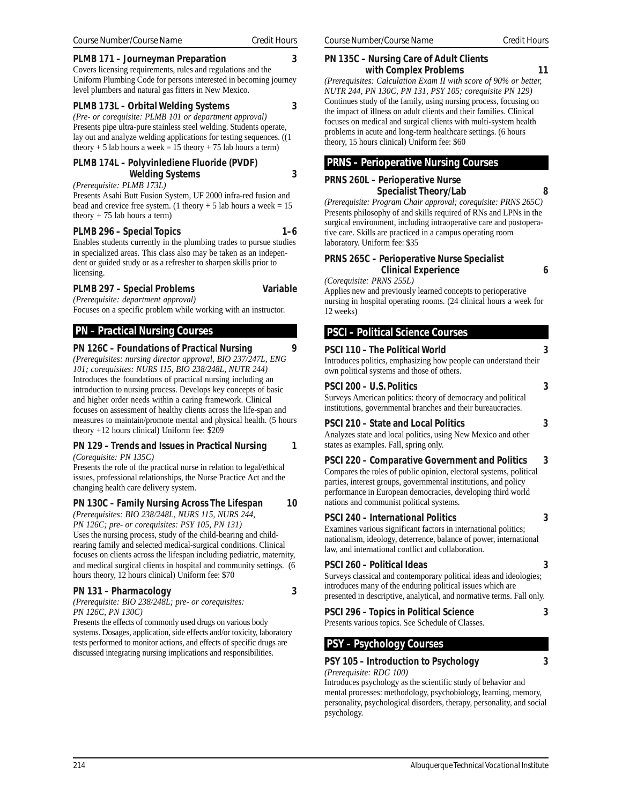#### **PLMB 171 – Journeyman Preparation 3**

Covers licensing requirements, rules and regulations and the Uniform Plumbing Code for persons interested in becoming journey level plumbers and natural gas fitters in New Mexico.

**PLMB 173L – Orbital Welding Systems 3**

*(Pre- or corequisite: PLMB 101 or department approval)* Presents pipe ultra-pure stainless steel welding. Students operate, lay out and analyze welding applications for testing sequences. ((1 theory + 5 lab hours a week = 15 theory + 75 lab hours a term)

#### **PLMB 174L – Polyvinlediene Fluoride (PVDF) Welding Systems 3**

*(Prerequisite: PLMB 173L)*

Presents Asahi Butt Fusion System, UF 2000 infra-red fusion and bead and crevice free system. (1 theory  $+ 5$  lab hours a week = 15 theory  $+ 75$  lab hours a term)

## PLMB 296 – Special Topics 1–6

Enables students currently in the plumbing trades to pursue studies in specialized areas. This class also may be taken as an independent or guided study or as a refresher to sharpen skills prior to licensing.

#### **PLMB 297 – Special Problems Variable** *(Prerequisite: department approval)*

Focuses on a specific problem while working with an instructor.

## **PN – Practical Nursing Courses**

#### **PN 126C – Foundations of Practical Nursing 9**

*(Prerequisites: nursing director approval, BIO 237/247L, ENG 101; corequisites: NURS 115, BIO 238/248L, NUTR 244)* Introduces the foundations of practical nursing including an introduction to nursing process. Develops key concepts of basic and higher order needs within a caring framework. Clinical focuses on assessment of healthy clients across the life-span and measures to maintain/promote mental and physical health. (5 hours theory +12 hours clinical) Uniform fee: \$209

## **PN 129 – Trends and Issues in Practical Nursing 1**

*(Corequisite: PN 135C)*

Presents the role of the practical nurse in relation to legal/ethical issues, professional relationships, the Nurse Practice Act and the changing health care delivery system.

#### **PN 130C – Family Nursing Across The Lifespan 10**

*(Prerequisites: BIO 238/248L, NURS 115, NURS 244, PN 126C; pre- or corequisites: PSY 105, PN 131)* Uses the nursing process, study of the child-bearing and childrearing family and selected medical-surgical conditions. Clinical focuses on clients across the lifespan including pediatric, maternity, and medical surgical clients in hospital and community settings. (6 hours theory, 12 hours clinical) Uniform fee: \$70

#### **PN 131 – Pharmacology 3**

*(Prerequisite: BIO 238/248L; pre- or corequisites: PN 126C, PN 130C)*

Presents the effects of commonly used drugs on various body systems. Dosages, application, side effects and/or toxicity, laboratory tests performed to monitor actions, and effects of specific drugs are discussed integrating nursing implications and responsibilities.

#### **PN 135C – Nursing Care of Adult Clients with Complex Problems 11**

*(Prerequisites: Calculation Exam II with score of 90% or better, NUTR 244, PN 130C, PN 131, PSY 105; corequisite PN 129)* Continues study of the family, using nursing process, focusing on the impact of illness on adult clients and their families. Clinical focuses on medical and surgical clients with multi-system health problems in acute and long-term healthcare settings. (6 hours theory, 15 hours clinical) Uniform fee: \$60

## **PRNS – Perioperative Nursing Courses**

**PRNS 260L – Perioperative Nurse Specialist Theory/Lab 8**

*(Prerequisite: Program Chair approval; corequisite: PRNS 265C)* Presents philosophy of and skills required of RNs and LPNs in the surgical environment, including intraoperative care and postoperative care. Skills are practiced in a campus operating room laboratory. Uniform fee: \$35

#### **PRNS 265C – Perioperative Nurse Specialist Clinical Experience 6**

*(Corequisite: PRNS 255L)*

Applies new and previously learned concepts to perioperative nursing in hospital operating rooms. (24 clinical hours a week for 12 weeks)

## **PSCI – Political Science Courses**

#### **PSCI 110 – The Political World 3**

Introduces politics, emphasizing how people can understand their own political systems and those of others.

#### **PSCI 200 – U.S. Politics 3**

Surveys American politics: theory of democracy and political institutions, governmental branches and their bureaucracies.

#### **PSCI 210 – State and Local Politics 3**

Analyzes state and local politics, using New Mexico and other states as examples. Fall, spring only.

**PSCI 220 – Comparative Government and Politics 3** Compares the roles of public opinion, electoral systems, political parties, interest groups, governmental institutions, and policy performance in European democracies, developing third world nations and communist political systems.

#### **PSCI 240 – International Politics 3**

Examines various significant factors in international politics; nationalism, ideology, deterrence, balance of power, international law, and international conflict and collaboration.

#### **PSCI 260 – Political Ideas 3**

Surveys classical and contemporary political ideas and ideologies; introduces many of the enduring political issues which are presented in descriptive, analytical, and normative terms. Fall only.

#### **PSCI 296 – Topics in Political Science 3** Presents various topics. See Schedule of Classes.

 **PSY – Psychology Courses**

## **PSY 105 – Introduction to Psychology 3**

*(Prerequisite: RDG 100)*

Introduces psychology as the scientific study of behavior and mental processes: methodology, psychobiology, learning, memory, personality, psychological disorders, therapy, personality, and social psychology.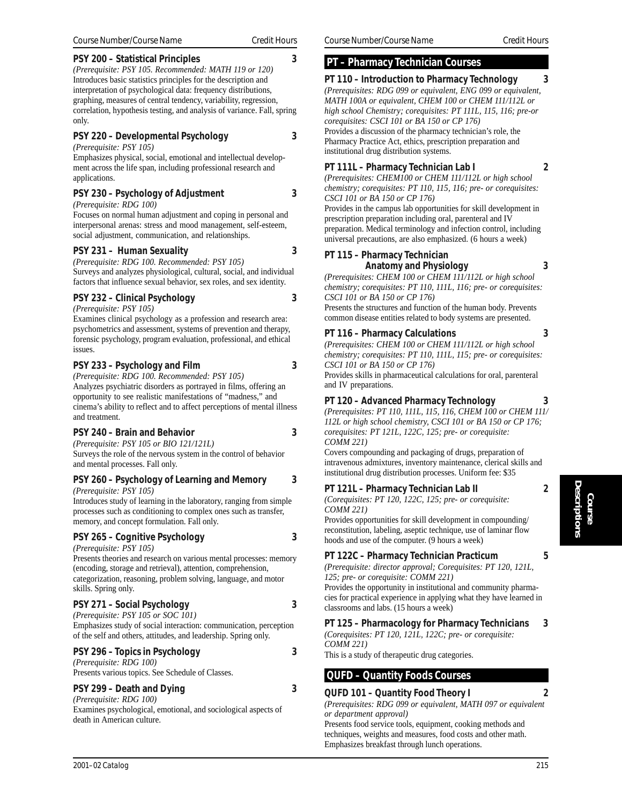#### **PSY 200 – Statistical Principles 3**

*(Prerequisite: PSY 105. Recommended: MATH 119 or 120)* Introduces basic statistics principles for the description and interpretation of psychological data: frequency distributions, graphing, measures of central tendency, variability, regression, correlation, hypothesis testing, and analysis of variance. Fall, spring only.

#### **PSY 220 – Developmental Psychology 3**

*(Prerequisite: PSY 105)*

Emphasizes physical, social, emotional and intellectual development across the life span, including professional research and applications.

#### **PSY 230 – Psychology of Adjustment 3**

*(Prerequisite: RDG 100)*

Focuses on normal human adjustment and coping in personal and interpersonal arenas: stress and mood management, self-esteem, social adjustment, communication, and relationships.

#### **PSY 231 – Human Sexuality 3**

*(Prerequisite: RDG 100. Recommended: PSY 105)* Surveys and analyzes physiological, cultural, social, and individual factors that influence sexual behavior, sex roles, and sex identity.

#### **PSY 232 – Clinical Psychology 3**

*(Prerequisite: PSY 105)*

Examines clinical psychology as a profession and research area: psychometrics and assessment, systems of prevention and therapy, forensic psychology, program evaluation, professional, and ethical issues.

## **PSY 233 – Psychology and Film 3**

*(Prerequisite: RDG 100. Recommended: PSY 105)* Analyzes psychiatric disorders as portrayed in films, offering an opportunity to see realistic manifestations of "madness," and cinema's ability to reflect and to affect perceptions of mental illness and treatment.

#### **PSY 240 – Brain and Behavior 3**

*(Prerequisite: PSY 105 or BIO 121/121L)* Surveys the role of the nervous system in the control of behavior and mental processes. Fall only.

## **PSY 260 – Psychology of Learning and Memory 3**

*(Prerequisite: PSY 105)*

Introduces study of learning in the laboratory, ranging from simple processes such as conditioning to complex ones such as transfer, memory, and concept formulation. Fall only.

## **PSY 265 – Cognitive Psychology 3**

#### *(Prerequisite: PSY 105)*

Presents theories and research on various mental processes: memory (encoding, storage and retrieval), attention, comprehension, categorization, reasoning, problem solving, language, and motor skills. Spring only.

## **PSY 271 – Social Psychology 3**

*(Prerequisite: PSY 105 or SOC 101)* Emphasizes study of social interaction: communication, perception of the self and others, attitudes, and leadership. Spring only.

## **PSY 296 – Topics in Psychology 3**

*(Prerequisite: RDG 100)* Presents various topics. See Schedule of Classes.

## **PSY 299 – Death and Dying 3**

*(Prerequisite: RDG 100)*

Examines psychological, emotional, and sociological aspects of death in American culture.

## **PT – Pharmacy Technician Courses**

#### **PT 110 – Introduction to Pharmacy Technology 3**

*(Prerequisites: RDG 099 or equivalent, ENG 099 or equivalent, MATH 100A or equivalent, CHEM 100 or CHEM 111/112L or high school Chemistry; corequisites: PT 111L, 115, 116; pre-or corequisites: CSCI 101 or BA 150 or CP 176)* Provides a discussion of the pharmacy technician's role, the Pharmacy Practice Act, ethics, prescription preparation and institutional drug distribution systems.

## **PT 111L – Pharmacy Technician Lab I 2**

*(Prerequisites: CHEM100 or CHEM 111/112L or high school chemistry; corequisites: PT 110, 115, 116; pre- or corequisites: CSCI 101 or BA 150 or CP 176)*

Provides in the campus lab opportunities for skill development in prescription preparation including oral, parenteral and IV preparation. Medical terminology and infection control, including universal precautions, are also emphasized. (6 hours a week)

#### **PT 115 – Pharmacy Technician Anatomy and Physiology 3**

*(Prerequisites: CHEM 100 or CHEM 111/112L or high school chemistry; corequisites: PT 110, 111L, 116; pre- or corequisites: CSCI 101 or BA 150 or CP 176)*

Presents the structures and function of the human body. Prevents common disease entities related to body systems are presented.

## **PT 116 – Pharmacy Calculations 3**

*(Prerequisites: CHEM 100 or CHEM 111/112L or high school chemistry; corequisites: PT 110, 111L, 115; pre- or corequisites: CSCI 101 or BA 150 or CP 176)*

Provides skills in pharmaceutical calculations for oral, parenteral and IV preparations.

## **PT 120 – Advanced Pharmacy Technology 3**

*(Prerequisites: PT 110, 111L, 115, 116, CHEM 100 or CHEM 111/ 112L or high school chemistry, CSCI 101 or BA 150 or CP 176; corequisites: PT 121L, 122C, 125; pre- or corequisite: COMM 221)*

Covers compounding and packaging of drugs, preparation of intravenous admixtures, inventory maintenance, clerical skills and institutional drug distribution processes. Uniform fee: \$35

## **PT 121L – Pharmacy Technician Lab II 2**

*(Corequisites: PT 120, 122C, 125; pre- or corequisite: COMM 221)*

Provides opportunities for skill development in compounding/ reconstitution, labeling, aseptic technique, use of laminar flow hoods and use of the computer. (9 hours a week)

## **PT 122C – Pharmacy Technician Practicum 5**

*(Prerequisite: director approval; Corequisites: PT 120, 121L,*

*125; pre- or corequisite: COMM 221)* Provides the opportunity in institutional and community pharmacies for practical experience in applying what they have learned in classrooms and labs. (15 hours a week)

## **PT 125 – Pharmacology for Pharmacy Technicians 3**

*(Corequisites: PT 120, 121L, 122C; pre- or corequisite: COMM 221)*

This is a study of therapeutic drug categories.

## **QUFD – Quantity Foods Courses**

## **QUFD 101 – Quantity Food Theory I 2**

*(Prerequisites: RDG 099 or equivalent, MATH 097 or equivalent or department approval)*

Presents food service tools, equipment, cooking methods and techniques, weights and measures, food costs and other math. Emphasizes breakfast through lunch operations.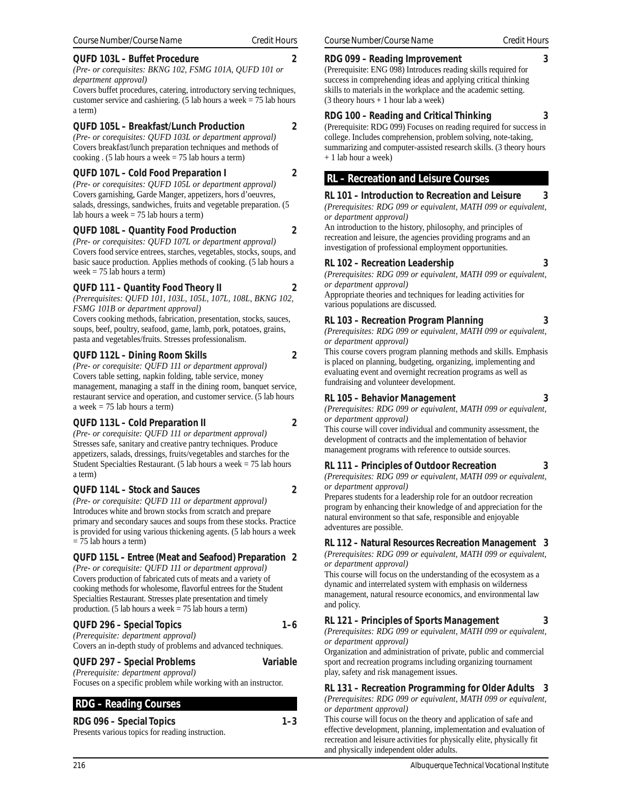#### **QUFD 103L – Buffet Procedure 2**

*(Pre- or corequisites: BKNG 102, FSMG 101A, QUFD 101 or department approval)*

Covers buffet procedures, catering, introductory serving techniques, customer service and cashiering. (5 lab hours a week  $= 75$  lab hours a term)

#### **QUFD 105L – Breakfast/Lunch Production 2**

*(Pre- or corequisites: QUFD 103L or department approval)* Covers breakfast/lunch preparation techniques and methods of cooking . (5 lab hours a week  $= 75$  lab hours a term)

#### **QUFD 107L – Cold Food Preparation I 2**

*(Pre- or corequisites: QUFD 105L or department approval)* Covers garnishing, Garde Manger, appetizers, hors d'oeuvres, salads, dressings, sandwiches, fruits and vegetable preparation. (5 lab hours a week  $= 75$  lab hours a term)

#### **QUFD 108L – Quantity Food Production 2**

*(Pre- or corequisites: QUFD 107L or department approval)* Covers food service entrees, starches, vegetables, stocks, soups, and basic sauce production. Applies methods of cooking. (5 lab hours a week = 75 lab hours a term)

#### **QUFD 111 – Quantity Food Theory II 2**

*(Prerequisites: QUFD 101, 103L, 105L, 107L, 108L, BKNG 102, FSMG 101B or department approval)*

Covers cooking methods, fabrication, presentation, stocks, sauces, soups, beef, poultry, seafood, game, lamb, pork, potatoes, grains, pasta and vegetables/fruits. Stresses professionalism.

#### **QUFD 112L – Dining Room Skills 2**

*(Pre- or corequisite: QUFD 111 or department approval)* Covers table setting, napkin folding, table service, money management, managing a staff in the dining room, banquet service, restaurant service and operation, and customer service. (5 lab hours a week = 75 lab hours a term)

#### **QUFD 113L – Cold Preparation II 2**

*(Pre- or corequisite: QUFD 111 or department approval)* Stresses safe, sanitary and creative pantry techniques. Produce appetizers, salads, dressings, fruits/vegetables and starches for the Student Specialties Restaurant. (5 lab hours a week = 75 lab hours a term)

#### **QUFD 114L – Stock and Sauces 2**

*(Pre- or corequisite: QUFD 111 or department approval)* Introduces white and brown stocks from scratch and prepare primary and secondary sauces and soups from these stocks. Practice is provided for using various thickening agents. (5 lab hours a week = 75 lab hours a term)

#### **QUFD 115L – Entree (Meat and Seafood) Preparation 2**

*(Pre- or corequisite: QUFD 111 or department approval)* Covers production of fabricated cuts of meats and a variety of cooking methods for wholesome, flavorful entrees for the Student Specialties Restaurant. Stresses plate presentation and timely production. (5 lab hours a week = 75 lab hours a term)

#### **QUFD 296 – Special Topics 1–6**

*(Prerequisite: department approval)* Covers an in-depth study of problems and advanced techniques.

#### **QUFD 297 – Special Problems Variable**

*(Prerequisite: department approval)* Focuses on a specific problem while working with an instructor.

## **RDG – Reading Courses**

#### **RDG 096 – Special Topics 1–3**

Presents various topics for reading instruction.

**RDG 099 – Reading Improvement 3** (Prerequisite: ENG 098) Introduces reading skills required for success in comprehending ideas and applying critical thinking skills to materials in the workplace and the academic setting. (3 theory hours + 1 hour lab a week)

#### **RDG 100 – Reading and Critical Thinking 3**

(Prerequisite: RDG 099) Focuses on reading required for success in college. Includes comprehension, problem solving, note-taking, summarizing and computer-assisted research skills. (3 theory hours + 1 lab hour a week)

## **RL – Recreation and Leisure Courses**

**RL 101 – Introduction to Recreation and Leisure 3** *(Prerequisites: RDG 099 or equivalent, MATH 099 or equivalent, or department approval)*

An introduction to the history, philosophy, and principles of recreation and leisure, the agencies providing programs and an investigation of professional employment opportunities.

#### **RL 102 – Recreation Leadership 3**

*(Prerequisites: RDG 099 or equivalent, MATH 099 or equivalent, or department approval)*

Appropriate theories and techniques for leading activities for various populations are discussed.

#### **RL 103 – Recreation Program Planning 3**

*(Prerequisites: RDG 099 or equivalent, MATH 099 or equivalent, or department approval)*

This course covers program planning methods and skills. Emphasis is placed on planning, budgeting, organizing, implementing and evaluating event and overnight recreation programs as well as fundraising and volunteer development.

#### **RL 105 – Behavior Management 3**

*(Prerequisites: RDG 099 or equivalent, MATH 099 or equivalent, or department approval)*

This course will cover individual and community assessment, the development of contracts and the implementation of behavior management programs with reference to outside sources.

#### **RL 111 – Principles of Outdoor Recreation 3**

*(Prerequisites: RDG 099 or equivalent, MATH 099 or equivalent, or department approval)*

Prepares students for a leadership role for an outdoor recreation program by enhancing their knowledge of and appreciation for the natural environment so that safe, responsible and enjoyable adventures are possible.

#### **RL 112 – Natural Resources Recreation Management 3**

*(Prerequisites: RDG 099 or equivalent, MATH 099 or equivalent, or department approval)*

This course will focus on the understanding of the ecosystem as a dynamic and interrelated system with emphasis on wilderness management, natural resource economics, and environmental law and policy.

#### **RL 121 – Principles of Sports Management 3**

*(Prerequisites: RDG 099 or equivalent, MATH 099 or equivalent, or department approval)*

Organization and administration of private, public and commercial sport and recreation programs including organizing tournament play, safety and risk management issues.

# **RL 131 – Recreation Programming for Older Adults 3**

*(Prerequisites: RDG 099 or equivalent, MATH 099 or equivalent, or department approval)*

This course will focus on the theory and application of safe and effective development, planning, implementation and evaluation of recreation and leisure activities for physically elite, physically fit and physically independent older adults.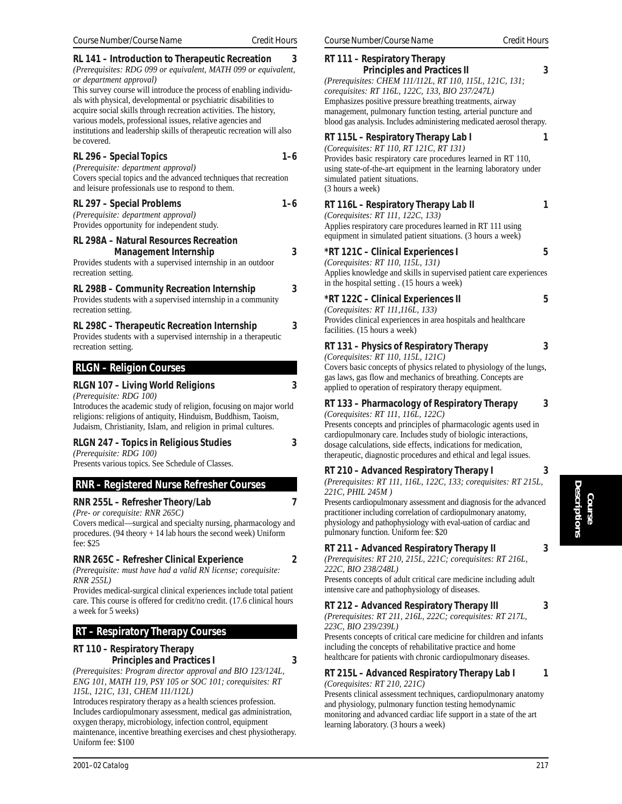### **RL 141 – Introduction to Therapeutic Recreation 3**

*(Prerequisites: RDG 099 or equivalent, MATH 099 or equivalent, or department approval)*

This survey course will introduce the process of enabling individuals with physical, developmental or psychiatric disabilities to acquire social skills through recreation activities. The history, various models, professional issues, relative agencies and institutions and leadership skills of therapeutic recreation will also be covered.

### RL 296 – Special Topics **1–6**

*(Prerequisite: department approval)* Covers special topics and the advanced techniques that recreation and leisure professionals use to respond to them.

### **RL 297 – Special Problems 1–6**

*(Prerequisite: department approval)* Provides opportunity for independent study.

### **RL 298A – Natural Resources Recreation Management Internship 3**

Provides students with a supervised internship in an outdoor recreation setting.

### **RL 298B – Community Recreation Internship 3**

Provides students with a supervised internship in a community recreation setting.

### **RL 298C – Therapeutic Recreation Internship 3** Provides students with a supervised internship in a therapeutic recreation setting.

### **RLGN – Religion Courses**

### **RLGN 107 – Living World Religions 3**

*(Prerequisite: RDG 100)*

Introduces the academic study of religion, focusing on major world religions: religions of antiquity, Hinduism, Buddhism, Taoism, Judaism, Christianity, Islam, and religion in primal cultures.

### **RLGN 247 – Topics in Religious Studies 3**

*(Prerequisite: RDG 100)* Presents various topics. See Schedule of Classes.

### **RNR – Registered Nurse Refresher Courses**

**RNR 255L – Refresher Theory/Lab 7**

*(Pre- or corequisite: RNR 265C)*

Covers medical—surgical and specialty nursing, pharmacology and procedures. (94 theory + 14 lab hours the second week) Uniform fee: \$25

### **RNR 265C – Refresher Clinical Experience 2**

*(Prerequisite: must have had a valid RN license; corequisite: RNR 255L)*

Provides medical-surgical clinical experiences include total patient care. This course is offered for credit/no credit. (17.6 clinical hours a week for 5 weeks)

### **RT – Respiratory Therapy Courses**

### **RT 110 – Respiratory Therapy Principles and Practices I 3**

*(Prerequisites: Program director approval and BIO 123/124L, ENG 101, MATH 119, PSY 105 or SOC 101; corequisites: RT 115L, 121C, 131, CHEM 111/112L)*

Introduces respiratory therapy as a health sciences profession. Includes cardiopulmonary assessment, medical gas administration, oxygen therapy, microbiology, infection control, equipment maintenance, incentive breathing exercises and chest physiotherapy. Uniform fee: \$100

### **RT 111 – Respiratory Therapy Principles and Practices II 3** *(Prerequisites: CHEM 111/112L, RT 110, 115L, 121C, 131; corequisites: RT 116L, 122C, 133, BIO 237/247L)* Emphasizes positive pressure breathing treatments, airway management, pulmonary function testing, arterial puncture and blood gas analysis. Includes administering medicated aerosol therapy. **RT 115L – Respiratory Therapy Lab I 1** *(Corequisites: RT 110, RT 121C, RT 131)* Provides basic respiratory care procedures learned in RT 110, using state-of-the-art equipment in the learning laboratory under simulated patient situations. (3 hours a week) **RT 116L – Respiratory Therapy Lab II 1** *(Corequisites: RT 111, 122C, 133)* Applies respiratory care procedures learned in RT 111 using equipment in simulated patient situations. (3 hours a week) **\*RT 121C – Clinical Experiences I 5**

*(Corequisites: RT 110, 115L, 131)* Applies knowledge and skills in supervised patient care experiences in the hospital setting . (15 hours a week)

### **\*RT 122C – Clinical Experiences II 5**

*(Corequisites: RT 111,116L, 133)* Provides clinical experiences in area hospitals and healthcare facilities. (15 hours a week)

- **RT 131 Physics of Respiratory Therapy 3**
- *(Corequisites: RT 110, 115L, 121C)* Covers basic concepts of physics related to physiology of the lungs, gas laws, gas flow and mechanics of breathing. Concepts are applied to operation of respiratory therapy equipment.
- **RT 133 Pharmacology of Respiratory Therapy 3**
- *(Corequisites: RT 111, 116L, 122C)* Presents concepts and principles of pharmacologic agents used in cardiopulmonary care. Includes study of biologic interactions, dosage calculations, side effects, indications for medication, therapeutic, diagnostic procedures and ethical and legal issues.

### **RT 210 – Advanced Respiratory Therapy I 3**

*(Prerequisites: RT 111, 116L, 122C, 133; corequisites: RT 215L, 221C, PHIL 245M )*

Presents cardiopulmonary assessment and diagnosis for the advanced practitioner including correlation of cardiopulmonary anatomy, physiology and pathophysiology with eval-uation of cardiac and pulmonary function. Uniform fee: \$20

### **RT 211 – Advanced Respiratory Therapy II 3**

*(Prerequisites: RT 210, 215L, 221C; corequisites: RT 216L, 222C, BIO 238/248L)*

Presents concepts of adult critical care medicine including adult intensive care and pathophysiology of diseases.

### **RT 212 – Advanced Respiratory Therapy III 3**

*(Prerequisites: RT 211, 216L, 222C; corequisites: RT 217L, 223C, BIO 239/239L)*

Presents concepts of critical care medicine for children and infants including the concepts of rehabilitative practice and home healthcare for patients with chronic cardiopulmonary diseases.

### **RT 215L – Advanced Respiratory Therapy Lab I 1** *(Corequisites: RT 210, 221C)*

Presents clinical assessment techniques, cardiopulmonary anatomy and physiology, pulmonary function testing hemodynamic monitoring and advanced cardiac life support in a state of the art learning laboratory. (3 hours a week)

*2001–02 Catalog 217*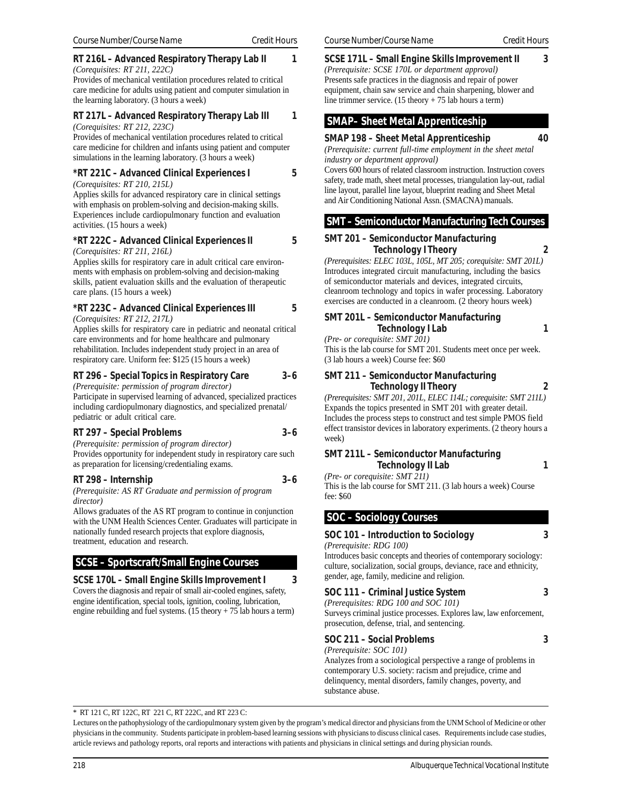### **RT 216L – Advanced Respiratory Therapy Lab II** 1

*(Corequisites: RT 211, 222C)* Provides of mechanical ventilation procedures related to critical care medicine for adults using patient and computer simulation in the learning laboratory. (3 hours a week)

### **RT 217L – Advanced Respiratory Therapy Lab III 1** *(Corequisites: RT 212, 223C)*

Provides of mechanical ventilation procedures related to critical care medicine for children and infants using patient and computer simulations in the learning laboratory. (3 hours a week)

### **\*RT 221C – Advanced Clinical Experiences I 5**

*(Corequisites: RT 210, 215L)*

Applies skills for advanced respiratory care in clinical settings with emphasis on problem-solving and decision-making skills. Experiences include cardiopulmonary function and evaluation activities. (15 hours a week)

### **\*RT 222C – Advanced Clinical Experiences II 5**

### *(Corequisites: RT 211, 216L)*

Applies skills for respiratory care in adult critical care environments with emphasis on problem-solving and decision-making skills, patient evaluation skills and the evaluation of therapeutic care plans. (15 hours a week)

### **\*RT 223C – Advanced Clinical Experiences III 5**

*(Corequisites: RT 212, 217L)*

Applies skills for respiratory care in pediatric and neonatal critical care environments and for home healthcare and pulmonary rehabilitation. Includes independent study project in an area of respiratory care. Uniform fee: \$125 (15 hours a week)

### **RT 296 – Special Topics in Respiratory Care 3–6**

*(Prerequisite: permission of program director)*

Participate in supervised learning of advanced, specialized practices including cardiopulmonary diagnostics, and specialized prenatal/ pediatric or adult critical care.

### **RT 297 – Special Problems 3–6**

*(Prerequisite: permission of program director)* Provides opportunity for independent study in respiratory care such as preparation for licensing/credentialing exams.

### **RT 298 – Internship 3–6**

*(Prerequisite: AS RT Graduate and permission of program director)*

Allows graduates of the AS RT program to continue in conjunction with the UNM Health Sciences Center. Graduates will participate in nationally funded research projects that explore diagnosis, treatment, education and research.

### **SCSE – Sportscraft/Small Engine Courses**

### **SCSE 170L – Small Engine Skills Improvement I 3**

Covers the diagnosis and repair of small air-cooled engines, safety, engine identification, special tools, ignition, cooling, lubrication, engine rebuilding and fuel systems.  $(15 \text{ theory} + 75 \text{ lab hours a term})$ 

### **SCSE 171L – Small Engine Skills Improvement II 3**

*(Prerequisite: SCSE 170L or department approval)* Presents safe practices in the diagnosis and repair of power equipment, chain saw service and chain sharpening, blower and line trimmer service. (15 theory + 75 lab hours a term)

### **SMAP– Sheet Metal Apprenticeship**

### **SMAP 198 – Sheet Metal Apprenticeship 40**

*(Prerequisite: current full-time employment in the sheet metal industry or department approval)*

Covers 600 hours of related classroom instruction. Instruction covers safety, trade math, sheet metal processes, triangulation lay-out, radial line layout, parallel line layout, blueprint reading and Sheet Metal and Air Conditioning National Assn. (SMACNA) manuals.

### **SMT – Semiconductor Manufacturing Tech Courses**

### **SMT 201 – Semiconductor Manufacturing**

 **Technology I Theory 2** *(Prerequisites: ELEC 103L, 105L, MT 205; corequisite: SMT 201L)* Introduces integrated circuit manufacturing, including the basics of semiconductor materials and devices, integrated circuits, cleanroom technology and topics in wafer processing. Laboratory exercises are conducted in a cleanroom. (2 theory hours week)

**SMT 201L – Semiconductor Manufacturing Technology I Lab 1**

*(Pre- or corequisite: SMT 201)* This is the lab course for SMT 201. Students meet once per week. (3 lab hours a week) Course fee: \$60

### **SMT 211 – Semiconductor Manufacturing Technology II Theory 2**

*(Prerequisites: SMT 201, 201L, ELEC 114L; corequisite: SMT 211L)* Expands the topics presented in SMT 201 with greater detail. Includes the process steps to construct and test simple PMOS field effect transistor devices in laboratory experiments. (2 theory hours a week)

### **SMT 211L – Semiconductor Manufacturing Technology II Lab** 1

*(Pre- or corequisite: SMT 211)* This is the lab course for SMT 211. (3 lab hours a week) Course fee: \$60

### **SOC – Sociology Courses**

### **SOC 101 – Introduction to Sociology 3**

### *(Prerequisite: RDG 100)*

Introduces basic concepts and theories of contemporary sociology: culture, socialization, social groups, deviance, race and ethnicity, gender, age, family, medicine and religion.

### **SOC 111 – Criminal Justice System 3**

*(Prerequisites: RDG 100 and SOC 101)* Surveys criminal justice processes. Explores law, law enforcement, prosecution, defense, trial, and sentencing.

### **SOC 211 – Social Problems 3**

*(Prerequisite: SOC 101)* Analyzes from a sociological perspective a range of problems in contemporary U.S. society: racism and prejudice, crime and delinquency, mental disorders, family changes, poverty, and substance abuse.

### \* RT 121 C, RT 122C, RT 221 C, RT 222C, and RT 223 C:

Lectures on the pathophysiology of the cardiopulmonary system given by the program's medical director and physicians from the UNM School of Medicine or other physicians in the community. Students participate in problem-based learning sessions with physicians to discuss clinical cases. Requirements include case studies, article reviews and pathology reports, oral reports and interactions with patients and physicians in clinical settings and during physician rounds.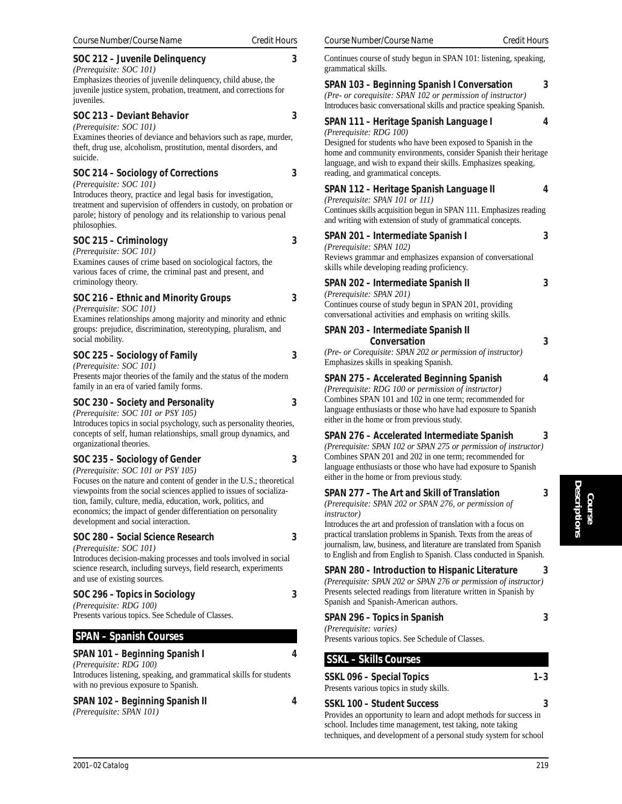### *Course Number/Course Name Credit Hours Course Number/Course Name Credit Hours* **SOC 212 – Juvenile Delinquency 3** *(Prerequisite: SOC 101)* Emphasizes theories of juvenile delinquency, child abuse, the juvenile justice system, probation, treatment, and corrections for juveniles. **SOC 213 – Deviant Behavior 3** *(Prerequisite: SOC 101)* Examines theories of deviance and behaviors such as rape, murder, theft, drug use, alcoholism, prostitution, mental disorders, and suicide. **SOC 214 – Sociology of Corrections 3** *(Prerequisite: SOC 101)* Introduces theory, practice and legal basis for investigation, treatment and supervision of offenders in custody, on probation or parole; history of penology and its relationship to various penal philosophies. **SOC 215 – Criminology 3** *(Prerequisite: SOC 101)* Examines causes of crime based on sociological factors, the various faces of crime, the criminal past and present, and criminology theory. **SOC 216 – Ethnic and Minority Groups 3** *(Prerequisite: SOC 101)* Examines relationships among majority and minority and ethnic groups: prejudice, discrimination, stereotyping, pluralism, and social mobility. **SOC 225 – Sociology of Family 3** *(Prerequisite: SOC 101)* Presents major theories of the family and the status of the modern family in an era of varied family forms. **SOC 230 – Society and Personality 3** *(Prerequisite: SOC 101 or PSY 105)* Introduces topics in social psychology, such as personality theories, concepts of self, human relationships, small group dynamics, and organizational theories. **SOC 235 – Sociology of Gender 3** *(Prerequisite: SOC 101 or PSY 105)* Focuses on the nature and content of gender in the U.S.; theoretical viewpoints from the social sciences applied to issues of socialization, family, culture, media, education, work, politics, and economics; the impact of gender differentiation on personality development and social interaction. **SOC 280 – Social Science Research 3** *(Prerequisite: SOC 101)* Introduces decision-making processes and tools involved in social science research, including surveys, field research, experiments and use of existing sources. **SOC 296 – Topics in Sociology 3** *(Prerequisite: RDG 100)* Presents various topics. See Schedule of Classes.  **SPAN – Spanish Courses**

### **SPAN 101 – Beginning Spanish I 4**

*(Prerequisite: RDG 100)* Introduces listening, speaking, and grammatical skills for students with no previous exposure to Spanish.

### **SPAN 102 – Beginning Spanish II 4**

*(Prerequisite: SPAN 101)*

Continues course of study begun in SPAN 101: listening, speaking, grammatical skills.

### **SPAN 103 – Beginning Spanish I Conversation 3** *(Pre- or corequisite: SPAN 102 or permission of instructor)*

Introduces basic conversational skills and practice speaking Spanish.

### **SPAN 111 – Heritage Spanish Language I 4**

### *(Prerequisite: RDG 100)*

Designed for students who have been exposed to Spanish in the home and community environments, consider Spanish their heritage language, and wish to expand their skills. Emphasizes speaking, reading, and grammatical concepts.

### **SPAN 112 – Heritage Spanish Language II 4**

*(Prerequisite: SPAN 101 or 111)*

### Continues skills acquisition begun in SPAN 111. Emphasizes reading and writing with extension of study of grammatical concepts.

**SPAN 201 – Intermediate Spanish I 3** *(Prerequisite: SPAN 102)*

### Reviews grammar and emphasizes expansion of conversational skills while developing reading proficiency.

### **SPAN 202 – Intermediate Spanish II 3**

*(Prerequisite: SPAN 201)* Continues course of study begun in SPAN 201, providing conversational activities and emphasis on writing skills.

| SPAN 203 – Intermediate Spanish II                            |  |
|---------------------------------------------------------------|--|
| Conversation                                                  |  |
| (Pre- or Coreguisite: $SPAN$ 202 or permission of instructor) |  |

*(Pre- or Corequisite: SPAN 202 or permission of instructor)* Emphasizes skills in speaking Spanish.

### **SPAN 275 – Accelerated Beginning Spanish 4**

*(Prerequisite: RDG 100 or permission of instructor)* Combines SPAN 101 and 102 in one term; recommended for language enthusiasts or those who have had exposure to Spanish either in the home or from previous study.

### **SPAN 276 – Accelerated Intermediate Spanish 3**

*(Prerequisite: SPAN 102 or SPAN 275 or permission of instructor)* Combines SPAN 201 and 202 in one term; recommended for language enthusiasts or those who have had exposure to Spanish either in the home or from previous study.

**SPAN 277 – The Art and Skill of Translation 3**

*(Prerequisite: SPAN 202 or SPAN 276, or permission of instructor)*

Introduces the art and profession of translation with a focus on practical translation problems in Spanish. Texts from the areas of journalism, law, business, and literature are translated from Spanish to English and from English to Spanish. Class conducted in Spanish.

### **SPAN 280 – Introduction to Hispanic Literature 3**

*(Prerequisite: SPAN 202 or SPAN 276 or permission of instructor)* Presents selected readings from literature written in Spanish by Spanish and Spanish-American authors.

### **SPAN 296 – Topics in Spanish 3**

*(Prerequisite: varies)*

Presents various topics. See Schedule of Classes.

### **SSKL – Skills Courses**

### **SSKL 096 – Special Topics 1–3**

Presents various topics in study skills.

### **SSKL 100 – Student Success 3**

Provides an opportunity to learn and adopt methods for success in school. Includes time management, test taking, note taking techniques, and development of a personal study system for school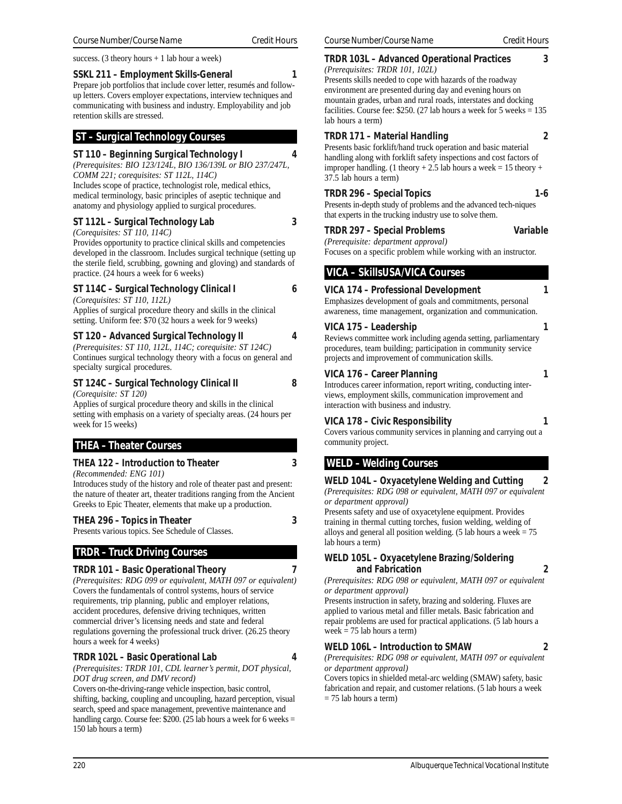success. (3 theory hours  $+1$  lab hour a week)

### **SSKL 211 – Employment Skills-General 1**

Prepare job portfolios that include cover letter, resumés and followup letters. Covers employer expectations, interview techniques and communicating with business and industry. Employability and job retention skills are stressed.

### **ST – Surgical Technology Courses**

### **ST 110 – Beginning Surgical Technology I 4**

*(Prerequisites: BIO 123/124L, BIO 136/139L or BIO 237/247L, COMM 221; corequisites: ST 112L, 114C)* Includes scope of practice, technologist role, medical ethics,

medical terminology, basic principles of aseptic technique and anatomy and physiology applied to surgical procedures.

### **ST 112L – Surgical Technology Lab 3**

### *(Corequisites: ST 110, 114C)*

Provides opportunity to practice clinical skills and competencies developed in the classroom. Includes surgical technique (setting up the sterile field, scrubbing, gowning and gloving) and standards of practice. (24 hours a week for 6 weeks)

### **ST 114C – Surgical Technology Clinical I 6**

*(Corequisites: ST 110, 112L)* Applies of surgical procedure theory and skills in the clinical

setting. Uniform fee: \$70 (32 hours a week for 9 weeks)

### **ST 120 – Advanced Surgical Technology II 4**

*(Prerequisites: ST 110, 112L, 114C; corequisite: ST 124C)* Continues surgical technology theory with a focus on general and specialty surgical procedures.

### **ST 124C – Surgical Technology Clinical II 8** *(Corequisite: ST 120)*

Applies of surgical procedure theory and skills in the clinical setting with emphasis on a variety of specialty areas. (24 hours per week for 15 weeks)

### **THEA – Theater Courses**

### **THEA 122 – Introduction to Theater 3**

*(Recommended: ENG 101)*

Introduces study of the history and role of theater past and present: the nature of theater art, theater traditions ranging from the Ancient Greeks to Epic Theater, elements that make up a production.

### **THEA 296 – Topics in Theater 3**

Presents various topics. See Schedule of Classes.

### **TRDR – Truck Driving Courses**

### **TRDR 101 – Basic Operational Theory 7**

*(Prerequisites: RDG 099 or equivalent, MATH 097 or equivalent)* Covers the fundamentals of control systems, hours of service requirements, trip planning, public and employer relations, accident procedures, defensive driving techniques, written commercial driver's licensing needs and state and federal regulations governing the professional truck driver. (26.25 theory hours a week for 4 weeks)

### **TRDR 102L – Basic Operational Lab 4**

*(Prerequisites: TRDR 101, CDL learner's permit, DOT physical, DOT drug screen, and DMV record)*

Covers on-the-driving-range vehicle inspection, basic control, shifting, backing, coupling and uncoupling, hazard perception, visual search, speed and space management, preventive maintenance and handling cargo. Course fee:  $$200. (25$  lab hours a week for 6 weeks = 150 lab hours a term)

### **TRDR 103L – Advanced Operational Practices 3**

*(Prerequisites: TRDR 101, 102L)* Presents skills needed to cope with hazards of the roadway environment are presented during day and evening hours on mountain grades, urban and rural roads, interstates and docking facilities. Course fee: \$250. (27 lab hours a week for 5 weeks = 135 lab hours a term)

### **TRDR 171 – Material Handling 2**

Presents basic forklift/hand truck operation and basic material handling along with forklift safety inspections and cost factors of improper handling. (1 theory + 2.5 lab hours a week = 15 theory + 37.5 lab hours a term)

### **TRDR 296 – Special Topics 1-6**

Presents in-depth study of problems and the advanced tech-niques that experts in the trucking industry use to solve them.

### **TRDR 297 – Special Problems Variable**

*(Prerequisite: department approval)* Focuses on a specific problem while working with an instructor.

## **VICA – SkillsUSA/VICA Courses**

### **VICA 174 – Professional Development 1**

Emphasizes development of goals and commitments, personal awareness, time management, organization and communication.

### **VICA 175 – Leadership 1**

Reviews committee work including agenda setting, parliamentary procedures, team building; participation in community service projects and improvement of communication skills.

### **VICA 176 – Career Planning 1**

Introduces career information, report writing, conducting interviews, employment skills, communication improvement and interaction with business and industry.

### **VICA 178 – Civic Responsibility 1**

Covers various community services in planning and carrying out a community project.

### **WELD – Welding Courses**

**WELD 104L – Oxyacetylene Welding and Cutting 2** *(Prerequisites: RDG 098 or equivalent, MATH 097 or equivalent or department approval)*

Presents safety and use of oxyacetylene equipment. Provides training in thermal cutting torches, fusion welding, welding of alloys and general all position welding. (5 lab hours a week  $= 75$ lab hours a term)

### **WELD 105L – Oxyacetylene Brazing/Soldering and Fabrication 2**

*(Prerequisites: RDG 098 or equivalent, MATH 097 or equivalent or department approval)*

Presents instruction in safety, brazing and soldering. Fluxes are applied to various metal and filler metals. Basic fabrication and repair problems are used for practical applications. (5 lab hours a week  $= 75$  lab hours a term)

### **WELD 106L – Introduction to SMAW 2**

*(Prerequisites: RDG 098 or equivalent, MATH 097 or equivalent or department approval)*

Covers topics in shielded metal-arc welding (SMAW) safety, basic fabrication and repair, and customer relations. (5 lab hours a week  $= 75$  lab hours a term)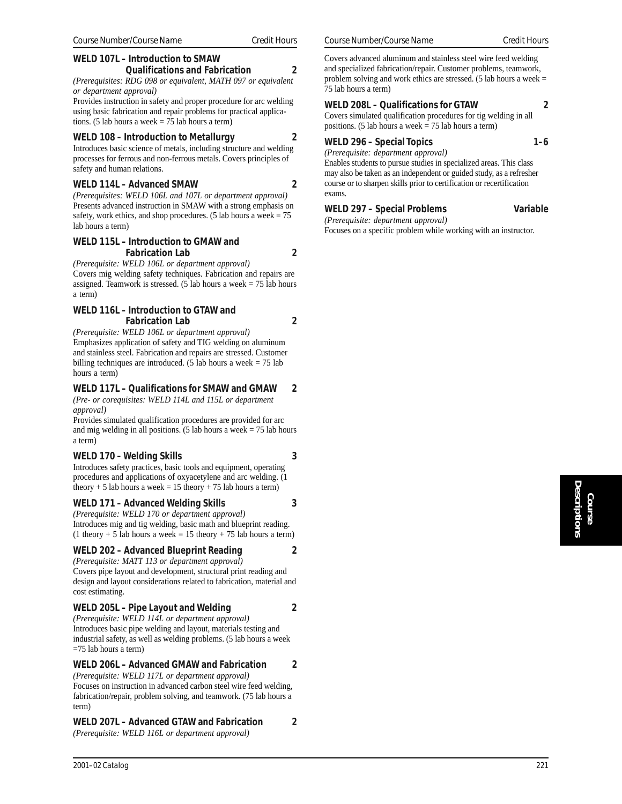### **WELD 107L – Introduction to SMAW Qualifications and Fabrication 2**

*(Prerequisites: RDG 098 or equivalent, MATH 097 or equivalent or department approval)*

Provides instruction in safety and proper procedure for arc welding using basic fabrication and repair problems for practical applications. (5 lab hours a week = 75 lab hours a term)

### **WELD 108 – Introduction to Metallurgy 2**

Introduces basic science of metals, including structure and welding processes for ferrous and non-ferrous metals. Covers principles of safety and human relations.

### **WELD 114L – Advanced SMAW 2**

*(Prerequisites: WELD 106L and 107L or department approval)* Presents advanced instruction in SMAW with a strong emphasis on safety, work ethics, and shop procedures. (5 lab hours a week  $= 75$ lab hours a term)

### **WELD 115L – Introduction to GMAW and Fabrication Lab 2**

*(Prerequisite: WELD 106L or department approval)* Covers mig welding safety techniques. Fabrication and repairs are assigned. Teamwork is stressed. (5 lab hours a week = 75 lab hours a term)

### **WELD 116L – Introduction to GTAW and Fabrication Lab 2**

*(Prerequisite: WELD 106L or department approval)* Emphasizes application of safety and TIG welding on aluminum and stainless steel. Fabrication and repairs are stressed. Customer billing techniques are introduced. (5 lab hours a week = 75 lab hours a term)

### **WELD 117L – Qualifications for SMAW and GMAW 2**

*(Pre- or corequisites: WELD 114L and 115L or department approval)*

Provides simulated qualification procedures are provided for arc and mig welding in all positions. (5 lab hours a week  $= 75$  lab hours a term)

### **WELD 170 – Welding Skills 3**

Introduces safety practices, basic tools and equipment, operating procedures and applications of oxyacetylene and arc welding. (1 theory + 5 lab hours a week = 15 theory + 75 lab hours a term)

### **WELD 171 – Advanced Welding Skills 3**

*(Prerequisite: WELD 170 or department approval)* Introduces mig and tig welding, basic math and blueprint reading. (1 theory + 5 lab hours a week = 15 theory + 75 lab hours a term)

### **WELD 202 – Advanced Blueprint Reading 2**

*(Prerequisite: MATT 113 or department approval)* Covers pipe layout and development, structural print reading and design and layout considerations related to fabrication, material and cost estimating.

### **WELD 205L – Pipe Layout and Welding 2**

*(Prerequisite: WELD 114L or department approval)* Introduces basic pipe welding and layout, materials testing and industrial safety, as well as welding problems. (5 lab hours a week =75 lab hours a term)

**WELD 206L – Advanced GMAW and Fabrication 2**

*(Prerequisite: WELD 117L or department approval)* Focuses on instruction in advanced carbon steel wire feed welding, fabrication/repair, problem solving, and teamwork. (75 lab hours a term)

### **WELD 207L – Advanced GTAW and Fabrication 2**

*(Prerequisite: WELD 116L or department approval)*

Covers advanced aluminum and stainless steel wire feed welding and specialized fabrication/repair. Customer problems, teamwork, problem solving and work ethics are stressed. (5 lab hours a week = 75 lab hours a term)

### **WELD 208L – Qualifications for GTAW 2**

Covers simulated qualification procedures for tig welding in all positions. (5 lab hours a week  $= 75$  lab hours a term)

### WELD 296 – Special Topics **1–6**

*(Prerequisite: department approval)* Enables students to pursue studies in specialized areas. This class may also be taken as an independent or guided study, as a refresher course or to sharpen skills prior to certification or recertification exams.

### **WELD 297 – Special Problems Variable**

*(Prerequisite: department approval)* Focuses on a specific problem while working with an instructor.

## **Course Descriptions**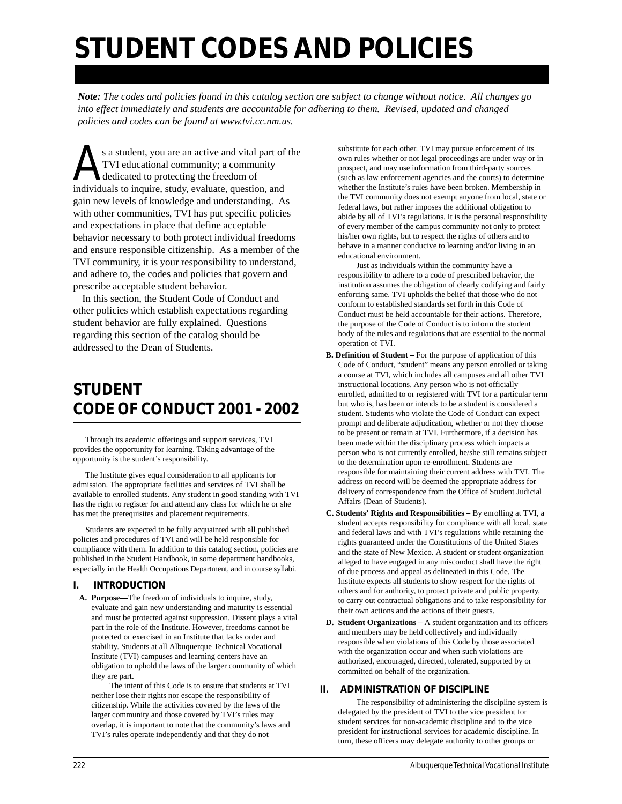# **STUDENT CODES AND POLICIES**

*Note: The codes and policies found in this catalog section are subject to change without notice. All changes go into effect immediately and students are accountable for adhering to them. Revised, updated and changed policies and codes can be found at www.tvi.cc.nm.us.*

s a student, you are an active and vital part of the<br>TVI educational community; a community<br>dedicated to protecting the freedom of<br>individuals to inquire, study, evaluate, question, and TVI educational community; a community dedicated to protecting the freedom of individuals to inquire, study, evaluate, question, and gain new levels of knowledge and understanding. As with other communities, TVI has put specific policies and expectations in place that define acceptable behavior necessary to both protect individual freedoms and ensure responsible citizenship. As a member of the TVI community, it is your responsibility to understand, and adhere to, the codes and policies that govern and prescribe acceptable student behavior.

In this section, the Student Code of Conduct and other policies which establish expectations regarding student behavior are fully explained. Questions regarding this section of the catalog should be addressed to the Dean of Students.

## **STUDENT CODE OF CONDUCT** *2001 - 2002*

 Through its academic offerings and support services, TVI provides the opportunity for learning. Taking advantage of the opportunity is the student's responsibility.

 The Institute gives equal consideration to all applicants for admission. The appropriate facilities and services of TVI shall be available to enrolled students. Any student in good standing with TVI has the right to register for and attend any class for which he or she has met the prerequisites and placement requirements.

 Students are expected to be fully acquainted with all published policies and procedures of TVI and will be held responsible for compliance with them. In addition to this catalog section, policies are published in the Student Handbook, in some department handbooks, especially in the Health Occupations Department, and in course syllabi.

### **I. INTRODUCTION**

**A. Purpose—**The freedom of individuals to inquire, study, evaluate and gain new understanding and maturity is essential and must be protected against suppression. Dissent plays a vital part in the role of the Institute. However, freedoms cannot be protected or exercised in an Institute that lacks order and stability. Students at all Albuquerque Technical Vocational Institute (TVI) campuses and learning centers have an obligation to uphold the laws of the larger community of which they are part.

The intent of this Code is to ensure that students at TVI neither lose their rights nor escape the responsibility of citizenship. While the activities covered by the laws of the larger community and those covered by TVI's rules may overlap, it is important to note that the community's laws and TVI's rules operate independently and that they do not

substitute for each other. TVI may pursue enforcement of its own rules whether or not legal proceedings are under way or in prospect, and may use information from third-party sources (such as law enforcement agencies and the courts) to determine whether the Institute's rules have been broken. Membership in the TVI community does not exempt anyone from local, state or federal laws, but rather imposes the additional obligation to abide by all of TVI's regulations. It is the personal responsibility of every member of the campus community not only to protect his/her own rights, but to respect the rights of others and to behave in a manner conducive to learning and/or living in an educational environment.

Just as individuals within the community have a responsibility to adhere to a code of prescribed behavior, the institution assumes the obligation of clearly codifying and fairly enforcing same. TVI upholds the belief that those who do not conform to established standards set forth in this Code of Conduct must be held accountable for their actions. Therefore, the purpose of the Code of Conduct is to inform the student body of the rules and regulations that are essential to the normal operation of TVI.

- **B. Definition of Student** For the purpose of application of this Code of Conduct, "student" means any person enrolled or taking a course at TVI, which includes all campuses and all other TVI instructional locations. Any person who is not officially enrolled, admitted to or registered with TVI for a particular term but who is, has been or intends to be a student is considered a student. Students who violate the Code of Conduct can expect prompt and deliberate adjudication, whether or not they choose to be present or remain at TVI. Furthermore, if a decision has been made within the disciplinary process which impacts a person who is not currently enrolled, he/she still remains subject to the determination upon re-enrollment. Students are responsible for maintaining their current address with TVI. The address on record will be deemed the appropriate address for delivery of correspondence from the Office of Student Judicial Affairs (Dean of Students).
- **C. Students' Rights and Responsibilities** By enrolling at TVI, a student accepts responsibility for compliance with all local, state and federal laws and with TVI's regulations while retaining the rights guaranteed under the Constitutions of the United States and the state of New Mexico. A student or student organization alleged to have engaged in any misconduct shall have the right of due process and appeal as delineated in this Code. The Institute expects all students to show respect for the rights of others and for authority, to protect private and public property, to carry out contractual obligations and to take responsibility for their own actions and the actions of their guests.
- **D. Student Organizations** A student organization and its officers and members may be held collectively and individually responsible when violations of this Code by those associated with the organization occur and when such violations are authorized, encouraged, directed, tolerated, supported by or committed on behalf of the organization.

### **II. ADMINISTRATION OF DISCIPLINE**

The responsibility of administering the discipline system is delegated by the president of TVI to the vice president for student services for non-academic discipline and to the vice president for instructional services for academic discipline. In turn, these officers may delegate authority to other groups or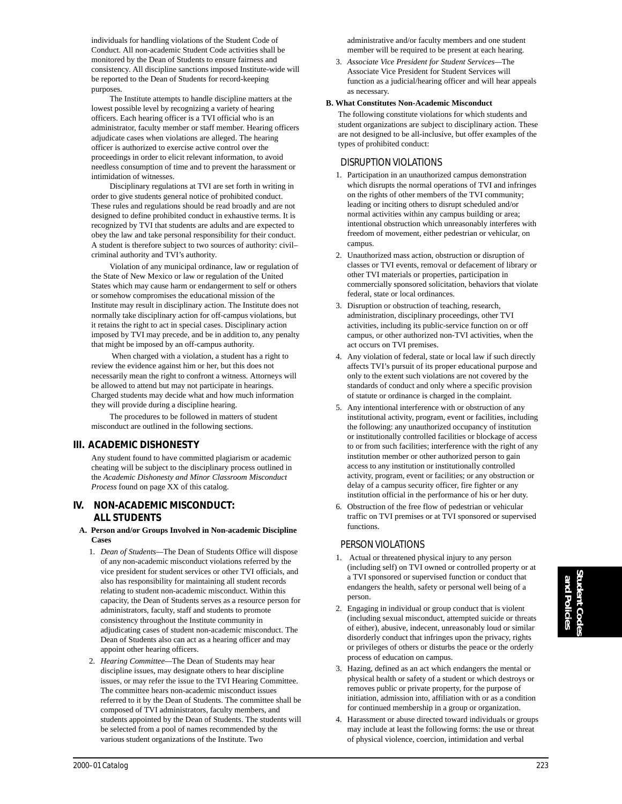individuals for handling violations of the Student Code of Conduct. All non-academic Student Code activities shall be monitored by the Dean of Students to ensure fairness and consistency. All discipline sanctions imposed Institute-wide will be reported to the Dean of Students for record-keeping purposes.

The Institute attempts to handle discipline matters at the lowest possible level by recognizing a variety of hearing officers. Each hearing officer is a TVI official who is an administrator, faculty member or staff member. Hearing officers adjudicate cases when violations are alleged. The hearing officer is authorized to exercise active control over the proceedings in order to elicit relevant information, to avoid needless consumption of time and to prevent the harassment or intimidation of witnesses.

Disciplinary regulations at TVI are set forth in writing in order to give students general notice of prohibited conduct. These rules and regulations should be read broadly and are not designed to define prohibited conduct in exhaustive terms. It is recognized by TVI that students are adults and are expected to obey the law and take personal responsibility for their conduct. A student is therefore subject to two sources of authority: civil– criminal authority and TVI's authority.

Violation of any municipal ordinance, law or regulation of the State of New Mexico or law or regulation of the United States which may cause harm or endangerment to self or others or somehow compromises the educational mission of the Institute may result in disciplinary action. The Institute does not normally take disciplinary action for off-campus violations, but it retains the right to act in special cases. Disciplinary action imposed by TVI may precede, and be in addition to, any penalty that might be imposed by an off-campus authority.

 When charged with a violation, a student has a right to review the evidence against him or her, but this does not necessarily mean the right to confront a witness. Attorneys will be allowed to attend but may not participate in hearings. Charged students may decide what and how much information they will provide during a discipline hearing.

The procedures to be followed in matters of student misconduct are outlined in the following sections.

### **III. ACADEMIC DISHONESTY**

Any student found to have committed plagiarism or academic cheating will be subject to the disciplinary process outlined in the *Academic Dishonesty and Minor Classroom Misconduct Process* found on page XX of this catalog.

### **IV. NON-ACADEMIC MISCONDUCT: ALL STUDENTS**

#### **A. Person and/or Groups Involved in Non-academic Discipline Cases**

- 1. *Dean of Students—*The Dean of Students Office will dispose of any non-academic misconduct violations referred by the vice president for student services or other TVI officials, and also has responsibility for maintaining all student records relating to student non-academic misconduct. Within this capacity, the Dean of Students serves as a resource person for administrators, faculty, staff and students to promote consistency throughout the Institute community in adjudicating cases of student non-academic misconduct. The Dean of Students also can act as a hearing officer and may appoint other hearing officers.
- 2. *Hearing Committee—*The Dean of Students may hear discipline issues, may designate others to hear discipline issues, or may refer the issue to the TVI Hearing Committee. The committee hears non-academic misconduct issues referred to it by the Dean of Students. The committee shall be composed of TVI administrators, faculty members, and students appointed by the Dean of Students. The students will be selected from a pool of names recommended by the various student organizations of the Institute. Two

administrative and/or faculty members and one student member will be required to be present at each hearing.

3. *Associate Vice President for Student Services—*The Associate Vice President for Student Services will function as a judicial/hearing officer and will hear appeals as necessary.

### **B. What Constitutes Non-Academic Misconduct**

The following constitute violations for which students and student organizations are subject to disciplinary action. These are not designed to be all-inclusive, but offer examples of the types of prohibited conduct:

### *DISRUPTION VIOLATIONS*

- 1. Participation in an unauthorized campus demonstration which disrupts the normal operations of TVI and infringes on the rights of other members of the TVI community; leading or inciting others to disrupt scheduled and/or normal activities within any campus building or area; intentional obstruction which unreasonably interferes with freedom of movement, either pedestrian or vehicular, on campus.
- 2. Unauthorized mass action, obstruction or disruption of classes or TVI events, removal or defacement of library or other TVI materials or properties, participation in commercially sponsored solicitation, behaviors that violate federal, state or local ordinances.
- 3. Disruption or obstruction of teaching, research, administration, disciplinary proceedings, other TVI activities, including its public-service function on or off campus, or other authorized non-TVI activities, when the act occurs on TVI premises.
- 4. Any violation of federal, state or local law if such directly affects TVI's pursuit of its proper educational purpose and only to the extent such violations are not covered by the standards of conduct and only where a specific provision of statute or ordinance is charged in the complaint.
- 5. Any intentional interference with or obstruction of any institutional activity, program, event or facilities, including the following: any unauthorized occupancy of institution or institutionally controlled facilities or blockage of access to or from such facilities; interference with the right of any institution member or other authorized person to gain access to any institution or institutionally controlled activity, program, event or facilities; or any obstruction or delay of a campus security officer, fire fighter or any institution official in the performance of his or her duty.
- 6. Obstruction of the free flow of pedestrian or vehicular traffic on TVI premises or at TVI sponsored or supervised functions.

### *PERSON VIOLATIONS*

- 1. Actual or threatened physical injury to any person (including self) on TVI owned or controlled property or at a TVI sponsored or supervised function or conduct that endangers the health, safety or personal well being of a person.
- 2. Engaging in individual or group conduct that is violent (including sexual misconduct, attempted suicide or threats of either), abusive, indecent, unreasonably loud or similar disorderly conduct that infringes upon the privacy, rights or privileges of others or disturbs the peace or the orderly process of education on campus.
- 3. Hazing, defined as an act which endangers the mental or physical health or safety of a student or which destroys or removes public or private property, for the purpose of initiation, admission into, affiliation with or as a condition for continued membership in a group or organization.
- 4. Harassment or abuse directed toward individuals or groups may include at least the following forms: the use or threat of physical violence, coercion, intimidation and verbal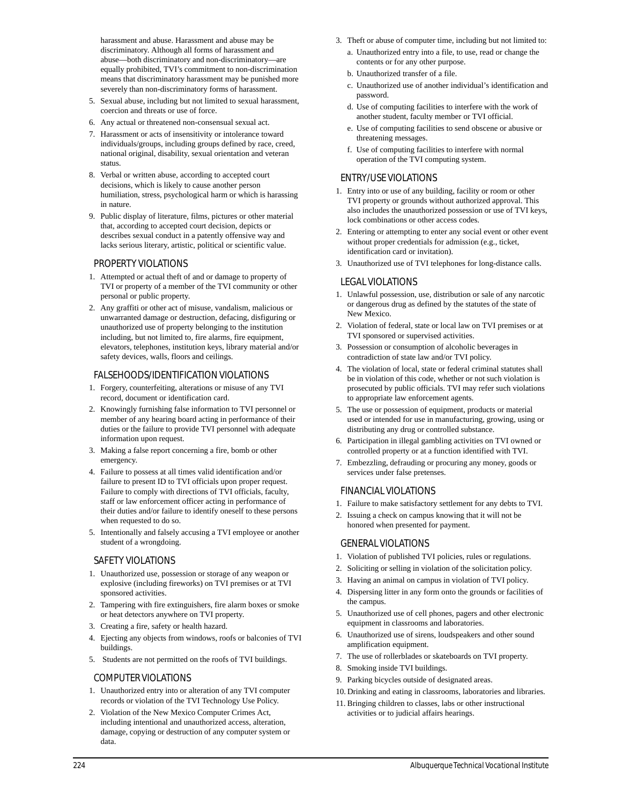harassment and abuse. Harassment and abuse may be discriminatory. Although all forms of harassment and abuse—both discriminatory and non-discriminatory—are equally prohibited, TVI's commitment to non-discrimination means that discriminatory harassment may be punished more severely than non-discriminatory forms of harassment.

- 5. Sexual abuse, including but not limited to sexual harassment, coercion and threats or use of force.
- 6. Any actual or threatened non-consensual sexual act.
- 7. Harassment or acts of insensitivity or intolerance toward individuals/groups, including groups defined by race, creed, national original, disability, sexual orientation and veteran status.
- 8. Verbal or written abuse, according to accepted court decisions, which is likely to cause another person humiliation, stress, psychological harm or which is harassing in nature.
- 9. Public display of literature, films, pictures or other material that, according to accepted court decision, depicts or describes sexual conduct in a patently offensive way and lacks serious literary, artistic, political or scientific value.

### *PROPERTY VIOLATIONS*

- 1. Attempted or actual theft of and or damage to property of TVI or property of a member of the TVI community or other personal or public property.
- 2. Any graffiti or other act of misuse, vandalism, malicious or unwarranted damage or destruction, defacing, disfiguring or unauthorized use of property belonging to the institution including, but not limited to, fire alarms, fire equipment, elevators, telephones, institution keys, library material and/or safety devices, walls, floors and ceilings.

### *FALSEHOODS/IDENTIFICATION VIOLATIONS*

- 1. Forgery, counterfeiting, alterations or misuse of any TVI record, document or identification card.
- 2. Knowingly furnishing false information to TVI personnel or member of any hearing board acting in performance of their duties or the failure to provide TVI personnel with adequate information upon request.
- 3. Making a false report concerning a fire, bomb or other emergency.
- 4. Failure to possess at all times valid identification and/or failure to present ID to TVI officials upon proper request. Failure to comply with directions of TVI officials, faculty, staff or law enforcement officer acting in performance of their duties and/or failure to identify oneself to these persons when requested to do so.
- 5. Intentionally and falsely accusing a TVI employee or another student of a wrongdoing.

### *SAFETY VIOLATIONS*

- 1. Unauthorized use, possession or storage of any weapon or explosive (including fireworks) on TVI premises or at TVI sponsored activities.
- 2. Tampering with fire extinguishers, fire alarm boxes or smoke or heat detectors anywhere on TVI property.
- 3. Creating a fire, safety or health hazard.
- 4. Ejecting any objects from windows, roofs or balconies of TVI buildings.
- 5. Students are not permitted on the roofs of TVI buildings.

### *COMPUTER VIOLATIONS*

- 1. Unauthorized entry into or alteration of any TVI computer records or violation of the TVI Technology Use Policy.
- 2. Violation of the New Mexico Computer Crimes Act, including intentional and unauthorized access, alteration, damage, copying or destruction of any computer system or data.
- 3. Theft or abuse of computer time, including but not limited to:
	- a. Unauthorized entry into a file, to use, read or change the contents or for any other purpose.
	- b. Unauthorized transfer of a file.
	- c. Unauthorized use of another individual's identification and password.
	- d. Use of computing facilities to interfere with the work of another student, faculty member or TVI official.
	- e. Use of computing facilities to send obscene or abusive or threatening messages.
	- f. Use of computing facilities to interfere with normal operation of the TVI computing system.

### *ENTRY/USE VIOLATIONS*

- 1. Entry into or use of any building, facility or room or other TVI property or grounds without authorized approval. This also includes the unauthorized possession or use of TVI keys, lock combinations or other access codes.
- 2. Entering or attempting to enter any social event or other event without proper credentials for admission (e.g., ticket, identification card or invitation).
- 3. Unauthorized use of TVI telephones for long-distance calls.

### *LEGAL VIOLATIONS*

- 1. Unlawful possession, use, distribution or sale of any narcotic or dangerous drug as defined by the statutes of the state of New Mexico.
- 2. Violation of federal, state or local law on TVI premises or at TVI sponsored or supervised activities.
- 3. Possession or consumption of alcoholic beverages in contradiction of state law and/or TVI policy.
- 4. The violation of local, state or federal criminal statutes shall be in violation of this code, whether or not such violation is prosecuted by public officials. TVI may refer such violations to appropriate law enforcement agents.
- 5. The use or possession of equipment, products or material used or intended for use in manufacturing, growing, using or distributing any drug or controlled substance.
- 6. Participation in illegal gambling activities on TVI owned or controlled property or at a function identified with TVI.
- 7. Embezzling, defrauding or procuring any money, goods or services under false pretenses.

### *FINANCIAL VIOLATIONS*

- 1. Failure to make satisfactory settlement for any debts to TVI.
- 2. Issuing a check on campus knowing that it will not be honored when presented for payment.

### *GENERAL VIOLATIONS*

- 1. Violation of published TVI policies, rules or regulations.
- 2. Soliciting or selling in violation of the solicitation policy.
- 3. Having an animal on campus in violation of TVI policy.
- 4. Dispersing litter in any form onto the grounds or facilities of the campus.
- 5. Unauthorized use of cell phones, pagers and other electronic equipment in classrooms and laboratories.
- 6. Unauthorized use of sirens, loudspeakers and other sound amplification equipment.
- 7. The use of rollerblades or skateboards on TVI property.
- 8. Smoking inside TVI buildings.
- 9. Parking bicycles outside of designated areas.
- 10. Drinking and eating in classrooms, laboratories and libraries.
- 11. Bringing children to classes, labs or other instructional activities or to judicial affairs hearings.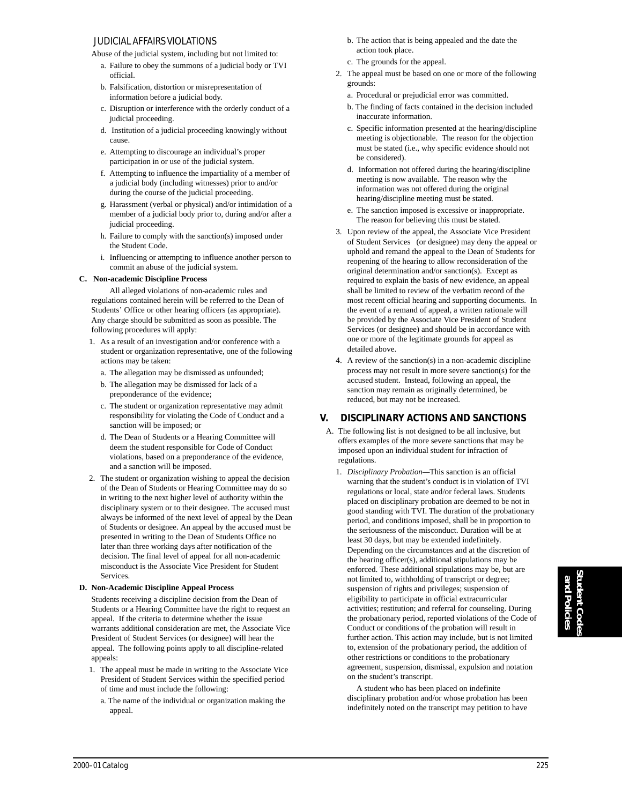### *JUDICIAL AFFAIRS VIOLATIONS*

Abuse of the judicial system, including but not limited to:

- a. Failure to obey the summons of a judicial body or TVI official.
- b. Falsification, distortion or misrepresentation of information before a judicial body.
- c. Disruption or interference with the orderly conduct of a judicial proceeding.
- d. Institution of a judicial proceeding knowingly without cause.
- e. Attempting to discourage an individual's proper participation in or use of the judicial system.
- f. Attempting to influence the impartiality of a member of a judicial body (including witnesses) prior to and/or during the course of the judicial proceeding.
- g. Harassment (verbal or physical) and/or intimidation of a member of a judicial body prior to, during and/or after a judicial proceeding.
- h. Failure to comply with the sanction(s) imposed under the Student Code.
- i. Influencing or attempting to influence another person to commit an abuse of the judicial system.

### **C. Non-academic Discipline Process**

All alleged violations of non-academic rules and regulations contained herein will be referred to the Dean of Students' Office or other hearing officers (as appropriate). Any charge should be submitted as soon as possible. The following procedures will apply:

- 1. As a result of an investigation and/or conference with a student or organization representative, one of the following actions may be taken:
	- a. The allegation may be dismissed as unfounded;
	- b. The allegation may be dismissed for lack of a preponderance of the evidence;
	- c. The student or organization representative may admit responsibility for violating the Code of Conduct and a sanction will be imposed; or
	- d. The Dean of Students or a Hearing Committee will deem the student responsible for Code of Conduct violations, based on a preponderance of the evidence, and a sanction will be imposed.
- 2. The student or organization wishing to appeal the decision of the Dean of Students or Hearing Committee may do so in writing to the next higher level of authority within the disciplinary system or to their designee. The accused must always be informed of the next level of appeal by the Dean of Students or designee. An appeal by the accused must be presented in writing to the Dean of Students Office no later than three working days after notification of the decision. The final level of appeal for all non-academic misconduct is the Associate Vice President for Student Services.

### **D. Non-Academic Discipline Appeal Process**

Students receiving a discipline decision from the Dean of Students or a Hearing Committee have the right to request an appeal. If the criteria to determine whether the issue warrants additional consideration are met, the Associate Vice President of Student Services (or designee) will hear the appeal. The following points apply to all discipline-related appeals:

- 1. The appeal must be made in writing to the Associate Vice President of Student Services within the specified period of time and must include the following:
	- a. The name of the individual or organization making the appeal.
- b. The action that is being appealed and the date the action took place.
- c. The grounds for the appeal.
- 2. The appeal must be based on one or more of the following grounds:
	- a. Procedural or prejudicial error was committed.
	- b. The finding of facts contained in the decision included inaccurate information.
	- c. Specific information presented at the hearing/discipline meeting is objectionable. The reason for the objection must be stated (i.e., why specific evidence should not be considered).
	- d. Information not offered during the hearing/discipline meeting is now available. The reason why the information was not offered during the original hearing/discipline meeting must be stated.
	- e. The sanction imposed is excessive or inappropriate. The reason for believing this must be stated.
- 3. Upon review of the appeal, the Associate Vice President of Student Services (or designee) may deny the appeal or uphold and remand the appeal to the Dean of Students for reopening of the hearing to allow reconsideration of the original determination and/or sanction(s). Except as required to explain the basis of new evidence, an appeal shall be limited to review of the verbatim record of the most recent official hearing and supporting documents. In the event of a remand of appeal, a written rationale will be provided by the Associate Vice President of Student Services (or designee) and should be in accordance with one or more of the legitimate grounds for appeal as detailed above.
- 4. A review of the sanction(s) in a non-academic discipline process may not result in more severe sanction(s) for the accused student. Instead, following an appeal, the sanction may remain as originally determined, be reduced, but may not be increased.

### **V. DISCIPLINARY ACTIONS AND SANCTIONS**

- A. The following list is not designed to be all inclusive, but offers examples of the more severe sanctions that may be imposed upon an individual student for infraction of regulations.
	- 1. *Disciplinary Probation—*This sanction is an official warning that the student's conduct is in violation of TVI regulations or local, state and/or federal laws. Students placed on disciplinary probation are deemed to be not in good standing with TVI. The duration of the probationary period, and conditions imposed, shall be in proportion to the seriousness of the misconduct. Duration will be at least 30 days, but may be extended indefinitely. Depending on the circumstances and at the discretion of the hearing officer(s), additional stipulations may be enforced. These additional stipulations may be, but are not limited to, withholding of transcript or degree; suspension of rights and privileges; suspension of eligibility to participate in official extracurricular activities; restitution; and referral for counseling. During the probationary period, reported violations of the Code of Conduct or conditions of the probation will result in further action. This action may include, but is not limited to, extension of the probationary period, the addition of other restrictions or conditions to the probationary agreement, suspension, dismissal, expulsion and notation on the student's transcript.

A student who has been placed on indefinite disciplinary probation and/or whose probation has been indefinitely noted on the transcript may petition to have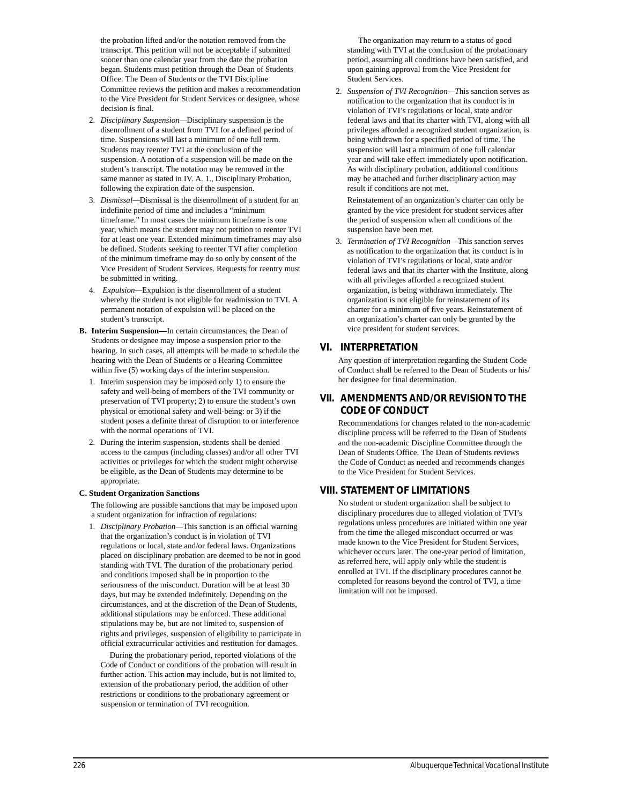the probation lifted and/or the notation removed from the transcript. This petition will not be acceptable if submitted sooner than one calendar year from the date the probation began. Students must petition through the Dean of Students Office. The Dean of Students or the TVI Discipline Committee reviews the petition and makes a recommendation to the Vice President for Student Services or designee, whose decision is final.

- 2. *Disciplinary Suspension—*Disciplinary suspension is the disenrollment of a student from TVI for a defined period of time. Suspensions will last a minimum of one full term. Students may reenter TVI at the conclusion of the suspension. A notation of a suspension will be made on the student's transcript. The notation may be removed in **t**he same manner as stated in IV. A. 1., Disciplinary Probation, following the expiration date of the suspension.
- 3. *Dismissal—*Dismissal is the disenrollment of a student for an indefinite period of time and includes a "minimum timeframe." In most cases the minimum timeframe is one year, which means the student may not petition to reenter TVI for at least one year. Extended minimum timeframes may also be defined. Students seeking to reenter TVI after completion of the minimum timeframe may do so only by consent of the Vice President of Student Services. Requests for reentry must be submitted in writing.
- 4. *Expulsion—*Expulsion is the disenrollment of a student whereby the student is not eligible for readmission to TVI. A permanent notation of expulsion will be placed on the student's transcript.
- **B. Interim Suspension—**In certain circumstances, the Dean of Students or designee may impose a suspension prior to the hearing. In such cases, all attempts will be made to schedule the hearing with the Dean of Students or a Hearing Committee within five (5) working days of the interim suspension.
	- 1. Interim suspension may be imposed only 1) to ensure the safety and well-being of members of the TVI community or preservation of TVI property; 2) to ensure the student's own physical or emotional safety and well-being: or 3) if the student poses a definite threat of disruption to or interference with the normal operations of TVI.
	- 2. During the interim suspension, students shall be denied access to the campus (including classes) and/or all other TVI activities or privileges for which the student might otherwise be eligible, as the Dean of Students may determine to be appropriate.

### **C. Student Organization Sanctions**

The following are possible sanctions that may be imposed upon a student organization for infraction of regulations:

1. *Disciplinary Probation—*This sanction is an official warning that the organization's conduct is in violation of TVI regulations or local, state and/or federal laws. Organizations placed on disciplinary probation are deemed to be not in good standing with TVI. The duration of the probationary period and conditions imposed shall be in proportion to the seriousness of the misconduct. Duration will be at least 30 days, but may be extended indefinitely. Depending on the circumstances, and at the discretion of the Dean of Students, additional stipulations may be enforced. These additional stipulations may be, but are not limited to, suspension of rights and privileges, suspension of eligibility to participate in official extracurricular activities and restitution for damages.

During the probationary period, reported violations of the Code of Conduct or conditions of the probation will result in further action. This action may include, but is not limited to, extension of the probationary period, the addition of other restrictions or conditions to the probationary agreement or suspension or termination of TVI recognition.

 The organization may return to a status of good standing with TVI at the conclusion of the probationary period, assuming all conditions have been satisfied, and upon gaining approval from the Vice President for Student Services.

2. *Suspension of TVI Recognition—T*his sanction serves as notification to the organization that its conduct is in violation of TVI's regulations or local, state and/or federal laws and that its charter with TVI, along with all privileges afforded a recognized student organization, is being withdrawn for a specified period of time. The suspension will last a minimum of one full calendar year and will take effect immediately upon notification. As with disciplinary probation, additional conditions may be attached and further disciplinary action may result if conditions are not met.

Reinstatement of an organization's charter can only be granted by the vice president for student services after the period of suspension when all conditions of the suspension have been met.

3. *Termination of TVI Recognition—*This sanction serves as notification to the organization that its conduct is in violation of TVI's regulations or local, state and/or federal laws and that its charter with the Institute, along with all privileges afforded a recognized student organization, is being withdrawn immediately. The organization is not eligible for reinstatement of its charter for a minimum of five years. Reinstatement of an organization's charter can only be granted by the vice president for student services.

### **VI. INTERPRETATION**

Any question of interpretation regarding the Student Code of Conduct shall be referred to the Dean of Students or his/ her designee for final determination.

### **VII. AMENDMENTS AND/OR REVISION TO THE CODE OF CONDUCT**

Recommendations for changes related to the non-academic discipline process will be referred to the Dean of Students and the non-academic Discipline Committee through the Dean of Students Office. The Dean of Students reviews the Code of Conduct as needed and recommends changes to the Vice President for Student Services.

### **VIII. STATEMENT OF LIMITATIONS**

No student or student organization shall be subject to disciplinary procedures due to alleged violation of TVI's regulations unless procedures are initiated within one year from the time the alleged misconduct occurred or was made known to the Vice President for Student Services, whichever occurs later. The one-year period of limitation, as referred here, will apply only while the student is enrolled at TVI. If the disciplinary procedures cannot be completed for reasons beyond the control of TVI, a time limitation will not be imposed.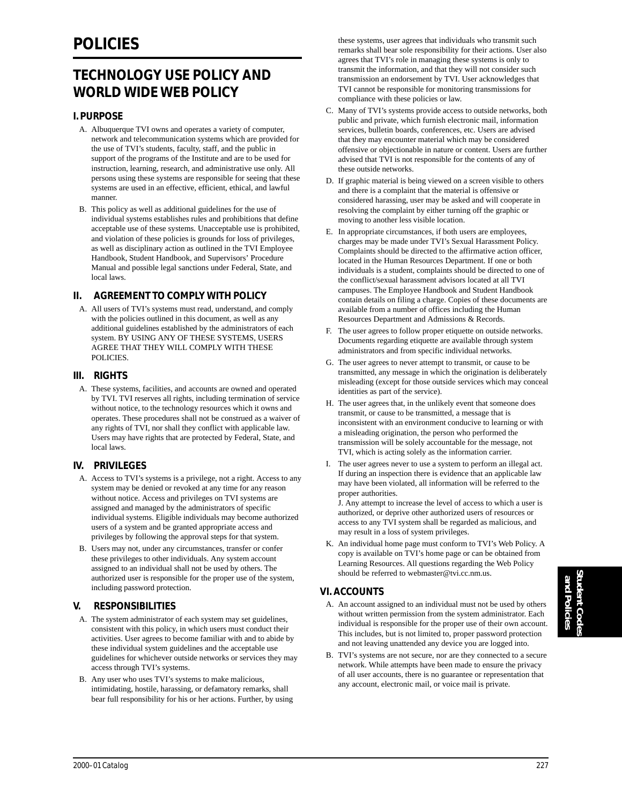## **TECHNOLOGY USE POLICY AND WORLD WIDE WEB POLICY**

### **I. PURPOSE**

- A. Albuquerque TVI owns and operates a variety of computer, network and telecommunication systems which are provided for the use of TVI's students, faculty, staff, and the public in support of the programs of the Institute and are to be used for instruction, learning, research, and administrative use only. All persons using these systems are responsible for seeing that these systems are used in an effective, efficient, ethical, and lawful manner.
- B. This policy as well as additional guidelines for the use of individual systems establishes rules and prohibitions that define acceptable use of these systems. Unacceptable use is prohibited, and violation of these policies is grounds for loss of privileges, as well as disciplinary action as outlined in the TVI Employee Handbook, Student Handbook, and Supervisors' Procedure Manual and possible legal sanctions under Federal, State, and local laws.

### **II. AGREEMENT TO COMPLY WITH POLICY**

A. All users of TVI's systems must read, understand, and comply with the policies outlined in this document, as well as any additional guidelines established by the administrators of each system. BY USING ANY OF THESE SYSTEMS, USERS AGREE THAT THEY WILL COMPLY WITH THESE POLICIES.

### **III. RIGHTS**

A. These systems, facilities, and accounts are owned and operated by TVI. TVI reserves all rights, including termination of service without notice, to the technology resources which it owns and operates. These procedures shall not be construed as a waiver of any rights of TVI, nor shall they conflict with applicable law. Users may have rights that are protected by Federal, State, and local laws.

### **IV. PRIVILEGES**

- A. Access to TVI's systems is a privilege, not a right. Access to any system may be denied or revoked at any time for any reason without notice. Access and privileges on TVI systems are assigned and managed by the administrators of specific individual systems. Eligible individuals may become authorized users of a system and be granted appropriate access and privileges by following the approval steps for that system.
- B. Users may not, under any circumstances, transfer or confer these privileges to other individuals. Any system account assigned to an individual shall not be used by others. The authorized user is responsible for the proper use of the system, including password protection.

### **V. RESPONSIBILITIES**

- A. The system administrator of each system may set guidelines, consistent with this policy, in which users must conduct their activities. User agrees to become familiar with and to abide by these individual system guidelines and the acceptable use guidelines for whichever outside networks or services they may access through TVI's systems.
- B. Any user who uses TVI's systems to make malicious, intimidating, hostile, harassing, or defamatory remarks, shall bear full responsibility for his or her actions. Further, by using

these systems, user agrees that individuals who transmit such remarks shall bear sole responsibility for their actions. User also agrees that TVI's role in managing these systems is only to transmit the information, and that they will not consider such transmission an endorsement by TVI. User acknowledges that TVI cannot be responsible for monitoring transmissions for compliance with these policies or law.

- C. Many of TVI's systems provide access to outside networks, both public and private, which furnish electronic mail, information services, bulletin boards, conferences, etc. Users are advised that they may encounter material which may be considered offensive or objectionable in nature or content. Users are further advised that TVI is not responsible for the contents of any of these outside networks.
- D. If graphic material is being viewed on a screen visible to others and there is a complaint that the material is offensive or considered harassing, user may be asked and will cooperate in resolving the complaint by either turning off the graphic or moving to another less visible location.
- E. In appropriate circumstances, if both users are employees, charges may be made under TVI's Sexual Harassment Policy. Complaints should be directed to the affirmative action officer, located in the Human Resources Department. If one or both individuals is a student, complaints should be directed to one of the conflict/sexual harassment advisors located at all TVI campuses. The Employee Handbook and Student Handbook contain details on filing a charge. Copies of these documents are available from a number of offices including the Human Resources Department and Admissions & Records.
- F. The user agrees to follow proper etiquette on outside networks. Documents regarding etiquette are available through system administrators and from specific individual networks.
- G. The user agrees to never attempt to transmit, or cause to be transmitted, any message in which the origination is deliberately misleading (except for those outside services which may conceal identities as part of the service).
- H. The user agrees that, in the unlikely event that someone does transmit, or cause to be transmitted, a message that is inconsistent with an environment conducive to learning or with a misleading origination, the person who performed the transmission will be solely accountable for the message, not TVI, which is acting solely as the information carrier.
- I. The user agrees never to use a system to perform an illegal act. If during an inspection there is evidence that an applicable law may have been violated, all information will be referred to the proper authorities.

J. Any attempt to increase the level of access to which a user is authorized, or deprive other authorized users of resources or access to any TVI system shall be regarded as malicious, and may result in a loss of system privileges.

K. An individual home page must conform to TVI's Web Policy. A copy is available on TVI's home page or can be obtained from Learning Resources. All questions regarding the Web Policy should be referred to webmaster@tvi.cc.nm.us.

### **VI. ACCOUNTS**

- A. An account assigned to an individual must not be used by others without written permission from the system administrator. Each individual is responsible for the proper use of their own account. This includes, but is not limited to, proper password protection and not leaving unattended any device you are logged into.
- B. TVI's systems are not secure, nor are they connected to a secure network. While attempts have been made to ensure the privacy of all user accounts, there is no guarantee or representation that any account, electronic mail, or voice mail is private.

Student Codes **Student Codes** and Policies **and Policies**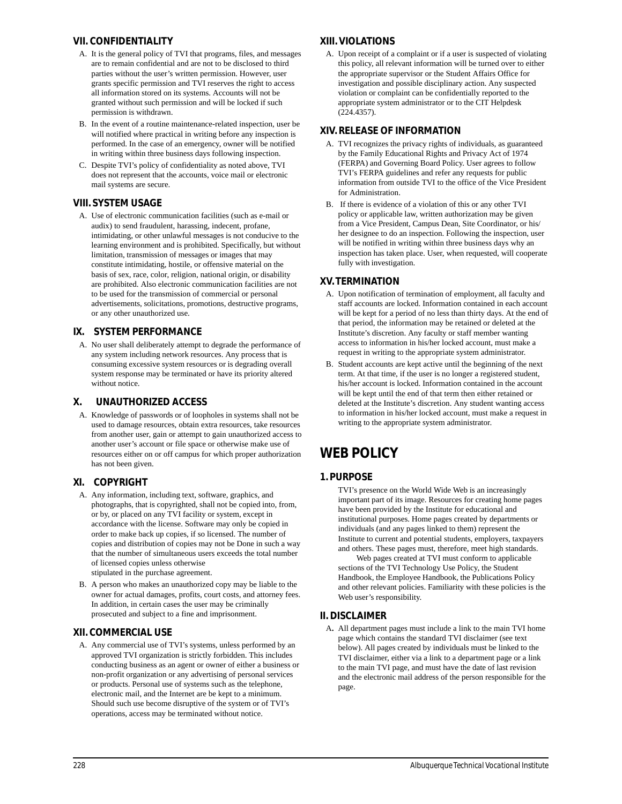### **VII. CONFIDENTIALITY**

- A. It is the general policy of TVI that programs, files, and messages are to remain confidential and are not to be disclosed to third parties without the user's written permission. However, user grants specific permission and TVI reserves the right to access all information stored on its systems. Accounts will not be granted without such permission and will be locked if such permission is withdrawn.
- B. In the event of a routine maintenance-related inspection, user be will notified where practical in writing before any inspection is performed. In the case of an emergency, owner will be notified in writing within three business days following inspection.
- C. Despite TVI's policy of confidentiality as noted above, TVI does not represent that the accounts, voice mail or electronic mail systems are secure.

### **VIII. SYSTEM USAGE**

A. Use of electronic communication facilities (such as e-mail or audix) to send fraudulent, harassing, indecent, profane, intimidating, or other unlawful messages is not conducive to the learning environment and is prohibited. Specifically, but without limitation, transmission of messages or images that may constitute intimidating, hostile, or offensive material on the basis of sex, race, color, religion, national origin, or disability are prohibited. Also electronic communication facilities are not to be used for the transmission of commercial or personal advertisements, solicitations, promotions, destructive programs, or any other unauthorized use.

### **IX. SYSTEM PERFORMANCE**

A. No user shall deliberately attempt to degrade the performance of any system including network resources. Any process that is consuming excessive system resources or is degrading overall system response may be terminated or have its priority altered without notice.

### **X. UNAUTHORIZED ACCESS**

A. Knowledge of passwords or of loopholes in systems shall not be used to damage resources, obtain extra resources, take resources from another user, gain or attempt to gain unauthorized access to another user's account or file space or otherwise make use of resources either on or off campus for which proper authorization has not been given.

### **XI. COPYRIGHT**

- A. Any information, including text, software, graphics, and photographs, that is copyrighted, shall not be copied into, from, or by, or placed on any TVI facility or system, except in accordance with the license. Software may only be copied in order to make back up copies, if so licensed. The number of copies and distribution of copies may not be Done in such a way that the number of simultaneous users exceeds the total number of licensed copies unless otherwise stipulated in the purchase agreement.
- B. A person who makes an unauthorized copy may be liable to the owner for actual damages, profits, court costs, and attorney fees. In addition, in certain cases the user may be criminally prosecuted and subject to a fine and imprisonment.

### **XII. COMMERCIAL USE**

A. Any commercial use of TVI's systems, unless performed by an approved TVI organization is strictly forbidden. This includes conducting business as an agent or owner of either a business or non-profit organization or any advertising of personal services or products. Personal use of systems such as the telephone, electronic mail, and the Internet are be kept to a minimum. Should such use become disruptive of the system or of TVI's operations, access may be terminated without notice.

### **XIII. VIOLATIONS**

A. Upon receipt of a complaint or if a user is suspected of violating this policy, all relevant information will be turned over to either the appropriate supervisor or the Student Affairs Office for investigation and possible disciplinary action. Any suspected violation or complaint can be confidentially reported to the appropriate system administrator or to the CIT Helpdesk (224.4357).

### **XIV. RELEASE OF INFORMATION**

- A. TVI recognizes the privacy rights of individuals, as guaranteed by the Family Educational Rights and Privacy Act of 1974 (FERPA) and Governing Board Policy. User agrees to follow TVI's FERPA guidelines and refer any requests for public information from outside TVI to the office of the Vice President for Administration.
- B. If there is evidence of a violation of this or any other TVI policy or applicable law, written authorization may be given from a Vice President, Campus Dean, Site Coordinator, or his/ her designee to do an inspection. Following the inspection, user will be notified in writing within three business days why an inspection has taken place. User, when requested, will cooperate fully with investigation.

### **XV. TERMINATION**

- A. Upon notification of termination of employment, all faculty and staff accounts are locked. Information contained in each account will be kept for a period of no less than thirty days. At the end of that period, the information may be retained or deleted at the Institute's discretion. Any faculty or staff member wanting access to information in his/her locked account, must make a request in writing to the appropriate system administrator.
- B. Student accounts are kept active until the beginning of the next term. At that time, if the user is no longer a registered student, his/her account is locked. Information contained in the account will be kept until the end of that term then either retained or deleted at the Institute's discretion. Any student wanting access to information in his/her locked account, must make a request in writing to the appropriate system administrator.

## **WEB POLICY**

### **1. PURPOSE**

TVI's presence on the World Wide Web is an increasingly important part of its image. Resources for creating home pages have been provided by the Institute for educational and institutional purposes. Home pages created by departments or individuals (and any pages linked to them) represent the Institute to current and potential students, employers, taxpayers and others. These pages must, therefore, meet high standards.

Web pages created at TVI must conform to applicable sections of the TVI Technology Use Policy, the Student Handbook, the Employee Handbook, the Publications Policy and other relevant policies. Familiarity with these policies is the Web user's responsibility.

### **II. DISCLAIMER**

A**.** All department pages must include a link to the main TVI home page which contains the standard TVI disclaimer (see text below). All pages created by individuals must be linked to the TVI disclaimer, either via a link to a department page or a link to the main TVI page, and must have the date of last revision and the electronic mail address of the person responsible for the page.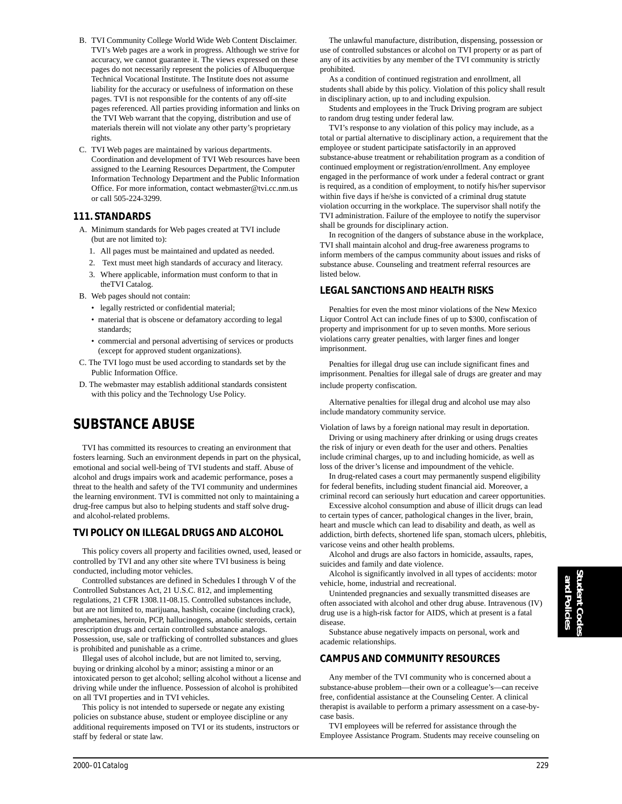- B. TVI Community College World Wide Web Content Disclaimer. TVI's Web pages are a work in progress. Although we strive for accuracy, we cannot guarantee it. The views expressed on these pages do not necessarily represent the policies of Albuquerque Technical Vocational Institute. The Institute does not assume liability for the accuracy or usefulness of information on these pages. TVI is not responsible for the contents of any off-site pages referenced. All parties providing information and links on the TVI Web warrant that the copying, distribution and use of materials therein will not violate any other party's proprietary rights.
- C. TVI Web pages are maintained by various departments. Coordination and development of TVI Web resources have been assigned to the Learning Resources Department, the Computer Information Technology Department and the Public Information Office. For more information, contact webmaster@tvi.cc.nm.us or call 505-224-3299.

### **111. STANDARDS**

- A. Minimum standards for Web pages created at TVI include (but are not limited to):
	- 1. All pages must be maintained and updated as needed.
	- 2. Text must meet high standards of accuracy and literacy.
	- 3. Where applicable, information must conform to that in theTVI Catalog.
- B. Web pages should not contain:
	- legally restricted or confidential material;
	- material that is obscene or defamatory according to legal standards;
	- commercial and personal advertising of services or products (except for approved student organizations).
- C. The TVI logo must be used according to standards set by the Public Information Office.
- D. The webmaster may establish additional standards consistent with this policy and the Technology Use Policy.

### **SUBSTANCE ABUSE**

TVI has committed its resources to creating an environment that fosters learning. Such an environment depends in part on the physical, emotional and social well-being of TVI students and staff. Abuse of alcohol and drugs impairs work and academic performance, poses a threat to the health and safety of the TVI community and undermines the learning environment. TVI is committed not only to maintaining a drug-free campus but also to helping students and staff solve drugand alcohol-related problems.

### **TVI POLICY ON ILLEGAL DRUGS AND ALCOHOL**

This policy covers all property and facilities owned, used, leased or controlled by TVI and any other site where TVI business is being conducted, including motor vehicles.

Controlled substances are defined in Schedules I through V of the Controlled Substances Act, 21 U.S.C. 812, and implementing regulations, 21 CFR 1308.11-08.15. Controlled substances include, but are not limited to, marijuana, hashish, cocaine (including crack), amphetamines, heroin, PCP, hallucinogens, anabolic steroids, certain prescription drugs and certain controlled substance analogs. Possession, use, sale or trafficking of controlled substances and glues is prohibited and punishable as a crime.

Illegal uses of alcohol include, but are not limited to, serving, buying or drinking alcohol by a minor; assisting a minor or an intoxicated person to get alcohol; selling alcohol without a license and driving while under the influence. Possession of alcohol is prohibited on all TVI properties and in TVI vehicles.

This policy is not intended to supersede or negate any existing policies on substance abuse, student or employee discipline or any additional requirements imposed on TVI or its students, instructors or staff by federal or state law.

The unlawful manufacture, distribution, dispensing, possession or use of controlled substances or alcohol on TVI property or as part of any of its activities by any member of the TVI community is strictly prohibited.

As a condition of continued registration and enrollment, all students shall abide by this policy. Violation of this policy shall result in disciplinary action, up to and including expulsion.

Students and employees in the Truck Driving program are subject to random drug testing under federal law.

TVI's response to any violation of this policy may include, as a total or partial alternative to disciplinary action, a requirement that the employee or student participate satisfactorily in an approved substance-abuse treatment or rehabilitation program as a condition of continued employment or registration/enrollment. Any employee engaged in the performance of work under a federal contract or grant is required, as a condition of employment, to notify his/her supervisor within five days if he/she is convicted of a criminal drug statute violation occurring in the workplace. The supervisor shall notify the TVI administration. Failure of the employee to notify the supervisor shall be grounds for disciplinary action.

In recognition of the dangers of substance abuse in the workplace, TVI shall maintain alcohol and drug-free awareness programs to inform members of the campus community about issues and risks of substance abuse. Counseling and treatment referral resources are listed below.

### **LEGAL SANCTIONS AND HEALTH RISKS**

Penalties for even the most minor violations of the New Mexico Liquor Control Act can include fines of up to \$300, confiscation of property and imprisonment for up to seven months. More serious violations carry greater penalties, with larger fines and longer imprisonment.

Penalties for illegal drug use can include significant fines and imprisonment. Penalties for illegal sale of drugs are greater and may include property confiscation.

Alternative penalties for illegal drug and alcohol use may also include mandatory community service.

Violation of laws by a foreign national may result in deportation. Driving or using machinery after drinking or using drugs creates the risk of injury or even death for the user and others. Penalties

include criminal charges, up to and including homicide, as well as loss of the driver's license and impoundment of the vehicle. In drug-related cases a court may permanently suspend eligibility

for federal benefits, including student financial aid. Moreover, a criminal record can seriously hurt education and career opportunities.

Excessive alcohol consumption and abuse of illicit drugs can lead to certain types of cancer, pathological changes in the liver, brain, heart and muscle which can lead to disability and death, as well as addiction, birth defects, shortened life span, stomach ulcers, phlebitis, varicose veins and other health problems.

Alcohol and drugs are also factors in homicide, assaults, rapes, suicides and family and date violence.

Alcohol is significantly involved in all types of accidents: motor vehicle, home, industrial and recreational.

Unintended pregnancies and sexually transmitted diseases are often associated with alcohol and other drug abuse. Intravenous (IV) drug use is a high-risk factor for AIDS, which at present is a fatal disease.

Substance abuse negatively impacts on personal, work and academic relationships.

### **CAMPUS AND COMMUNITY RESOURCES**

Any member of the TVI community who is concerned about a substance-abuse problem—their own or a colleague's—can receive free, confidential assistance at the Counseling Center. A clinical therapist is available to perform a primary assessment on a case-bycase basis.

TVI employees will be referred for assistance through the Employee Assistance Program. Students may receive counseling on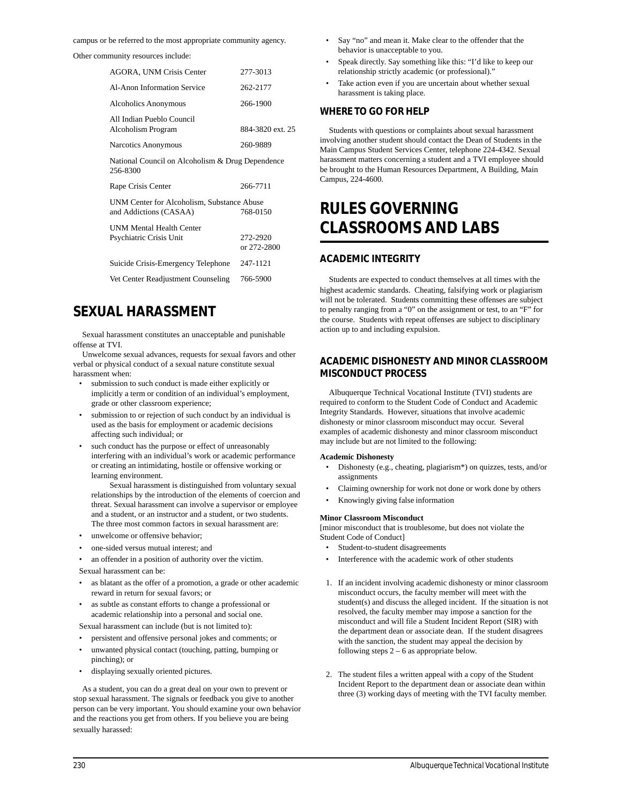campus or be referred to the most appropriate community agency.

Other community resources include:

| <b>AGORA, UNM Crisis Center</b>                                                  | 277-3013                |  |
|----------------------------------------------------------------------------------|-------------------------|--|
| Al-Anon Information Service                                                      | 262-2177                |  |
| Alcoholics Anonymous                                                             | 266-1900                |  |
| All Indian Pueblo Council<br>Alcoholism Program                                  | 884-3820 ext. 25        |  |
| Narcotics Anonymous                                                              | 260-9889                |  |
| National Council on Alcoholism & Drug Dependence<br>256-8300                     |                         |  |
| Rape Crisis Center                                                               | 266-7711                |  |
| UNM Center for Alcoholism, Substance Abuse<br>768-0150<br>and Addictions (CASAA) |                         |  |
| <b>UNM Mental Health Center</b><br>Psychiatric Crisis Unit                       | 272-2920<br>or 272-2800 |  |
| Suicide Crisis-Emergency Telephone                                               | 247-1121                |  |
| Vet Center Readjustment Counseling                                               | 766-5900                |  |

### **SEXUAL HARASSMENT**

Sexual harassment constitutes an unacceptable and punishable offense at TVI.

Unwelcome sexual advances, requests for sexual favors and other verbal or physical conduct of a sexual nature constitute sexual harassment when:

- submission to such conduct is made either explicitly or implicitly a term or condition of an individual's employment, grade or other classroom experience;
- submission to or rejection of such conduct by an individual is used as the basis for employment or academic decisions affecting such individual; or
- such conduct has the purpose or effect of unreasonably interfering with an individual's work or academic performance or creating an intimidating, hostile or offensive working or learning environment.

Sexual harassment is distinguished from voluntary sexual relationships by the introduction of the elements of coercion and threat. Sexual harassment can involve a supervisor or employee and a student, or an instructor and a student, or two students. The three most common factors in sexual harassment are:

- unwelcome or offensive behavior;
- one-sided versus mutual interest; and
- an offender in a position of authority over the victim.

Sexual harassment can be:

- as blatant as the offer of a promotion, a grade or other academic reward in return for sexual favors; or
- as subtle as constant efforts to change a professional or academic relationship into a personal and social one.

Sexual harassment can include (but is not limited to):

- persistent and offensive personal jokes and comments; or
- unwanted physical contact (touching, patting, bumping or pinching); or
- displaying sexually oriented pictures.

As a student, you can do a great deal on your own to prevent or stop sexual harassment. The signals or feedback you give to another person can be very important. You should examine your own behavior and the reactions you get from others. If you believe you are being sexually harassed:

- Say "no" and mean it. Make clear to the offender that the behavior is unacceptable to you.
- Speak directly. Say something like this: "I'd like to keep our relationship strictly academic (or professional)."
- Take action even if you are uncertain about whether sexual harassment is taking place.

### **WHERE TO GO FOR HELP**

Students with questions or complaints about sexual harassment involving another student should contact the Dean of Students in the Main Campus Student Services Center, telephone 224-4342. Sexual harassment matters concerning a student and a TVI employee should be brought to the Human Resources Department, A Building, Main Campus, 224-4600.

## **RULES GOVERNING CLASSROOMS AND LABS**

### **ACADEMIC INTEGRITY**

Students are expected to conduct themselves at all times with the highest academic standards. Cheating, falsifying work or plagiarism will not be tolerated. Students committing these offenses are subject to penalty ranging from a "0" on the assignment or test, to an "F" for the course. Students with repeat offenses are subject to disciplinary action up to and including expulsion.

### **ACADEMIC DISHONESTY AND MINOR CLASSROOM MISCONDUCT PROCESS**

Albuquerque Technical Vocational Institute (TVI) students are required to conform to the Student Code of Conduct and Academic Integrity Standards. However, situations that involve academic dishonesty or minor classroom misconduct may occur. Several examples of academic dishonesty and minor classroom misconduct may include but are not limited to the following:

#### **Academic Dishonesty**

- Dishonesty (e.g., cheating, plagiarism\*) on quizzes, tests, and/or assignments
- Claiming ownership for work not done or work done by others
- Knowingly giving false information

### **Minor Classroom Misconduct**

[minor misconduct that is troublesome, but does not violate the Student Code of Conduct]

- Student-to-student disagreements
- Interference with the academic work of other students
- 1. If an incident involving academic dishonesty or minor classroom misconduct occurs, the faculty member will meet with the student(s) and discuss the alleged incident. If the situation is not resolved, the faculty member may impose a sanction for the misconduct and will file a Student Incident Report (SIR) with the department dean or associate dean. If the student disagrees with the sanction, the student may appeal the decision by following steps  $2 - 6$  as appropriate below.
- 2. The student files a written appeal with a copy of the Student Incident Report to the department dean or associate dean within three (3) working days of meeting with the TVI faculty member.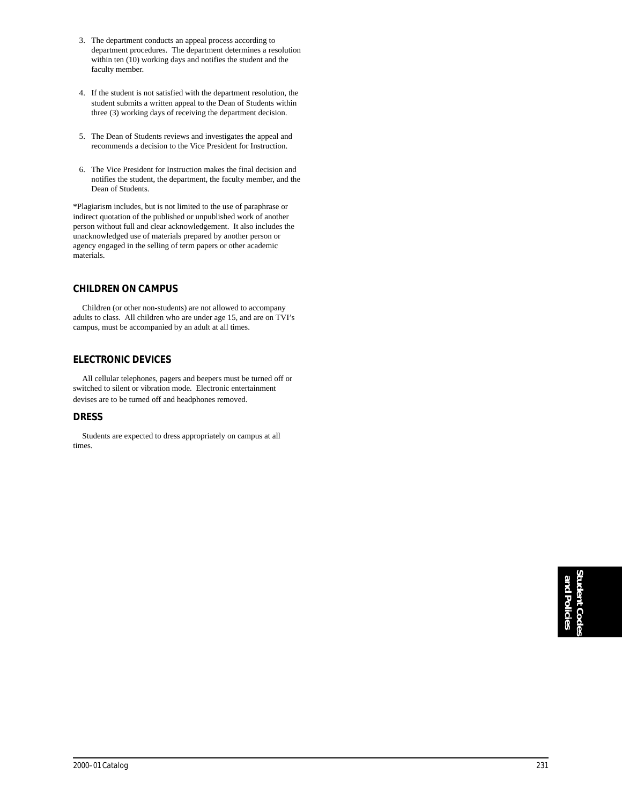- 3. The department conducts an appeal process according to department procedures. The department determines a resolution within ten (10) working days and notifies the student and the faculty member.
- 4. If the student is not satisfied with the department resolution, the student submits a written appeal to the Dean of Students within three (3) working days of receiving the department decision.
- 5. The Dean of Students reviews and investigates the appeal and recommends a decision to the Vice President for Instruction.
- 6. The Vice President for Instruction makes the final decision and notifies the student, the department, the faculty member, and the Dean of Students.

\*Plagiarism includes, but is not limited to the use of paraphrase or indirect quotation of the published or unpublished work of another person without full and clear acknowledgement. It also includes the unacknowledged use of materials prepared by another person or agency engaged in the selling of term papers or other academic materials.

### **CHILDREN ON CAMPUS**

Children (or other non-students) are not allowed to accompany adults to class. All children who are under age 15, and are on TVI's campus, must be accompanied by an adult at all times.

### **ELECTRONIC DEVICES**

All cellular telephones, pagers and beepers must be turned off or switched to silent or vibration mode. Electronic entertainment devises are to be turned off and headphones removed.

### **DRESS**

Students are expected to dress appropriately on campus at all times.

> **Student Codes** and Policies **and Policies**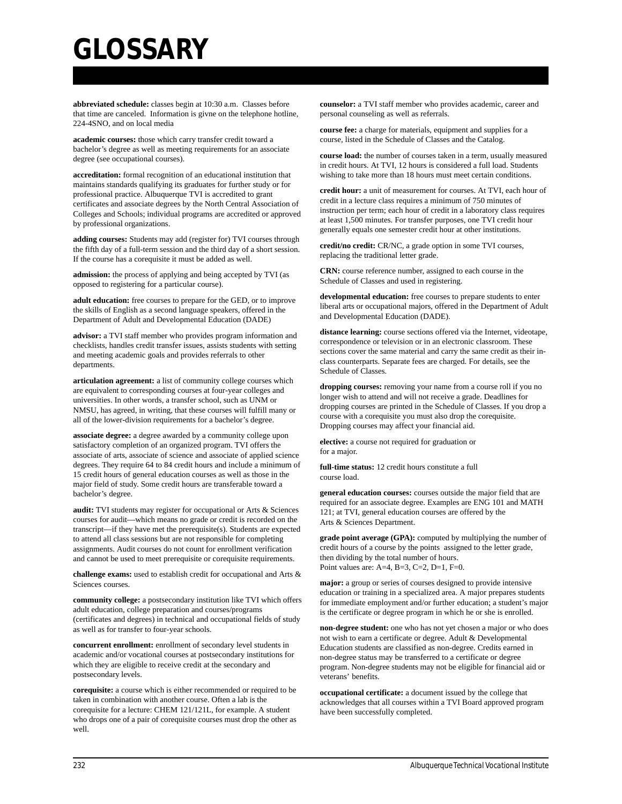# **GLOSSARY**

**abbreviated schedule:** classes begin at 10:30 a.m. Classes before that time are canceled. Information is givne on the telephone hotline, 224-4SNO, and on local media

**academic courses:** those which carry transfer credit toward a bachelor's degree as well as meeting requirements for an associate degree (see occupational courses).

**accreditation:** formal recognition of an educational institution that maintains standards qualifying its graduates for further study or for professional practice. Albuquerque TVI is accredited to grant certificates and associate degrees by the North Central Association of Colleges and Schools; individual programs are accredited or approved by professional organizations.

**adding courses:** Students may add (register for) TVI courses through the fifth day of a full-term session and the third day of a short session. If the course has a corequisite it must be added as well.

**admission:** the process of applying and being accepted by TVI (as opposed to registering for a particular course).

**adult education:** free courses to prepare for the GED, or to improve the skills of English as a second language speakers, offered in the Department of Adult and Developmental Education (DADE)

**advisor:** a TVI staff member who provides program information and checklists, handles credit transfer issues, assists students with setting and meeting academic goals and provides referrals to other departments.

**articulation agreement:** a list of community college courses which are equivalent to corresponding courses at four-year colleges and universities. In other words, a transfer school, such as UNM or NMSU, has agreed, in writing, that these courses will fulfill many or all of the lower-division requirements for a bachelor's degree.

**associate degree:** a degree awarded by a community college upon satisfactory completion of an organized program. TVI offers the associate of arts, associate of science and associate of applied science degrees. They require 64 to 84 credit hours and include a minimum of 15 credit hours of general education courses as well as those in the major field of study. Some credit hours are transferable toward a bachelor's degree.

**audit:** TVI students may register for occupational or Arts & Sciences courses for audit—which means no grade or credit is recorded on the transcript—if they have met the prerequisite(s). Students are expected to attend all class sessions but are not responsible for completing assignments. Audit courses do not count for enrollment verification and cannot be used to meet prerequisite or corequisite requirements.

**challenge exams:** used to establish credit for occupational and Arts & Sciences courses.

**community college:** a postsecondary institution like TVI which offers adult education, college preparation and courses/programs (certificates and degrees) in technical and occupational fields of study as well as for transfer to four-year schools.

**concurrent enrollment:** enrollment of secondary level students in academic and/or vocational courses at postsecondary institutions for which they are eligible to receive credit at the secondary and postsecondary levels.

**corequisite:** a course which is either recommended or required to be taken in combination with another course. Often a lab is the corequisite for a lecture: CHEM 121/121L, for example. A student who drops one of a pair of corequisite courses must drop the other as well.

**counselor:** a TVI staff member who provides academic, career and personal counseling as well as referrals.

**course fee:** a charge for materials, equipment and supplies for a course, listed in the Schedule of Classes and the Catalog.

**course load:** the number of courses taken in a term, usually measured in credit hours. At TVI, 12 hours is considered a full load. Students wishing to take more than 18 hours must meet certain conditions.

**credit hour:** a unit of measurement for courses. At TVI, each hour of credit in a lecture class requires a minimum of 750 minutes of instruction per term; each hour of credit in a laboratory class requires at least 1,500 minutes. For transfer purposes, one TVI credit hour generally equals one semester credit hour at other institutions.

**credit/no credit:** CR/NC, a grade option in some TVI courses, replacing the traditional letter grade.

**CRN:** course reference number, assigned to each course in the Schedule of Classes and used in registering.

**developmental education:** free courses to prepare students to enter liberal arts or occupational majors, offered in the Department of Adult and Developmental Education (DADE).

**distance learning:** course sections offered via the Internet, videotape, correspondence or television or in an electronic classroom. These sections cover the same material and carry the same credit as their inclass counterparts. Separate fees are charged. For details, see the Schedule of Classes.

**dropping courses:** removing your name from a course roll if you no longer wish to attend and will not receive a grade. Deadlines for dropping courses are printed in the Schedule of Classes. If you drop a course with a corequisite you must also drop the corequisite. Dropping courses may affect your financial aid.

**elective:** a course not required for graduation or for a major.

**full-time status:** 12 credit hours constitute a full course load.

**general education courses:** courses outside the major field that are required for an associate degree. Examples are ENG 101 and MATH 121; at TVI, general education courses are offered by the Arts & Sciences Department.

**grade point average (GPA):** computed by multiplying the number of credit hours of a course by the points assigned to the letter grade, then dividing by the total number of hours. Point values are: A=4, B=3, C=2, D=1, F=0.

**major:** a group or series of courses designed to provide intensive education or training in a specialized area. A major prepares students for immediate employment and/or further education; a student's major is the certificate or degree program in which he or she is enrolled.

**non-degree student:** one who has not yet chosen a major or who does not wish to earn a certificate or degree. Adult & Developmental Education students are classified as non-degree. Credits earned in non-degree status may be transferred to a certificate or degree program. Non-degree students may not be eligible for financial aid or veterans' benefits.

**occupational certificate:** a document issued by the college that acknowledges that all courses within a TVI Board approved program have been successfully completed.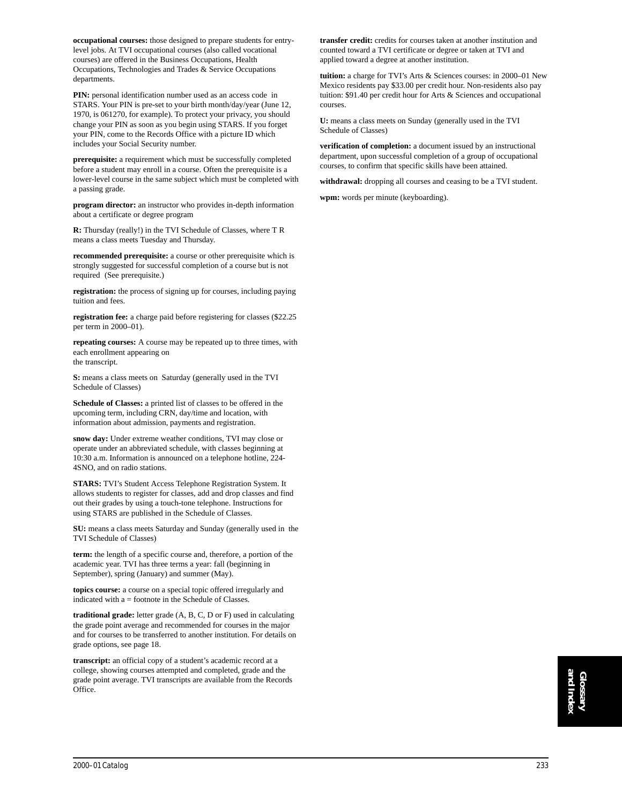**occupational courses:** those designed to prepare students for entrylevel jobs. At TVI occupational courses (also called vocational courses) are offered in the Business Occupations, Health Occupations, Technologies and Trades & Service Occupations departments.

**PIN:** personal identification number used as an access code in STARS. Your PIN is pre-set to your birth month/day/year (June 12, 1970, is 061270, for example). To protect your privacy, you should change your PIN as soon as you begin using STARS. If you forget your PIN, come to the Records Office with a picture ID which includes your Social Security number.

**prerequisite:** a requirement which must be successfully completed before a student may enroll in a course. Often the prerequisite is a lower-level course in the same subject which must be completed with a passing grade.

**program director:** an instructor who provides in-depth information about a certificate or degree program

**R:** Thursday (really!) in the TVI Schedule of Classes, where T R means a class meets Tuesday and Thursday.

**recommended prerequisite:** a course or other prerequisite which is strongly suggested for successful completion of a course but is not required (See prerequisite.)

**registration:** the process of signing up for courses, including paying tuition and fees.

**registration fee:** a charge paid before registering for classes (\$22.25 per term in 2000–01).

**repeating courses:** A course may be repeated up to three times, with each enrollment appearing on the transcript.

S: means a class meets on Saturday (generally used in the TVI Schedule of Classes)

**Schedule of Classes:** a printed list of classes to be offered in the upcoming term, including CRN, day/time and location, with information about admission, payments and registration.

**snow day:** Under extreme weather conditions, TVI may close or operate under an abbreviated schedule, with classes beginning at 10:30 a.m. Information is announced on a telephone hotline, 224- 4SNO, and on radio stations.

**STARS:** TVI's Student Access Telephone Registration System. It allows students to register for classes, add and drop classes and find out their grades by using a touch-tone telephone. Instructions for using STARS are published in the Schedule of Classes.

**SU:** means a class meets Saturday and Sunday (generally used in the TVI Schedule of Classes)

**term:** the length of a specific course and, therefore, a portion of the academic year. TVI has three terms a year: fall (beginning in September), spring (January) and summer (May).

**topics course:** a course on a special topic offered irregularly and indicated with a = footnote in the Schedule of Classes.

**traditional grade:** letter grade (A, B, C, D or F) used in calculating the grade point average and recommended for courses in the major and for courses to be transferred to another institution. For details on grade options, see page 18.

**transcript:** an official copy of a student's academic record at a college, showing courses attempted and completed, grade and the grade point average. TVI transcripts are available from the Records Office.

**transfer credit:** credits for courses taken at another institution and counted toward a TVI certificate or degree or taken at TVI and applied toward a degree at another institution.

**tuition:** a charge for TVI's Arts & Sciences courses: in 2000–01 New Mexico residents pay \$33.00 per credit hour. Non-residents also pay tuition: \$91.40 per credit hour for Arts & Sciences and occupational courses.

**U:** means a class meets on Sunday (generally used in the TVI Schedule of Classes)

**verification of completion:** a document issued by an instructional department, upon successful completion of a group of occupational courses, to confirm that specific skills have been attained.

**withdrawal:** dropping all courses and ceasing to be a TVI student.

**wpm:** words per minute (keyboarding).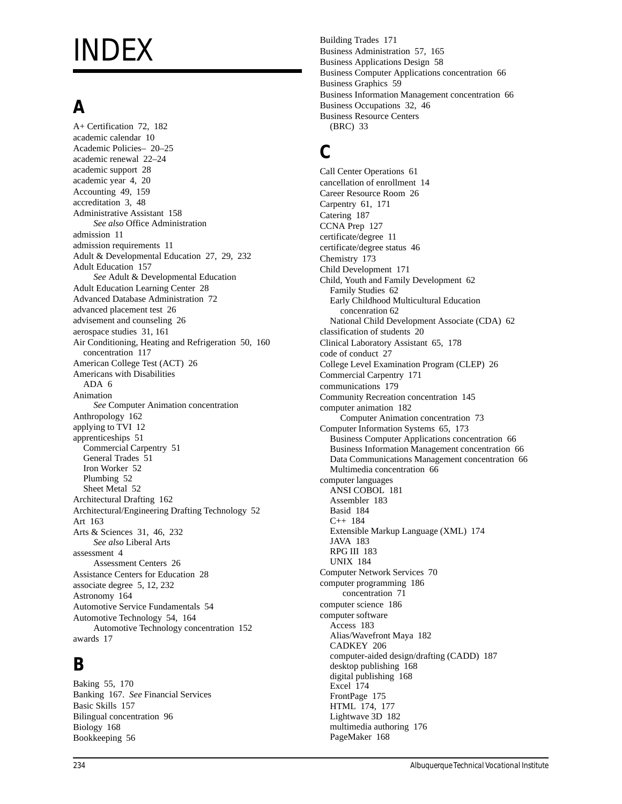# INDEX

## **A**

A+ Certification 72, 182 academic calendar 10 Academic Policies– 20–25 academic renewal 22–24 academic support 28 academic year 4, 20 Accounting 49, 159 accreditation 3, 48 Administrative Assistant 158 *See also* Office Administration admission 11 admission requirements 11 Adult & Developmental Education 27, 29, 232 Adult Education 157 *See* Adult & Developmental Education Adult Education Learning Center 28 Advanced Database Administration 72 advanced placement test 26 advisement and counseling 26 aerospace studies 31, 161 Air Conditioning, Heating and Refrigeration 50, 160 concentration 117 American College Test (ACT) 26 Americans with Disabilities ADA 6 Animation *See* Computer Animation concentration Anthropology 162 applying to TVI 12 apprenticeships 51 Commercial Carpentry 51 General Trades 51 Iron Worker 52 Plumbing 52 Sheet Metal 52 Architectural Drafting 162 Architectural/Engineering Drafting Technology 52 Art 163 Arts & Sciences 31, 46, 232 *See also* Liberal Arts assessment 4 Assessment Centers 26 Assistance Centers for Education 28 associate degree 5, 12, 232 Astronomy 164 Automotive Service Fundamentals 54 Automotive Technology 54, 164 Automotive Technology concentration 152 awards 17

## **B**

Baking 55, 170 Banking 167. *See* Financial Services Basic Skills 157 Bilingual concentration 96 Biology 168 Bookkeeping 56

Building Trades 171 Business Administration 57, 165 Business Applications Design 58 Business Computer Applications concentration 66 Business Graphics 59 Business Information Management concentration 66 Business Occupations 32, 46 Business Resource Centers (BRC) 33

## **C**

Call Center Operations 61 cancellation of enrollment 14 Career Resource Room 26 Carpentry 61, 171 Catering 187 CCNA Prep 127 certificate/degree 11 certificate/degree status 46 Chemistry 173 Child Development 171 Child, Youth and Family Development 62 Family Studies 62 Early Childhood Multicultural Education concenration 62 National Child Development Associate (CDA) 62 classification of students 20 Clinical Laboratory Assistant 65, 178 code of conduct 27 College Level Examination Program (CLEP) 26 Commercial Carpentry 171 communications 179 Community Recreation concentration 145 computer animation 182 Computer Animation concentration 73 Computer Information Systems 65, 173 Business Computer Applications concentration 66 Business Information Management concentration 66 Data Communications Management concentration 66 Multimedia concentration 66 computer languages ANSI COBOL 181 Assembler 183 Basid 184 C++ 184 Extensible Markup Language (XML) 174 JAVA 183 RPG III 183 UNIX 184 Computer Network Services 70 computer programming 186 concentration 71 computer science 186 computer software Access 183 Alias/Wavefront Maya 182 CADKEY 206 computer-aided design/drafting (CADD) 187 desktop publishing 168 digital publishing 168 Excel 174 FrontPage 175 HTML 174, 177 Lightwave 3D 182 multimedia authoring 176 PageMaker 168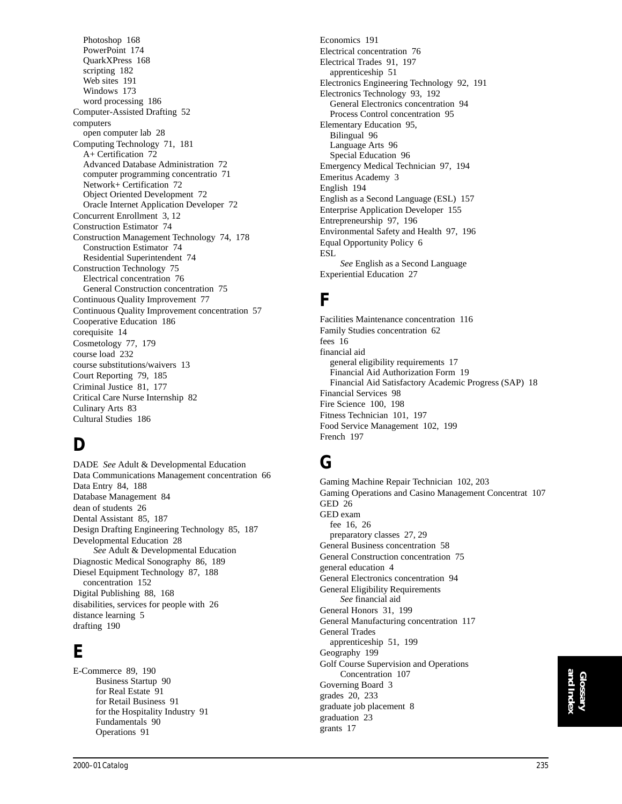Photoshop 168 PowerPoint 174 QuarkXPress 168 scripting 182 Web sites 191 Windows 173 word processing 186 Computer-Assisted Drafting 52 computers open computer lab 28 Computing Technology 71, 181 A+ Certification 72 Advanced Database Administration 72 computer programming concentratio 71 Network+ Certification 72 Object Oriented Development 72 Oracle Internet Application Developer 72 Concurrent Enrollment 3, 12 Construction Estimator 74 Construction Management Technology 74, 178 Construction Estimator 74 Residential Superintendent 74 Construction Technology 75 Electrical concentration 76 General Construction concentration 75 Continuous Quality Improvement 77 Continuous Quality Improvement concentration 57 Cooperative Education 186 corequisite 14 Cosmetology 77, 179 course load 232 course substitutions/waivers 13 Court Reporting 79, 185 Criminal Justice 81, 177 Critical Care Nurse Internship 82 Culinary Arts 83 Cultural Studies 186

## **D**

DADE *See* Adult & Developmental Education Data Communications Management concentration 66 Data Entry 84, 188 Database Management 84 dean of students 26 Dental Assistant 85, 187 Design Drafting Engineering Technology 85, 187 Developmental Education 28 *See* Adult & Developmental Education Diagnostic Medical Sonography 86, 189 Diesel Equipment Technology 87, 188 concentration 152 Digital Publishing 88, 168 disabilities, services for people with 26 distance learning 5 drafting 190

## **E**

E-Commerce 89, 190 Business Startup 90 for Real Estate 91 for Retail Business 91 for the Hospitality Industry 91 Fundamentals 90 Operations 91

Economics 191 Electrical concentration 76 Electrical Trades 91, 197 apprenticeship 51 Electronics Engineering Technology 92, 191 Electronics Technology 93, 192 General Electronics concentration 94 Process Control concentration 95 Elementary Education 95, Bilingual 96 Language Arts 96 Special Education 96 Emergency Medical Technician 97, 194 Emeritus Academy 3 English 194 English as a Second Language (ESL) 157 Enterprise Application Developer 155 Entrepreneurship 97, 196 Environmental Safety and Health 97, 196 Equal Opportunity Policy 6 ESL *See* English as a Second Language Experiential Education 27

## **F**

Facilities Maintenance concentration 116 Family Studies concentration 62 fees 16 financial aid general eligibility requirements 17 Financial Aid Authorization Form 19 Financial Aid Satisfactory Academic Progress (SAP) 18 Financial Services 98 Fire Science 100, 198 Fitness Technician 101, 197 Food Service Management 102, 199 French 197

## **G**

grants 17

Gaming Machine Repair Technician 102, 203 Gaming Operations and Casino Management Concentrat 107 GED 26 GED exam fee 16, 26 preparatory classes 27, 29 General Business concentration 58 General Construction concentration 75 general education 4 General Electronics concentration 94 General Eligibility Requirements *See* financial aid General Honors 31, 199 General Manufacturing concentration 117 General Trades apprenticeship 51, 199 Geography 199 Golf Course Supervision and Operations Concentration 107 Governing Board 3 grades 20, 233 graduate job placement 8 graduation 23

## **Glossary and Index**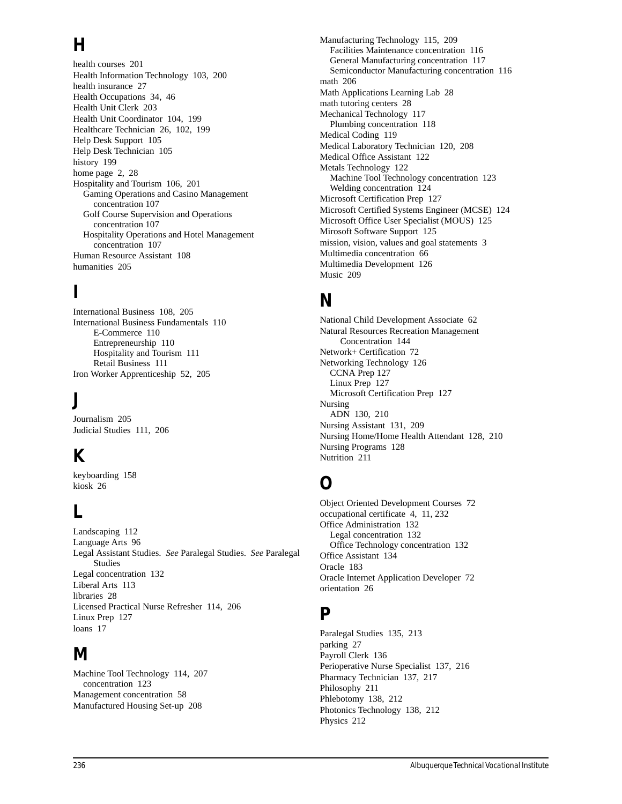## **H**

health courses 201 Health Information Technology 103, 200 health insurance 27 Health Occupations 34, 46 Health Unit Clerk 203 Health Unit Coordinator 104, 199 Healthcare Technician 26, 102, 199 Help Desk Support 105 Help Desk Technician 105 history 199 home page 2, 28 Hospitality and Tourism 106, 201 Gaming Operations and Casino Management concentration 107 Golf Course Supervision and Operations concentration 107 Hospitality Operations and Hotel Management concentration 107 Human Resource Assistant 108 humanities 205

## **I**

International Business 108, 205 International Business Fundamentals 110 E-Commerce 110 Entrepreneurship 110 Hospitality and Tourism 111 Retail Business 111 Iron Worker Apprenticeship 52, 205

## **J**

Journalism 205 Judicial Studies 111, 206

## **K**

keyboarding 158 kiosk 26

## **L**

Landscaping 112 Language Arts 96 Legal Assistant Studies. *See* Paralegal Studies. *See* Paralegal Studies Legal concentration 132 Liberal Arts 113 libraries 28 Licensed Practical Nurse Refresher 114, 206 Linux Prep 127 loans 17

## **M**

Machine Tool Technology 114, 207 concentration 123 Management concentration 58 Manufactured Housing Set-up 208

Manufacturing Technology 115, 209 Facilities Maintenance concentration 116 General Manufacturing concentration 117 Semiconductor Manufacturing concentration 116 math 206 Math Applications Learning Lab 28 math tutoring centers 28 Mechanical Technology 117 Plumbing concentration 118 Medical Coding 119 Medical Laboratory Technician 120, 208 Medical Office Assistant 122 Metals Technology 122 Machine Tool Technology concentration 123 Welding concentration 124 Microsoft Certification Prep 127 Microsoft Certified Systems Engineer (MCSE) 124 Microsoft Office User Specialist (MOUS) 125 Mirosoft Software Support 125 mission, vision, values and goal statements 3 Multimedia concentration 66 Multimedia Development 126 Music 209

## **N**

National Child Development Associate 62 Natural Resources Recreation Management Concentration 144 Network+ Certification 72 Networking Technology 126 CCNA Prep 127 Linux Prep 127 Microsoft Certification Prep 127 Nursing ADN 130, 210 Nursing Assistant 131, 209 Nursing Home/Home Health Attendant 128, 210 Nursing Programs 128 Nutrition 211

## **O**

Object Oriented Development Courses 72 occupational certificate 4, 11, 232 Office Administration 132 Legal concentration 132 Office Technology concentration 132 Office Assistant 134 Oracle 183 Oracle Internet Application Developer 72 orientation 26

### **P**

Paralegal Studies 135, 213 parking 27 Payroll Clerk 136 Perioperative Nurse Specialist 137, 216 Pharmacy Technician 137, 217 Philosophy 211 Phlebotomy 138, 212 Photonics Technology 138, 212 Physics 212